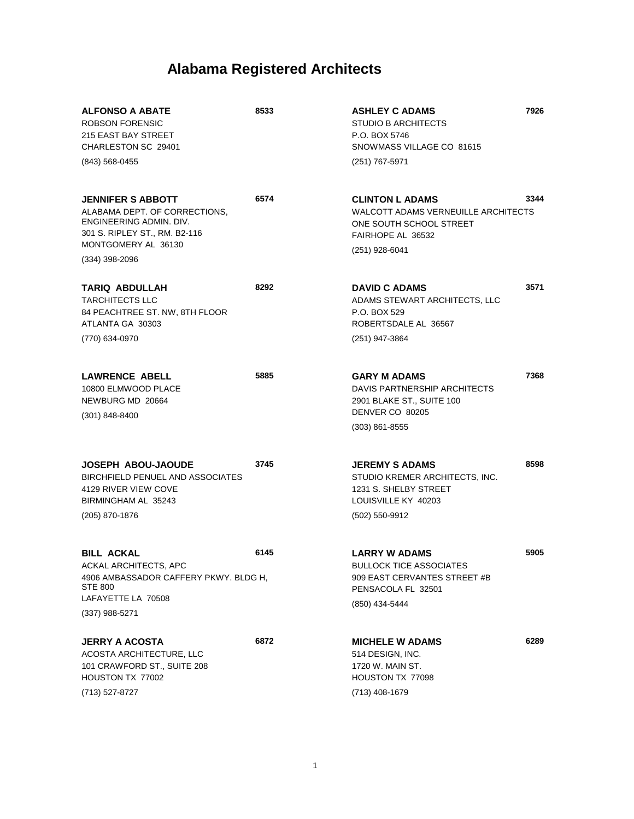| <b>ALFONSO A ABATE</b><br><b>ROBSON FORENSIC</b><br>215 EAST BAY STREET<br>CHARLESTON SC 29401<br>$(843)$ 568-0455                                               | 8533 | <b>ASHLEY C ADAMS</b><br>STUDIO B ARCHITECTS<br>P.O. BOX 5746<br>SNOWMASS VILLAGE CO 81615<br>(251) 767-5971                           | 7926 |
|------------------------------------------------------------------------------------------------------------------------------------------------------------------|------|----------------------------------------------------------------------------------------------------------------------------------------|------|
| <b>JENNIFER S ABBOTT</b><br>ALABAMA DEPT. OF CORRECTIONS,<br>ENGINEERING ADMIN. DIV.<br>301 S. RIPLEY ST., RM. B2-116<br>MONTGOMERY AL 36130<br>$(334)$ 398-2096 | 6574 | <b>CLINTON L ADAMS</b><br><b>WALCOTT ADAMS VERNEUILLE ARCHITECTS</b><br>ONE SOUTH SCHOOL STREET<br>FAIRHOPE AL 36532<br>(251) 928-6041 | 3344 |
| <b>TARIQ ABDULLAH</b><br><b>TARCHITECTS LLC</b><br>84 PEACHTREE ST. NW, 8TH FLOOR<br>ATLANTA GA 30303<br>(770) 634-0970                                          | 8292 | <b>DAVID C ADAMS</b><br>ADAMS STEWART ARCHITECTS, LLC<br>P.O. BOX 529<br>ROBERTSDALE AL 36567<br>(251) 947-3864                        | 3571 |
| <b>LAWRENCE ABELL</b><br>10800 ELMWOOD PLACE<br>NEWBURG MD 20664<br>$(301) 848 - 8400$                                                                           | 5885 | <b>GARY M ADAMS</b><br>DAVIS PARTNERSHIP ARCHITECTS<br>2901 BLAKE ST., SUITE 100<br>DENVER CO 80205<br>$(303)$ 861-8555                | 7368 |
| <b>JOSEPH ABOU-JAOUDE</b><br><b>BIRCHFIELD PENUEL AND ASSOCIATES</b><br>4129 RIVER VIEW COVE<br>BIRMINGHAM AL 35243<br>(205) 870-1876                            | 3745 | <b>JEREMY S ADAMS</b><br>STUDIO KREMER ARCHITECTS, INC.<br>1231 S. SHELBY STREET<br>LOUISVILLE KY 40203<br>(502) 550-9912              | 8598 |
| <b>BILL ACKAL</b><br>ACKAL ARCHITECTS, APC<br>4906 AMBASSADOR CAFFERY PKWY. BLDG H,<br><b>STE 800</b><br>LAFAYETTE LA 70508<br>$(337)$ 988-5271                  | 6145 | <b>LARRY W ADAMS</b><br><b>BULLOCK TICE ASSOCIATES</b><br>909 EAST CERVANTES STREET #B<br>PENSACOLA FL 32501<br>(850) 434-5444         | 5905 |
| <b>JERRY A ACOSTA</b><br>ACOSTA ARCHITECTURE, LLC<br>101 CRAWFORD ST., SUITE 208<br>HOUSTON TX 77002<br>(713) 527-8727                                           | 6872 | <b>MICHELE W ADAMS</b><br>514 DESIGN, INC.<br>1720 W. MAIN ST.<br>HOUSTON TX 77098<br>(713) 408-1679                                   | 6289 |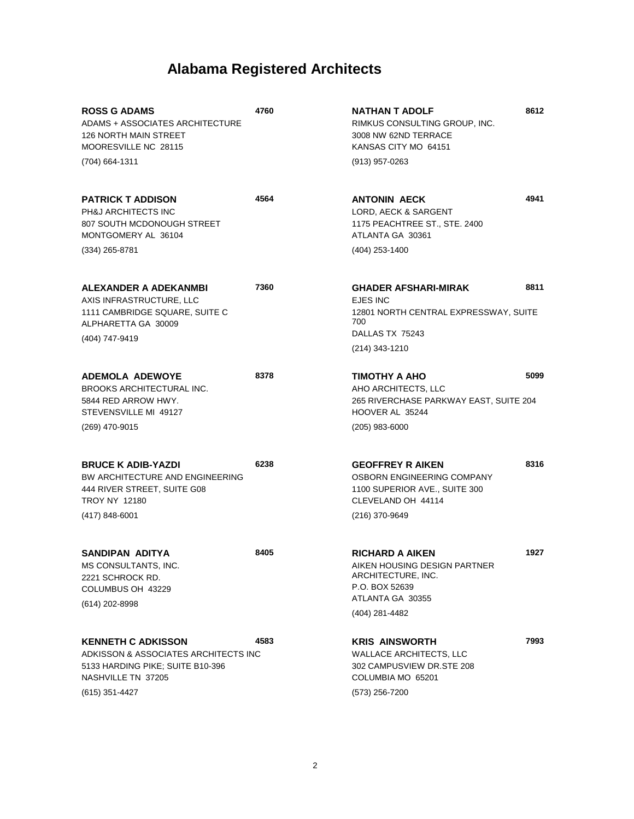| <b>ROSS G ADAMS</b><br>ADAMS + ASSOCIATES ARCHITECTURE<br>126 NORTH MAIN STREET<br>MOORESVILLE NC 28115<br>(704) 664-1311                     | 4760 | NATHAN T ADOLF<br>RIMKUS CONSULTING GROUP, INC.<br>3008 NW 62ND TERRACE<br>KANSAS CITY MO 64151<br>(913) 957-0263              | 8612 |
|-----------------------------------------------------------------------------------------------------------------------------------------------|------|--------------------------------------------------------------------------------------------------------------------------------|------|
|                                                                                                                                               |      |                                                                                                                                |      |
| <b>PATRICK T ADDISON</b><br>PH&J ARCHITECTS INC<br>807 SOUTH MCDONOUGH STREET<br>MONTGOMERY AL 36104                                          | 4564 | <b>ANTONIN AECK</b><br><b>LORD. AECK &amp; SARGENT</b><br>1175 PEACHTREE ST., STE. 2400<br>ATLANTA GA 30361                    | 4941 |
| (334) 265-8781                                                                                                                                |      | (404) 253-1400                                                                                                                 |      |
| ALEXANDER A ADEKANMBI<br>AXIS INFRASTRUCTURE, LLC<br>1111 CAMBRIDGE SQUARE, SUITE C<br>ALPHARETTA GA 30009                                    | 7360 | <b>GHADER AFSHARI-MIRAK</b><br>EJES INC<br>12801 NORTH CENTRAL EXPRESSWAY, SUITE<br>700<br>DALLAS TX 75243                     | 8811 |
| (404) 747-9419                                                                                                                                |      | $(214)$ 343-1210                                                                                                               |      |
|                                                                                                                                               |      |                                                                                                                                |      |
| ADEMOLA ADEWOYE<br><b>BROOKS ARCHITECTURAL INC.</b><br>5844 RED ARROW HWY.<br>STEVENSVILLE MI 49127                                           | 8378 | TIMOTHY A AHO<br>AHO ARCHITECTS, LLC<br>265 RIVERCHASE PARKWAY EAST, SUITE 204<br>HOOVER AL 35244                              | 5099 |
| (269) 470-9015                                                                                                                                |      | $(205)$ 983-6000                                                                                                               |      |
| <b>BRUCE K ADIB-YAZDI</b><br>BW ARCHITECTURE AND ENGINEERING<br>444 RIVER STREET, SUITE G08<br><b>TROY NY 12180</b><br>$(417) 848 - 6001$     | 6238 | <b>GEOFFREY R AIKEN</b><br>OSBORN ENGINEERING COMPANY<br>1100 SUPERIOR AVE., SUITE 300<br>CLEVELAND OH 44114<br>(216) 370-9649 | 8316 |
|                                                                                                                                               |      |                                                                                                                                |      |
| <b>SANDIPAN ADITYA</b><br>MS CONSULTANTS, INC.<br>2221 SCHROCK RD.<br>COLUMBUS OH 43229<br>(614) 202-8998                                     | 8405 | <b>RICHARD A AIKEN</b><br>AIKEN HOUSING DESIGN PARTNER<br>ARCHITECTURE, INC.<br>P.O. BOX 52639<br>ATLANTA GA 30355             | 1927 |
|                                                                                                                                               |      | (404) 281-4482                                                                                                                 |      |
| <b>KENNETH C ADKISSON</b><br>ADKISSON & ASSOCIATES ARCHITECTS INC<br>5133 HARDING PIKE; SUITE B10-396<br>NASHVILLE TN 37205<br>(615) 351-4427 | 4583 | <b>KRIS AINSWORTH</b><br><b>WALLACE ARCHITECTS, LLC</b><br>302 CAMPUSVIEW DR.STE 208<br>COLUMBIA MO 65201<br>(573) 256-7200    | 7993 |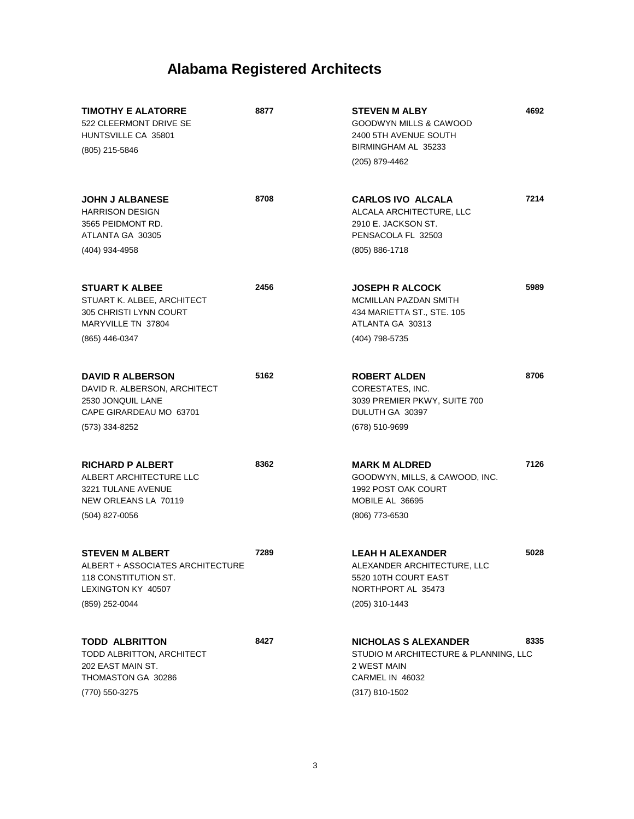| <b>TIMOTHY E ALATORRE</b><br>522 CLEERMONT DRIVE SE<br>HUNTSVILLE CA 35801<br>(805) 215-5846                               | 8877 | 4692<br><b>STEVEN M ALBY</b><br>GOODWYN MILLS & CAWOOD<br>2400 5TH AVENUE SOUTH<br>BIRMINGHAM AL 35233<br>(205) 879-4462         |
|----------------------------------------------------------------------------------------------------------------------------|------|----------------------------------------------------------------------------------------------------------------------------------|
| <b>JOHN J ALBANESE</b><br><b>HARRISON DESIGN</b><br>3565 PEIDMONT RD.<br>ATLANTA GA 30305<br>(404) 934-4958                | 8708 | 7214<br><b>CARLOS IVO ALCALA</b><br>ALCALA ARCHITECTURE, LLC<br>2910 E. JACKSON ST.<br>PENSACOLA FL 32503<br>$(805) 886 - 1718$  |
|                                                                                                                            |      |                                                                                                                                  |
| <b>STUART K ALBEE</b><br>STUART K. ALBEE, ARCHITECT<br>305 CHRISTI LYNN COURT<br>MARYVILLE TN 37804                        | 2456 | 5989<br><b>JOSEPH R ALCOCK</b><br>MCMILLAN PAZDAN SMITH<br>434 MARIETTA ST., STE. 105<br>ATLANTA GA 30313                        |
| (865) 446-0347                                                                                                             |      | (404) 798-5735                                                                                                                   |
| <b>DAVID R ALBERSON</b><br>DAVID R. ALBERSON, ARCHITECT<br>2530 JONQUIL LANE<br>CAPE GIRARDEAU MO 63701                    | 5162 | 8706<br><b>ROBERT ALDEN</b><br>CORESTATES, INC.<br>3039 PREMIER PKWY, SUITE 700<br>DULUTH GA 30397                               |
| (573) 334-8252                                                                                                             |      | (678) 510-9699                                                                                                                   |
| <b>RICHARD P ALBERT</b><br>ALBERT ARCHITECTURE LLC<br>3221 TULANE AVENUE<br>NEW ORLEANS LA 70119<br>(504) 827-0056         | 8362 | 7126<br><b>MARK M ALDRED</b><br>GOODWYN, MILLS, & CAWOOD, INC.<br>1992 POST OAK COURT<br>MOBILE AL 36695<br>(806) 773-6530       |
| <b>STEVEN M ALBERT</b><br>ALBERT + ASSOCIATES ARCHITECTURE<br>118 CONSTITUTION ST.<br>LEXINGTON KY 40507<br>(859) 252-0044 | 7289 | <b>LEAH H ALEXANDER</b><br>5028<br>ALEXANDER ARCHITECTURE, LLC<br>5520 10TH COURT EAST<br>NORTHPORT AL 35473<br>(205) 310-1443   |
|                                                                                                                            |      |                                                                                                                                  |
| <b>TODD ALBRITTON</b><br>TODD ALBRITTON, ARCHITECT<br>202 EAST MAIN ST.<br>THOMASTON GA 30286<br>(770) 550-3275            | 8427 | 8335<br><b>NICHOLAS S ALEXANDER</b><br>STUDIO M ARCHITECTURE & PLANNING, LLC<br>2 WEST MAIN<br>CARMEL IN 46032<br>(317) 810-1502 |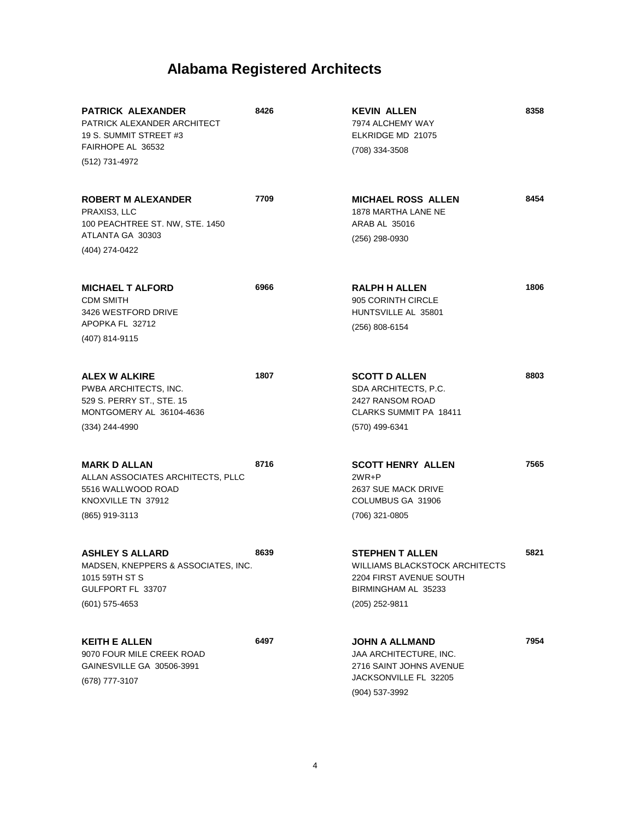| <b>PATRICK ALEXANDER</b><br>PATRICK ALEXANDER ARCHITECT<br>19 S. SUMMIT STREET #3<br>FAIRHOPE AL 36532<br>(512) 731-4972 | 8426 | <b>KEVIN ALLEN</b><br>7974 ALCHEMY WAY<br>ELKRIDGE MD 21075<br>(708) 334-3508                                                | 8358 |
|--------------------------------------------------------------------------------------------------------------------------|------|------------------------------------------------------------------------------------------------------------------------------|------|
| <b>ROBERT M ALEXANDER</b><br>PRAXIS3, LLC<br>100 PEACHTREE ST. NW, STE. 1450<br>ATLANTA GA 30303<br>(404) 274-0422       | 7709 | <b>MICHAEL ROSS ALLEN</b><br>1878 MARTHA LANE NE<br>ARAB AL 35016<br>(256) 298-0930                                          | 8454 |
| <b>MICHAEL T ALFORD</b><br><b>CDM SMITH</b><br>3426 WESTFORD DRIVE<br>APOPKA FL 32712<br>(407) 814-9115                  | 6966 | <b>RALPH H ALLEN</b><br>905 CORINTH CIRCLE<br>HUNTSVILLE AL 35801<br>(256) 808-6154                                          | 1806 |
| <b>ALEX W ALKIRE</b><br>PWBA ARCHITECTS, INC.<br>529 S. PERRY ST., STE. 15<br>MONTGOMERY AL 36104-4636<br>(334) 244-4990 | 1807 | <b>SCOTT D ALLEN</b><br>SDA ARCHITECTS, P.C.<br>2427 RANSOM ROAD<br>CLARKS SUMMIT PA 18411<br>(570) 499-6341                 | 8803 |
| <b>MARK D ALLAN</b><br>ALLAN ASSOCIATES ARCHITECTS, PLLC<br>5516 WALLWOOD ROAD<br>KNOXVILLE TN 37912<br>(865) 919-3113   | 8716 | <b>SCOTT HENRY ALLEN</b><br>$2WR + P$<br>2637 SUE MACK DRIVE<br>COLUMBUS GA 31906<br>(706) 321-0805                          | 7565 |
| <b>ASHLEY S ALLARD</b><br>MADSEN, KNEPPERS & ASSOCIATES, INC.<br>1015 59TH ST S<br>GULFPORT FL 33707<br>$(601)$ 575-4653 | 8639 | <b>STEPHEN T ALLEN</b><br>WILLIAMS BLACKSTOCK ARCHITECTS<br>2204 FIRST AVENUE SOUTH<br>BIRMINGHAM AL 35233<br>(205) 252-9811 | 5821 |
| <b>KEITH E ALLEN</b><br>9070 FOUR MILE CREEK ROAD<br>GAINESVILLE GA 30506-3991<br>(678) 777-3107                         | 6497 | <b>JOHN A ALLMAND</b><br>JAA ARCHITECTURE, INC.<br>2716 SAINT JOHNS AVENUE<br>JACKSONVILLE FL 32205<br>(904) 537-3992        | 7954 |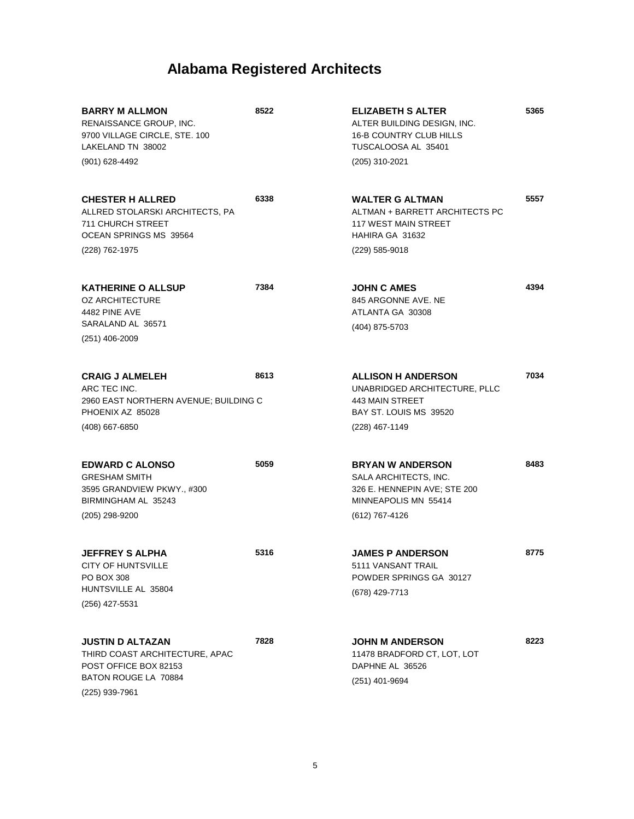| <b>BARRY M ALLMON</b><br>RENAISSANCE GROUP, INC.<br>9700 VILLAGE CIRCLE, STE. 100<br>LAKELAND TN 38002                       | 8522 | <b>ELIZABETH S ALTER</b><br>ALTER BUILDING DESIGN, INC.<br><b>16-B COUNTRY CLUB HILLS</b><br>TUSCALOOSA AL 35401           | 5365 |
|------------------------------------------------------------------------------------------------------------------------------|------|----------------------------------------------------------------------------------------------------------------------------|------|
| (901) 628-4492                                                                                                               |      | (205) 310-2021                                                                                                             |      |
| <b>CHESTER H ALLRED</b><br>ALLRED STOLARSKI ARCHITECTS, PA<br>711 CHURCH STREET<br>OCEAN SPRINGS MS 39564                    | 6338 | <b>WALTER G ALTMAN</b><br>ALTMAN + BARRETT ARCHITECTS PC<br><b>117 WEST MAIN STREET</b><br>HAHIRA GA 31632                 | 5557 |
| (228) 762-1975                                                                                                               |      | (229) 585-9018                                                                                                             |      |
| <b>KATHERINE O ALLSUP</b><br><b>OZ ARCHITECTURE</b><br>4482 PINE AVE<br>SARALAND AL 36571                                    | 7384 | <b>JOHN C AMES</b><br>845 ARGONNE AVE, NE<br>ATLANTA GA 30308                                                              | 4394 |
| $(251)$ 406-2009                                                                                                             |      | (404) 875-5703                                                                                                             |      |
| <b>CRAIG J ALMELEH</b><br>ARC TEC INC.<br>2960 EAST NORTHERN AVENUE; BUILDING C<br>PHOENIX AZ 85028                          | 8613 | <b>ALLISON H ANDERSON</b><br>UNABRIDGED ARCHITECTURE, PLLC<br>443 MAIN STREET<br>BAY ST. LOUIS MS 39520                    | 7034 |
| (408) 667-6850                                                                                                               |      | (228) 467-1149                                                                                                             |      |
| <b>EDWARD C ALONSO</b><br><b>GRESHAM SMITH</b><br>3595 GRANDVIEW PKWY., #300<br>BIRMINGHAM AL 35243<br>(205) 298-9200        | 5059 | <b>BRYAN W ANDERSON</b><br>SALA ARCHITECTS, INC.<br>326 E. HENNEPIN AVE; STE 200<br>MINNEAPOLIS MN 55414<br>(612) 767-4126 | 8483 |
| <b>JEFFREY S ALPHA</b><br>CITY OF HUNTSVILLE<br>PO BOX 308<br>HUNTSVILLE AL 35804<br>(256) 427-5531                          | 5316 | <b>JAMES P ANDERSON</b><br>5111 VANSANT TRAIL<br>POWDER SPRINGS GA 30127<br>(678) 429-7713                                 | 8775 |
| <b>JUSTIN D ALTAZAN</b><br>THIRD COAST ARCHITECTURE, APAC<br>POST OFFICE BOX 82153<br>BATON ROUGE LA 70884<br>(225) 939-7961 | 7828 | <b>JOHN M ANDERSON</b><br>11478 BRADFORD CT, LOT, LOT<br>DAPHNE AL 36526<br>(251) 401-9694                                 | 8223 |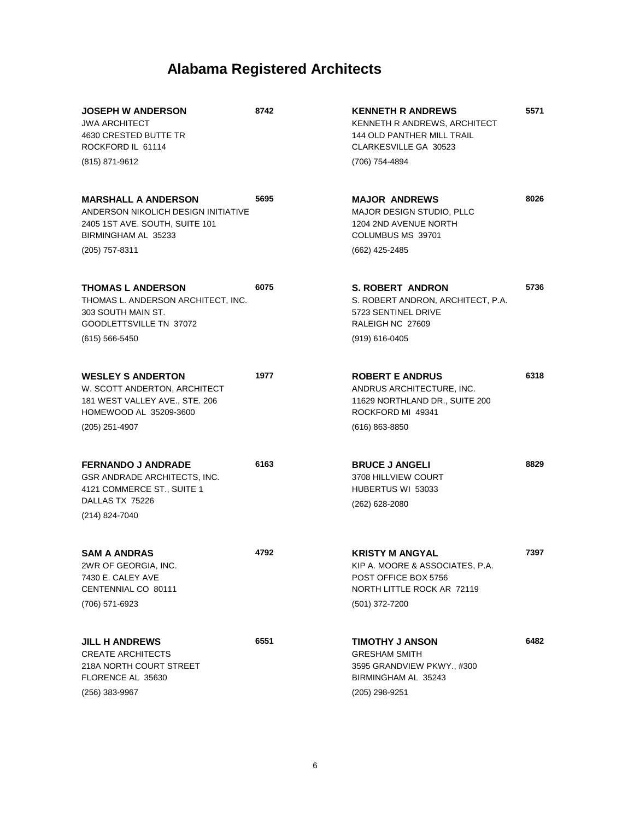| <b>JOSEPH W ANDERSON</b><br><b>JWA ARCHITECT</b><br>4630 CRESTED BUTTE TR<br>ROCKFORD IL 61114<br>(815) 871-9612                             | 8742 | <b>KENNETH R ANDREWS</b><br>KENNETH R ANDREWS, ARCHITECT<br>144 OLD PANTHER MILL TRAIL<br>CLARKESVILLE GA 30523<br>(706) 754-4894 | 5571 |
|----------------------------------------------------------------------------------------------------------------------------------------------|------|-----------------------------------------------------------------------------------------------------------------------------------|------|
| <b>MARSHALL A ANDERSON</b><br>ANDERSON NIKOLICH DESIGN INITIATIVE<br>2405 1ST AVE, SOUTH, SUITE 101<br>BIRMINGHAM AL 35233<br>(205) 757-8311 | 5695 | <b>MAJOR ANDREWS</b><br>MAJOR DESIGN STUDIO, PLLC<br>1204 2ND AVENUE NORTH<br>COLUMBUS MS 39701<br>(662) 425-2485                 | 8026 |
| <b>THOMAS L ANDERSON</b><br>THOMAS L. ANDERSON ARCHITECT, INC.<br>303 SOUTH MAIN ST.<br>GOODLETTSVILLE TN 37072<br>$(615) 566 - 5450$        | 6075 | <b>S. ROBERT ANDRON</b><br>S. ROBERT ANDRON, ARCHITECT, P.A.<br>5723 SENTINEL DRIVE<br>RALEIGH NC 27609<br>(919) 616-0405         | 5736 |
| <b>WESLEY S ANDERTON</b><br>W. SCOTT ANDERTON, ARCHITECT<br>181 WEST VALLEY AVE., STE. 206<br>HOMEWOOD AL 35209-3600<br>(205) 251-4907       | 1977 | <b>ROBERT E ANDRUS</b><br>ANDRUS ARCHITECTURE, INC.<br>11629 NORTHLAND DR., SUITE 200<br>ROCKFORD MI 49341<br>$(616) 863 - 8850$  | 6318 |
| <b>FERNANDO J ANDRADE</b><br>GSR ANDRADE ARCHITECTS, INC.<br>4121 COMMERCE ST., SUITE 1<br>DALLAS TX 75226<br>(214) 824-7040                 | 6163 | <b>BRUCE J ANGELI</b><br>3708 HILLVIEW COURT<br>HUBERTUS WI 53033<br>(262) 628-2080                                               | 8829 |
| <b>SAM A ANDRAS</b><br>2WR OF GEORGIA, INC.<br>7430 E. CALEY AVE<br>CENTENNIAL CO 80111<br>(706) 571-6923                                    | 4792 | <b>KRISTY M ANGYAL</b><br>KIP A. MOORE & ASSOCIATES, P.A.<br>POST OFFICE BOX 5756<br>NORTH LITTLE ROCK AR 72119<br>(501) 372-7200 | 7397 |
| <b>JILL H ANDREWS</b><br><b>CREATE ARCHITECTS</b><br>218A NORTH COURT STREET<br>FLORENCE AL 35630<br>(256) 383-9967                          | 6551 | <b>TIMOTHY J ANSON</b><br><b>GRESHAM SMITH</b><br>3595 GRANDVIEW PKWY., #300<br>BIRMINGHAM AL 35243<br>(205) 298-9251             | 6482 |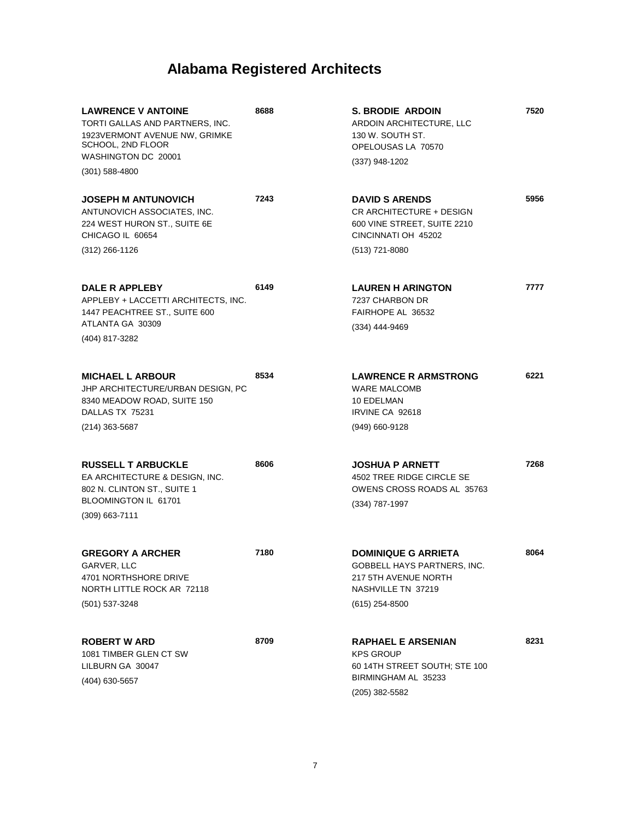| <b>LAWRENCE V ANTOINE</b><br>TORTI GALLAS AND PARTNERS, INC.<br>1923VERMONT AVENUE NW, GRIMKE<br>SCHOOL, 2ND FLOOR<br>WASHINGTON DC 20001<br>$(301)$ 588-4800 | 8688 | S. BRODIE ARDOIN<br>ARDOIN ARCHITECTURE, LLC<br>130 W. SOUTH ST.<br>OPELOUSAS LA 70570<br>$(337)$ 948-1202                  | 7520 |
|---------------------------------------------------------------------------------------------------------------------------------------------------------------|------|-----------------------------------------------------------------------------------------------------------------------------|------|
| <b>JOSEPH M ANTUNOVICH</b><br>ANTUNOVICH ASSOCIATES, INC.<br>224 WEST HURON ST., SUITE 6E<br>CHICAGO IL 60654<br>$(312)$ 266-1126                             | 7243 | <b>DAVID S ARENDS</b><br>CR ARCHITECTURE + DESIGN<br>600 VINE STREET, SUITE 2210<br>CINCINNATI OH 45202<br>(513) 721-8080   | 5956 |
| DALE R APPLEBY<br>APPLEBY + LACCETTI ARCHITECTS, INC.<br>1447 PEACHTREE ST., SUITE 600<br>ATLANTA GA 30309<br>(404) 817-3282                                  | 6149 | <b>LAUREN H ARINGTON</b><br>7237 CHARBON DR<br>FAIRHOPE AL 36532<br>(334) 444-9469                                          | 7777 |
| <b>MICHAEL L ARBOUR</b><br>JHP ARCHITECTURE/URBAN DESIGN, PC<br>8340 MEADOW ROAD, SUITE 150<br>DALLAS TX 75231<br>(214) 363-5687                              | 8534 | <b>LAWRENCE R ARMSTRONG</b><br><b>WARE MALCOMB</b><br>10 EDELMAN<br>IRVINE CA 92618<br>(949) 660-9128                       | 6221 |
| <b>RUSSELL T ARBUCKLE</b><br>EA ARCHITECTURE & DESIGN, INC.<br>802 N. CLINTON ST., SUITE 1<br>BLOOMINGTON IL 61701<br>(309) 663-7111                          | 8606 | <b>JOSHUA P ARNETT</b><br>4502 TREE RIDGE CIRCLE SE<br>OWENS CROSS ROADS AL 35763<br>(334) 787-1997                         | 7268 |
| <b>GREGORY A ARCHER</b><br>GARVER, LLC<br>4701 NORTHSHORE DRIVE<br>NORTH LITTLE ROCK AR 72118<br>(501) 537-3248                                               | 7180 | <b>DOMINIQUE G ARRIETA</b><br>GOBBELL HAYS PARTNERS, INC.<br>217 5TH AVENUE NORTH<br>NASHVILLE TN 37219<br>$(615)$ 254-8500 | 8064 |
| <b>ROBERT W ARD</b><br>1081 TIMBER GLEN CT SW<br>LILBURN GA 30047<br>(404) 630-5657                                                                           | 8709 | <b>RAPHAEL E ARSENIAN</b><br><b>KPS GROUP</b><br>60 14TH STREET SOUTH; STE 100<br>BIRMINGHAM AL 35233<br>$(205)$ 382-5582   | 8231 |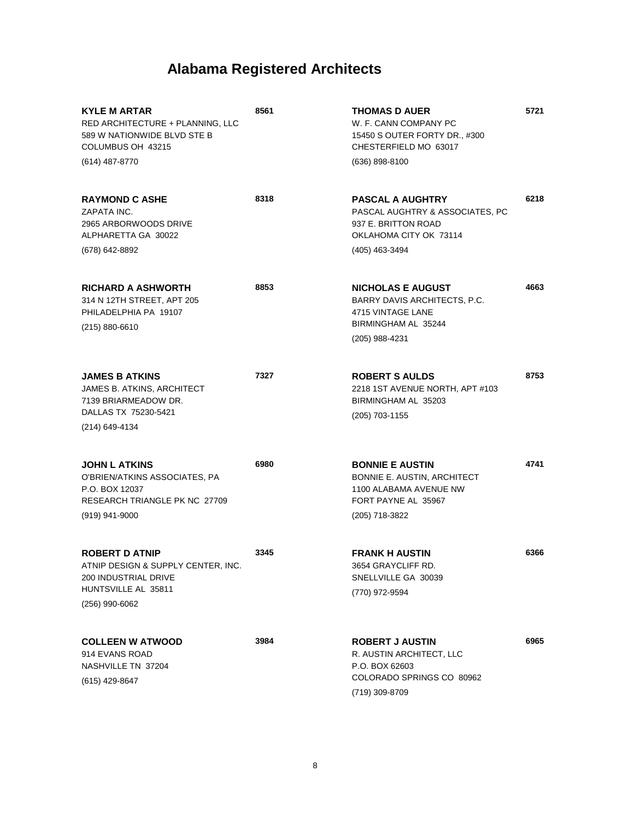| KYLE M ARTAR<br>RED ARCHITECTURE + PLANNING, LLC<br>589 W NATIONWIDE BLVD STE B<br>COLUMBUS OH 43215<br>(614) 487-8770       | 8561 | <b>THOMAS D AUER</b><br>W. F. CANN COMPANY PC<br>15450 S OUTER FORTY DR., #300<br>CHESTERFIELD MO 63017<br>(636) 898-8100     | 5721 |
|------------------------------------------------------------------------------------------------------------------------------|------|-------------------------------------------------------------------------------------------------------------------------------|------|
| <b>RAYMOND C ASHE</b><br>ZAPATA INC.<br>2965 ARBORWOODS DRIVE<br>ALPHARETTA GA 30022<br>(678) 642-8892                       | 8318 | <b>PASCAL A AUGHTRY</b><br>PASCAL AUGHTRY & ASSOCIATES, PC<br>937 E. BRITTON ROAD<br>OKLAHOMA CITY OK 73114<br>(405) 463-3494 | 6218 |
| <b>RICHARD A ASHWORTH</b><br>314 N 12TH STREET, APT 205<br>PHILADELPHIA PA 19107<br>$(215) 880 - 6610$                       | 8853 | <b>NICHOLAS E AUGUST</b><br>BARRY DAVIS ARCHITECTS, P.C.<br>4715 VINTAGE LANE<br>BIRMINGHAM AL 35244<br>(205) 988-4231        | 4663 |
| <b>JAMES B ATKINS</b><br>JAMES B. ATKINS, ARCHITECT<br>7139 BRIARMEADOW DR.<br>DALLAS TX 75230-5421<br>(214) 649-4134        | 7327 | <b>ROBERT S AULDS</b><br>2218 1ST AVENUE NORTH, APT #103<br>BIRMINGHAM AL 35203<br>(205) 703-1155                             | 8753 |
| <b>JOHN L ATKINS</b><br>O'BRIEN/ATKINS ASSOCIATES, PA<br>P.O. BOX 12037<br>RESEARCH TRIANGLE PK NC 27709<br>(919) 941-9000   | 6980 | <b>BONNIE E AUSTIN</b><br>BONNIE E. AUSTIN, ARCHITECT<br>1100 ALABAMA AVENUE NW<br>FORT PAYNE AL 35967<br>(205) 718-3822      | 4741 |
| <b>ROBERT D ATNIP</b><br>ATNIP DESIGN & SUPPLY CENTER, INC.<br>200 INDUSTRIAL DRIVE<br>HUNTSVILLE AL 35811<br>(256) 990-6062 | 3345 | <b>FRANK H AUSTIN</b><br>3654 GRAYCLIFF RD<br>SNELLVILLE GA 30039<br>(770) 972-9594                                           | 6366 |
| <b>COLLEEN W ATWOOD</b><br>914 EVANS ROAD<br>NASHVILLE TN 37204<br>(615) 429-8647                                            | 3984 | <b>ROBERT J AUSTIN</b><br>R. AUSTIN ARCHITECT, LLC<br>P.O. BOX 62603<br>COLORADO SPRINGS CO 80962<br>(719) 309-8709           | 6965 |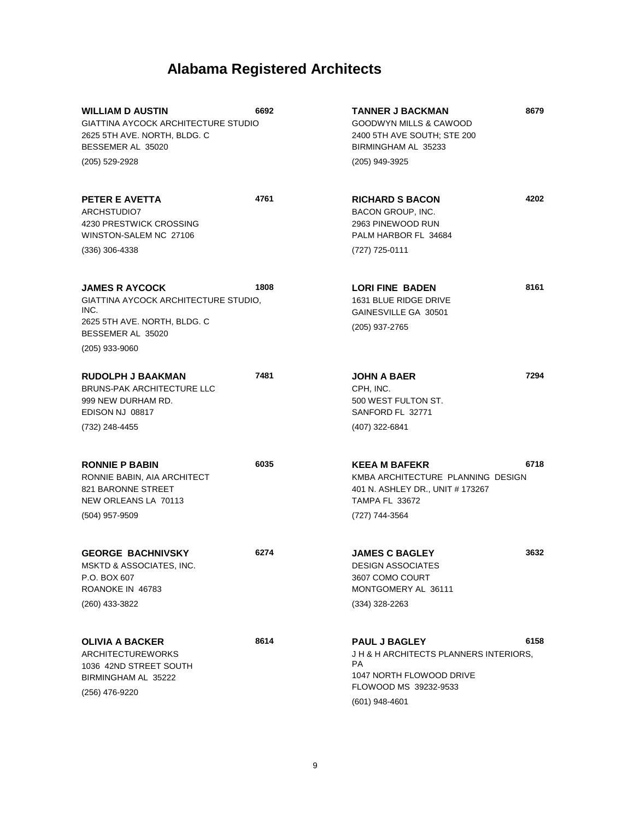| <b>WILLIAM D AUSTIN</b><br>GIATTINA AYCOCK ARCHITECTURE STUDIO<br>2625 5TH AVE. NORTH, BLDG. C<br>BESSEMER AL 35020           | 6692 | <b>TANNER J BACKMAN</b><br>GOODWYN MILLS & CAWOOD<br>2400 5TH AVE SOUTH; STE 200<br>BIRMINGHAM AL 35233                                      | 8679 |
|-------------------------------------------------------------------------------------------------------------------------------|------|----------------------------------------------------------------------------------------------------------------------------------------------|------|
| (205) 529-2928                                                                                                                |      | (205) 949-3925                                                                                                                               |      |
| PETER E AVETTA<br>ARCHSTUDIO7<br>4230 PRESTWICK CROSSING<br>WINSTON-SALEM NC 27106                                            | 4761 | <b>RICHARD S BACON</b><br><b>BACON GROUP, INC.</b><br>2963 PINEWOOD RUN<br>PALM HARBOR FL 34684                                              | 4202 |
| (336) 306-4338                                                                                                                |      | (727) 725-0111                                                                                                                               |      |
| <b>JAMES R AYCOCK</b><br>GIATTINA AYCOCK ARCHITECTURE STUDIO,<br>INC.<br>2625 5TH AVE. NORTH, BLDG. C<br>BESSEMER AL 35020    | 1808 | <b>LORI FINE BADEN</b><br>1631 BLUE RIDGE DRIVE<br>GAINESVILLE GA 30501<br>(205) 937-2765                                                    | 8161 |
| (205) 933-9060                                                                                                                |      |                                                                                                                                              |      |
| <b>RUDOLPH J BAAKMAN</b><br><b>BRUNS-PAK ARCHITECTURE LLC</b><br>999 NEW DURHAM RD.<br>EDISON NJ 08817<br>(732) 248-4455      | 7481 | <b>JOHN A BAER</b><br>CPH, INC.<br>500 WEST FULTON ST.<br>SANFORD FL 32771<br>(407) 322-6841                                                 | 7294 |
| <b>RONNIE P BABIN</b><br>RONNIE BABIN, AIA ARCHITECT<br><b>821 BARONNE STREET</b><br>NEW ORLEANS LA 70113<br>$(504)$ 957-9509 | 6035 | <b>KEEA M BAFEKR</b><br>KMBA ARCHITECTURE PLANNING DESIGN<br>401 N. ASHLEY DR., UNIT # 173267<br><b>TAMPA FL 33672</b><br>(727) 744-3564     | 6718 |
| <b>GEORGE BACHNIVSKY</b><br>MSKTD & ASSOCIATES, INC.<br>P.O. BOX 607<br>ROANOKE IN 46783<br>(260) 433-3822                    | 6274 | <b>JAMES C BAGLEY</b><br><b>DESIGN ASSOCIATES</b><br>3607 COMO COURT<br>MONTGOMERY AL 36111<br>(334) 328-2263                                | 3632 |
| <b>OLIVIA A BACKER</b><br><b>ARCHITECTUREWORKS</b><br>1036 42ND STREET SOUTH<br>BIRMINGHAM AL 35222<br>(256) 476-9220         | 8614 | <b>PAUL J BAGLEY</b><br>J H & H ARCHITECTS PLANNERS INTERIORS.<br>PA.<br>1047 NORTH FLOWOOD DRIVE<br>FLOWOOD MS 39232-9533<br>(601) 948-4601 | 6158 |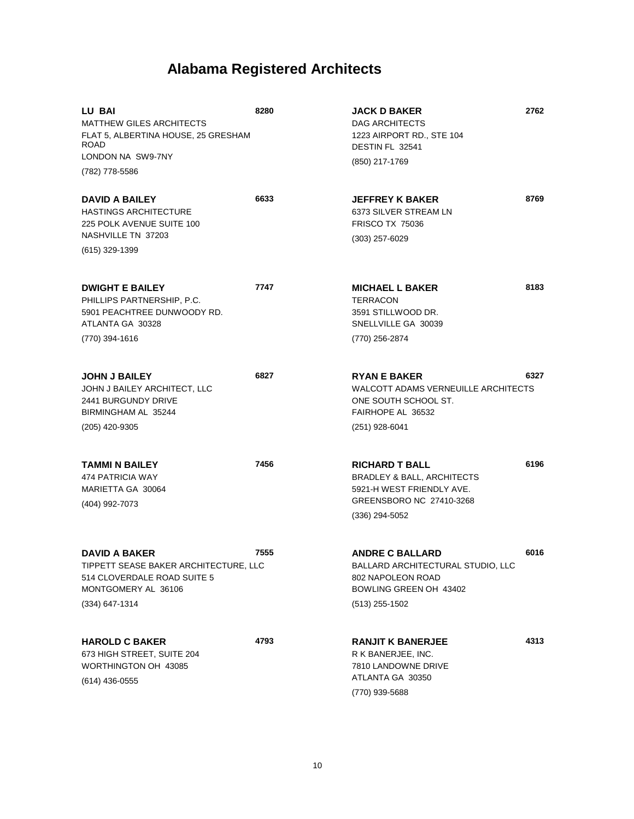| LU BAI<br><b>MATTHEW GILES ARCHITECTS</b><br>FLAT 5, ALBERTINA HOUSE, 25 GRESHAM<br><b>ROAD</b><br>LONDON NA SW9-7NY<br>(782) 778-5586  | 8280 | <b>JACK D BAKER</b><br>DAG ARCHITECTS<br>1223 AIRPORT RD., STE 104<br>DESTIN FL 32541<br>(850) 217-1769                                     | 2762 |
|-----------------------------------------------------------------------------------------------------------------------------------------|------|---------------------------------------------------------------------------------------------------------------------------------------------|------|
| <b>DAVID A BAILEY</b><br><b>HASTINGS ARCHITECTURE</b><br>225 POLK AVENUE SUITE 100<br>NASHVILLE TN 37203<br>(615) 329-1399              | 6633 | <b>JEFFREY K BAKER</b><br>6373 SILVER STREAM LN<br><b>FRISCO TX 75036</b><br>(303) 257-6029                                                 | 8769 |
| <b>DWIGHT E BAILEY</b><br>PHILLIPS PARTNERSHIP, P.C.<br>5901 PEACHTREE DUNWOODY RD.<br>ATLANTA GA 30328<br>(770) 394-1616               | 7747 | <b>MICHAEL L BAKER</b><br><b>TERRACON</b><br>3591 STILLWOOD DR.<br>SNELLVILLE GA 30039<br>(770) 256-2874                                    | 8183 |
| <b>JOHN J BAILEY</b><br>JOHN J BAILEY ARCHITECT, LLC<br>2441 BURGUNDY DRIVE<br>BIRMINGHAM AL 35244<br>(205) 420-9305                    | 6827 | <b>RYAN E BAKER</b><br><b>WALCOTT ADAMS VERNEUILLE ARCHITECTS</b><br>ONE SOUTH SCHOOL ST.<br>FAIRHOPE AL 36532<br>(251) 928-6041            | 6327 |
| TAMMI N BAILEY<br>474 PATRICIA WAY<br>MARIETTA GA 30064<br>(404) 992-7073                                                               | 7456 | <b>RICHARD T BALL</b><br><b>BRADLEY &amp; BALL, ARCHITECTS</b><br>5921-H WEST FRIENDLY AVE.<br>GREENSBORO NC 27410-3268<br>$(336)$ 294-5052 | 6196 |
| <b>DAVID A BAKER</b><br>TIPPETT SEASE BAKER ARCHITECTURE, LLC<br>514 CLOVERDALE ROAD SUITE 5<br>MONTGOMERY AL 36106<br>$(334)$ 647-1314 | 7555 | <b>ANDRE C BALLARD</b><br>BALLARD ARCHITECTURAL STUDIO, LLC<br>802 NAPOLEON ROAD<br>BOWLING GREEN OH 43402<br>$(513)$ 255-1502              | 6016 |
| <b>HAROLD C BAKER</b><br>673 HIGH STREET, SUITE 204<br>WORTHINGTON OH 43085<br>$(614)$ 436-0555                                         | 4793 | <b>RANJIT K BANERJEE</b><br>R K BANERJEE, INC.<br>7810 LANDOWNE DRIVE<br>ATLANTA GA 30350<br>(770) 939-5688                                 | 4313 |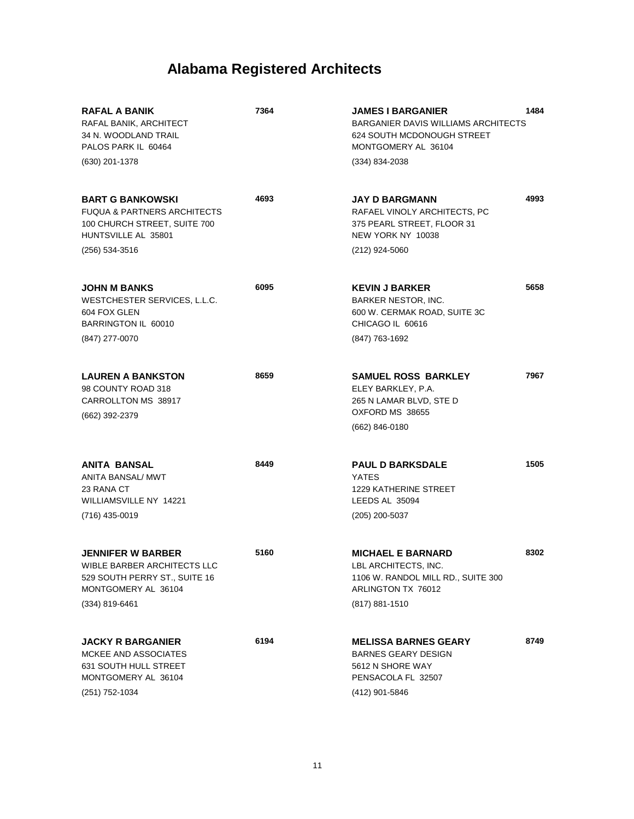| <b>RAFAL A BANIK</b><br>RAFAL BANIK, ARCHITECT<br>34 N. WOODLAND TRAIL<br>PALOS PARK IL 60464<br>(630) 201-1378                            | 7364 | <b>JAMES I BARGANIER</b><br><b>BARGANIER DAVIS WILLIAMS ARCHITECTS</b><br>624 SOUTH MCDONOUGH STREET<br>MONTGOMERY AL 36104<br>(334) 834-2038 | 1484 |
|--------------------------------------------------------------------------------------------------------------------------------------------|------|-----------------------------------------------------------------------------------------------------------------------------------------------|------|
| <b>BART G BANKOWSKI</b><br><b>FUQUA &amp; PARTNERS ARCHITECTS</b><br>100 CHURCH STREET, SUITE 700<br>HUNTSVILLE AL 35801<br>(256) 534-3516 | 4693 | <b>JAY D BARGMANN</b><br>RAFAEL VINOLY ARCHITECTS, PC<br>375 PEARL STREET, FLOOR 31<br>NEW YORK NY 10038<br>(212) 924-5060                    | 4993 |
| <b>JOHN M BANKS</b><br>WESTCHESTER SERVICES, L.L.C.<br>604 FOX GLEN<br>BARRINGTON IL 60010<br>(847) 277-0070                               | 6095 | <b>KEVIN J BARKER</b><br><b>BARKER NESTOR, INC.</b><br>600 W. CERMAK ROAD, SUITE 3C<br>CHICAGO IL 60616<br>(847) 763-1692                     | 5658 |
| <b>LAUREN A BANKSTON</b><br>98 COUNTY ROAD 318<br>CARROLLTON MS 38917<br>(662) 392-2379                                                    | 8659 | <b>SAMUEL ROSS BARKLEY</b><br>ELEY BARKLEY, P.A.<br>265 N LAMAR BLVD, STE D<br>OXFORD MS 38655<br>(662) 846-0180                              | 7967 |
| <b>ANITA BANSAL</b><br>ANITA BANSAL/ MWT<br>23 RANA CT<br>WILLIAMSVILLE NY 14221<br>(716) 435-0019                                         | 8449 | <b>PAUL D BARKSDALE</b><br>YATES<br><b>1229 KATHERINE STREET</b><br>LEEDS AL 35094<br>(205) 200-5037                                          | 1505 |
| <b>JENNIFER W BARBER</b><br>WIBLE BARBER ARCHITECTS LLC<br>529 SOUTH PERRY ST., SUITE 16<br>MONTGOMERY AL 36104<br>(334) 819-6461          | 5160 | <b>MICHAEL E BARNARD</b><br>LBL ARCHITECTS, INC.<br>1106 W. RANDOL MILL RD., SUITE 300<br>ARLINGTON TX 76012<br>(817) 881-1510                | 8302 |
| <b>JACKY R BARGANIER</b><br><b>MCKEE AND ASSOCIATES</b><br><b>631 SOUTH HULL STREET</b><br>MONTGOMERY AL 36104<br>(251) 752-1034           | 6194 | <b>MELISSA BARNES GEARY</b><br><b>BARNES GEARY DESIGN</b><br>5612 N SHORE WAY<br>PENSACOLA FL 32507<br>(412) 901-5846                         | 8749 |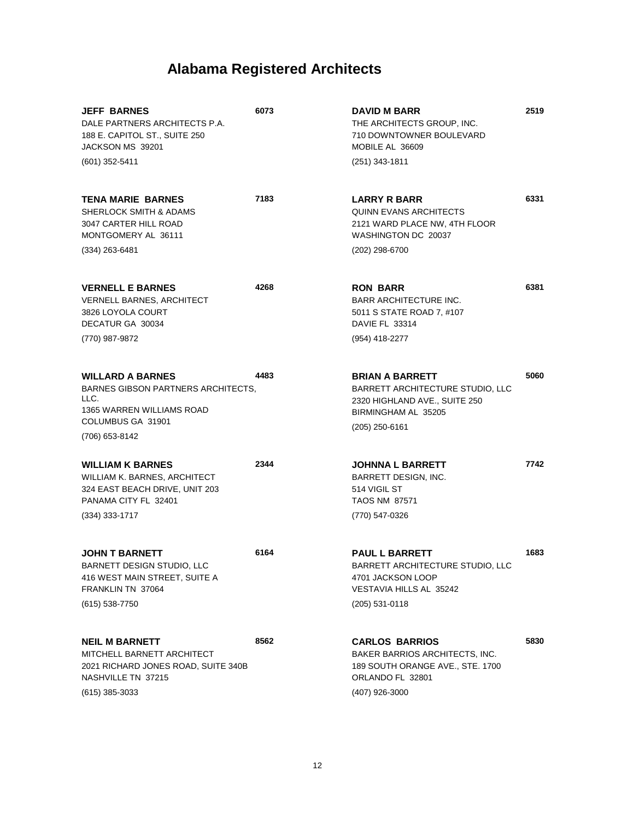| <b>JEFF BARNES</b><br>DALE PARTNERS ARCHITECTS P.A.<br>188 E. CAPITOL ST., SUITE 250<br>JACKSON MS 39201<br>$(601)$ 352-5411          | 6073 | <b>DAVID M BARR</b><br>THE ARCHITECTS GROUP, INC.<br>710 DOWNTOWNER BOULEVARD<br>MOBILE AL 36609<br>(251) 343-1811                | 2519 |
|---------------------------------------------------------------------------------------------------------------------------------------|------|-----------------------------------------------------------------------------------------------------------------------------------|------|
| <b>TENA MARIE BARNES</b><br>SHERLOCK SMITH & ADAMS<br>3047 CARTER HILL ROAD<br>MONTGOMERY AL 36111                                    | 7183 | <b>LARRY R BARR</b><br><b>QUINN EVANS ARCHITECTS</b><br>2121 WARD PLACE NW, 4TH FLOOR<br>WASHINGTON DC 20037                      | 6331 |
| $(334)$ 263-6481                                                                                                                      |      | (202) 298-6700                                                                                                                    |      |
| <b>VERNELL E BARNES</b><br><b>VERNELL BARNES, ARCHITECT</b><br>3826 LOYOLA COURT<br>DECATUR GA 30034                                  | 4268 | <b>RON BARR</b><br>BARR ARCHITECTURE INC.<br>5011 S STATE ROAD 7, #107<br>DAVIE FL 33314                                          | 6381 |
| (770) 987-9872                                                                                                                        |      | (954) 418-2277                                                                                                                    |      |
| <b>WILLARD A BARNES</b><br>BARNES GIBSON PARTNERS ARCHITECTS,<br>LLC.<br>1365 WARREN WILLIAMS ROAD                                    | 4483 | <b>BRIAN A BARRETT</b><br><b>BARRETT ARCHITECTURE STUDIO, LLC</b><br>2320 HIGHLAND AVE., SUITE 250<br>BIRMINGHAM AL 35205         | 5060 |
| COLUMBUS GA 31901<br>(706) 653-8142                                                                                                   |      | $(205)$ 250-6161                                                                                                                  |      |
| <b>WILLIAM K BARNES</b><br>WILLIAM K. BARNES, ARCHITECT<br>324 EAST BEACH DRIVE, UNIT 203<br>PANAMA CITY FL 32401<br>$(334)$ 333-1717 | 2344 | <b>JOHNNA L BARRETT</b><br>BARRETT DESIGN, INC.<br>514 VIGIL ST<br><b>TAOS NM 87571</b><br>(770) 547-0326                         | 7742 |
|                                                                                                                                       |      |                                                                                                                                   |      |
| <b>JOHN T BARNETT</b><br>BARNETT DESIGN STUDIO, LLC<br>416 WEST MAIN STREET, SUITE A<br>FRANKLIN TN 37064                             | 6164 | <b>PAUL L BARRETT</b><br>BARRETT ARCHITECTURE STUDIO, LLC<br>4701 JACKSON LOOP<br><b>VESTAVIA HILLS AL 35242</b>                  | 1683 |
| (615) 538-7750                                                                                                                        |      | (205) 531-0118                                                                                                                    |      |
| <b>NEIL M BARNETT</b><br>MITCHELL BARNETT ARCHITECT<br>2021 RICHARD JONES ROAD, SUITE 340B<br>NASHVILLE TN 37215<br>$(615)$ 385-3033  | 8562 | <b>CARLOS BARRIOS</b><br>BAKER BARRIOS ARCHITECTS, INC.<br>189 SOUTH ORANGE AVE., STE. 1700<br>ORLANDO FL 32801<br>(407) 926-3000 | 5830 |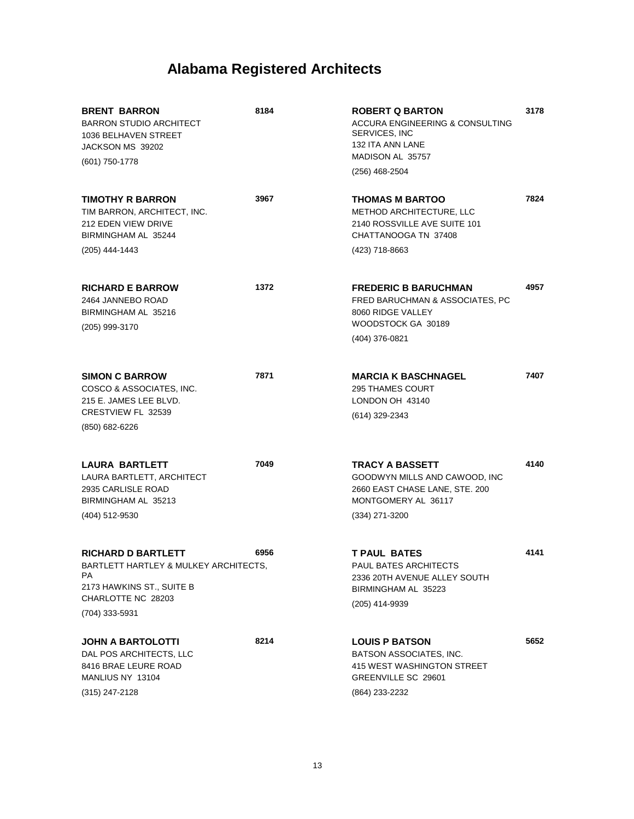| <b>BRENT BARRON</b><br><b>BARRON STUDIO ARCHITECT</b><br>1036 BELHAVEN STREET<br>JACKSON MS 39202<br>(601) 750-1778                           | 8184 | <b>ROBERT Q BARTON</b><br>ACCURA ENGINEERING & CONSULTING<br>SERVICES, INC<br>132 ITA ANN LANE<br>MADISON AL 35757<br>(256) 468-2504 | 3178 |
|-----------------------------------------------------------------------------------------------------------------------------------------------|------|--------------------------------------------------------------------------------------------------------------------------------------|------|
| <b>TIMOTHY R BARRON</b><br>TIM BARRON, ARCHITECT, INC.<br><b>212 EDEN VIEW DRIVE</b><br>BIRMINGHAM AL 35244<br>(205) 444-1443                 | 3967 | <b>THOMAS M BARTOO</b><br><b>METHOD ARCHITECTURE, LLC</b><br>2140 ROSSVILLE AVE SUITE 101<br>CHATTANOOGA TN 37408<br>(423) 718-8663  | 7824 |
| <b>RICHARD E BARROW</b><br>2464 JANNEBO ROAD<br>BIRMINGHAM AL 35216<br>(205) 999-3170                                                         | 1372 | <b>FREDERIC B BARUCHMAN</b><br>FRED BARUCHMAN & ASSOCIATES, PC<br>8060 RIDGE VALLEY<br>WOODSTOCK GA 30189<br>(404) 376-0821          | 4957 |
| <b>SIMON C BARROW</b><br>COSCO & ASSOCIATES, INC.<br>215 E. JAMES LEE BLVD.<br>CRESTVIEW FL 32539<br>(850) 682-6226                           | 7871 | <b>MARCIA K BASCHNAGEL</b><br><b>295 THAMES COURT</b><br>LONDON OH 43140<br>(614) 329-2343                                           | 7407 |
| <b>LAURA BARTLETT</b><br>LAURA BARTLETT, ARCHITECT<br>2935 CARLISLE ROAD<br>BIRMINGHAM AL 35213<br>(404) 512-9530                             | 7049 | <b>TRACY A BASSETT</b><br>GOODWYN MILLS AND CAWOOD, INC<br>2660 EAST CHASE LANE, STE. 200<br>MONTGOMERY AL 36117<br>(334) 271-3200   | 4140 |
| <b>RICHARD D BARTLETT</b><br>BARTLETT HARTLEY & MULKEY ARCHITECTS,<br>РA<br>2173 HAWKINS ST., SUITE B<br>CHARLOTTE NC 28203<br>(704) 333-5931 | 6956 | <b>T PAUL BATES</b><br><b>PAUL BATES ARCHITECTS</b><br>2336 20TH AVENUE ALLEY SOUTH<br>BIRMINGHAM AL 35223<br>(205) 414-9939         | 4141 |
| <b>JOHN A BARTOLOTTI</b><br>DAL POS ARCHITECTS, LLC<br>8416 BRAE LEURE ROAD<br>MANLIUS NY 13104<br>(315) 247-2128                             | 8214 | <b>LOUIS P BATSON</b><br>BATSON ASSOCIATES, INC.<br>415 WEST WASHINGTON STREET<br>GREENVILLE SC 29601<br>(864) 233-2232              | 5652 |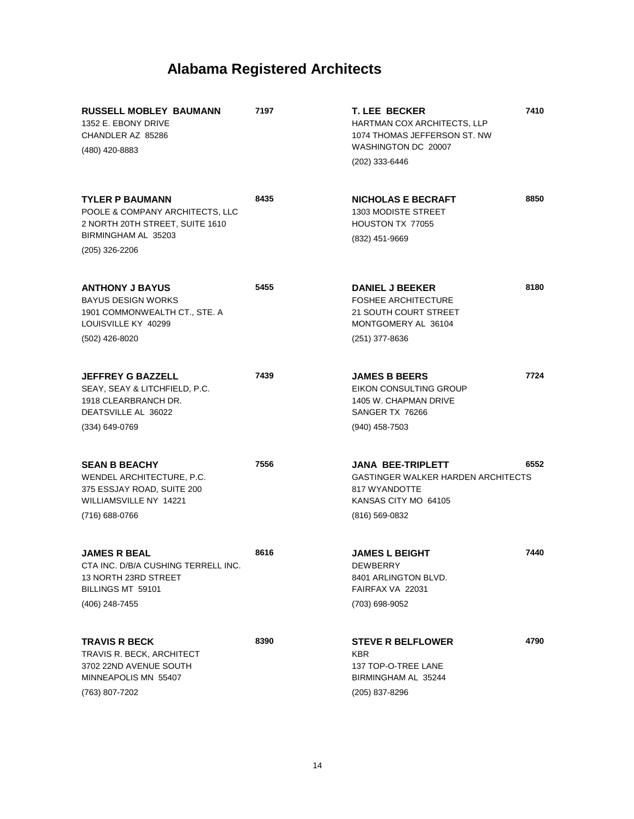| <b>RUSSELL MOBLEY BAUMANN</b><br>1352 E. EBONY DRIVE<br>CHANDLER AZ 85286<br>(480) 420-8883                         | 7197 | <b>T. LEE BECKER</b><br>HARTMAN COX ARCHITECTS, LLP<br>1074 THOMAS JEFFERSON ST. NW<br>WASHINGTON DC 20007<br>(202) 333-6446 | 7410 |
|---------------------------------------------------------------------------------------------------------------------|------|------------------------------------------------------------------------------------------------------------------------------|------|
|                                                                                                                     |      |                                                                                                                              |      |
| <b>TYLER P BAUMANN</b><br>POOLE & COMPANY ARCHITECTS, LLC<br>2 NORTH 20TH STREET, SUITE 1610<br>BIRMINGHAM AL 35203 | 8435 | <b>NICHOLAS E BECRAFT</b><br><b>1303 MODISTE STREET</b><br>HOUSTON TX 77055<br>(832) 451-9669                                | 8850 |
| (205) 326-2206                                                                                                      |      |                                                                                                                              |      |
| <b>ANTHONY J BAYUS</b><br><b>BAYUS DESIGN WORKS</b><br>1901 COMMONWEALTH CT., STE. A<br>LOUISVILLE KY 40299         | 5455 | <b>DANIEL J BEEKER</b><br><b>FOSHEE ARCHITECTURE</b><br>21 SOUTH COURT STREET<br>MONTGOMERY AL 36104                         | 8180 |
| (502) 426-8020                                                                                                      |      | $(251)$ 377-8636                                                                                                             |      |
|                                                                                                                     |      |                                                                                                                              |      |
| <b>JEFFREY G BAZZELL</b><br>SEAY, SEAY & LITCHFIELD, P.C.<br>1918 CLEARBRANCH DR.<br>DEATSVILLE AL 36022            | 7439 | <b>JAMES B BEERS</b><br>EIKON CONSULTING GROUP<br>1405 W. CHAPMAN DRIVE<br>SANGER TX 76266                                   | 7724 |
| $(334)$ 649-0769                                                                                                    |      | $(940)$ 458-7503                                                                                                             |      |
|                                                                                                                     |      |                                                                                                                              |      |
| <b>SEAN B BEACHY</b><br>WENDEL ARCHITECTURE, P.C.<br>375 ESSJAY ROAD, SUITE 200<br>WILLIAMSVILLE NY 14221           | 7556 | <b>JANA BEE-TRIPLETT</b><br><b>GASTINGER WALKER HARDEN ARCHITECTS</b><br>817 WYANDOTTE<br>KANSAS CITY MO 64105               | 6552 |
| (716) 688-0766                                                                                                      |      | (816) 569-0832                                                                                                               |      |
| <b>JAMES R BEAL</b><br>CTA INC. D/B/A CUSHING TERRELL INC.<br>13 NORTH 23RD STREET<br>BILLINGS MT 59101             | 8616 | <b>JAMES L BEIGHT</b><br>DEWBERRY<br>8401 ARLINGTON BLVD.<br>FAIRFAX VA 22031                                                | 7440 |
| (406) 248-7455                                                                                                      |      | (703) 698-9052                                                                                                               |      |
| <b>TRAVIS R BECK</b><br>TRAVIS R. BECK, ARCHITECT<br>3702 22ND AVENUE SOUTH                                         | 8390 | <b>STEVE R BELFLOWER</b><br><b>KBR</b><br>137 TOP-O-TREE LANE                                                                | 4790 |
| MINNEAPOLIS MN 55407                                                                                                |      | BIRMINGHAM AL 35244                                                                                                          |      |
| (763) 807-7202                                                                                                      |      | (205) 837-8296                                                                                                               |      |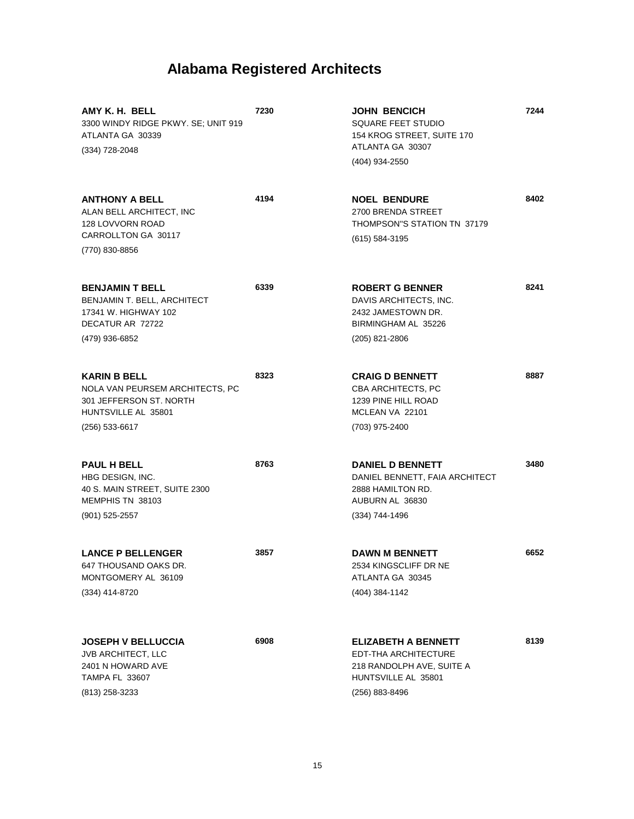| AMY K. H. BELL<br>3300 WINDY RIDGE PKWY. SE; UNIT 919<br>ATLANTA GA 30339<br>$(334)$ 728-2048                                | 7230 | <b>JOHN BENCICH</b><br>SQUARE FEET STUDIO<br>154 KROG STREET, SUITE 170<br>ATLANTA GA 30307<br>(404) 934-2550            | 7244 |
|------------------------------------------------------------------------------------------------------------------------------|------|--------------------------------------------------------------------------------------------------------------------------|------|
| <b>ANTHONY A BELL</b><br>ALAN BELL ARCHITECT, INC<br>128 LOVVORN ROAD<br>CARROLLTON GA 30117<br>(770) 830-8856               | 4194 | <b>NOEL BENDURE</b><br>2700 BRENDA STREET<br>THOMPSON"S STATION TN 37179<br>(615) 584-3195                               | 8402 |
| <b>BENJAMIN T BELL</b><br>BENJAMIN T. BELL, ARCHITECT<br>17341 W. HIGHWAY 102<br>DECATUR AR 72722<br>(479) 936-6852          | 6339 | <b>ROBERT G BENNER</b><br>DAVIS ARCHITECTS, INC.<br>2432 JAMESTOWN DR.<br>BIRMINGHAM AL 35226<br>$(205)$ 821-2806        | 8241 |
| <b>KARIN B BELL</b><br>NOLA VAN PEURSEM ARCHITECTS, PC<br>301 JEFFERSON ST. NORTH<br>HUNTSVILLE AL 35801<br>$(256)$ 533-6617 | 8323 | <b>CRAIG D BENNETT</b><br>CBA ARCHITECTS, PC<br>1239 PINE HILL ROAD<br>MCLEAN VA 22101<br>(703) 975-2400                 | 8887 |
| <b>PAUL H BELL</b><br>HBG DESIGN, INC.<br>40 S. MAIN STREET, SUITE 2300<br>MEMPHIS TN 38103<br>$(901)$ 525-2557              | 8763 | <b>DANIEL D BENNETT</b><br>DANIEL BENNETT, FAIA ARCHITECT<br>2888 HAMILTON RD.<br>AUBURN AL 36830<br>$(334)$ 744-1496    | 3480 |
| <b>LANCE P BELLENGER</b><br>647 THOUSAND OAKS DR<br>MONTGOMERY AL 36109<br>(334) 414-8720                                    | 3857 | <b>DAWN M BENNETT</b><br>2534 KINGSCLIFF DR NE<br>ATLANTA GA 30345<br>(404) 384-1142                                     | 6652 |
| <b>JOSEPH V BELLUCCIA</b><br><b>JVB ARCHITECT, LLC</b><br>2401 N HOWARD AVE<br><b>TAMPA FL 33607</b><br>(813) 258-3233       | 6908 | <b>ELIZABETH A BENNETT</b><br>EDT-THA ARCHITECTURE<br>218 RANDOLPH AVE, SUITE A<br>HUNTSVILLE AL 35801<br>(256) 883-8496 | 8139 |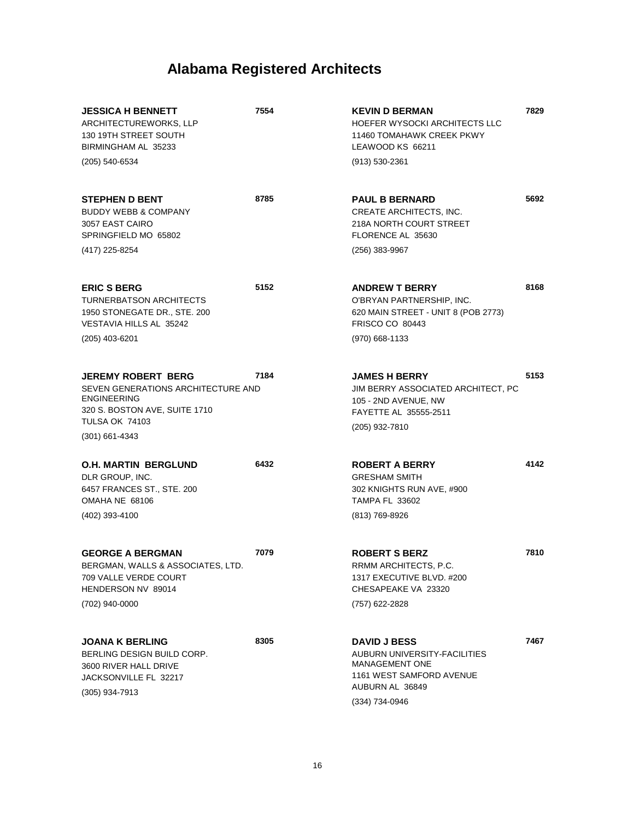| <b>JESSICA H BENNETT</b><br>ARCHITECTUREWORKS, LLP<br>130 19TH STREET SOUTH<br>BIRMINGHAM AL 35233<br>(205) 540-6534                                                | 7554 | <b>KEVIN D BERMAN</b><br>HOEFER WYSOCKI ARCHITECTS LLC<br>11460 TOMAHAWK CREEK PKWY<br>LEAWOOD KS 66211<br>(913) 530-2361                            | 7829 |
|---------------------------------------------------------------------------------------------------------------------------------------------------------------------|------|------------------------------------------------------------------------------------------------------------------------------------------------------|------|
| <b>STEPHEN D BENT</b><br><b>BUDDY WEBB &amp; COMPANY</b><br>3057 EAST CAIRO<br>SPRINGFIELD MO 65802<br>(417) 225-8254                                               | 8785 | <b>PAUL B BERNARD</b><br>CREATE ARCHITECTS, INC.<br>218A NORTH COURT STREET<br>FLORENCE AL 35630<br>(256) 383-9967                                   | 5692 |
| <b>ERIC S BERG</b><br>TURNERBATSON ARCHITECTS<br>1950 STONEGATE DR., STE. 200<br>VESTAVIA HILLS AL 35242<br>$(205)$ 403-6201                                        | 5152 | <b>ANDREW T BERRY</b><br>O'BRYAN PARTNERSHIP, INC.<br>620 MAIN STREET - UNIT 8 (POB 2773)<br><b>FRISCO CO 80443</b><br>(970) 668-1133                | 8168 |
| <b>JEREMY ROBERT BERG</b><br>SEVEN GENERATIONS ARCHITECTURE AND<br><b>ENGINEERING</b><br>320 S. BOSTON AVE, SUITE 1710<br><b>TULSA OK 74103</b><br>$(301)$ 661-4343 | 7184 | <b>JAMES H BERRY</b><br>JIM BERRY ASSOCIATED ARCHITECT, PC<br>105 - 2ND AVENUE, NW<br>FAYETTE AL 35555-2511<br>(205) 932-7810                        | 5153 |
| <b>O.H. MARTIN BERGLUND</b><br>DLR GROUP, INC.<br>6457 FRANCES ST., STE. 200<br>OMAHA NE 68106<br>(402) 393-4100                                                    | 6432 | <b>ROBERT A BERRY</b><br><b>GRESHAM SMITH</b><br>302 KNIGHTS RUN AVE, #900<br><b>TAMPA FL 33602</b><br>(813) 769-8926                                | 4142 |
| <b>GEORGE A BERGMAN</b><br>BERGMAN, WALLS & ASSOCIATES, LTD.<br>709 VALLE VERDE COURT<br>HENDERSON NV 89014<br>(702) 940-0000                                       | 7079 | <b>ROBERT S BERZ</b><br>RRMM ARCHITECTS, P.C.<br>1317 EXECUTIVE BLVD, #200<br>CHESAPEAKE VA 23320<br>(757) 622-2828                                  | 7810 |
| <b>JOANA K BERLING</b><br>BERLING DESIGN BUILD CORP.<br>3600 RIVER HALL DRIVE<br>JACKSONVILLE FL 32217<br>(305) 934-7913                                            | 8305 | <b>DAVID J BESS</b><br>AUBURN UNIVERSITY-FACILITIES<br><b>MANAGEMENT ONE</b><br><b>1161 WEST SAMFORD AVENUE</b><br>AUBURN AL 36849<br>(334) 734-0946 | 7467 |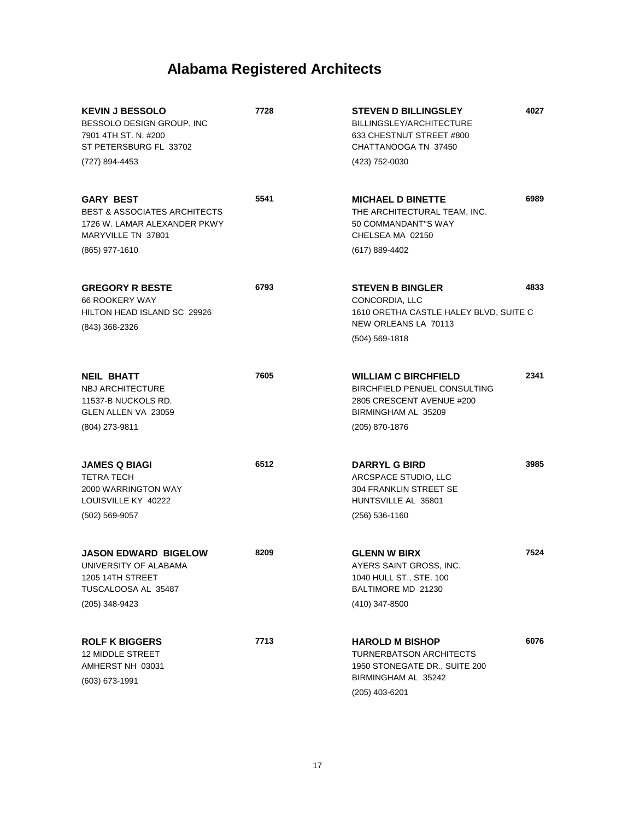| <b>KEVIN J BESSOLO</b><br>BESSOLO DESIGN GROUP, INC<br>7901 4TH ST. N. #200<br>ST PETERSBURG FL 33702<br>(727) 894-4453 | 7728 | <b>STEVEN D BILLINGSLEY</b><br>BILLINGSLEY/ARCHITECTURE<br>633 CHESTNUT STREET #800<br>CHATTANOOGA TN 37450<br>(423) 752-0030 | 4027 |
|-------------------------------------------------------------------------------------------------------------------------|------|-------------------------------------------------------------------------------------------------------------------------------|------|
|                                                                                                                         |      |                                                                                                                               |      |
| <b>GARY BEST</b><br><b>BEST &amp; ASSOCIATES ARCHITECTS</b><br>1726 W. LAMAR ALEXANDER PKWY<br>MARYVILLE TN 37801       | 5541 | <b>MICHAEL D BINETTE</b><br>THE ARCHITECTURAL TEAM, INC.<br>50 COMMANDANT"S WAY<br>CHELSEA MA 02150                           | 6989 |
| (865) 977-1610                                                                                                          |      | (617) 889-4402                                                                                                                |      |
| <b>GREGORY R BESTE</b><br>66 ROOKERY WAY<br>HILTON HEAD ISLAND SC 29926<br>(843) 368-2326                               | 6793 | <b>STEVEN B BINGLER</b><br>CONCORDIA, LLC<br>1610 ORETHA CASTLE HALEY BLVD, SUITE C<br>NEW ORLEANS LA 70113                   | 4833 |
|                                                                                                                         |      | $(504) 569 - 1818$                                                                                                            |      |
| <b>NEIL BHATT</b><br><b>NBJ ARCHITECTURE</b><br>11537-B NUCKOLS RD.<br>GLEN ALLEN VA 23059                              | 7605 | <b>WILLIAM C BIRCHFIELD</b><br><b>BIRCHFIELD PENUEL CONSULTING</b><br>2805 CRESCENT AVENUE #200<br>BIRMINGHAM AL 35209        | 2341 |
| (804) 273-9811                                                                                                          |      | (205) 870-1876                                                                                                                |      |
| <b>JAMES Q BIAGI</b><br><b>TETRA TECH</b><br>2000 WARRINGTON WAY<br>LOUISVILLE KY 40222<br>$(502)$ 569-9057             | 6512 | <b>DARRYL G BIRD</b><br>ARCSPACE STUDIO, LLC<br>304 FRANKLIN STREET SE<br>HUNTSVILLE AL 35801<br>$(256) 536 - 1160$           | 3985 |
|                                                                                                                         |      |                                                                                                                               |      |
| <b>JASON EDWARD BIGELOW</b><br>UNIVERSITY OF ALABAMA<br>1205 14TH STREET<br>TUSCALOOSA AL 35487<br>(205) 348-9423       | 8209 | <b>GLENN W BIRX</b><br>AYERS SAINT GROSS, INC.<br>1040 HULL ST., STE. 100<br>BALTIMORE MD 21230<br>(410) 347-8500             | 7524 |
| <b>ROLF K BIGGERS</b><br><b>12 MIDDLE STREET</b><br>AMHERST NH 03031<br>$(603)$ 673-1991                                | 7713 | <b>HAROLD M BISHOP</b><br>TURNERBATSON ARCHITECTS<br>1950 STONEGATE DR., SUITE 200<br>BIRMINGHAM AL 35242<br>(205) 403-6201   | 6076 |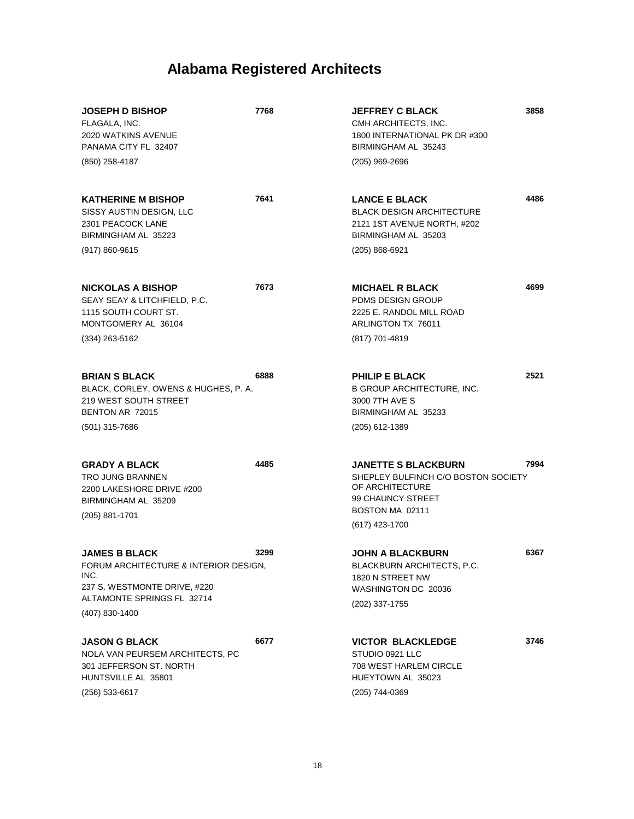| <b>JOSEPH D BISHOP</b><br>FLAGALA, INC.<br>2020 WATKINS AVENUE<br>PANAMA CITY FL 32407<br>(850) 258-4187                | 7768 | <b>JEFFREY C BLACK</b><br>CMH ARCHITECTS, INC.<br>1800 INTERNATIONAL PK DR #300<br>BIRMINGHAM AL 35243<br>$(205)$ 969-2696       | 3858 |
|-------------------------------------------------------------------------------------------------------------------------|------|----------------------------------------------------------------------------------------------------------------------------------|------|
| <b>KATHERINE M BISHOP</b><br>SISSY AUSTIN DESIGN, LLC<br>2301 PEACOCK LANE<br>BIRMINGHAM AL 35223<br>$(917) 860 - 9615$ | 7641 | <b>LANCE E BLACK</b><br><b>BLACK DESIGN ARCHITECTURE</b><br>2121 1ST AVENUE NORTH, #202<br>BIRMINGHAM AL 35203<br>(205) 868-6921 | 4486 |
|                                                                                                                         |      |                                                                                                                                  |      |
| <b>NICKOLAS A BISHOP</b><br>SEAY SEAY & LITCHFIELD, P.C.<br>1115 SOUTH COURT ST.<br>MONTGOMERY AL 36104                 | 7673 | <b>MICHAEL R BLACK</b><br><b>PDMS DESIGN GROUP</b><br>2225 E. RANDOL MILL ROAD<br>ARLINGTON TX 76011                             | 4699 |
| $(334)$ 263-5162                                                                                                        |      | (817) 701-4819                                                                                                                   |      |
| <b>BRIAN S BLACK</b><br>BLACK, CORLEY, OWENS & HUGHES, P. A.<br>219 WEST SOUTH STREET<br>BENTON AR 72015                | 6888 | <b>PHILIP E BLACK</b><br>B GROUP ARCHITECTURE, INC.<br>3000 7TH AVE S<br>BIRMINGHAM AL 35233                                     | 2521 |
| (501) 315-7686                                                                                                          |      | (205) 612-1389                                                                                                                   |      |
| <b>GRADY A BLACK</b><br><b>TRO JUNG BRANNEN</b><br>2200 LAKESHORE DRIVE #200<br>BIRMINGHAM AL 35209<br>$(205)$ 881-1701 | 4485 | <b>JANETTE S BLACKBURN</b><br>SHEPLEY BULFINCH C/O BOSTON SOCIETY<br>OF ARCHITECTURE<br>99 CHAUNCY STREET<br>BOSTON MA 02111     | 7994 |
|                                                                                                                         |      | (617) 423-1700                                                                                                                   |      |
| <b>JAMES B BLACK</b><br>FORUM ARCHITECTURE & INTERIOR DESIGN,<br>INC.<br>237 S. WESTMONTE DRIVE, #220                   | 3299 | <b>JOHN A BLACKBURN</b><br>BLACKBURN ARCHITECTS, P.C.<br>1820 N STREET NW<br>WASHINGTON DC 20036                                 | 6367 |
| ALTAMONTE SPRINGS FL 32714<br>(407) 830-1400                                                                            |      | (202) 337-1755                                                                                                                   |      |
|                                                                                                                         |      |                                                                                                                                  |      |
| <b>JASON G BLACK</b><br>NOLA VAN PEURSEM ARCHITECTS, PC<br>301 JEFFERSON ST. NORTH<br>HUNTSVILLE AL 35801               | 6677 | <b>VICTOR BLACKLEDGE</b><br>STUDIO 0921 LLC<br><b>708 WEST HARLEM CIRCLE</b><br>HUEYTOWN AL 35023                                | 3746 |
| (256) 533-6617                                                                                                          |      | (205) 744-0369                                                                                                                   |      |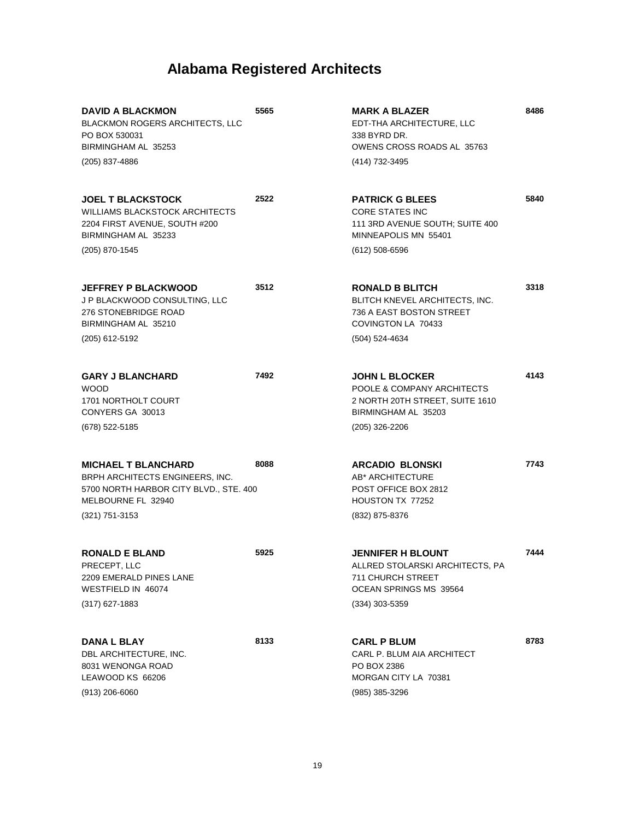| <b>DAVID A BLACKMON</b><br>BLACKMON ROGERS ARCHITECTS, LLC<br>PO BOX 530031<br>BIRMINGHAM AL 35253<br>(205) 837-4886                            | 5565 | <b>MARK A BLAZER</b><br>EDT-THA ARCHITECTURE, LLC<br>338 BYRD DR.<br>OWENS CROSS ROADS AL 35763<br>(414) 732-3495                 | 8486 |
|-------------------------------------------------------------------------------------------------------------------------------------------------|------|-----------------------------------------------------------------------------------------------------------------------------------|------|
| <b>JOEL T BLACKSTOCK</b><br><b>WILLIAMS BLACKSTOCK ARCHITECTS</b><br>2204 FIRST AVENUE, SOUTH #200<br>BIRMINGHAM AL 35233<br>(205) 870-1545     | 2522 | <b>PATRICK G BLEES</b><br><b>CORE STATES INC</b><br>111 3RD AVENUE SOUTH; SUITE 400<br>MINNEAPOLIS MN 55401<br>$(612)$ 508-6596   | 5840 |
| <b>JEFFREY P BLACKWOOD</b><br>J P BLACKWOOD CONSULTING, LLC<br>276 STONEBRIDGE ROAD<br>BIRMINGHAM AL 35210<br>(205) 612-5192                    | 3512 | <b>RONALD B BLITCH</b><br>BLITCH KNEVEL ARCHITECTS, INC.<br>736 A EAST BOSTON STREET<br>COVINGTON LA 70433<br>(504) 524-4634      | 3318 |
| <b>GARY J BLANCHARD</b><br><b>WOOD</b><br>1701 NORTHOLT COURT<br>CONYERS GA 30013<br>(678) 522-5185                                             | 7492 | <b>JOHN L BLOCKER</b><br>POOLE & COMPANY ARCHITECTS<br>2 NORTH 20TH STREET, SUITE 1610<br>BIRMINGHAM AL 35203<br>$(205)$ 326-2206 | 4143 |
| <b>MICHAEL T BLANCHARD</b><br>BRPH ARCHITECTS ENGINEERS, INC.<br>5700 NORTH HARBOR CITY BLVD., STE. 400<br>MELBOURNE FL 32940<br>(321) 751-3153 | 8088 | <b>ARCADIO BLONSKI</b><br>AB* ARCHITECTURE<br>POST OFFICE BOX 2812<br>HOUSTON TX 77252<br>(832) 875-8376                          | 7743 |
| <b>RONALD E BLAND</b><br>PRECEPT, LLC<br>2209 EMERALD PINES LANE<br>WESTFIELD IN 46074<br>$(317)$ 627-1883                                      | 5925 | <b>JENNIFER H BLOUNT</b><br>ALLRED STOLARSKI ARCHITECTS, PA<br>711 CHURCH STREET<br>OCEAN SPRINGS MS 39564<br>$(334)$ 303-5359    | 7444 |
| <b>DANA L BLAY</b><br>DBL ARCHITECTURE, INC.<br>8031 WENONGA ROAD<br>LEAWOOD KS 66206<br>$(913)$ 206-6060                                       | 8133 | <b>CARL P BLUM</b><br>CARL P. BLUM AIA ARCHITECT<br>PO BOX 2386<br>MORGAN CITY LA 70381<br>(985) 385-3296                         | 8783 |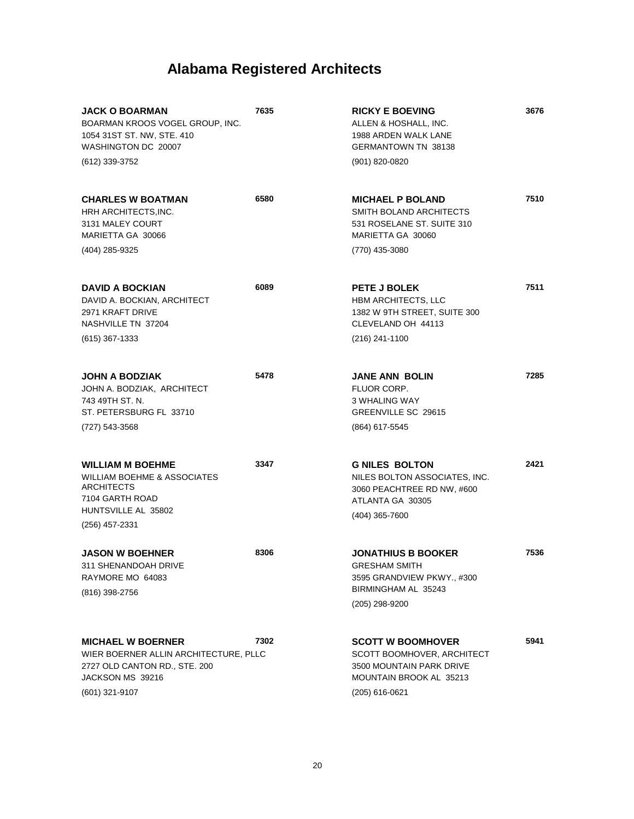| <b>JACK O BOARMAN</b><br>BOARMAN KROOS VOGEL GROUP, INC.<br>1054 31ST ST. NW, STE. 410<br>WASHINGTON DC 20007<br>(612) 339-3752          | 7635 | <b>RICKY E BOEVING</b><br>ALLEN & HOSHALL, INC.<br>1988 ARDEN WALK LANE<br><b>GERMANTOWN TN 38138</b><br>(901) 820-0820           | 3676 |
|------------------------------------------------------------------------------------------------------------------------------------------|------|-----------------------------------------------------------------------------------------------------------------------------------|------|
|                                                                                                                                          |      |                                                                                                                                   |      |
| <b>CHARLES W BOATMAN</b><br>HRH ARCHITECTS, INC.<br>3131 MALEY COURT<br>MARIETTA GA 30066                                                | 6580 | <b>MICHAEL P BOLAND</b><br>SMITH BOLAND ARCHITECTS<br>531 ROSELANE ST. SUITE 310<br>MARIETTA GA 30060                             | 7510 |
| (404) 285-9325                                                                                                                           |      | (770) 435-3080                                                                                                                    |      |
| <b>DAVID A BOCKIAN</b><br>DAVID A. BOCKIAN, ARCHITECT<br>2971 KRAFT DRIVE<br>NASHVILLE TN 37204                                          | 6089 | PETE J BOLEK<br><b>HBM ARCHITECTS, LLC</b><br>1382 W 9TH STREET, SUITE 300<br>CLEVELAND OH 44113                                  | 7511 |
| $(615)$ 367-1333                                                                                                                         |      | (216) 241-1100                                                                                                                    |      |
| <b>JOHN A BODZIAK</b><br>JOHN A. BODZIAK, ARCHITECT<br>743 49TH ST. N.<br>ST. PETERSBURG FL 33710                                        | 5478 | <b>JANE ANN BOLIN</b><br>FLUOR CORP.<br>3 WHALING WAY<br>GREENVILLE SC 29615                                                      | 7285 |
| (727) 543-3568                                                                                                                           |      | (864) 617-5545                                                                                                                    |      |
| <b>WILLIAM M BOEHME</b><br><b>WILLIAM BOEHME &amp; ASSOCIATES</b><br><b>ARCHITECTS</b><br>7104 GARTH ROAD<br>HUNTSVILLE AL 35802         | 3347 | <b>G NILES BOLTON</b><br>NILES BOLTON ASSOCIATES, INC.<br>3060 PEACHTREE RD NW, #600<br>ATLANTA GA 30305<br>$(404)$ 365-7600      | 2421 |
| (256) 457-2331                                                                                                                           |      |                                                                                                                                   |      |
| <b>JASON W BOEHNER</b><br>311 SHENANDOAH DRIVE<br>RAYMORE MO 64083<br>(816) 398-2756                                                     | 8306 | <b>JONATHIUS B BOOKER</b><br>GRESHAM SMITH<br>3595 GRANDVIEW PKWY., #300<br>BIRMINGHAM AL 35243<br>(205) 298-9200                 | 7536 |
| <b>MICHAEL W BOERNER</b><br>WIER BOERNER ALLIN ARCHITECTURE, PLLC<br>2727 OLD CANTON RD., STE. 200<br>JACKSON MS 39216<br>(601) 321-9107 | 7302 | <b>SCOTT W BOOMHOVER</b><br>SCOTT BOOMHOVER, ARCHITECT<br>3500 MOUNTAIN PARK DRIVE<br>MOUNTAIN BROOK AL 35213<br>$(205)$ 616-0621 | 5941 |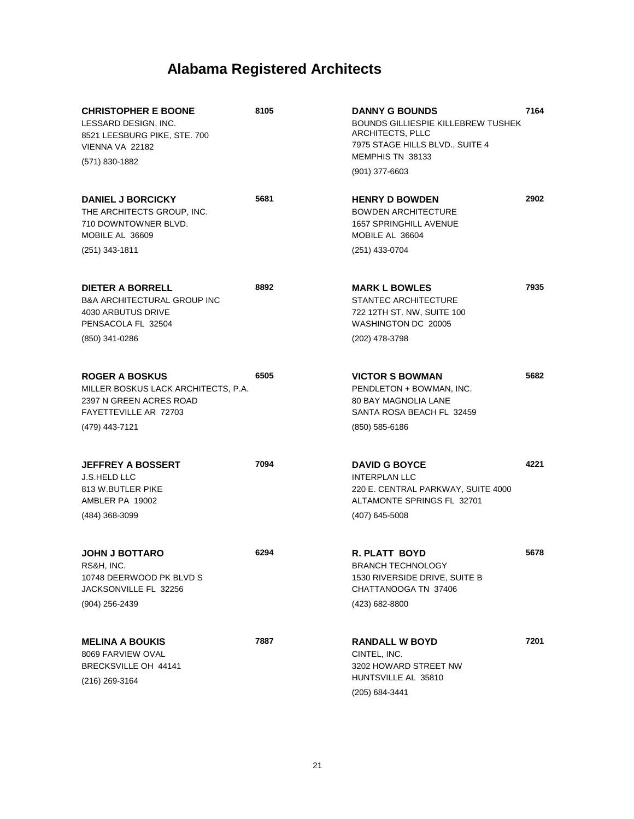| <b>CHRISTOPHER E BOONE</b><br>LESSARD DESIGN, INC.<br>8521 LEESBURG PIKE, STE. 700<br>VIENNA VA 22182<br>(571) 830-1882            | 8105 | <b>DANNY G BOUNDS</b><br><b>BOUNDS GILLIESPIE KILLEBREW TUSHEK</b><br>ARCHITECTS, PLLC<br>7975 STAGE HILLS BLVD., SUITE 4<br>MEMPHIS TN 38133<br>$(901)$ 377-6603 | 7164 |
|------------------------------------------------------------------------------------------------------------------------------------|------|-------------------------------------------------------------------------------------------------------------------------------------------------------------------|------|
| <b>DANIEL J BORCICKY</b><br>THE ARCHITECTS GROUP, INC.<br>710 DOWNTOWNER BLVD.<br>MOBILE AL 36609<br>(251) 343-1811                | 5681 | <b>HENRY D BOWDEN</b><br><b>BOWDEN ARCHITECTURE</b><br>1657 SPRINGHILL AVENUE<br>MOBILE AL 36604<br>(251) 433-0704                                                | 2902 |
| <b>DIETER A BORRELL</b><br><b>B&amp;A ARCHITECTURAL GROUP INC</b><br>4030 ARBUTUS DRIVE<br>PENSACOLA FL 32504<br>(850) 341-0286    | 8892 | <b>MARK L BOWLES</b><br><b>STANTEC ARCHITECTURE</b><br>722 12TH ST. NW, SUITE 100<br>WASHINGTON DC 20005<br>(202) 478-3798                                        | 7935 |
| <b>ROGER A BOSKUS</b><br>MILLER BOSKUS LACK ARCHITECTS, P.A.<br>2397 N GREEN ACRES ROAD<br>FAYETTEVILLE AR 72703<br>(479) 443-7121 | 6505 | <b>VICTOR S BOWMAN</b><br>PENDLETON + BOWMAN, INC.<br><b>80 BAY MAGNOLIA LANE</b><br>SANTA ROSA BEACH FL 32459<br>$(850)$ 585-6186                                | 5682 |
| <b>JEFFREY A BOSSERT</b><br><b>J.S.HELD LLC</b><br>813 W.BUTLER PIKE<br>AMBLER PA 19002<br>(484) 368-3099                          | 7094 | <b>DAVID G BOYCE</b><br><b>INTERPLAN LLC</b><br>220 E. CENTRAL PARKWAY, SUITE 4000<br>ALTAMONTE SPRINGS FL 32701<br>(407) 645-5008                                | 4221 |
| <b>JOHN J BOTTARO</b><br>RS&H, INC.<br>10748 DEERWOOD PK BLVD S<br>JACKSONVILLE FL 32256<br>$(904)$ 256-2439                       | 6294 | <b>R. PLATT BOYD</b><br><b>BRANCH TECHNOLOGY</b><br>1530 RIVERSIDE DRIVE, SUITE B<br>CHATTANOOGA TN 37406<br>(423) 682-8800                                       | 5678 |
| <b>MELINA A BOUKIS</b><br>8069 FARVIEW OVAL<br>BRECKSVILLE OH 44141<br>(216) 269-3164                                              | 7887 | <b>RANDALL W BOYD</b><br>CINTEL, INC.<br>3202 HOWARD STREET NW<br>HUNTSVILLE AL 35810<br>(205) 684-3441                                                           | 7201 |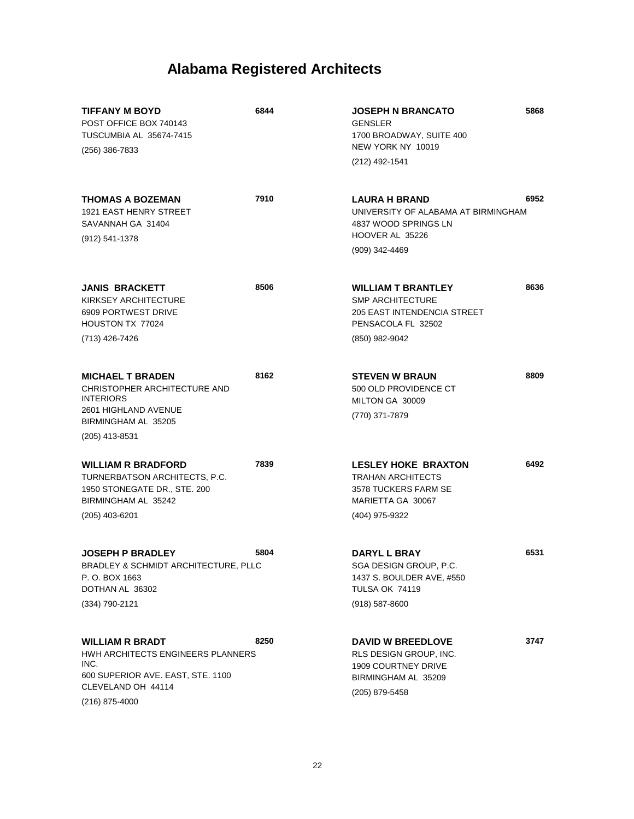| <b>TIFFANY M BOYD</b><br>POST OFFICE BOX 740143<br>TUSCUMBIA AL 35674-7415<br>(256) 386-7833                                                       | 6844 | <b>JOSEPH N BRANCATO</b><br><b>GENSLER</b><br>1700 BROADWAY, SUITE 400<br>NEW YORK NY 10019<br>(212) 492-1541               | 5868 |
|----------------------------------------------------------------------------------------------------------------------------------------------------|------|-----------------------------------------------------------------------------------------------------------------------------|------|
| <b>THOMAS A BOZEMAN</b><br><b>1921 EAST HENRY STREET</b><br>SAVANNAH GA 31404<br>(912) 541-1378                                                    | 7910 | <b>LAURA H BRAND</b><br>UNIVERSITY OF ALABAMA AT BIRMINGHAM<br>4837 WOOD SPRINGS LN<br>HOOVER AL 35226<br>(909) 342-4469    | 6952 |
| <b>JANIS BRACKETT</b><br>KIRKSEY ARCHITECTURE<br>6909 PORTWEST DRIVE<br><b>HOUSTON TX 77024</b><br>(713) 426-7426                                  | 8506 | <b>WILLIAM T BRANTLEY</b><br><b>SMP ARCHITECTURE</b><br>205 EAST INTENDENCIA STREET<br>PENSACOLA FL 32502<br>(850) 982-9042 | 8636 |
| <b>MICHAEL T BRADEN</b><br>CHRISTOPHER ARCHITECTURE AND<br><b>INTERIORS</b><br>2601 HIGHLAND AVENUE<br>BIRMINGHAM AL 35205<br>(205) 413-8531       | 8162 | <b>STEVEN W BRAUN</b><br>500 OLD PROVIDENCE CT<br>MILTON GA 30009<br>(770) 371-7879                                         | 8809 |
| <b>WILLIAM R BRADFORD</b><br>TURNERBATSON ARCHITECTS, P.C.<br>1950 STONEGATE DR., STE. 200<br>BIRMINGHAM AL 35242<br>(205) 403-6201                | 7839 | <b>LESLEY HOKE BRAXTON</b><br><b>TRAHAN ARCHITECTS</b><br>3578 TUCKERS FARM SE<br>MARIETTA GA 30067<br>(404) 975-9322       | 6492 |
| <b>JOSEPH P BRADLEY</b><br>BRADLEY & SCHMIDT ARCHITECTURE, PLLC<br>P. O. BOX 1663<br>DOTHAN AL 36302<br>(334) 790-2121                             | 5804 | DARYL L BRAY<br>SGA DESIGN GROUP, P.C.<br>1437 S. BOULDER AVE, #550<br><b>TULSA OK 74119</b><br>$(918) 587 - 8600$          | 6531 |
| <b>WILLIAM R BRADT</b><br>HWH ARCHITECTS ENGINEERS PLANNERS<br>INC.<br>600 SUPERIOR AVE. EAST, STE. 1100<br>CLEVELAND OH 44114<br>$(216)$ 875-4000 | 8250 | <b>DAVID W BREEDLOVE</b><br>RLS DESIGN GROUP, INC.<br>1909 COURTNEY DRIVE<br>BIRMINGHAM AL 35209<br>(205) 879-5458          | 3747 |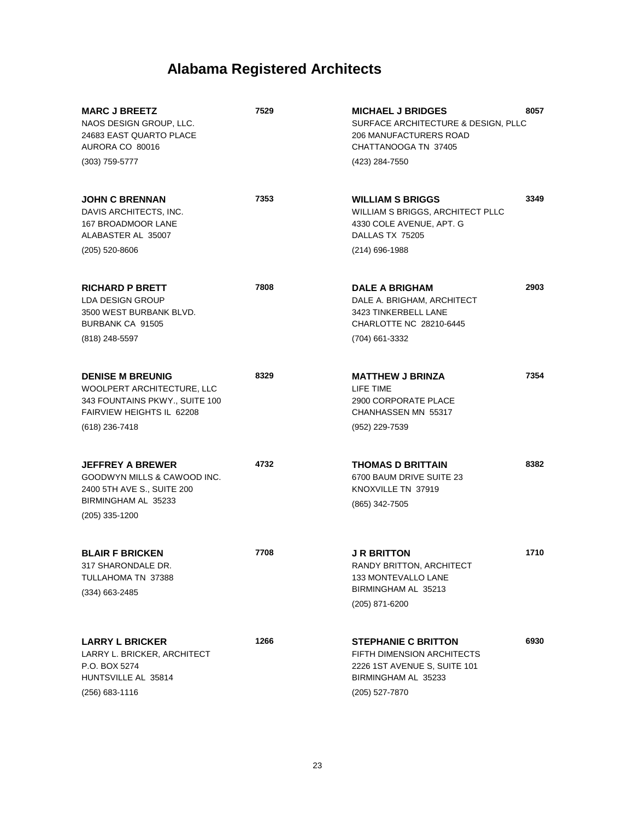| <b>MARC J BREETZ</b><br>NAOS DESIGN GROUP, LLC.<br>24683 EAST QUARTO PLACE<br>AURORA CO 80016<br>$(303)$ 759-5777                             | 7529 | 8057<br><b>MICHAEL J BRIDGES</b><br>SURFACE ARCHITECTURE & DESIGN, PLLC<br>206 MANUFACTURERS ROAD<br>CHATTANOOGA TN 37405<br>(423) 284-7550      |  |
|-----------------------------------------------------------------------------------------------------------------------------------------------|------|--------------------------------------------------------------------------------------------------------------------------------------------------|--|
| <b>JOHN C BRENNAN</b><br>DAVIS ARCHITECTS, INC.<br>167 BROADMOOR LANE<br>ALABASTER AL 35007<br>$(205)$ 520-8606                               | 7353 | 3349<br><b>WILLIAM S BRIGGS</b><br>WILLIAM S BRIGGS, ARCHITECT PLLC<br>4330 COLE AVENUE, APT. G<br>DALLAS TX 75205<br>(214) 696-1988             |  |
| <b>RICHARD P BRETT</b><br><b>LDA DESIGN GROUP</b><br>3500 WEST BURBANK BLVD.<br>BURBANK CA 91505<br>(818) 248-5597                            | 7808 | 2903<br><b>DALE A BRIGHAM</b><br>DALE A. BRIGHAM, ARCHITECT<br>3423 TINKERBELL LANE<br>CHARLOTTE NC 28210-6445<br>(704) 661-3332                 |  |
| <b>DENISE M BREUNIG</b><br>WOOLPERT ARCHITECTURE, LLC<br>343 FOUNTAINS PKWY., SUITE 100<br><b>FAIRVIEW HEIGHTS IL 62208</b><br>(618) 236-7418 | 8329 | 7354<br><b>MATTHEW J BRINZA</b><br>LIFE TIME<br>2900 CORPORATE PLACE<br>CHANHASSEN MN 55317<br>(952) 229-7539                                    |  |
| <b>JEFFREY A BREWER</b><br>GOODWYN MILLS & CAWOOD INC.<br>2400 5TH AVE S., SUITE 200<br>BIRMINGHAM AL 35233<br>(205) 335-1200                 | 4732 | 8382<br><b>THOMAS D BRITTAIN</b><br>6700 BAUM DRIVE SUITE 23<br>KNOXVILLE TN 37919<br>(865) 342-7505                                             |  |
| <b>BLAIR F BRICKEN</b><br>317 SHARONDALE DR<br>TULLAHOMA TN 37388<br>$(334)$ 663-2485                                                         | 7708 | 1710<br><b>J R BRITTON</b><br>RANDY BRITTON, ARCHITECT<br><b>133 MONTEVALLO LANE</b><br>BIRMINGHAM AL 35213<br>(205) 871-6200                    |  |
| <b>LARRY L BRICKER</b><br>LARRY L. BRICKER, ARCHITECT<br>P.O. BOX 5274<br>HUNTSVILLE AL 35814<br>$(256)$ 683-1116                             | 1266 | 6930<br><b>STEPHANIE C BRITTON</b><br><b>FIFTH DIMENSION ARCHITECTS</b><br>2226 1ST AVENUE S, SUITE 101<br>BIRMINGHAM AL 35233<br>(205) 527-7870 |  |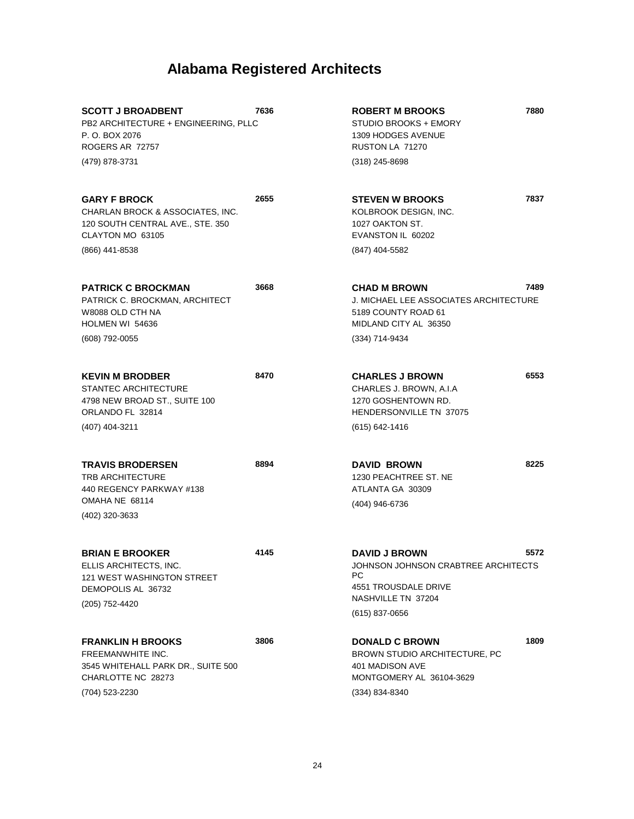| <b>SCOTT J BROADBENT</b><br>PB2 ARCHITECTURE + ENGINEERING, PLLC<br>P. O. BOX 2076<br>ROGERS AR 72757<br>(479) 878-3731           | 7636 | <b>ROBERT M BROOKS</b><br>STUDIO BROOKS + EMORY<br>1309 HODGES AVENUE<br>RUSTON LA 71270<br>$(318)$ 245-8698                      | 7880 |
|-----------------------------------------------------------------------------------------------------------------------------------|------|-----------------------------------------------------------------------------------------------------------------------------------|------|
| <b>GARY F BROCK</b><br>CHARLAN BROCK & ASSOCIATES, INC.<br>120 SOUTH CENTRAL AVE., STE. 350<br>CLAYTON MO 63105<br>(866) 441-8538 | 2655 | <b>STEVEN W BROOKS</b><br>KOLBROOK DESIGN, INC.<br>1027 OAKTON ST.<br>EVANSTON IL 60202<br>(847) 404-5582                         | 7837 |
| <b>PATRICK C BROCKMAN</b><br>PATRICK C. BROCKMAN, ARCHITECT<br>W8088 OLD CTH NA<br>HOLMEN WI 54636<br>(608) 792-0055              | 3668 | <b>CHAD M BROWN</b><br>J. MICHAEL LEE ASSOCIATES ARCHITECTURE<br>5189 COUNTY ROAD 61<br>MIDLAND CITY AL 36350<br>(334) 714-9434   | 7489 |
| <b>KEVIN M BRODBER</b><br><b>STANTEC ARCHITECTURE</b><br>4798 NEW BROAD ST., SUITE 100<br>ORLANDO FL 32814<br>(407) 404-3211      | 8470 | <b>CHARLES J BROWN</b><br>CHARLES J. BROWN, A.I.A<br>1270 GOSHENTOWN RD.<br>HENDERSONVILLE TN 37075<br>$(615) 642 - 1416$         | 6553 |
| <b>TRAVIS BRODERSEN</b><br><b>TRB ARCHITECTURE</b><br>440 REGENCY PARKWAY #138<br>OMAHA NE 68114<br>(402) 320-3633                | 8894 | <b>DAVID BROWN</b><br>1230 PEACHTREE ST. NE<br>ATLANTA GA 30309<br>(404) 946-6736                                                 | 8225 |
| <b>BRIAN E BROOKER</b><br>ELLIS ARCHITECTS, INC.<br><b>121 WEST WASHINGTON STREET</b><br>DEMOPOLIS AL 36732<br>(205) 752-4420     | 4145 | <b>DAVID J BROWN</b><br>JOHNSON JOHNSON CRABTREE ARCHITECTS<br>РC<br>4551 TROUSDALE DRIVE<br>NASHVILLE TN 37204<br>(615) 837-0656 | 5572 |
| <b>FRANKLIN H BROOKS</b><br>FREEMANWHITE INC.<br>3545 WHITEHALL PARK DR., SUITE 500<br>CHARLOTTE NC 28273<br>(704) 523-2230       | 3806 | <b>DONALD C BROWN</b><br>BROWN STUDIO ARCHITECTURE, PC<br>401 MADISON AVE<br>MONTGOMERY AL 36104-3629<br>(334) 834-8340           | 1809 |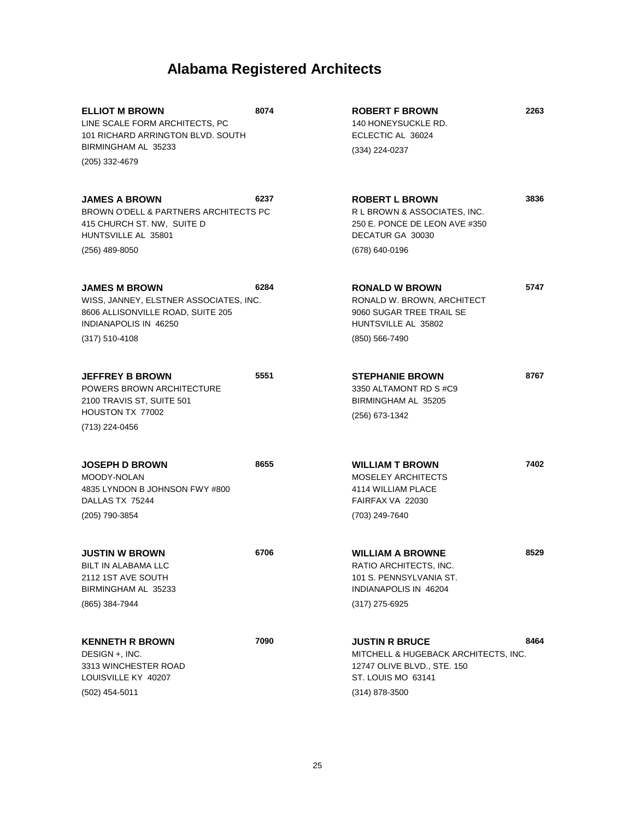| <b>ELLIOT M BROWN</b><br>LINE SCALE FORM ARCHITECTS, PC<br>101 RICHARD ARRINGTON BLVD, SOUTH<br>BIRMINGHAM AL 35233                                | 8074 | <b>ROBERT F BROWN</b><br>140 HONEYSUCKLE RD.<br>ECLECTIC AL 36024<br>(334) 224-0237                                                    | 2263 |
|----------------------------------------------------------------------------------------------------------------------------------------------------|------|----------------------------------------------------------------------------------------------------------------------------------------|------|
| (205) 332-4679                                                                                                                                     |      |                                                                                                                                        |      |
| <b>JAMES A BROWN</b><br>BROWN O'DELL & PARTNERS ARCHITECTS PC<br>415 CHURCH ST. NW, SUITE D<br>HUNTSVILLE AL 35801<br>$(256)$ 489-8050             | 6237 | <b>ROBERT L BROWN</b><br>R L BROWN & ASSOCIATES, INC.<br>250 E. PONCE DE LEON AVE #350<br>DECATUR GA 30030<br>(678) 640-0196           | 3836 |
|                                                                                                                                                    |      |                                                                                                                                        |      |
| <b>JAMES M BROWN</b><br>WISS, JANNEY, ELSTNER ASSOCIATES, INC.<br>8606 ALLISONVILLE ROAD, SUITE 205<br>INDIANAPOLIS IN 46250<br>$(317) 510 - 4108$ | 6284 | <b>RONALD W BROWN</b><br>RONALD W. BROWN, ARCHITECT<br>9060 SUGAR TREE TRAIL SE<br>HUNTSVILLE AL 35802<br>(850) 566-7490               | 5747 |
| <b>JEFFREY B BROWN</b><br><b>POWERS BROWN ARCHITECTURE</b><br>2100 TRAVIS ST, SUITE 501<br>HOUSTON TX 77002<br>(713) 224-0456                      | 5551 | <b>STEPHANIE BROWN</b><br>3350 ALTAMONT RD S#C9<br>BIRMINGHAM AL 35205<br>(256) 673-1342                                               | 8767 |
| <b>JOSEPH D BROWN</b><br>MOODY-NOLAN<br>4835 LYNDON B JOHNSON FWY #800<br>DALLAS TX 75244<br>(205) 790-3854                                        | 8655 | <b>WILLIAM T BROWN</b><br><b>MOSELEY ARCHITECTS</b><br>4114 WILLIAM PLACE<br>FAIRFAX VA 22030<br>(703) 249-7640                        | 7402 |
| <b>JUSTIN W BROWN</b><br>BILT IN ALABAMA LLC<br>2112 1ST AVE SOUTH<br>BIRMINGHAM AL 35233<br>(865) 384-7944                                        | 6706 | <b>WILLIAM A BROWNE</b><br>RATIO ARCHITECTS, INC.<br>101 S. PENNSYLVANIA ST.<br>INDIANAPOLIS IN 46204<br>$(317)$ 275-6925              | 8529 |
| <b>KENNETH R BROWN</b><br>DESIGN +, INC.<br>3313 WINCHESTER ROAD<br>LOUISVILLE KY 40207<br>(502) 454-5011                                          | 7090 | <b>JUSTIN R BRUCE</b><br>MITCHELL & HUGEBACK ARCHITECTS, INC.<br>12747 OLIVE BLVD., STE. 150<br>ST. LOUIS MO 63141<br>$(314)$ 878-3500 | 8464 |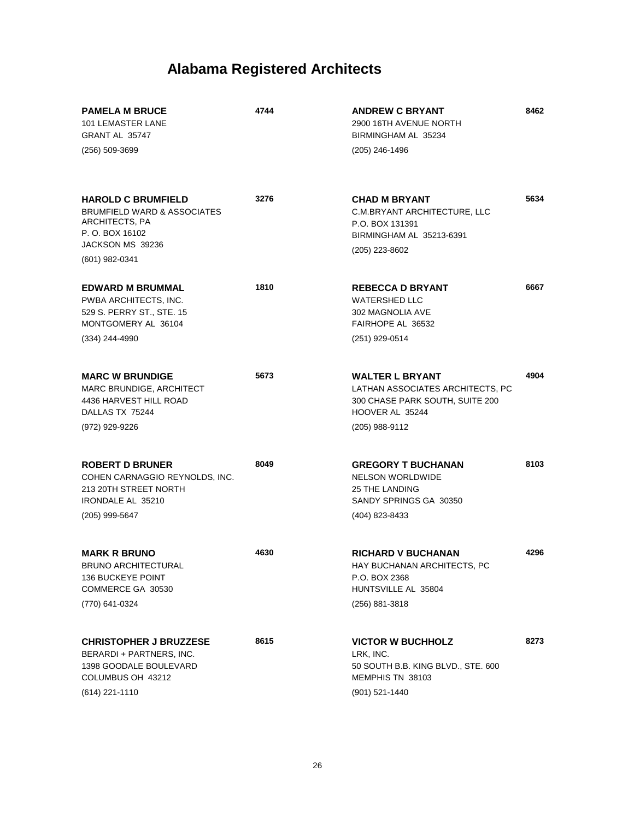| <b>PAMELA M BRUCE</b><br><b>101 LEMASTER LANE</b><br>GRANT AL 35747<br>$(256)$ 509-3699                                               | 4744 | <b>ANDREW C BRYANT</b><br>2900 16TH AVENUE NORTH<br>BIRMINGHAM AL 35234<br>(205) 246-1496                                          | 8462 |
|---------------------------------------------------------------------------------------------------------------------------------------|------|------------------------------------------------------------------------------------------------------------------------------------|------|
| <b>HAROLD C BRUMFIELD</b><br>BRUMFIELD WARD & ASSOCIATES<br>ARCHITECTS, PA<br>P. O. BOX 16102<br>JACKSON MS 39236<br>$(601)$ 982-0341 | 3276 | <b>CHAD M BRYANT</b><br>C.M.BRYANT ARCHITECTURE, LLC<br>P.O. BOX 131391<br>BIRMINGHAM AL 35213-6391<br>(205) 223-8602              | 5634 |
| <b>EDWARD M BRUMMAL</b><br>PWBA ARCHITECTS, INC.<br>529 S. PERRY ST., STE. 15<br>MONTGOMERY AL 36104<br>(334) 244-4990                | 1810 | <b>REBECCA D BRYANT</b><br><b>WATERSHED LLC</b><br>302 MAGNOLIA AVE<br>FAIRHOPE AL 36532<br>(251) 929-0514                         | 6667 |
| <b>MARC W BRUNDIGE</b><br>MARC BRUNDIGE, ARCHITECT<br>4436 HARVEST HILL ROAD<br>DALLAS TX 75244<br>(972) 929-9226                     | 5673 | <b>WALTER L BRYANT</b><br>LATHAN ASSOCIATES ARCHITECTS, PC<br>300 CHASE PARK SOUTH, SUITE 200<br>HOOVER AL 35244<br>(205) 988-9112 | 4904 |
| <b>ROBERT D BRUNER</b><br>COHEN CARNAGGIO REYNOLDS, INC.<br>213 20TH STREET NORTH<br>IRONDALE AL 35210<br>(205) 999-5647              | 8049 | <b>GREGORY T BUCHANAN</b><br><b>NELSON WORLDWIDE</b><br><b>25 THE LANDING</b><br>SANDY SPRINGS GA 30350<br>(404) 823-8433          | 8103 |
| <b>MARK R BRUNO</b><br><b>BRUNO ARCHITECTURAL</b><br><b>136 BUCKEYE POINT</b><br>COMMERCE GA 30530<br>(770) 641-0324                  | 4630 | <b>RICHARD V BUCHANAN</b><br>HAY BUCHANAN ARCHITECTS, PC<br>P.O. BOX 2368<br>HUNTSVILLE AL 35804<br>(256) 881-3818                 | 4296 |
| <b>CHRISTOPHER J BRUZZESE</b><br>BERARDI + PARTNERS, INC.<br>1398 GOODALE BOULEVARD<br>COLUMBUS OH 43212<br>(614) 221-1110            | 8615 | <b>VICTOR W BUCHHOLZ</b><br>LRK, INC.<br>50 SOUTH B.B. KING BLVD., STE. 600<br>MEMPHIS TN 38103<br>(901) 521-1440                  | 8273 |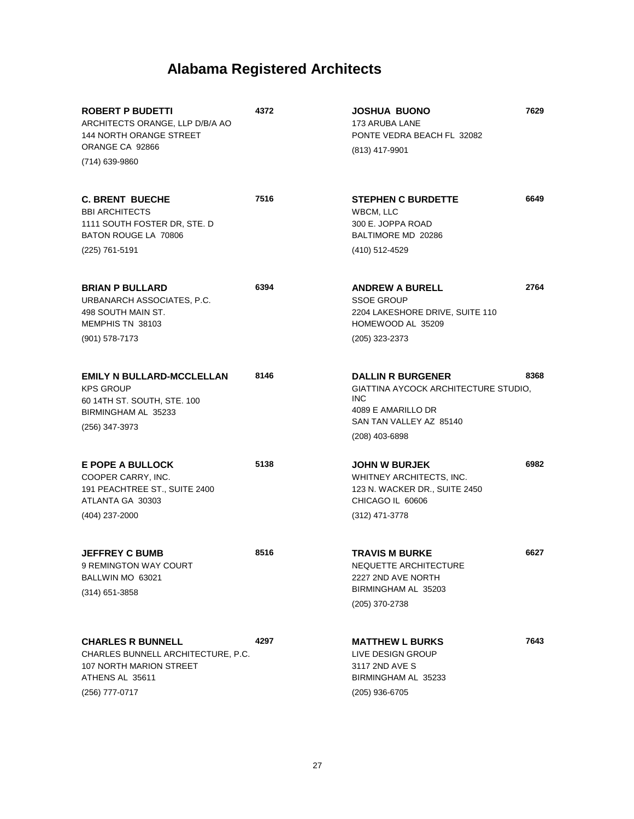| <b>ROBERT P BUDETTI</b><br>ARCHITECTS ORANGE, LLP D/B/A AO<br><b>144 NORTH ORANGE STREET</b><br>ORANGE CA 92866<br>(714) 639-9860 | 4372 | <b>JOSHUA BUONO</b><br>173 ARUBA LANE<br>PONTE VEDRA BEACH FL 32082<br>(813) 417-9901                                                             | 7629 |
|-----------------------------------------------------------------------------------------------------------------------------------|------|---------------------------------------------------------------------------------------------------------------------------------------------------|------|
| <b>C. BRENT BUECHE</b><br><b>BBI ARCHITECTS</b><br>1111 SOUTH FOSTER DR, STE. D<br>BATON ROUGE LA 70806<br>(225) 761-5191         | 7516 | <b>STEPHEN C BURDETTE</b><br>WBCM, LLC<br>300 E. JOPPA ROAD<br>BALTIMORE MD 20286<br>(410) 512-4529                                               | 6649 |
| <b>BRIAN P BULLARD</b><br>URBANARCH ASSOCIATES, P.C.<br>498 SOUTH MAIN ST.<br>MEMPHIS TN 38103<br>$(901)$ 578-7173                | 6394 | <b>ANDREW A BURELL</b><br><b>SSOE GROUP</b><br>2204 LAKESHORE DRIVE, SUITE 110<br>HOMEWOOD AL 35209<br>(205) 323-2373                             | 2764 |
| <b>EMILY N BULLARD-MCCLELLAN</b><br><b>KPS GROUP</b><br>60 14TH ST. SOUTH, STE. 100<br>BIRMINGHAM AL 35233<br>(256) 347-3973      | 8146 | <b>DALLIN R BURGENER</b><br>GIATTINA AYCOCK ARCHITECTURE STUDIO,<br><b>INC</b><br>4089 E AMARILLO DR<br>SAN TAN VALLEY AZ 85140<br>(208) 403-6898 | 8368 |
| E POPE A BULLOCK<br>COOPER CARRY, INC.<br>191 PEACHTREE ST., SUITE 2400<br>ATLANTA GA 30303<br>(404) 237-2000                     | 5138 | <b>JOHN W BURJEK</b><br>WHITNEY ARCHITECTS, INC.<br>123 N. WACKER DR., SUITE 2450<br>CHICAGO IL 60606<br>(312) 471-3778                           | 6982 |
| <b>JEFFREY C BUMB</b><br>9 REMINGTON WAY COURT<br>BALLWIN MO 63021<br>$(314)$ 651-3858                                            | 8516 | <b>TRAVIS M BURKE</b><br>NEQUETTE ARCHITECTURE<br>2227 2ND AVE NORTH<br>BIRMINGHAM AL 35203<br>(205) 370-2738                                     | 6627 |
| <b>CHARLES R BUNNELL</b><br>CHARLES BUNNELL ARCHITECTURE, P.C.<br>107 NORTH MARION STREET<br>ATHENS AL 35611<br>(256) 777-0717    | 4297 | <b>MATTHEW L BURKS</b><br>LIVE DESIGN GROUP<br>3117 2ND AVE S<br>BIRMINGHAM AL 35233<br>(205) 936-6705                                            | 7643 |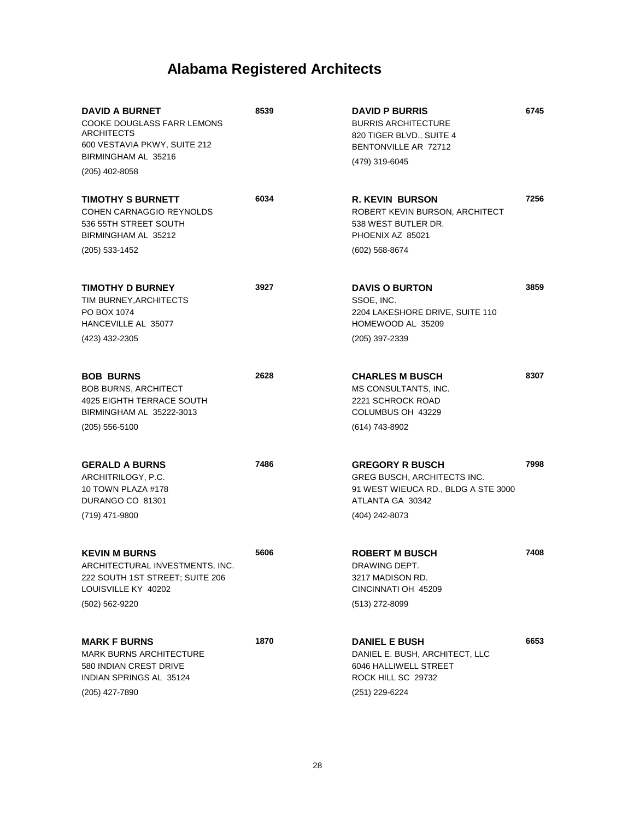| <b>DAVID A BURNET</b><br>COOKE DOUGLASS FARR LEMONS<br><b>ARCHITECTS</b><br>600 VESTAVIA PKWY, SUITE 212<br>BIRMINGHAM AL 35216<br>(205) 402-8058 | 8539 | <b>DAVID P BURRIS</b><br><b>BURRIS ARCHITECTURE</b><br>820 TIGER BLVD., SUITE 4<br>BENTONVILLE AR 72712<br>(479) 319-6045          | 6745 |
|---------------------------------------------------------------------------------------------------------------------------------------------------|------|------------------------------------------------------------------------------------------------------------------------------------|------|
| TIMOTHY S BURNETT<br>COHEN CARNAGGIO REYNOLDS<br>536 55TH STREET SOUTH<br>BIRMINGHAM AL 35212<br>(205) 533-1452                                   | 6034 | <b>R. KEVIN BURSON</b><br>ROBERT KEVIN BURSON, ARCHITECT<br>538 WEST BUTLER DR.<br>PHOENIX AZ 85021<br>(602) 568-8674              | 7256 |
| <b>TIMOTHY D BURNEY</b><br>TIM BURNEY, ARCHITECTS<br>PO BOX 1074<br>HANCEVILLE AL 35077<br>(423) 432-2305                                         | 3927 | <b>DAVIS O BURTON</b><br>SSOE, INC.<br>2204 LAKESHORE DRIVE, SUITE 110<br>HOMEWOOD AL 35209<br>(205) 397-2339                      | 3859 |
| <b>BOB BURNS</b><br><b>BOB BURNS, ARCHITECT</b><br>4925 EIGHTH TERRACE SOUTH<br>BIRMINGHAM AL 35222-3013<br>$(205)$ 556-5100                      | 2628 | <b>CHARLES M BUSCH</b><br>MS CONSULTANTS, INC.<br>2221 SCHROCK ROAD<br>COLUMBUS OH 43229<br>(614) 743-8902                         | 8307 |
| <b>GERALD A BURNS</b><br>ARCHITRILOGY, P.C.<br>10 TOWN PLAZA #178<br>DURANGO CO 81301<br>(719) 471-9800                                           | 7486 | <b>GREGORY R BUSCH</b><br>GREG BUSCH, ARCHITECTS INC.<br>91 WEST WIEUCA RD., BLDG A STE 3000<br>ATLANTA GA 30342<br>(404) 242-8073 | 7998 |
| <b>KEVIN M BURNS</b><br>ARCHITECTURAL INVESTMENTS, INC.<br>222 SOUTH 1ST STREET; SUITE 206<br>LOUISVILLE KY 40202<br>(502) 562-9220               | 5606 | <b>ROBERT M BUSCH</b><br>DRAWING DEPT.<br>3217 MADISON RD.<br>CINCINNATI OH 45209<br>(513) 272-8099                                | 7408 |
| <b>MARK F BURNS</b><br><b>MARK BURNS ARCHITECTURE</b><br>580 INDIAN CREST DRIVE<br>INDIAN SPRINGS AL 35124<br>(205) 427-7890                      | 1870 | <b>DANIEL E BUSH</b><br>DANIEL E. BUSH, ARCHITECT, LLC<br>6046 HALLIWELL STREET<br>ROCK HILL SC 29732<br>(251) 229-6224            | 6653 |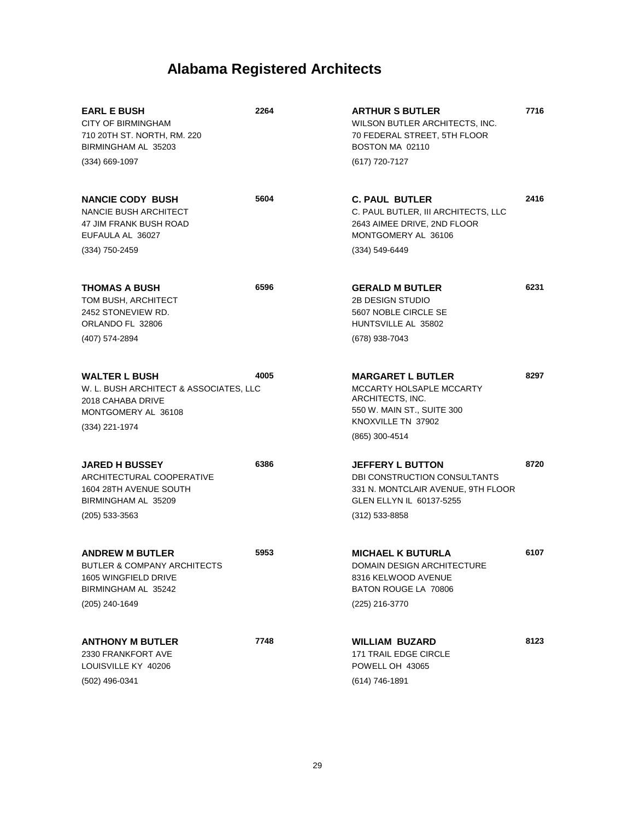| <b>EARL E BUSH</b><br><b>CITY OF BIRMINGHAM</b><br>710 20TH ST. NORTH, RM. 220<br>BIRMINGHAM AL 35203                             | 2264 | <b>ARTHUR S BUTLER</b><br>WILSON BUTLER ARCHITECTS, INC.<br>70 FEDERAL STREET, 5TH FLOOR<br>BOSTON MA 02110                                    | 7716 |
|-----------------------------------------------------------------------------------------------------------------------------------|------|------------------------------------------------------------------------------------------------------------------------------------------------|------|
| $(334)$ 669-1097                                                                                                                  |      | (617) 720-7127                                                                                                                                 |      |
| <b>NANCIE CODY BUSH</b><br><b>NANCIE BUSH ARCHITECT</b><br>47 JIM FRANK BUSH ROAD<br>EUFAULA AL 36027                             | 5604 | <b>C. PAUL BUTLER</b><br>C. PAUL BUTLER, III ARCHITECTS, LLC<br>2643 AIMEE DRIVE, 2ND FLOOR<br>MONTGOMERY AL 36106                             | 2416 |
| $(334)$ 750-2459                                                                                                                  |      | $(334) 549 - 6449$                                                                                                                             |      |
| <b>THOMAS A BUSH</b><br>TOM BUSH, ARCHITECT<br>2452 STONEVIEW RD.<br>ORLANDO FL 32806<br>(407) 574-2894                           | 6596 | <b>GERALD M BUTLER</b><br>2B DESIGN STUDIO<br>5607 NOBLE CIRCLE SE<br>HUNTSVILLE AL 35802<br>(678) 938-7043                                    | 6231 |
| <b>WALTER L BUSH</b><br>W. L. BUSH ARCHITECT & ASSOCIATES, LLC<br>2018 CAHABA DRIVE<br>MONTGOMERY AL 36108<br>(334) 221-1974      | 4005 | <b>MARGARET L BUTLER</b><br>MCCARTY HOLSAPLE MCCARTY<br>ARCHITECTS, INC.<br>550 W. MAIN ST., SUITE 300<br>KNOXVILLE TN 37902<br>(865) 300-4514 | 8297 |
| <b>JARED H BUSSEY</b><br>ARCHITECTURAL COOPERATIVE<br>1604 28TH AVENUE SOUTH<br>BIRMINGHAM AL 35209<br>$(205)$ 533-3563           | 6386 | <b>JEFFERY L BUTTON</b><br>DBI CONSTRUCTION CONSULTANTS<br>331 N. MONTCLAIR AVENUE, 9TH FLOOR<br>GLEN ELLYN IL 60137-5255<br>$(312)$ 533-8858  | 8720 |
| <b>ANDREW M BUTLER</b><br><b>BUTLER &amp; COMPANY ARCHITECTS</b><br>1605 WINGFIELD DRIVE<br>BIRMINGHAM AL 35242<br>(205) 240-1649 | 5953 | <b>MICHAEL K BUTURLA</b><br>DOMAIN DESIGN ARCHITECTURE<br>8316 KELWOOD AVENUE<br>BATON ROUGE LA 70806<br>(225) 216-3770                        | 6107 |
| <b>ANTHONY M BUTLER</b><br>2330 FRANKFORT AVE<br>LOUISVILLE KY 40206<br>$(502)$ 496-0341                                          | 7748 | <b>WILLIAM BUZARD</b><br><b>171 TRAIL EDGE CIRCLE</b><br>POWELL OH 43065<br>(614) 746-1891                                                     | 8123 |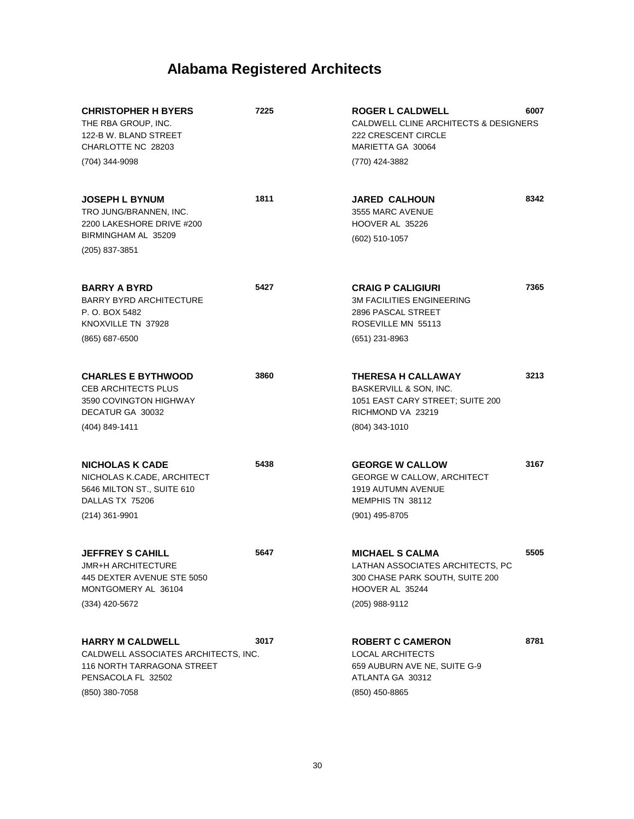| <b>CHRISTOPHER H BYERS</b><br>THE RBA GROUP, INC.<br>122-B W. BLAND STREET<br>CHARLOTTE NC 28203<br>(704) 344-9098                           | 7225 | <b>ROGER L CALDWELL</b><br>CALDWELL CLINE ARCHITECTS & DESIGNERS<br>222 CRESCENT CIRCLE<br>MARIETTA GA 30064<br>(770) 424-3882     | 6007 |
|----------------------------------------------------------------------------------------------------------------------------------------------|------|------------------------------------------------------------------------------------------------------------------------------------|------|
| <b>JOSEPH L BYNUM</b><br>TRO JUNG/BRANNEN, INC.<br>2200 LAKESHORE DRIVE #200<br>BIRMINGHAM AL 35209<br>(205) 837-3851                        | 1811 | <b>JARED CALHOUN</b><br>3555 MARC AVENUE<br>HOOVER AL 35226<br>(602) 510-1057                                                      | 8342 |
| <b>BARRY A BYRD</b><br><b>BARRY BYRD ARCHITECTURE</b><br>P. O. BOX 5482<br>KNOXVILLE TN 37928<br>$(865)$ 687-6500                            | 5427 | <b>CRAIG P CALIGIURI</b><br><b>3M FACILITIES ENGINEERING</b><br>2896 PASCAL STREET<br>ROSEVILLE MN 55113<br>(651) 231-8963         | 7365 |
| <b>CHARLES E BYTHWOOD</b><br><b>CEB ARCHITECTS PLUS</b><br>3590 COVINGTON HIGHWAY<br>DECATUR GA 30032<br>(404) 849-1411                      | 3860 | <b>THERESA H CALLAWAY</b><br>BASKERVILL & SON, INC.<br>1051 EAST CARY STREET; SUITE 200<br>RICHMOND VA 23219<br>(804) 343-1010     | 3213 |
| <b>NICHOLAS K CADE</b><br>NICHOLAS K.CADE, ARCHITECT<br>5646 MILTON ST., SUITE 610<br>DALLAS TX 75206<br>$(214)$ 361-9901                    | 5438 | <b>GEORGE W CALLOW</b><br><b>GEORGE W CALLOW, ARCHITECT</b><br>1919 AUTUMN AVENUE<br>MEMPHIS TN 38112<br>(901) 495-8705            | 3167 |
| <b>JEFFREY S CAHILL</b><br><b>JMR+H ARCHITECTURE</b><br>445 DEXTER AVENUE STE 5050<br>MONTGOMERY AL 36104<br>(334) 420-5672                  | 5647 | <b>MICHAEL S CALMA</b><br>LATHAN ASSOCIATES ARCHITECTS. PC<br>300 CHASE PARK SOUTH, SUITE 200<br>HOOVER AL 35244<br>(205) 988-9112 | 5505 |
| <b>HARRY M CALDWELL</b><br>CALDWELL ASSOCIATES ARCHITECTS, INC.<br><b>116 NORTH TARRAGONA STREET</b><br>PENSACOLA FL 32502<br>(850) 380-7058 | 3017 | <b>ROBERT C CAMERON</b><br><b>LOCAL ARCHITECTS</b><br>659 AUBURN AVE NE, SUITE G-9<br>ATLANTA GA 30312<br>(850) 450-8865           | 8781 |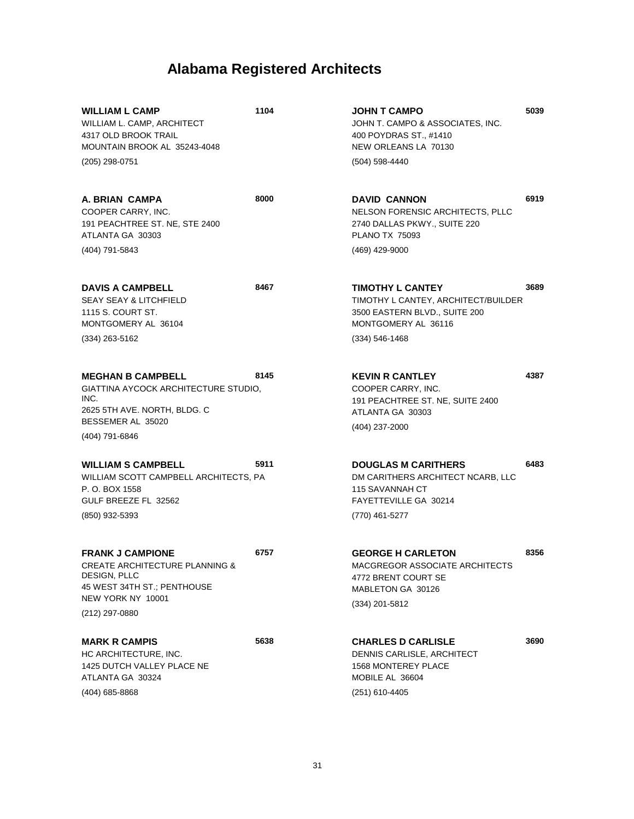| <b>WILLIAM L CAMP</b><br>WILLIAM L. CAMP, ARCHITECT<br>4317 OLD BROOK TRAIL<br>MOUNTAIN BROOK AL 35243-4048<br>(205) 298-0751                              | 1104 | <b>JOHN T CAMPO</b><br>JOHN T. CAMPO & ASSOCIATES, INC.<br>400 POYDRAS ST., #1410<br>NEW ORLEANS LA 70130<br>$(504)$ 598-4440      | 5039 |
|------------------------------------------------------------------------------------------------------------------------------------------------------------|------|------------------------------------------------------------------------------------------------------------------------------------|------|
| A. BRIAN CAMPA<br>COOPER CARRY, INC.<br>191 PEACHTREE ST. NE, STE 2400<br>ATLANTA GA 30303<br>(404) 791-5843                                               | 8000 | <b>DAVID CANNON</b><br>NELSON FORENSIC ARCHITECTS, PLLC<br>2740 DALLAS PKWY., SUITE 220<br><b>PLANO TX 75093</b><br>(469) 429-9000 | 6919 |
| <b>DAVIS A CAMPBELL</b><br><b>SEAY SEAY &amp; LITCHFIELD</b>                                                                                               | 8467 | <b>TIMOTHY L CANTEY</b><br>TIMOTHY L CANTEY, ARCHITECT/BUILDER                                                                     | 3689 |
| 1115 S. COURT ST.<br>MONTGOMERY AL 36104                                                                                                                   |      | 3500 EASTERN BLVD., SUITE 200<br>MONTGOMERY AL 36116                                                                               |      |
| $(334)$ 263-5162                                                                                                                                           |      | $(334) 546 - 1468$                                                                                                                 |      |
| <b>MEGHAN B CAMPBELL</b><br>GIATTINA AYCOCK ARCHITECTURE STUDIO,<br>INC.<br>2625 5TH AVE. NORTH, BLDG. C                                                   | 8145 | <b>KEVIN R CANTLEY</b><br>COOPER CARRY, INC.<br>191 PEACHTREE ST. NE, SUITE 2400<br>ATLANTA GA 30303                               | 4387 |
| BESSEMER AL 35020<br>(404) 791-6846                                                                                                                        |      | (404) 237-2000                                                                                                                     |      |
| <b>WILLIAM S CAMPBELL</b><br>WILLIAM SCOTT CAMPBELL ARCHITECTS, PA<br>P. O. BOX 1558<br>GULF BREEZE FL 32562<br>(850) 932-5393                             | 5911 | <b>DOUGLAS M CARITHERS</b><br>DM CARITHERS ARCHITECT NCARB, LLC<br>115 SAVANNAH CT<br>FAYETTEVILLE GA 30214<br>(770) 461-5277      | 6483 |
| <b>FRANK J CAMPIONE</b><br><b>CREATE ARCHITECTURE PLANNING &amp;</b><br>DESIGN, PLLC<br>45 WEST 34TH ST.; PENTHOUSE<br>NEW YORK NY 10001<br>(212) 297-0880 | 6757 | <b>GEORGE H CARLETON</b><br>MACGREGOR ASSOCIATE ARCHITECTS<br>4772 BRENT COURT SE<br>MABLETON GA 30126<br>(334) 201-5812           | 8356 |
| <b>MARK R CAMPIS</b><br>HC ARCHITECTURE, INC.                                                                                                              | 5638 | <b>CHARLES D CARLISLE</b><br>DENNIS CARLISLE, ARCHITECT                                                                            | 3690 |

HC ARCHITECTURE, INC. 1425 DUTCH VALLEY PLACE NE ATLANTA GA 30324 (404) 685-8868

31

1568 MONTEREY PLACE MOBILE AL 36604

(251) 610-4405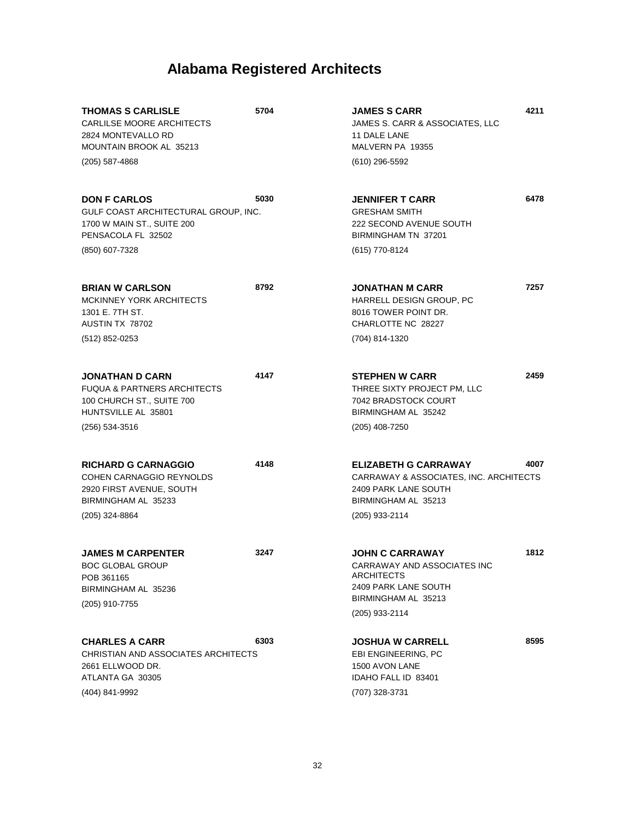| <b>THOMAS S CARLISLE</b><br>CARLILSE MOORE ARCHITECTS<br>2824 MONTEVALLO RD<br>MOUNTAIN BROOK AL 35213                 | 5704 | <b>JAMES S CARR</b><br>JAMES S. CARR & ASSOCIATES, LLC<br>11 DALE LANE<br>MALVERN PA 19355                                           | 4211 |
|------------------------------------------------------------------------------------------------------------------------|------|--------------------------------------------------------------------------------------------------------------------------------------|------|
| (205) 587-4868                                                                                                         |      | (610) 296-5592                                                                                                                       |      |
| <b>DON F CARLOS</b><br>GULF COAST ARCHITECTURAL GROUP, INC.<br>1700 W MAIN ST., SUITE 200<br>PENSACOLA FL 32502        | 5030 | <b>JENNIFER T CARR</b><br><b>GRESHAM SMITH</b><br>222 SECOND AVENUE SOUTH<br>BIRMINGHAM TN 37201                                     | 6478 |
| (850) 607-7328                                                                                                         |      | (615) 770-8124                                                                                                                       |      |
| <b>BRIAN W CARLSON</b><br>MCKINNEY YORK ARCHITECTS<br>1301 E. 7TH ST.<br>AUSTIN TX 78702                               | 8792 | <b>JONATHAN M CARR</b><br>HARRELL DESIGN GROUP, PC<br>8016 TOWER POINT DR.<br>CHARLOTTE NC 28227                                     | 7257 |
| (512) 852-0253                                                                                                         |      | (704) 814-1320                                                                                                                       |      |
| <b>JONATHAN D CARN</b><br>FUQUA & PARTNERS ARCHITECTS<br>100 CHURCH ST., SUITE 700<br>HUNTSVILLE AL 35801              | 4147 | <b>STEPHEN W CARR</b><br>THREE SIXTY PROJECT PM, LLC<br>7042 BRADSTOCK COURT<br>BIRMINGHAM AL 35242                                  | 2459 |
| (256) 534-3516                                                                                                         |      | (205) 408-7250                                                                                                                       |      |
| <b>RICHARD G CARNAGGIO</b><br>COHEN CARNAGGIO REYNOLDS<br>2920 FIRST AVENUE, SOUTH<br>BIRMINGHAM AL 35233              | 4148 | <b>ELIZABETH G CARRAWAY</b><br>CARRAWAY & ASSOCIATES, INC. ARCHITECTS<br>2409 PARK LANE SOUTH<br>BIRMINGHAM AL 35213                 | 4007 |
| (205) 324-8864                                                                                                         |      | (205) 933-2114                                                                                                                       |      |
| <b>JAMES M CARPENTER</b><br><b>BOC GLOBAL GROUP</b><br>POB 361165<br>BIRMINGHAM AL 35236<br>(205) 910-7755             | 3247 | <b>JOHN C CARRAWAY</b><br>CARRAWAY AND ASSOCIATES INC<br>ARCHITECTS<br>2409 PARK LANE SOUTH<br>BIRMINGHAM AL 35213<br>(205) 933-2114 | 1812 |
| <b>CHARLES A CARR</b><br>CHRISTIAN AND ASSOCIATES ARCHITECTS<br>2661 ELLWOOD DR.<br>ATLANTA GA 30305<br>(404) 841-9992 | 6303 | JOSHUA W CARRELL<br>EBI ENGINEERING, PC<br>1500 AVON LANE<br>IDAHO FALL ID 83401<br>(707) 328-3731                                   | 8595 |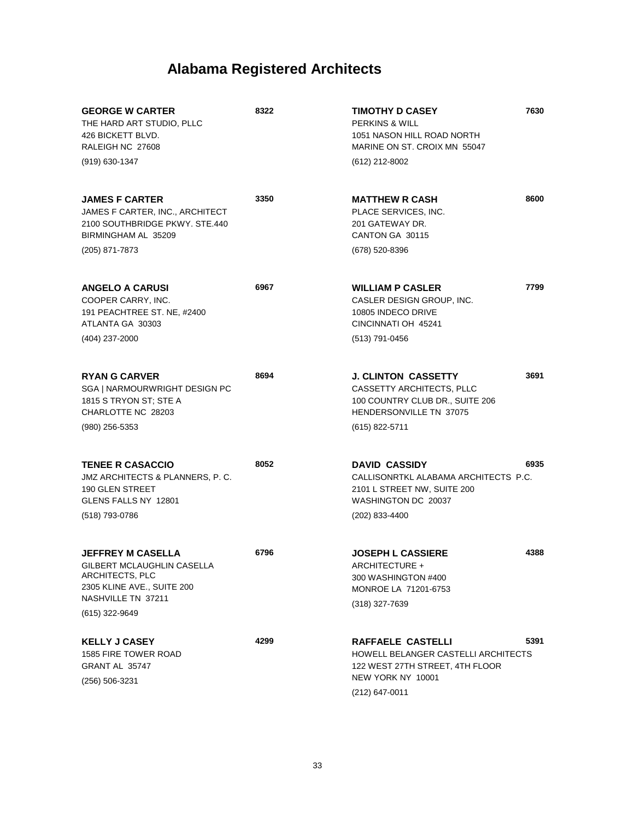| <b>GEORGE W CARTER</b><br>THE HARD ART STUDIO, PLLC<br>426 BICKETT BLVD.<br>RALEIGH NC 27608                                                    | 8322 | <b>TIMOTHY D CASEY</b><br><b>PERKINS &amp; WILL</b><br>1051 NASON HILL ROAD NORTH<br>MARINE ON ST. CROIX MN 55047                  | 7630 |
|-------------------------------------------------------------------------------------------------------------------------------------------------|------|------------------------------------------------------------------------------------------------------------------------------------|------|
| $(919)$ 630-1347                                                                                                                                |      | (612) 212-8002                                                                                                                     |      |
| <b>JAMES F CARTER</b><br>JAMES F CARTER, INC., ARCHITECT<br>2100 SOUTHBRIDGE PKWY, STE.440<br>BIRMINGHAM AL 35209                               | 3350 | <b>MATTHEW R CASH</b><br>PLACE SERVICES. INC.<br>201 GATEWAY DR.<br>CANTON GA 30115                                                | 8600 |
| (205) 871-7873                                                                                                                                  |      | (678) 520-8396                                                                                                                     |      |
| <b>ANGELO A CARUSI</b><br>COOPER CARRY, INC.<br>191 PEACHTREE ST. NE, #2400<br>ATLANTA GA 30303                                                 | 6967 | <b>WILLIAM P CASLER</b><br>CASLER DESIGN GROUP, INC.<br>10805 INDECO DRIVE<br>CINCINNATI OH 45241                                  | 7799 |
| (404) 237-2000                                                                                                                                  |      | (513) 791-0456                                                                                                                     |      |
| <b>RYAN G CARVER</b><br>SGA   NARMOURWRIGHT DESIGN PC<br>1815 S TRYON ST; STE A<br>CHARLOTTE NC 28203                                           | 8694 | <b>J. CLINTON CASSETTY</b><br>CASSETTY ARCHITECTS, PLLC<br>100 COUNTRY CLUB DR., SUITE 206<br>HENDERSONVILLE TN 37075              | 3691 |
| $(980)$ 256-5353                                                                                                                                |      | (615) 822-5711                                                                                                                     |      |
| <b>TENEE R CASACCIO</b><br>JMZ ARCHITECTS & PLANNERS, P. C.<br>190 GLEN STREET<br>GLENS FALLS NY 12801                                          | 8052 | <b>DAVID CASSIDY</b><br>CALLISONRTKL ALABAMA ARCHITECTS P.C.<br>2101 L STREET NW, SUITE 200<br>WASHINGTON DC 20037                 | 6935 |
| (518) 793-0786                                                                                                                                  |      | (202) 833-4400                                                                                                                     |      |
| <b>JEFFREY M CASELLA</b><br>GILBERT MCLAUGHLIN CASELLA<br>ARCHITECTS, PLC<br>2305 KLINE AVE., SUITE 200<br>NASHVILLE TN 37211<br>(615) 322-9649 | 6796 | <b>JOSEPH L CASSIERE</b><br>ARCHITECTURE +<br>300 WASHINGTON #400<br>MONROE LA 71201-6753<br>(318) 327-7639                        | 4388 |
| <b>KELLY J CASEY</b><br>1585 FIRE TOWER ROAD<br>GRANT AL 35747<br>(256) 506-3231                                                                | 4299 | RAFFAELE CASTELLI<br>HOWELL BELANGER CASTELLI ARCHITECTS<br>122 WEST 27TH STREET, 4TH FLOOR<br>NEW YORK NY 10001<br>(212) 647-0011 | 5391 |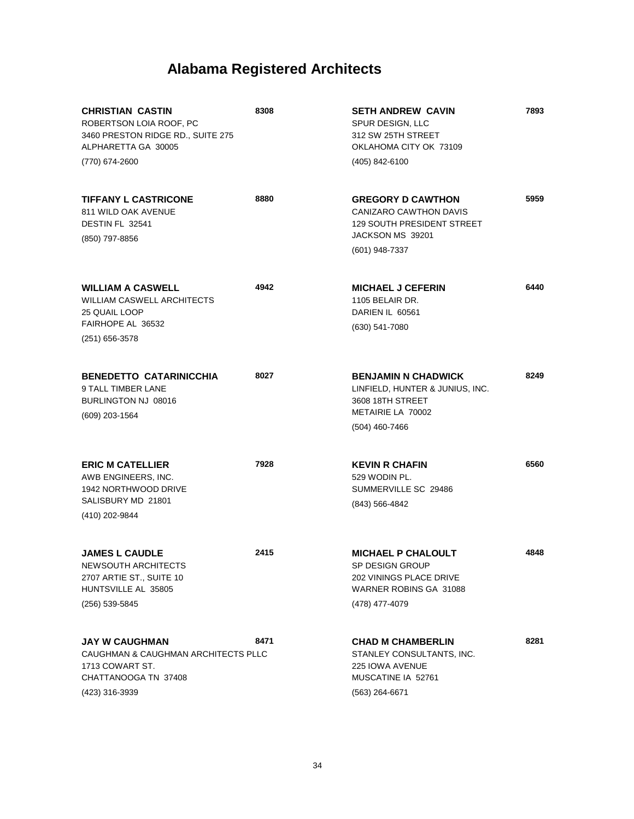| <b>CHRISTIAN CASTIN</b><br>ROBERTSON LOIA ROOF, PC<br>3460 PRESTON RIDGE RD., SUITE 275<br>ALPHARETTA GA 30005<br>(770) 674-2600 | 8308 | <b>SETH ANDREW CAVIN</b><br>SPUR DESIGN, LLC<br>312 SW 25TH STREET<br>OKLAHOMA CITY OK 73109<br>(405) 842-6100                | 7893 |
|----------------------------------------------------------------------------------------------------------------------------------|------|-------------------------------------------------------------------------------------------------------------------------------|------|
| <b>TIFFANY L CASTRICONE</b><br>811 WILD OAK AVENUE<br>DESTIN FL 32541<br>(850) 797-8856                                          | 8880 | <b>GREGORY D CAWTHON</b><br>CANIZARO CAWTHON DAVIS<br><b>129 SOUTH PRESIDENT STREET</b><br>JACKSON MS 39201<br>(601) 948-7337 | 5959 |
| <b>WILLIAM A CASWELL</b><br><b>WILLIAM CASWELL ARCHITECTS</b><br><b>25 QUAIL LOOP</b><br>FAIRHOPE AL 36532<br>$(251)$ 656-3578   | 4942 | <b>MICHAEL J CEFERIN</b><br>1105 BELAIR DR.<br>DARIEN IL 60561<br>(630) 541-7080                                              | 6440 |
| <b>BENEDETTO CATARINICCHIA</b><br>9 TALL TIMBER LANE<br>BURLINGTON NJ 08016<br>(609) 203-1564                                    | 8027 | <b>BENJAMIN N CHADWICK</b><br>LINFIELD, HUNTER & JUNIUS, INC.<br>3608 18TH STREET<br>METAIRIE LA 70002<br>(504) 460-7466      | 8249 |
| <b>ERIC M CATELLIER</b><br>AWB ENGINEERS, INC.<br>1942 NORTHWOOD DRIVE<br>SALISBURY MD 21801<br>(410) 202-9844                   | 7928 | <b>KEVIN R CHAFIN</b><br>529 WODIN PL.<br>SUMMERVILLE SC 29486<br>(843) 566-4842                                              | 6560 |
| <b>JAMES L CAUDLE</b><br>NEWSOUTH ARCHITECTS<br>2707 ARTIE ST., SUITE 10<br>HUNTSVILLE AL 35805<br>(256) 539-5845                | 2415 | <b>MICHAEL P CHALOULT</b><br>SP DESIGN GROUP<br>202 VININGS PLACE DRIVE<br>WARNER ROBINS GA 31088<br>(478) 477-4079           | 4848 |
| <b>JAY W CAUGHMAN</b><br>CAUGHMAN & CAUGHMAN ARCHITECTS PLLC<br>1713 COWART ST.<br>CHATTANOOGA TN 37408<br>(423) 316-3939        | 8471 | <b>CHAD M CHAMBERLIN</b><br>STANLEY CONSULTANTS, INC.<br><b>225 IOWA AVENUE</b><br>MUSCATINE IA 52761<br>(563) 264-6671       | 8281 |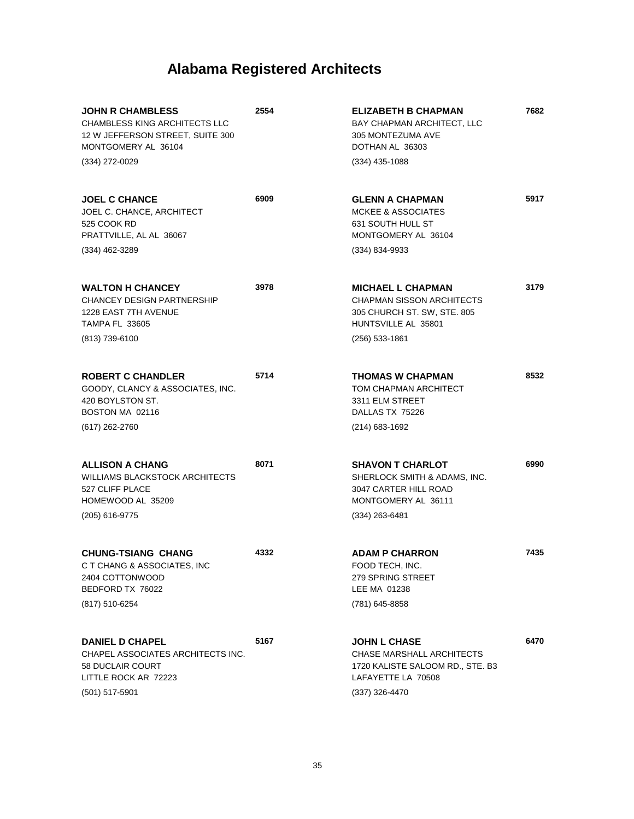| <b>JOHN R CHAMBLESS</b><br><b>CHAMBLESS KING ARCHITECTS LLC</b><br>12 W JEFFERSON STREET, SUITE 300<br>MONTGOMERY AL 36104<br>(334) 272-0029 | 2554 | <b>ELIZABETH B CHAPMAN</b><br>BAY CHAPMAN ARCHITECT, LLC<br>305 MONTEZUMA AVE<br>DOTHAN AL 36303<br>$(334)$ 435-1088                   | 7682 |
|----------------------------------------------------------------------------------------------------------------------------------------------|------|----------------------------------------------------------------------------------------------------------------------------------------|------|
| <b>JOEL C CHANCE</b><br>JOEL C. CHANCE, ARCHITECT<br>525 COOK RD<br>PRATTVILLE, AL AL 36067<br>$(334)$ 462-3289                              | 6909 | <b>GLENN A CHAPMAN</b><br>MCKEE & ASSOCIATES<br>631 SOUTH HULL ST<br>MONTGOMERY AL 36104<br>(334) 834-9933                             | 5917 |
| <b>WALTON H CHANCEY</b><br><b>CHANCEY DESIGN PARTNERSHIP</b><br>1228 EAST 7TH AVENUE<br><b>TAMPA FL 33605</b><br>(813) 739-6100              | 3978 | <b>MICHAEL L CHAPMAN</b><br><b>CHAPMAN SISSON ARCHITECTS</b><br>305 CHURCH ST. SW, STE. 805<br>HUNTSVILLE AL 35801<br>$(256)$ 533-1861 | 3179 |
| <b>ROBERT C CHANDLER</b><br>GOODY, CLANCY & ASSOCIATES, INC.<br>420 BOYLSTON ST.<br>BOSTON MA 02116<br>$(617)$ 262-2760                      | 5714 | <b>THOMAS W CHAPMAN</b><br>TOM CHAPMAN ARCHITECT<br>3311 ELM STREET<br>DALLAS TX 75226<br>$(214)$ 683-1692                             | 8532 |
| <b>ALLISON A CHANG</b><br>WILLIAMS BLACKSTOCK ARCHITECTS<br>527 CLIFF PLACE<br>HOMEWOOD AL 35209<br>(205) 616-9775                           | 8071 | <b>SHAVON T CHARLOT</b><br>SHERLOCK SMITH & ADAMS, INC.<br>3047 CARTER HILL ROAD<br>MONTGOMERY AL 36111<br>$(334)$ 263-6481            | 6990 |
| <b>CHUNG-TSIANG CHANG</b><br>C T CHANG & ASSOCIATES, INC<br>2404 COTTONWOOD<br>BEDFORD TX 76022<br>(817) 510-6254                            | 4332 | <b>ADAM P CHARRON</b><br>FOOD TECH, INC.<br>279 SPRING STREET<br>LEE MA 01238<br>(781) 645-8858                                        | 7435 |
| <b>DANIEL D CHAPEL</b><br>CHAPEL ASSOCIATES ARCHITECTS INC.<br>58 DUCLAIR COURT<br>LITTLE ROCK AR 72223<br>$(501)$ 517-5901                  | 5167 | <b>JOHN L CHASE</b><br>CHASE MARSHALL ARCHITECTS<br>1720 KALISTE SALOOM RD., STE. B3<br>LAFAYETTE LA 70508<br>$(337)$ 326-4470         | 6470 |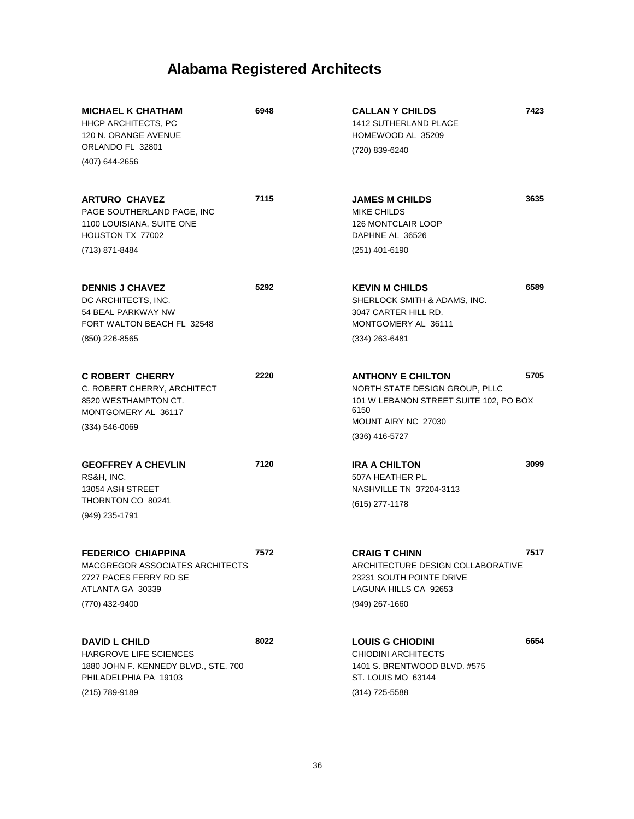| <b>MICHAEL K CHATHAM</b><br><b>HHCP ARCHITECTS, PC</b><br>120 N. ORANGE AVENUE                                                           | 6948 | <b>CALLAN Y CHILDS</b><br><b>1412 SUTHERLAND PLACE</b><br>HOMEWOOD AL 35209                                                         | 7423 |
|------------------------------------------------------------------------------------------------------------------------------------------|------|-------------------------------------------------------------------------------------------------------------------------------------|------|
| ORLANDO FL 32801<br>(407) 644-2656                                                                                                       |      | (720) 839-6240                                                                                                                      |      |
| <b>ARTURO CHAVEZ</b><br>PAGE SOUTHERLAND PAGE, INC<br>1100 LOUISIANA, SUITE ONE<br>HOUSTON TX 77002                                      | 7115 | <b>JAMES M CHILDS</b><br><b>MIKE CHILDS</b><br><b>126 MONTCLAIR LOOP</b><br>DAPHNE AL 36526                                         | 3635 |
| (713) 871-8484                                                                                                                           |      | $(251)$ 401-6190                                                                                                                    |      |
| <b>DENNIS J CHAVEZ</b><br>DC ARCHITECTS, INC.<br>54 BEAL PARKWAY NW<br>FORT WALTON BEACH FL 32548                                        | 5292 | <b>KEVIN M CHILDS</b><br>SHERLOCK SMITH & ADAMS, INC.<br>3047 CARTER HILL RD.<br>MONTGOMERY AL 36111                                | 6589 |
| (850) 226-8565                                                                                                                           |      | $(334)$ 263-6481                                                                                                                    |      |
| <b>C ROBERT CHERRY</b><br>C. ROBERT CHERRY, ARCHITECT<br>8520 WESTHAMPTON CT.<br>MONTGOMERY AL 36117<br>$(334) 546 - 0069$               | 2220 | <b>ANTHONY E CHILTON</b><br>NORTH STATE DESIGN GROUP, PLLC<br>101 W LEBANON STREET SUITE 102, PO BOX<br>6150<br>MOUNT AIRY NC 27030 | 5705 |
|                                                                                                                                          |      | (336) 416-5727                                                                                                                      |      |
| <b>GEOFFREY A CHEVLIN</b><br>RS&H, INC.<br>13054 ASH STREET<br>THORNTON CO 80241<br>(949) 235-1791                                       | 7120 | <b>IRA A CHILTON</b><br>507A HEATHER PL.<br>NASHVILLE TN 37204-3113<br>$(615)$ 277-1178                                             | 3099 |
| <b>FEDERICO CHIAPPINA</b><br>MACGREGOR ASSOCIATES ARCHITECTS<br>2727 PACES FERRY RD SE<br>ATLANTA GA 30339<br>(770) 432-9400             | 7572 | <b>CRAIG T CHINN</b><br>ARCHITECTURE DESIGN COLLABORATIVE<br>23231 SOUTH POINTE DRIVE<br>LAGUNA HILLS CA 92653<br>$(949)$ 267-1660  | 7517 |
|                                                                                                                                          |      |                                                                                                                                     |      |
| <b>DAVID L CHILD</b><br><b>HARGROVE LIFE SCIENCES</b><br>1880 JOHN F. KENNEDY BLVD., STE. 700<br>PHILADELPHIA PA 19103<br>(215) 789-9189 | 8022 | <b>LOUIS G CHIODINI</b><br><b>CHIODINI ARCHITECTS</b><br>1401 S. BRENTWOOD BLVD, #575<br>ST. LOUIS MO 63144<br>(314) 725-5588       | 6654 |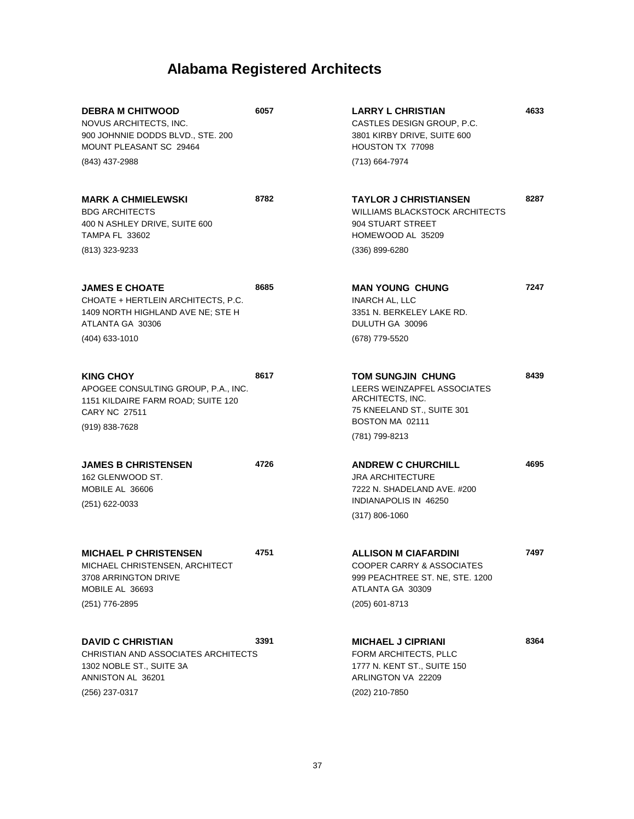| <b>DEBRA M CHITWOOD</b><br>NOVUS ARCHITECTS, INC.<br>900 JOHNNIE DODDS BLVD., STE. 200<br>MOUNT PLEASANT SC 29464<br>(843) 437-2988     | 6057 | <b>LARRY L CHRISTIAN</b><br>CASTLES DESIGN GROUP, P.C.<br>3801 KIRBY DRIVE, SUITE 600<br>HOUSTON TX 77098<br>(713) 664-7974             | 4633 |
|-----------------------------------------------------------------------------------------------------------------------------------------|------|-----------------------------------------------------------------------------------------------------------------------------------------|------|
| <b>MARK A CHMIELEWSKI</b><br><b>BDG ARCHITECTS</b><br>400 N ASHLEY DRIVE, SUITE 600<br><b>TAMPA FL 33602</b><br>(813) 323-9233          | 8782 | <b>TAYLOR J CHRISTIANSEN</b><br><b>WILLIAMS BLACKSTOCK ARCHITECTS</b><br>904 STUART STREET<br>HOMEWOOD AL 35209<br>$(336) 899 - 6280$   | 8287 |
| <b>JAMES E CHOATE</b><br>CHOATE + HERTLEIN ARCHITECTS, P.C.<br>1409 NORTH HIGHLAND AVE NE; STE H<br>ATLANTA GA 30306<br>(404) 633-1010  | 8685 | <b>MAN YOUNG CHUNG</b><br><b>INARCH AL, LLC</b><br>3351 N. BERKELEY LAKE RD.<br>DULUTH GA 30096<br>(678) 779-5520                       | 7247 |
| <b>KING CHOY</b><br>APOGEE CONSULTING GROUP, P.A., INC.<br>1151 KILDAIRE FARM ROAD; SUITE 120<br><b>CARY NC 27511</b><br>(919) 838-7628 | 8617 | TOM SUNGJIN CHUNG<br>LEERS WEINZAPFEL ASSOCIATES<br>ARCHITECTS, INC.<br>75 KNEELAND ST., SUITE 301<br>BOSTON MA 02111<br>(781) 799-8213 | 8439 |
| <b>JAMES B CHRISTENSEN</b><br>162 GLENWOOD ST.<br>MOBILE AL 36606<br>(251) 622-0033                                                     | 4726 | <b>ANDREW C CHURCHILL</b><br><b>JRA ARCHITECTURE</b><br>7222 N. SHADELAND AVE, #200<br>INDIANAPOLIS IN 46250<br>$(317) 806 - 1060$      | 4695 |
| <b>MICHAEL P CHRISTENSEN</b><br>MICHAEL CHRISTENSEN, ARCHITECT<br>3708 ARRINGTON DRIVE<br>MOBILE AL 36693<br>(251) 776-2895             | 4751 | <b>ALLISON M CIAFARDINI</b><br>COOPER CARRY & ASSOCIATES<br>999 PEACHTREE ST. NE, STE. 1200<br>ATLANTA GA 30309<br>(205) 601-8713       | 7497 |
| <b>DAVID C CHRISTIAN</b><br>CHRISTIAN AND ASSOCIATES ARCHITECTS<br>1302 NOBLE ST., SUITE 3A<br>ANNISTON AL 36201<br>(256) 237-0317      | 3391 | <b>MICHAEL J CIPRIANI</b><br>FORM ARCHITECTS, PLLC<br>1777 N. KENT ST., SUITE 150<br>ARLINGTON VA 22209<br>(202) 210-7850               | 8364 |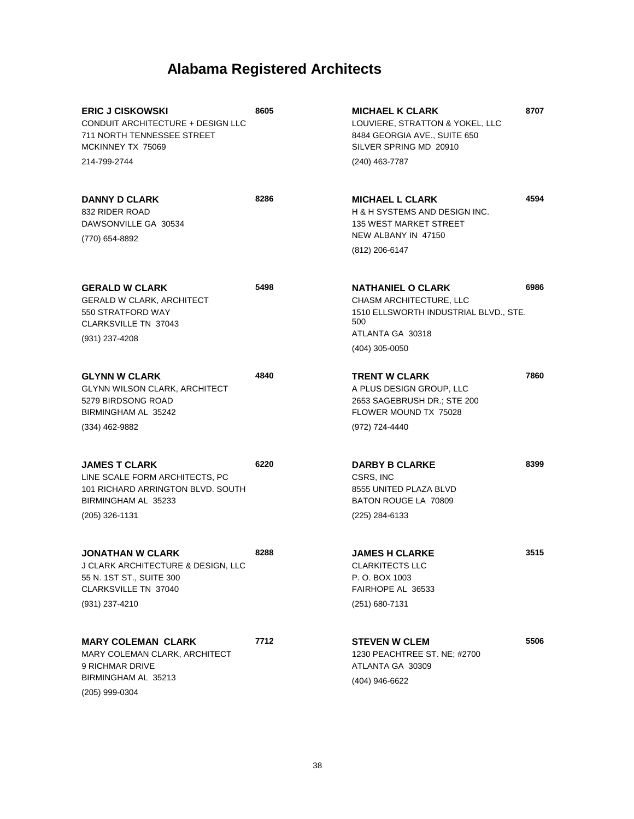| <b>ERIC J CISKOWSKI</b><br>CONDUIT ARCHITECTURE + DESIGN LLC<br><b>711 NORTH TENNESSEE STREET</b><br>MCKINNEY TX 75069          | 8605 | <b>MICHAEL K CLARK</b><br>LOUVIERE, STRATTON & YOKEL, LLC<br>8484 GEORGIA AVE., SUITE 650<br>SILVER SPRING MD 20910     | 8707 |
|---------------------------------------------------------------------------------------------------------------------------------|------|-------------------------------------------------------------------------------------------------------------------------|------|
| 214-799-2744                                                                                                                    |      | (240) 463-7787                                                                                                          |      |
| <b>DANNY D CLARK</b><br>832 RIDER ROAD<br>DAWSONVILLE GA 30534<br>(770) 654-8892                                                | 8286 | <b>MICHAEL L CLARK</b><br>H & H SYSTEMS AND DESIGN INC.<br><b>135 WEST MARKET STREET</b><br>NEW ALBANY IN 47150         | 4594 |
|                                                                                                                                 |      | (812) 206-6147                                                                                                          |      |
| <b>GERALD W CLARK</b><br><b>GERALD W CLARK, ARCHITECT</b><br>550 STRATFORD WAY<br><b>CLARKSVILLE TN 37043</b><br>(931) 237-4208 | 5498 | <b>NATHANIEL O CLARK</b><br>CHASM ARCHITECTURE, LLC<br>1510 ELLSWORTH INDUSTRIAL BLVD., STE.<br>500<br>ATLANTA GA 30318 | 6986 |
|                                                                                                                                 |      | $(404)$ 305-0050                                                                                                        |      |
| <b>GLYNN W CLARK</b><br><b>GLYNN WILSON CLARK, ARCHITECT</b><br>5279 BIRDSONG ROAD<br>BIRMINGHAM AL 35242                       | 4840 | <b>TRENT W CLARK</b><br>A PLUS DESIGN GROUP, LLC<br>2653 SAGEBRUSH DR.; STE 200<br>FLOWER MOUND TX 75028                | 7860 |
| (334) 462-9882                                                                                                                  |      | (972) 724-4440                                                                                                          |      |
| <b>JAMES T CLARK</b><br>LINE SCALE FORM ARCHITECTS, PC<br>101 RICHARD ARRINGTON BLVD, SOUTH<br>BIRMINGHAM AL 35233              | 6220 | <b>DARBY B CLARKE</b><br>CSRS, INC<br>8555 UNITED PLAZA BLVD<br>BATON ROUGE LA 70809                                    | 8399 |
| (205) 326-1131                                                                                                                  |      | (225) 284-6133                                                                                                          |      |
| <b>JONATHAN W CLARK</b><br>J CLARK ARCHITECTURE & DESIGN, LLC<br>55 N. 1ST ST., SUITE 300<br><b>CLARKSVILLE TN 37040</b>        | 8288 | <b>JAMES H CLARKE</b><br><b>CLARKITECTS LLC</b><br>P. O. BOX 1003<br>FAIRHOPE AL 36533                                  | 3515 |
| (931) 237-4210                                                                                                                  |      | (251) 680-7131                                                                                                          |      |
| <b>MARY COLEMAN CLARK</b><br>MARY COLEMAN CLARK, ARCHITECT<br>9 RICHMAR DRIVE<br>BIRMINGHAM AL 35213                            | 7712 | <b>STEVEN W CLEM</b><br>1230 PEACHTREE ST. NE; #2700<br>ATLANTA GA 30309<br>(404) 946-6622                              | 5506 |
| (205) 999-0304                                                                                                                  |      |                                                                                                                         |      |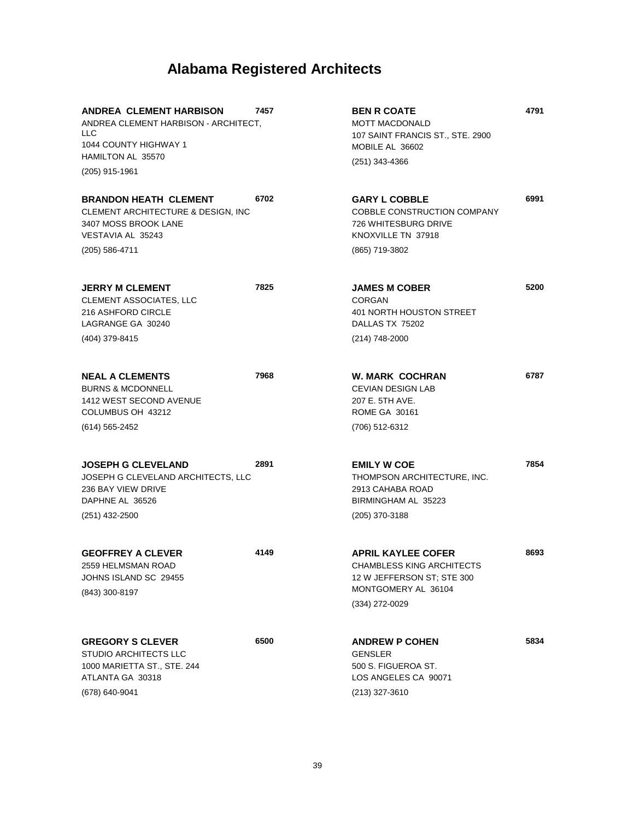| <b>ANDREA CLEMENT HARBISON</b><br>ANDREA CLEMENT HARBISON - ARCHITECT.<br>LLC<br>1044 COUNTY HIGHWAY 1<br><b>HAMILTON AL 35570</b><br>(205) 915-1961 | 7457 | <b>BEN R COATE</b><br><b>MOTT MACDONALD</b><br>107 SAINT FRANCIS ST., STE. 2900<br>MOBILE AL 36602<br>$(251)$ 343-4366                 | 4791 |
|------------------------------------------------------------------------------------------------------------------------------------------------------|------|----------------------------------------------------------------------------------------------------------------------------------------|------|
| <b>BRANDON HEATH CLEMENT</b><br>CLEMENT ARCHITECTURE & DESIGN, INC<br>3407 MOSS BROOK LANE<br>VESTAVIA AL 35243<br>(205) 586-4711                    | 6702 | <b>GARY L COBBLE</b><br>COBBLE CONSTRUCTION COMPANY<br>726 WHITESBURG DRIVE<br>KNOXVILLE TN 37918<br>(865) 719-3802                    | 6991 |
| <b>JERRY M CLEMENT</b><br>CLEMENT ASSOCIATES, LLC<br>216 ASHFORD CIRCLE<br>LAGRANGE GA 30240<br>(404) 379-8415                                       | 7825 | <b>JAMES M COBER</b><br><b>CORGAN</b><br>401 NORTH HOUSTON STREET<br>DALLAS TX 75202<br>(214) 748-2000                                 | 5200 |
| <b>NEAL A CLEMENTS</b><br><b>BURNS &amp; MCDONNELL</b><br>1412 WEST SECOND AVENUE<br>COLUMBUS OH 43212<br>$(614) 565 - 2452$                         | 7968 | <b>W. MARK COCHRAN</b><br><b>CEVIAN DESIGN LAB</b><br>207 E. 5TH AVE.<br><b>ROME GA 30161</b><br>(706) 512-6312                        | 6787 |
| <b>JOSEPH G CLEVELAND</b><br>JOSEPH G CLEVELAND ARCHITECTS, LLC<br>236 BAY VIEW DRIVE<br>DAPHNE AL 36526<br>(251) 432-2500                           | 2891 | <b>EMILY W COE</b><br>THOMPSON ARCHITECTURE, INC.<br>2913 CAHABA ROAD<br>BIRMINGHAM AL 35223<br>(205) 370-3188                         | 7854 |
| <b>GEOFFREY A CLEVER</b><br>2559 HELMSMAN ROAD<br>JOHNS ISLAND SC 29455<br>(843) 300-8197                                                            | 4149 | <b>APRIL KAYLEE COFER</b><br><b>CHAMBLESS KING ARCHITECTS</b><br>12 W JEFFERSON ST; STE 300<br>MONTGOMERY AL 36104<br>$(334)$ 272-0029 | 8693 |
| <b>GREGORY S CLEVER</b><br><b>STUDIO ARCHITECTS LLC</b><br>1000 MARIETTA ST., STE. 244<br>ATLANTA GA 30318<br>(678) 640-9041                         | 6500 | <b>ANDREW P COHEN</b><br><b>GENSLER</b><br>500 S. FIGUEROA ST.<br>LOS ANGELES CA 90071<br>(213) 327-3610                               | 5834 |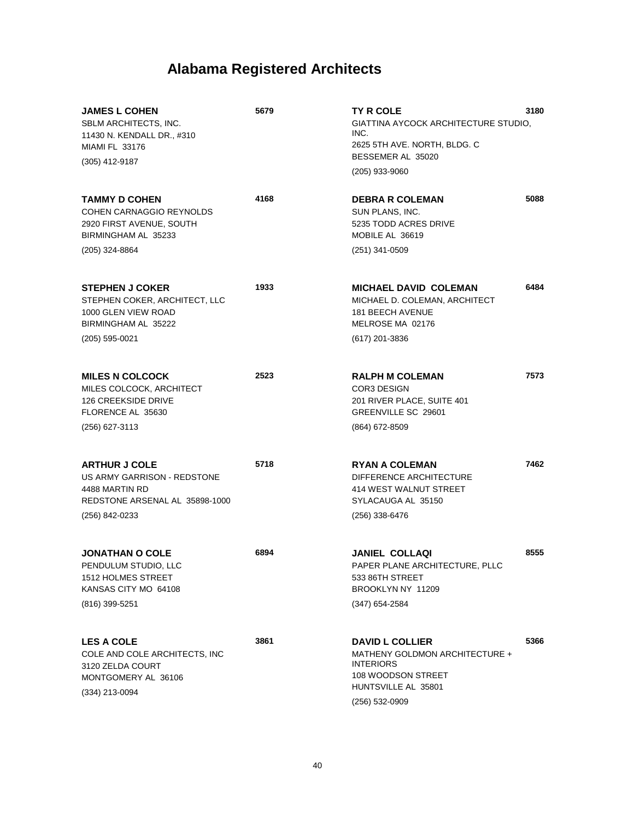| <b>JAMES L COHEN</b><br>SBLM ARCHITECTS, INC.<br>11430 N. KENDALL DR., #310<br><b>MIAMI FL 33176</b><br>(305) 412-9187    | 5679 | <b>TY R COLE</b><br>GIATTINA AYCOCK ARCHITECTURE STUDIO,<br>INC.<br>2625 5TH AVE. NORTH, BLDG. C<br>BESSEMER AL 35020<br>(205) 933-9060     | 3180 |
|---------------------------------------------------------------------------------------------------------------------------|------|---------------------------------------------------------------------------------------------------------------------------------------------|------|
| TAMMY D COHEN<br>COHEN CARNAGGIO REYNOLDS<br>2920 FIRST AVENUE, SOUTH<br>BIRMINGHAM AL 35233<br>(205) 324-8864            | 4168 | <b>DEBRA R COLEMAN</b><br>SUN PLANS, INC.<br>5235 TODD ACRES DRIVE<br>MOBILE AL 36619<br>(251) 341-0509                                     | 5088 |
| <b>STEPHEN J COKER</b><br>STEPHEN COKER, ARCHITECT, LLC<br>1000 GLEN VIEW ROAD<br>BIRMINGHAM AL 35222<br>(205) 595-0021   | 1933 | <b>MICHAEL DAVID COLEMAN</b><br>MICHAEL D. COLEMAN, ARCHITECT<br><b>181 BEECH AVENUE</b><br>MELROSE MA 02176<br>(617) 201-3836              | 6484 |
| <b>MILES N COLCOCK</b><br>MILES COLCOCK, ARCHITECT<br><b>126 CREEKSIDE DRIVE</b><br>FLORENCE AL 35630<br>(256) 627-3113   | 2523 | <b>RALPH M COLEMAN</b><br><b>COR3 DESIGN</b><br>201 RIVER PLACE, SUITE 401<br>GREENVILLE SC 29601<br>(864) 672-8509                         | 7573 |
| <b>ARTHUR J COLE</b><br>US ARMY GARRISON - REDSTONE<br>4488 MARTIN RD<br>REDSTONE ARSENAL AL 35898-1000<br>(256) 842-0233 | 5718 | <b>RYAN A COLEMAN</b><br>DIFFERENCE ARCHITECTURE<br>414 WEST WALNUT STREET<br>SYLACAUGA AL 35150<br>(256) 338-6476                          | 7462 |
| <b>JONATHAN O COLE</b><br>PENDULUM STUDIO, LLC<br>1512 HOLMES STREET<br>KANSAS CITY MO 64108<br>(816) 399-5251            | 6894 | <b>JANIEL COLLAQI</b><br>PAPER PLANE ARCHITECTURE, PLLC<br>533 86TH STREET<br>BROOKLYN NY 11209<br>(347) 654-2584                           | 8555 |
| <b>LES A COLE</b><br>COLE AND COLE ARCHITECTS, INC<br>3120 ZELDA COURT<br>MONTGOMERY AL 36106<br>(334) 213-0094           | 3861 | <b>DAVID L COLLIER</b><br>MATHENY GOLDMON ARCHITECTURE +<br><b>INTERIORS</b><br>108 WOODSON STREET<br>HUNTSVILLE AL 35801<br>(256) 532-0909 | 5366 |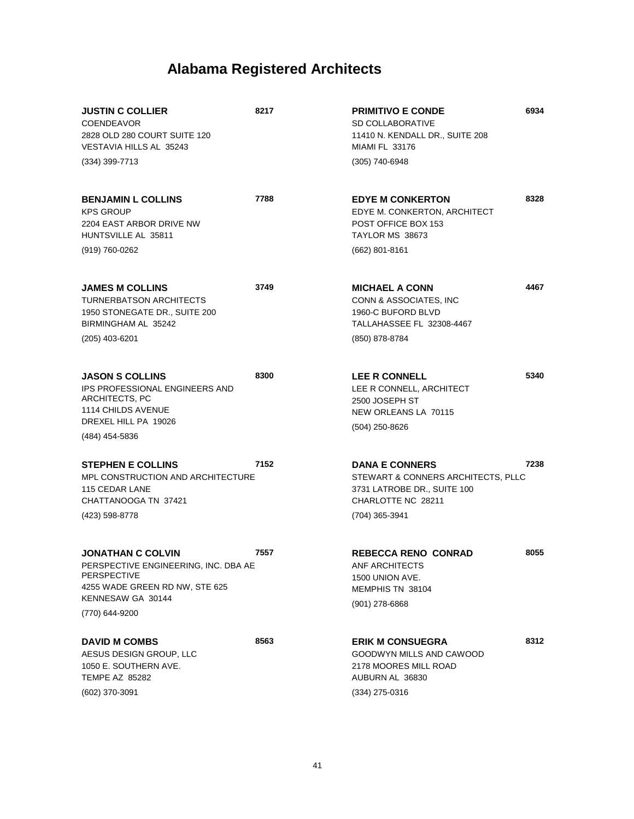| <b>JUSTIN C COLLIER</b><br><b>COENDEAVOR</b><br>2828 OLD 280 COURT SUITE 120<br>VESTAVIA HILLS AL 35243<br>(334) 399-7713                                       | 8217 | <b>PRIMITIVO E CONDE</b><br><b>SD COLLABORATIVE</b><br>11410 N. KENDALL DR., SUITE 208<br><b>MIAMI FL 33176</b><br>(305) 740-6948  | 6934 |
|-----------------------------------------------------------------------------------------------------------------------------------------------------------------|------|------------------------------------------------------------------------------------------------------------------------------------|------|
|                                                                                                                                                                 |      |                                                                                                                                    |      |
| <b>BENJAMIN L COLLINS</b><br><b>KPS GROUP</b><br>2204 EAST ARBOR DRIVE NW<br>HUNTSVILLE AL 35811                                                                | 7788 | <b>EDYE M CONKERTON</b><br>EDYE M. CONKERTON, ARCHITECT<br>POST OFFICE BOX 153<br>TAYLOR MS 38673                                  | 8328 |
| (919) 760-0262                                                                                                                                                  |      | $(662)$ 801-8161                                                                                                                   |      |
| <b>JAMES M COLLINS</b><br><b>TURNERBATSON ARCHITECTS</b><br>1950 STONEGATE DR., SUITE 200<br>BIRMINGHAM AL 35242                                                | 3749 | <b>MICHAEL A CONN</b><br>CONN & ASSOCIATES, INC<br>1960-C BUFORD BLVD<br>TALLAHASSEE FL 32308-4467                                 | 4467 |
| (205) 403-6201                                                                                                                                                  |      | (850) 878-8784                                                                                                                     |      |
|                                                                                                                                                                 |      |                                                                                                                                    |      |
| <b>JASON S COLLINS</b><br>IPS PROFESSIONAL ENGINEERS AND<br>ARCHITECTS, PC<br><b>1114 CHILDS AVENUE</b><br>DREXEL HILL PA 19026                                 | 8300 | <b>LEE R CONNELL</b><br>LEE R CONNELL, ARCHITECT<br>2500 JOSEPH ST<br>NEW ORLEANS LA 70115                                         | 5340 |
| (484) 454-5836                                                                                                                                                  |      | $(504)$ 250-8626                                                                                                                   |      |
| <b>STEPHEN E COLLINS</b><br>MPL CONSTRUCTION AND ARCHITECTURE<br>115 CEDAR LANE<br>CHATTANOOGA TN 37421<br>(423) 598-8778                                       | 7152 | <b>DANA E CONNERS</b><br>STEWART & CONNERS ARCHITECTS, PLLC<br>3731 LATROBE DR., SUITE 100<br>CHARLOTTE NC 28211<br>(704) 365-3941 | 7238 |
|                                                                                                                                                                 |      |                                                                                                                                    |      |
| <b>JONATHAN C COLVIN</b><br>PERSPECTIVE ENGINEERING, INC. DBA AE<br><b>PERSPECTIVE</b><br>4255 WADE GREEN RD NW, STE 625<br>KENNESAW GA 30144<br>(770) 644-9200 | 7557 | <b>REBECCA RENO CONRAD</b><br>ANF ARCHITECTS<br>1500 UNION AVE.<br>MEMPHIS TN 38104<br>$(901)$ 278-6868                            | 8055 |
|                                                                                                                                                                 |      |                                                                                                                                    |      |
| <b>DAVID M COMBS</b><br>AESUS DESIGN GROUP, LLC<br>1050 E. SOUTHERN AVE.<br><b>TEMPE AZ 85282</b>                                                               | 8563 | <b>ERIK M CONSUEGRA</b><br>GOODWYN MILLS AND CAWOOD<br>2178 MOORES MILL ROAD<br>AUBURN AL 36830                                    | 8312 |
| (602) 370-3091                                                                                                                                                  |      | (334) 275-0316                                                                                                                     |      |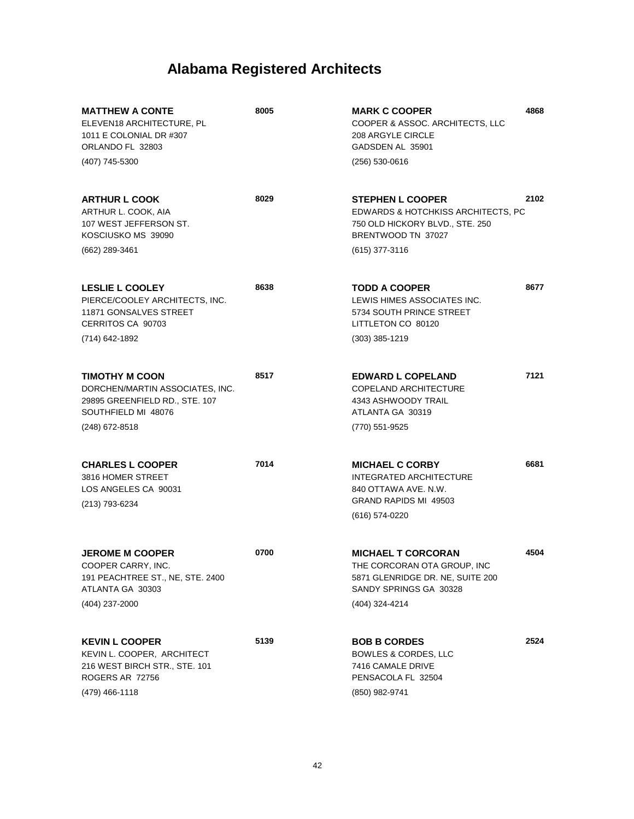| <b>MATTHEW A CONTE</b><br>ELEVEN18 ARCHITECTURE, PL<br>1011 E COLONIAL DR #307<br>ORLANDO FL 32803<br>(407) 745-5300 | 8005 | <b>MARK C COOPER</b><br>COOPER & ASSOC. ARCHITECTS, LLC<br>208 ARGYLE CIRCLE<br>GADSDEN AL 35901<br>$(256) 530 - 0616$      | 4868 |
|----------------------------------------------------------------------------------------------------------------------|------|-----------------------------------------------------------------------------------------------------------------------------|------|
|                                                                                                                      |      |                                                                                                                             |      |
| <b>ARTHUR L COOK</b><br>ARTHUR L. COOK. AIA<br>107 WEST JEFFERSON ST.<br>KOSCIUSKO MS 39090                          | 8029 | <b>STEPHEN L COOPER</b><br>EDWARDS & HOTCHKISS ARCHITECTS, PC<br>750 OLD HICKORY BLVD., STE. 250<br>BRENTWOOD TN 37027      | 2102 |
| (662) 289-3461                                                                                                       |      | $(615)$ 377-3116                                                                                                            |      |
| <b>LESLIE L COOLEY</b><br>PIERCE/COOLEY ARCHITECTS, INC.<br>11871 GONSALVES STREET<br>CERRITOS CA 90703              | 8638 | <b>TODD A COOPER</b><br>LEWIS HIMES ASSOCIATES INC.<br>5734 SOUTH PRINCE STREET<br>LITTLETON CO 80120                       | 8677 |
| (714) 642-1892                                                                                                       |      | $(303)$ 385-1219                                                                                                            |      |
| <b>TIMOTHY M COON</b><br>DORCHEN/MARTIN ASSOCIATES, INC.<br>29895 GREENFIELD RD., STE. 107<br>SOUTHFIELD MI 48076    | 8517 | <b>EDWARD L COPELAND</b><br>COPELAND ARCHITECTURE<br>4343 ASHWOODY TRAIL<br>ATLANTA GA 30319                                | 7121 |
| (248) 672-8518                                                                                                       |      | (770) 551-9525                                                                                                              |      |
| <b>CHARLES L COOPER</b><br>3816 HOMER STREET<br>LOS ANGELES CA 90031<br>(213) 793-6234                               | 7014 | <b>MICHAEL C CORBY</b><br><b>INTEGRATED ARCHITECTURE</b><br>840 OTTAWA AVE, N.W.<br>GRAND RAPIDS MI 49503<br>(616) 574-0220 | 6681 |
| <b>JEROME M COOPER</b><br>COOPER CARRY, INC.<br>191 PEACHTREE ST., NE, STE. 2400<br>ATLANTA GA 30303                 | 0700 | <b>MICHAEL T CORCORAN</b><br>THE CORCORAN OTA GROUP, INC<br>5871 GLENRIDGE DR. NE, SUITE 200<br>SANDY SPRINGS GA 30328      | 4504 |
| (404) 237-2000                                                                                                       |      | (404) 324-4214                                                                                                              |      |
| <b>KEVIN L COOPER</b><br>KEVIN L. COOPER, ARCHITECT<br>216 WEST BIRCH STR., STE. 101<br>ROGERS AR 72756              | 5139 | <b>BOB B CORDES</b><br><b>BOWLES &amp; CORDES, LLC</b><br>7416 CAMALE DRIVE<br>PENSACOLA FL 32504                           | 2524 |
| (479) 466-1118                                                                                                       |      | (850) 982-9741                                                                                                              |      |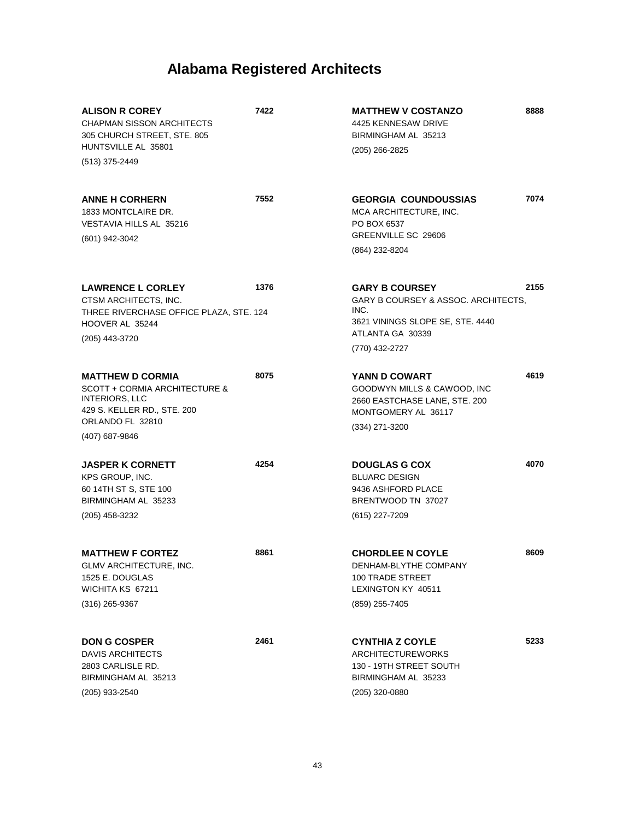| <b>ALISON R COREY</b><br><b>CHAPMAN SISSON ARCHITECTS</b><br>305 CHURCH STREET, STE. 805<br>HUNTSVILLE AL 35801  | 7422 | <b>MATTHEW V COSTANZO</b><br>4425 KENNESAW DRIVE<br>BIRMINGHAM AL 35213<br>$(205)$ 266-2825                                  | 8888 |
|------------------------------------------------------------------------------------------------------------------|------|------------------------------------------------------------------------------------------------------------------------------|------|
| (513) 375-2449                                                                                                   |      |                                                                                                                              |      |
| <b>ANNE H CORHERN</b><br>1833 MONTCLAIRE DR.<br>VESTAVIA HILLS AL 35216                                          | 7552 | <b>GEORGIA COUNDOUSSIAS</b><br>MCA ARCHITECTURE, INC.<br>PO BOX 6537<br>GREENVILLE SC 29606                                  | 7074 |
| (601) 942-3042                                                                                                   |      | (864) 232-8204                                                                                                               |      |
| <b>LAWRENCE L CORLEY</b><br>CTSM ARCHITECTS, INC.<br>THREE RIVERCHASE OFFICE PLAZA, STE. 124<br>HOOVER AL 35244  | 1376 | <b>GARY B COURSEY</b><br>GARY B COURSEY & ASSOC. ARCHITECTS,<br>INC.<br>3621 VININGS SLOPE SE, STE. 4440<br>ATLANTA GA 30339 | 2155 |
| (205) 443-3720                                                                                                   |      | (770) 432-2727                                                                                                               |      |
| <b>MATTHEW D CORMIA</b><br>SCOTT + CORMIA ARCHITECTURE &<br><b>INTERIORS, LLC</b><br>429 S. KELLER RD., STE. 200 | 8075 | YANN D COWART<br>GOODWYN MILLS & CAWOOD, INC<br>2660 EASTCHASE LANE, STE. 200<br>MONTGOMERY AL 36117                         | 4619 |
| ORLANDO FL 32810<br>(407) 687-9846                                                                               |      | (334) 271-3200                                                                                                               |      |
| <b>JASPER K CORNETT</b><br>KPS GROUP, INC.<br>60 14TH ST S, STE 100<br>BIRMINGHAM AL 35233                       | 4254 | <b>DOUGLAS G COX</b><br><b>BLUARC DESIGN</b><br>9436 ASHFORD PLACE<br>BRENTWOOD TN 37027                                     | 4070 |
| (205) 458-3232                                                                                                   |      | (615) 227-7209                                                                                                               |      |
| <b>MATTHEW F CORTEZ</b><br>GLMV ARCHITECTURE, INC.<br>1525 E. DOUGLAS<br>WICHITA KS 67211                        | 8861 | <b>CHORDLEE N COYLE</b><br>DENHAM-BLYTHE COMPANY<br><b>100 TRADE STREET</b><br>LEXINGTON KY 40511                            | 8609 |
| $(316)$ 265-9367                                                                                                 |      | (859) 255-7405                                                                                                               |      |
| <b>DON G COSPER</b><br><b>DAVIS ARCHITECTS</b><br>2803 CARLISLE RD.<br>BIRMINGHAM AL 35213<br>(205) 933-2540     | 2461 | <b>CYNTHIA Z COYLE</b><br><b>ARCHITECTUREWORKS</b><br>130 - 19TH STREET SOUTH<br>BIRMINGHAM AL 35233<br>(205) 320-0880       | 5233 |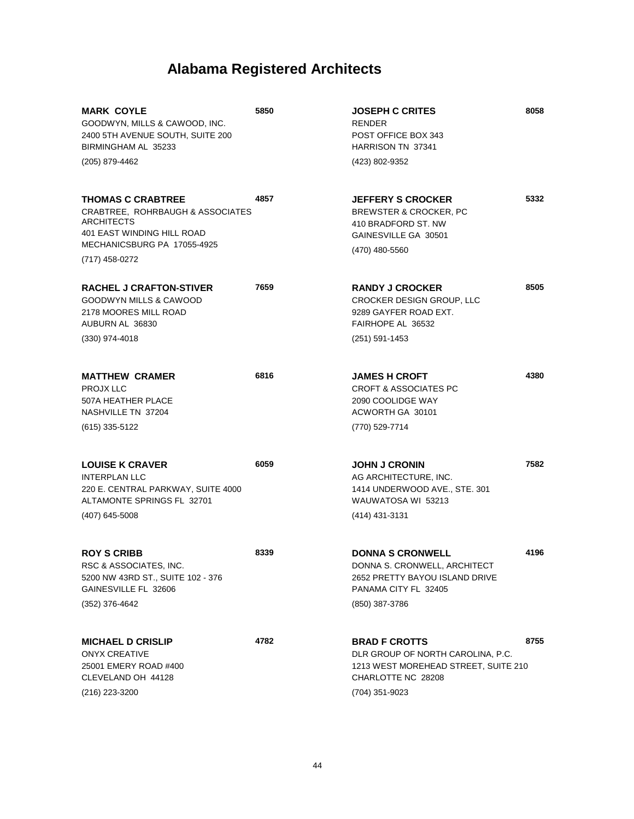| <b>MARK COYLE</b><br>GOODWYN, MILLS & CAWOOD, INC.<br>2400 5TH AVENUE SOUTH, SUITE 200<br>BIRMINGHAM AL 35233<br>(205) 879-4462                           | 5850 | <b>JOSEPH C CRITES</b><br><b>RENDER</b><br>POST OFFICE BOX 343<br>HARRISON TN 37341<br>(423) 802-9352                                     | 8058 |
|-----------------------------------------------------------------------------------------------------------------------------------------------------------|------|-------------------------------------------------------------------------------------------------------------------------------------------|------|
|                                                                                                                                                           |      |                                                                                                                                           |      |
| <b>THOMAS C CRABTREE</b><br>CRABTREE. ROHRBAUGH & ASSOCIATES<br>ARCHITECTS<br>401 EAST WINDING HILL ROAD<br>MECHANICSBURG PA 17055-4925<br>(717) 458-0272 | 4857 | <b>JEFFERY S CROCKER</b><br><b>BREWSTER &amp; CROCKER, PC</b><br>410 BRADFORD ST. NW<br>GAINESVILLE GA 30501<br>(470) 480-5560            | 5332 |
| <b>RACHEL J CRAFTON-STIVER</b><br><b>GOODWYN MILLS &amp; CAWOOD</b><br>2178 MOORES MILL ROAD<br>AUBURN AL 36830                                           | 7659 | <b>RANDY J CROCKER</b><br>CROCKER DESIGN GROUP, LLC<br>9289 GAYFER ROAD EXT.<br>FAIRHOPE AL 36532                                         | 8505 |
| $(330)$ 974-4018                                                                                                                                          |      | $(251) 591 - 1453$                                                                                                                        |      |
| <b>MATTHEW CRAMER</b><br>PROJX LLC<br>507A HEATHER PLACE<br>NASHVILLE TN 37204                                                                            | 6816 | <b>JAMES H CROFT</b><br><b>CROFT &amp; ASSOCIATES PC</b><br>2090 COOLIDGE WAY<br>ACWORTH GA 30101                                         | 4380 |
| (615) 335-5122                                                                                                                                            |      | (770) 529-7714                                                                                                                            |      |
| <b>LOUISE K CRAVER</b><br><b>INTERPLAN LLC</b><br>220 E. CENTRAL PARKWAY, SUITE 4000<br>ALTAMONTE SPRINGS FL 32701<br>$(407)$ 645-5008                    | 6059 | <b>JOHN J CRONIN</b><br>AG ARCHITECTURE, INC.<br>1414 UNDERWOOD AVE., STE. 301<br>WAUWATOSA WI 53213<br>(414) 431-3131                    | 7582 |
|                                                                                                                                                           |      |                                                                                                                                           |      |
| <b>ROY S CRIBB</b><br>RSC & ASSOCIATES, INC.<br>5200 NW 43RD ST., SUITE 102 - 376<br>GAINESVILLE FL 32606                                                 | 8339 | <b>DONNA S CRONWELL</b><br>DONNA S. CRONWELL, ARCHITECT<br>2652 PRETTY BAYOU ISLAND DRIVE<br>PANAMA CITY FL 32405                         | 4196 |
| (352) 376-4642                                                                                                                                            |      | (850) 387-3786                                                                                                                            |      |
| <b>MICHAEL D CRISLIP</b><br><b>ONYX CREATIVE</b><br>25001 EMERY ROAD #400<br>CLEVELAND OH 44128<br>(216) 223-3200                                         | 4782 | <b>BRAD F CROTTS</b><br>DLR GROUP OF NORTH CAROLINA, P.C.<br>1213 WEST MOREHEAD STREET, SUITE 210<br>CHARLOTTE NC 28208<br>(704) 351-9023 | 8755 |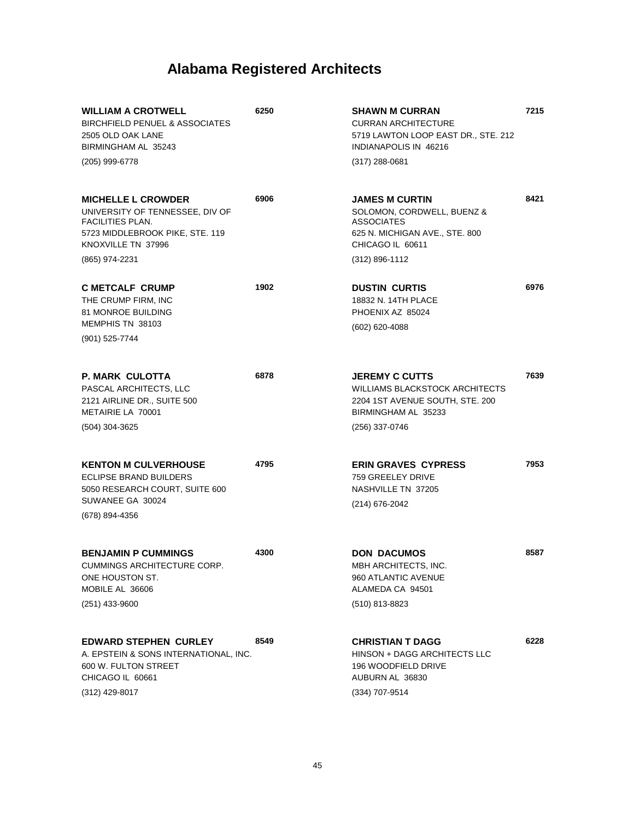| <b>WILLIAM A CROTWELL</b><br><b>BIRCHFIELD PENUEL &amp; ASSOCIATES</b><br>2505 OLD OAK LANE<br>BIRMINGHAM AL 35243                                                 | 6250 | SHAWN M CURRAN<br><b>CURRAN ARCHITECTURE</b><br>5719 LAWTON LOOP EAST DR., STE. 212<br>INDIANAPOLIS IN 46216                              | 7215 |
|--------------------------------------------------------------------------------------------------------------------------------------------------------------------|------|-------------------------------------------------------------------------------------------------------------------------------------------|------|
| (205) 999-6778                                                                                                                                                     |      | $(317)$ 288-0681                                                                                                                          |      |
| <b>MICHELLE L CROWDER</b><br>UNIVERSITY OF TENNESSEE, DIV OF<br><b>FACILITIES PLAN.</b><br>5723 MIDDLEBROOK PIKE, STE. 119<br>KNOXVILLE TN 37996<br>(865) 974-2231 | 6906 | <b>JAMES M CURTIN</b><br>SOLOMON, CORDWELL, BUENZ &<br>ASSOCIATES<br>625 N. MICHIGAN AVE., STE. 800<br>CHICAGO IL 60611<br>(312) 896-1112 | 8421 |
| <b>C METCALF CRUMP</b><br>THE CRUMP FIRM, INC<br><b>81 MONROE BUILDING</b><br>MEMPHIS TN 38103<br>(901) 525-7744                                                   | 1902 | <b>DUSTIN CURTIS</b><br>18832 N. 14TH PLACE<br>PHOENIX AZ 85024<br>(602) 620-4088                                                         | 6976 |
| <b>P. MARK CULOTTA</b><br>PASCAL ARCHITECTS, LLC<br>2121 AIRLINE DR., SUITE 500<br>METAIRIE LA 70001<br>(504) 304-3625                                             | 6878 | <b>JEREMY C CUTTS</b><br>WILLIAMS BLACKSTOCK ARCHITECTS<br>2204 1ST AVENUE SOUTH, STE. 200<br>BIRMINGHAM AL 35233<br>(256) 337-0746       | 7639 |
| <b>KENTON M CULVERHOUSE</b><br><b>ECLIPSE BRAND BUILDERS</b><br>5050 RESEARCH COURT, SUITE 600<br>SUWANEE GA 30024<br>(678) 894-4356                               | 4795 | <b>ERIN GRAVES CYPRESS</b><br>759 GREELEY DRIVE<br>NASHVILLE TN 37205<br>(214) 676-2042                                                   | 7953 |
| <b>BENJAMIN P CUMMINGS</b><br><b>CUMMINGS ARCHITECTURE CORP.</b><br>ONE HOUSTON ST.<br>MOBILE AL 36606<br>(251) 433-9600                                           | 4300 | <b>DON DACUMOS</b><br>MBH ARCHITECTS, INC.<br>960 ATLANTIC AVENUE<br>ALAMEDA CA 94501<br>(510) 813-8823                                   | 8587 |
| <b>EDWARD STEPHEN CURLEY</b><br>A. EPSTEIN & SONS INTERNATIONAL, INC.<br>600 W. FULTON STREET<br>CHICAGO IL 60661<br>(312) 429-8017                                | 8549 | <b>CHRISTIAN T DAGG</b><br>HINSON + DAGG ARCHITECTS LLC<br>196 WOODFIELD DRIVE<br>AUBURN AL 36830<br>(334) 707-9514                       | 6228 |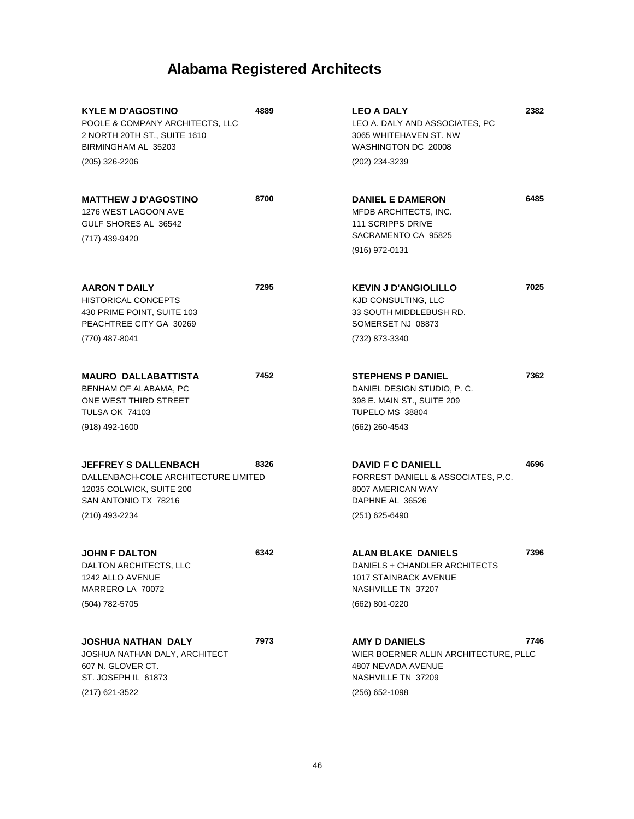| <b>KYLE M D'AGOSTINO</b><br>POOLE & COMPANY ARCHITECTS, LLC<br>2 NORTH 20TH ST., SUITE 1610<br>BIRMINGHAM AL 35203<br>(205) 326-2206      | 4889 | <b>LEO A DALY</b><br>LEO A. DALY AND ASSOCIATES, PC<br>3065 WHITEHAVEN ST. NW<br>WASHINGTON DC 20008<br>(202) 234-3239             | 2382 |
|-------------------------------------------------------------------------------------------------------------------------------------------|------|------------------------------------------------------------------------------------------------------------------------------------|------|
| <b>MATTHEW J D'AGOSTINO</b><br>1276 WEST LAGOON AVE<br>GULF SHORES AL 36542<br>(717) 439-9420                                             | 8700 | <b>DANIEL E DAMERON</b><br>MFDB ARCHITECTS, INC.<br><b>111 SCRIPPS DRIVE</b><br>SACRAMENTO CA 95825<br>(916) 972-0131              | 6485 |
| <b>AARON T DAILY</b><br><b>HISTORICAL CONCEPTS</b><br>430 PRIME POINT, SUITE 103<br>PEACHTREE CITY GA 30269<br>(770) 487-8041             | 7295 | <b>KEVIN J D'ANGIOLILLO</b><br>KJD CONSULTING, LLC<br>33 SOUTH MIDDLEBUSH RD.<br>SOMERSET NJ 08873<br>(732) 873-3340               | 7025 |
| <b>MAURO DALLABATTISTA</b><br>BENHAM OF ALABAMA, PC<br>ONE WEST THIRD STREET<br><b>TULSA OK 74103</b><br>$(918)$ 492-1600                 | 7452 | <b>STEPHENS P DANIEL</b><br>DANIEL DESIGN STUDIO, P.C.<br>398 E. MAIN ST., SUITE 209<br>TUPELO MS 38804<br>(662) 260-4543          | 7362 |
| <b>JEFFREY S DALLENBACH</b><br>DALLENBACH-COLE ARCHITECTURE LIMITED<br>12035 COLWICK, SUITE 200<br>SAN ANTONIO TX 78216<br>(210) 493-2234 | 8326 | <b>DAVID F C DANIELL</b><br>FORREST DANIELL & ASSOCIATES, P.C.<br>8007 AMERICAN WAY<br>DAPHNE AL 36526<br>$(251)$ 625-6490         | 4696 |
| <b>JOHN F DALTON</b><br>DALTON ARCHITECTS, LLC<br>1242 ALLO AVENUE<br>MARRERO LA 70072<br>(504) 782-5705                                  | 6342 | <b>ALAN BLAKE DANIELS</b><br>DANIELS + CHANDLER ARCHITECTS<br><b>1017 STAINBACK AVENUE</b><br>NASHVILLE TN 37207<br>(662) 801-0220 | 7396 |
| <b>JOSHUA NATHAN DALY</b><br>JOSHUA NATHAN DALY, ARCHITECT<br>607 N. GLOVER CT.<br>ST. JOSEPH IL 61873<br>(217) 621-3522                  | 7973 | <b>AMY D DANIELS</b><br>WIER BOERNER ALLIN ARCHITECTURE, PLLC<br>4807 NEVADA AVENUE<br>NASHVILLE TN 37209<br>(256) 652-1098        | 7746 |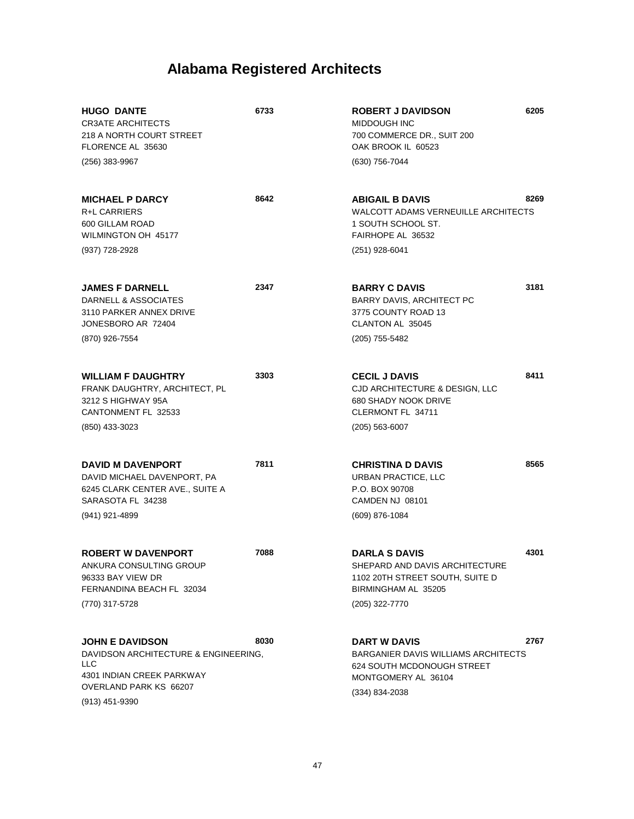| <b>HUGO DANTE</b><br><b>CR3ATE ARCHITECTS</b><br>218 A NORTH COURT STREET<br>FLORENCE AL 35630<br>(256) 383-9967                                        | 6733 | <b>ROBERT J DAVIDSON</b><br>MIDDOUGH INC<br>700 COMMERCE DR., SUIT 200<br>OAK BROOK IL 60523<br>(630) 756-7044                     | 6205 |
|---------------------------------------------------------------------------------------------------------------------------------------------------------|------|------------------------------------------------------------------------------------------------------------------------------------|------|
| <b>MICHAEL P DARCY</b><br><b>R+L CARRIERS</b><br>600 GILLAM ROAD<br>WILMINGTON OH 45177<br>(937) 728-2928                                               | 8642 | <b>ABIGAIL B DAVIS</b><br>WALCOTT ADAMS VERNEUILLE ARCHITECTS<br>1 SOUTH SCHOOL ST.<br>FAIRHOPE AL 36532<br>$(251)$ 928-6041       | 8269 |
| <b>JAMES F DARNELL</b><br>DARNELL & ASSOCIATES<br>3110 PARKER ANNEX DRIVE<br>JONESBORO AR 72404<br>(870) 926-7554                                       | 2347 | <b>BARRY C DAVIS</b><br>BARRY DAVIS, ARCHITECT PC<br>3775 COUNTY ROAD 13<br>CLANTON AL 35045<br>(205) 755-5482                     | 3181 |
| <b>WILLIAM F DAUGHTRY</b><br>FRANK DAUGHTRY, ARCHITECT, PL<br>3212 S HIGHWAY 95A<br>CANTONMENT FL 32533<br>(850) 433-3023                               | 3303 | <b>CECIL J DAVIS</b><br>CJD ARCHITECTURE & DESIGN, LLC<br><b>680 SHADY NOOK DRIVE</b><br>CLERMONT FL 34711<br>$(205)$ 563-6007     | 8411 |
| <b>DAVID M DAVENPORT</b><br>DAVID MICHAEL DAVENPORT, PA<br>6245 CLARK CENTER AVE., SUITE A<br>SARASOTA FL 34238<br>(941) 921-4899                       | 7811 | <b>CHRISTINA D DAVIS</b><br>URBAN PRACTICE, LLC<br>P.O. BOX 90708<br>CAMDEN NJ 08101<br>(609) 876-1084                             | 8565 |
| <b>ROBERT W DAVENPORT</b><br>ANKURA CONSULTING GROUP<br>96333 BAY VIEW DR<br>FERNANDINA BEACH FL 32034<br>(770) 317-5728                                | 7088 | <b>DARLA S DAVIS</b><br>SHEPARD AND DAVIS ARCHITECTURE<br>1102 20TH STREET SOUTH, SUITE D<br>BIRMINGHAM AL 35205<br>(205) 322-7770 | 4301 |
| <b>JOHN E DAVIDSON</b><br>DAVIDSON ARCHITECTURE & ENGINEERING,<br>LLC<br><b>4301 INDIAN CREEK PARKWAY</b><br>OVERLAND PARK KS 66207<br>$(913)$ 451-9390 | 8030 | <b>DART W DAVIS</b><br>BARGANIER DAVIS WILLIAMS ARCHITECTS<br>624 SOUTH MCDONOUGH STREET<br>MONTGOMERY AL 36104<br>(334) 834-2038  | 2767 |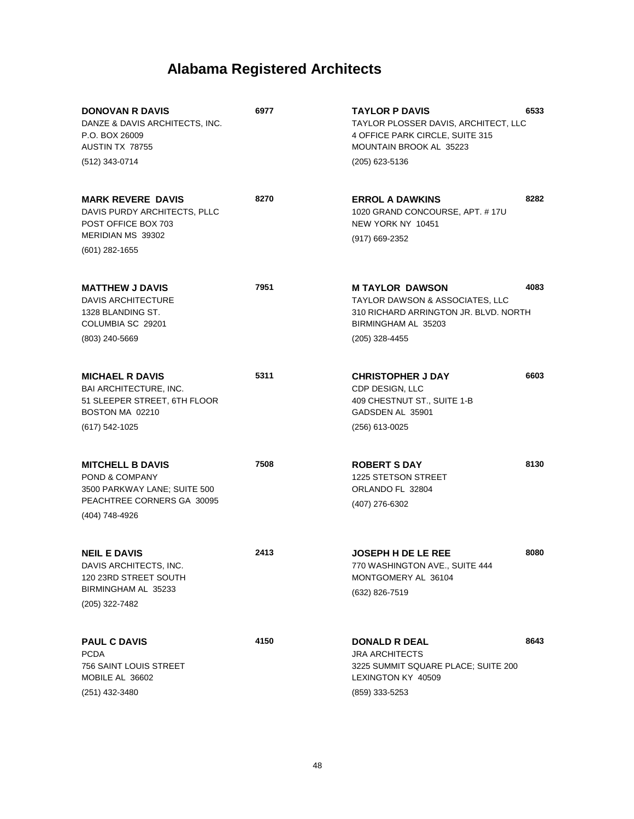| <b>DONOVAN R DAVIS</b><br>DANZE & DAVIS ARCHITECTS, INC.<br>P.O. BOX 26009<br>AUSTIN TX 78755<br>(512) 343-0714           | 6977 | <b>TAYLOR P DAVIS</b><br>TAYLOR PLOSSER DAVIS, ARCHITECT, LLC<br>4 OFFICE PARK CIRCLE, SUITE 315<br>MOUNTAIN BROOK AL 35223<br>(205) 623-5136 | 6533 |
|---------------------------------------------------------------------------------------------------------------------------|------|-----------------------------------------------------------------------------------------------------------------------------------------------|------|
| <b>MARK REVERE DAVIS</b><br>DAVIS PURDY ARCHITECTS, PLLC<br>POST OFFICE BOX 703<br>MERIDIAN MS 39302<br>$(601)$ 282-1655  | 8270 | <b>ERROL A DAWKINS</b><br>1020 GRAND CONCOURSE, APT. #17U<br>NEW YORK NY 10451<br>(917) 669-2352                                              | 8282 |
| <b>MATTHEW J DAVIS</b><br><b>DAVIS ARCHITECTURE</b><br>1328 BLANDING ST.<br>COLUMBIA SC 29201<br>(803) 240-5669           | 7951 | <b>MTAYLOR DAWSON</b><br>TAYLOR DAWSON & ASSOCIATES, LLC<br>310 RICHARD ARRINGTON JR. BLVD. NORTH<br>BIRMINGHAM AL 35203<br>(205) 328-4455    | 4083 |
| <b>MICHAEL R DAVIS</b><br>BAI ARCHITECTURE, INC.<br>51 SLEEPER STREET, 6TH FLOOR<br>BOSTON MA 02210<br>(617) 542-1025     | 5311 | <b>CHRISTOPHER J DAY</b><br>CDP DESIGN, LLC<br>409 CHESTNUT ST., SUITE 1-B<br>GADSDEN AL 35901<br>(256) 613-0025                              | 6603 |
| <b>MITCHELL B DAVIS</b><br>POND & COMPANY<br>3500 PARKWAY LANE; SUITE 500<br>PEACHTREE CORNERS GA 30095<br>(404) 748-4926 | 7508 | <b>ROBERT S DAY</b><br>1225 STETSON STREET<br>ORLANDO FL 32804<br>(407) 276-6302                                                              | 8130 |
| <b>NEIL E DAVIS</b><br>DAVIS ARCHITECTS, INC.<br>120 23RD STREET SOUTH<br>BIRMINGHAM AL 35233<br>(205) 322-7482           | 2413 | <b>JOSEPH H DE LE REE</b><br>770 WASHINGTON AVE., SUITE 444<br>MONTGOMERY AL 36104<br>(632) 826-7519                                          | 8080 |
| <b>PAUL C DAVIS</b><br><b>PCDA</b><br>756 SAINT LOUIS STREET<br>MOBILE AL 36602<br>(251) 432-3480                         | 4150 | <b>DONALD R DEAL</b><br><b>JRA ARCHITECTS</b><br>3225 SUMMIT SQUARE PLACE; SUITE 200<br>LEXINGTON KY 40509<br>(859) 333-5253                  | 8643 |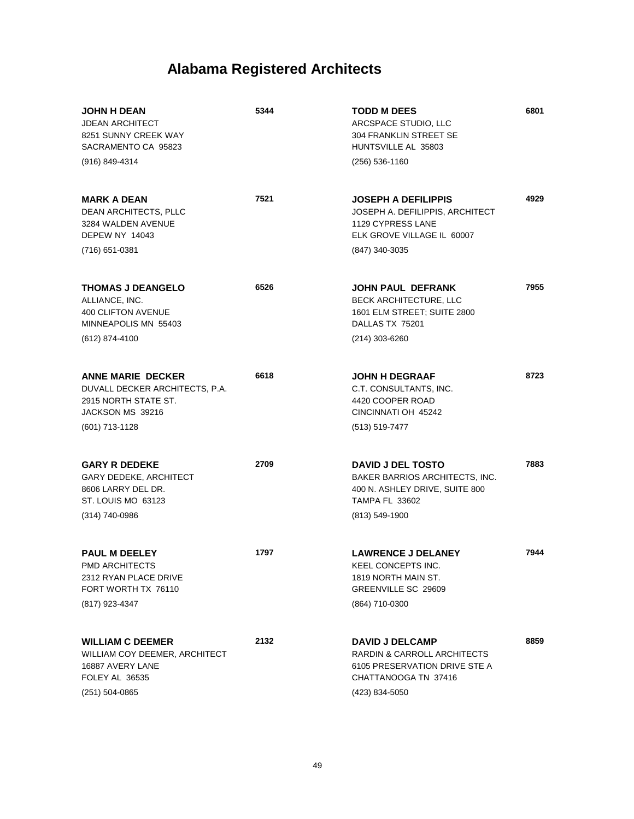| <b>JOHN H DEAN</b><br><b>JDEAN ARCHITECT</b><br>8251 SUNNY CREEK WAY<br>SACRAMENTO CA 95823<br>(916) 849-4314            | 5344 | <b>TODD M DEES</b><br>ARCSPACE STUDIO, LLC<br>304 FRANKLIN STREET SE<br>HUNTSVILLE AL 35803<br>$(256)$ 536-1160                             | 6801 |
|--------------------------------------------------------------------------------------------------------------------------|------|---------------------------------------------------------------------------------------------------------------------------------------------|------|
| <b>MARK A DEAN</b><br><b>DEAN ARCHITECTS, PLLC</b><br>3284 WALDEN AVENUE<br><b>DEPEW NY 14043</b><br>(716) 651-0381      | 7521 | <b>JOSEPH A DEFILIPPIS</b><br>JOSEPH A. DEFILIPPIS, ARCHITECT<br>1129 CYPRESS LANE<br>ELK GROVE VILLAGE IL 60007<br>(847) 340-3035          | 4929 |
| <b>THOMAS J DEANGELO</b><br>ALLIANCE, INC.<br>400 CLIFTON AVENUE<br>MINNEAPOLIS MN 55403<br>(612) 874-4100               | 6526 | <b>JOHN PAUL DEFRANK</b><br><b>BECK ARCHITECTURE, LLC</b><br>1601 ELM STREET; SUITE 2800<br>DALLAS TX 75201<br>$(214)$ 303-6260             | 7955 |
| <b>ANNE MARIE DECKER</b><br>DUVALL DECKER ARCHITECTS, P.A.<br>2915 NORTH STATE ST.<br>JACKSON MS 39216<br>(601) 713-1128 | 6618 | <b>JOHN H DEGRAAF</b><br>C.T. CONSULTANTS, INC.<br>4420 COOPER ROAD<br>CINCINNATI OH 45242<br>(513) 519-7477                                | 8723 |
| <b>GARY R DEDEKE</b><br><b>GARY DEDEKE, ARCHITECT</b><br>8606 LARRY DEL DR.<br>ST. LOUIS MO 63123<br>(314) 740-0986      | 2709 | <b>DAVID J DEL TOSTO</b><br>BAKER BARRIOS ARCHITECTS, INC.<br>400 N. ASHLEY DRIVE, SUITE 800<br><b>TAMPA FL 33602</b><br>(813) 549-1900     | 7883 |
| <b>PAUL M DEELEY</b><br>PMD ARCHITECTS<br>2312 RYAN PLACE DRIVE<br>FORT WORTH TX 76110<br>(817) 923-4347                 | 1797 | <b>LAWRENCE J DELANEY</b><br>KEEL CONCEPTS INC.<br>1819 NORTH MAIN ST.<br>GREENVILLE SC 29609<br>(864) 710-0300                             | 7944 |
| <b>WILLIAM C DEEMER</b><br>WILLIAM COY DEEMER, ARCHITECT<br>16887 AVERY LANE<br>FOLEY AL 36535<br>(251) 504-0865         | 2132 | <b>DAVID J DELCAMP</b><br><b>RARDIN &amp; CARROLL ARCHITECTS</b><br>6105 PRESERVATION DRIVE STE A<br>CHATTANOOGA TN 37416<br>(423) 834-5050 | 8859 |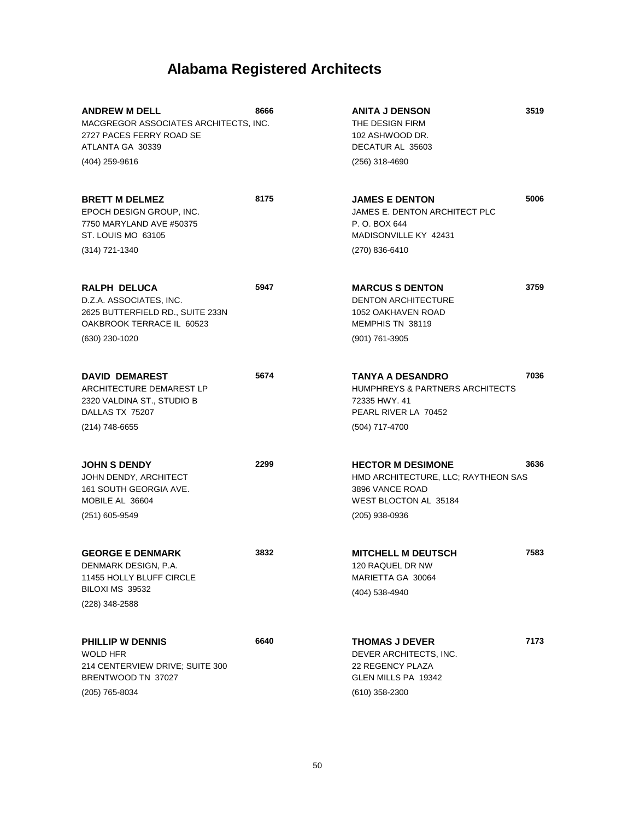| <b>ANDREW M DELL</b><br>MACGREGOR ASSOCIATES ARCHITECTS, INC.<br>2727 PACES FERRY ROAD SE<br>ATLANTA GA 30339         | 8666 | <b>ANITA J DENSON</b><br>THE DESIGN FIRM<br>102 ASHWOOD DR.<br>DECATUR AL 35603                                               | 3519 |
|-----------------------------------------------------------------------------------------------------------------------|------|-------------------------------------------------------------------------------------------------------------------------------|------|
| (404) 259-9616                                                                                                        |      | (256) 318-4690                                                                                                                |      |
| <b>BRETT M DELMEZ</b><br>EPOCH DESIGN GROUP, INC.<br>7750 MARYLAND AVE #50375<br>ST. LOUIS MO 63105                   | 8175 | <b>JAMES E DENTON</b><br>JAMES E. DENTON ARCHITECT PLC<br>P.O. BOX 644<br>MADISONVILLE KY 42431                               | 5006 |
| (314) 721-1340                                                                                                        |      | (270) 836-6410                                                                                                                |      |
| RALPH DELUCA<br>D.Z.A. ASSOCIATES, INC.<br>2625 BUTTERFIELD RD., SUITE 233N<br>OAKBROOK TERRACE IL 60523              | 5947 | <b>MARCUS S DENTON</b><br><b>DENTON ARCHITECTURE</b><br>1052 OAKHAVEN ROAD<br>MEMPHIS TN 38119                                | 3759 |
| (630) 230-1020                                                                                                        |      | (901) 761-3905                                                                                                                |      |
| <b>DAVID DEMAREST</b><br>ARCHITECTURE DEMAREST LP<br>2320 VALDINA ST., STUDIO B<br>DALLAS TX 75207                    | 5674 | <b>TANYA A DESANDRO</b><br>HUMPHREYS & PARTNERS ARCHITECTS<br>72335 HWY, 41<br>PEARL RIVER LA 70452                           | 7036 |
| (214) 748-6655                                                                                                        |      | (504) 717-4700                                                                                                                |      |
| <b>JOHN S DENDY</b><br>JOHN DENDY, ARCHITECT<br>161 SOUTH GEORGIA AVE.<br>MOBILE AL 36604<br>(251) 605-9549           | 2299 | <b>HECTOR M DESIMONE</b><br>HMD ARCHITECTURE, LLC; RAYTHEON SAS<br>3896 VANCE ROAD<br>WEST BLOCTON AL 35184<br>(205) 938-0936 | 3636 |
| <b>GEORGE E DENMARK</b><br>DENMARK DESIGN, P.A.<br>11455 HOLLY BLUFF CIRCLE<br>BILOXI MS 39532<br>(228) 348-2588      | 3832 | <b>MITCHELL M DEUTSCH</b><br>120 RAQUEL DR NW<br>MARIETTA GA 30064<br>(404) 538-4940                                          | 7583 |
| <b>PHILLIP W DENNIS</b><br><b>WOLD HFR</b><br>214 CENTERVIEW DRIVE; SUITE 300<br>BRENTWOOD TN 37027<br>(205) 765-8034 | 6640 | <b>THOMAS J DEVER</b><br>DEVER ARCHITECTS, INC.<br>22 REGENCY PLAZA<br>GLEN MILLS PA 19342<br>$(610)$ 358-2300                | 7173 |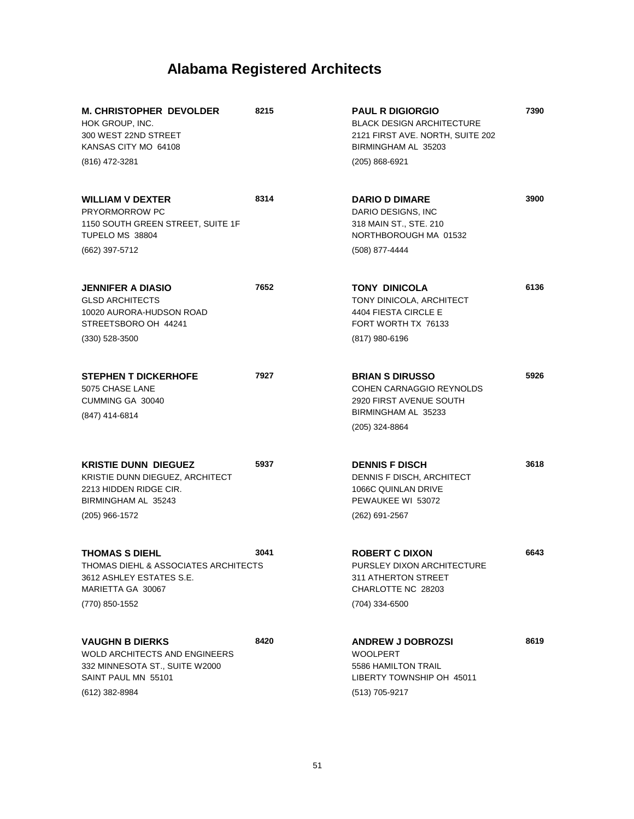| <b>M. CHRISTOPHER DEVOLDER</b><br>HOK GROUP, INC.<br>300 WEST 22ND STREET<br>KANSAS CITY MO 64108<br>(816) 472-3281                       | 8215 | <b>PAUL R DIGIORGIO</b><br><b>BLACK DESIGN ARCHITECTURE</b><br>2121 FIRST AVE. NORTH, SUITE 202<br>BIRMINGHAM AL 35203<br>(205) 868-6921 | 7390 |
|-------------------------------------------------------------------------------------------------------------------------------------------|------|------------------------------------------------------------------------------------------------------------------------------------------|------|
| <b>WILLIAM V DEXTER</b><br>PRYORMORROW PC<br>1150 SOUTH GREEN STREET, SUITE 1F<br>TUPELO MS 38804<br>(662) 397-5712                       | 8314 | <b>DARIO D DIMARE</b><br>DARIO DESIGNS, INC<br>318 MAIN ST., STE. 210<br>NORTHBOROUGH MA 01532<br>(508) 877-4444                         | 3900 |
| <b>JENNIFER A DIASIO</b><br><b>GLSD ARCHITECTS</b><br>10020 AURORA-HUDSON ROAD<br>STREETSBORO OH 44241<br>$(330)$ 528-3500                | 7652 | TONY DINICOLA<br>TONY DINICOLA, ARCHITECT<br>4404 FIESTA CIRCLE E<br>FORT WORTH TX 76133<br>(817) 980-6196                               | 6136 |
| <b>STEPHEN T DICKERHOFE</b><br>5075 CHASE LANE<br>CUMMING GA 30040<br>(847) 414-6814                                                      | 7927 | <b>BRIAN S DIRUSSO</b><br>COHEN CARNAGGIO REYNOLDS<br>2920 FIRST AVENUE SOUTH<br>BIRMINGHAM AL 35233<br>(205) 324-8864                   | 5926 |
| <b>KRISTIE DUNN DIEGUEZ</b><br>KRISTIE DUNN DIEGUEZ, ARCHITECT<br>2213 HIDDEN RIDGE CIR.<br>BIRMINGHAM AL 35243<br>(205) 966-1572         | 5937 | <b>DENNIS F DISCH</b><br>DENNIS F DISCH, ARCHITECT<br>1066C QUINLAN DRIVE<br>PEWAUKEE WI 53072<br>$(262)$ 691-2567                       | 3618 |
| <b>THOMAS S DIEHL</b><br>THOMAS DIEHL & ASSOCIATES ARCHITECTS<br>3612 ASHLEY ESTATES S.E.<br>MARIETTA GA 30067<br>(770) 850-1552          | 3041 | <b>ROBERT C DIXON</b><br>PURSLEY DIXON ARCHITECTURE<br>311 ATHERTON STREET<br>CHARLOTTE NC 28203<br>(704) 334-6500                       | 6643 |
| <b>VAUGHN B DIERKS</b><br><b>WOLD ARCHITECTS AND ENGINEERS</b><br>332 MINNESOTA ST., SUITE W2000<br>SAINT PAUL MN 55101<br>(612) 382-8984 | 8420 | <b>ANDREW J DOBROZSI</b><br><b>WOOLPERT</b><br>5586 HAMILTON TRAIL<br>LIBERTY TOWNSHIP OH 45011<br>(513) 705-9217                        | 8619 |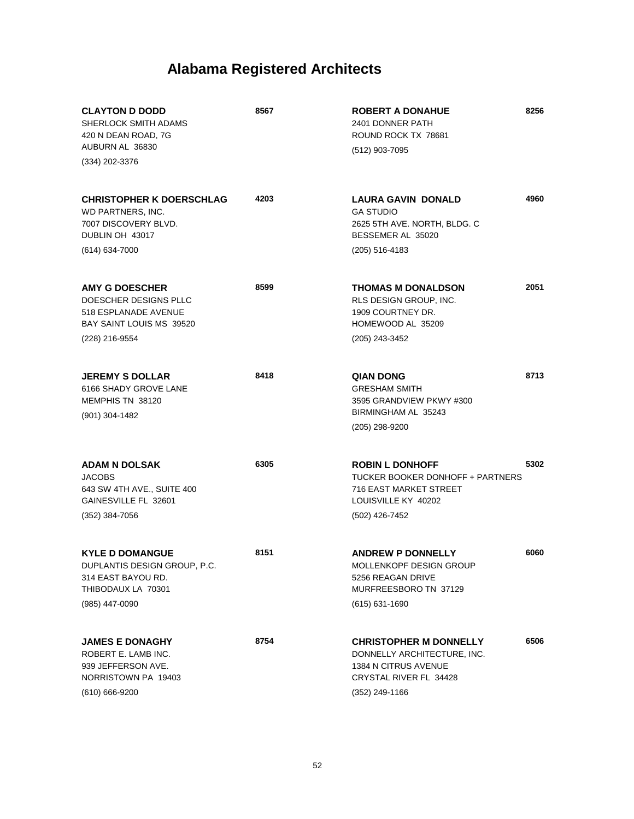| <b>CLAYTON D DODD</b><br>SHERLOCK SMITH ADAMS<br>420 N DEAN ROAD, 7G<br>AUBURN AL 36830                       | 8567 | <b>ROBERT A DONAHUE</b><br>2401 DONNER PATH<br>ROUND ROCK TX 78681<br>(512) 903-7095                                          | 8256 |
|---------------------------------------------------------------------------------------------------------------|------|-------------------------------------------------------------------------------------------------------------------------------|------|
| (334) 202-3376                                                                                                |      |                                                                                                                               |      |
| <b>CHRISTOPHER K DOERSCHLAG</b><br>WD PARTNERS, INC.<br>7007 DISCOVERY BLVD.<br>DUBLIN OH 43017               | 4203 | <b>LAURA GAVIN DONALD</b><br><b>GA STUDIO</b><br>2625 5TH AVE. NORTH, BLDG. C<br>BESSEMER AL 35020                            | 4960 |
| $(614) 634 - 7000$                                                                                            |      | (205) 516-4183                                                                                                                |      |
| <b>AMY G DOESCHER</b><br>DOESCHER DESIGNS PLLC<br>518 ESPLANADE AVENUE<br>BAY SAINT LOUIS MS 39520            | 8599 | <b>THOMAS M DONALDSON</b><br>RLS DESIGN GROUP, INC.<br>1909 COURTNEY DR.<br>HOMEWOOD AL 35209                                 | 2051 |
| (228) 216-9554                                                                                                |      | (205) 243-3452                                                                                                                |      |
| <b>JEREMY S DOLLAR</b><br>6166 SHADY GROVE LANE<br>MEMPHIS TN 38120<br>(901) 304-1482                         | 8418 | <b>QIAN DONG</b><br><b>GRESHAM SMITH</b><br>3595 GRANDVIEW PKWY #300<br>BIRMINGHAM AL 35243                                   | 8713 |
|                                                                                                               |      | (205) 298-9200                                                                                                                |      |
| <b>ADAM N DOLSAK</b><br><b>JACOBS</b><br>643 SW 4TH AVE., SUITE 400<br>GAINESVILLE FL 32601<br>(352) 384-7056 | 6305 | <b>ROBIN L DONHOFF</b><br>TUCKER BOOKER DONHOFF + PARTNERS<br>716 EAST MARKET STREET<br>LOUISVILLE KY 40202<br>(502) 426-7452 | 5302 |
|                                                                                                               |      |                                                                                                                               |      |
| <b>KYLE D DOMANGUE</b><br>DUPLANTIS DESIGN GROUP, P.C.<br>314 EAST BAYOU RD.<br>THIBODAUX LA 70301            | 8151 | <b>ANDREW P DONNELLY</b><br>MOLLENKOPF DESIGN GROUP<br>5256 REAGAN DRIVE<br>MURFREESBORO TN 37129                             | 6060 |
| (985) 447-0090                                                                                                |      | (615) 631-1690                                                                                                                |      |
| <b>JAMES E DONAGHY</b><br>ROBERT E. LAMB INC.<br>939 JEFFERSON AVE.<br>NORRISTOWN PA 19403                    | 8754 | <b>CHRISTOPHER M DONNELLY</b><br>DONNELLY ARCHITECTURE, INC.<br>1384 N CITRUS AVENUE<br>CRYSTAL RIVER FL 34428                | 6506 |
| (610) 666-9200                                                                                                |      | (352) 249-1166                                                                                                                |      |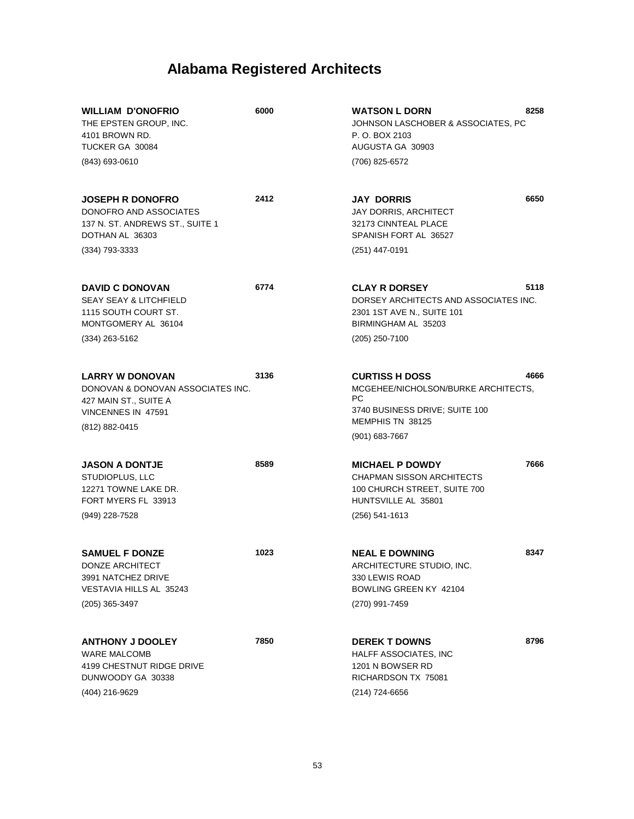| <b>WILLIAM D'ONOFRIO</b><br>THE EPSTEN GROUP, INC.<br>4101 BROWN RD.<br>TUCKER GA 30084<br>(843) 693-0610                   | 6000 | 8258<br><b>WATSON L DORN</b><br>JOHNSON LASCHOBER & ASSOCIATES, PC<br>P. O. BOX 2103<br>AUGUSTA GA 30903<br>(706) 825-6572       |
|-----------------------------------------------------------------------------------------------------------------------------|------|----------------------------------------------------------------------------------------------------------------------------------|
| <b>JOSEPH R DONOFRO</b><br>DONOFRO AND ASSOCIATES<br>137 N. ST. ANDREWS ST., SUITE 1<br>DOTHAN AL 36303<br>$(334)$ 793-3333 | 2412 | 6650<br><b>JAY DORRIS</b><br>JAY DORRIS, ARCHITECT<br>32173 CINNTEAL PLACE<br>SPANISH FORT AL 36527<br>(251) 447-0191            |
|                                                                                                                             |      |                                                                                                                                  |
| <b>DAVID C DONOVAN</b><br><b>SEAY SEAY &amp; LITCHFIELD</b><br>1115 SOUTH COURT ST.<br>MONTGOMERY AL 36104                  | 6774 | 5118<br><b>CLAY R DORSEY</b><br>DORSEY ARCHITECTS AND ASSOCIATES INC.<br>2301 1ST AVE N., SUITE 101<br>BIRMINGHAM AL 35203       |
| $(334)$ 263-5162                                                                                                            |      | (205) 250-7100                                                                                                                   |
| <b>LARRY W DONOVAN</b><br>DONOVAN & DONOVAN ASSOCIATES INC.<br>427 MAIN ST., SUITE A<br>VINCENNES IN 47591                  | 3136 | 4666<br><b>CURTISS H DOSS</b><br>MCGEHEE/NICHOLSON/BURKE ARCHITECTS,<br>РC<br>3740 BUSINESS DRIVE; SUITE 100<br>MEMPHIS TN 38125 |
| (812) 882-0415                                                                                                              |      | $(901)$ 683-7667                                                                                                                 |
| <b>JASON A DONTJE</b><br>STUDIOPLUS, LLC<br>12271 TOWNE LAKE DR.<br>FORT MYERS FL 33913                                     | 8589 | 7666<br><b>MICHAEL P DOWDY</b><br><b>CHAPMAN SISSON ARCHITECTS</b><br>100 CHURCH STREET, SUITE 700<br>HUNTSVILLE AL 35801        |
| (949) 228-7528                                                                                                              |      | (256) 541-1613                                                                                                                   |
| <b>SAMUEL F DONZE</b><br>DONZE ARCHITECT<br>3991 NATCHEZ DRIVE<br>VESTAVIA HILLS AL 35243                                   | 1023 | <b>NEAL E DOWNING</b><br>8347<br>ARCHITECTURE STUDIO, INC.<br>330 LEWIS ROAD<br>BOWLING GREEN KY 42104                           |
| $(205)$ 365-3497                                                                                                            |      | (270) 991-7459                                                                                                                   |
| <b>ANTHONY J DOOLEY</b><br><b>WARE MALCOMB</b><br>4199 CHESTNUT RIDGE DRIVE<br>DUNWOODY GA 30338<br>(404) 216-9629          | 7850 | 8796<br><b>DEREK T DOWNS</b><br>HALFF ASSOCIATES, INC<br>1201 N BOWSER RD<br>RICHARDSON TX 75081<br>$(214)$ 724-6656             |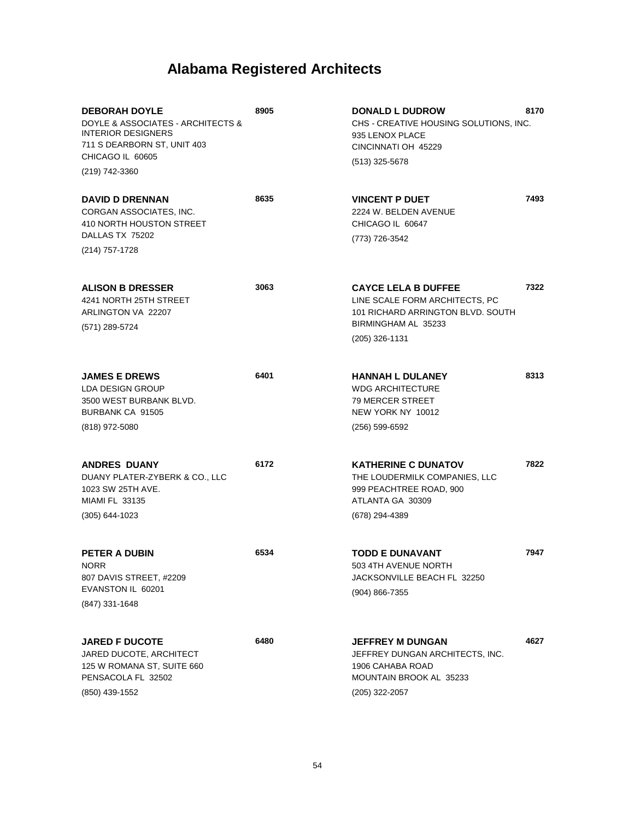| <b>DEBORAH DOYLE</b><br>DOYLE & ASSOCIATES - ARCHITECTS &<br><b>INTERIOR DESIGNERS</b><br>711 S DEARBORN ST, UNIT 403<br>CHICAGO IL 60605<br>(219) 742-3360 | 8905 | <b>DONALD L DUDROW</b><br>CHS - CREATIVE HOUSING SOLUTIONS, INC.<br>935 LENOX PLACE<br>CINCINNATI OH 45229<br>(513) 325-5678               | 8170 |
|-------------------------------------------------------------------------------------------------------------------------------------------------------------|------|--------------------------------------------------------------------------------------------------------------------------------------------|------|
| <b>DAVID D DRENNAN</b><br>CORGAN ASSOCIATES. INC.<br>410 NORTH HOUSTON STREET<br>DALLAS TX 75202<br>(214) 757-1728                                          | 8635 | <b>VINCENT P DUET</b><br>2224 W. BELDEN AVENUE<br>CHICAGO IL 60647<br>(773) 726-3542                                                       | 7493 |
| <b>ALISON B DRESSER</b><br>4241 NORTH 25TH STREET<br>ARLINGTON VA 22207<br>(571) 289-5724                                                                   | 3063 | <b>CAYCE LELA B DUFFEE</b><br>LINE SCALE FORM ARCHITECTS, PC<br>101 RICHARD ARRINGTON BLVD. SOUTH<br>BIRMINGHAM AL 35233<br>(205) 326-1131 | 7322 |
| <b>JAMES E DREWS</b><br>LDA DESIGN GROUP<br>3500 WEST BURBANK BLVD.<br>BURBANK CA 91505<br>(818) 972-5080                                                   | 6401 | <b>HANNAH L DULANEY</b><br><b>WDG ARCHITECTURE</b><br>79 MERCER STREET<br>NEW YORK NY 10012<br>$(256) 599 - 6592$                          | 8313 |
| <b>ANDRES DUANY</b><br>DUANY PLATER-ZYBERK & CO., LLC<br>1023 SW 25TH AVE.<br><b>MIAMI FL 33135</b><br>$(305)$ 644-1023                                     | 6172 | <b>KATHERINE C DUNATOV</b><br>THE LOUDERMILK COMPANIES, LLC<br>999 PEACHTREE ROAD, 900<br>ATLANTA GA 30309<br>(678) 294-4389               | 7822 |
| <b>PETER A DUBIN</b><br><b>NORR</b><br>807 DAVIS STREET, #2209<br>EVANSTON IL 60201<br>(847) 331-1648                                                       | 6534 | <b>TODD E DUNAVANT</b><br>503 4TH AVENUE NORTH<br>JACKSONVILLE BEACH FL 32250<br>(904) 866-7355                                            | 7947 |
| <b>JARED F DUCOTE</b><br>JARED DUCOTE, ARCHITECT<br>125 W ROMANA ST, SUITE 660<br>PENSACOLA FL 32502<br>(850) 439-1552                                      | 6480 | <b>JEFFREY M DUNGAN</b><br>JEFFREY DUNGAN ARCHITECTS, INC.<br>1906 CAHABA ROAD<br>MOUNTAIN BROOK AL 35233<br>$(205)$ 322-2057              | 4627 |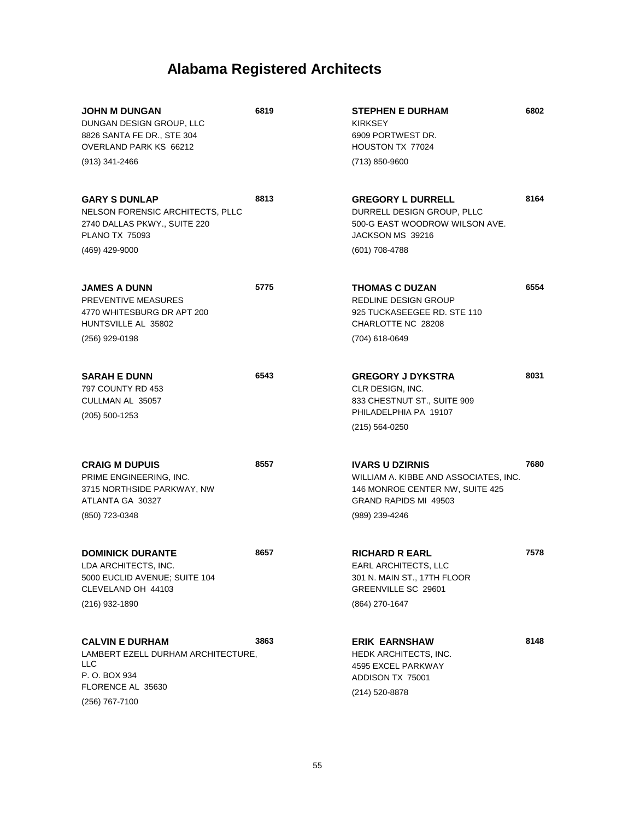| <b>JOHN M DUNGAN</b><br>DUNGAN DESIGN GROUP, LLC<br>8826 SANTA FE DR., STE 304<br>OVERLAND PARK KS 66212<br>(913) 341-2466          | 6819 | <b>STEPHEN E DURHAM</b><br><b>KIRKSEY</b><br>6909 PORTWEST DR.<br>HOUSTON TX 77024<br>(713) 850-9600                                          | 6802 |
|-------------------------------------------------------------------------------------------------------------------------------------|------|-----------------------------------------------------------------------------------------------------------------------------------------------|------|
| <b>GARY S DUNLAP</b><br>NELSON FORENSIC ARCHITECTS, PLLC<br>2740 DALLAS PKWY., SUITE 220<br><b>PLANO TX 75093</b><br>(469) 429-9000 | 8813 | <b>GREGORY L DURRELL</b><br>DURRELL DESIGN GROUP, PLLC<br>500-G EAST WOODROW WILSON AVE.<br>JACKSON MS 39216<br>(601) 708-4788                | 8164 |
| <b>JAMES A DUNN</b><br>PREVENTIVE MEASURES<br>4770 WHITESBURG DR APT 200<br>HUNTSVILLE AL 35802<br>(256) 929-0198                   | 5775 | <b>THOMAS C DUZAN</b><br>REDLINE DESIGN GROUP<br>925 TUCKASEEGEE RD. STE 110<br>CHARLOTTE NC 28208<br>(704) 618-0649                          | 6554 |
| <b>SARAH E DUNN</b><br>797 COUNTY RD 453<br>CULLMAN AL 35057<br>$(205)$ 500-1253                                                    | 6543 | <b>GREGORY J DYKSTRA</b><br><b>CLR DESIGN. INC.</b><br>833 CHESTNUT ST., SUITE 909<br>PHILADELPHIA PA 19107<br>$(215) 564 - 0250$             | 8031 |
| <b>CRAIG M DUPUIS</b><br>PRIME ENGINEERING, INC.<br>3715 NORTHSIDE PARKWAY, NW<br>ATLANTA GA 30327<br>(850) 723-0348                | 8557 | <b>IVARS U DZIRNIS</b><br>WILLIAM A. KIBBE AND ASSOCIATES, INC.<br>146 MONROE CENTER NW, SUITE 425<br>GRAND RAPIDS MI 49503<br>(989) 239-4246 | 7680 |
| <b>DOMINICK DURANTE</b><br>LDA ARCHITECTS, INC.<br>5000 EUCLID AVENUE; SUITE 104<br>CLEVELAND OH 44103<br>(216) 932-1890            | 8657 | <b>RICHARD R EARL</b><br>EARL ARCHITECTS, LLC<br>301 N. MAIN ST., 17TH FLOOR<br>GREENVILLE SC 29601<br>(864) 270-1647                         | 7578 |
| <b>CALVIN E DURHAM</b><br>LAMBERT EZELL DURHAM ARCHITECTURE,<br>LLC<br>P. O. BOX 934<br>FLORENCE AL 35630<br>(256) 767-7100         | 3863 | <b>ERIK EARNSHAW</b><br>HEDK ARCHITECTS, INC.<br>4595 EXCEL PARKWAY<br>ADDISON TX 75001<br>(214) 520-8878                                     | 8148 |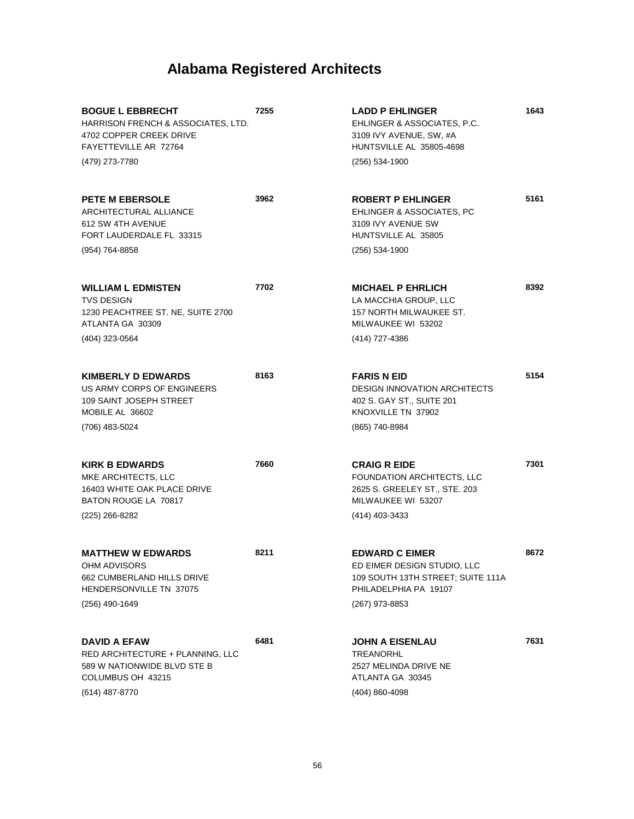| <b>BOGUE L EBBRECHT</b><br>HARRISON FRENCH & ASSOCIATES, LTD.<br>4702 COPPER CREEK DRIVE<br>FAYETTEVILLE AR 72764<br>(479) 273-7780 | 7255 | <b>LADD P EHLINGER</b><br>EHLINGER & ASSOCIATES, P.C.<br>3109 IVY AVENUE, SW, #A<br>HUNTSVILLE AL 35805-4698<br>(256) 534-1900 | 1643 |
|-------------------------------------------------------------------------------------------------------------------------------------|------|--------------------------------------------------------------------------------------------------------------------------------|------|
| <b>PETE M EBERSOLE</b><br>ARCHITECTURAL ALLIANCE<br>612 SW 4TH AVENUE<br>FORT LAUDERDALE FL 33315<br>(954) 764-8858                 | 3962 | <b>ROBERT P EHLINGER</b><br>EHLINGER & ASSOCIATES, PC<br>3109 IVY AVENUE SW<br>HUNTSVILLE AL 35805<br>$(256) 534-1900$         | 5161 |
|                                                                                                                                     |      |                                                                                                                                |      |
| <b>WILLIAM L EDMISTEN</b><br><b>TVS DESIGN</b><br>1230 PEACHTREE ST. NE, SUITE 2700<br>ATLANTA GA 30309                             | 7702 | <b>MICHAEL P EHRLICH</b><br>LA MACCHIA GROUP, LLC<br>157 NORTH MILWAUKEE ST.<br>MILWAUKEE WI 53202                             | 8392 |
| (404) 323-0564                                                                                                                      |      | (414) 727-4386                                                                                                                 |      |
| <b>KIMBERLY D EDWARDS</b><br>US ARMY CORPS OF ENGINEERS<br>109 SAINT JOSEPH STREET<br>MOBILE AL 36602                               | 8163 | <b>FARIS N EID</b><br><b>DESIGN INNOVATION ARCHITECTS</b><br>402 S. GAY ST., SUITE 201<br>KNOXVILLE TN 37902                   | 5154 |
| (706) 483-5024                                                                                                                      |      | (865) 740-8984                                                                                                                 |      |
| <b>KIRK B EDWARDS</b><br>MKE ARCHITECTS, LLC<br>16403 WHITE OAK PLACE DRIVE<br>BATON ROUGE LA 70817<br>$(225)$ 266-8282             | 7660 | <b>CRAIG R EIDE</b><br>FOUNDATION ARCHITECTS, LLC<br>2625 S. GREELEY ST., STE. 203<br>MILWAUKEE WI 53207<br>(414) 403-3433     | 7301 |
| <b>MATTHEW W EDWARDS</b><br>OHM ADVISORS<br>662 CUMBERLAND HILLS DRIVE<br>HENDERSONVILLE TN 37075                                   | 8211 | <b>EDWARD C EIMER</b><br>ED EIMER DESIGN STUDIO, LLC<br>109 SOUTH 13TH STREET; SUITE 111A<br>PHILADELPHIA PA 19107             | 8672 |
| $(256)$ 490-1649                                                                                                                    |      | (267) 973-8853                                                                                                                 |      |
| <b>DAVID A EFAW</b><br>RED ARCHITECTURE + PLANNING, LLC<br>589 W NATIONWIDE BLVD STE B<br>COLUMBUS OH 43215<br>(614) 487-8770       | 6481 | <b>JOHN A EISENLAU</b><br>TREANORHL<br>2527 MELINDA DRIVE NE<br>ATLANTA GA 30345                                               | 7631 |
|                                                                                                                                     |      | (404) 860-4098                                                                                                                 |      |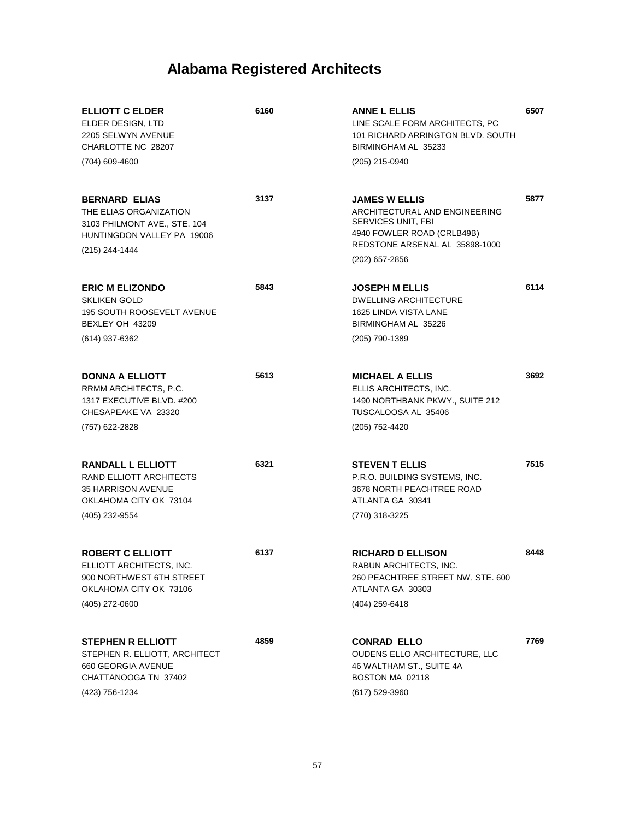| <b>ELLIOTT C ELDER</b><br>ELDER DESIGN, LTD<br>2205 SELWYN AVENUE<br>CHARLOTTE NC 28207                                        | 6160 | <b>ANNE L ELLIS</b><br>LINE SCALE FORM ARCHITECTS, PC<br>101 RICHARD ARRINGTON BLVD, SOUTH<br>BIRMINGHAM AL 35233                           | 6507 |
|--------------------------------------------------------------------------------------------------------------------------------|------|---------------------------------------------------------------------------------------------------------------------------------------------|------|
| (704) 609-4600                                                                                                                 |      | (205) 215-0940                                                                                                                              |      |
| <b>BERNARD ELIAS</b><br>THE ELIAS ORGANIZATION<br>3103 PHILMONT AVE., STE. 104<br>HUNTINGDON VALLEY PA 19006<br>(215) 244-1444 | 3137 | <b>JAMES W ELLIS</b><br>ARCHITECTURAL AND ENGINEERING<br>SERVICES UNIT, FBI<br>4940 FOWLER ROAD (CRLB49B)<br>REDSTONE ARSENAL AL 35898-1000 | 5877 |
|                                                                                                                                |      | (202) 657-2856                                                                                                                              |      |
| <b>ERIC M ELIZONDO</b><br><b>SKLIKEN GOLD</b><br><b>195 SOUTH ROOSEVELT AVENUE</b><br>BEXLEY OH 43209                          | 5843 | <b>JOSEPH M ELLIS</b><br><b>DWELLING ARCHITECTURE</b><br>1625 LINDA VISTA LANE<br>BIRMINGHAM AL 35226                                       | 6114 |
| (614) 937-6362                                                                                                                 |      | (205) 790-1389                                                                                                                              |      |
| <b>DONNA A ELLIOTT</b><br>RRMM ARCHITECTS, P.C.<br>1317 EXECUTIVE BLVD. #200<br>CHESAPEAKE VA 23320                            | 5613 | <b>MICHAEL A ELLIS</b><br>ELLIS ARCHITECTS, INC.<br>1490 NORTHBANK PKWY., SUITE 212<br>TUSCALOOSA AL 35406                                  | 3692 |
| (757) 622-2828                                                                                                                 |      | (205) 752-4420                                                                                                                              |      |
| <b>RANDALL L ELLIOTT</b><br>RAND ELLIOTT ARCHITECTS<br><b>35 HARRISON AVENUE</b><br>OKLAHOMA CITY OK 73104<br>(405) 232-9554   | 6321 | <b>STEVEN T ELLIS</b><br>P.R.O. BUILDING SYSTEMS, INC.<br>3678 NORTH PEACHTREE ROAD<br>ATLANTA GA 30341<br>(770) 318-3225                   | 7515 |
| <b>ROBERT C ELLIOTT</b><br>ELLIOTT ARCHITECTS, INC.<br>900 NORTHWEST 6TH STREET<br>OKLAHOMA CITY OK 73106                      | 6137 | <b>RICHARD D ELLISON</b><br>RABUN ARCHITECTS, INC.<br>260 PEACHTREE STREET NW, STE. 600<br>ATLANTA GA 30303                                 | 8448 |
| (405) 272-0600                                                                                                                 |      | (404) 259-6418                                                                                                                              |      |
| <b>STEPHEN R ELLIOTT</b><br>STEPHEN R. ELLIOTT, ARCHITECT<br>660 GEORGIA AVENUE<br>CHATTANOOGA TN 37402<br>(423) 756-1234      | 4859 | <b>CONRAD ELLO</b><br>OUDENS ELLO ARCHITECTURE, LLC<br>46 WALTHAM ST., SUITE 4A<br>BOSTON MA 02118<br>(617) 529-3960                        | 7769 |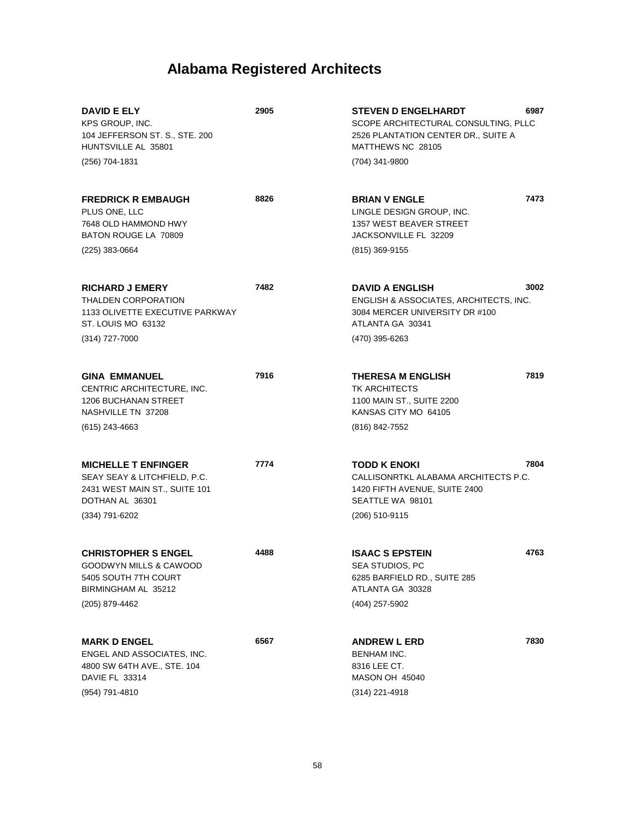| <b>DAVID E ELY</b><br>KPS GROUP, INC.<br>104 JEFFERSON ST. S., STE. 200<br>HUNTSVILLE AL 35801                        | 2905 | 6987<br><b>STEVEN D ENGELHARDT</b><br>SCOPE ARCHITECTURAL CONSULTING, PLLC<br>2526 PLANTATION CENTER DR., SUITE A<br>MATTHEWS NC 28105 |
|-----------------------------------------------------------------------------------------------------------------------|------|----------------------------------------------------------------------------------------------------------------------------------------|
| (256) 704-1831                                                                                                        |      | (704) 341-9800                                                                                                                         |
| <b>FREDRICK R EMBAUGH</b><br>PLUS ONE, LLC<br>7648 OLD HAMMOND HWY<br>BATON ROUGE LA 70809                            | 8826 | 7473<br><b>BRIAN V ENGLE</b><br>LINGLE DESIGN GROUP, INC.<br>1357 WEST BEAVER STREET<br>JACKSONVILLE FL 32209                          |
| (225) 383-0664                                                                                                        |      | $(815)$ 369-9155                                                                                                                       |
| <b>RICHARD J EMERY</b><br><b>THALDEN CORPORATION</b><br>1133 OLIVETTE EXECUTIVE PARKWAY<br>ST. LOUIS MO 63132         | 7482 | 3002<br><b>DAVID A ENGLISH</b><br>ENGLISH & ASSOCIATES, ARCHITECTS, INC.<br>3084 MERCER UNIVERSITY DR #100<br>ATLANTA GA 30341         |
| $(314)$ 727-7000                                                                                                      |      | (470) 395-6263                                                                                                                         |
| <b>GINA EMMANUEL</b><br>CENTRIC ARCHITECTURE, INC.<br><b>1206 BUCHANAN STREET</b><br>NASHVILLE TN 37208               | 7916 | 7819<br><b>THERESA M ENGLISH</b><br><b>TK ARCHITECTS</b><br>1100 MAIN ST., SUITE 2200<br>KANSAS CITY MO 64105                          |
| $(615)$ 243-4663                                                                                                      |      | (816) 842-7552                                                                                                                         |
| <b>MICHELLE T ENFINGER</b><br>SEAY SEAY & LITCHFIELD, P.C.<br>2431 WEST MAIN ST., SUITE 101<br>DOTHAN AL 36301        | 7774 | <b>TODD K ENOKI</b><br>7804<br>CALLISONRTKL ALABAMA ARCHITECTS P.C.<br>1420 FIFTH AVENUE, SUITE 2400<br>SEATTLE WA 98101               |
| (334) 791-6202                                                                                                        |      | (206) 510-9115                                                                                                                         |
| <b>CHRISTOPHER S ENGEL</b><br>GOODWYN MILLS & CAWOOD<br>5405 SOUTH 7TH COURT<br>BIRMINGHAM AL 35212<br>(205) 879-4462 | 4488 | <b>ISAAC S EPSTEIN</b><br>4763<br>SEA STUDIOS, PC<br>6285 BARFIELD RD., SUITE 285<br>ATLANTA GA 30328<br>(404) 257-5902                |
| <b>MARK D ENGEL</b><br>ENGEL AND ASSOCIATES, INC.<br>4800 SW 64TH AVE., STE. 104<br>DAVIE FL 33314<br>(954) 791-4810  | 6567 | 7830<br><b>ANDREW L ERD</b><br>BENHAM INC.<br>8316 LEE CT.<br><b>MASON OH 45040</b><br>$(314)$ 221-4918                                |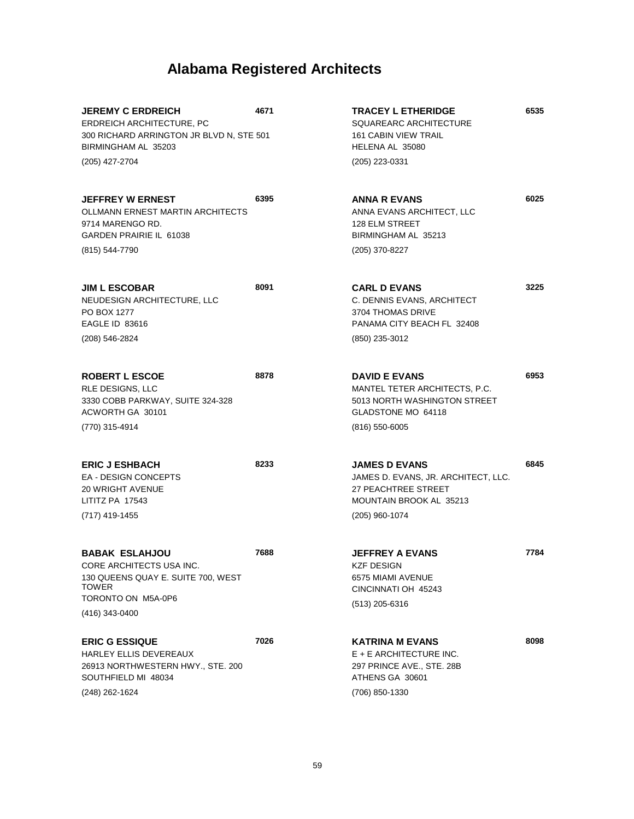| <b>JEREMY C ERDREICH</b><br>ERDREICH ARCHITECTURE, PC<br>300 RICHARD ARRINGTON JR BLVD N, STE 501<br>BIRMINGHAM AL 35203 | 4671 | <b>TRACEY L ETHERIDGE</b><br>SQUAREARC ARCHITECTURE<br><b>161 CABIN VIEW TRAIL</b><br>HELENA AL 35080                           | 6535 |
|--------------------------------------------------------------------------------------------------------------------------|------|---------------------------------------------------------------------------------------------------------------------------------|------|
| (205) 427-2704                                                                                                           |      | (205) 223-0331                                                                                                                  |      |
| <b>JEFFREY W ERNEST</b><br>OLLMANN ERNEST MARTIN ARCHITECTS<br>9714 MARENGO RD.<br>GARDEN PRAIRIE IL 61038               | 6395 | <b>ANNA R EVANS</b><br>ANNA EVANS ARCHITECT, LLC<br><b>128 ELM STREET</b><br>BIRMINGHAM AL 35213                                | 6025 |
| (815) 544-7790                                                                                                           |      | (205) 370-8227                                                                                                                  |      |
| <b>JIM L ESCOBAR</b><br>NEUDESIGN ARCHITECTURE, LLC<br>PO BOX 1277<br><b>EAGLE ID 83616</b>                              | 8091 | <b>CARL D EVANS</b><br>C. DENNIS EVANS, ARCHITECT<br>3704 THOMAS DRIVE<br>PANAMA CITY BEACH FL 32408                            | 3225 |
| (208) 546-2824                                                                                                           |      | (850) 235-3012                                                                                                                  |      |
| <b>ROBERT L ESCOE</b><br>RLE DESIGNS, LLC<br>3330 COBB PARKWAY, SUITE 324-328<br>ACWORTH GA 30101                        | 8878 | <b>DAVID E EVANS</b><br>MANTEL TETER ARCHITECTS, P.C.<br>5013 NORTH WASHINGTON STREET<br>GLADSTONE MO 64118                     | 6953 |
| (770) 315-4914                                                                                                           |      | $(816)$ 550-6005                                                                                                                |      |
| <b>ERIC J ESHBACH</b><br><b>EA - DESIGN CONCEPTS</b><br><b>20 WRIGHT AVENUE</b><br>LITITZ PA 17543<br>(717) 419-1455     | 8233 | <b>JAMES D EVANS</b><br>JAMES D. EVANS, JR. ARCHITECT, LLC.<br>27 PEACHTREE STREET<br>MOUNTAIN BROOK AL 35213<br>(205) 960-1074 | 6845 |
|                                                                                                                          |      |                                                                                                                                 |      |
| <b>BABAK ESLAHJOU</b><br>CORE ARCHITECTS USA INC.<br>130 QUEENS QUAY E. SUITE 700, WEST<br>TOWER                         | 7688 | JEFFREY A EVANS<br>KZF DESIGN<br>6575 MIAMI AVENUE<br>CINCINNATI OH 45243                                                       | 7784 |
| TORONTO ON M5A-0P6<br>(416) 343-0400                                                                                     |      | (513) 205-6316                                                                                                                  |      |
| <b>ERIC G ESSIQUE</b><br>HARLEY ELLIS DEVEREAUX<br>26913 NORTHWESTERN HWY., STE. 200<br>SOUTHFIELD MI 48034              | 7026 | <b>KATRINA M EVANS</b><br>$E + E$ ARCHITECTURE INC.<br>297 PRINCE AVE., STE. 28B<br>ATHENS GA 30601                             | 8098 |
| (248) 262-1624                                                                                                           |      | (706) 850-1330                                                                                                                  |      |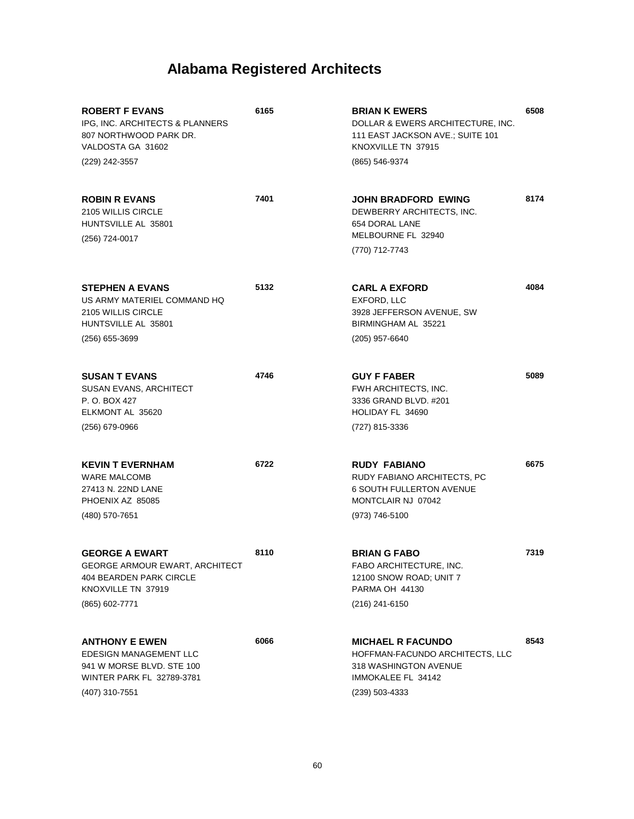| <b>ROBERT F EVANS</b><br>IPG, INC. ARCHITECTS & PLANNERS<br>807 NORTHWOOD PARK DR.<br>VALDOSTA GA 31602<br>(229) 242-3557          | 6165 | <b>BRIAN K EWERS</b><br>DOLLAR & EWERS ARCHITECTURE, INC.<br>111 EAST JACKSON AVE.; SUITE 101<br>KNOXVILLE TN 37915<br>(865) 546-9374 | 6508 |
|------------------------------------------------------------------------------------------------------------------------------------|------|---------------------------------------------------------------------------------------------------------------------------------------|------|
| <b>ROBIN R EVANS</b><br>2105 WILLIS CIRCLE<br>HUNTSVILLE AL 35801<br>(256) 724-0017                                                | 7401 | JOHN BRADFORD EWING<br>DEWBERRY ARCHITECTS. INC.<br>654 DORAL LANE<br>MELBOURNE FL 32940<br>(770) 712-7743                            | 8174 |
| <b>STEPHEN A EVANS</b><br>US ARMY MATERIEL COMMAND HQ<br>2105 WILLIS CIRCLE<br>HUNTSVILLE AL 35801<br>(256) 655-3699               | 5132 | <b>CARL A EXFORD</b><br>EXFORD, LLC<br>3928 JEFFERSON AVENUE, SW<br>BIRMINGHAM AL 35221<br>(205) 957-6640                             | 4084 |
| <b>SUSAN T EVANS</b><br><b>SUSAN EVANS, ARCHITECT</b><br>P. O. BOX 427<br>ELKMONT AL 35620<br>$(256)$ 679-0966                     | 4746 | <b>GUY F FABER</b><br><b>FWH ARCHITECTS, INC.</b><br>3336 GRAND BLVD. #201<br>HOLIDAY FL 34690<br>(727) 815-3336                      | 5089 |
| <b>KEVIN T EVERNHAM</b><br><b>WARE MALCOMB</b><br>27413 N. 22ND LANE<br>PHOENIX AZ 85085<br>(480) 570-7651                         | 6722 | <b>RUDY FABIANO</b><br>RUDY FABIANO ARCHITECTS, PC<br><b>6 SOUTH FULLERTON AVENUE</b><br>MONTCLAIR NJ 07042<br>(973) 746-5100         | 6675 |
| <b>GEORGE A EWART</b><br>GEORGE ARMOUR EWART, ARCHITECT<br>404 BEARDEN PARK CIRCLE<br>KNOXVILLE TN 37919<br>(865) 602-7771         | 8110 | <b>BRIAN G FABO</b><br>FABO ARCHITECTURE, INC.<br>12100 SNOW ROAD; UNIT 7<br>PARMA OH 44130<br>(216) 241-6150                         | 7319 |
| <b>ANTHONY E EWEN</b><br><b>EDESIGN MANAGEMENT LLC</b><br>941 W MORSE BLVD, STE 100<br>WINTER PARK FL 32789-3781<br>(407) 310-7551 | 6066 | <b>MICHAEL R FACUNDO</b><br>HOFFMAN-FACUNDO ARCHITECTS, LLC<br>318 WASHINGTON AVENUE<br>IMMOKALEE FL 34142<br>$(239)$ 503-4333        | 8543 |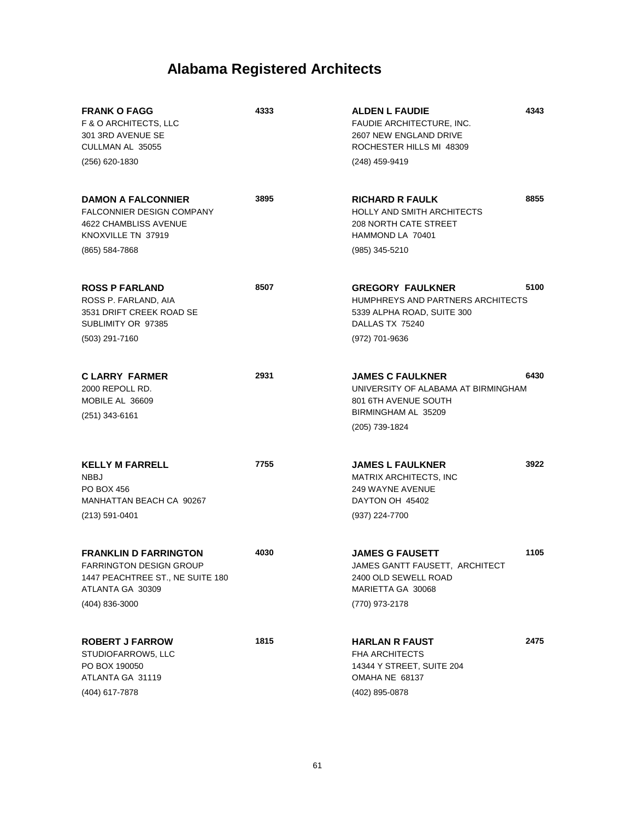| <b>FRANK O FAGG</b><br><b>F &amp; O ARCHITECTS, LLC</b><br>301 3RD AVENUE SE<br>CULLMAN AL 35055<br>(256) 620-1830                         | 4333 | 4343<br><b>ALDEN L FAUDIE</b><br>FAUDIE ARCHITECTURE, INC.<br>2607 NEW ENGLAND DRIVE<br>ROCHESTER HILLS MI 48309<br>(248) 459-9419        |
|--------------------------------------------------------------------------------------------------------------------------------------------|------|-------------------------------------------------------------------------------------------------------------------------------------------|
| <b>DAMON A FALCONNIER</b><br><b>FALCONNIER DESIGN COMPANY</b><br>4622 CHAMBLISS AVENUE<br>KNOXVILLE TN 37919<br>(865) 584-7868             | 3895 | 8855<br><b>RICHARD R FAULK</b><br><b>HOLLY AND SMITH ARCHITECTS</b><br><b>208 NORTH CATE STREET</b><br>HAMMOND LA 70401<br>(985) 345-5210 |
| <b>ROSS P FARLAND</b><br>ROSS P. FARLAND, AIA<br>3531 DRIFT CREEK ROAD SE<br>SUBLIMITY OR 97385<br>(503) 291-7160                          | 8507 | 5100<br><b>GREGORY FAULKNER</b><br>HUMPHREYS AND PARTNERS ARCHITECTS<br>5339 ALPHA ROAD, SUITE 300<br>DALLAS TX 75240<br>(972) 701-9636   |
| <b>CLARRY FARMER</b><br>2000 REPOLL RD.<br>MOBILE AL 36609<br>$(251)$ 343-6161                                                             | 2931 | 6430<br><b>JAMES C FAULKNER</b><br>UNIVERSITY OF ALABAMA AT BIRMINGHAM<br>801 6TH AVENUE SOUTH<br>BIRMINGHAM AL 35209<br>(205) 739-1824   |
| <b>KELLY M FARRELL</b><br><b>NBBJ</b><br><b>PO BOX 456</b><br>MANHATTAN BEACH CA 90267<br>(213) 591-0401                                   | 7755 | 3922<br><b>JAMES L FAULKNER</b><br><b>MATRIX ARCHITECTS, INC</b><br>249 WAYNE AVENUE<br>DAYTON OH 45402<br>(937) 224-7700                 |
| <b>FRANKLIN D FARRINGTON</b><br><b>FARRINGTON DESIGN GROUP</b><br>1447 PEACHTREE ST., NE SUITE 180<br>ATLANTA GA 30309<br>$(404)$ 836-3000 | 4030 | 1105<br><b>JAMES G FAUSETT</b><br>JAMES GANTT FAUSETT, ARCHITECT<br>2400 OLD SEWELL ROAD<br>MARIETTA GA 30068<br>(770) 973-2178           |
| <b>ROBERT J FARROW</b><br>STUDIOFARROW5, LLC<br>PO BOX 190050<br>ATLANTA GA 31119<br>(404) 617-7878                                        | 1815 | 2475<br><b>HARLAN R FAUST</b><br><b>FHA ARCHITECTS</b><br>14344 Y STREET, SUITE 204<br>OMAHA NE 68137<br>(402) 895-0878                   |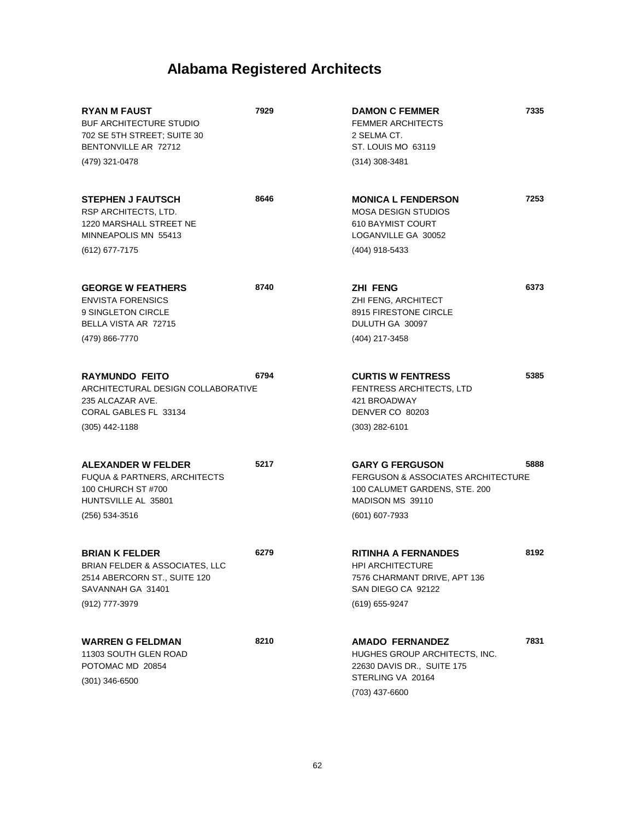| <b>RYAN M FAUST</b><br><b>BUF ARCHITECTURE STUDIO</b><br>702 SE 5TH STREET; SUITE 30<br>BENTONVILLE AR 72712                   | 7929 | <b>DAMON C FEMMER</b><br><b>FEMMER ARCHITECTS</b><br>2 SELMA CT.<br>ST. LOUIS MO 63119                                              | 7335 |
|--------------------------------------------------------------------------------------------------------------------------------|------|-------------------------------------------------------------------------------------------------------------------------------------|------|
| (479) 321-0478                                                                                                                 |      | $(314)$ 308-3481                                                                                                                    |      |
| <b>STEPHEN J FAUTSCH</b><br>RSP ARCHITECTS, LTD.<br>1220 MARSHALL STREET NE<br>MINNEAPOLIS MN 55413                            | 8646 | <b>MONICA L FENDERSON</b><br><b>MOSA DESIGN STUDIOS</b><br>610 BAYMIST COURT<br>LOGANVILLE GA 30052                                 | 7253 |
| (612) 677-7175                                                                                                                 |      | (404) 918-5433                                                                                                                      |      |
| <b>GEORGE W FEATHERS</b><br><b>ENVISTA FORENSICS</b><br>9 SINGLETON CIRCLE<br>BELLA VISTA AR 72715<br>(479) 866-7770           | 8740 | <b>ZHI FENG</b><br>ZHI FENG, ARCHITECT<br>8915 FIRESTONE CIRCLE<br>DULUTH GA 30097<br>(404) 217-3458                                | 6373 |
| <b>RAYMUNDO FEITO</b><br>ARCHITECTURAL DESIGN COLLABORATIVE<br>235 ALCAZAR AVE.<br>CORAL GABLES FL 33134                       | 6794 | <b>CURTIS W FENTRESS</b><br>FENTRESS ARCHITECTS, LTD<br>421 BROADWAY<br>DENVER CO 80203                                             | 5385 |
| $(305)$ 442-1188                                                                                                               |      | $(303)$ 282-6101                                                                                                                    |      |
| ALEXANDER W FELDER<br><b>FUQUA &amp; PARTNERS, ARCHITECTS</b><br>100 CHURCH ST #700<br>HUNTSVILLE AL 35801<br>(256) 534-3516   | 5217 | <b>GARY G FERGUSON</b><br>FERGUSON & ASSOCIATES ARCHITECTURE<br>100 CALUMET GARDENS, STE. 200<br>MADISON MS 39110<br>(601) 607-7933 | 5888 |
| <b>BRIAN K FELDER</b><br>BRIAN FELDER & ASSOCIATES, LLC<br>2514 ABERCORN ST., SUITE 120<br>SAVANNAH GA 31401<br>(912) 777-3979 | 6279 | <b>RITINHA A FERNANDES</b><br>HPI ARCHITECTURE<br>7576 CHARMANT DRIVE, APT 136<br>SAN DIEGO CA 92122<br>(619) 655-9247              | 8192 |
| <b>WARREN G FELDMAN</b><br>11303 SOUTH GLEN ROAD<br>POTOMAC MD 20854<br>$(301)$ 346-6500                                       | 8210 | <b>AMADO FERNANDEZ</b><br>HUGHES GROUP ARCHITECTS, INC.<br>22630 DAVIS DR., SUITE 175<br>STERLING VA 20164<br>(703) 437-6600        | 7831 |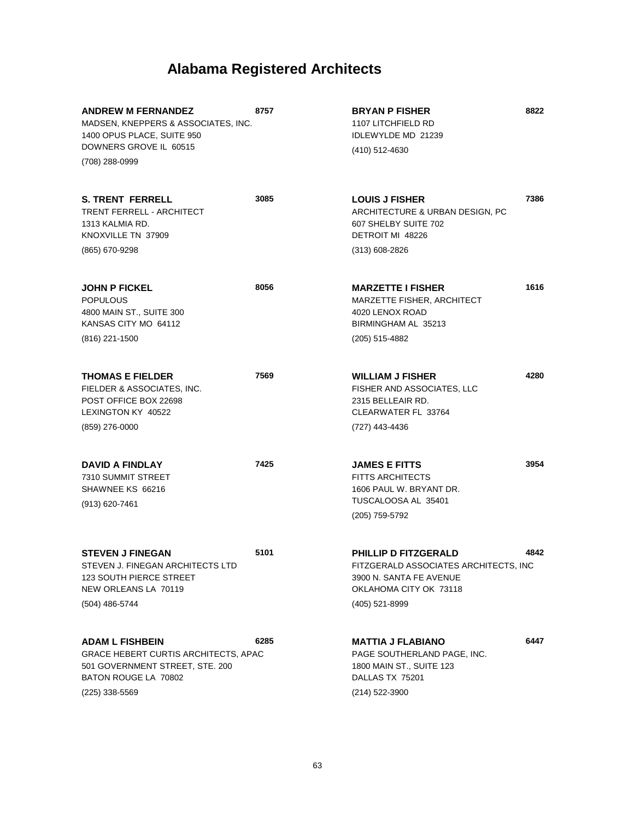| <b>ANDREW M FERNANDEZ</b><br>MADSEN, KNEPPERS & ASSOCIATES, INC.<br>1400 OPUS PLACE, SUITE 950<br>DOWNERS GROVE IL 60515<br>(708) 288-0999    | 8757 | 8822<br><b>BRYAN P FISHER</b><br>1107 LITCHFIELD RD<br>IDLEWYLDE MD 21239<br>(410) 512-4630                                                         |
|-----------------------------------------------------------------------------------------------------------------------------------------------|------|-----------------------------------------------------------------------------------------------------------------------------------------------------|
| <b>S. TRENT FERRELL</b><br>TRENT FERRELL - ARCHITECT<br>1313 KALMIA RD.<br>KNOXVILLE TN 37909<br>(865) 670-9298                               | 3085 | 7386<br><b>LOUIS J FISHER</b><br>ARCHITECTURE & URBAN DESIGN, PC<br>607 SHELBY SUITE 702<br>DETROIT MI 48226<br>$(313) 608 - 2826$                  |
| <b>JOHN P FICKEL</b><br><b>POPULOUS</b><br>4800 MAIN ST., SUITE 300<br>KANSAS CITY MO 64112<br>(816) 221-1500                                 | 8056 | 1616<br><b>MARZETTE I FISHER</b><br>MARZETTE FISHER, ARCHITECT<br>4020 LENOX ROAD<br>BIRMINGHAM AL 35213<br>(205) 515-4882                          |
| <b>THOMAS E FIELDER</b><br>FIELDER & ASSOCIATES, INC.<br>POST OFFICE BOX 22698<br>LEXINGTON KY 40522<br>(859) 276-0000                        | 7569 | 4280<br><b>WILLIAM J FISHER</b><br>FISHER AND ASSOCIATES, LLC<br>2315 BELLEAIR RD.<br>CLEARWATER FL 33764<br>(727) 443-4436                         |
| <b>DAVID A FINDLAY</b><br>7310 SUMMIT STREET<br>SHAWNEE KS 66216<br>(913) 620-7461                                                            | 7425 | 3954<br><b>JAMES E FITTS</b><br><b>FITTS ARCHITECTS</b><br>1606 PAUL W. BRYANT DR.<br>TUSCALOOSA AL 35401<br>(205) 759-5792                         |
| <b>STEVEN J FINEGAN</b><br>STEVEN J. FINEGAN ARCHITECTS LTD<br>123 SOUTH PIERCE STREET<br>NEW ORLEANS LA 70119<br>(504) 486-5744              | 5101 | <b>PHILLIP D FITZGERALD</b><br>4842<br>FITZGERALD ASSOCIATES ARCHITECTS, INC<br>3900 N. SANTA FE AVENUE<br>OKLAHOMA CITY OK 73118<br>(405) 521-8999 |
| <b>ADAM L FISHBEIN</b><br>GRACE HEBERT CURTIS ARCHITECTS, APAC<br>501 GOVERNMENT STREET, STE. 200<br>BATON ROUGE LA 70802<br>$(225)$ 338-5569 | 6285 | 6447<br><b>MATTIA J FLABIANO</b><br>PAGE SOUTHERLAND PAGE, INC.<br>1800 MAIN ST., SUITE 123<br>DALLAS TX 75201<br>(214) 522-3900                    |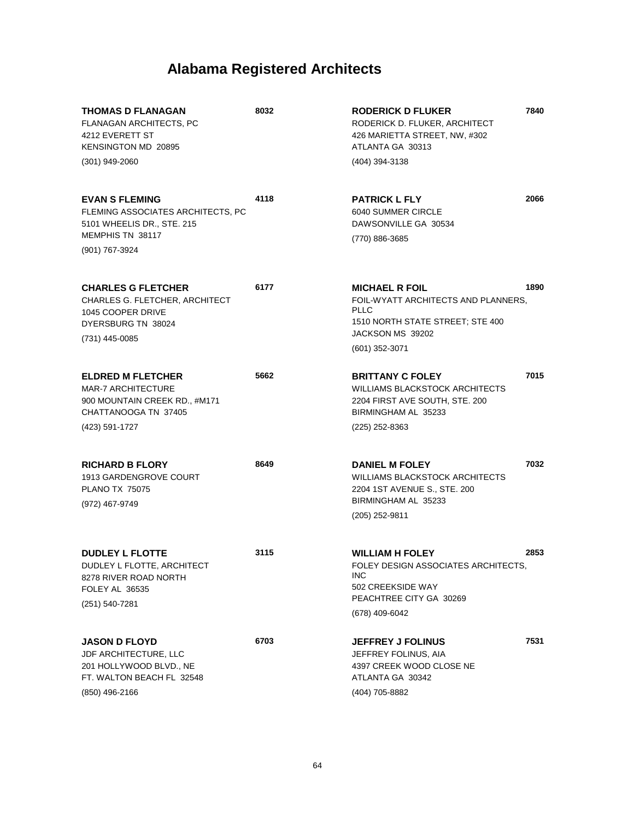| <b>THOMAS D FLANAGAN</b><br><b>FLANAGAN ARCHITECTS, PC</b><br>4212 EVERETT ST<br><b>KENSINGTON MD 20895</b><br>(301) 949-2060    | 8032 | <b>RODERICK D FLUKER</b><br>RODERICK D. FLUKER, ARCHITECT<br>426 MARIETTA STREET, NW, #302<br>ATLANTA GA 30313<br>(404) 394-3138                      | 7840 |
|----------------------------------------------------------------------------------------------------------------------------------|------|-------------------------------------------------------------------------------------------------------------------------------------------------------|------|
| <b>EVAN S FLEMING</b><br>FLEMING ASSOCIATES ARCHITECTS, PC<br>5101 WHEELIS DR., STE. 215<br>MEMPHIS TN 38117<br>(901) 767-3924   | 4118 | <b>PATRICK L FLY</b><br>6040 SUMMER CIRCLE<br>DAWSONVILLE GA 30534<br>(770) 886-3685                                                                  | 2066 |
| <b>CHARLES G FLETCHER</b><br>CHARLES G. FLETCHER, ARCHITECT<br>1045 COOPER DRIVE<br>DYERSBURG TN 38024<br>(731) 445-0085         | 6177 | <b>MICHAEL R FOIL</b><br>FOIL-WYATT ARCHITECTS AND PLANNERS,<br><b>PLLC</b><br>1510 NORTH STATE STREET; STE 400<br>JACKSON MS 39202<br>(601) 352-3071 | 1890 |
| <b>ELDRED M FLETCHER</b><br><b>MAR-7 ARCHITECTURE</b><br>900 MOUNTAIN CREEK RD., #M171<br>CHATTANOOGA TN 37405<br>(423) 591-1727 | 5662 | <b>BRITTANY C FOLEY</b><br><b>WILLIAMS BLACKSTOCK ARCHITECTS</b><br>2204 FIRST AVE SOUTH, STE. 200<br>BIRMINGHAM AL 35233<br>(225) 252-8363           | 7015 |
| <b>RICHARD B FLORY</b><br>1913 GARDENGROVE COURT<br><b>PLANO TX 75075</b><br>(972) 467-9749                                      | 8649 | <b>DANIEL M FOLEY</b><br><b>WILLIAMS BLACKSTOCK ARCHITECTS</b><br>2204 1ST AVENUE S., STE. 200<br>BIRMINGHAM AL 35233<br>(205) 252-9811               | 7032 |
| <b>DUDLEY L FLOTTE</b><br>DUDLEY L FLOTTE, ARCHITECT<br>8278 RIVER ROAD NORTH<br>FOLEY AL 36535<br>(251) 540-7281                | 3115 | <b>WILLIAM H FOLEY</b><br>FOLEY DESIGN ASSOCIATES ARCHITECTS,<br><b>INC</b><br>502 CREEKSIDE WAY<br>PEACHTREE CITY GA 30269<br>(678) 409-6042         | 2853 |
| <b>JASON D FLOYD</b><br>JDF ARCHITECTURE, LLC<br>201 HOLLYWOOD BLVD., NE<br>FT. WALTON BEACH FL 32548<br>(850) 496-2166          | 6703 | <b>JEFFREY J FOLINUS</b><br>JEFFREY FOLINUS, AIA<br>4397 CREEK WOOD CLOSE NE<br>ATLANTA GA 30342<br>(404) 705-8882                                    | 7531 |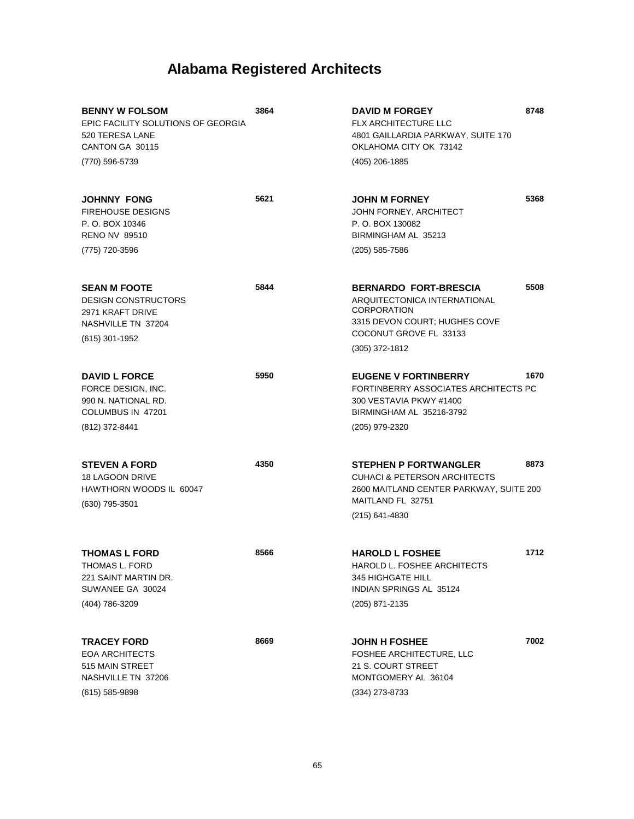| <b>BENNY W FOLSOM</b><br>EPIC FACILITY SOLUTIONS OF GEORGIA<br>520 TERESA LANE<br>CANTON GA 30115<br>(770) 596-5739 | 3864 | <b>DAVID M FORGEY</b><br><b>FLX ARCHITECTURE LLC</b><br>4801 GAILLARDIA PARKWAY, SUITE 170<br>OKLAHOMA CITY OK 73142<br>(405) 206-1885                    | 8748 |
|---------------------------------------------------------------------------------------------------------------------|------|-----------------------------------------------------------------------------------------------------------------------------------------------------------|------|
|                                                                                                                     |      |                                                                                                                                                           |      |
| <b>JOHNNY FONG</b><br><b>FIREHOUSE DESIGNS</b><br>P. O. BOX 10346<br><b>RENO NV 89510</b>                           | 5621 | <b>JOHN M FORNEY</b><br>JOHN FORNEY, ARCHITECT<br>P. O. BOX 130082<br>BIRMINGHAM AL 35213                                                                 | 5368 |
| (775) 720-3596                                                                                                      |      | (205) 585-7586                                                                                                                                            |      |
| <b>SEAN M FOOTE</b><br><b>DESIGN CONSTRUCTORS</b><br>2971 KRAFT DRIVE<br>NASHVILLE TN 37204<br>(615) 301-1952       | 5844 | <b>BERNARDO FORT-BRESCIA</b><br>ARQUITECTONICA INTERNATIONAL<br><b>CORPORATION</b><br>3315 DEVON COURT; HUGHES COVE<br>COCONUT GROVE FL 33133             | 5508 |
|                                                                                                                     |      | (305) 372-1812                                                                                                                                            |      |
| <b>DAVID L FORCE</b><br>FORCE DESIGN, INC.<br>990 N. NATIONAL RD.<br>COLUMBUS IN 47201                              | 5950 | <b>EUGENE V FORTINBERRY</b><br>FORTINBERRY ASSOCIATES ARCHITECTS PC<br>300 VESTAVIA PKWY #1400<br>BIRMINGHAM AL 35216-3792                                | 1670 |
| (812) 372-8441                                                                                                      |      | (205) 979-2320                                                                                                                                            |      |
| <b>STEVEN A FORD</b><br><b>18 LAGOON DRIVE</b><br>HAWTHORN WOODS IL 60047<br>(630) 795-3501                         | 4350 | <b>STEPHEN P FORTWANGLER</b><br><b>CUHACI &amp; PETERSON ARCHITECTS</b><br>2600 MAITLAND CENTER PARKWAY, SUITE 200<br>MAITLAND FL 32751<br>(215) 641-4830 | 8873 |
|                                                                                                                     |      |                                                                                                                                                           |      |
| <b>THOMAS L FORD</b><br>THOMAS L. FORD<br>221 SAINT MARTIN DR.<br>SUWANEE GA 30024                                  | 8566 | <b>HAROLD L FOSHEE</b><br>HAROLD L. FOSHEE ARCHITECTS<br>345 HIGHGATE HILL<br>INDIAN SPRINGS AL 35124                                                     | 1712 |
| (404) 786-3209                                                                                                      |      | (205) 871-2135                                                                                                                                            |      |
| <b>TRACEY FORD</b>                                                                                                  | 8669 |                                                                                                                                                           | 7002 |
| <b>EOA ARCHITECTS</b><br>515 MAIN STREET<br>NASHVILLE TN 37206<br>$(615)$ 585-9898                                  |      | <b>JOHN H FOSHEE</b><br>FOSHEE ARCHITECTURE, LLC<br>21 S. COURT STREET<br>MONTGOMERY AL 36104<br>(334) 273-8733                                           |      |
|                                                                                                                     |      |                                                                                                                                                           |      |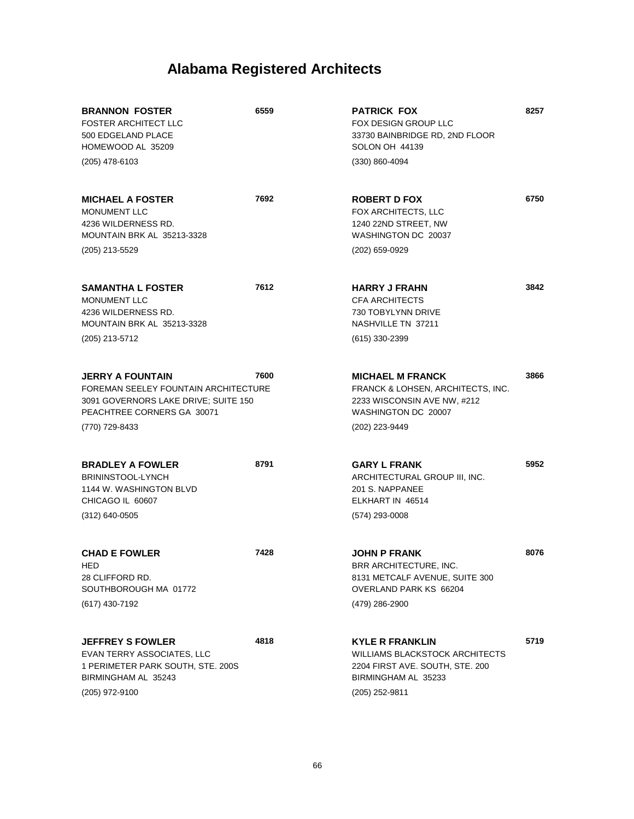| <b>BRANNON FOSTER</b><br><b>FOSTER ARCHITECT LLC</b><br>500 EDGELAND PLACE<br>HOMEWOOD AL 35209                                            | 6559 | <b>PATRICK FOX</b><br>FOX DESIGN GROUP LLC<br>33730 BAINBRIDGE RD, 2ND FLOOR<br>SOLON OH 44139                                              | 8257 |
|--------------------------------------------------------------------------------------------------------------------------------------------|------|---------------------------------------------------------------------------------------------------------------------------------------------|------|
| $(205)$ 478-6103                                                                                                                           |      | (330) 860-4094                                                                                                                              |      |
| <b>MICHAEL A FOSTER</b><br>MONUMENT LLC<br>4236 WILDERNESS RD.<br>MOUNTAIN BRK AL 35213-3328                                               | 7692 | <b>ROBERT D FOX</b><br><b>FOX ARCHITECTS, LLC</b><br>1240 22ND STREET, NW<br>WASHINGTON DC 20037                                            | 6750 |
| (205) 213-5529                                                                                                                             |      | (202) 659-0929                                                                                                                              |      |
| <b>SAMANTHA L FOSTER</b><br>MONUMENT LLC<br>4236 WILDERNESS RD.<br>MOUNTAIN BRK AL 35213-3328<br>(205) 213-5712                            | 7612 | <b>HARRY J FRAHN</b><br><b>CFA ARCHITECTS</b><br>730 TOBYLYNN DRIVE<br>NASHVILLE TN 37211<br>(615) 330-2399                                 | 3842 |
| <b>JERRY A FOUNTAIN</b><br>FOREMAN SEELEY FOUNTAIN ARCHITECTURE<br>3091 GOVERNORS LAKE DRIVE; SUITE 150<br>PEACHTREE CORNERS GA 30071      | 7600 | <b>MICHAEL M FRANCK</b><br>FRANCK & LOHSEN, ARCHITECTS, INC.<br>2233 WISCONSIN AVE NW, #212<br>WASHINGTON DC 20007                          | 3866 |
| (770) 729-8433                                                                                                                             |      | (202) 223-9449                                                                                                                              |      |
| <b>BRADLEY A FOWLER</b><br>BRININSTOOL-LYNCH<br>1144 W. WASHINGTON BLVD<br>CHICAGO IL 60607<br>$(312)$ 640-0505                            | 8791 | <b>GARY L FRANK</b><br>ARCHITECTURAL GROUP III, INC.<br>201 S. NAPPANEE<br>ELKHART IN 46514<br>(574) 293-0008                               | 5952 |
| <b>CHAD E FOWLER</b><br><b>HED</b><br>28 CLIFFORD RD.<br>SOUTHBOROUGH MA 01772<br>(617) 430-7192                                           | 7428 | <b>JOHN P FRANK</b><br>BRR ARCHITECTURE, INC.<br>8131 METCALF AVENUE, SUITE 300<br>OVERLAND PARK KS 66204<br>(479) 286-2900                 | 8076 |
| <b>JEFFREY S FOWLER</b><br><b>EVAN TERRY ASSOCIATES, LLC</b><br>1 PERIMETER PARK SOUTH, STE. 200S<br>BIRMINGHAM AL 35243<br>(205) 972-9100 | 4818 | <b>KYLE R FRANKLIN</b><br><b>WILLIAMS BLACKSTOCK ARCHITECTS</b><br>2204 FIRST AVE. SOUTH, STE. 200<br>BIRMINGHAM AL 35233<br>(205) 252-9811 | 5719 |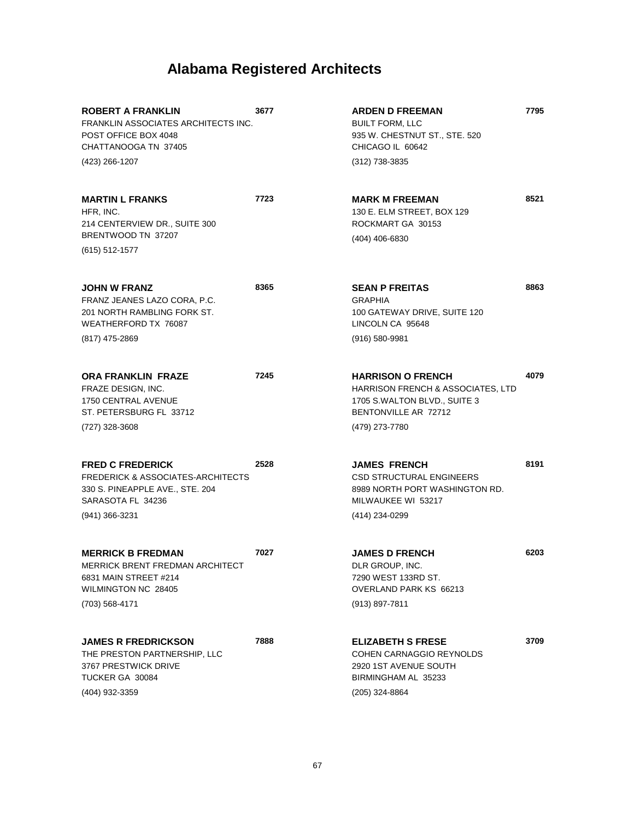| <b>ROBERT A FRANKLIN</b><br>FRANKLIN ASSOCIATES ARCHITECTS INC.<br>POST OFFICE BOX 4048<br>CHATTANOOGA TN 37405                                   | 3677 | <b>ARDEN D FREEMAN</b><br><b>BUILT FORM, LLC</b><br>935 W. CHESTNUT ST., STE. 520<br>CHICAGO IL 60642                            | 7795 |
|---------------------------------------------------------------------------------------------------------------------------------------------------|------|----------------------------------------------------------------------------------------------------------------------------------|------|
| (423) 266-1207                                                                                                                                    |      | (312) 738-3835                                                                                                                   |      |
| <b>MARTIN L FRANKS</b><br>HFR, INC.<br>214 CENTERVIEW DR., SUITE 300<br>BRENTWOOD TN 37207                                                        | 7723 | <b>MARK M FREEMAN</b><br>130 E. ELM STREET, BOX 129<br>ROCKMART GA 30153<br>(404) 406-6830                                       | 8521 |
| $(615)$ 512-1577                                                                                                                                  |      |                                                                                                                                  |      |
| <b>JOHN W FRANZ</b><br>FRANZ JEANES LAZO CORA, P.C.<br>201 NORTH RAMBLING FORK ST.<br>WEATHERFORD TX 76087                                        | 8365 | <b>SEAN P FREITAS</b><br><b>GRAPHIA</b><br>100 GATEWAY DRIVE, SUITE 120<br>LINCOLN CA 95648                                      | 8863 |
| (817) 475-2869                                                                                                                                    |      | $(916) 580 - 9981$                                                                                                               |      |
| <b>ORA FRANKLIN FRAZE</b><br>FRAZE DESIGN, INC.<br>1750 CENTRAL AVENUE<br>ST. PETERSBURG FL 33712                                                 | 7245 | <b>HARRISON O FRENCH</b><br>HARRISON FRENCH & ASSOCIATES, LTD<br>1705 S.WALTON BLVD., SUITE 3<br>BENTONVILLE AR 72712            | 4079 |
| (727) 328-3608                                                                                                                                    |      | (479) 273-7780                                                                                                                   |      |
| <b>FRED C FREDERICK</b><br><b>FREDERICK &amp; ASSOCIATES-ARCHITECTS</b><br>330 S. PINEAPPLE AVE., STE. 204<br>SARASOTA FL 34236<br>(941) 366-3231 | 2528 | <b>JAMES FRENCH</b><br><b>CSD STRUCTURAL ENGINEERS</b><br>8989 NORTH PORT WASHINGTON RD.<br>MILWAUKEE WI 53217<br>(414) 234-0299 | 8191 |
|                                                                                                                                                   |      |                                                                                                                                  |      |
| <b>MERRICK B FREDMAN</b><br><b>MERRICK BRENT FREDMAN ARCHITECT</b><br>6831 MAIN STREET #214<br>WILMINGTON NC 28405<br>(703) 568-4171              | 7027 | <b>JAMES D FRENCH</b><br>DLR GROUP, INC.<br>7290 WEST 133RD ST.<br>OVERLAND PARK KS 66213<br>(913) 897-7811                      | 6203 |
| <b>JAMES R FREDRICKSON</b><br>THE PRESTON PARTNERSHIP, LLC<br>3767 PRESTWICK DRIVE<br>TUCKER GA 30084<br>(404) 932-3359                           | 7888 | <b>ELIZABETH S FRESE</b><br>COHEN CARNAGGIO REYNOLDS<br>2920 1ST AVENUE SOUTH<br>BIRMINGHAM AL 35233<br>(205) 324-8864           | 3709 |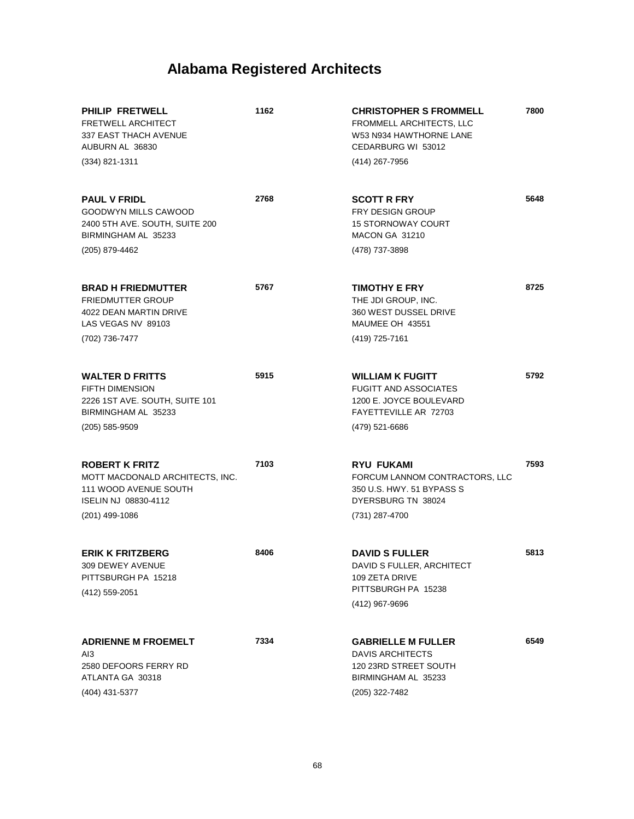| PHILIP FRETWELL<br><b>FRETWELL ARCHITECT</b><br>337 EAST THACH AVENUE<br>AUBURN AL 36830                                      | 1162 | <b>CHRISTOPHER S FROMMELL</b><br>FROMMELL ARCHITECTS, LLC<br>W53 N934 HAWTHORNE LANE<br>CEDARBURG WI 53012               | 7800 |
|-------------------------------------------------------------------------------------------------------------------------------|------|--------------------------------------------------------------------------------------------------------------------------|------|
| $(334)$ 821-1311                                                                                                              |      | (414) 267-7956                                                                                                           |      |
| <b>PAUL V FRIDL</b><br>GOODWYN MILLS CAWOOD<br>2400 5TH AVE. SOUTH, SUITE 200<br>BIRMINGHAM AL 35233                          | 2768 | <b>SCOTT R FRY</b><br><b>FRY DESIGN GROUP</b><br><b>15 STORNOWAY COURT</b><br>MACON GA 31210                             | 5648 |
| (205) 879-4462                                                                                                                |      | (478) 737-3898                                                                                                           |      |
| <b>BRAD H FRIEDMUTTER</b><br><b>FRIEDMUTTER GROUP</b><br>4022 DEAN MARTIN DRIVE<br>LAS VEGAS NV 89103                         | 5767 | <b>TIMOTHY E FRY</b><br>THE JDI GROUP, INC.<br>360 WEST DUSSEL DRIVE<br>MAUMEE OH 43551                                  | 8725 |
| (702) 736-7477                                                                                                                |      | (419) 725-7161                                                                                                           |      |
| <b>WALTER D FRITTS</b><br><b>FIFTH DIMENSION</b><br>2226 1ST AVE. SOUTH, SUITE 101<br>BIRMINGHAM AL 35233                     | 5915 | <b>WILLIAM K FUGITT</b><br><b>FUGITT AND ASSOCIATES</b><br>1200 E. JOYCE BOULEVARD<br>FAYETTEVILLE AR 72703              | 5792 |
| $(205)$ 585-9509                                                                                                              |      | (479) 521-6686                                                                                                           |      |
| <b>ROBERT K FRITZ</b><br>MOTT MACDONALD ARCHITECTS, INC.<br>111 WOOD AVENUE SOUTH<br>ISELIN NJ 08830-4112<br>$(201)$ 499-1086 | 7103 | <b>RYU FUKAMI</b><br>FORCUM LANNOM CONTRACTORS, LLC<br>350 U.S. HWY. 51 BYPASS S<br>DYERSBURG TN 38024<br>(731) 287-4700 | 7593 |
|                                                                                                                               |      |                                                                                                                          |      |
| <b>ERIK K FRITZBERG</b><br>309 DEWEY AVENUE<br>PITTSBURGH PA 15218<br>(412) 559-2051                                          | 8406 | <b>DAVID S FULLER</b><br>DAVID S FULLER, ARCHITECT<br>109 ZETA DRIVE<br>PITTSBURGH PA 15238                              | 5813 |
|                                                                                                                               |      | (412) 967-9696                                                                                                           |      |
| <b>ADRIENNE M FROEMELT</b><br>AI3<br>2580 DEFOORS FERRY RD<br>ATLANTA GA 30318<br>(404) 431-5377                              | 7334 | <b>GABRIELLE M FULLER</b><br><b>DAVIS ARCHITECTS</b><br>120 23RD STREET SOUTH<br>BIRMINGHAM AL 35233<br>(205) 322-7482   | 6549 |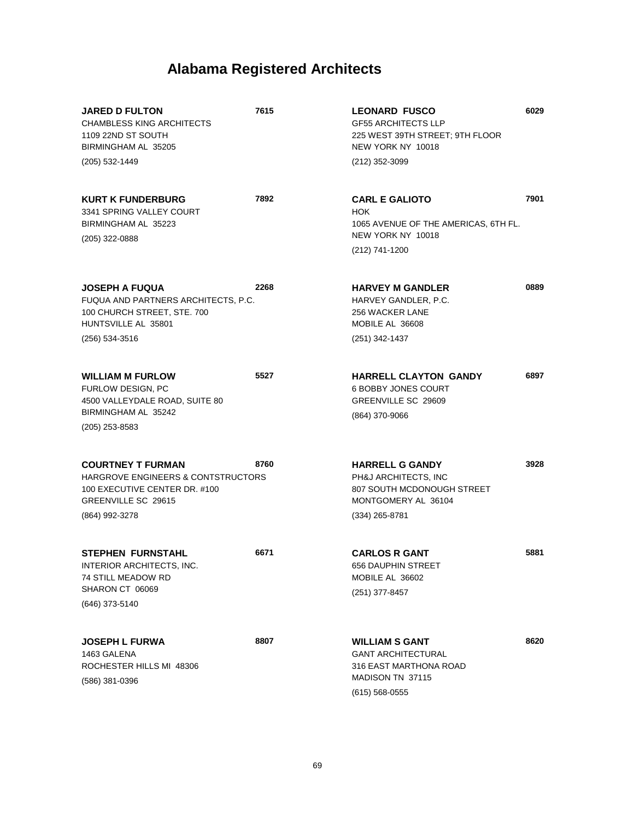| <b>JARED D FULTON</b><br><b>CHAMBLESS KING ARCHITECTS</b><br>1109 22ND ST SOUTH<br>BIRMINGHAM AL 35205                                              | 7615 | <b>LEONARD FUSCO</b><br><b>GF55 ARCHITECTS LLP</b><br>225 WEST 39TH STREET; 9TH FLOOR<br>NEW YORK NY 10018              | 6029 |
|-----------------------------------------------------------------------------------------------------------------------------------------------------|------|-------------------------------------------------------------------------------------------------------------------------|------|
| (205) 532-1449                                                                                                                                      |      | (212) 352-3099                                                                                                          |      |
| <b>KURT K FUNDERBURG</b><br>3341 SPRING VALLEY COURT<br>BIRMINGHAM AL 35223<br>(205) 322-0888                                                       | 7892 | <b>CARL E GALIOTO</b><br><b>HOK</b><br>1065 AVENUE OF THE AMERICAS, 6TH FL.<br>NEW YORK NY 10018                        | 7901 |
|                                                                                                                                                     |      | (212) 741-1200                                                                                                          |      |
| <b>JOSEPH A FUQUA</b><br>FUQUA AND PARTNERS ARCHITECTS, P.C.<br>100 CHURCH STREET, STE. 700<br>HUNTSVILLE AL 35801<br>(256) 534-3516                | 2268 | <b>HARVEY M GANDLER</b><br>HARVEY GANDLER, P.C.<br><b>256 WACKER LANE</b><br>MOBILE AL 36608<br>(251) 342-1437          | 0889 |
| <b>WILLIAM M FURLOW</b><br>FURLOW DESIGN, PC<br>4500 VALLEYDALE ROAD, SUITE 80<br>BIRMINGHAM AL 35242<br>(205) 253-8583                             | 5527 | <b>HARRELL CLAYTON GANDY</b><br><b>6 BOBBY JONES COURT</b><br>GREENVILLE SC 29609<br>(864) 370-9066                     | 6897 |
| <b>COURTNEY T FURMAN</b><br><b>HARGROVE ENGINEERS &amp; CONTSTRUCTORS</b><br>100 EXECUTIVE CENTER DR. #100<br>GREENVILLE SC 29615<br>(864) 992-3278 | 8760 | <b>HARRELL G GANDY</b><br>PH&J ARCHITECTS, INC<br>807 SOUTH MCDONOUGH STREET<br>MONTGOMERY AL 36104<br>$(334)$ 265-8781 | 3928 |
| <b>STEPHEN FURNSTAHL</b><br>INTERIOR ARCHITECTS, INC.<br>74 STILL MEADOW RD<br>SHARON CT 06069<br>(646) 373-5140                                    | 6671 | <b>CARLOS R GANT</b><br>656 DAUPHIN STREET<br>MOBILE AL 36602<br>(251) 377-8457                                         | 5881 |
| <b>JOSEPH L FURWA</b><br>1463 GALENA<br>ROCHESTER HILLS MI 48306<br>(586) 381-0396                                                                  | 8807 | <b>WILLIAM S GANT</b><br><b>GANT ARCHITECTURAL</b><br>316 EAST MARTHONA ROAD<br>MADISON TN 37115<br>$(615)$ 568-0555    | 8620 |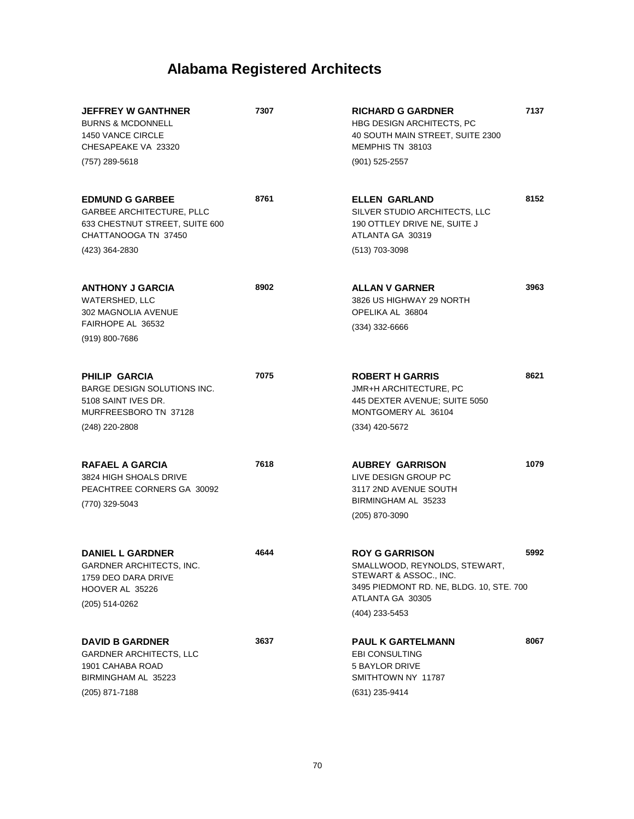| <b>JEFFREY W GANTHNER</b><br><b>BURNS &amp; MCDONNELL</b><br><b>1450 VANCE CIRCLE</b><br>CHESAPEAKE VA 23320<br>(757) 289-5618         | 7307 | <b>RICHARD G GARDNER</b><br><b>HBG DESIGN ARCHITECTS, PC</b><br>40 SOUTH MAIN STREET, SUITE 2300<br>MEMPHIS TN 38103<br>(901) 525-2557                             | 7137 |
|----------------------------------------------------------------------------------------------------------------------------------------|------|--------------------------------------------------------------------------------------------------------------------------------------------------------------------|------|
| <b>EDMUND G GARBEE</b><br><b>GARBEE ARCHITECTURE, PLLC</b><br>633 CHESTNUT STREET, SUITE 600<br>CHATTANOOGA TN 37450<br>(423) 364-2830 | 8761 | <b>ELLEN GARLAND</b><br>SILVER STUDIO ARCHITECTS, LLC<br>190 OTTLEY DRIVE NE, SUITE J<br>ATLANTA GA 30319<br>(513) 703-3098                                        | 8152 |
| <b>ANTHONY J GARCIA</b><br>WATERSHED, LLC<br>302 MAGNOLIA AVENUE<br>FAIRHOPE AL 36532<br>$(919) 800 - 7686$                            | 8902 | <b>ALLAN V GARNER</b><br>3826 US HIGHWAY 29 NORTH<br>OPELIKA AL 36804<br>$(334)$ 332-6666                                                                          | 3963 |
| <b>PHILIP GARCIA</b><br>BARGE DESIGN SOLUTIONS INC.<br>5108 SAINT IVES DR.<br>MURFREESBORO TN 37128<br>(248) 220-2808                  | 7075 | <b>ROBERT H GARRIS</b><br><b>JMR+H ARCHITECTURE. PC</b><br>445 DEXTER AVENUE; SUITE 5050<br>MONTGOMERY AL 36104<br>(334) 420-5672                                  | 8621 |
| RAFAEL A GARCIA<br>3824 HIGH SHOALS DRIVE<br>PEACHTREE CORNERS GA 30092<br>(770) 329-5043                                              | 7618 | <b>AUBREY GARRISON</b><br>LIVE DESIGN GROUP PC<br>3117 2ND AVENUE SOUTH<br>BIRMINGHAM AL 35233<br>(205) 870-3090                                                   | 1079 |
| <b>DANIEL L GARDNER</b><br>GARDNER ARCHITECTS, INC.<br>1759 DEO DARA DRIVE<br>HOOVER AL 35226<br>(205) 514-0262                        | 4644 | <b>ROY G GARRISON</b><br>SMALLWOOD, REYNOLDS, STEWART,<br>STEWART & ASSOC., INC.<br>3495 PIEDMONT RD. NE, BLDG. 10, STE. 700<br>ATLANTA GA 30305<br>(404) 233-5453 | 5992 |
| <b>DAVID B GARDNER</b><br><b>GARDNER ARCHITECTS, LLC</b><br>1901 CAHABA ROAD<br>BIRMINGHAM AL 35223<br>(205) 871-7188                  | 3637 | <b>PAUL K GARTELMANN</b><br><b>EBI CONSULTING</b><br><b>5 BAYLOR DRIVE</b><br>SMITHTOWN NY 11787<br>(631) 235-9414                                                 | 8067 |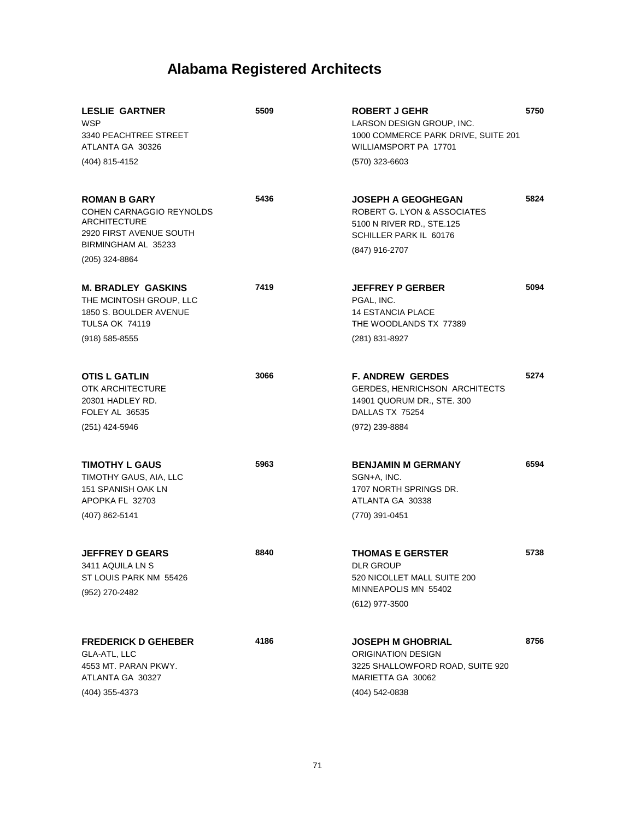| <b>LESLIE GARTNER</b><br><b>WSP</b><br>3340 PEACHTREE STREET<br>ATLANTA GA 30326<br>(404) 815-4152                                                | 5509 | <b>ROBERT J GEHR</b><br>LARSON DESIGN GROUP, INC.<br>1000 COMMERCE PARK DRIVE, SUITE 201<br>WILLIAMSPORT PA 17701<br>(570) 323-6603 | 5750 |
|---------------------------------------------------------------------------------------------------------------------------------------------------|------|-------------------------------------------------------------------------------------------------------------------------------------|------|
| <b>ROMAN B GARY</b><br><b>COHEN CARNAGGIO REYNOLDS</b><br><b>ARCHITECTURE</b><br>2920 FIRST AVENUE SOUTH<br>BIRMINGHAM AL 35233<br>(205) 324-8864 | 5436 | <b>JOSEPH A GEOGHEGAN</b><br>ROBERT G. LYON & ASSOCIATES<br>5100 N RIVER RD., STE.125<br>SCHILLER PARK IL 60176<br>(847) 916-2707   | 5824 |
| <b>M. BRADLEY GASKINS</b><br>THE MCINTOSH GROUP, LLC<br>1850 S. BOULDER AVENUE<br><b>TULSA OK 74119</b><br>$(918) 585 - 8555$                     | 7419 | <b>JEFFREY P GERBER</b><br>PGAL, INC.<br><b>14 ESTANCIA PLACE</b><br>THE WOODLANDS TX 77389<br>(281) 831-8927                       | 5094 |
| <b>OTIS L GATLIN</b><br><b>OTK ARCHITECTURE</b><br>20301 HADLEY RD.<br>FOLEY AL 36535<br>(251) 424-5946                                           | 3066 | <b>F. ANDREW GERDES</b><br><b>GERDES, HENRICHSON ARCHITECTS</b><br>14901 QUORUM DR., STE. 300<br>DALLAS TX 75254<br>(972) 239-8884  | 5274 |
| <b>TIMOTHY L GAUS</b><br>TIMOTHY GAUS, AIA, LLC<br>151 SPANISH OAK LN<br>APOPKA FL 32703<br>(407) 862-5141                                        | 5963 | <b>BENJAMIN M GERMANY</b><br>SGN+A, INC.<br>1707 NORTH SPRINGS DR.<br>ATLANTA GA 30338<br>(770) 391-0451                            | 6594 |
| <b>JEFFREY D GEARS</b><br>3411 AQUILA LN S<br>ST LOUIS PARK NM 55426<br>(952) 270-2482                                                            | 8840 | <b>THOMAS E GERSTER</b><br><b>DLR GROUP</b><br>520 NICOLLET MALL SUITE 200<br>MINNEAPOLIS MN 55402<br>(612) 977-3500                | 5738 |
| <b>FREDERICK D GEHEBER</b><br>GLA-ATL, LLC<br>4553 MT. PARAN PKWY.<br>ATLANTA GA 30327<br>(404) 355-4373                                          | 4186 | <b>JOSEPH M GHOBRIAL</b><br><b>ORIGINATION DESIGN</b><br>3225 SHALLOWFORD ROAD, SUITE 920<br>MARIETTA GA 30062<br>(404) 542-0838    | 8756 |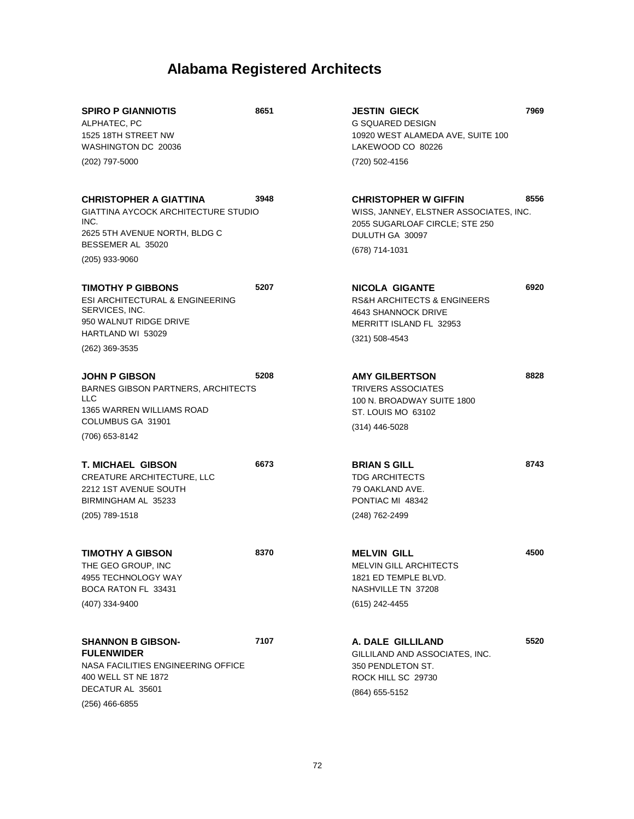| <b>SPIRO P GIANNIOTIS</b><br>ALPHATEC, PC<br>1525 18TH STREET NW<br>WASHINGTON DC 20036<br>(202) 797-5000                                                   | 8651 | <b>JESTIN GIECK</b><br><b>G SQUARED DESIGN</b><br>10920 WEST ALAMEDA AVE, SUITE 100<br>LAKEWOOD CO 80226<br>(720) 502-4156                   | 7969 |
|-------------------------------------------------------------------------------------------------------------------------------------------------------------|------|----------------------------------------------------------------------------------------------------------------------------------------------|------|
| <b>CHRISTOPHER A GIATTINA</b><br><b>GIATTINA AYCOCK ARCHITECTURE STUDIO</b><br>INC.<br>2625 5TH AVENUE NORTH, BLDG C<br>BESSEMER AL 35020<br>(205) 933-9060 | 3948 | <b>CHRISTOPHER W GIFFIN</b><br>WISS, JANNEY, ELSTNER ASSOCIATES, INC.<br>2055 SUGARLOAF CIRCLE; STE 250<br>DULUTH GA 30097<br>(678) 714-1031 | 8556 |
| <b>TIMOTHY P GIBBONS</b><br>ESI ARCHITECTURAL & ENGINEERING<br>SERVICES, INC.<br>950 WALNUT RIDGE DRIVE<br>HARTLAND WI 53029<br>(262) 369-3535              | 5207 | NICOLA GIGANTE<br>RS&H ARCHITECTS & ENGINEERS<br>4643 SHANNOCK DRIVE<br>MERRITT ISLAND FL 32953<br>$(321) 508 - 4543$                        | 6920 |
| <b>JOHN P GIBSON</b><br><b>BARNES GIBSON PARTNERS, ARCHITECTS</b><br>LLC<br>1365 WARREN WILLIAMS ROAD<br>COLUMBUS GA 31901<br>(706) 653-8142                | 5208 | <b>AMY GILBERTSON</b><br><b>TRIVERS ASSOCIATES</b><br>100 N. BROADWAY SUITE 1800<br>ST. LOUIS MO 63102<br>$(314)$ 446-5028                   | 8828 |
| <b>T. MICHAEL GIBSON</b><br>CREATURE ARCHITECTURE, LLC<br>2212 1ST AVENUE SOUTH<br>BIRMINGHAM AL 35233<br>(205) 789-1518                                    | 6673 | <b>BRIAN S GILL</b><br><b>TDG ARCHITECTS</b><br>79 OAKLAND AVE.<br>PONTIAC MI 48342<br>(248) 762-2499                                        | 8743 |
| TIMOTHY A GIBSON<br>THE GEO GROUP, INC<br>4955 TECHNOLOGY WAY<br>BOCA RATON FL 33431<br>(407) 334-9400                                                      | 8370 | <b>MELVIN GILL</b><br>MELVIN GILL ARCHITECTS<br>1821 ED TEMPLE BLVD.<br>NASHVILLE TN 37208<br>(615) 242-4455                                 | 4500 |
| <b>SHANNON B GIBSON-</b><br><b>FULENWIDER</b><br>NASA FACILITIES ENGINEERING OFFICE<br>400 WELL ST NE 1872<br>DECATUR AL 35601<br>(256) 466-6855            | 7107 | A. DALE GILLILAND<br>GILLILAND AND ASSOCIATES, INC.<br>350 PENDLETON ST.<br>ROCK HILL SC 29730<br>(864) 655-5152                             | 5520 |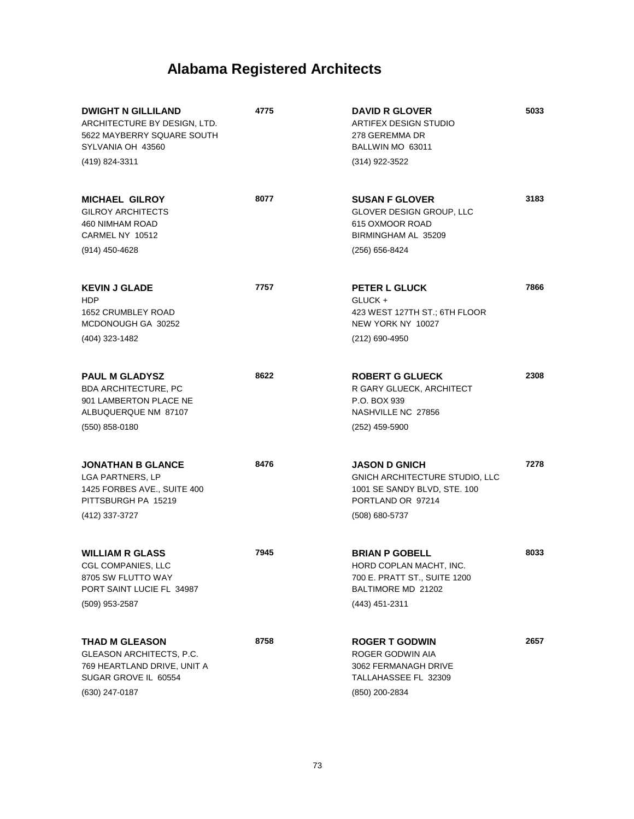| <b>DWIGHT N GILLILAND</b><br>ARCHITECTURE BY DESIGN, LTD.<br>5622 MAYBERRY SQUARE SOUTH<br>SYLVANIA OH 43560<br>(419) 824-3311 | 4775 | <b>DAVID R GLOVER</b><br>ARTIFEX DESIGN STUDIO<br>278 GEREMMA DR<br>BALLWIN MO 63011<br>(314) 922-3522                        | 5033 |
|--------------------------------------------------------------------------------------------------------------------------------|------|-------------------------------------------------------------------------------------------------------------------------------|------|
| <b>MICHAEL GILROY</b><br><b>GILROY ARCHITECTS</b><br>460 NIMHAM ROAD<br>CARMEL NY 10512<br>(914) 450-4628                      | 8077 | <b>SUSAN F GLOVER</b><br>GLOVER DESIGN GROUP, LLC<br>615 OXMOOR ROAD<br>BIRMINGHAM AL 35209<br>(256) 656-8424                 | 3183 |
| <b>KEVIN J GLADE</b><br><b>HDP</b><br>1652 CRUMBLEY ROAD<br>MCDONOUGH GA 30252<br>(404) 323-1482                               | 7757 | <b>PETER L GLUCK</b><br>GLUCK+<br>423 WEST 127TH ST.; 6TH FLOOR<br>NEW YORK NY 10027<br>(212) 690-4950                        | 7866 |
| <b>PAUL M GLADYSZ</b><br><b>BDA ARCHITECTURE, PC</b><br>901 LAMBERTON PLACE NE<br>ALBUQUERQUE NM 87107<br>$(550)$ 858-0180     | 8622 | <b>ROBERT G GLUECK</b><br>R GARY GLUECK, ARCHITECT<br>P.O. BOX 939<br>NASHVILLE NC 27856<br>$(252)$ 459-5900                  | 2308 |
| <b>JONATHAN B GLANCE</b><br><b>LGA PARTNERS, LP</b><br>1425 FORBES AVE., SUITE 400<br>PITTSBURGH PA 15219<br>(412) 337-3727    | 8476 | <b>JASON D GNICH</b><br>GNICH ARCHITECTURE STUDIO, LLC<br>1001 SE SANDY BLVD, STE. 100<br>PORTLAND OR 97214<br>(508) 680-5737 | 7278 |
| <b>WILLIAM R GLASS</b><br><b>CGL COMPANIES, LLC</b><br>8705 SW FLUTTO WAY<br>PORT SAINT LUCIE FL 34987<br>(509) 953-2587       | 7945 | <b>BRIAN P GOBELL</b><br>HORD COPLAN MACHT, INC.<br>700 E. PRATT ST., SUITE 1200<br>BALTIMORE MD 21202<br>(443) 451-2311      | 8033 |
| <b>THAD M GLEASON</b><br>GLEASON ARCHITECTS, P.C.<br>769 HEARTLAND DRIVE, UNIT A<br>SUGAR GROVE IL 60554<br>(630) 247-0187     | 8758 | <b>ROGER T GODWIN</b><br>ROGER GODWIN AIA<br>3062 FERMANAGH DRIVE<br>TALLAHASSEE FL 32309<br>(850) 200-2834                   | 2657 |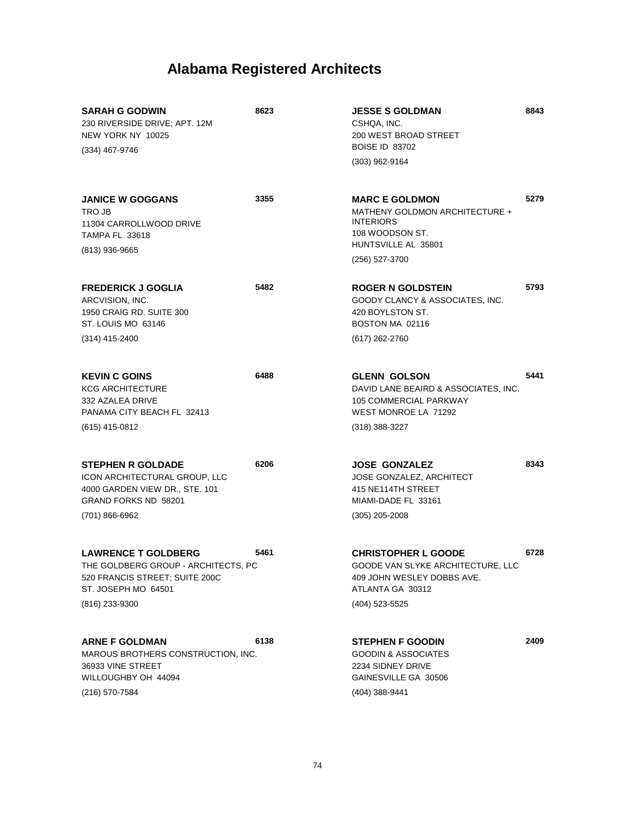| <b>SARAH G GODWIN</b><br>230 RIVERSIDE DRIVE; APT. 12M<br>NEW YORK NY 10025<br>(334) 467-9746                                                | 8623 | <b>JESSE S GOLDMAN</b><br>CSHQA, INC.<br>200 WEST BROAD STREET<br><b>BOISE ID 83702</b><br>$(303)$ 962-9164                             | 8843 |
|----------------------------------------------------------------------------------------------------------------------------------------------|------|-----------------------------------------------------------------------------------------------------------------------------------------|------|
| <b>JANICE W GOGGANS</b><br>TRO JB<br>11304 CARROLLWOOD DRIVE<br><b>TAMPA FL 33618</b><br>(813) 936-9665                                      | 3355 | <b>MARC E GOLDMON</b><br>MATHENY GOLDMON ARCHITECTURE +<br><b>INTERIORS</b><br>108 WOODSON ST.<br>HUNTSVILLE AL 35801<br>(256) 527-3700 | 5279 |
| <b>FREDERICK J GOGLIA</b><br>ARCVISION, INC.<br>1950 CRAIG RD, SUITE 300<br>ST. LOUIS MO 63146<br>$(314)$ 415-2400                           | 5482 | <b>ROGER N GOLDSTEIN</b><br>GOODY CLANCY & ASSOCIATES, INC.<br>420 BOYLSTON ST.<br>BOSTON MA 02116<br>(617) 262-2760                    | 5793 |
| <b>KEVIN C GOINS</b><br><b>KCG ARCHITECTURE</b><br>332 AZALEA DRIVE<br>PANAMA CITY BEACH FL 32413<br>$(615)$ 415-0812                        | 6488 | <b>GLENN GOLSON</b><br>DAVID LANE BEAIRD & ASSOCIATES, INC.<br>105 COMMERCIAL PARKWAY<br>WEST MONROE LA 71292<br>$(318)$ 388-3227       | 5441 |
| <b>STEPHEN R GOLDADE</b><br>ICON ARCHITECTURAL GROUP, LLC<br>4000 GARDEN VIEW DR., STE. 101<br><b>GRAND FORKS ND 58201</b><br>(701) 866-6962 | 6206 | <b>JOSE GONZALEZ</b><br><b>JOSE GONZALEZ, ARCHITECT</b><br>415 NE114TH STREET<br>MIAMI-DADE FL 33161<br>$(305)$ 205-2008                | 8343 |
| <b>LAWRENCE T GOLDBERG</b><br>THE GOLDBERG GROUP - ARCHITECTS, PC<br>520 FRANCIS STREET; SUITE 200C<br>ST. JOSEPH MO 64501<br>(816) 233-9300 | 5461 | <b>CHRISTOPHER L GOODE</b><br>GOODE VAN SLYKE ARCHITECTURE, LLC<br>409 JOHN WESLEY DOBBS AVE.<br>ATLANTA GA 30312<br>(404) 523-5525     | 6728 |
| <b>ARNE F GOLDMAN</b><br>MAROUS BROTHERS CONSTRUCTION, INC.<br>36933 VINE STREET<br>WILLOUGHBY OH 44094<br>(216) 570-7584                    | 6138 | <b>STEPHEN F GOODIN</b><br><b>GOODIN &amp; ASSOCIATES</b><br>2234 SIDNEY DRIVE<br>GAINESVILLE GA 30506<br>(404) 388-9441                | 2409 |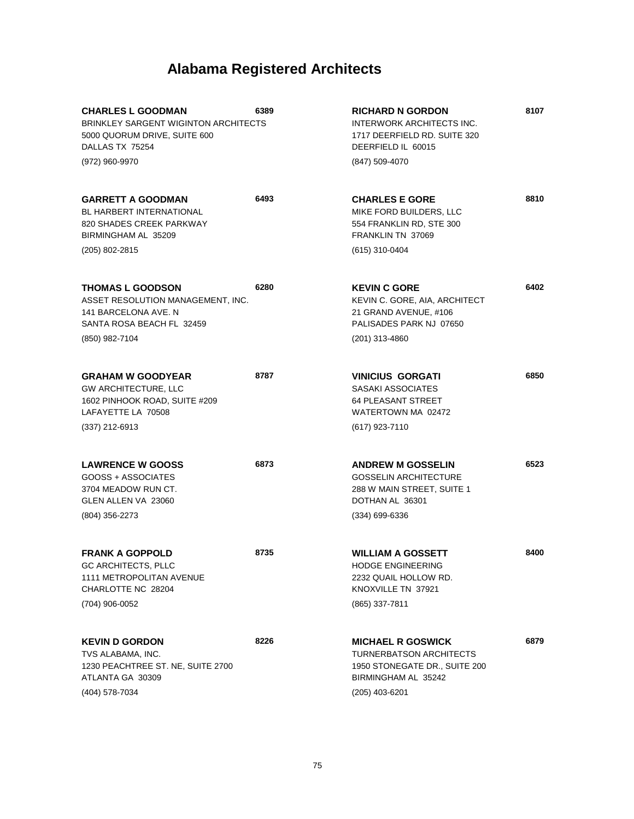| <b>CHARLES L GOODMAN</b><br><b>BRINKLEY SARGENT WIGINTON ARCHITECTS</b><br>5000 QUORUM DRIVE, SUITE 600<br>DALLAS TX 75254          | 6389 | <b>RICHARD N GORDON</b><br><b>INTERWORK ARCHITECTS INC.</b><br>1717 DEERFIELD RD. SUITE 320<br>DEERFIELD IL 60015                    | 8107 |
|-------------------------------------------------------------------------------------------------------------------------------------|------|--------------------------------------------------------------------------------------------------------------------------------------|------|
| (972) 960-9970                                                                                                                      |      | (847) 509-4070                                                                                                                       |      |
| <b>GARRETT A GOODMAN</b><br>BL HARBERT INTERNATIONAL<br>820 SHADES CREEK PARKWAY<br>BIRMINGHAM AL 35209                             | 6493 | <b>CHARLES E GORE</b><br>MIKE FORD BUILDERS, LLC<br>554 FRANKLIN RD, STE 300<br>FRANKLIN TN 37069                                    | 8810 |
| (205) 802-2815                                                                                                                      |      | (615) 310-0404                                                                                                                       |      |
| <b>THOMAS L GOODSON</b><br>ASSET RESOLUTION MANAGEMENT, INC.<br>141 BARCELONA AVE. N<br>SANTA ROSA BEACH FL 32459<br>(850) 982-7104 | 6280 | <b>KEVIN C GORE</b><br>KEVIN C. GORE, AIA, ARCHITECT<br>21 GRAND AVENUE, #106<br>PALISADES PARK NJ 07650<br>(201) 313-4860           | 6402 |
|                                                                                                                                     |      |                                                                                                                                      |      |
| <b>GRAHAM W GOODYEAR</b><br><b>GW ARCHITECTURE, LLC</b><br>1602 PINHOOK ROAD, SUITE #209<br>LAFAYETTE LA 70508                      | 8787 | <b>VINICIUS GORGATI</b><br>SASAKI ASSOCIATES<br><b>64 PLEASANT STREET</b><br>WATERTOWN MA 02472                                      | 6850 |
| $(337)$ 212-6913                                                                                                                    |      | (617) 923-7110                                                                                                                       |      |
| <b>LAWRENCE W GOOSS</b><br>GOOSS + ASSOCIATES<br>3704 MEADOW RUN CT.<br>GLEN ALLEN VA 23060<br>(804) 356-2273                       | 6873 | <b>ANDREW M GOSSELIN</b><br><b>GOSSELIN ARCHITECTURE</b><br>288 W MAIN STREET, SUITE 1<br>DOTHAN AL 36301<br>(334) 699-6336          | 6523 |
|                                                                                                                                     |      |                                                                                                                                      |      |
| <b>FRANK A GOPPOLD</b><br>GC ARCHITECTS, PLLC<br>1111 METROPOLITAN AVENUE<br>CHARLOTTE NC 28204                                     | 8735 | <b>WILLIAM A GOSSETT</b><br><b>HODGE ENGINEERING</b><br>2232 QUAIL HOLLOW RD.<br>KNOXVILLE TN 37921                                  | 8400 |
| (704) 906-0052                                                                                                                      |      | (865) 337-7811                                                                                                                       |      |
| <b>KEVIN D GORDON</b><br>TVS ALABAMA, INC.<br>1230 PEACHTREE ST. NE, SUITE 2700<br>ATLANTA GA 30309<br>(404) 578-7034               | 8226 | <b>MICHAEL R GOSWICK</b><br><b>TURNERBATSON ARCHITECTS</b><br>1950 STONEGATE DR., SUITE 200<br>BIRMINGHAM AL 35242<br>(205) 403-6201 | 6879 |
|                                                                                                                                     |      |                                                                                                                                      |      |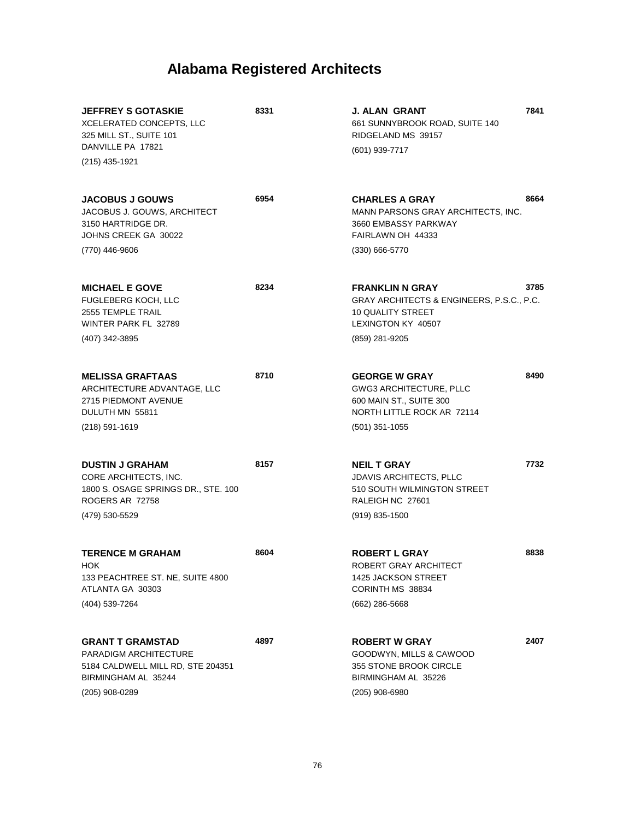| <b>JEFFREY S GOTASKIE</b><br>XCELERATED CONCEPTS, LLC<br>325 MILL ST., SUITE 101<br>DANVILLE PA 17821<br>(215) 435-1921        | 8331 | J. ALAN GRANT<br>661 SUNNYBROOK ROAD, SUITE 140<br>RIDGELAND MS 39157<br>$(601)$ 939-7717                                           | 7841 |
|--------------------------------------------------------------------------------------------------------------------------------|------|-------------------------------------------------------------------------------------------------------------------------------------|------|
| <b>JACOBUS J GOUWS</b><br>JACOBUS J. GOUWS, ARCHITECT<br>3150 HARTRIDGE DR.<br>JOHNS CREEK GA 30022<br>(770) 446-9606          | 6954 | <b>CHARLES A GRAY</b><br>MANN PARSONS GRAY ARCHITECTS, INC.<br>3660 EMBASSY PARKWAY<br>FAIRLAWN OH 44333<br>$(330)$ 666-5770        | 8664 |
| <b>MICHAEL E GOVE</b><br>FUGLEBERG KOCH, LLC<br>2555 TEMPLE TRAIL<br>WINTER PARK FL 32789<br>(407) 342-3895                    | 8234 | <b>FRANKLIN N GRAY</b><br>GRAY ARCHITECTS & ENGINEERS, P.S.C., P.C.<br>10 QUALITY STREET<br>LEXINGTON KY 40507<br>(859) 281-9205    | 3785 |
| <b>MELISSA GRAFTAAS</b><br>ARCHITECTURE ADVANTAGE, LLC<br>2715 PIEDMONT AVENUE<br>DULUTH MN 55811<br>$(218) 591 - 1619$        | 8710 | <b>GEORGE W GRAY</b><br><b>GWG3 ARCHITECTURE, PLLC</b><br>600 MAIN ST., SUITE 300<br>NORTH LITTLE ROCK AR 72114<br>$(501)$ 351-1055 | 8490 |
| <b>DUSTIN J GRAHAM</b><br>CORE ARCHITECTS, INC.<br>1800 S. OSAGE SPRINGS DR., STE. 100<br>ROGERS AR 72758<br>(479) 530-5529    | 8157 | <b>NEIL T GRAY</b><br><b>JDAVIS ARCHITECTS, PLLC</b><br>510 SOUTH WILMINGTON STREET<br>RALEIGH NC 27601<br>$(919)$ 835-1500         | 7732 |
| <b>TERENCE M GRAHAM</b><br>HOK.<br>133 PEACHTREE ST. NE, SUITE 4800<br>ATLANTA GA 30303<br>(404) 539-7264                      | 8604 | <b>ROBERT L GRAY</b><br>ROBERT GRAY ARCHITECT<br><b>1425 JACKSON STREET</b><br>CORINTH MS 38834<br>$(662)$ 286-5668                 | 8838 |
| <b>GRANT T GRAMSTAD</b><br>PARADIGM ARCHITECTURE<br>5184 CALDWELL MILL RD, STE 204351<br>BIRMINGHAM AL 35244<br>(205) 908-0289 | 4897 | <b>ROBERT W GRAY</b><br>GOODWYN, MILLS & CAWOOD<br>355 STONE BROOK CIRCLE<br>BIRMINGHAM AL 35226<br>$(205)$ 908-6980                | 2407 |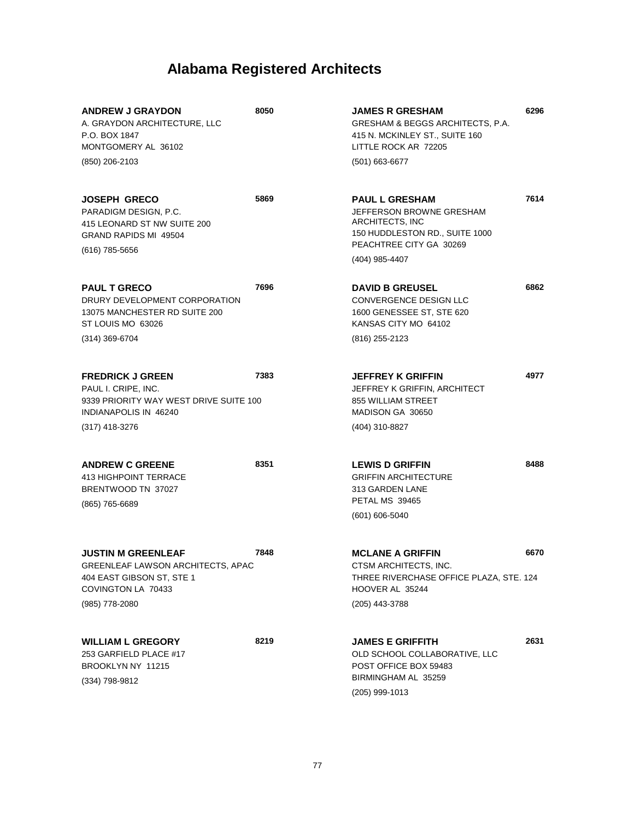| <b>ANDREW J GRAYDON</b><br>A. GRAYDON ARCHITECTURE, LLC<br>P.O. BOX 1847<br>MONTGOMERY AL 36102<br>(850) 206-2103                     | 8050 | <b>JAMES R GRESHAM</b><br>GRESHAM & BEGGS ARCHITECTS, P.A.<br>415 N. MCKINLEY ST., SUITE 160<br>LITTLE ROCK AR 72205<br>$(501)$ 663-6677            | 6296 |
|---------------------------------------------------------------------------------------------------------------------------------------|------|-----------------------------------------------------------------------------------------------------------------------------------------------------|------|
| <b>JOSEPH GRECO</b><br>PARADIGM DESIGN, P.C.<br>415 LEONARD ST NW SUITE 200<br><b>GRAND RAPIDS MI 49504</b><br>(616) 785-5656         | 5869 | <b>PAUL L GRESHAM</b><br>JEFFERSON BROWNE GRESHAM<br>ARCHITECTS, INC<br>150 HUDDLESTON RD., SUITE 1000<br>PEACHTREE CITY GA 30269<br>(404) 985-4407 | 7614 |
| <b>PAUL T GRECO</b><br>DRURY DEVELOPMENT CORPORATION<br>13075 MANCHESTER RD SUITE 200<br>ST LOUIS MO 63026<br>$(314)$ 369-6704        | 7696 | <b>DAVID B GREUSEL</b><br>CONVERGENCE DESIGN LLC<br>1600 GENESSEE ST, STE 620<br>KANSAS CITY MO 64102<br>(816) 255-2123                             | 6862 |
| <b>FREDRICK J GREEN</b><br>PAUL I. CRIPE, INC.<br>9339 PRIORITY WAY WEST DRIVE SUITE 100<br>INDIANAPOLIS IN 46240<br>$(317)$ 418-3276 | 7383 | <b>JEFFREY K GRIFFIN</b><br>JEFFREY K GRIFFIN, ARCHITECT<br>855 WILLIAM STREET<br>MADISON GA 30650<br>(404) 310-8827                                | 4977 |
| <b>ANDREW C GREENE</b><br><b>413 HIGHPOINT TERRACE</b><br>BRENTWOOD TN 37027<br>(865) 765-6689                                        | 8351 | <b>LEWIS D GRIFFIN</b><br><b>GRIFFIN ARCHITECTURE</b><br>313 GARDEN LANE<br>PETAL MS 39465<br>(601) 606-5040                                        | 8488 |
| <b>JUSTIN M GREENLEAF</b><br>GREENLEAF LAWSON ARCHITECTS, APAC<br>404 EAST GIBSON ST, STE 1<br>COVINGTON LA 70433<br>(985) 778-2080   | 7848 | <b>MCLANE A GRIFFIN</b><br>CTSM ARCHITECTS, INC.<br>THREE RIVERCHASE OFFICE PLAZA, STE. 124<br>HOOVER AL 35244<br>(205) 443-3788                    | 6670 |
| <b>WILLIAM L GREGORY</b><br>253 GARFIELD PLACE #17<br>BROOKLYN NY 11215<br>(334) 798-9812                                             | 8219 | <b>JAMES E GRIFFITH</b><br>OLD SCHOOL COLLABORATIVE, LLC<br>POST OFFICE BOX 59483<br>BIRMINGHAM AL 35259<br>(205) 999-1013                          | 2631 |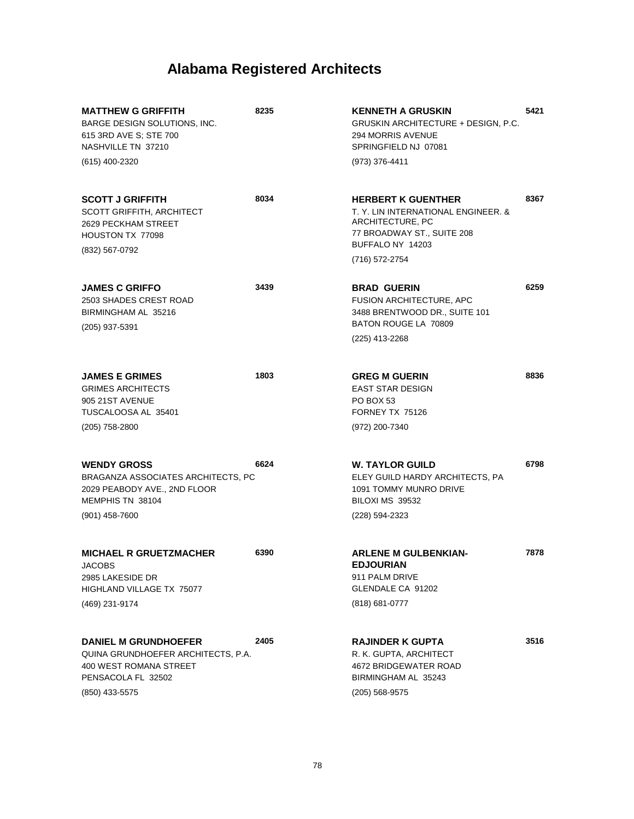| <b>MATTHEW G GRIFFITH</b><br>BARGE DESIGN SOLUTIONS, INC.<br>615 3RD AVE S; STE 700<br>NASHVILLE TN 37210                           | 8235 | <b>KENNETH A GRUSKIN</b><br><b>GRUSKIN ARCHITECTURE + DESIGN, P.C.</b><br><b>294 MORRIS AVENUE</b><br>SPRINGFIELD NJ 07081                               | 5421 |
|-------------------------------------------------------------------------------------------------------------------------------------|------|----------------------------------------------------------------------------------------------------------------------------------------------------------|------|
| (615) 400-2320                                                                                                                      |      | (973) 376-4411                                                                                                                                           |      |
| <b>SCOTT J GRIFFITH</b><br>SCOTT GRIFFITH, ARCHITECT<br>2629 PECKHAM STREET<br>HOUSTON TX 77098<br>(832) 567-0792                   | 8034 | <b>HERBERT K GUENTHER</b><br>T. Y. LIN INTERNATIONAL ENGINEER. &<br>ARCHITECTURE, PC<br>77 BROADWAY ST., SUITE 208<br>BUFFALO NY 14203<br>(716) 572-2754 | 8367 |
| <b>JAMES C GRIFFO</b><br>2503 SHADES CREST ROAD<br>BIRMINGHAM AL 35216<br>(205) 937-5391                                            | 3439 | <b>BRAD GUERIN</b><br>FUSION ARCHITECTURE, APC<br>3488 BRENTWOOD DR., SUITE 101<br>BATON ROUGE LA 70809<br>(225) 413-2268                                | 6259 |
|                                                                                                                                     |      |                                                                                                                                                          |      |
| <b>JAMES E GRIMES</b><br><b>GRIMES ARCHITECTS</b><br>905 21ST AVENUE<br>TUSCALOOSA AL 35401                                         | 1803 | <b>GREG M GUERIN</b><br><b>EAST STAR DESIGN</b><br>PO BOX 53<br>FORNEY TX 75126                                                                          | 8836 |
| (205) 758-2800                                                                                                                      |      | (972) 200-7340                                                                                                                                           |      |
| <b>WENDY GROSS</b><br>BRAGANZA ASSOCIATES ARCHITECTS, PC<br>2029 PEABODY AVE., 2ND FLOOR<br>MEMPHIS TN 38104<br>$(901)$ 458-7600    | 6624 | <b>W. TAYLOR GUILD</b><br>ELEY GUILD HARDY ARCHITECTS, PA<br>1091 TOMMY MUNRO DRIVE<br>BILOXI MS 39532<br>(228) 594-2323                                 | 6798 |
| <b>MICHAEL R GRUETZMACHER</b><br>JACOBS<br>2985 LAKESIDE DR<br>HIGHLAND VILLAGE TX 75077<br>(469) 231-9174                          | 6390 | <b>ARLENE M GULBENKIAN-</b><br><b>EDJOURIAN</b><br>911 PALM DRIVE<br>GLENDALE CA 91202<br>(818) 681-0777                                                 | 7878 |
| <b>DANIEL M GRUNDHOEFER</b><br>QUINA GRUNDHOEFER ARCHITECTS, P.A.<br>400 WEST ROMANA STREET<br>PENSACOLA FL 32502<br>(850) 433-5575 | 2405 | <b>RAJINDER K GUPTA</b><br>R. K. GUPTA, ARCHITECT<br>4672 BRIDGEWATER ROAD<br>BIRMINGHAM AL 35243<br>$(205)$ 568-9575                                    | 3516 |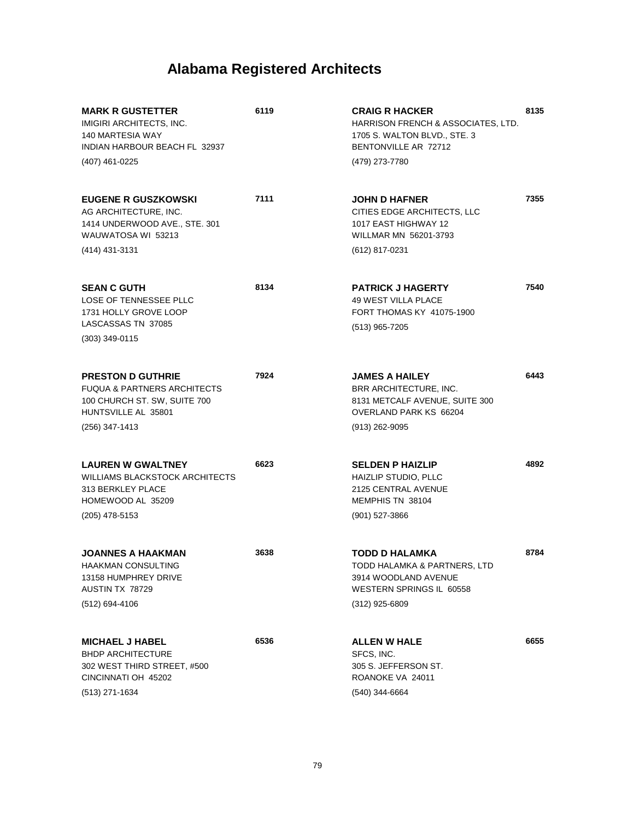| <b>MARK R GUSTETTER</b><br>IMIGIRI ARCHITECTS, INC.<br>140 MARTESIA WAY<br>INDIAN HARBOUR BEACH FL 32937<br>(407) 461-0225                  | 6119 | <b>CRAIG R HACKER</b><br>HARRISON FRENCH & ASSOCIATES, LTD.<br>1705 S. WALTON BLVD., STE. 3<br>BENTONVILLE AR 72712<br>(479) 273-7780 | 8135 |
|---------------------------------------------------------------------------------------------------------------------------------------------|------|---------------------------------------------------------------------------------------------------------------------------------------|------|
| <b>EUGENE R GUSZKOWSKI</b><br>AG ARCHITECTURE, INC.<br>1414 UNDERWOOD AVE., STE. 301<br>WAUWATOSA WI 53213<br>(414) 431-3131                | 7111 | <b>JOHN D HAFNER</b><br>CITIES EDGE ARCHITECTS, LLC<br>1017 EAST HIGHWAY 12<br>WILLMAR MN 56201-3793<br>(612) 817-0231                | 7355 |
| <b>SEAN C GUTH</b><br>LOSE OF TENNESSEE PLLC<br>1731 HOLLY GROVE LOOP<br>LASCASSAS TN 37085<br>$(303)$ 349-0115                             | 8134 | <b>PATRICK J HAGERTY</b><br><b>49 WEST VILLA PLACE</b><br>FORT THOMAS KY 41075-1900<br>(513) 965-7205                                 | 7540 |
| <b>PRESTON D GUTHRIE</b><br><b>FUQUA &amp; PARTNERS ARCHITECTS</b><br>100 CHURCH ST. SW, SUITE 700<br>HUNTSVILLE AL 35801<br>(256) 347-1413 | 7924 | <b>JAMES A HAILEY</b><br>BRR ARCHITECTURE, INC.<br>8131 METCALF AVENUE, SUITE 300<br>OVERLAND PARK KS 66204<br>$(913)$ 262-9095       | 6443 |
| <b>LAUREN W GWALTNEY</b><br><b>WILLIAMS BLACKSTOCK ARCHITECTS</b><br>313 BERKLEY PLACE<br>HOMEWOOD AL 35209<br>$(205)$ 478-5153             | 6623 | <b>SELDEN P HAIZLIP</b><br>HAIZLIP STUDIO, PLLC<br>2125 CENTRAL AVENUE<br>MEMPHIS TN 38104<br>(901) 527-3866                          | 4892 |
| <b>JOANNES A HAAKMAN</b><br>HAAKMAN CONSULTING<br>13158 HUMPHREY DRIVE<br>AUSTIN TX 78729<br>(512) 694-4106                                 | 3638 | <b>TODD D HALAMKA</b><br>TODD HALAMKA & PARTNERS, LTD<br>3914 WOODLAND AVENUE<br>WESTERN SPRINGS IL 60558<br>$(312)$ 925-6809         | 8784 |
| <b>MICHAEL J HABEL</b><br><b>BHDP ARCHITECTURE</b><br>302 WEST THIRD STREET, #500<br>CINCINNATI OH 45202<br>(513) 271-1634                  | 6536 | <b>ALLEN W HALE</b><br>SFCS, INC.<br>305 S. JEFFERSON ST.<br>ROANOKE VA 24011<br>(540) 344-6664                                       | 6655 |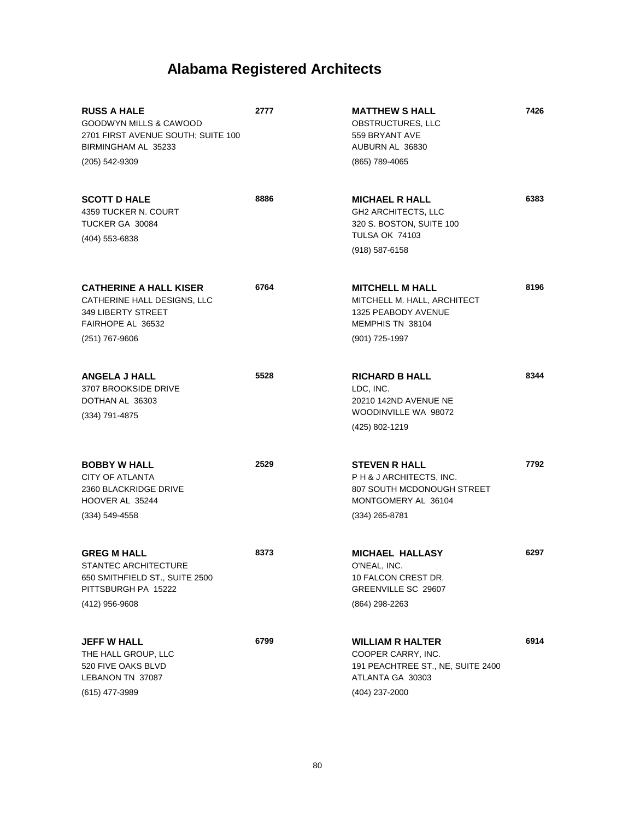| <b>RUSS A HALE</b><br>GOODWYN MILLS & CAWOOD<br>2701 FIRST AVENUE SOUTH; SUITE 100<br>BIRMINGHAM AL 35233<br>(205) 542-9309 | 2777 | <b>MATTHEW S HALL</b><br>OBSTRUCTURES, LLC<br>559 BRYANT AVE<br>AUBURN AL 36830<br>(865) 789-4065                        | 7426 |
|-----------------------------------------------------------------------------------------------------------------------------|------|--------------------------------------------------------------------------------------------------------------------------|------|
| <b>SCOTT D HALE</b><br>4359 TUCKER N. COURT<br>TUCKER GA 30084<br>(404) 553-6838                                            | 8886 | <b>MICHAEL R HALL</b><br>GH2 ARCHITECTS, LLC<br>320 S. BOSTON, SUITE 100<br><b>TULSA OK 74103</b><br>$(918) 587 - 6158$  | 6383 |
| <b>CATHERINE A HALL KISER</b><br>CATHERINE HALL DESIGNS, LLC<br>349 LIBERTY STREET<br>FAIRHOPE AL 36532<br>$(251)$ 767-9606 | 6764 | <b>MITCHELL M HALL</b><br>MITCHELL M. HALL, ARCHITECT<br>1325 PEABODY AVENUE<br>MEMPHIS TN 38104<br>(901) 725-1997       | 8196 |
| <b>ANGELA J HALL</b><br>3707 BROOKSIDE DRIVE<br>DOTHAN AL 36303<br>(334) 791-4875                                           | 5528 | <b>RICHARD B HALL</b><br>LDC, INC.<br>20210 142ND AVENUE NE<br>WOODINVILLE WA 98072<br>(425) 802-1219                    | 8344 |
| <b>BOBBY W HALL</b><br><b>CITY OF ATLANTA</b><br>2360 BLACKRIDGE DRIVE<br>HOOVER AL 35244<br>(334) 549-4558                 | 2529 | <b>STEVEN R HALL</b><br>PH & JARCHITECTS, INC.<br>807 SOUTH MCDONOUGH STREET<br>MONTGOMERY AL 36104<br>$(334)$ 265-8781  | 7792 |
| <b>GREG M HALL</b><br>STANTEC ARCHITECTURE<br>650 SMITHFIELD ST., SUITE 2500<br>PITTSBURGH PA 15222<br>(412) 956-9608       | 8373 | <b>MICHAEL HALLASY</b><br>O'NEAL, INC.<br>10 FALCON CREST DR.<br>GREENVILLE SC 29607<br>(864) 298-2263                   | 6297 |
| <b>JEFF W HALL</b><br>THE HALL GROUP, LLC<br>520 FIVE OAKS BLVD<br>LEBANON TN 37087<br>$(615)$ 477-3989                     | 6799 | <b>WILLIAM R HALTER</b><br>COOPER CARRY, INC.<br>191 PEACHTREE ST., NE, SUITE 2400<br>ATLANTA GA 30303<br>(404) 237-2000 | 6914 |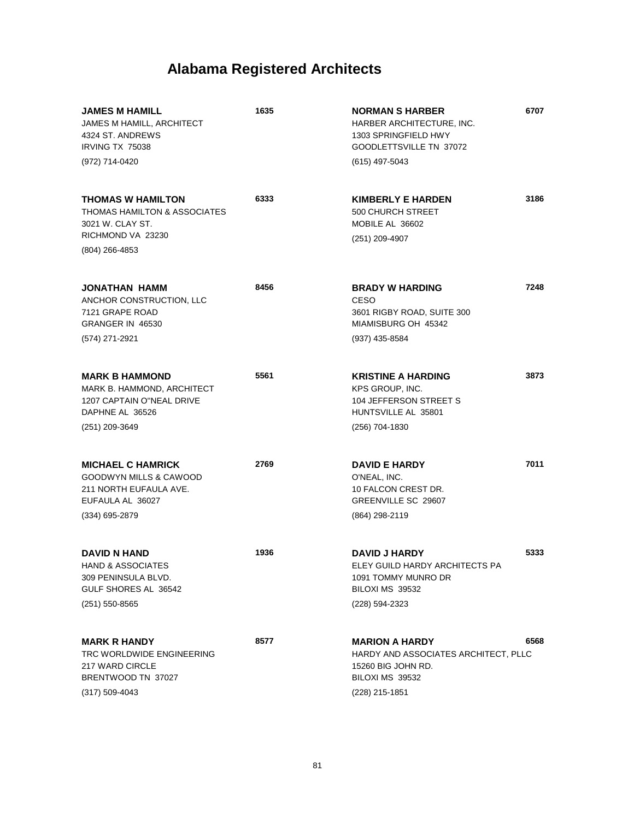| <b>JAMES M HAMILL</b><br>JAMES M HAMILL, ARCHITECT<br>4324 ST. ANDREWS<br>IRVING TX 75038                            | 1635 | <b>NORMAN S HARBER</b><br>HARBER ARCHITECTURE, INC.<br>1303 SPRINGFIELD HWY<br>GOODLETTSVILLE TN 37072 | 6707 |
|----------------------------------------------------------------------------------------------------------------------|------|--------------------------------------------------------------------------------------------------------|------|
| (972) 714-0420                                                                                                       |      | (615) 497-5043                                                                                         |      |
| <b>THOMAS W HAMILTON</b><br>THOMAS HAMILTON & ASSOCIATES<br>3021 W. CLAY ST.<br>RICHMOND VA 23230                    | 6333 | <b>KIMBERLY E HARDEN</b><br>500 CHURCH STREET<br>MOBILE AL 36602                                       | 3186 |
| $(804)$ 266-4853                                                                                                     |      | (251) 209-4907                                                                                         |      |
| JONATHAN HAMM<br>ANCHOR CONSTRUCTION, LLC<br>7121 GRAPE ROAD<br>GRANGER IN 46530                                     | 8456 | <b>BRADY W HARDING</b><br><b>CESO</b><br>3601 RIGBY ROAD, SUITE 300<br>MIAMISBURG OH 45342             | 7248 |
| (574) 271-2921                                                                                                       |      | (937) 435-8584                                                                                         |      |
| <b>MARK B HAMMOND</b><br>MARK B. HAMMOND, ARCHITECT<br>1207 CAPTAIN O"NEAL DRIVE<br>DAPHNE AL 36526                  | 5561 | <b>KRISTINE A HARDING</b><br>KPS GROUP, INC.<br>104 JEFFERSON STREET S<br>HUNTSVILLE AL 35801          | 3873 |
| (251) 209-3649                                                                                                       |      | (256) 704-1830                                                                                         |      |
| <b>MICHAEL C HAMRICK</b><br>GOODWYN MILLS & CAWOOD<br>211 NORTH EUFAULA AVE.<br>EUFAULA AL 36027<br>$(334)$ 695-2879 | 2769 | <b>DAVID E HARDY</b><br>O'NEAL, INC.<br>10 FALCON CREST DR.<br>GREENVILLE SC 29607<br>(864) 298-2119   | 7011 |
| DAVID N HAND<br><b>HAND &amp; ASSOCIATES</b><br>309 PENINSULA BLVD.<br>GULF SHORES AL 36542                          | 1936 | DAVID J HARDY<br>ELEY GUILD HARDY ARCHITECTS PA<br>1091 TOMMY MUNRO DR<br>BILOXI MS 39532              | 5333 |
| $(251)$ 550-8565                                                                                                     |      | (228) 594-2323                                                                                         |      |
| <b>MARK R HANDY</b><br>TRC WORLDWIDE ENGINEERING<br>217 WARD CIRCLE<br>BRENTWOOD TN 37027                            | 8577 | <b>MARION A HARDY</b><br>HARDY AND ASSOCIATES ARCHITECT, PLLC<br>15260 BIG JOHN RD.<br>BILOXI MS 39532 | 6568 |
| $(317) 509 - 4043$                                                                                                   |      | (228) 215-1851                                                                                         |      |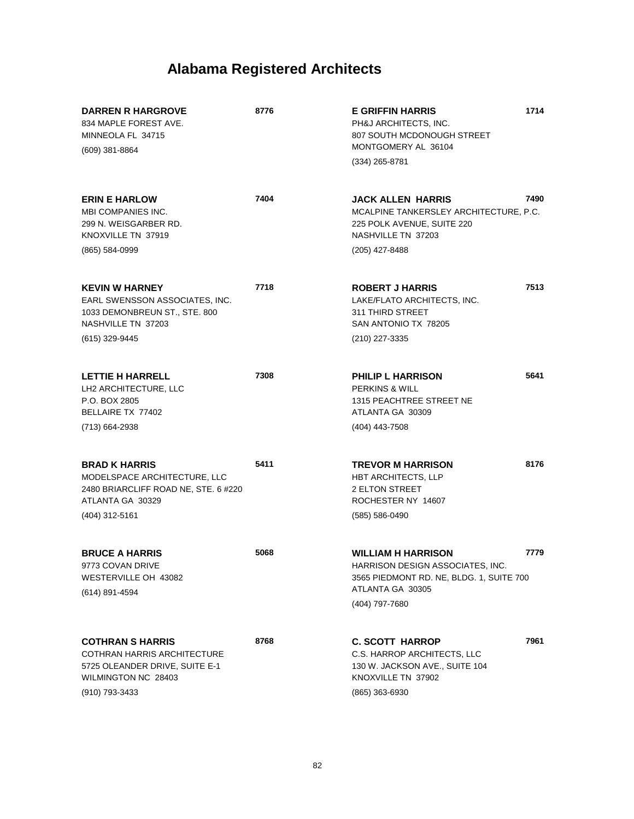| <b>DARREN R HARGROVE</b><br>834 MAPLE FOREST AVE.<br>MINNEOLA FL 34715                                                                   | 8776 | <b>E GRIFFIN HARRIS</b><br>PH&J ARCHITECTS, INC.<br>807 SOUTH MCDONOUGH STREET<br>MONTGOMERY AL 36104                                           | 1714 |
|------------------------------------------------------------------------------------------------------------------------------------------|------|-------------------------------------------------------------------------------------------------------------------------------------------------|------|
| $(609)$ 381-8864                                                                                                                         |      | $(334)$ 265-8781                                                                                                                                |      |
| <b>ERIN E HARLOW</b><br><b>MBI COMPANIES INC.</b><br>299 N. WEISGARBER RD.<br>KNOXVILLE TN 37919                                         | 7404 | <b>JACK ALLEN HARRIS</b><br>MCALPINE TANKERSLEY ARCHITECTURE, P.C.<br>225 POLK AVENUE, SUITE 220<br>NASHVILLE TN 37203                          | 7490 |
| (865) 584-0999                                                                                                                           |      | (205) 427-8488                                                                                                                                  |      |
| <b>KEVIN W HARNEY</b><br>EARL SWENSSON ASSOCIATES, INC.<br>1033 DEMONBREUN ST., STE. 800<br>NASHVILLE TN 37203<br>(615) 329-9445         | 7718 | <b>ROBERT J HARRIS</b><br>LAKE/FLATO ARCHITECTS, INC.<br>311 THIRD STREET<br>SAN ANTONIO TX 78205<br>(210) 227-3335                             | 7513 |
| <b>LETTIE H HARRELL</b><br>LH2 ARCHITECTURE, LLC<br>P.O. BOX 2805<br>BELLAIRE TX 77402                                                   | 7308 | <b>PHILIP L HARRISON</b><br><b>PERKINS &amp; WILL</b><br>1315 PEACHTREE STREET NE<br>ATLANTA GA 30309                                           | 5641 |
| (713) 664-2938                                                                                                                           |      | (404) 443-7508                                                                                                                                  |      |
| <b>BRAD K HARRIS</b><br>MODELSPACE ARCHITECTURE, LLC<br>2480 BRIARCLIFF ROAD NE, STE. 6 #220<br>ATLANTA GA 30329<br>(404) 312-5161       | 5411 | <b>TREVOR M HARRISON</b><br>HBT ARCHITECTS, LLP<br><b>2 ELTON STREET</b><br>ROCHESTER NY 14607<br>(585) 586-0490                                | 8176 |
| <b>BRUCE A HARRIS</b><br>9773 COVAN DRIVE<br>WESTERVILLE OH 43082<br>(614) 891-4594                                                      | 5068 | <b>WILLIAM H HARRISON</b><br>HARRISON DESIGN ASSOCIATES, INC.<br>3565 PIEDMONT RD. NE, BLDG. 1, SUITE 700<br>ATLANTA GA 30305<br>(404) 797-7680 | 7779 |
| <b>COTHRAN S HARRIS</b><br><b>COTHRAN HARRIS ARCHITECTURE</b><br>5725 OLEANDER DRIVE, SUITE E-1<br>WILMINGTON NC 28403<br>(910) 793-3433 | 8768 | <b>C. SCOTT HARROP</b><br>C.S. HARROP ARCHITECTS, LLC<br>130 W. JACKSON AVE., SUITE 104<br>KNOXVILLE TN 37902<br>(865) 363-6930                 | 7961 |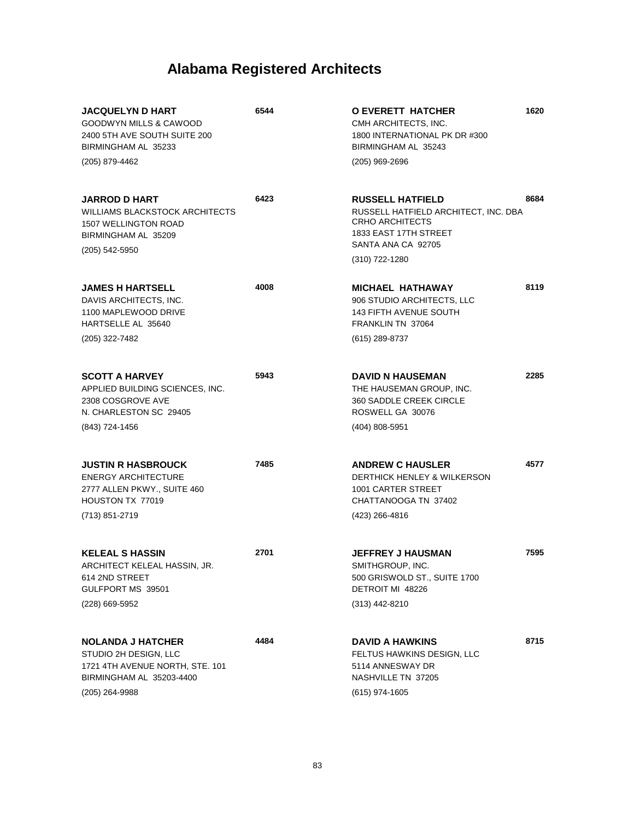| <b>JACQUELYN D HART</b><br><b>GOODWYN MILLS &amp; CAWOOD</b><br>2400 5TH AVE SOUTH SUITE 200<br>BIRMINGHAM AL 35233                 | 6544 | <b>O EVERETT HATCHER</b><br>CMH ARCHITECTS, INC.<br>1800 INTERNATIONAL PK DR #300<br>BIRMINGHAM AL 35243                                                   | 1620 |
|-------------------------------------------------------------------------------------------------------------------------------------|------|------------------------------------------------------------------------------------------------------------------------------------------------------------|------|
| (205) 879-4462                                                                                                                      |      | (205) 969-2696                                                                                                                                             |      |
| <b>JARROD D HART</b><br>WILLIAMS BLACKSTOCK ARCHITECTS<br><b>1507 WELLINGTON ROAD</b><br>BIRMINGHAM AL 35209<br>(205) 542-5950      | 6423 | <b>RUSSELL HATFIELD</b><br>RUSSELL HATFIELD ARCHITECT, INC. DBA<br><b>CRHO ARCHITECTS</b><br>1833 EAST 17TH STREET<br>SANTA ANA CA 92705<br>(310) 722-1280 | 8684 |
| <b>JAMES H HARTSELL</b><br>DAVIS ARCHITECTS, INC.<br>1100 MAPLEWOOD DRIVE<br>HARTSELLE AL 35640<br>(205) 322-7482                   | 4008 | <b>MICHAEL HATHAWAY</b><br>906 STUDIO ARCHITECTS, LLC<br><b>143 FIFTH AVENUE SOUTH</b><br>FRANKLIN TN 37064<br>(615) 289-8737                              | 8119 |
|                                                                                                                                     |      |                                                                                                                                                            |      |
| <b>SCOTT A HARVEY</b><br>APPLIED BUILDING SCIENCES, INC.<br>2308 COSGROVE AVE<br>N. CHARLESTON SC 29405                             | 5943 | <b>DAVID N HAUSEMAN</b><br>THE HAUSEMAN GROUP. INC.<br>360 SADDLE CREEK CIRCLE<br>ROSWELL GA 30076                                                         | 2285 |
| (843) 724-1456                                                                                                                      |      | $(404)$ 808-5951                                                                                                                                           |      |
| <b>JUSTIN R HASBROUCK</b><br><b>ENERGY ARCHITECTURE</b><br>2777 ALLEN PKWY., SUITE 460<br><b>HOUSTON TX 77019</b><br>(713) 851-2719 | 7485 | <b>ANDREW C HAUSLER</b><br>DERTHICK HENLEY & WILKERSON<br>1001 CARTER STREET<br>CHATTANOOGA TN 37402<br>(423) 266-4816                                     | 4577 |
|                                                                                                                                     |      |                                                                                                                                                            |      |
| <b>KELEAL S HASSIN</b><br>ARCHITECT KELEAL HASSIN, JR.<br>614 2ND STREET<br>GULFPORT MS 39501                                       | 2701 | <b>JEFFREY J HAUSMAN</b><br>SMITHGROUP, INC.<br>500 GRISWOLD ST., SUITE 1700<br>DETROIT MI 48226                                                           | 7595 |
| (228) 669-5952                                                                                                                      |      | (313) 442-8210                                                                                                                                             |      |
| <b>NOLANDA J HATCHER</b><br>STUDIO 2H DESIGN, LLC<br>1721 4TH AVENUE NORTH, STE. 101<br>BIRMINGHAM AL 35203-4400                    | 4484 | <b>DAVID A HAWKINS</b><br>FELTUS HAWKINS DESIGN, LLC<br>5114 ANNESWAY DR<br>NASHVILLE TN 37205                                                             | 8715 |
| (205) 264-9988                                                                                                                      |      | $(615)$ 974-1605                                                                                                                                           |      |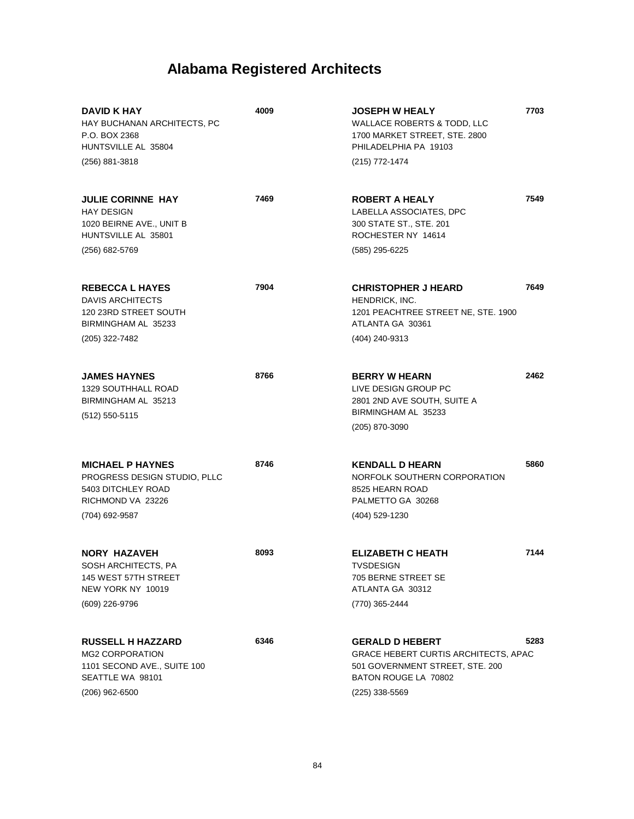| DAVID K HAY<br>HAY BUCHANAN ARCHITECTS, PC<br>P.O. BOX 2368<br>HUNTSVILLE AL 35804<br>(256) 881-3818                    | 4009 | <b>JOSEPH W HEALY</b><br><b>WALLACE ROBERTS &amp; TODD, LLC</b><br>1700 MARKET STREET, STE. 2800<br>PHILADELPHIA PA 19103<br>(215) 772-1474        | 7703 |
|-------------------------------------------------------------------------------------------------------------------------|------|----------------------------------------------------------------------------------------------------------------------------------------------------|------|
| <b>JULIE CORINNE HAY</b><br><b>HAY DESIGN</b><br>1020 BEIRNE AVE., UNIT B<br>HUNTSVILLE AL 35801<br>(256) 682-5769      | 7469 | <b>ROBERT A HEALY</b><br>LABELLA ASSOCIATES, DPC<br>300 STATE ST., STE. 201<br>ROCHESTER NY 14614<br>(585) 295-6225                                | 7549 |
| <b>REBECCA L HAYES</b><br><b>DAVIS ARCHITECTS</b><br>120 23RD STREET SOUTH<br>BIRMINGHAM AL 35233<br>(205) 322-7482     | 7904 | <b>CHRISTOPHER J HEARD</b><br>HENDRICK, INC.<br>1201 PEACHTREE STREET NE, STE. 1900<br>ATLANTA GA 30361<br>(404) 240-9313                          | 7649 |
| <b>JAMES HAYNES</b><br><b>1329 SOUTHHALL ROAD</b><br>BIRMINGHAM AL 35213<br>(512) 550-5115                              | 8766 | <b>BERRY W HEARN</b><br>LIVE DESIGN GROUP PC<br>2801 2ND AVE SOUTH, SUITE A<br>BIRMINGHAM AL 35233<br>(205) 870-3090                               | 2462 |
| <b>MICHAEL P HAYNES</b><br>PROGRESS DESIGN STUDIO, PLLC<br>5403 DITCHLEY ROAD<br>RICHMOND VA 23226<br>(704) 692-9587    | 8746 | <b>KENDALL D HEARN</b><br>NORFOLK SOUTHERN CORPORATION<br>8525 HEARN ROAD<br>PALMETTO GA 30268<br>(404) 529-1230                                   | 5860 |
| <b>NORY HAZAVEH</b><br>SOSH ARCHITECTS, PA<br>145 WEST 57TH STREET<br>NEW YORK NY 10019<br>(609) 226-9796               | 8093 | <b>ELIZABETH C HEATH</b><br>TVSDESIGN<br>705 BERNE STREET SE<br>ATLANTA GA 30312<br>(770) 365-2444                                                 | 7144 |
| <b>RUSSELL H HAZZARD</b><br><b>MG2 CORPORATION</b><br>1101 SECOND AVE., SUITE 100<br>SEATTLE WA 98101<br>(206) 962-6500 | 6346 | <b>GERALD D HEBERT</b><br><b>GRACE HEBERT CURTIS ARCHITECTS, APAC</b><br>501 GOVERNMENT STREET, STE. 200<br>BATON ROUGE LA 70802<br>(225) 338-5569 | 5283 |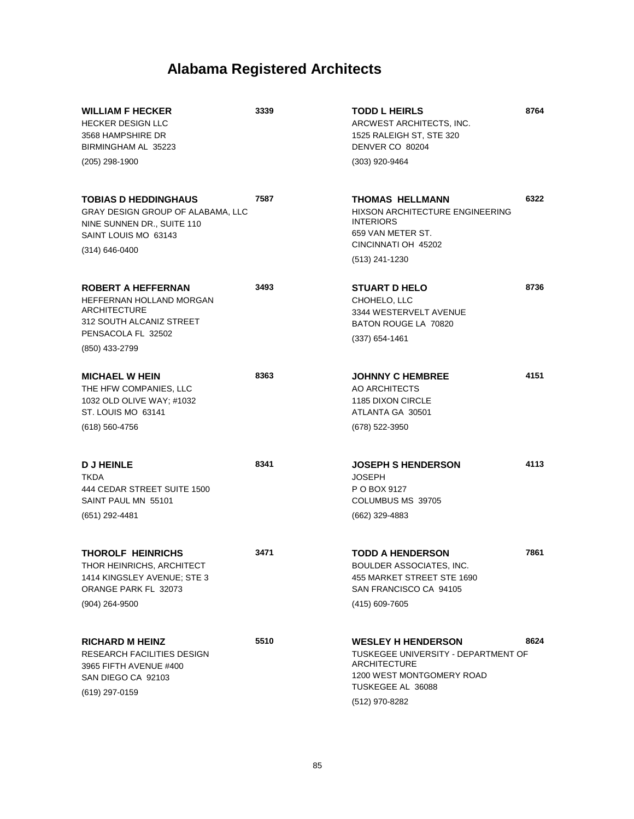| <b>WILLIAM F HECKER</b><br><b>HECKER DESIGN LLC</b><br>3568 HAMPSHIRE DR<br>BIRMINGHAM AL 35223                                                  | 3339 | <b>TODD L HEIRLS</b><br>ARCWEST ARCHITECTS, INC.<br>1525 RALEIGH ST, STE 320<br>DENVER CO 80204                                                             | 8764 |
|--------------------------------------------------------------------------------------------------------------------------------------------------|------|-------------------------------------------------------------------------------------------------------------------------------------------------------------|------|
| $(205)$ 298-1900                                                                                                                                 |      | (303) 920-9464                                                                                                                                              |      |
| <b>TOBIAS D HEDDINGHAUS</b><br>GRAY DESIGN GROUP OF ALABAMA, LLC<br>NINE SUNNEN DR., SUITE 110<br>SAINT LOUIS MO 63143<br>$(314) 646 - 0400$     | 7587 | THOMAS HELLMANN<br><b>HIXSON ARCHITECTURE ENGINEERING</b><br><b>INTERIORS</b><br>659 VAN METER ST.<br>CINCINNATI OH 45202<br>(513) 241-1230                 | 6322 |
| <b>ROBERT A HEFFERNAN</b><br>HEFFERNAN HOLLAND MORGAN<br><b>ARCHITECTURE</b><br>312 SOUTH ALCANIZ STREET<br>PENSACOLA FL 32502<br>(850) 433-2799 | 3493 | <b>STUART D HELO</b><br>CHOHELO, LLC<br>3344 WESTERVELT AVENUE<br>BATON ROUGE LA 70820<br>$(337)$ 654-1461                                                  | 8736 |
| <b>MICHAEL W HEIN</b><br>THE HFW COMPANIES, LLC<br>1032 OLD OLIVE WAY; #1032<br>ST. LOUIS MO 63141<br>$(618) 560 - 4756$                         | 8363 | <b>JOHNNY C HEMBREE</b><br>AO ARCHITECTS<br>1185 DIXON CIRCLE<br>ATLANTA GA 30501<br>(678) 522-3950                                                         | 4151 |
| <b>DJHEINLE</b><br><b>TKDA</b><br>444 CEDAR STREET SUITE 1500<br>SAINT PAUL MN 55101<br>(651) 292-4481                                           | 8341 | <b>JOSEPH S HENDERSON</b><br><b>JOSEPH</b><br>P O BOX 9127<br>COLUMBUS MS 39705<br>(662) 329-4883                                                           | 4113 |
| <b>THOROLF HEINRICHS</b><br>THOR HEINRICHS, ARCHITECT<br>1414 KINGSLEY AVENUE; STE 3<br>ORANGE PARK FL 32073<br>(904) 264-9500                   | 3471 | <b>TODD A HENDERSON</b><br>BOULDER ASSOCIATES, INC.<br>455 MARKET STREET STE 1690<br>SAN FRANCISCO CA 94105<br>(415) 609-7605                               | 7861 |
| <b>RICHARD M HEINZ</b><br>RESEARCH FACILITIES DESIGN<br>3965 FIFTH AVENUE #400<br>SAN DIEGO CA 92103<br>(619) 297-0159                           | 5510 | <b>WESLEY H HENDERSON</b><br>TUSKEGEE UNIVERSITY - DEPARTMENT OF<br><b>ARCHITECTURE</b><br>1200 WEST MONTGOMERY ROAD<br>TUSKEGEE AL 36088<br>(512) 970-8282 | 8624 |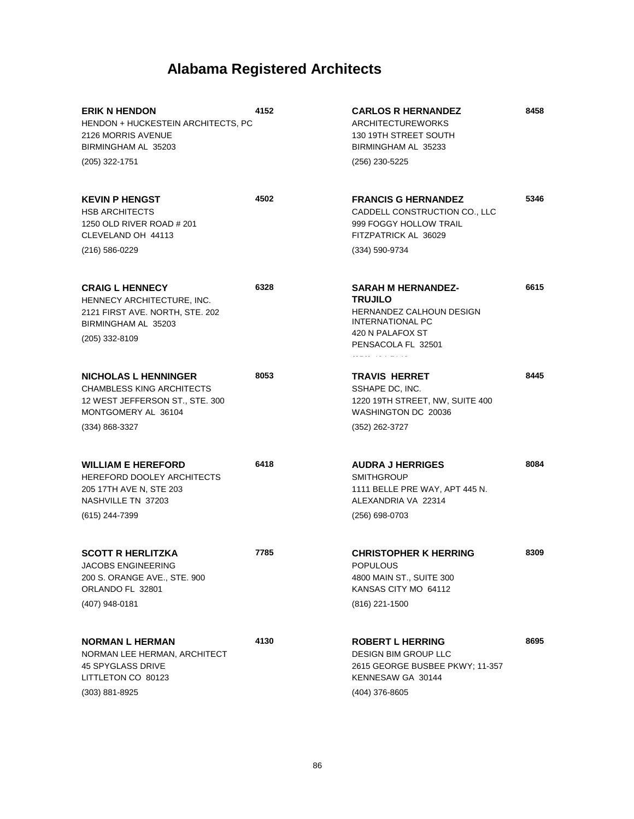| <b>ERIK N HENDON</b><br>HENDON + HUCKESTEIN ARCHITECTS, PC<br>2126 MORRIS AVENUE<br>BIRMINGHAM AL 35203                           | 4152 | <b>CARLOS R HERNANDEZ</b><br><b>ARCHITECTUREWORKS</b><br>130 19TH STREET SOUTH<br>BIRMINGHAM AL 35233                                 | 8458 |
|-----------------------------------------------------------------------------------------------------------------------------------|------|---------------------------------------------------------------------------------------------------------------------------------------|------|
| (205) 322-1751                                                                                                                    |      | (256) 230-5225                                                                                                                        |      |
| <b>KEVIN P HENGST</b><br><b>HSB ARCHITECTS</b><br>1250 OLD RIVER ROAD # 201<br>CLEVELAND OH 44113                                 | 4502 | <b>FRANCIS G HERNANDEZ</b><br>CADDELL CONSTRUCTION CO., LLC<br>999 FOGGY HOLLOW TRAIL<br>FITZPATRICK AL 36029                         | 5346 |
| $(216)$ 586-0229                                                                                                                  |      | (334) 590-9734                                                                                                                        |      |
| <b>CRAIG L HENNECY</b><br>HENNECY ARCHITECTURE, INC.<br>2121 FIRST AVE. NORTH, STE. 202<br>BIRMINGHAM AL 35203<br>(205) 332-8109  | 6328 | <b>SARAH M HERNANDEZ-</b><br><b>TRUJILO</b><br>HERNANDEZ CALHOUN DESIGN<br>INTERNATIONAL PC<br>420 N PALAFOX ST<br>PENSACOLA FL 32501 | 6615 |
| <b>NICHOLAS L HENNINGER</b><br><b>CHAMBLESS KING ARCHITECTS</b><br>12 WEST JEFFERSON ST., STE. 300<br>MONTGOMERY AL 36104         | 8053 | <b>TRAVIS HERRET</b><br>SSHAPE DC, INC.<br>1220 19TH STREET, NW, SUITE 400<br>WASHINGTON DC 20036                                     | 8445 |
| (334) 868-3327                                                                                                                    |      | (352) 262-3727                                                                                                                        |      |
| <b>WILLIAM E HEREFORD</b><br><b>HEREFORD DOOLEY ARCHITECTS</b><br>205 17TH AVE N, STE 203<br>NASHVILLE TN 37203<br>(615) 244-7399 | 6418 | <b>AUDRA J HERRIGES</b><br><b>SMITHGROUP</b><br>1111 BELLE PRE WAY, APT 445 N.<br>ALEXANDRIA VA 22314<br>(256) 698-0703               | 8084 |
| <b>SCOTT R HERLITZKA</b><br>JACOBS ENGINEERING<br>200 S. ORANGE AVE., STE. 900<br>ORLANDO FL 32801                                | 7785 | <b>CHRISTOPHER K HERRING</b><br>POPULOUS<br>4800 MAIN ST., SUITE 300<br>KANSAS CITY MO 64112                                          | 8309 |
| (407) 948-0181                                                                                                                    |      | (816) 221-1500                                                                                                                        |      |
| <b>NORMAN L HERMAN</b><br>NORMAN LEE HERMAN, ARCHITECT<br>45 SPYGLASS DRIVE<br>LITTLETON CO 80123                                 | 4130 | <b>ROBERT L HERRING</b><br><b>DESIGN BIM GROUP LLC</b><br>2615 GEORGE BUSBEE PKWY; 11-357<br>KENNESAW GA 30144                        | 8695 |
| $(303) 881 - 8925$                                                                                                                |      | (404) 376-8605                                                                                                                        |      |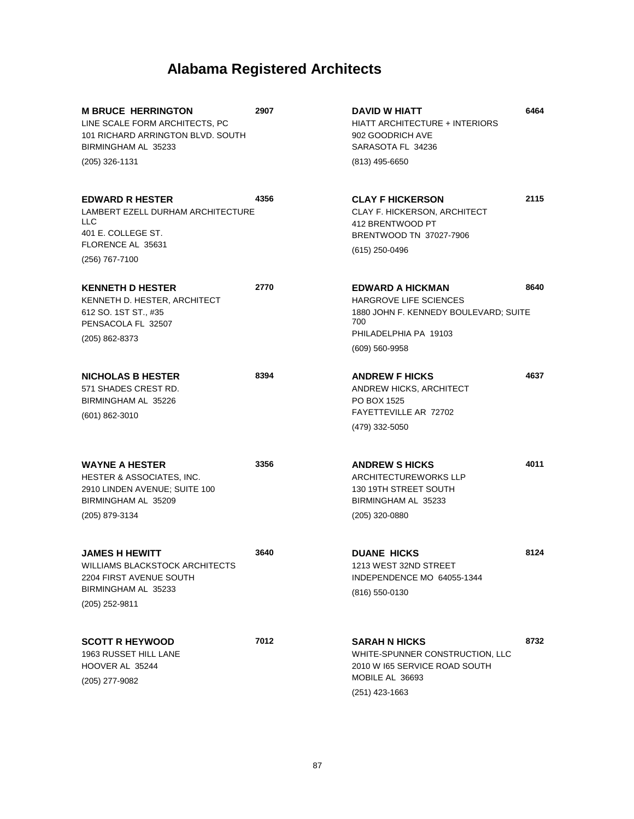| <b>M BRUCE HERRINGTON</b><br>LINE SCALE FORM ARCHITECTS, PC<br>101 RICHARD ARRINGTON BLVD, SOUTH<br>BIRMINGHAM AL 35233<br>(205) 326-1131 | 2907 | DAVID W HIATT<br><b>HIATT ARCHITECTURE + INTERIORS</b><br>902 GOODRICH AVE<br>SARASOTA FL 34236<br>$(813)$ 495-6650                                     | 6464 |
|-------------------------------------------------------------------------------------------------------------------------------------------|------|---------------------------------------------------------------------------------------------------------------------------------------------------------|------|
| <b>EDWARD R HESTER</b><br>LAMBERT EZELL DURHAM ARCHITECTURE<br>LLC                                                                        | 4356 | <b>CLAY F HICKERSON</b><br>CLAY F. HICKERSON, ARCHITECT<br>412 BRENTWOOD PT                                                                             | 2115 |
| 401 E. COLLEGE ST.<br>FLORENCE AL 35631<br>(256) 767-7100                                                                                 |      | BRENTWOOD TN 37027-7906<br>(615) 250-0496                                                                                                               |      |
| <b>KENNETH D HESTER</b><br>KENNETH D. HESTER, ARCHITECT<br>612 SO. 1ST ST., #35<br>PENSACOLA FL 32507<br>(205) 862-8373                   | 2770 | <b>EDWARD A HICKMAN</b><br><b>HARGROVE LIFE SCIENCES</b><br>1880 JOHN F. KENNEDY BOULEVARD; SUITE<br>700<br>PHILADELPHIA PA 19103<br>$(609) 560 - 9958$ | 8640 |
| <b>NICHOLAS B HESTER</b><br>571 SHADES CREST RD.<br>BIRMINGHAM AL 35226<br>$(601)$ 862-3010                                               | 8394 | <b>ANDREW F HICKS</b><br>ANDREW HICKS, ARCHITECT<br>PO BOX 1525<br>FAYETTEVILLE AR 72702<br>(479) 332-5050                                              | 4637 |
| <b>WAYNE A HESTER</b><br>HESTER & ASSOCIATES, INC.<br>2910 LINDEN AVENUE; SUITE 100<br>BIRMINGHAM AL 35209<br>(205) 879-3134              | 3356 | <b>ANDREW S HICKS</b><br><b>ARCHITECTUREWORKS LLP</b><br>130 19TH STREET SOUTH<br>BIRMINGHAM AL 35233<br>(205) 320-0880                                 | 4011 |
| <b>JAMES H HEWITT</b><br>WILLIAMS BLACKSTOCK ARCHITECTS<br>2204 FIRST AVENUE SOUTH<br>BIRMINGHAM AL 35233<br>(205) 252-9811               | 3640 | <b>DUANE HICKS</b><br>1213 WEST 32ND STREET<br>INDEPENDENCE MO 64055-1344<br>(816) 550-0130                                                             | 8124 |
| <b>SCOTT R HEYWOOD</b><br>1963 RUSSET HILL LANE<br>HOOVER AL 35244<br>(205) 277-9082                                                      | 7012 | <b>SARAH N HICKS</b><br>WHITE-SPUNNER CONSTRUCTION, LLC<br>2010 W I65 SERVICE ROAD SOUTH<br>MOBILE AL 36693<br>$(251)$ 423-1663                         | 8732 |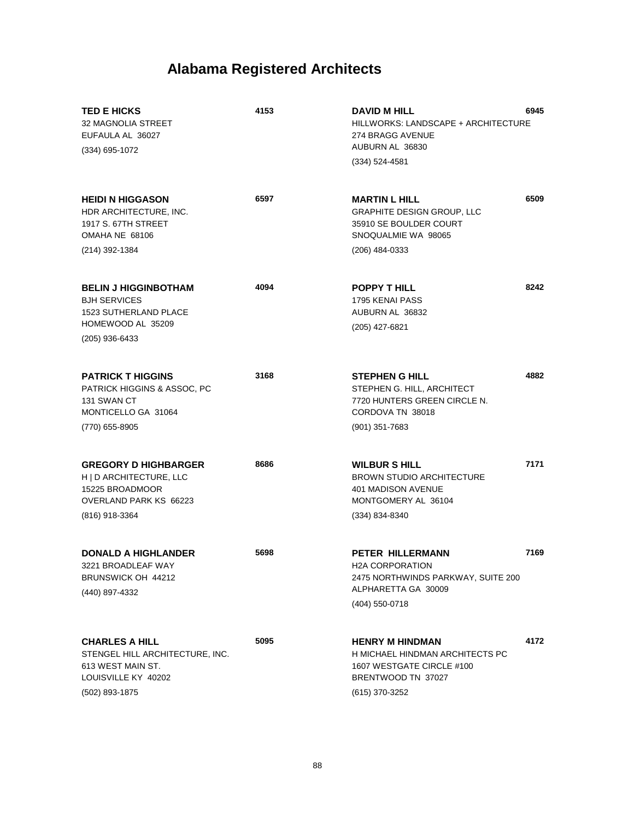| <b>TED E HICKS</b><br>32 MAGNOLIA STREET<br>EUFAULA AL 36027<br>$(334)$ 695-1072                                       | 4153 | <b>DAVID M HILL</b><br>HILLWORKS: LANDSCAPE + ARCHITECTURE<br>274 BRAGG AVENUE<br>AUBURN AL 36830<br>$(334) 524 - 4581$        | 6945 |
|------------------------------------------------------------------------------------------------------------------------|------|--------------------------------------------------------------------------------------------------------------------------------|------|
| <b>HEIDI N HIGGASON</b><br>HDR ARCHITECTURE, INC.<br>1917 S. 67TH STREET<br>OMAHA NE 68106                             | 6597 | <b>MARTIN L HILL</b><br><b>GRAPHITE DESIGN GROUP, LLC</b><br>35910 SE BOULDER COURT<br>SNOQUALMIE WA 98065                     | 6509 |
| (214) 392-1384                                                                                                         |      | $(206)$ 484-0333                                                                                                               |      |
| <b>BELIN J HIGGINBOTHAM</b><br><b>BJH SERVICES</b><br><b>1523 SUTHERLAND PLACE</b><br>HOMEWOOD AL 35209                | 4094 | <b>POPPY THILL</b><br>1795 KENAI PASS<br>AUBURN AL 36832<br>(205) 427-6821                                                     | 8242 |
| $(205)$ 936-6433                                                                                                       |      |                                                                                                                                |      |
| <b>PATRICK T HIGGINS</b><br>PATRICK HIGGINS & ASSOC, PC<br>131 SWAN CT<br>MONTICELLO GA 31064                          | 3168 | <b>STEPHEN G HILL</b><br>STEPHEN G. HILL, ARCHITECT<br>7720 HUNTERS GREEN CIRCLE N.<br>CORDOVA TN 38018                        | 4882 |
| (770) 655-8905                                                                                                         |      | $(901)$ 351-7683                                                                                                               |      |
| <b>GREGORY D HIGHBARGER</b><br>H   D ARCHITECTURE, LLC<br>15225 BROADMOOR<br>OVERLAND PARK KS 66223<br>(816) 918-3364  | 8686 | <b>WILBUR S HILL</b><br><b>BROWN STUDIO ARCHITECTURE</b><br>401 MADISON AVENUE<br>MONTGOMERY AL 36104<br>(334) 834-8340        | 7171 |
| <b>DONALD A HIGHLANDER</b><br>3221 BROADLEAF WAY<br>BRUNSWICK OH 44212<br>(440) 897-4332                               | 5698 | <b>PETER HILLERMANN</b><br>H2A CORPORATION<br>2475 NORTHWINDS PARKWAY, SUITE 200<br>ALPHARETTA GA 30009<br>(404) 550-0718      | 7169 |
| <b>CHARLES A HILL</b><br>STENGEL HILL ARCHITECTURE, INC.<br>613 WEST MAIN ST.<br>LOUISVILLE KY 40202<br>(502) 893-1875 | 5095 | <b>HENRY M HINDMAN</b><br>H MICHAEL HINDMAN ARCHITECTS PC<br>1607 WESTGATE CIRCLE #100<br>BRENTWOOD TN 37027<br>(615) 370-3252 | 4172 |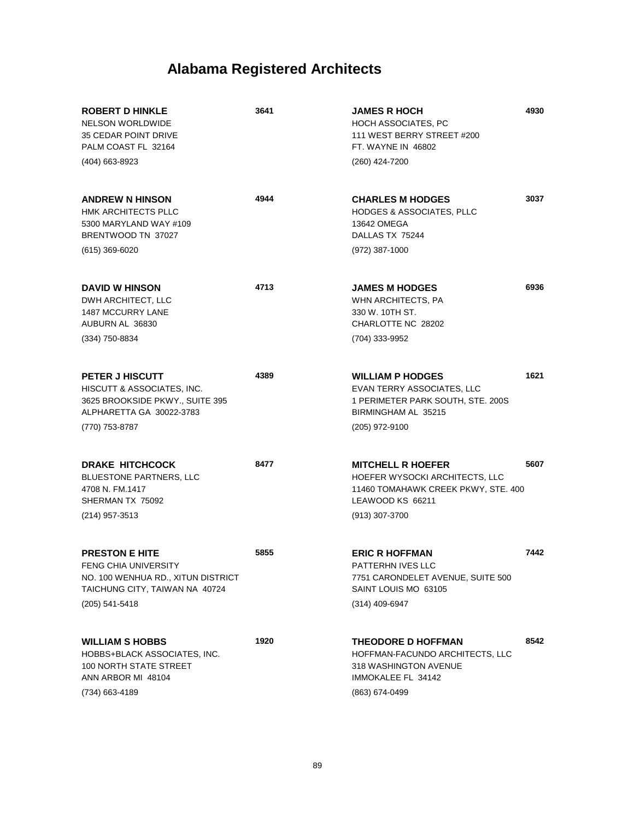| <b>ROBERT D HINKLE</b><br><b>NELSON WORLDWIDE</b><br><b>35 CEDAR POINT DRIVE</b><br>PALM COAST FL 32164<br>(404) 663-8923                 | 3641 | <b>JAMES R HOCH</b><br><b>HOCH ASSOCIATES, PC</b><br>111 WEST BERRY STREET #200<br>FT. WAYNE IN 46802<br>(260) 424-7200                 | 4930 |
|-------------------------------------------------------------------------------------------------------------------------------------------|------|-----------------------------------------------------------------------------------------------------------------------------------------|------|
| <b>ANDREW N HINSON</b><br><b>HMK ARCHITECTS PLLC</b><br>5300 MARYLAND WAY #109<br>BRENTWOOD TN 37027<br>(615) 369-6020                    | 4944 | <b>CHARLES M HODGES</b><br><b>HODGES &amp; ASSOCIATES, PLLC</b><br>13642 OMEGA<br>DALLAS TX 75244<br>(972) 387-1000                     | 3037 |
| <b>DAVID W HINSON</b><br>DWH ARCHITECT, LLC<br><b>1487 MCCURRY LANE</b><br>AUBURN AL 36830<br>(334) 750-8834                              | 4713 | <b>JAMES M HODGES</b><br>WHN ARCHITECTS, PA<br>330 W. 10TH ST.<br>CHARLOTTE NC 28202<br>(704) 333-9952                                  | 6936 |
| PETER J HISCUTT<br>HISCUTT & ASSOCIATES, INC.<br>3625 BROOKSIDE PKWY., SUITE 395<br>ALPHARETTA GA 30022-3783<br>(770) 753-8787            | 4389 | <b>WILLIAM P HODGES</b><br>EVAN TERRY ASSOCIATES, LLC<br>1 PERIMETER PARK SOUTH, STE. 200S<br>BIRMINGHAM AL 35215<br>(205) 972-9100     | 1621 |
| <b>DRAKE HITCHCOCK</b><br><b>BLUESTONE PARTNERS, LLC</b><br>4708 N. FM.1417<br>SHERMAN TX 75092<br>(214) 957-3513                         | 8477 | <b>MITCHELL R HOEFER</b><br>HOEFER WYSOCKI ARCHITECTS, LLC<br>11460 TOMAHAWK CREEK PKWY, STE. 400<br>LEAWOOD KS 66211<br>(913) 307-3700 | 5607 |
| <b>PRESTON E HITE</b><br>FENG CHIA UNIVERSITY<br>NO. 100 WENHUA RD., XITUN DISTRICT<br>TAICHUNG CITY, TAIWAN NA 40724<br>$(205)$ 541-5418 | 5855 | <b>ERIC R HOFFMAN</b><br>PATTERHN IVES LLC<br>7751 CARONDELET AVENUE, SUITE 500<br>SAINT LOUIS MO 63105<br>(314) 409-6947               | 7442 |
| <b>WILLIAM S HOBBS</b><br>HOBBS+BLACK ASSOCIATES, INC.<br><b>100 NORTH STATE STREET</b><br>ANN ARBOR MI 48104<br>(734) 663-4189           | 1920 | <b>THEODORE D HOFFMAN</b><br>HOFFMAN-FACUNDO ARCHITECTS, LLC<br>318 WASHINGTON AVENUE<br>IMMOKALEE FL 34142<br>(863) 674-0499           | 8542 |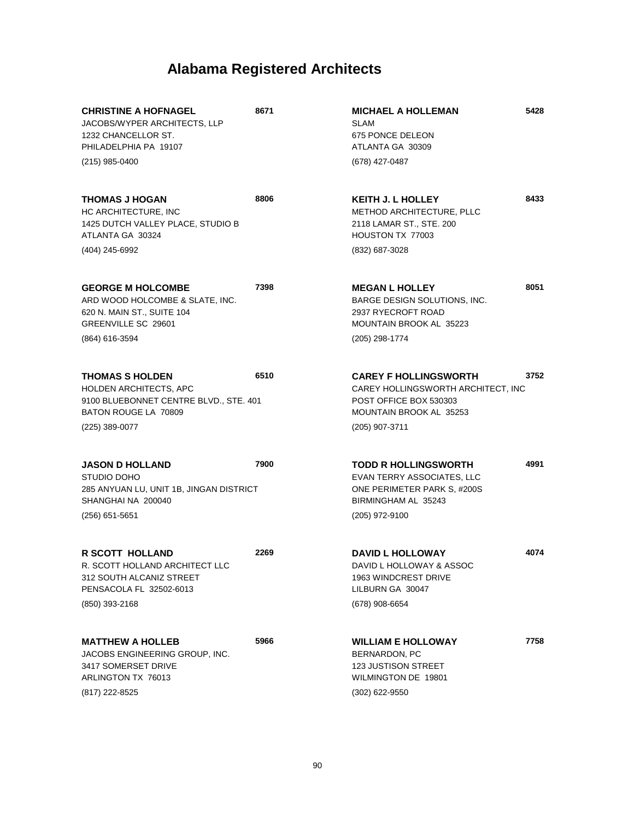| <b>CHRISTINE A HOFNAGEL</b><br>JACOBS/WYPER ARCHITECTS, LLP<br>1232 CHANCELLOR ST.<br>PHILADELPHIA PA 19107                          | 8671 | <b>MICHAEL A HOLLEMAN</b><br><b>SLAM</b><br><b>675 PONCE DELEON</b><br>ATLANTA GA 30309                                                   | 5428 |
|--------------------------------------------------------------------------------------------------------------------------------------|------|-------------------------------------------------------------------------------------------------------------------------------------------|------|
| (215) 985-0400                                                                                                                       |      | (678) 427-0487                                                                                                                            |      |
| <b>THOMAS J HOGAN</b><br>HC ARCHITECTURE, INC<br>1425 DUTCH VALLEY PLACE, STUDIO B<br>ATLANTA GA 30324                               | 8806 | <b>KEITH J. L HOLLEY</b><br>METHOD ARCHITECTURE, PLLC<br>2118 LAMAR ST., STE. 200<br>HOUSTON TX 77003                                     | 8433 |
| (404) 245-6992                                                                                                                       |      | (832) 687-3028                                                                                                                            |      |
| <b>GEORGE M HOLCOMBE</b><br>ARD WOOD HOLCOMBE & SLATE, INC.<br>620 N. MAIN ST., SUITE 104<br>GREENVILLE SC 29601<br>(864) 616-3594   | 7398 | <b>MEGAN L HOLLEY</b><br>BARGE DESIGN SOLUTIONS, INC.<br>2937 RYECROFT ROAD<br>MOUNTAIN BROOK AL 35223<br>(205) 298-1774                  | 8051 |
| <b>THOMAS S HOLDEN</b><br>HOLDEN ARCHITECTS, APC<br>9100 BLUEBONNET CENTRE BLVD., STE. 401<br>BATON ROUGE LA 70809<br>(225) 389-0077 | 6510 | <b>CAREY F HOLLINGSWORTH</b><br>CAREY HOLLINGSWORTH ARCHITECT, INC<br>POST OFFICE BOX 530303<br>MOUNTAIN BROOK AL 35253<br>(205) 907-3711 | 3752 |
|                                                                                                                                      |      |                                                                                                                                           |      |
| <b>JASON D HOLLAND</b><br>STUDIO DOHO<br>285 ANYUAN LU, UNIT 1B, JINGAN DISTRICT<br>SHANGHAI NA 200040<br>(256) 651-5651             | 7900 | <b>TODD R HOLLINGSWORTH</b><br>EVAN TERRY ASSOCIATES, LLC<br>ONE PERIMETER PARK S, #200S<br>BIRMINGHAM AL 35243<br>(205) 972-9100         | 4991 |
| <b>R SCOTT HOLLAND</b><br>R. SCOTT HOLLAND ARCHITECT LLC<br>312 SOUTH ALCANIZ STREET<br>PENSACOLA FL 32502-6013<br>(850) 393-2168    | 2269 | <b>DAVID L HOLLOWAY</b><br>DAVID L HOLLOWAY & ASSOC<br>1963 WINDCREST DRIVE<br>LILBURN GA 30047<br>(678) 908-6654                         | 4074 |
| <b>MATTHEW A HOLLEB</b><br>JACOBS ENGINEERING GROUP, INC.<br>3417 SOMERSET DRIVE<br>ARLINGTON TX 76013<br>(817) 222-8525             | 5966 | <b>WILLIAM E HOLLOWAY</b><br>BERNARDON, PC<br><b>123 JUSTISON STREET</b><br>WILMINGTON DE 19801<br>(302) 622-9550                         | 7758 |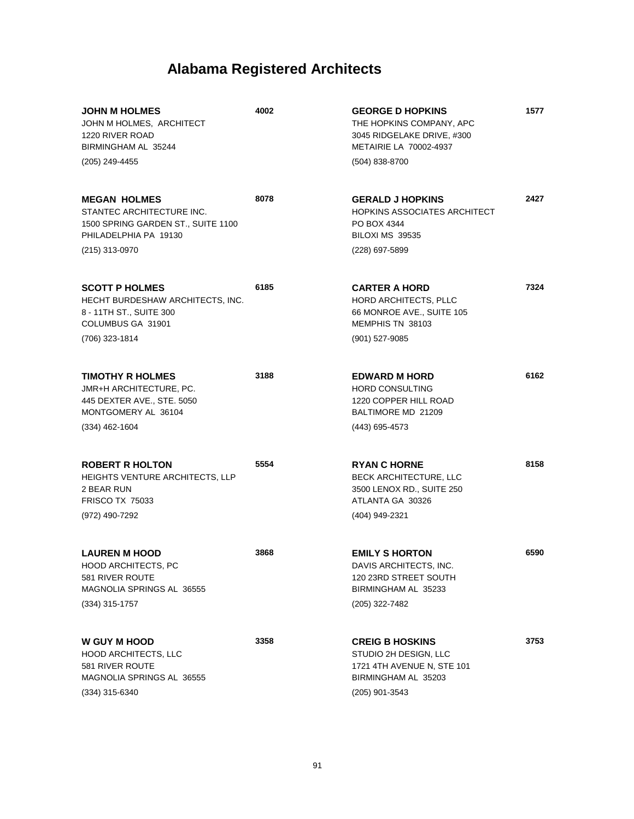| <b>JOHN M HOLMES</b><br>JOHN M HOLMES, ARCHITECT<br>1220 RIVER ROAD<br>BIRMINGHAM AL 35244                      | 4002 | <b>GEORGE D HOPKINS</b><br>THE HOPKINS COMPANY, APC<br>3045 RIDGELAKE DRIVE, #300<br>METAIRIE LA 70002-4937 | 1577 |
|-----------------------------------------------------------------------------------------------------------------|------|-------------------------------------------------------------------------------------------------------------|------|
| (205) 249-4455                                                                                                  |      | $(504)$ 838-8700                                                                                            |      |
| <b>MEGAN HOLMES</b><br>STANTEC ARCHITECTURE INC.<br>1500 SPRING GARDEN ST., SUITE 1100<br>PHILADELPHIA PA 19130 | 8078 | <b>GERALD J HOPKINS</b><br><b>HOPKINS ASSOCIATES ARCHITECT</b><br>PO BOX 4344<br><b>BILOXI MS 39535</b>     | 2427 |
| (215) 313-0970                                                                                                  |      | (228) 697-5899                                                                                              |      |
| <b>SCOTT P HOLMES</b><br>HECHT BURDESHAW ARCHITECTS, INC.<br>8 - 11TH ST., SUITE 300<br>COLUMBUS GA 31901       | 6185 | <b>CARTER A HORD</b><br>HORD ARCHITECTS, PLLC<br>66 MONROE AVE., SUITE 105<br>MEMPHIS TN 38103              | 7324 |
| (706) 323-1814                                                                                                  |      | $(901)$ 527-9085                                                                                            |      |
| <b>TIMOTHY R HOLMES</b><br><b>JMR+H ARCHITECTURE, PC.</b><br>445 DEXTER AVE., STE. 5050<br>MONTGOMERY AL 36104  | 3188 | <b>EDWARD M HORD</b><br><b>HORD CONSULTING</b><br>1220 COPPER HILL ROAD<br>BALTIMORE MD 21209               | 6162 |
| $(334)$ 462-1604                                                                                                |      | (443) 695-4573                                                                                              |      |
| <b>ROBERT R HOLTON</b><br>HEIGHTS VENTURE ARCHITECTS, LLP<br>2 BEAR RUN<br><b>FRISCO TX 75033</b>               | 5554 | <b>RYAN C HORNE</b><br>BECK ARCHITECTURE, LLC<br>3500 LENOX RD., SUITE 250<br>ATLANTA GA 30326              | 8158 |
| (972) 490-7292                                                                                                  |      | (404) 949-2321                                                                                              |      |
| <b>LAUREN M HOOD</b><br>HOOD ARCHITECTS, PC<br>581 RIVER ROUTE<br>MAGNOLIA SPRINGS AL 36555                     | 3868 | <b>EMILY S HORTON</b><br>DAVIS ARCHITECTS, INC.<br>120 23RD STREET SOUTH<br>BIRMINGHAM AL 35233             | 6590 |
| $(334)$ 315-1757                                                                                                |      | (205) 322-7482                                                                                              |      |
| <b>W GUY M HOOD</b><br><b>HOOD ARCHITECTS, LLC</b><br>581 RIVER ROUTE<br>MAGNOLIA SPRINGS AL 36555              | 3358 | <b>CREIG B HOSKINS</b><br>STUDIO 2H DESIGN, LLC<br>1721 4TH AVENUE N, STE 101<br>BIRMINGHAM AL 35203        | 3753 |
| (334) 315-6340                                                                                                  |      | (205) 901-3543                                                                                              |      |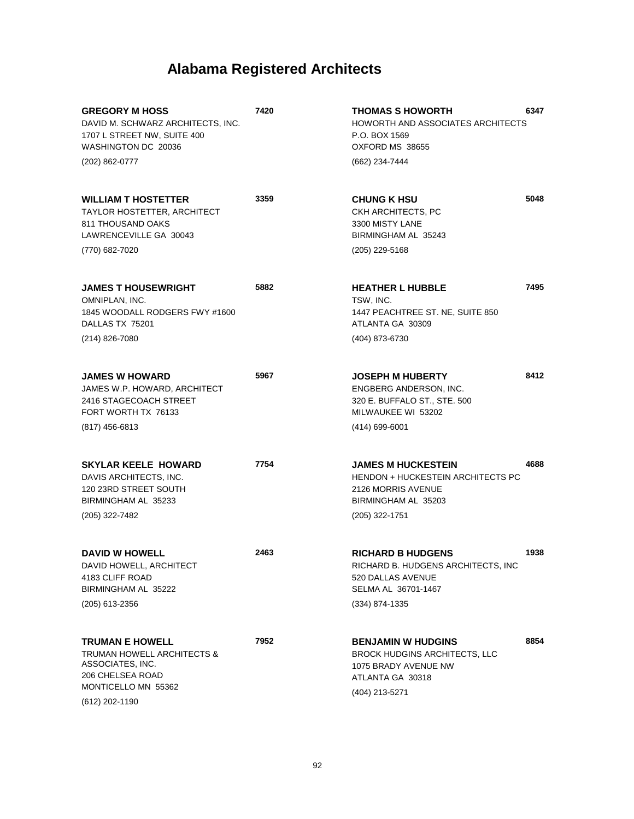| <b>GREGORY M HOSS</b><br>DAVID M. SCHWARZ ARCHITECTS, INC.<br>1707 L STREET NW, SUITE 400<br>WASHINGTON DC 20036<br>(202) 862-0777    | 7420 | <b>THOMAS S HOWORTH</b><br>HOWORTH AND ASSOCIATES ARCHITECTS<br>P.O. BOX 1569<br>OXFORD MS 38655<br>(662) 234-7444                   | 6347 |
|---------------------------------------------------------------------------------------------------------------------------------------|------|--------------------------------------------------------------------------------------------------------------------------------------|------|
| <b>WILLIAM T HOSTETTER</b><br>TAYLOR HOSTETTER, ARCHITECT<br>811 THOUSAND OAKS<br>LAWRENCEVILLE GA 30043<br>(770) 682-7020            | 3359 | <b>CHUNG K HSU</b><br>CKH ARCHITECTS, PC<br>3300 MISTY LANE<br>BIRMINGHAM AL 35243<br>(205) 229-5168                                 | 5048 |
| <b>JAMES T HOUSEWRIGHT</b><br>OMNIPLAN, INC.<br>1845 WOODALL RODGERS FWY #1600<br>DALLAS TX 75201<br>(214) 826-7080                   | 5882 | <b>HEATHER L HUBBLE</b><br>TSW, INC.<br>1447 PEACHTREE ST. NE, SUITE 850<br>ATLANTA GA 30309<br>(404) 873-6730                       | 7495 |
| <b>JAMES W HOWARD</b><br>JAMES W.P. HOWARD, ARCHITECT<br>2416 STAGECOACH STREET<br>FORT WORTH TX 76133<br>$(817)$ 456-6813            | 5967 | <b>JOSEPH M HUBERTY</b><br>ENGBERG ANDERSON, INC.<br>320 E. BUFFALO ST., STE. 500<br>MILWAUKEE WI 53202<br>$(414)$ 699-6001          | 8412 |
| <b>SKYLAR KEELE HOWARD</b><br>DAVIS ARCHITECTS, INC.<br>120 23RD STREET SOUTH<br>BIRMINGHAM AL 35233<br>(205) 322-7482                | 7754 | <b>JAMES M HUCKESTEIN</b><br><b>HENDON + HUCKESTEIN ARCHITECTS PC</b><br>2126 MORRIS AVENUE<br>BIRMINGHAM AL 35203<br>(205) 322-1751 | 4688 |
| <b>DAVID W HOWELL</b><br>DAVID HOWELL, ARCHITECT<br>4183 CLIFF ROAD<br>BIRMINGHAM AL 35222<br>(205) 613-2356                          | 2463 | <b>RICHARD B HUDGENS</b><br>RICHARD B. HUDGENS ARCHITECTS, INC<br>520 DALLAS AVENUE<br>SELMA AL 36701-1467<br>(334) 874-1335         | 1938 |
| <b>TRUMAN E HOWELL</b><br>TRUMAN HOWELL ARCHITECTS &<br>ASSOCIATES, INC.<br>206 CHELSEA ROAD<br>MONTICELLO MN 55362<br>(612) 202-1190 | 7952 | <b>BENJAMIN W HUDGINS</b><br><b>BROCK HUDGINS ARCHITECTS, LLC</b><br>1075 BRADY AVENUE NW<br>ATLANTA GA 30318<br>(404) 213-5271      | 8854 |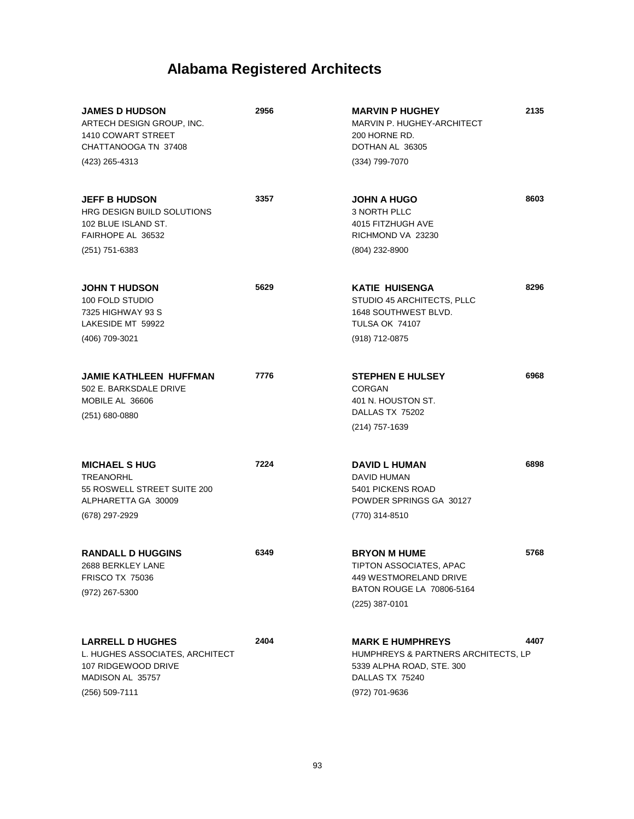| <b>JAMES D HUDSON</b><br>ARTECH DESIGN GROUP, INC.<br>1410 COWART STREET<br>CHATTANOOGA TN 37408<br>(423) 265-4313      | 2956 | <b>MARVIN P HUGHEY</b><br>MARVIN P. HUGHEY-ARCHITECT<br>200 HORNE RD.<br>DOTHAN AL 36305<br>(334) 799-7070                       | 2135 |
|-------------------------------------------------------------------------------------------------------------------------|------|----------------------------------------------------------------------------------------------------------------------------------|------|
| <b>JEFF B HUDSON</b><br><b>HRG DESIGN BUILD SOLUTIONS</b><br>102 BLUE ISLAND ST.<br>FAIRHOPE AL 36532<br>(251) 751-6383 | 3357 | <b>JOHN A HUGO</b><br>3 NORTH PLLC<br>4015 FITZHUGH AVE<br>RICHMOND VA 23230<br>(804) 232-8900                                   | 8603 |
| <b>JOHN T HUDSON</b><br>100 FOLD STUDIO<br>7325 HIGHWAY 93 S<br>LAKESIDE MT 59922<br>(406) 709-3021                     | 5629 | <b>KATIE HUISENGA</b><br>STUDIO 45 ARCHITECTS, PLLC<br>1648 SOUTHWEST BLVD.<br>TULSA OK 74107<br>(918) 712-0875                  | 8296 |
| JAMIE KATHLEEN HUFFMAN<br>502 E. BARKSDALE DRIVE<br>MOBILE AL 36606<br>$(251)$ 680-0880                                 | 7776 | <b>STEPHEN E HULSEY</b><br><b>CORGAN</b><br>401 N. HOUSTON ST.<br>DALLAS TX 75202<br>(214) 757-1639                              | 6968 |
| <b>MICHAEL S HUG</b><br><b>TREANORHL</b><br>55 ROSWELL STREET SUITE 200<br>ALPHARETTA GA 30009<br>(678) 297-2929        | 7224 | <b>DAVID L HUMAN</b><br>DAVID HUMAN<br>5401 PICKENS ROAD<br>POWDER SPRINGS GA 30127<br>(770) 314-8510                            | 6898 |
| <b>RANDALL D HUGGINS</b><br>2688 BERKLEY LANE<br><b>FRISCO TX 75036</b><br>(972) 267-5300                               | 6349 | <b>BRYON M HUME</b><br>TIPTON ASSOCIATES, APAC<br>449 WESTMORELAND DRIVE<br>BATON ROUGE LA 70806-5164<br>(225) 387-0101          | 5768 |
| <b>LARRELL D HUGHES</b><br>L. HUGHES ASSOCIATES, ARCHITECT<br>107 RIDGEWOOD DRIVE<br>MADISON AL 35757<br>(256) 509-7111 | 2404 | <b>MARK E HUMPHREYS</b><br>HUMPHREYS & PARTNERS ARCHITECTS, LP<br>5339 ALPHA ROAD, STE. 300<br>DALLAS TX 75240<br>(972) 701-9636 | 4407 |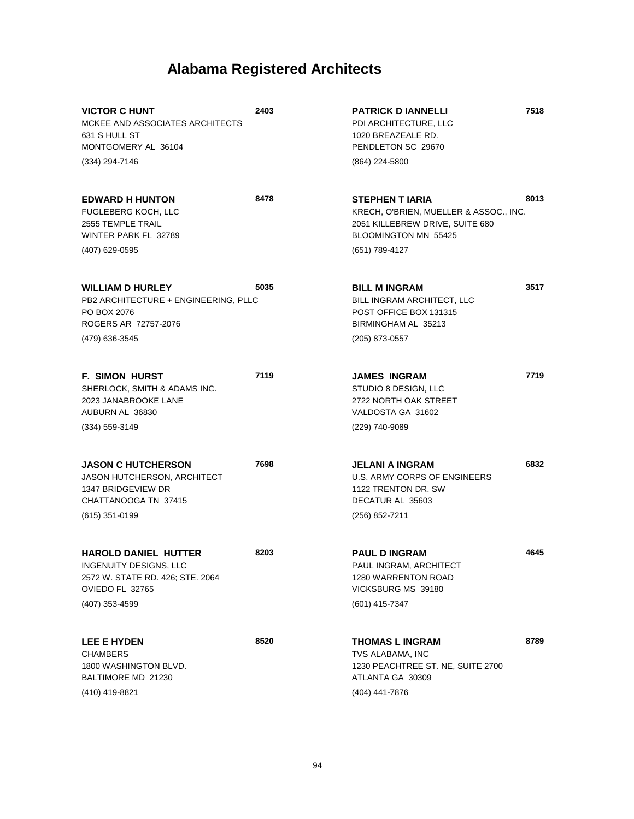| <b>VICTOR C HUNT</b><br>MCKEE AND ASSOCIATES ARCHITECTS<br>631 S HULL ST<br>MONTGOMERY AL 36104                            | 2403 | <b>PATRICK D IANNELLI</b><br>PDI ARCHITECTURE, LLC<br>1020 BREAZEALE RD.<br>PENDLETON SC 29670                              | 7518 |
|----------------------------------------------------------------------------------------------------------------------------|------|-----------------------------------------------------------------------------------------------------------------------------|------|
| (334) 294-7146                                                                                                             |      | (864) 224-5800                                                                                                              |      |
| <b>EDWARD H HUNTON</b><br>FUGLEBERG KOCH, LLC<br>2555 TEMPLE TRAIL<br>WINTER PARK FL 32789                                 | 8478 | <b>STEPHEN T IARIA</b><br>KRECH, O'BRIEN, MUELLER & ASSOC., INC.<br>2051 KILLEBREW DRIVE, SUITE 680<br>BLOOMINGTON MN 55425 | 8013 |
| (407) 629-0595                                                                                                             |      | (651) 789-4127                                                                                                              |      |
| <b>WILLIAM D HURLEY</b><br>PB2 ARCHITECTURE + ENGINEERING, PLLC<br>PO BOX 2076<br>ROGERS AR 72757-2076<br>(479) 636-3545   | 5035 | <b>BILL M INGRAM</b><br>BILL INGRAM ARCHITECT, LLC<br>POST OFFICE BOX 131315<br>BIRMINGHAM AL 35213<br>(205) 873-0557       | 3517 |
| <b>F. SIMON HURST</b><br>SHERLOCK, SMITH & ADAMS INC.<br>2023 JANABROOKE LANE<br>AUBURN AL 36830                           | 7119 | <b>JAMES INGRAM</b><br>STUDIO 8 DESIGN, LLC<br>2722 NORTH OAK STREET<br>VALDOSTA GA 31602                                   | 7719 |
| $(334)$ 559-3149                                                                                                           |      | (229) 740-9089                                                                                                              |      |
| <b>JASON C HUTCHERSON</b><br>JASON HUTCHERSON, ARCHITECT<br>1347 BRIDGEVIEW DR<br>CHATTANOOGA TN 37415<br>$(615)$ 351-0199 | 7698 | JELANI A INGRAM<br>U.S. ARMY CORPS OF ENGINEERS<br>1122 TRENTON DR. SW<br>DECATUR AL 35603<br>(256) 852-7211                | 6832 |
|                                                                                                                            |      |                                                                                                                             |      |
| <b>HAROLD DANIEL HUTTER</b><br>INGENUITY DESIGNS, LLC<br>2572 W. STATE RD. 426; STE. 2064<br>OVIEDO FL 32765               | 8203 | <b>PAUL D INGRAM</b><br>PAUL INGRAM, ARCHITECT<br>1280 WARRENTON ROAD<br>VICKSBURG MS 39180                                 | 4645 |
| (407) 353-4599                                                                                                             |      | (601) 415-7347                                                                                                              |      |
| <b>LEE E HYDEN</b><br><b>CHAMBERS</b><br>1800 WASHINGTON BLVD.<br>BALTIMORE MD 21230                                       | 8520 | <b>THOMAS L INGRAM</b><br>TVS ALABAMA, INC<br>1230 PEACHTREE ST. NE, SUITE 2700<br>ATLANTA GA 30309                         | 8789 |
| (410) 419-8821                                                                                                             |      | (404) 441-7876                                                                                                              |      |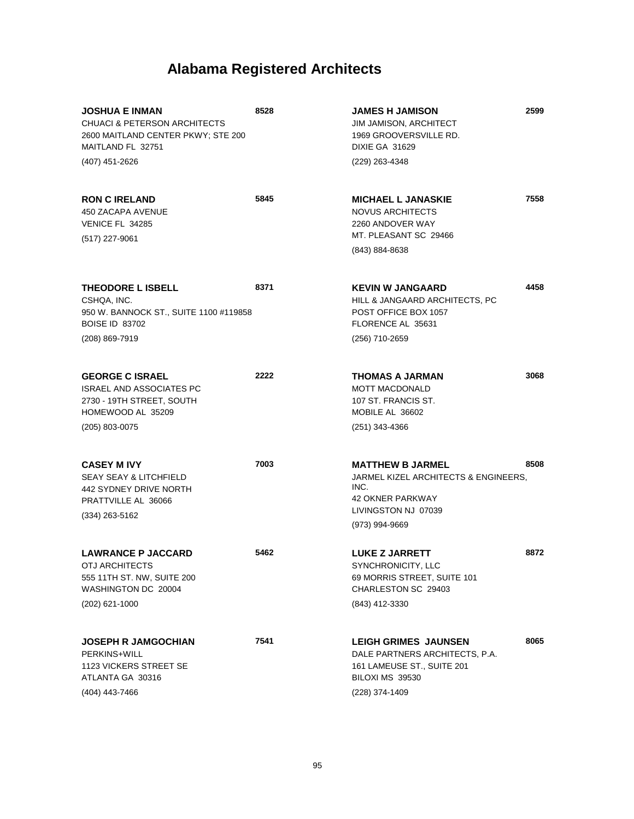| <b>JOSHUA E INMAN</b><br><b>CHUACI &amp; PETERSON ARCHITECTS</b><br>2600 MAITLAND CENTER PKWY; STE 200<br>MAITLAND FL 32751  | 8528 | <b>JAMES H JAMISON</b><br><b>JIM JAMISON, ARCHITECT</b><br>1969 GROOVERSVILLE RD.<br><b>DIXIE GA 31629</b>               | 2599 |
|------------------------------------------------------------------------------------------------------------------------------|------|--------------------------------------------------------------------------------------------------------------------------|------|
| (407) 451-2626                                                                                                               |      | (229) 263-4348                                                                                                           |      |
| <b>RON C IRELAND</b><br>450 ZACAPA AVENUE<br>VENICE FL 34285<br>(517) 227-9061                                               | 5845 | <b>MICHAEL L JANASKIE</b><br><b>NOVUS ARCHITECTS</b><br>2260 ANDOVER WAY<br>MT. PLEASANT SC 29466                        | 7558 |
|                                                                                                                              |      | (843) 884-8638                                                                                                           |      |
| THEODORE L ISBELL<br>CSHQA, INC.<br>950 W. BANNOCK ST., SUITE 1100 #119858<br><b>BOISE ID 83702</b><br>(208) 869-7919        | 8371 | <b>KEVIN W JANGAARD</b><br>HILL & JANGAARD ARCHITECTS, PC<br>POST OFFICE BOX 1057<br>FLORENCE AL 35631<br>(256) 710-2659 | 4458 |
| <b>GEORGE C ISRAEL</b><br><b>ISRAEL AND ASSOCIATES PC</b><br>2730 - 19TH STREET, SOUTH<br>HOMEWOOD AL 35209                  | 2222 | <b>THOMAS A JARMAN</b><br><b>MOTT MACDONALD</b><br>107 ST. FRANCIS ST.<br>MOBILE AL 36602                                | 3068 |
| (205) 803-0075                                                                                                               |      | $(251)$ 343-4366                                                                                                         |      |
| <b>CASEY M IVY</b><br><b>SEAY SEAY &amp; LITCHFIELD</b><br>442 SYDNEY DRIVE NORTH<br>PRATTVILLE AL 36066<br>$(334)$ 263-5162 | 7003 | <b>MATTHEW B JARMEL</b><br>JARMEL KIZEL ARCHITECTS & ENGINEERS,<br>INC.<br>42 OKNER PARKWAY<br>LIVINGSTON NJ 07039       | 8508 |
|                                                                                                                              |      | (973) 994-9669                                                                                                           |      |
| <b>LAWRANCE P JACCARD</b><br>OTJ ARCHITECTS<br>555 11TH ST. NW, SUITE 200<br>WASHINGTON DC 20004<br>$(202)$ 621-1000         | 5462 | <b>LUKE Z JARRETT</b><br>SYNCHRONICITY, LLC<br>69 MORRIS STREET, SUITE 101<br>CHARLESTON SC 29403<br>(843) 412-3330      | 8872 |
|                                                                                                                              |      |                                                                                                                          |      |
| <b>JOSEPH R JAMGOCHIAN</b><br>PERKINS+WILL<br>1123 VICKERS STREET SE<br>ATLANTA GA 30316                                     | 7541 | <b>LEIGH GRIMES JAUNSEN</b><br>DALE PARTNERS ARCHITECTS, P.A.<br>161 LAMEUSE ST., SUITE 201<br>BILOXI MS 39530           | 8065 |
| (404) 443-7466                                                                                                               |      | (228) 374-1409                                                                                                           |      |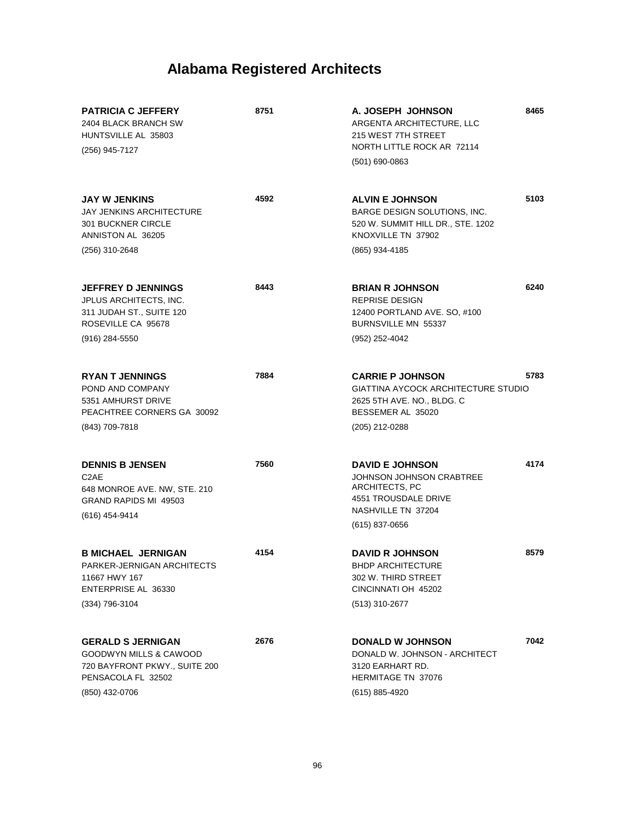| <b>PATRICIA C JEFFERY</b><br>2404 BLACK BRANCH SW<br>HUNTSVILLE AL 35803<br>(256) 945-7127                                  | 8751 | A. JOSEPH JOHNSON<br>ARGENTA ARCHITECTURE, LLC<br>215 WEST 7TH STREET<br>NORTH LITTLE ROCK AR 72114<br>$(501)$ 690-0863                       | 8465 |
|-----------------------------------------------------------------------------------------------------------------------------|------|-----------------------------------------------------------------------------------------------------------------------------------------------|------|
| <b>JAY W JENKINS</b><br><b>JAY JENKINS ARCHITECTURE</b><br><b>301 BUCKNER CIRCLE</b><br>ANNISTON AL 36205<br>(256) 310-2648 | 4592 | <b>ALVIN E JOHNSON</b><br>BARGE DESIGN SOLUTIONS, INC.<br>520 W. SUMMIT HILL DR., STE. 1202<br>KNOXVILLE TN 37902<br>(865) 934-4185           | 5103 |
| <b>JEFFREY D JENNINGS</b><br>JPLUS ARCHITECTS, INC.<br>311 JUDAH ST., SUITE 120<br>ROSEVILLE CA 95678<br>$(916)$ 284-5550   | 8443 | <b>BRIAN R JOHNSON</b><br><b>REPRISE DESIGN</b><br>12400 PORTLAND AVE. SO, #100<br>BURNSVILLE MN 55337<br>(952) 252-4042                      | 6240 |
| <b>RYAN T JENNINGS</b><br>POND AND COMPANY<br>5351 AMHURST DRIVE<br>PEACHTREE CORNERS GA 30092<br>(843) 709-7818            | 7884 | <b>CARRIE P JOHNSON</b><br>GIATTINA AYCOCK ARCHITECTURE STUDIO<br>2625 5TH AVE. NO., BLDG. C<br>BESSEMER AL 35020<br>(205) 212-0288           | 5783 |
|                                                                                                                             |      |                                                                                                                                               |      |
| <b>DENNIS B JENSEN</b><br>C <sub>2</sub> AE<br>648 MONROE AVE. NW, STE. 210<br>GRAND RAPIDS MI 49503<br>(616) 454-9414      | 7560 | <b>DAVID E JOHNSON</b><br><b>JOHNSON JOHNSON CRABTREE</b><br>ARCHITECTS, PC<br>4551 TROUSDALE DRIVE<br>NASHVILLE TN 37204<br>$(615)$ 837-0656 | 4174 |
| <b>B MICHAEL JERNIGAN</b><br>PARKER-JERNIGAN ARCHITECTS<br>11667 HWY 167<br>ENTERPRISE AL 36330<br>$(334)$ 796-3104         | 4154 | <b>DAVID R JOHNSON</b><br><b>BHDP ARCHITECTURE</b><br>302 W. THIRD STREET<br>CINCINNATI OH 45202<br>(513) 310-2677                            | 8579 |
| <b>GERALD S JERNIGAN</b><br>GOODWYN MILLS & CAWOOD<br>720 BAYFRONT PKWY., SUITE 200<br>PENSACOLA FL 32502<br>(850) 432-0706 | 2676 | <b>DONALD W JOHNSON</b><br>DONALD W. JOHNSON - ARCHITECT<br>3120 EARHART RD.<br><b>HERMITAGE TN 37076</b><br>(615) 885-4920                   | 7042 |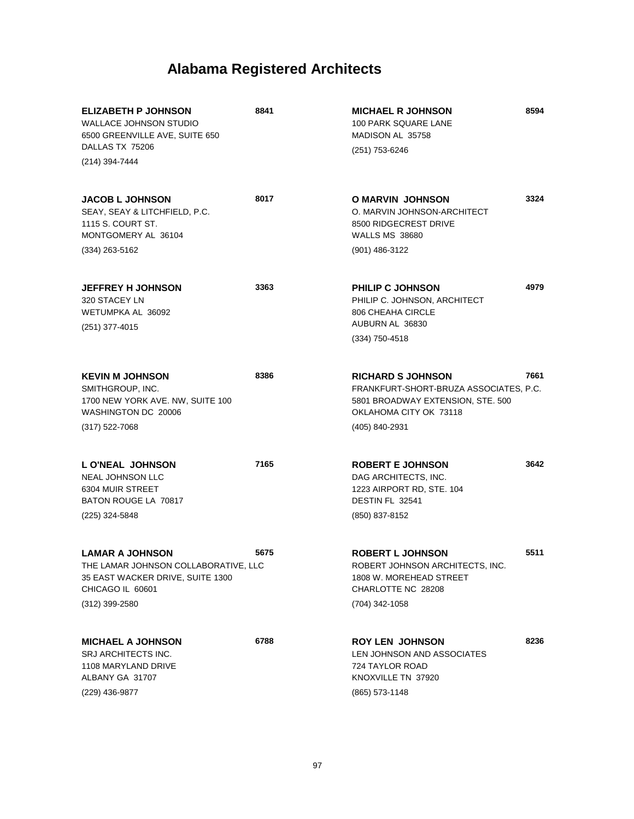| <b>ELIZABETH P JOHNSON</b><br><b>WALLACE JOHNSON STUDIO</b><br>6500 GREENVILLE AVE, SUITE 650<br>DALLAS TX 75206<br>(214) 394-7444 | 8841 | <b>MICHAEL R JOHNSON</b><br>100 PARK SQUARE LANE<br>MADISON AL 35758<br>(251) 753-6246                                            | 8594 |
|------------------------------------------------------------------------------------------------------------------------------------|------|-----------------------------------------------------------------------------------------------------------------------------------|------|
|                                                                                                                                    |      |                                                                                                                                   |      |
| <b>JACOB L JOHNSON</b><br>SEAY, SEAY & LITCHFIELD, P.C.<br>1115 S. COURT ST.<br>MONTGOMERY AL 36104                                | 8017 | O MARVIN JOHNSON<br>O. MARVIN JOHNSON-ARCHITECT<br>8500 RIDGECREST DRIVE<br><b>WALLS MS 38680</b>                                 | 3324 |
| $(334)$ 263-5162                                                                                                                   |      | (901) 486-3122                                                                                                                    |      |
| <b>JEFFREY H JOHNSON</b><br>320 STACEY LN<br>WETUMPKA AL 36092<br>(251) 377-4015                                                   | 3363 | <b>PHILIP C JOHNSON</b><br>PHILIP C. JOHNSON, ARCHITECT<br>806 CHEAHA CIRCLE<br>AUBURN AL 36830                                   | 4979 |
|                                                                                                                                    |      | $(334)$ 750-4518                                                                                                                  |      |
| <b>KEVIN M JOHNSON</b><br>SMITHGROUP, INC.<br>1700 NEW YORK AVE. NW, SUITE 100<br>WASHINGTON DC 20006                              | 8386 | <b>RICHARD S JOHNSON</b><br>FRANKFURT-SHORT-BRUZA ASSOCIATES, P.C.<br>5801 BROADWAY EXTENSION, STE. 500<br>OKLAHOMA CITY OK 73118 | 7661 |
| $(317) 522 - 7068$                                                                                                                 |      | (405) 840-2931                                                                                                                    |      |
| L O'NEAL JOHNSON<br><b>NEAL JOHNSON LLC</b><br>6304 MUIR STREET<br>BATON ROUGE LA 70817<br>(225) 324-5848                          | 7165 | <b>ROBERT E JOHNSON</b><br>DAG ARCHITECTS, INC.<br>1223 AIRPORT RD, STE. 104<br>DESTIN FL 32541<br>(850) 837-8152                 | 3642 |
|                                                                                                                                    |      |                                                                                                                                   |      |
| <b>LAMAR A JOHNSON</b><br>THE LAMAR JOHNSON COLLABORATIVE. LLC<br>35 EAST WACKER DRIVE, SUITE 1300<br>CHICAGO IL 60601             | 5675 | <b>ROBERT L JOHNSON</b><br>ROBERT JOHNSON ARCHITECTS. INC.<br>1808 W. MOREHEAD STREET<br>CHARLOTTE NC 28208                       | 5511 |
| (312) 399-2580                                                                                                                     |      | (704) 342-1058                                                                                                                    |      |
| <b>MICHAEL A JOHNSON</b><br>SRJ ARCHITECTS INC.<br>1108 MARYLAND DRIVE<br>ALBANY GA 31707<br>(229) 436-9877                        | 6788 | <b>ROY LEN JOHNSON</b><br>LEN JOHNSON AND ASSOCIATES<br>724 TAYLOR ROAD<br>KNOXVILLE TN 37920<br>(865) 573-1148                   | 8236 |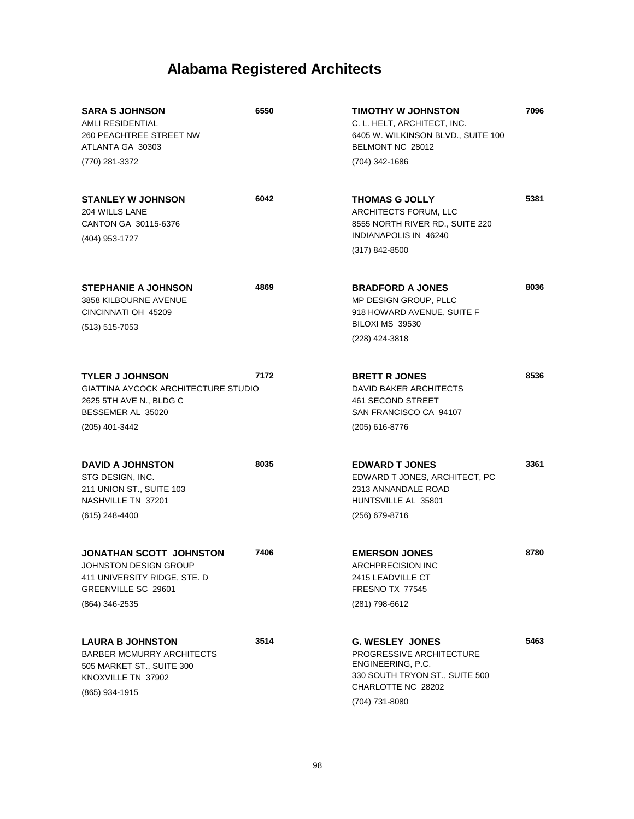| <b>SARA S JOHNSON</b><br>AMLI RESIDENTIAL<br>260 PEACHTREE STREET NW<br>ATLANTA GA 30303<br>(770) 281-3372                             | 6550 | TIMOTHY W JOHNSTON<br>C. L. HELT, ARCHITECT, INC.<br>6405 W. WILKINSON BLVD., SUITE 100<br>BELMONT NC 28012<br>(704) 342-1686                     | 7096 |
|----------------------------------------------------------------------------------------------------------------------------------------|------|---------------------------------------------------------------------------------------------------------------------------------------------------|------|
|                                                                                                                                        |      |                                                                                                                                                   |      |
| <b>STANLEY W JOHNSON</b><br>204 WILLS LANE<br>CANTON GA 30115-6376<br>(404) 953-1727                                                   | 6042 | <b>THOMAS G JOLLY</b><br>ARCHITECTS FORUM, LLC<br>8555 NORTH RIVER RD., SUITE 220<br>INDIANAPOLIS IN 46240<br>$(317) 842 - 8500$                  | 5381 |
|                                                                                                                                        |      |                                                                                                                                                   |      |
| <b>STEPHANIE A JOHNSON</b><br>3858 KILBOURNE AVENUE<br>CINCINNATI OH 45209<br>$(513) 515 - 7053$                                       | 4869 | <b>BRADFORD A JONES</b><br>MP DESIGN GROUP, PLLC<br>918 HOWARD AVENUE, SUITE F<br>BILOXI MS 39530<br>(228) 424-3818                               | 8036 |
|                                                                                                                                        |      |                                                                                                                                                   |      |
| <b>TYLER J JOHNSON</b><br><b>GIATTINA AYCOCK ARCHITECTURE STUDIO</b><br>2625 5TH AVE N., BLDG C<br>BESSEMER AL 35020<br>(205) 401-3442 | 7172 | <b>BRETT R JONES</b><br><b>DAVID BAKER ARCHITECTS</b><br>461 SECOND STREET<br>SAN FRANCISCO CA 94107<br>(205) 616-8776                            | 8536 |
|                                                                                                                                        |      |                                                                                                                                                   |      |
| <b>DAVID A JOHNSTON</b><br>STG DESIGN, INC.<br>211 UNION ST., SUITE 103<br>NASHVILLE TN 37201<br>(615) 248-4400                        | 8035 | <b>EDWARD T JONES</b><br>EDWARD T JONES, ARCHITECT, PC<br>2313 ANNANDALE ROAD<br>HUNTSVILLE AL 35801<br>(256) 679-8716                            | 3361 |
| <b>JONATHAN SCOTT JOHNSTON</b><br>JOHNSTON DESIGN GROUP<br>411 UNIVERSITY RIDGE, STE. D<br>GREENVILLE SC 29601<br>(864) 346-2535       | 7406 | <b>EMERSON JONES</b><br><b>ARCHPRECISION INC</b><br>2415 LEADVILLE CT<br>FRESNO TX 77545<br>(281) 798-6612                                        | 8780 |
|                                                                                                                                        |      |                                                                                                                                                   |      |
| <b>LAURA B JOHNSTON</b><br><b>BARBER MCMURRY ARCHITECTS</b><br>505 MARKET ST., SUITE 300<br>KNOXVILLE TN 37902<br>(865) 934-1915       | 3514 | <b>G. WESLEY JONES</b><br>PROGRESSIVE ARCHITECTURE<br>ENGINEERING, P.C.<br>330 SOUTH TRYON ST., SUITE 500<br>CHARLOTTE NC 28202<br>(704) 731-8080 | 5463 |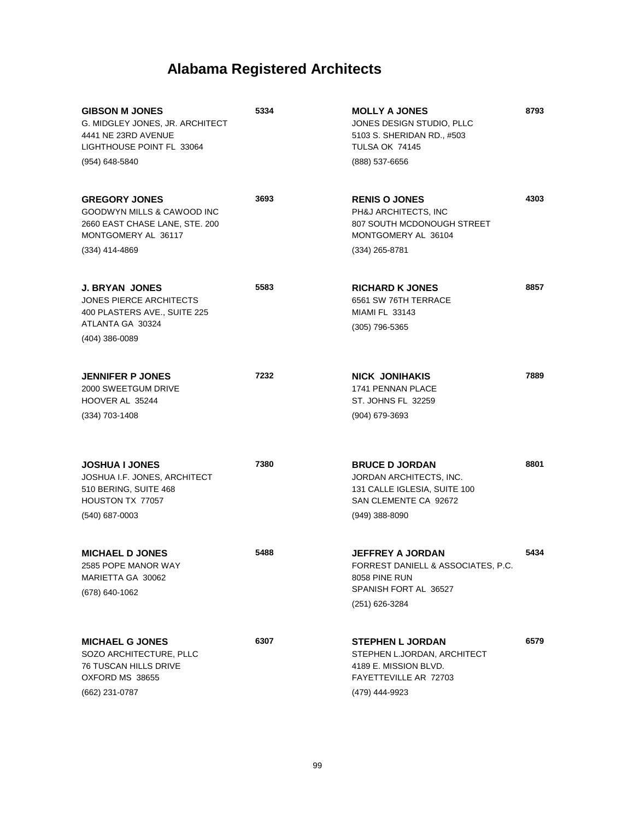| <b>GIBSON M JONES</b><br>G. MIDGLEY JONES, JR. ARCHITECT<br>4441 NE 23RD AVENUE<br>LIGHTHOUSE POINT FL 33064<br>(954) 648-5840 | 5334 | <b>MOLLY A JONES</b><br>JONES DESIGN STUDIO, PLLC<br>5103 S. SHERIDAN RD., #503<br>TULSA OK 74145<br>(888) 537-6656        | 8793 |
|--------------------------------------------------------------------------------------------------------------------------------|------|----------------------------------------------------------------------------------------------------------------------------|------|
| <b>GREGORY JONES</b><br>GOODWYN MILLS & CAWOOD INC<br>2660 EAST CHASE LANE, STE. 200<br>MONTGOMERY AL 36117<br>(334) 414-4869  | 3693 | <b>RENIS O JONES</b><br>PH&J ARCHITECTS, INC<br>807 SOUTH MCDONOUGH STREET<br>MONTGOMERY AL 36104<br>$(334)$ 265-8781      | 4303 |
|                                                                                                                                |      |                                                                                                                            |      |
| <b>J. BRYAN JONES</b><br><b>JONES PIERCE ARCHITECTS</b><br>400 PLASTERS AVE., SUITE 225                                        | 5583 | <b>RICHARD K JONES</b><br>6561 SW 76TH TERRACE<br><b>MIAMI FL 33143</b>                                                    | 8857 |
| ATLANTA GA 30324<br>$(404)$ 386-0089                                                                                           |      | (305) 796-5365                                                                                                             |      |
|                                                                                                                                |      |                                                                                                                            |      |
| <b>JENNIFER P JONES</b><br>2000 SWEETGUM DRIVE<br>HOOVER AL 35244                                                              | 7232 | NICK JONIHAKIS<br>1741 PENNAN PLACE<br>ST. JOHNS FL 32259                                                                  | 7889 |
| $(334)$ 703-1408                                                                                                               |      | (904) 679-3693                                                                                                             |      |
|                                                                                                                                |      |                                                                                                                            |      |
| <b>JOSHUA I JONES</b><br>JOSHUA I.F. JONES, ARCHITECT<br>510 BERING, SUITE 468<br>HOUSTON TX 77057                             | 7380 | <b>BRUCE D JORDAN</b><br>JORDAN ARCHITECTS, INC.<br>131 CALLE IGLESIA, SUITE 100<br>SAN CLEMENTE CA 92672                  | 8801 |
| (540) 687-0003                                                                                                                 |      | $(949)$ 388-8090                                                                                                           |      |
| <b>MICHAEL D JONES</b><br>2585 POPE MANOR WAY<br>MARIETTA GA 30062<br>(678) 640-1062                                           | 5488 | <b>JEFFREY A JORDAN</b><br>FORREST DANIELL & ASSOCIATES, P.C.<br>8058 PINE RUN<br>SPANISH FORT AL 36527                    | 5434 |
|                                                                                                                                |      | (251) 626-3284                                                                                                             |      |
| <b>MICHAEL G JONES</b><br>SOZO ARCHITECTURE, PLLC<br><b>76 TUSCAN HILLS DRIVE</b><br>OXFORD MS 38655<br>(662) 231-0787         | 6307 | <b>STEPHEN L JORDAN</b><br>STEPHEN L.JORDAN, ARCHITECT<br>4189 E. MISSION BLVD.<br>FAYETTEVILLE AR 72703<br>(479) 444-9923 | 6579 |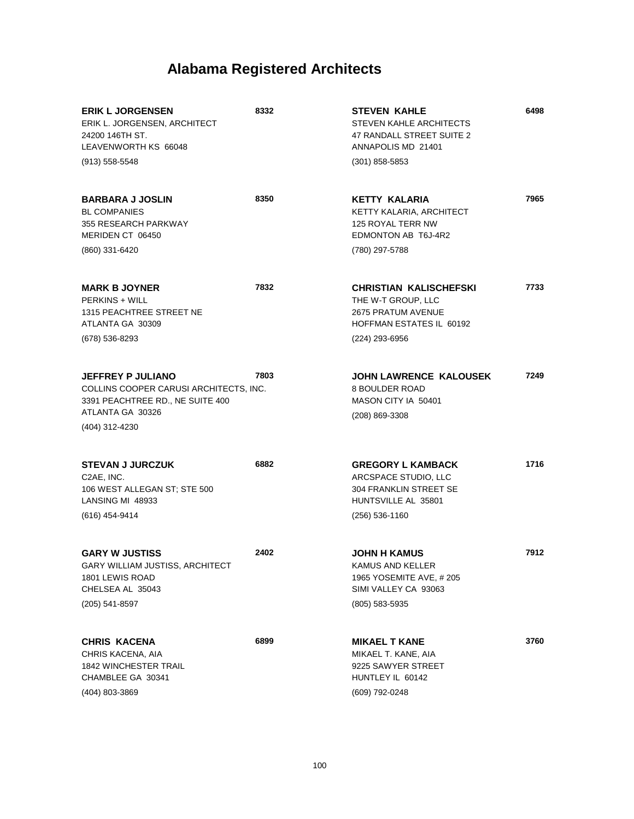| <b>ERIK L JORGENSEN</b><br>ERIK L. JORGENSEN, ARCHITECT<br>24200 146TH ST.<br>LEAVENWORTH KS 66048<br>$(913) 558 - 5548$                     | 8332 | <b>STEVEN KAHLE</b><br>STEVEN KAHLE ARCHITECTS<br>47 RANDALL STREET SUITE 2<br>ANNAPOLIS MD 21401<br>$(301)$ 858-5853                 | 6498 |
|----------------------------------------------------------------------------------------------------------------------------------------------|------|---------------------------------------------------------------------------------------------------------------------------------------|------|
| <b>BARBARA J JOSLIN</b><br><b>BL COMPANIES</b><br>355 RESEARCH PARKWAY<br>MERIDEN CT 06450<br>(860) 331-6420                                 | 8350 | <b>KETTY KALARIA</b><br>KETTY KALARIA, ARCHITECT<br>125 ROYAL TERR NW<br>EDMONTON AB T6J-4R2<br>(780) 297-5788                        | 7965 |
| <b>MARK B JOYNER</b><br><b>PERKINS + WILL</b><br>1315 PEACHTREE STREET NE<br>ATLANTA GA 30309<br>(678) 536-8293                              | 7832 | <b>CHRISTIAN KALISCHEFSKI</b><br>THE W-T GROUP, LLC<br><b>2675 PRATUM AVENUE</b><br><b>HOFFMAN ESTATES IL 60192</b><br>(224) 293-6956 | 7733 |
| <b>JEFFREY P JULIANO</b><br>COLLINS COOPER CARUSI ARCHITECTS, INC.<br>3391 PEACHTREE RD., NE SUITE 400<br>ATLANTA GA 30326<br>(404) 312-4230 | 7803 | <b>JOHN LAWRENCE KALOUSEK</b><br><b>8 BOULDER ROAD</b><br>MASON CITY IA 50401<br>(208) 869-3308                                       | 7249 |
| <b>STEVAN J JURCZUK</b><br>C2AE, INC.<br>106 WEST ALLEGAN ST; STE 500<br>LANSING MI 48933<br>(616) 454-9414                                  | 6882 | <b>GREGORY L KAMBACK</b><br>ARCSPACE STUDIO, LLC<br>304 FRANKLIN STREET SE<br>HUNTSVILLE AL 35801<br>$(256) 536 - 1160$               | 1716 |
| <b>GARY W JUSTISS</b><br>GARY WILLIAM JUSTISS, ARCHITECT<br>1801 LEWIS ROAD<br>CHELSEA AL 35043<br>(205) 541-8597                            | 2402 | <b>JOHN H KAMUS</b><br>KAMUS AND KELLER<br>1965 YOSEMITE AVE, #205<br>SIMI VALLEY CA 93063<br>(805) 583-5935                          | 7912 |
| <b>CHRIS KACENA</b><br>CHRIS KACENA, AIA<br><b>1842 WINCHESTER TRAIL</b><br>CHAMBLEE GA 30341<br>(404) 803-3869                              | 6899 | <b>MIKAEL T KANE</b><br>MIKAEL T. KANE, AIA<br>9225 SAWYER STREET<br>HUNTLEY IL 60142<br>(609) 792-0248                               | 3760 |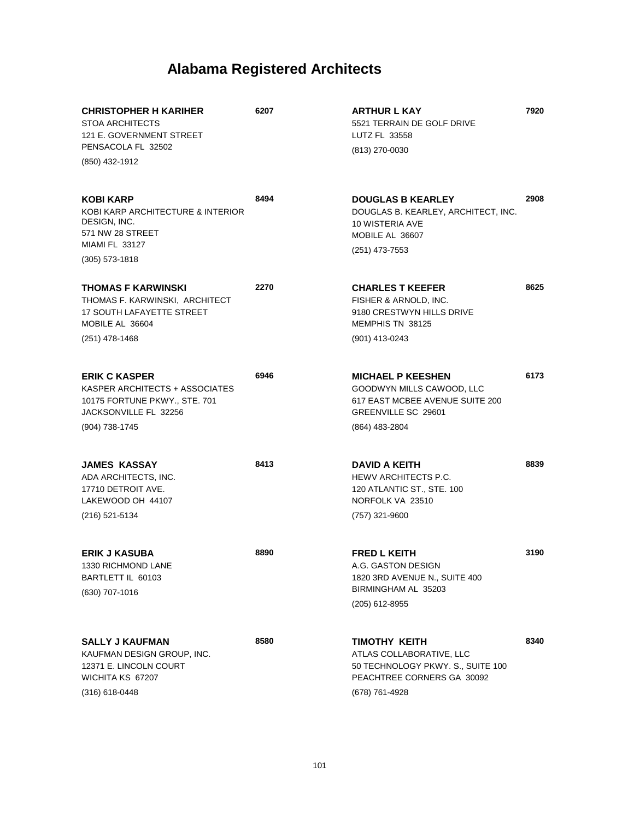| <b>CHRISTOPHER H KARIHER</b><br><b>STOA ARCHITECTS</b><br>121 E. GOVERNMENT STREET<br>PENSACOLA FL 32502                               | 6207 | <b>ARTHUR L KAY</b><br>5521 TERRAIN DE GOLF DRIVE<br>LUTZ FL 33558<br>(813) 270-0030                                              | 7920 |
|----------------------------------------------------------------------------------------------------------------------------------------|------|-----------------------------------------------------------------------------------------------------------------------------------|------|
| (850) 432-1912                                                                                                                         |      |                                                                                                                                   |      |
| <b>KOBI KARP</b><br>KOBI KARP ARCHITECTURE & INTERIOR<br>DESIGN, INC.<br>571 NW 28 STREET<br><b>MIAMI FL 33127</b><br>$(305)$ 573-1818 | 8494 | <b>DOUGLAS B KEARLEY</b><br>DOUGLAS B. KEARLEY, ARCHITECT, INC.<br>10 WISTERIA AVE<br>MOBILE AL 36607<br>(251) 473-7553           | 2908 |
| THOMAS F KARWINSKI<br>THOMAS F. KARWINSKI, ARCHITECT<br><b>17 SOUTH LAFAYETTE STREET</b><br>MOBILE AL 36604<br>(251) 478-1468          | 2270 | <b>CHARLES T KEEFER</b><br>FISHER & ARNOLD. INC.<br>9180 CRESTWYN HILLS DRIVE<br>MEMPHIS TN 38125<br>(901) 413-0243               | 8625 |
| <b>ERIK C KASPER</b><br>KASPER ARCHITECTS + ASSOCIATES<br>10175 FORTUNE PKWY., STE. 701<br>JACKSONVILLE FL 32256<br>(904) 738-1745     | 6946 | <b>MICHAEL P KEESHEN</b><br>GOODWYN MILLS CAWOOD, LLC<br>617 EAST MCBEE AVENUE SUITE 200<br>GREENVILLE SC 29601<br>(864) 483-2804 | 6173 |
| JAMES KASSAY<br>ADA ARCHITECTS, INC.<br>17710 DETROIT AVE.<br>LAKEWOOD OH 44107<br>(216) 521-5134                                      | 8413 | DAVID A KEITH<br>HEWV ARCHITECTS P.C.<br>120 ATLANTIC ST., STE. 100<br>NORFOLK VA 23510<br>(757) 321-9600                         | 8839 |
| <b>ERIK J KASUBA</b><br>1330 RICHMOND LANE<br>BARTLETT IL 60103<br>(630) 707-1016                                                      | 8890 | <b>FRED L KEITH</b><br>A.G. GASTON DESIGN<br>1820 3RD AVENUE N., SUITE 400<br>BIRMINGHAM AL 35203<br>(205) 612-8955               | 3190 |
| <b>SALLY J KAUFMAN</b><br>KAUFMAN DESIGN GROUP, INC.<br>12371 E. LINCOLN COURT<br>WICHITA KS 67207<br>$(316)$ 618-0448                 | 8580 | TIMOTHY KEITH<br>ATLAS COLLABORATIVE, LLC<br>50 TECHNOLOGY PKWY. S., SUITE 100<br>PEACHTREE CORNERS GA 30092<br>(678) 761-4928    | 8340 |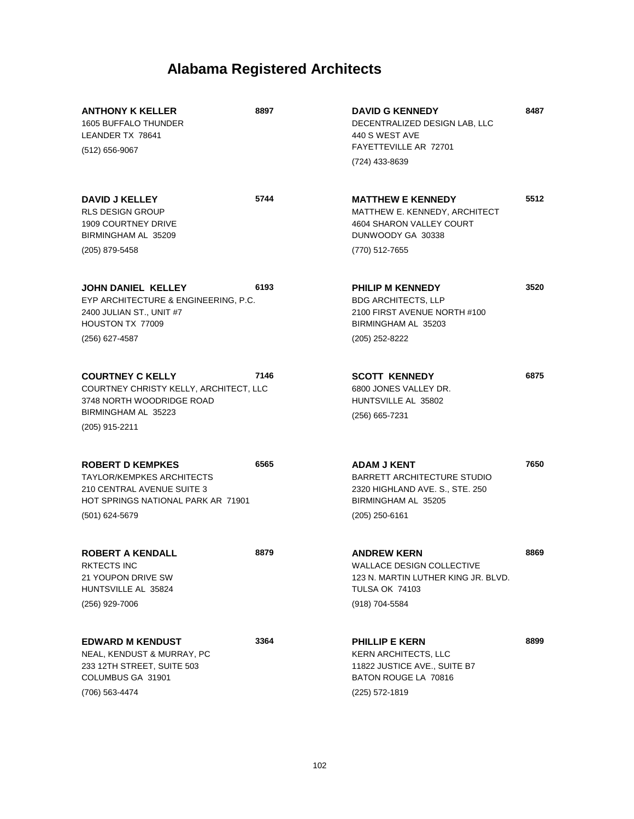| <b>ANTHONY K KELLER</b><br><b>1605 BUFFALO THUNDER</b><br>LEANDER TX 78641<br>(512) 656-9067                                                      | 8897 | <b>DAVID G KENNEDY</b><br>DECENTRALIZED DESIGN LAB, LLC<br>440 S WEST AVE<br>FAYETTEVILLE AR 72701                                     | 8487 |
|---------------------------------------------------------------------------------------------------------------------------------------------------|------|----------------------------------------------------------------------------------------------------------------------------------------|------|
|                                                                                                                                                   |      | (724) 433-8639                                                                                                                         |      |
| <b>DAVID J KELLEY</b><br><b>RLS DESIGN GROUP</b><br><b>1909 COURTNEY DRIVE</b><br>BIRMINGHAM AL 35209                                             | 5744 | <b>MATTHEW E KENNEDY</b><br>MATTHEW E. KENNEDY, ARCHITECT<br>4604 SHARON VALLEY COURT<br>DUNWOODY GA 30338                             | 5512 |
| (205) 879-5458                                                                                                                                    |      | (770) 512-7655                                                                                                                         |      |
| JOHN DANIEL KELLEY<br>EYP ARCHITECTURE & ENGINEERING, P.C.<br>2400 JULIAN ST., UNIT #7<br>HOUSTON TX 77009                                        | 6193 | <b>PHILIP M KENNEDY</b><br><b>BDG ARCHITECTS, LLP</b><br>2100 FIRST AVENUE NORTH #100<br>BIRMINGHAM AL 35203                           | 3520 |
| (256) 627-4587                                                                                                                                    |      | (205) 252-8222                                                                                                                         |      |
| <b>COURTNEY C KELLY</b><br>COURTNEY CHRISTY KELLY, ARCHITECT, LLC<br>3748 NORTH WOODRIDGE ROAD<br>BIRMINGHAM AL 35223<br>(205) 915-2211           | 7146 | <b>SCOTT KENNEDY</b><br>6800 JONES VALLEY DR.<br>HUNTSVILLE AL 35802<br>(256) 665-7231                                                 | 6875 |
| <b>ROBERT D KEMPKES</b><br><b>TAYLOR/KEMPKES ARCHITECTS</b><br>210 CENTRAL AVENUE SUITE 3<br>HOT SPRINGS NATIONAL PARK AR 71901<br>(501) 624-5679 | 6565 | <b>ADAM J KENT</b><br><b>BARRETT ARCHITECTURE STUDIO</b><br>2320 HIGHLAND AVE. S., STE. 250<br>BIRMINGHAM AL 35205<br>$(205)$ 250-6161 | 7650 |
| <b>ROBERT A KENDALL</b><br>RKTECTS INC<br>21 YOUPON DRIVE SW<br>HUNTSVILLE AL 35824<br>(256) 929-7006                                             | 8879 | <b>ANDREW KERN</b><br>WALLACE DESIGN COLLECTIVE<br>123 N. MARTIN LUTHER KING JR. BLVD.<br><b>TULSA OK 74103</b><br>(918) 704-5584      | 8869 |
| <b>EDWARD M KENDUST</b><br>NEAL, KENDUST & MURRAY, PC<br>233 12TH STREET, SUITE 503<br>COLUMBUS GA 31901<br>(706) 563-4474                        | 3364 | <b>PHILLIP E KERN</b><br><b>KERN ARCHITECTS, LLC</b><br>11822 JUSTICE AVE., SUITE B7<br>BATON ROUGE LA 70816<br>(225) 572-1819         | 8899 |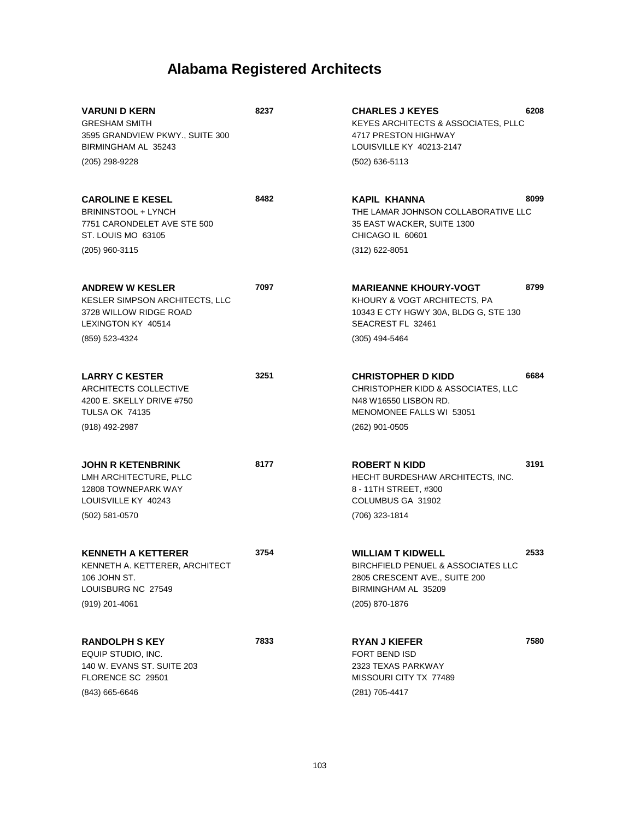| <b>VARUNI D KERN</b><br><b>GRESHAM SMITH</b><br>3595 GRANDVIEW PKWY., SUITE 300<br>BIRMINGHAM AL 35243                 | 8237 | 6208<br><b>CHARLES J KEYES</b><br>KEYES ARCHITECTS & ASSOCIATES, PLLC<br>4717 PRESTON HIGHWAY<br>LOUISVILLE KY 40213-2147                        |
|------------------------------------------------------------------------------------------------------------------------|------|--------------------------------------------------------------------------------------------------------------------------------------------------|
| (205) 298-9228                                                                                                         |      | $(502)$ 636-5113                                                                                                                                 |
| <b>CAROLINE E KESEL</b><br><b>BRININSTOOL + LYNCH</b><br>7751 CARONDELET AVE STE 500<br>ST. LOUIS MO 63105             | 8482 | 8099<br>KAPIL KHANNA<br>THE LAMAR JOHNSON COLLABORATIVE LLC<br>35 EAST WACKER, SUITE 1300<br>CHICAGO IL 60601                                    |
| (205) 960-3115                                                                                                         |      | (312) 622-8051                                                                                                                                   |
| <b>ANDREW W KESLER</b><br>KESLER SIMPSON ARCHITECTS, LLC<br>3728 WILLOW RIDGE ROAD<br>LEXINGTON KY 40514               | 7097 | 8799<br><b>MARIEANNE KHOURY-VOGT</b><br>KHOURY & VOGT ARCHITECTS, PA<br>10343 E CTY HGWY 30A, BLDG G, STE 130<br>SEACREST FL 32461               |
| (859) 523-4324                                                                                                         |      | (305) 494-5464                                                                                                                                   |
| <b>LARRY C KESTER</b><br>ARCHITECTS COLLECTIVE<br>4200 E. SKELLY DRIVE #750<br><b>TULSA OK 74135</b><br>(918) 492-2987 | 3251 | 6684<br><b>CHRISTOPHER D KIDD</b><br>CHRISTOPHER KIDD & ASSOCIATES, LLC<br>N48 W16550 LISBON RD.<br>MENOMONEE FALLS WI 53051<br>$(262)$ 901-0505 |
| <b>JOHN R KETENBRINK</b><br>LMH ARCHITECTURE, PLLC<br>12808 TOWNEPARK WAY<br>LOUISVILLE KY 40243<br>$(502)$ 581-0570   | 8177 | 3191<br><b>ROBERT N KIDD</b><br>HECHT BURDESHAW ARCHITECTS, INC.<br>8 - 11TH STREET, #300<br>COLUMBUS GA 31902<br>(706) 323-1814                 |
| <b>KENNETH A KETTERER</b><br>KENNETH A. KETTERER, ARCHITECT<br>106 JOHN ST.<br>LOUISBURG NC 27549<br>$(919)$ 201-4061  | 3754 | 2533<br><b>WILLIAM T KIDWELL</b><br>BIRCHFIELD PENUEL & ASSOCIATES LLC<br>2805 CRESCENT AVE., SUITE 200<br>BIRMINGHAM AL 35209<br>(205) 870-1876 |
| <b>RANDOLPH S KEY</b><br>EQUIP STUDIO, INC.<br>140 W. EVANS ST. SUITE 203<br>FLORENCE SC 29501<br>(843) 665-6646       | 7833 | 7580<br><b>RYAN J KIEFER</b><br><b>FORT BEND ISD</b><br>2323 TEXAS PARKWAY<br>MISSOURI CITY TX 77489<br>(281) 705-4417                           |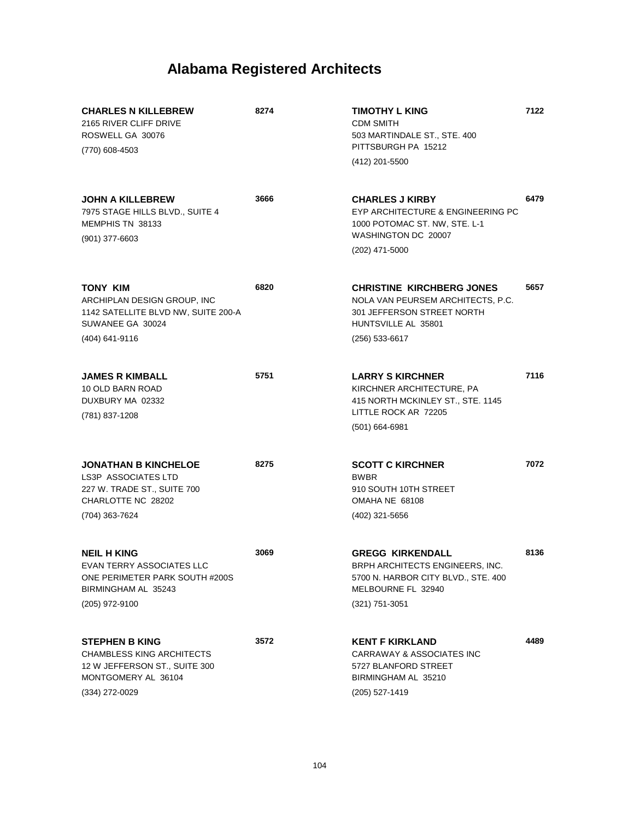| <b>CHARLES N KILLEBREW</b><br>2165 RIVER CLIFF DRIVE<br>ROSWELL GA 30076<br>(770) 608-4503                                            | 8274 | TIMOTHY L KING<br><b>CDM SMITH</b><br>503 MARTINDALE ST., STE. 400<br>PITTSBURGH PA 15212<br>(412) 201-5500                                    | 7122 |
|---------------------------------------------------------------------------------------------------------------------------------------|------|------------------------------------------------------------------------------------------------------------------------------------------------|------|
| <b>JOHN A KILLEBREW</b><br>7975 STAGE HILLS BLVD., SUITE 4<br>MEMPHIS TN 38133<br>$(901)$ 377-6603                                    | 3666 | <b>CHARLES J KIRBY</b><br>EYP ARCHITECTURE & ENGINEERING PC<br>1000 POTOMAC ST. NW, STE. L-1<br>WASHINGTON DC 20007<br>(202) 471-5000          | 6479 |
| <b>TONY KIM</b><br>ARCHIPLAN DESIGN GROUP, INC<br>1142 SATELLITE BLVD NW, SUITE 200-A<br>SUWANEE GA 30024<br>(404) 641-9116           | 6820 | <b>CHRISTINE KIRCHBERG JONES</b><br>NOLA VAN PEURSEM ARCHITECTS, P.C.<br>301 JEFFERSON STREET NORTH<br>HUNTSVILLE AL 35801<br>$(256)$ 533-6617 | 5657 |
| <b>JAMES R KIMBALL</b><br>10 OLD BARN ROAD<br>DUXBURY MA 02332<br>(781) 837-1208                                                      | 5751 | <b>LARRY S KIRCHNER</b><br>KIRCHNER ARCHITECTURE, PA<br>415 NORTH MCKINLEY ST., STE. 1145<br>LITTLE ROCK AR 72205<br>$(501)$ 664-6981          | 7116 |
| <b>JONATHAN B KINCHELOE</b><br><b>LS3P ASSOCIATES LTD</b><br>227 W. TRADE ST., SUITE 700<br>CHARLOTTE NC 28202<br>(704) 363-7624      | 8275 | <b>SCOTT C KIRCHNER</b><br><b>BWBR</b><br>910 SOUTH 10TH STREET<br>OMAHA NE 68108<br>(402) 321-5656                                            | 7072 |
| <b>NEIL H KING</b><br>EVAN TERRY ASSOCIATES LLC<br>ONE PERIMETER PARK SOUTH #200S<br>BIRMINGHAM AL 35243<br>(205) 972-9100            | 3069 | <b>GREGG KIRKENDALL</b><br>BRPH ARCHITECTS ENGINEERS, INC.<br>5700 N. HARBOR CITY BLVD., STE. 400<br>MELBOURNE FL 32940<br>(321) 751-3051      | 8136 |
| <b>STEPHEN B KING</b><br><b>CHAMBLESS KING ARCHITECTS</b><br>12 W JEFFERSON ST., SUITE 300<br>MONTGOMERY AL 36104<br>$(334)$ 272-0029 | 3572 | <b>KENT F KIRKLAND</b><br>CARRAWAY & ASSOCIATES INC<br>5727 BLANFORD STREET<br>BIRMINGHAM AL 35210<br>(205) 527-1419                           | 4489 |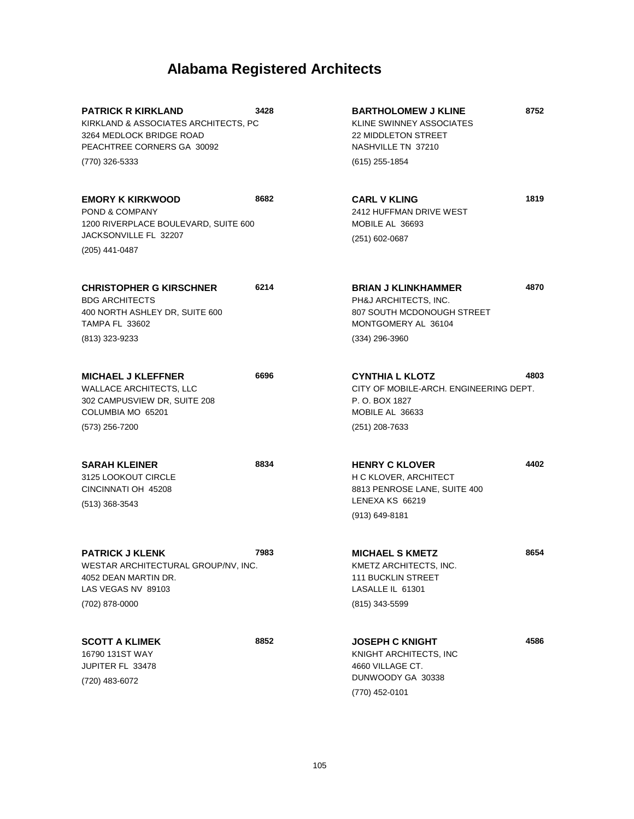| <b>PATRICK R KIRKLAND</b><br>KIRKLAND & ASSOCIATES ARCHITECTS, PC<br>3264 MEDLOCK BRIDGE ROAD<br>PEACHTREE CORNERS GA 30092        | 3428 | <b>BARTHOLOMEW J KLINE</b><br>KLINE SWINNEY ASSOCIATES<br>22 MIDDLETON STREET<br>NASHVILLE TN 37210                     | 8752 |
|------------------------------------------------------------------------------------------------------------------------------------|------|-------------------------------------------------------------------------------------------------------------------------|------|
| (770) 326-5333                                                                                                                     |      | (615) 255-1854                                                                                                          |      |
| <b>EMORY K KIRKWOOD</b><br>POND & COMPANY<br>1200 RIVERPLACE BOULEVARD, SUITE 600                                                  | 8682 | <b>CARL V KLING</b><br>2412 HUFFMAN DRIVE WEST<br>MOBILE AL 36693                                                       | 1819 |
| JACKSONVILLE FL 32207<br>(205) 441-0487                                                                                            |      | (251) 602-0687                                                                                                          |      |
| <b>CHRISTOPHER G KIRSCHNER</b><br><b>BDG ARCHITECTS</b><br>400 NORTH ASHLEY DR, SUITE 600<br><b>TAMPA FL 33602</b>                 | 6214 | <b>BRIAN J KLINKHAMMER</b><br>PH&J ARCHITECTS, INC.<br>807 SOUTH MCDONOUGH STREET<br>MONTGOMERY AL 36104                | 4870 |
| (813) 323-9233                                                                                                                     |      | $(334)$ 296-3960                                                                                                        |      |
| <b>MICHAEL J KLEFFNER</b><br><b>WALLACE ARCHITECTS, LLC</b><br>302 CAMPUSVIEW DR, SUITE 208<br>COLUMBIA MO 65201<br>(573) 256-7200 | 6696 | <b>CYNTHIA L KLOTZ</b><br>CITY OF MOBILE-ARCH. ENGINEERING DEPT.<br>P. O. BOX 1827<br>MOBILE AL 36633<br>(251) 208-7633 | 4803 |
| <b>SARAH KLEINER</b><br>3125 LOOKOUT CIRCLE<br>CINCINNATI OH 45208<br>$(513)$ 368-3543                                             | 8834 | <b>HENRY C KLOVER</b><br>H C KLOVER, ARCHITECT<br>8813 PENROSE LANE, SUITE 400<br>LENEXA KS 66219<br>$(913) 649 - 8181$ | 4402 |
| <b>PATRICK J KLENK</b><br>WESTAR ARCHITECTURAL GROUP/NV, INC.<br>4052 DEAN MARTIN DR.<br>LAS VEGAS NV 89103<br>(702) 878-0000      | 7983 | <b>MICHAEL S KMETZ</b><br>KMETZ ARCHITECTS, INC.<br><b>111 BUCKLIN STREET</b><br>LASALLE IL 61301<br>(815) 343-5599     | 8654 |
| <b>SCOTT A KLIMEK</b><br>16790 131ST WAY<br>JUPITER FL 33478<br>(720) 483-6072                                                     | 8852 | <b>JOSEPH C KNIGHT</b><br>KNIGHT ARCHITECTS, INC<br>4660 VILLAGE CT.<br>DUNWOODY GA 30338<br>(770) 452-0101             | 4586 |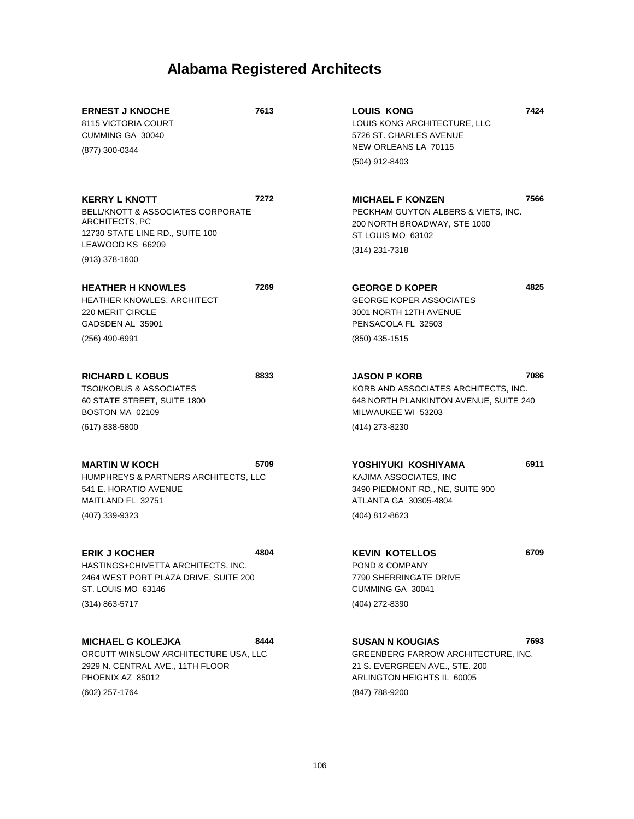| <b>ERNEST J KNOCHE</b><br>8115 VICTORIA COURT<br>CUMMING GA 30040<br>(877) 300-0344                                                                               | 7613 | <b>LOUIS KONG</b><br>LOUIS KONG ARCHITECTURE, LLC<br>5726 ST. CHARLES AVENUE<br>NEW ORLEANS LA 70115                                          | 7424 |
|-------------------------------------------------------------------------------------------------------------------------------------------------------------------|------|-----------------------------------------------------------------------------------------------------------------------------------------------|------|
|                                                                                                                                                                   |      | (504) 912-8403                                                                                                                                |      |
| <b>KERRY L KNOTT</b><br><b>BELL/KNOTT &amp; ASSOCIATES CORPORATE</b><br>ARCHITECTS, PC<br>12730 STATE LINE RD., SUITE 100<br>LEAWOOD KS 66209<br>$(913)$ 378-1600 | 7272 | <b>MICHAEL F KONZEN</b><br>PECKHAM GUYTON ALBERS & VIETS, INC.<br>200 NORTH BROADWAY, STE 1000<br>ST LOUIS MO 63102<br>(314) 231-7318         | 7566 |
| <b>HEATHER H KNOWLES</b><br><b>HEATHER KNOWLES, ARCHITECT</b><br><b>220 MERIT CIRCLE</b><br>GADSDEN AL 35901<br>$(256)$ 490-6991                                  | 7269 | <b>GEORGE D KOPER</b><br><b>GEORGE KOPER ASSOCIATES</b><br>3001 NORTH 12TH AVENUE<br>PENSACOLA FL 32503<br>(850) 435-1515                     | 4825 |
| <b>RICHARD L KOBUS</b><br><b>TSOI/KOBUS &amp; ASSOCIATES</b><br>60 STATE STREET, SUITE 1800<br>BOSTON MA 02109<br>$(617)$ 838-5800                                | 8833 | <b>JASON P KORB</b><br>KORB AND ASSOCIATES ARCHITECTS, INC.<br>648 NORTH PLANKINTON AVENUE, SUITE 240<br>MILWAUKEE WI 53203<br>(414) 273-8230 | 7086 |
| <b>MARTIN W KOCH</b><br>HUMPHREYS & PARTNERS ARCHITECTS, LLC<br>541 E. HORATIO AVENUE<br>MAITLAND FL 32751<br>(407) 339-9323                                      | 5709 | YOSHIYUKI KOSHIYAMA<br>KAJIMA ASSOCIATES, INC<br>3490 PIEDMONT RD., NE, SUITE 900<br>ATLANTA GA 30305-4804<br>(404) 812-8623                  | 6911 |
| <b>ERIK J KOCHER</b><br>HASTINGS+CHIVETTA ARCHITECTS, INC.<br>2464 WEST PORT PLAZA DRIVE, SUITE 200<br>ST. LOUIS MO 63146<br>$(314) 863 - 5717$                   | 4804 | <b>KEVIN KOTELLOS</b><br>POND & COMPANY<br>7790 SHERRINGATE DRIVE<br>CUMMING GA 30041<br>(404) 272-8390                                       | 6709 |
| <b>MICHAEL G KOLEJKA</b><br>ORCUTT WINSLOW ARCHITECTURE USA, LLC<br>2929 N. CENTRAL AVE., 11TH FLOOR<br>PHOENIX AZ 85012                                          | 8444 | <b>SUSAN N KOUGIAS</b><br>GREENBERG FARROW ARCHITECTURE, INC.<br>21 S. EVERGREEN AVE., STE. 200<br>ARLINGTON HEIGHTS IL 60005                 | 7693 |

(602) 257-1764

(847) 788-9200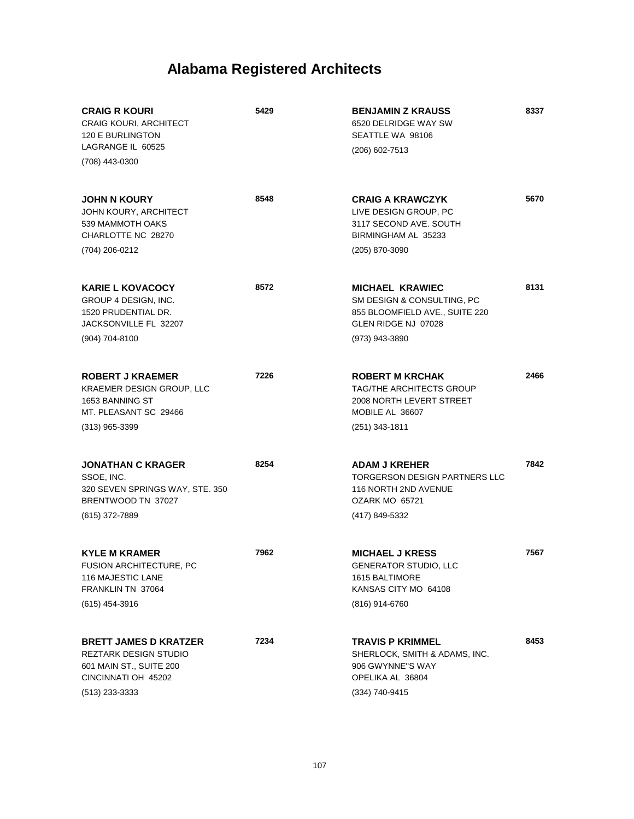| <b>CRAIG R KOURI</b><br><b>CRAIG KOURI, ARCHITECT</b><br>120 E BURLINGTON<br>LAGRANGE IL 60525<br>(708) 443-0300                   | 5429 | <b>BENJAMIN Z KRAUSS</b><br>6520 DELRIDGE WAY SW<br>SEATTLE WA 98106<br>(206) 602-7513                                          | 8337 |
|------------------------------------------------------------------------------------------------------------------------------------|------|---------------------------------------------------------------------------------------------------------------------------------|------|
| <b>JOHN N KOURY</b><br>JOHN KOURY, ARCHITECT<br>539 MAMMOTH OAKS<br>CHARLOTTE NC 28270<br>(704) 206-0212                           | 8548 | <b>CRAIG A KRAWCZYK</b><br>LIVE DESIGN GROUP, PC<br>3117 SECOND AVE. SOUTH<br>BIRMINGHAM AL 35233<br>(205) 870-3090             | 5670 |
| <b>KARIE L KOVACOCY</b><br>GROUP 4 DESIGN, INC.<br>1520 PRUDENTIAL DR.<br>JACKSONVILLE FL 32207<br>(904) 704-8100                  | 8572 | <b>MICHAEL KRAWIEC</b><br>SM DESIGN & CONSULTING, PC<br>855 BLOOMFIELD AVE., SUITE 220<br>GLEN RIDGE NJ 07028<br>(973) 943-3890 | 8131 |
| <b>ROBERT J KRAEMER</b><br>KRAEMER DESIGN GROUP, LLC<br>1653 BANNING ST<br>MT. PLEASANT SC 29466<br>$(313)$ 965-3399               | 7226 | <b>ROBERT M KRCHAK</b><br><b>TAG/THE ARCHITECTS GROUP</b><br>2008 NORTH LEVERT STREET<br>MOBILE AL 36607<br>(251) 343-1811      | 2466 |
| <b>JONATHAN C KRAGER</b><br>SSOE, INC.<br>320 SEVEN SPRINGS WAY, STE. 350<br>BRENTWOOD TN 37027<br>(615) 372-7889                  | 8254 | <b>ADAM J KREHER</b><br><b>TORGERSON DESIGN PARTNERS LLC</b><br>116 NORTH 2ND AVENUE<br>OZARK MO 65721<br>(417) 849-5332        | 7842 |
| <b>KYLE M KRAMER</b><br>FUSION ARCHITECTURE, PC<br><b>116 MAJESTIC LANE</b><br>FRANKLIN TN 37064<br>(615) 454-3916                 | 7962 | <b>MICHAEL J KRESS</b><br><b>GENERATOR STUDIO, LLC</b><br>1615 BALTIMORE<br>KANSAS CITY MO 64108<br>(816) 914-6760              | 7567 |
| <b>BRETT JAMES D KRATZER</b><br><b>REZTARK DESIGN STUDIO</b><br>601 MAIN ST., SUITE 200<br>CINCINNATI OH 45202<br>$(513)$ 233-3333 | 7234 | <b>TRAVIS P KRIMMEL</b><br>SHERLOCK, SMITH & ADAMS, INC.<br>906 GWYNNE"S WAY<br>OPELIKA AL 36804<br>(334) 740-9415              | 8453 |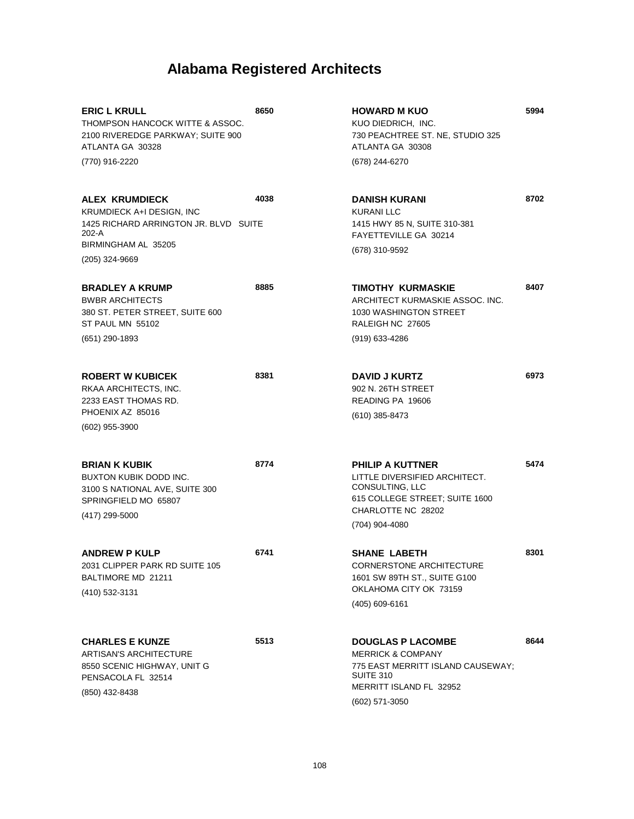| <b>ERIC L KRULL</b><br>THOMPSON HANCOCK WITTE & ASSOC.<br>2100 RIVEREDGE PARKWAY; SUITE 900<br>ATLANTA GA 30328<br>(770) 916-2220                    | 8650 | <b>HOWARD M KUO</b><br>KUO DIEDRICH, INC.<br>730 PEACHTREE ST. NE, STUDIO 325<br>ATLANTA GA 30308<br>(678) 244-6270                                            | 5994 |
|------------------------------------------------------------------------------------------------------------------------------------------------------|------|----------------------------------------------------------------------------------------------------------------------------------------------------------------|------|
|                                                                                                                                                      |      |                                                                                                                                                                |      |
| <b>ALEX KRUMDIECK</b><br><b>KRUMDIECK A+I DESIGN. INC</b><br>1425 RICHARD ARRINGTON JR. BLVD SUITE<br>202-A<br>BIRMINGHAM AL 35205<br>(205) 324-9669 | 4038 | <b>DANISH KURANI</b><br><b>KURANI LLC</b><br>1415 HWY 85 N, SUITE 310-381<br>FAYETTEVILLE GA 30214<br>(678) 310-9592                                           | 8702 |
| <b>BRADLEY A KRUMP</b><br><b>BWBR ARCHITECTS</b><br>380 ST. PETER STREET, SUITE 600<br>ST PAUL MN 55102<br>(651) 290-1893                            | 8885 | TIMOTHY KURMASKIE<br>ARCHITECT KURMASKIE ASSOC. INC.<br>1030 WASHINGTON STREET<br>RALEIGH NC 27605<br>(919) 633-4286                                           | 8407 |
| <b>ROBERT W KUBICEK</b><br>RKAA ARCHITECTS, INC.<br>2233 EAST THOMAS RD.<br>PHOENIX AZ 85016<br>(602) 955-3900                                       | 8381 | <b>DAVID J KURTZ</b><br>902 N. 26TH STREET<br>READING PA 19606<br>$(610)$ 385-8473                                                                             | 6973 |
| <b>BRIAN K KUBIK</b><br>BUXTON KUBIK DODD INC.<br>3100 S NATIONAL AVE, SUITE 300<br>SPRINGFIELD MO 65807<br>(417) 299-5000                           | 8774 | <b>PHILIP A KUTTNER</b><br>LITTLE DIVERSIFIED ARCHITECT.<br>CONSULTING, LLC<br>615 COLLEGE STREET; SUITE 1600<br>CHARLOTTE NC 28202<br>(704) 904-4080          | 5474 |
| <b>ANDREW P KULP</b><br>2031 CLIPPER PARK RD SUITE 105<br>BALTIMORE MD 21211<br>(410) 532-3131                                                       | 6741 | <b>SHANE LABETH</b><br><b>CORNERSTONE ARCHITECTURE</b><br>1601 SW 89TH ST., SUITE G100<br>OKLAHOMA CITY OK 73159<br>$(405)$ 609-6161                           | 8301 |
| <b>CHARLES E KUNZE</b><br><b>ARTISAN'S ARCHITECTURE</b><br>8550 SCENIC HIGHWAY, UNIT G<br>PENSACOLA FL 32514<br>(850) 432-8438                       | 5513 | <b>DOUGLAS P LACOMBE</b><br><b>MERRICK &amp; COMPANY</b><br>775 EAST MERRITT ISLAND CAUSEWAY;<br><b>SUITE 310</b><br>MERRITT ISLAND FL 32952<br>(602) 571-3050 | 8644 |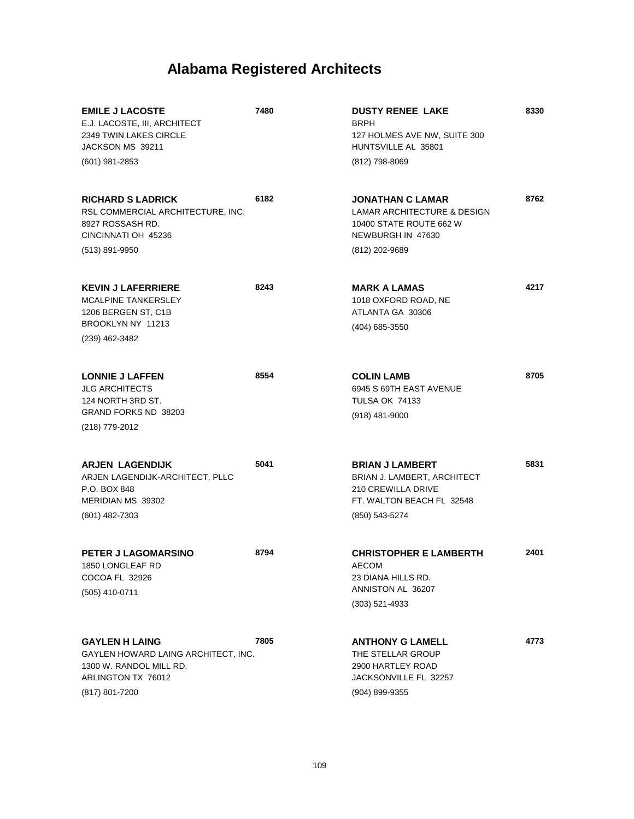| <b>EMILE J LACOSTE</b><br>E.J. LACOSTE, III, ARCHITECT<br>2349 TWIN LAKES CIRCLE<br>JACKSON MS 39211                            | 7480 | <b>DUSTY RENEE LAKE</b><br><b>BRPH</b><br>127 HOLMES AVE NW, SUITE 300<br>HUNTSVILLE AL 35801                              | 8330 |
|---------------------------------------------------------------------------------------------------------------------------------|------|----------------------------------------------------------------------------------------------------------------------------|------|
| $(601)$ 981-2853                                                                                                                |      | (812) 798-8069                                                                                                             |      |
| <b>RICHARD S LADRICK</b><br>RSL COMMERCIAL ARCHITECTURE, INC.<br>8927 ROSSASH RD.<br>CINCINNATI OH 45236                        | 6182 | <b>JONATHAN C LAMAR</b><br><b>LAMAR ARCHITECTURE &amp; DESIGN</b><br>10400 STATE ROUTE 662 W<br>NEWBURGH IN 47630          | 8762 |
| (513) 891-9950                                                                                                                  |      | (812) 202-9689                                                                                                             |      |
| <b>KEVIN J LAFERRIERE</b><br><b>MCALPINE TANKERSLEY</b><br>1206 BERGEN ST, C1B                                                  | 8243 | <b>MARK A LAMAS</b><br>1018 OXFORD ROAD, NE<br>ATLANTA GA 30306                                                            | 4217 |
| BROOKLYN NY 11213<br>(239) 462-3482                                                                                             |      | (404) 685-3550                                                                                                             |      |
| <b>LONNIE J LAFFEN</b><br><b>JLG ARCHITECTS</b><br>124 NORTH 3RD ST.<br>GRAND FORKS ND 38203<br>(218) 779-2012                  | 8554 | <b>COLIN LAMB</b><br>6945 S 69TH EAST AVENUE<br><b>TULSA OK 74133</b><br>$(918)$ 481-9000                                  | 8705 |
| <b>ARJEN LAGENDIJK</b><br>ARJEN LAGENDIJK-ARCHITECT, PLLC<br>P.O. BOX 848<br>MERIDIAN MS 39302<br>$(601)$ 482-7303              | 5041 | <b>BRIAN J LAMBERT</b><br>BRIAN J. LAMBERT, ARCHITECT<br>210 CREWILLA DRIVE<br>FT. WALTON BEACH FL 32548<br>(850) 543-5274 | 5831 |
| PETER J LAGOMARSINO<br>1850 LONGLEAF RD<br>COCOA FL 32926<br>(505) 410-0711                                                     | 8794 | <b>CHRISTOPHER E LAMBERTH</b><br>AECOM<br>23 DIANA HILLS RD.<br>ANNISTON AL 36207<br>$(303)$ 521-4933                      | 2401 |
| <b>GAYLEN H LAING</b><br>GAYLEN HOWARD LAING ARCHITECT, INC.<br>1300 W. RANDOL MILL RD.<br>ARLINGTON TX 76012<br>(817) 801-7200 | 7805 | <b>ANTHONY G LAMELL</b><br>THE STELLAR GROUP<br>2900 HARTLEY ROAD<br>JACKSONVILLE FL 32257<br>(904) 899-9355               | 4773 |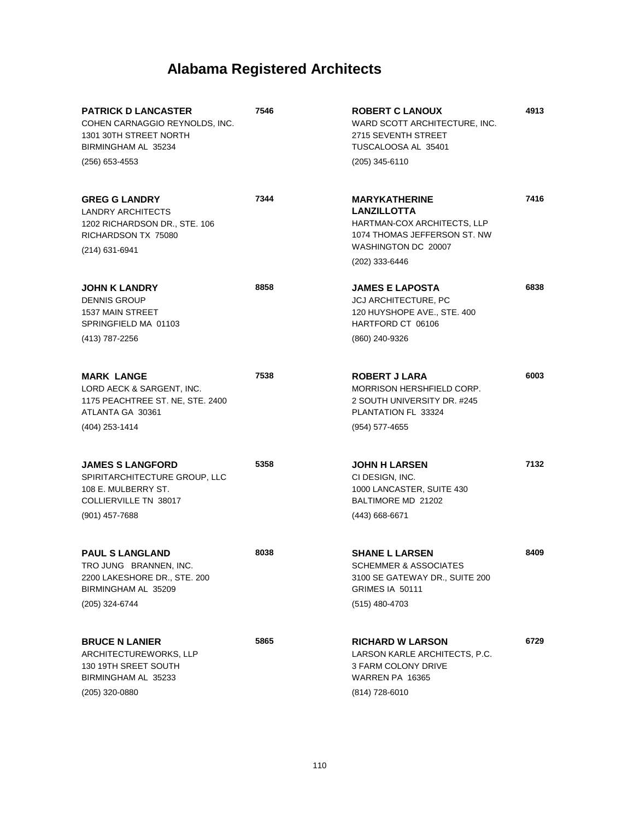| <b>PATRICK D LANCASTER</b><br>COHEN CARNAGGIO REYNOLDS, INC.<br>1301 30TH STREET NORTH<br>BIRMINGHAM AL 35234<br>$(256)$ 653-4553 | 7546 | <b>ROBERT C LANOUX</b><br>WARD SCOTT ARCHITECTURE. INC.<br>2715 SEVENTH STREET<br>TUSCALOOSA AL 35401<br>$(205)$ 345-6110                          | 4913 |
|-----------------------------------------------------------------------------------------------------------------------------------|------|----------------------------------------------------------------------------------------------------------------------------------------------------|------|
| <b>GREG G LANDRY</b><br><b>LANDRY ARCHITECTS</b><br>1202 RICHARDSON DR., STE. 106<br>RICHARDSON TX 75080<br>(214) 631-6941        | 7344 | <b>MARYKATHERINE</b><br><b>LANZILLOTTA</b><br>HARTMAN-COX ARCHITECTS, LLP<br>1074 THOMAS JEFFERSON ST. NW<br>WASHINGTON DC 20007<br>(202) 333-6446 | 7416 |
| <b>JOHN K LANDRY</b><br><b>DENNIS GROUP</b><br><b>1537 MAIN STREET</b><br>SPRINGFIELD MA 01103<br>(413) 787-2256                  | 8858 | <b>JAMES E LAPOSTA</b><br><b>JCJ ARCHITECTURE, PC</b><br>120 HUYSHOPE AVE., STE. 400<br>HARTFORD CT 06106<br>(860) 240-9326                        | 6838 |
| <b>MARK LANGE</b><br>LORD AECK & SARGENT, INC.<br>1175 PEACHTREE ST. NE, STE. 2400<br>ATLANTA GA 30361<br>(404) 253-1414          | 7538 | <b>ROBERT J LARA</b><br><b>MORRISON HERSHFIELD CORP.</b><br>2 SOUTH UNIVERSITY DR. #245<br>PLANTATION FL 33324<br>(954) 577-4655                   | 6003 |
| <b>JAMES S LANGFORD</b><br>SPIRITARCHITECTURE GROUP, LLC<br>108 E. MULBERRY ST.<br>COLLIERVILLE TN 38017<br>$(901)$ 457-7688      | 5358 | <b>JOHN H LARSEN</b><br>CI DESIGN, INC.<br>1000 LANCASTER, SUITE 430<br>BALTIMORE MD 21202<br>(443) 668-6671                                       | 7132 |
| <b>PAUL S LANGLAND</b><br>TRO JUNG BRANNEN, INC.<br>2200 LAKESHORE DR., STE. 200<br>BIRMINGHAM AL 35209<br>(205) 324-6744         | 8038 | <b>SHANE L LARSEN</b><br><b>SCHEMMER &amp; ASSOCIATES</b><br>3100 SE GATEWAY DR., SUITE 200<br><b>GRIMES IA 50111</b><br>(515) 480-4703            | 8409 |
| <b>BRUCE N LANIER</b><br>ARCHITECTUREWORKS, LLP<br>130 19TH SREET SOUTH<br>BIRMINGHAM AL 35233<br>(205) 320-0880                  | 5865 | <b>RICHARD W LARSON</b><br>LARSON KARLE ARCHITECTS, P.C.<br><b>3 FARM COLONY DRIVE</b><br>WARREN PA 16365<br>(814) 728-6010                        | 6729 |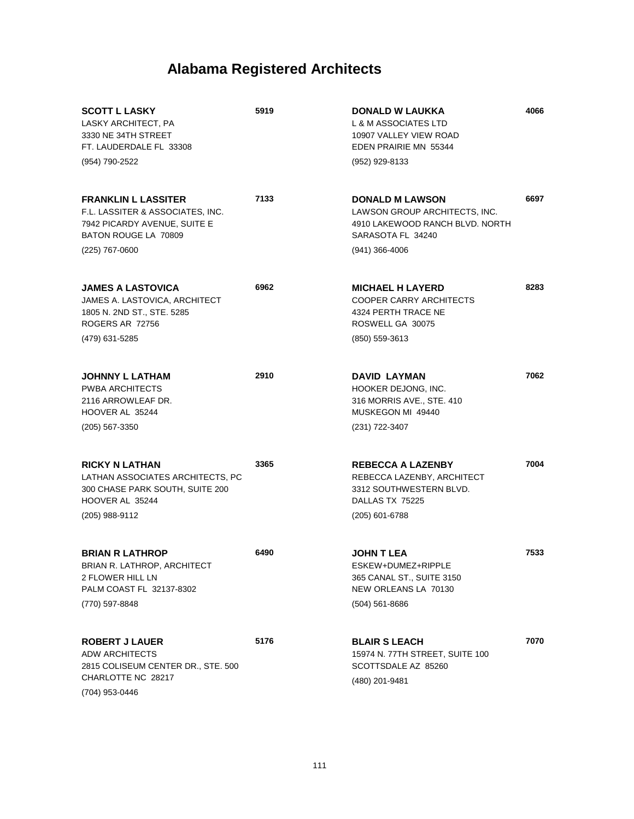| <b>SCOTT L LASKY</b><br>LASKY ARCHITECT, PA<br>3330 NE 34TH STREET<br>FT. LAUDERDALE FL 33308                                       | 5919 | <b>DONALD W LAUKKA</b><br>L & M ASSOCIATES LTD<br>10907 VALLEY VIEW ROAD<br>EDEN PRAIRIE MN 55344                      | 4066 |
|-------------------------------------------------------------------------------------------------------------------------------------|------|------------------------------------------------------------------------------------------------------------------------|------|
| (954) 790-2522                                                                                                                      |      | (952) 929-8133                                                                                                         |      |
| <b>FRANKLIN L LASSITER</b><br>F.L. LASSITER & ASSOCIATES. INC.<br>7942 PICARDY AVENUE, SUITE E<br>BATON ROUGE LA 70809              | 7133 | <b>DONALD M LAWSON</b><br>LAWSON GROUP ARCHITECTS, INC.<br>4910 LAKEWOOD RANCH BLVD. NORTH<br>SARASOTA FL 34240        | 6697 |
| (225) 767-0600                                                                                                                      |      | (941) 366-4006                                                                                                         |      |
| <b>JAMES A LASTOVICA</b><br>JAMES A. LASTOVICA, ARCHITECT<br>1805 N. 2ND ST., STE. 5285<br><b>ROGERS AR 72756</b><br>(479) 631-5285 | 6962 | <b>MICHAEL H LAYERD</b><br><b>COOPER CARRY ARCHITECTS</b><br>4324 PERTH TRACE NE<br>ROSWELL GA 30075<br>(850) 559-3613 | 8283 |
| <b>JOHNNY L LATHAM</b><br><b>PWBA ARCHITECTS</b><br>2116 ARROWLEAF DR.<br>HOOVER AL 35244                                           | 2910 | <b>DAVID LAYMAN</b><br>HOOKER DEJONG, INC.<br>316 MORRIS AVE., STE. 410<br>MUSKEGON MI 49440                           | 7062 |
| $(205)$ 567-3350                                                                                                                    |      | (231) 722-3407                                                                                                         |      |
| <b>RICKY N LATHAN</b><br>LATHAN ASSOCIATES ARCHITECTS, PC<br>300 CHASE PARK SOUTH, SUITE 200<br>HOOVER AL 35244<br>(205) 988-9112   | 3365 | <b>REBECCA A LAZENBY</b><br>REBECCA LAZENBY, ARCHITECT<br>3312 SOUTHWESTERN BLVD.<br>DALLAS TX 75225<br>(205) 601-6788 | 7004 |
| <b>BRIAN R LATHROP</b><br>BRIAN R. LATHROP, ARCHITECT<br>2 FLOWER HILL LN<br>PALM COAST FL 32137-8302<br>(770) 597-8848             | 6490 | JOHN T LEA<br>ESKEW+DUMEZ+RIPPLE<br>365 CANAL ST., SUITE 3150<br>NEW ORLEANS LA 70130<br>$(504)$ 561-8686              | 7533 |
| <b>ROBERT J LAUER</b><br><b>ADW ARCHITECTS</b><br>2815 COLISEUM CENTER DR., STE. 500<br>CHARLOTTE NC 28217<br>(704) 953-0446        | 5176 | <b>BLAIR S LEACH</b><br>15974 N. 77TH STREET, SUITE 100<br>SCOTTSDALE AZ 85260<br>(480) 201-9481                       | 7070 |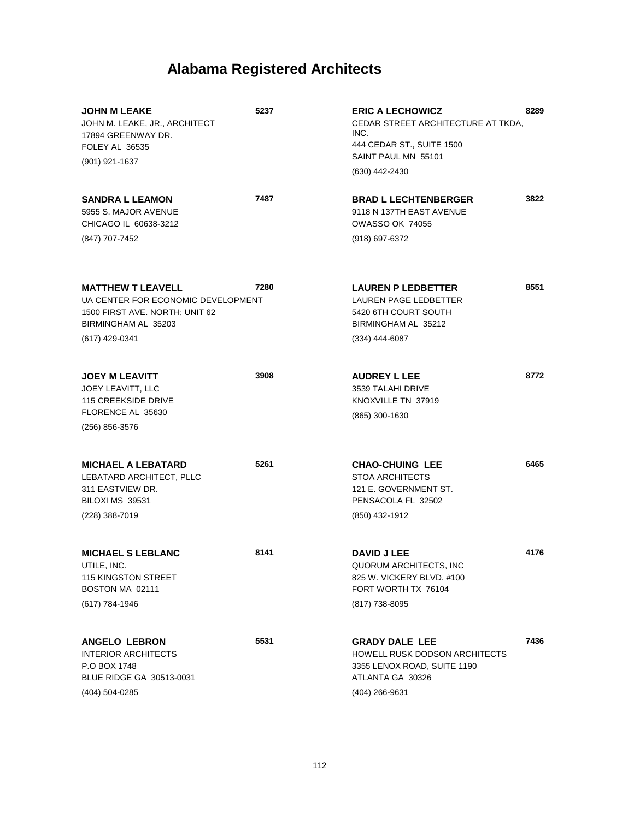| <b>JOHN M LEAKE</b><br>JOHN M. LEAKE, JR., ARCHITECT<br>17894 GREENWAY DR.<br>FOLEY AL 36535<br>(901) 921-1637                            | 5237 | <b>ERIC A LECHOWICZ</b><br>CEDAR STREET ARCHITECTURE AT TKDA,<br>INC.<br>444 CEDAR ST., SUITE 1500<br>SAINT PAUL MN 55101<br>(630) 442-2430 | 8289 |
|-------------------------------------------------------------------------------------------------------------------------------------------|------|---------------------------------------------------------------------------------------------------------------------------------------------|------|
| <b>SANDRA L LEAMON</b><br>5955 S. MAJOR AVENUE<br>CHICAGO IL 60638-3212<br>(847) 707-7452                                                 | 7487 | <b>BRAD L LECHTENBERGER</b><br>9118 N 137TH EAST AVENUE<br><b>OWASSO OK 74055</b><br>(918) 697-6372                                         | 3822 |
| <b>MATTHEW T LEAVELL</b><br>UA CENTER FOR ECONOMIC DEVELOPMENT<br>1500 FIRST AVE. NORTH; UNIT 62<br>BIRMINGHAM AL 35203<br>(617) 429-0341 | 7280 | <b>LAUREN P LEDBETTER</b><br>LAUREN PAGE LEDBETTER<br>5420 6TH COURT SOUTH<br>BIRMINGHAM AL 35212<br>$(334)$ 444-6087                       | 8551 |
| <b>JOEY M LEAVITT</b><br>JOEY LEAVITT, LLC<br><b>115 CREEKSIDE DRIVE</b><br>FLORENCE AL 35630<br>(256) 856-3576                           | 3908 | <b>AUDREY L LEE</b><br>3539 TALAHI DRIVE<br>KNOXVILLE TN 37919<br>(865) 300-1630                                                            | 8772 |
| <b>MICHAEL A LEBATARD</b><br>LEBATARD ARCHITECT, PLLC<br>311 EASTVIEW DR.<br>BILOXI MS 39531<br>(228) 388-7019                            | 5261 | <b>CHAO-CHUING LEE</b><br><b>STOA ARCHITECTS</b><br>121 E. GOVERNMENT ST.<br>PENSACOLA FL 32502<br>(850) 432-1912                           | 6465 |
| <b>MICHAEL S LEBLANC</b><br>UTILE, INC.<br>115 KINGSTON STREET<br>BOSTON MA 02111<br>(617) 784-1946                                       | 8141 | <b>DAVID J LEE</b><br>QUORUM ARCHITECTS, INC<br>825 W. VICKERY BLVD, #100<br>FORT WORTH TX 76104<br>(817) 738-8095                          | 4176 |
| <b>ANGELO LEBRON</b><br><b>INTERIOR ARCHITECTS</b><br>P.O BOX 1748<br>BLUE RIDGE GA 30513-0031<br>(404) 504-0285                          | 5531 | <b>GRADY DALE LEE</b><br><b>HOWELL RUSK DODSON ARCHITECTS</b><br>3355 LENOX ROAD, SUITE 1190<br>ATLANTA GA 30326<br>(404) 266-9631          | 7436 |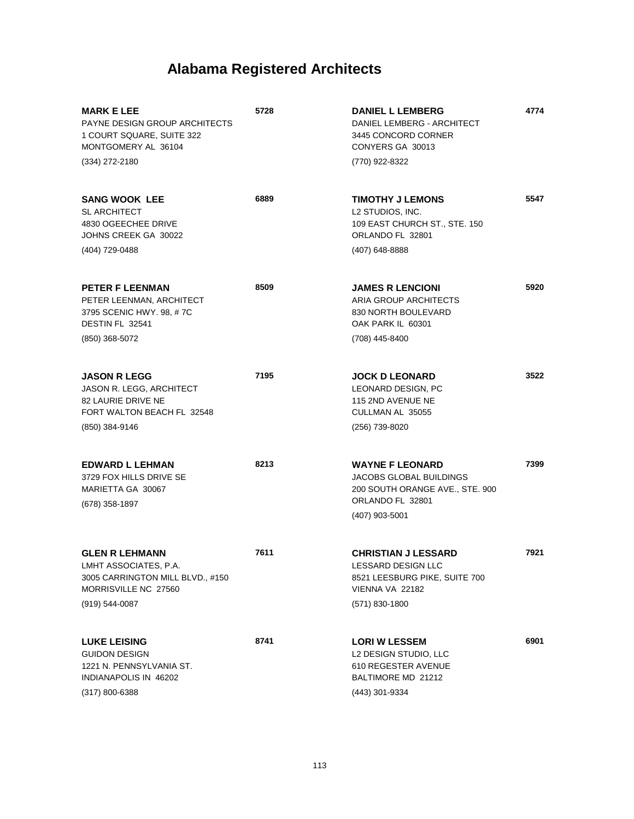| <b>MARK E LEE</b><br><b>PAYNE DESIGN GROUP ARCHITECTS</b><br>1 COURT SQUARE, SUITE 322<br>MONTGOMERY AL 36104<br>(334) 272-2180 | 5728 | <b>DANIEL L LEMBERG</b><br>DANIEL LEMBERG - ARCHITECT<br>3445 CONCORD CORNER<br>CONYERS GA 30013<br>(770) 922-8322                  | 4774 |
|---------------------------------------------------------------------------------------------------------------------------------|------|-------------------------------------------------------------------------------------------------------------------------------------|------|
|                                                                                                                                 |      |                                                                                                                                     |      |
| <b>SANG WOOK LEE</b><br><b>SL ARCHITECT</b><br>4830 OGEECHEE DRIVE<br>JOHNS CREEK GA 30022                                      | 6889 | <b>TIMOTHY J LEMONS</b><br>L2 STUDIOS, INC.<br>109 EAST CHURCH ST., STE. 150<br>ORLANDO FL 32801                                    | 5547 |
| (404) 729-0488                                                                                                                  |      | (407) 648-8888                                                                                                                      |      |
| <b>PETER F LEENMAN</b><br>PETER LEENMAN, ARCHITECT<br>3795 SCENIC HWY. 98, #7C<br>DESTIN FL 32541                               | 8509 | <b>JAMES R LENCIONI</b><br>ARIA GROUP ARCHITECTS<br>830 NORTH BOULEVARD<br>OAK PARK IL 60301                                        | 5920 |
| (850) 368-5072                                                                                                                  |      | (708) 445-8400                                                                                                                      |      |
| <b>JASON R LEGG</b><br>JASON R. LEGG, ARCHITECT<br>82 LAURIE DRIVE NE<br>FORT WALTON BEACH FL 32548                             | 7195 | <b>JOCK D LEONARD</b><br>LEONARD DESIGN, PC<br>115 2ND AVENUE NE<br>CULLMAN AL 35055                                                | 3522 |
| (850) 384-9146                                                                                                                  |      | (256) 739-8020                                                                                                                      |      |
| <b>EDWARD L LEHMAN</b><br>3729 FOX HILLS DRIVE SE<br>MARIETTA GA 30067<br>(678) 358-1897                                        | 8213 | <b>WAYNE F LEONARD</b><br><b>JACOBS GLOBAL BUILDINGS</b><br>200 SOUTH ORANGE AVE., STE. 900<br>ORLANDO FL 32801<br>$(407)$ 903-5001 | 7399 |
| <b>GLEN R LEHMANN</b><br>LMHT ASSOCIATES, P.A.<br>3005 CARRINGTON MILL BLVD., #150<br>MORRISVILLE NC 27560                      | 7611 | <b>CHRISTIAN J LESSARD</b><br>LESSARD DESIGN LLC<br>8521 LEESBURG PIKE, SUITE 700<br>VIENNA VA 22182                                | 7921 |
| $(919) 544 - 0087$                                                                                                              |      | $(571)$ 830-1800                                                                                                                    |      |
| <b>LUKE LEISING</b><br><b>GUIDON DESIGN</b><br>1221 N. PENNSYLVANIA ST.<br>INDIANAPOLIS IN 46202<br>(317) 800-6388              | 8741 | <b>LORI W LESSEM</b><br>L2 DESIGN STUDIO, LLC<br>610 REGESTER AVENUE<br>BALTIMORE MD 21212<br>(443) 301-9334                        | 6901 |
|                                                                                                                                 |      |                                                                                                                                     |      |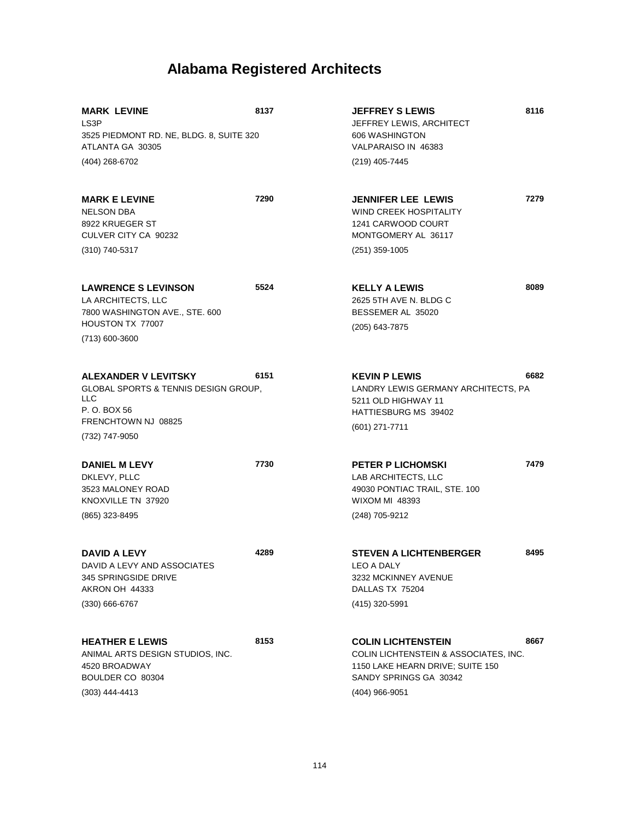| <b>MARK LEVINE</b><br>LS <sub>3</sub> P<br>3525 PIEDMONT RD. NE, BLDG. 8, SUITE 320<br>ATLANTA GA 30305                                        | 8137 | <b>JEFFREY S LEWIS</b><br>JEFFREY LEWIS, ARCHITECT<br>606 WASHINGTON<br>VALPARAISO IN 46383                                                        | 8116 |
|------------------------------------------------------------------------------------------------------------------------------------------------|------|----------------------------------------------------------------------------------------------------------------------------------------------------|------|
| (404) 268-6702                                                                                                                                 |      | (219) 405-7445                                                                                                                                     |      |
| <b>MARK E LEVINE</b><br>NELSON DBA<br>8922 KRUEGER ST<br>CULVER CITY CA 90232                                                                  | 7290 | <b>JENNIFER LEE LEWIS</b><br>WIND CREEK HOSPITALITY<br>1241 CARWOOD COURT<br>MONTGOMERY AL 36117                                                   | 7279 |
| (310) 740-5317                                                                                                                                 |      | $(251)$ 359-1005                                                                                                                                   |      |
| <b>LAWRENCE S LEVINSON</b><br>LA ARCHITECTS, LLC<br>7800 WASHINGTON AVE., STE. 600                                                             | 5524 | <b>KELLY A LEWIS</b><br>2625 5TH AVE N. BLDG C<br>BESSEMER AL 35020                                                                                | 8089 |
| HOUSTON TX 77007<br>(713) 600-3600                                                                                                             |      | (205) 643-7875                                                                                                                                     |      |
| ALEXANDER V LEVITSKY<br><b>GLOBAL SPORTS &amp; TENNIS DESIGN GROUP,</b><br><b>LLC</b><br>P. O. BOX 56<br>FRENCHTOWN NJ 08825<br>(732) 747-9050 | 6151 | <b>KEVIN P LEWIS</b><br>LANDRY LEWIS GERMANY ARCHITECTS, PA<br>5211 OLD HIGHWAY 11<br>HATTIESBURG MS 39402<br>$(601)$ 271-7711                     | 6682 |
| <b>DANIEL M LEVY</b><br>DKLEVY, PLLC<br>3523 MALONEY ROAD<br>KNOXVILLE TN 37920<br>(865) 323-8495                                              | 7730 | <b>PETER P LICHOMSKI</b><br>LAB ARCHITECTS, LLC<br>49030 PONTIAC TRAIL, STE. 100<br><b>WIXOM MI 48393</b><br>(248) 705-9212                        | 7479 |
| DAVID A LEVY<br>DAVID A LEVY AND ASSOCIATES<br>345 SPRINGSIDE DRIVE<br>AKRON OH 44333                                                          | 4289 | <b>STEVEN A LICHTENBERGER</b><br>LEO A DALY<br>3232 MCKINNEY AVENUE<br>DALLAS TX 75204                                                             | 8495 |
| (330) 666-6767                                                                                                                                 |      | (415) 320-5991                                                                                                                                     |      |
| <b>HEATHER E LEWIS</b><br>ANIMAL ARTS DESIGN STUDIOS, INC.<br>4520 BROADWAY<br>BOULDER CO 80304<br>$(303)$ 444-4413                            | 8153 | <b>COLIN LICHTENSTEIN</b><br>COLIN LICHTENSTEIN & ASSOCIATES, INC.<br>1150 LAKE HEARN DRIVE; SUITE 150<br>SANDY SPRINGS GA 30342<br>(404) 966-9051 | 8667 |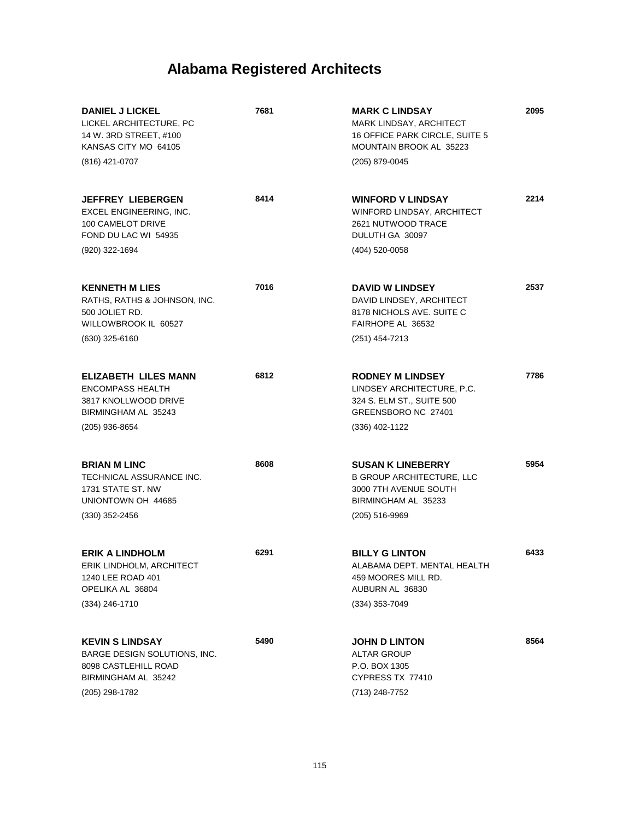| <b>DANIEL J LICKEL</b><br>LICKEL ARCHITECTURE, PC<br>14 W. 3RD STREET, #100<br>KANSAS CITY MO 64105<br>(816) 421-0707          | 7681 | <b>MARK C LINDSAY</b><br>MARK LINDSAY, ARCHITECT<br>16 OFFICE PARK CIRCLE, SUITE 5<br>MOUNTAIN BROOK AL 35223<br>(205) 879-0045  | 2095 |
|--------------------------------------------------------------------------------------------------------------------------------|------|----------------------------------------------------------------------------------------------------------------------------------|------|
| <b>JEFFREY LIEBERGEN</b><br>EXCEL ENGINEERING, INC.<br>100 CAMELOT DRIVE<br>FOND DU LAC WI 54935<br>(920) 322-1694             | 8414 | <b>WINFORD V LINDSAY</b><br>WINFORD LINDSAY, ARCHITECT<br>2621 NUTWOOD TRACE<br>DULUTH GA 30097<br>(404) 520-0058                | 2214 |
| <b>KENNETH M LIES</b><br>RATHS, RATHS & JOHNSON, INC.<br>500 JOLIET RD.<br>WILLOWBROOK IL 60527<br>$(630)$ 325-6160            | 7016 | <b>DAVID W LINDSEY</b><br>DAVID LINDSEY, ARCHITECT<br>8178 NICHOLS AVE, SUITE C<br>FAIRHOPE AL 36532<br>(251) 454-7213           | 2537 |
| <b>ELIZABETH LILES MANN</b><br><b>ENCOMPASS HEALTH</b><br>3817 KNOLLWOOD DRIVE<br>BIRMINGHAM AL 35243<br>(205) 936-8654        | 6812 | <b>RODNEY M LINDSEY</b><br>LINDSEY ARCHITECTURE, P.C.<br>324 S. ELM ST., SUITE 500<br>GREENSBORO NC 27401<br>(336) 402-1122      | 7786 |
| <b>BRIAN M LINC</b><br>TECHNICAL ASSURANCE INC.<br>1731 STATE ST, NW<br>UNIONTOWN OH 44685<br>$(330)$ 352-2456                 | 8608 | <b>SUSAN K LINEBERRY</b><br><b>B GROUP ARCHITECTURE, LLC</b><br>3000 7TH AVENUE SOUTH<br>BIRMINGHAM AL 35233<br>$(205)$ 516-9969 | 5954 |
| <b>ERIK A LINDHOLM</b><br>ERIK LINDHOLM, ARCHITECT<br>1240 LEE ROAD 401<br>OPELIKA AL 36804<br>(334) 246-1710                  | 6291 | <b>BILLY G LINTON</b><br>ALABAMA DEPT. MENTAL HEALTH<br>459 MOORES MILL RD.<br>AUBURN AL 36830<br>$(334)$ 353-7049               | 6433 |
| <b>KEVIN S LINDSAY</b><br><b>BARGE DESIGN SOLUTIONS, INC.</b><br>8098 CASTLEHILL ROAD<br>BIRMINGHAM AL 35242<br>(205) 298-1782 | 5490 | <b>JOHN D LINTON</b><br><b>ALTAR GROUP</b><br>P.O. BOX 1305<br>CYPRESS TX 77410<br>(713) 248-7752                                | 8564 |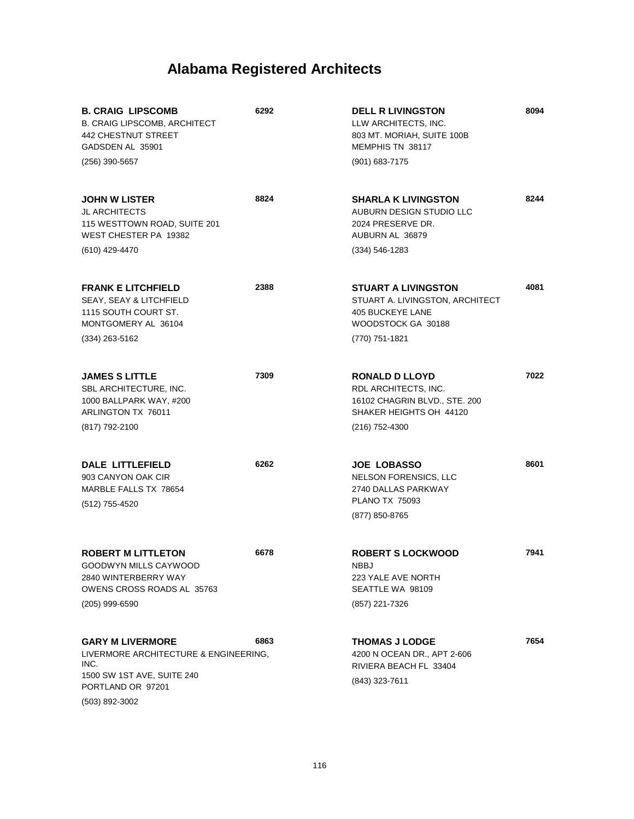| <b>B. CRAIG LIPSCOMB</b><br><b>B. CRAIG LIPSCOMB, ARCHITECT</b><br><b>442 CHESTNUT STREET</b><br>GADSDEN AL 35901<br>$(256)$ 390-5657         | 6292 | <b>DELL R LIVINGSTON</b><br>LLW ARCHITECTS, INC.<br>803 MT. MORIAH, SUITE 100B<br>MEMPHIS TN 38117<br>(901) 683-7175        | 8094 |
|-----------------------------------------------------------------------------------------------------------------------------------------------|------|-----------------------------------------------------------------------------------------------------------------------------|------|
| <b>JOHN W LISTER</b><br><b>JL ARCHITECTS</b><br>115 WESTTOWN ROAD, SUITE 201<br>WEST CHESTER PA 19382<br>(610) 429-4470                       | 8824 | <b>SHARLA K LIVINGSTON</b><br>AUBURN DESIGN STUDIO LLC<br>2024 PRESERVE DR.<br>AUBURN AL 36879<br>$(334) 546 - 1283$        | 8244 |
| <b>FRANK E LITCHFIELD</b><br>SEAY, SEAY & LITCHFIELD<br>1115 SOUTH COURT ST.<br>MONTGOMERY AL 36104<br>$(334)$ 263-5162                       | 2388 | <b>STUART A LIVINGSTON</b><br>STUART A. LIVINGSTON, ARCHITECT<br>405 BUCKEYE LANE<br>WOODSTOCK GA 30188<br>(770) 751-1821   | 4081 |
| <b>JAMES S LITTLE</b><br>SBL ARCHITECTURE, INC.<br>1000 BALLPARK WAY, #200<br>ARLINGTON TX 76011<br>(817) 792-2100                            | 7309 | <b>RONALD D LLOYD</b><br>RDL ARCHITECTS, INC.<br>16102 CHAGRIN BLVD., STE. 200<br>SHAKER HEIGHTS OH 44120<br>(216) 752-4300 | 7022 |
| DALE LITTLEFIELD<br>903 CANYON OAK CIR<br>MARBLE FALLS TX 78654<br>(512) 755-4520                                                             | 6262 | <b>JOE LOBASSO</b><br>NELSON FORENSICS, LLC<br>2740 DALLAS PARKWAY<br><b>PLANO TX 75093</b><br>(877) 850-8765               | 8601 |
| <b>ROBERT M LITTLETON</b><br>GOODWYN MILLS CAYWOOD<br>2840 WINTERBERRY WAY<br><b>OWENS CROSS ROADS AL 35763</b><br>$(205)$ 999-6590           | 6678 | <b>ROBERT S LOCKWOOD</b><br>NBBJ<br>223 YALE AVE NORTH<br>SEATTLE WA 98109<br>(857) 221-7326                                | 7941 |
| <b>GARY M LIVERMORE</b><br>LIVERMORE ARCHITECTURE & ENGINEERING,<br>INC.<br>1500 SW 1ST AVE, SUITE 240<br>PORTLAND OR 97201<br>(503) 892-3002 | 6863 | <b>THOMAS J LODGE</b><br>4200 N OCEAN DR., APT 2-606<br>RIVIERA BEACH FL 33404<br>(843) 323-7611                            | 7654 |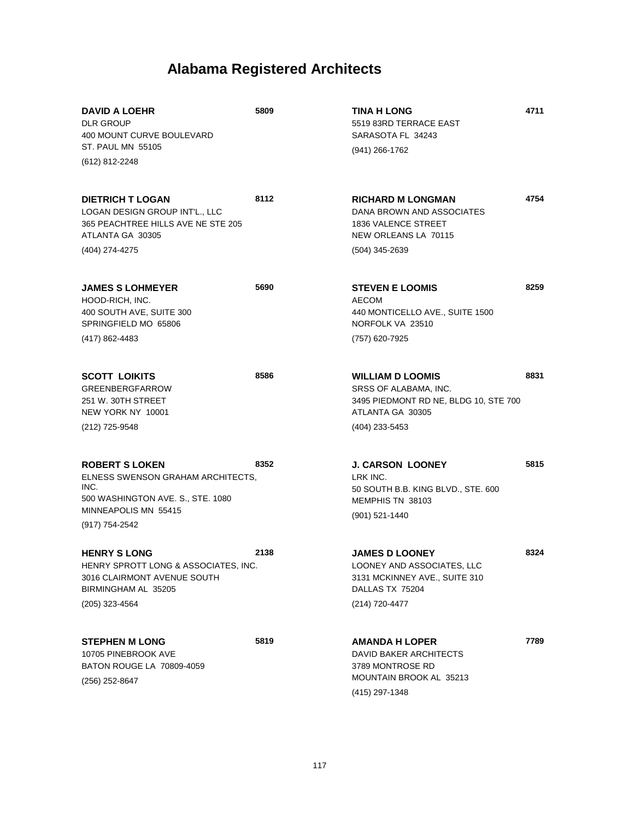| <b>DAVID A LOEHR</b><br><b>DLR GROUP</b><br>400 MOUNT CURVE BOULEVARD<br><b>ST. PAUL MN 55105</b><br>(612) 812-2248                               | 5809 | TINA H LONG<br>5519 83RD TERRACE EAST<br>SARASOTA FL 34243<br>$(941)$ 266-1762                                                  | 4711 |
|---------------------------------------------------------------------------------------------------------------------------------------------------|------|---------------------------------------------------------------------------------------------------------------------------------|------|
| <b>DIETRICH T LOGAN</b><br><b>LOGAN DESIGN GROUP INT'L LLC</b><br>365 PEACHTREE HILLS AVE NE STE 205<br>ATLANTA GA 30305<br>(404) 274-4275        | 8112 | <b>RICHARD M LONGMAN</b><br>DANA BROWN AND ASSOCIATES<br><b>1836 VALENCE STREET</b><br>NEW ORLEANS LA 70115<br>(504) 345-2639   | 4754 |
| <b>JAMES S LOHMEYER</b><br>HOOD-RICH, INC.<br>400 SOUTH AVE, SUITE 300<br>SPRINGFIELD MO 65806<br>(417) 862-4483                                  | 5690 | <b>STEVEN E LOOMIS</b><br><b>AECOM</b><br>440 MONTICELLO AVE., SUITE 1500<br>NORFOLK VA 23510<br>(757) 620-7925                 | 8259 |
| <b>SCOTT LOIKITS</b><br><b>GREENBERGFARROW</b><br>251 W. 30TH STREET<br>NEW YORK NY 10001<br>(212) 725-9548                                       | 8586 | <b>WILLIAM D LOOMIS</b><br>SRSS OF ALABAMA, INC.<br>3495 PIEDMONT RD NE, BLDG 10, STE 700<br>ATLANTA GA 30305<br>(404) 233-5453 | 8831 |
| <b>ROBERT S LOKEN</b><br>ELNESS SWENSON GRAHAM ARCHITECTS,<br>INC.<br>500 WASHINGTON AVE. S., STE. 1080<br>MINNEAPOLIS MN 55415<br>(917) 754-2542 | 8352 | <b>J. CARSON LOONEY</b><br>LRK INC.<br>50 SOUTH B.B. KING BLVD., STE. 600<br>MEMPHIS TN 38103<br>(901) 521-1440                 | 5815 |
| <b>HENRY S LONG</b><br>HENRY SPROTT LONG & ASSOCIATES, INC.<br>3016 CLAIRMONT AVENUE SOUTH<br>BIRMINGHAM AL 35205<br>(205) 323-4564               | 2138 | <b>JAMES D LOONEY</b><br>LOONEY AND ASSOCIATES, LLC<br>3131 MCKINNEY AVE., SUITE 310<br>DALLAS TX 75204<br>(214) 720-4477       | 8324 |
| <b>STEPHEN M LONG</b><br>10705 PINEBROOK AVE<br>BATON ROUGE LA 70809-4059<br>(256) 252-8647                                                       | 5819 | <b>AMANDA H LOPER</b><br>DAVID BAKER ARCHITECTS<br>3789 MONTROSE RD<br>MOUNTAIN BROOK AL 35213<br>(415) 297-1348                | 7789 |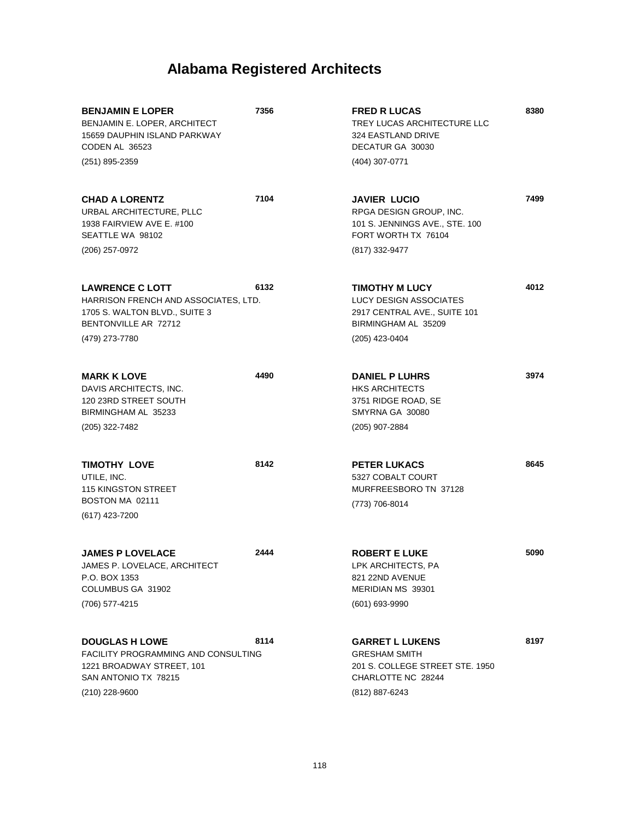| <b>BENJAMIN E LOPER</b><br>BENJAMIN E. LOPER, ARCHITECT<br>15659 DAUPHIN ISLAND PARKWAY<br>CODEN AL 36523                | 7356 | <b>FRED R LUCAS</b><br>TREY LUCAS ARCHITECTURE LLC<br>324 EASTLAND DRIVE<br>DECATUR GA 30030            | 8380 |
|--------------------------------------------------------------------------------------------------------------------------|------|---------------------------------------------------------------------------------------------------------|------|
| (251) 895-2359                                                                                                           |      | (404) 307-0771                                                                                          |      |
| <b>CHAD A LORENTZ</b><br>URBAL ARCHITECTURE, PLLC<br>1938 FAIRVIEW AVE E. #100<br>SEATTLE WA 98102                       | 7104 | <b>JAVIER LUCIO</b><br>RPGA DESIGN GROUP, INC.<br>101 S. JENNINGS AVE., STE. 100<br>FORT WORTH TX 76104 | 7499 |
| (206) 257-0972                                                                                                           |      | (817) 332-9477                                                                                          |      |
| <b>LAWRENCE C LOTT</b><br>HARRISON FRENCH AND ASSOCIATES, LTD.<br>1705 S. WALTON BLVD., SUITE 3<br>BENTONVILLE AR 72712  | 6132 | <b>TIMOTHY M LUCY</b><br>LUCY DESIGN ASSOCIATES<br>2917 CENTRAL AVE., SUITE 101<br>BIRMINGHAM AL 35209  | 4012 |
| (479) 273-7780                                                                                                           |      | (205) 423-0404                                                                                          |      |
| <b>MARK K LOVE</b><br>DAVIS ARCHITECTS, INC.<br>120 23RD STREET SOUTH<br>BIRMINGHAM AL 35233                             | 4490 | <b>DANIEL P LUHRS</b><br><b>HKS ARCHITECTS</b><br>3751 RIDGE ROAD, SE<br>SMYRNA GA 30080                | 3974 |
| (205) 322-7482                                                                                                           |      | (205) 907-2884                                                                                          |      |
| <b>TIMOTHY LOVE</b><br>UTILE, INC.<br><b>115 KINGSTON STREET</b>                                                         | 8142 | <b>PETER LUKACS</b><br>5327 COBALT COURT<br>MURFREESBORO TN 37128                                       | 8645 |
| BOSTON MA 02111<br>(617) 423-7200                                                                                        |      | (773) 706-8014                                                                                          |      |
| <b>JAMES P LOVELACE</b><br>JAMES P. LOVELACE, ARCHITECT<br>P.O. BOX 1353<br>COLUMBUS GA 31902                            | 2444 | <b>ROBERT E LUKE</b><br>LPK ARCHITECTS, PA<br>821 22ND AVENUE<br>MERIDIAN MS 39301                      | 5090 |
| (706) 577-4215                                                                                                           |      | (601) 693-9990                                                                                          |      |
| <b>DOUGLAS H LOWE</b><br><b>FACILITY PROGRAMMING AND CONSULTING</b><br>1221 BROADWAY STREET, 101<br>SAN ANTONIO TX 78215 | 8114 | <b>GARRET L LUKENS</b><br><b>GRESHAM SMITH</b><br>201 S. COLLEGE STREET STE. 1950<br>CHARLOTTE NC 28244 | 8197 |
| (210) 228-9600                                                                                                           |      | (812) 887-6243                                                                                          |      |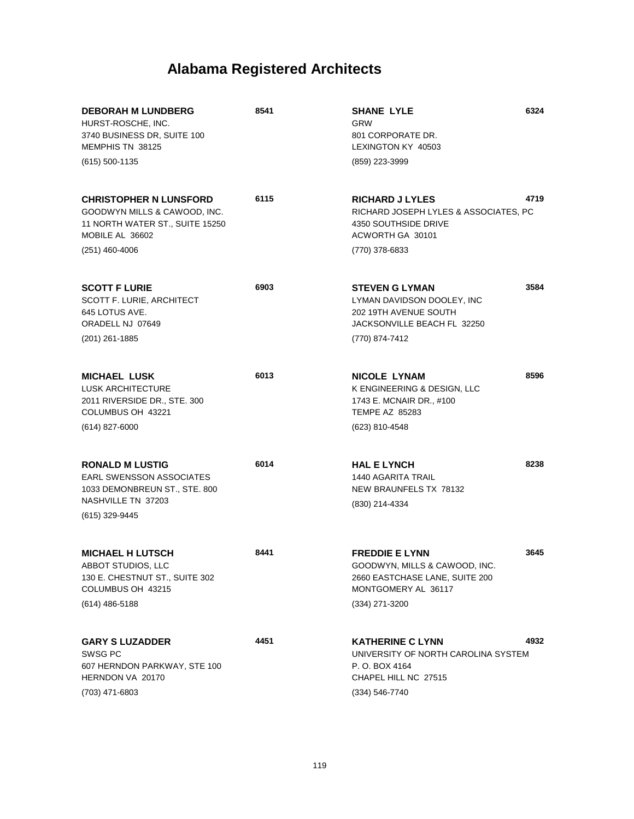| <b>DEBORAH M LUNDBERG</b><br>HURST-ROSCHE, INC.<br>3740 BUSINESS DR, SUITE 100<br>MEMPHIS TN 38125<br>$(615)$ 500-1135                  | 8541 | 6324<br><b>SHANE LYLE</b><br><b>GRW</b><br>801 CORPORATE DR.<br>LEXINGTON KY 40503<br>(859) 223-3999                                      |  |
|-----------------------------------------------------------------------------------------------------------------------------------------|------|-------------------------------------------------------------------------------------------------------------------------------------------|--|
| <b>CHRISTOPHER N LUNSFORD</b><br>GOODWYN MILLS & CAWOOD, INC.<br>11 NORTH WATER ST., SUITE 15250<br>MOBILE AL 36602<br>$(251)$ 460-4006 | 6115 | 4719<br><b>RICHARD J LYLES</b><br>RICHARD JOSEPH LYLES & ASSOCIATES, PC<br>4350 SOUTHSIDE DRIVE<br>ACWORTH GA 30101<br>(770) 378-6833     |  |
| <b>SCOTT F LURIE</b><br>SCOTT F. LURIE, ARCHITECT<br>645 LOTUS AVE.<br>ORADELL NJ 07649<br>$(201)$ 261-1885                             | 6903 | 3584<br><b>STEVEN G LYMAN</b><br>LYMAN DAVIDSON DOOLEY, INC<br>202 19TH AVENUE SOUTH<br>JACKSONVILLE BEACH FL 32250<br>(770) 874-7412     |  |
| <b>MICHAEL LUSK</b><br><b>LUSK ARCHITECTURE</b><br>2011 RIVERSIDE DR., STE. 300<br>COLUMBUS OH 43221<br>$(614)$ 827-6000                | 6013 | 8596<br><b>NICOLE LYNAM</b><br>K ENGINEERING & DESIGN, LLC<br>1743 E. MCNAIR DR., #100<br><b>TEMPE AZ 85283</b><br>(623) 810-4548         |  |
| <b>RONALD M LUSTIG</b><br><b>EARL SWENSSON ASSOCIATES</b><br>1033 DEMONBREUN ST., STE. 800<br>NASHVILLE TN 37203<br>(615) 329-9445      | 6014 | 8238<br><b>HAL E LYNCH</b><br><b>1440 AGARITA TRAIL</b><br>NEW BRAUNFELS TX 78132<br>(830) 214-4334                                       |  |
| <b>MICHAEL H LUTSCH</b><br>ABBOT STUDIOS, LLC<br>130 E. CHESTNUT ST., SUITE 302<br>COLUMBUS OH 43215<br>$(614)$ 486-5188                | 8441 | <b>FREDDIE E LYNN</b><br>3645<br>GOODWYN, MILLS & CAWOOD, INC.<br>2660 EASTCHASE LANE, SUITE 200<br>MONTGOMERY AL 36117<br>(334) 271-3200 |  |
| <b>GARY S LUZADDER</b><br>SWSG PC<br>607 HERNDON PARKWAY, STE 100<br>HERNDON VA 20170<br>(703) 471-6803                                 | 4451 | 4932<br><b>KATHERINE C LYNN</b><br>UNIVERSITY OF NORTH CAROLINA SYSTEM<br>P. O. BOX 4164<br>CHAPEL HILL NC 27515<br>(334) 546-7740        |  |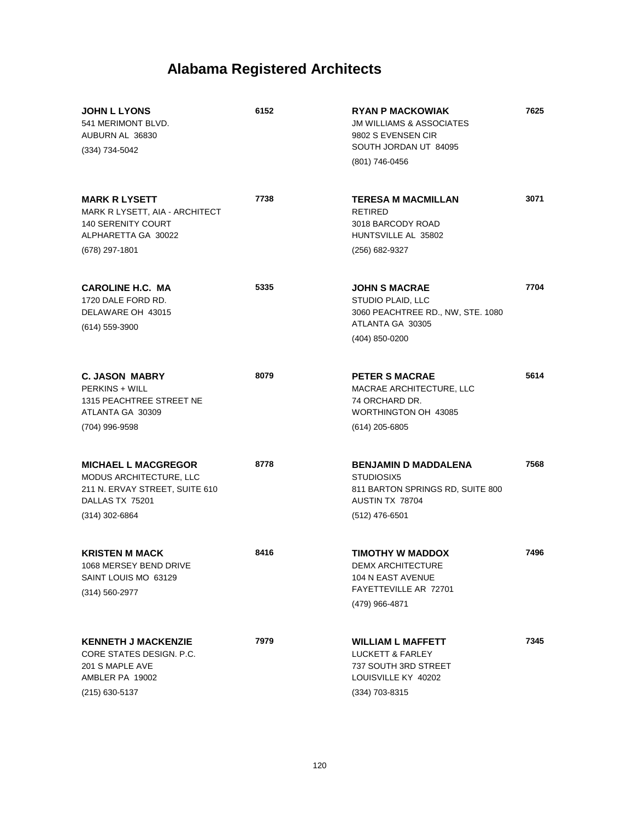| <b>JOHN L LYONS</b><br>541 MERIMONT BLVD.<br>AUBURN AL 36830<br>(334) 734-5042                                               | 6152 | <b>RYAN P MACKOWIAK</b><br><b>JM WILLIAMS &amp; ASSOCIATES</b><br>9802 S EVENSEN CIR<br>SOUTH JORDAN UT 84095<br>(801) 746-0456 | 7625 |
|------------------------------------------------------------------------------------------------------------------------------|------|---------------------------------------------------------------------------------------------------------------------------------|------|
| <b>MARK R LYSETT</b><br>MARK R LYSETT, AIA - ARCHITECT<br><b>140 SERENITY COURT</b><br>ALPHARETTA GA 30022<br>(678) 297-1801 | 7738 | <b>TERESA M MACMILLAN</b><br><b>RETIRED</b><br>3018 BARCODY ROAD<br>HUNTSVILLE AL 35802<br>(256) 682-9327                       | 3071 |
| <b>CAROLINE H.C. MA</b><br>1720 DALE FORD RD.<br>DELAWARE OH 43015<br>(614) 559-3900                                         | 5335 | <b>JOHN S MACRAE</b><br>STUDIO PLAID, LLC<br>3060 PEACHTREE RD., NW, STE. 1080<br>ATLANTA GA 30305<br>(404) 850-0200            | 7704 |
| <b>C. JASON MABRY</b><br><b>PERKINS + WILL</b><br>1315 PEACHTREE STREET NE<br>ATLANTA GA 30309<br>(704) 996-9598             | 8079 | <b>PETER S MACRAE</b><br>MACRAE ARCHITECTURE, LLC<br>74 ORCHARD DR.<br>WORTHINGTON OH 43085<br>$(614)$ 205-6805                 | 5614 |
| <b>MICHAEL L MACGREGOR</b><br>MODUS ARCHITECTURE, LLC<br>211 N. ERVAY STREET, SUITE 610<br>DALLAS TX 75201<br>(314) 302-6864 | 8778 | <b>BENJAMIN D MADDALENA</b><br>STUDIOSIX5<br>811 BARTON SPRINGS RD, SUITE 800<br>AUSTIN TX 78704<br>$(512)$ 476-6501            | 7568 |
| <b>KRISTEN M MACK</b><br>1068 MERSEY BEND DRIVE<br>SAINT LOUIS MO 63129<br>(314) 560-2977                                    | 8416 | <b>TIMOTHY W MADDOX</b><br><b>DEMX ARCHITECTURE</b><br>104 N EAST AVENUE<br>FAYETTEVILLE AR 72701<br>(479) 966-4871             | 7496 |
| <b>KENNETH J MACKENZIE</b><br>CORE STATES DESIGN. P.C.<br>201 S MAPLE AVE<br>AMBLER PA 19002<br>(215) 630-5137               | 7979 | <b>WILLIAM L MAFFETT</b><br>LUCKETT & FARLEY<br>737 SOUTH 3RD STREET<br>LOUISVILLE KY 40202<br>(334) 703-8315                   | 7345 |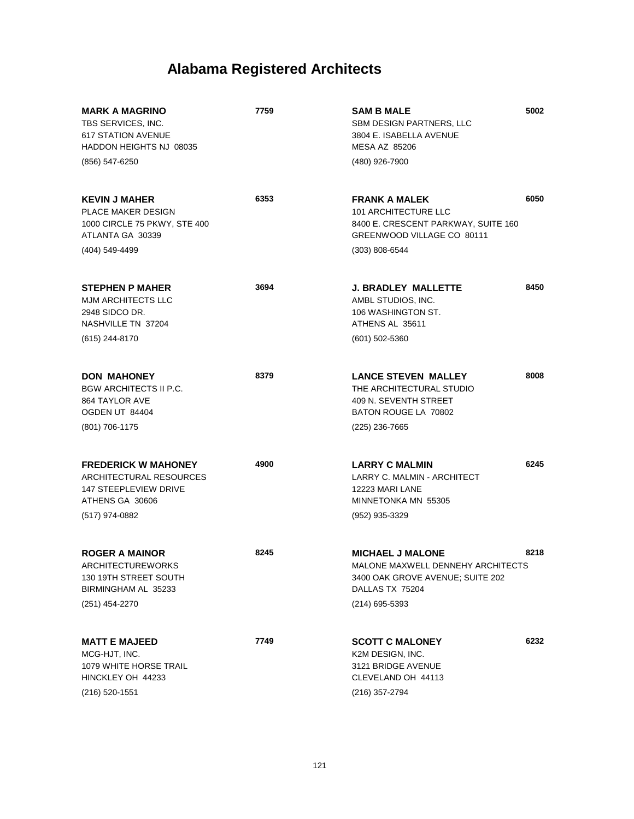| <b>MARK A MAGRINO</b><br>TBS SERVICES, INC.<br><b>617 STATION AVENUE</b><br>HADDON HEIGHTS NJ 08035      | 7759 | <b>SAM B MALE</b><br>SBM DESIGN PARTNERS, LLC<br>3804 E. ISABELLA AVENUE<br><b>MESA AZ 85206</b>                    | 5002 |
|----------------------------------------------------------------------------------------------------------|------|---------------------------------------------------------------------------------------------------------------------|------|
| (856) 547-6250                                                                                           |      | (480) 926-7900                                                                                                      |      |
| <b>KEVIN J MAHER</b><br>PLACE MAKER DESIGN<br>1000 CIRCLE 75 PKWY, STE 400<br>ATLANTA GA 30339           | 6353 | <b>FRANK A MALEK</b><br>101 ARCHITECTURE LLC<br>8400 E. CRESCENT PARKWAY, SUITE 160<br>GREENWOOD VILLAGE CO 80111   | 6050 |
| (404) 549-4499                                                                                           |      | $(303) 808 - 6544$                                                                                                  |      |
| <b>STEPHEN P MAHER</b><br><b>MJM ARCHITECTS LLC</b><br>2948 SIDCO DR.<br>NASHVILLE TN 37204              | 3694 | <b>J. BRADLEY MALLETTE</b><br>AMBL STUDIOS, INC.<br>106 WASHINGTON ST.<br>ATHENS AL 35611                           | 8450 |
| (615) 244-8170                                                                                           |      | $(601)$ 502-5360                                                                                                    |      |
| <b>DON MAHONEY</b><br><b>BGW ARCHITECTS II P.C.</b><br>864 TAYLOR AVE<br>OGDEN UT 84404                  | 8379 | <b>LANCE STEVEN MALLEY</b><br>THE ARCHITECTURAL STUDIO<br>409 N. SEVENTH STREET<br>BATON ROUGE LA 70802             | 8008 |
| (801) 706-1175                                                                                           |      | $(225)$ 236-7665                                                                                                    |      |
| <b>FREDERICK W MAHONEY</b><br>ARCHITECTURAL RESOURCES<br><b>147 STEEPLEVIEW DRIVE</b><br>ATHENS GA 30606 | 4900 | <b>LARRY C MALMIN</b><br>LARRY C. MALMIN - ARCHITECT<br>12223 MARI LANE<br>MINNETONKA MN 55305                      | 6245 |
| (517) 974-0882                                                                                           |      | $(952)$ 935-3329                                                                                                    |      |
| <b>ROGER A MAINOR</b><br>ARCHITECTUREWORKS<br>130 19TH STREET SOUTH<br>BIRMINGHAM AL 35233               | 8245 | <b>MICHAEL J MALONE</b><br>MALONE MAXWELL DENNEHY ARCHITECTS<br>3400 OAK GROVE AVENUE: SUITE 202<br>DALLAS TX 75204 | 8218 |
| (251) 454-2270                                                                                           |      | (214) 695-5393                                                                                                      |      |
| <b>MATT E MAJEED</b><br>MCG-HJT, INC.<br>1079 WHITE HORSE TRAIL<br>HINCKLEY OH 44233                     | 7749 | <b>SCOTT C MALONEY</b><br>K2M DESIGN, INC.<br>3121 BRIDGE AVENUE<br>CLEVELAND OH 44113                              | 6232 |
| (216) 520-1551                                                                                           |      | (216) 357-2794                                                                                                      |      |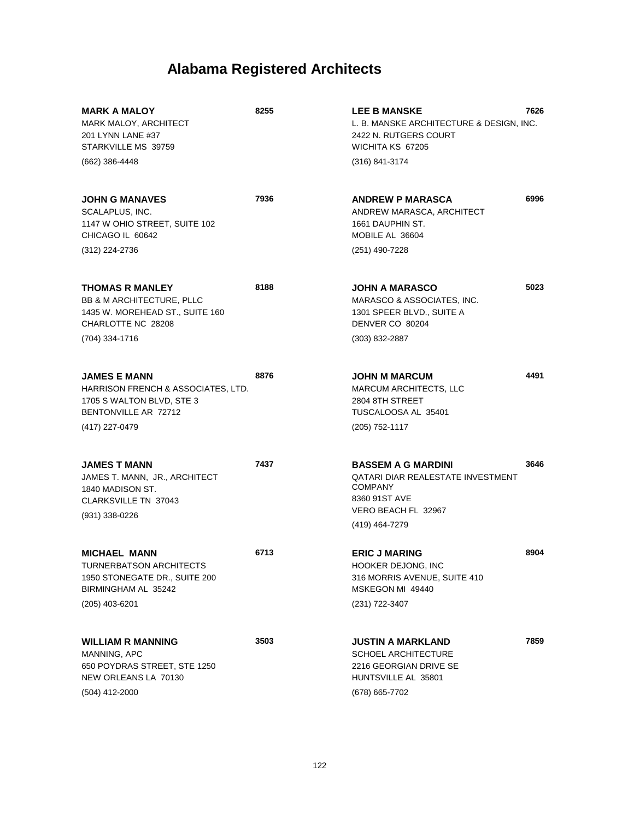| <b>MARK A MALOY</b><br>MARK MALOY, ARCHITECT<br>201 LYNN LANE #37<br>STARKVILLE MS 39759<br>(662) 386-4448                         | 8255 | <b>LEE B MANSKE</b><br>L. B. MANSKE ARCHITECTURE & DESIGN, INC.<br>2422 N. RUTGERS COURT<br>WICHITA KS 67205<br>(316) 841-3174                    | 7626 |
|------------------------------------------------------------------------------------------------------------------------------------|------|---------------------------------------------------------------------------------------------------------------------------------------------------|------|
| <b>JOHN G MANAVES</b><br>SCALAPLUS, INC.<br>1147 W OHIO STREET, SUITE 102<br>CHICAGO IL 60642<br>(312) 224-2736                    | 7936 | <b>ANDREW P MARASCA</b><br>ANDREW MARASCA, ARCHITECT<br>1661 DAUPHIN ST.<br>MOBILE AL 36604<br>(251) 490-7228                                     | 6996 |
| THOMAS R MANLEY<br><b>BB &amp; M ARCHITECTURE, PLLC</b><br>1435 W. MOREHEAD ST., SUITE 160<br>CHARLOTTE NC 28208<br>(704) 334-1716 | 8188 | JOHN A MARASCO<br>MARASCO & ASSOCIATES, INC.<br>1301 SPEER BLVD., SUITE A<br>DENVER CO 80204<br>$(303) 832 - 2887$                                | 5023 |
| <b>JAMES E MANN</b><br>HARRISON FRENCH & ASSOCIATES, LTD.<br>1705 S WALTON BLVD, STE 3<br>BENTONVILLE AR 72712<br>(417) 227-0479   | 8876 | <b>JOHN M MARCUM</b><br><b>MARCUM ARCHITECTS, LLC</b><br>2804 8TH STREET<br>TUSCALOOSA AL 35401<br>(205) 752-1117                                 | 4491 |
| <b>JAMES T MANN</b><br>JAMES T. MANN, JR., ARCHITECT<br>1840 MADISON ST.<br><b>CLARKSVILLE TN 37043</b><br>(931) 338-0226          | 7437 | <b>BASSEM A G MARDINI</b><br><b>QATARI DIAR REALESTATE INVESTMENT</b><br><b>COMPANY</b><br>8360 91ST AVE<br>VERO BEACH FL 32967<br>(419) 464-7279 | 3646 |
| <b>MICHAEL MANN</b><br><b>TURNERBATSON ARCHITECTS</b><br>1950 STONEGATE DR., SUITE 200<br>BIRMINGHAM AL 35242<br>$(205)$ 403-6201  | 6713 | <b>ERIC J MARING</b><br>HOOKER DEJONG, INC<br>316 MORRIS AVENUE, SUITE 410<br>MSKEGON MI 49440<br>(231) 722-3407                                  | 8904 |
| <b>WILLIAM R MANNING</b><br>MANNING, APC<br>650 POYDRAS STREET, STE 1250<br>NEW ORLEANS LA 70130<br>(504) 412-2000                 | 3503 | JUSTIN A MARKLAND<br><b>SCHOEL ARCHITECTURE</b><br>2216 GEORGIAN DRIVE SE<br>HUNTSVILLE AL 35801<br>(678) 665-7702                                | 7859 |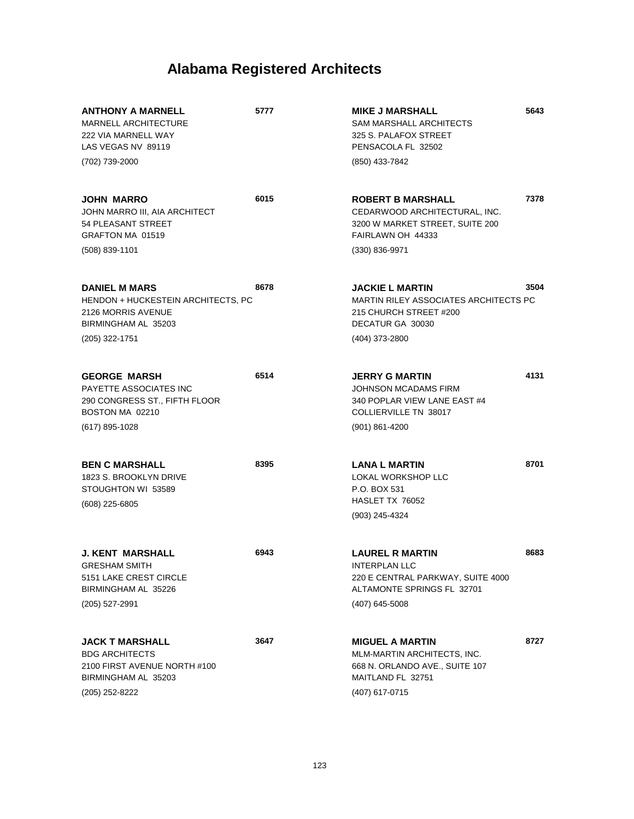| <b>ANTHONY A MARNELL</b><br><b>MARNELL ARCHITECTURE</b><br>222 VIA MARNELL WAY<br>LAS VEGAS NV 89119                     | 5777 | <b>MIKE J MARSHALL</b><br><b>SAM MARSHALL ARCHITECTS</b><br>325 S. PALAFOX STREET<br>PENSACOLA FL 32502                             | 5643 |
|--------------------------------------------------------------------------------------------------------------------------|------|-------------------------------------------------------------------------------------------------------------------------------------|------|
| (702) 739-2000                                                                                                           |      | (850) 433-7842                                                                                                                      |      |
| <b>JOHN MARRO</b><br>JOHN MARRO III, AIA ARCHITECT<br>54 PLEASANT STREET                                                 | 6015 | <b>ROBERT B MARSHALL</b><br>CEDARWOOD ARCHITECTURAL, INC.<br>3200 W MARKET STREET, SUITE 200                                        | 7378 |
| GRAFTON MA 01519<br>(508) 839-1101                                                                                       |      | FAIRLAWN OH 44333<br>$(330) 836 - 9971$                                                                                             |      |
| <b>DANIEL M MARS</b><br>HENDON + HUCKESTEIN ARCHITECTS, PC<br>2126 MORRIS AVENUE<br>BIRMINGHAM AL 35203                  | 8678 | <b>JACKIE L MARTIN</b><br>MARTIN RILEY ASSOCIATES ARCHITECTS PC<br>215 CHURCH STREET #200<br>DECATUR GA 30030                       | 3504 |
| (205) 322-1751                                                                                                           |      | (404) 373-2800                                                                                                                      |      |
| <b>GEORGE MARSH</b><br>PAYETTE ASSOCIATES INC<br>290 CONGRESS ST., FIFTH FLOOR<br>BOSTON MA 02210                        | 6514 | <b>JERRY G MARTIN</b><br>JOHNSON MCADAMS FIRM<br>340 POPLAR VIEW LANE EAST #4<br>COLLIERVILLE TN 38017                              | 4131 |
| (617) 895-1028                                                                                                           |      | $(901) 861 - 4200$                                                                                                                  |      |
| <b>BEN C MARSHALL</b><br>1823 S. BROOKLYN DRIVE<br>STOUGHTON WI 53589<br>(608) 225-6805                                  | 8395 | <b>LANA L MARTIN</b><br>LOKAL WORKSHOP LLC<br>P.O. BOX 531<br>HASLET TX 76052<br>(903) 245-4324                                     | 8701 |
| <b>J. KENT MARSHALL</b><br><b>GRESHAM SMITH</b><br>5151 LAKE CREST CIRCLE<br>BIRMINGHAM AL 35226<br>(205) 527-2991       | 6943 | <b>LAUREL R MARTIN</b><br><b>INTERPLAN LLC</b><br>220 E CENTRAL PARKWAY, SUITE 4000<br>ALTAMONTE SPRINGS FL 32701<br>(407) 645-5008 | 8683 |
| <b>JACK T MARSHALL</b><br><b>BDG ARCHITECTS</b><br>2100 FIRST AVENUE NORTH #100<br>BIRMINGHAM AL 35203<br>(205) 252-8222 | 3647 | <b>MIGUEL A MARTIN</b><br>MLM-MARTIN ARCHITECTS, INC.<br>668 N. ORLANDO AVE., SUITE 107<br>MAITLAND FL 32751<br>(407) 617-0715      | 8727 |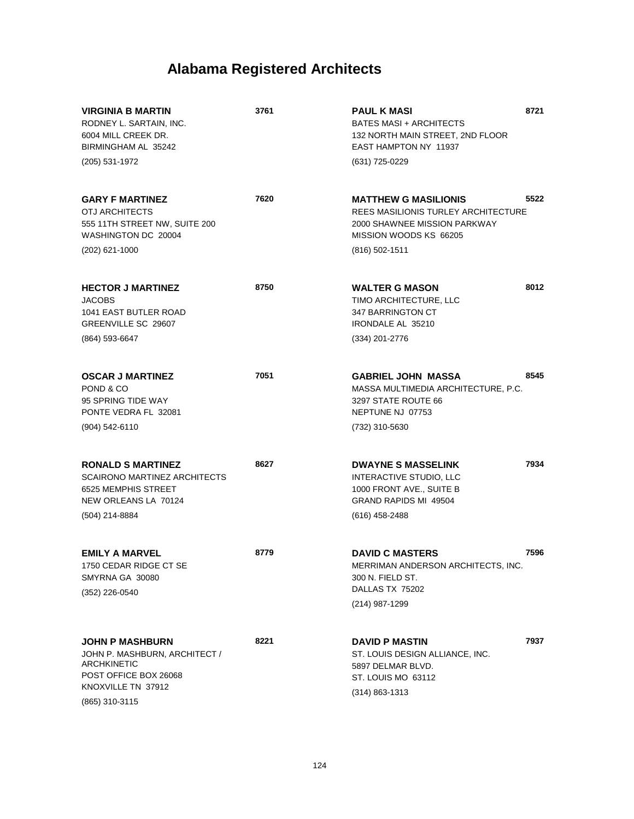| <b>VIRGINIA B MARTIN</b><br>RODNEY L. SARTAIN, INC.<br>6004 MILL CREEK DR.<br>BIRMINGHAM AL 35242<br>(205) 531-1972                            | 3761 | <b>PAUL K MASI</b><br><b>BATES MASI + ARCHITECTS</b><br>132 NORTH MAIN STREET, 2ND FLOOR<br>EAST HAMPTON NY 11937<br>(631) 725-0229              | 8721 |
|------------------------------------------------------------------------------------------------------------------------------------------------|------|--------------------------------------------------------------------------------------------------------------------------------------------------|------|
| <b>GARY F MARTINEZ</b><br>OTJ ARCHITECTS<br>555 11TH STREET NW, SUITE 200<br>WASHINGTON DC 20004<br>$(202)$ 621-1000                           | 7620 | <b>MATTHEW G MASILIONIS</b><br>REES MASILIONIS TURLEY ARCHITECTURE<br>2000 SHAWNEE MISSION PARKWAY<br>MISSION WOODS KS 66205<br>$(816)$ 502-1511 | 5522 |
| <b>HECTOR J MARTINEZ</b><br><b>JACOBS</b><br><b>1041 EAST BUTLER ROAD</b><br>GREENVILLE SC 29607<br>(864) 593-6647                             | 8750 | <b>WALTER G MASON</b><br>TIMO ARCHITECTURE, LLC<br>347 BARRINGTON CT<br><b>IRONDALE AL 35210</b><br>(334) 201-2776                               | 8012 |
| <b>OSCAR J MARTINEZ</b><br>POND & CO<br>95 SPRING TIDE WAY<br>PONTE VEDRA FL 32081<br>$(904) 542 - 6110$                                       | 7051 | <b>GABRIEL JOHN MASSA</b><br>MASSA MULTIMEDIA ARCHITECTURE, P.C.<br>3297 STATE ROUTE 66<br>NEPTUNE NJ 07753<br>(732) 310-5630                    | 8545 |
| <b>RONALD S MARTINEZ</b><br><b>SCAIRONO MARTINEZ ARCHITECTS</b><br>6525 MEMPHIS STREET<br>NEW ORLEANS LA 70124<br>(504) 214-8884               | 8627 | <b>DWAYNE S MASSELINK</b><br>INTERACTIVE STUDIO, LLC<br>1000 FRONT AVE., SUITE B<br><b>GRAND RAPIDS MI 49504</b><br>$(616)$ 458-2488             | 7934 |
| <b>EMILY A MARVEL</b><br>1750 CEDAR RIDGE CT SE<br>SMYRNA GA 30080<br>(352) 226-0540                                                           | 8779 | <b>DAVID C MASTERS</b><br>MERRIMAN ANDERSON ARCHITECTS, INC.<br>300 N. FIELD ST.<br>DALLAS TX 75202<br>(214) 987-1299                            | 7596 |
| <b>JOHN P MASHBURN</b><br>JOHN P. MASHBURN, ARCHITECT /<br><b>ARCHKINETIC</b><br>POST OFFICE BOX 26068<br>KNOXVILLE TN 37912<br>(865) 310-3115 | 8221 | <b>DAVID P MASTIN</b><br>ST. LOUIS DESIGN ALLIANCE, INC.<br>5897 DELMAR BLVD.<br>ST. LOUIS MO 63112<br>$(314) 863 - 1313$                        | 7937 |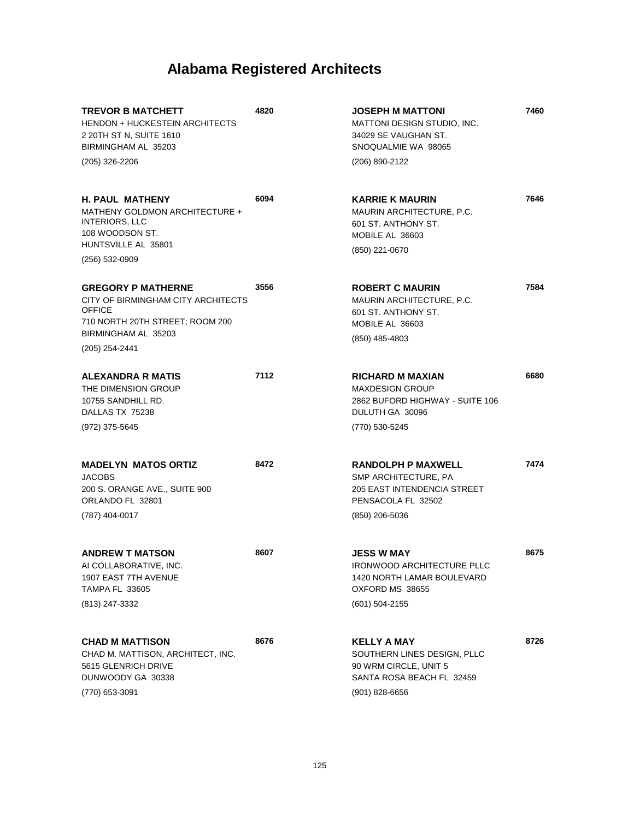| <b>TREVOR B MATCHETT</b><br><b>HENDON + HUCKESTEIN ARCHITECTS</b><br>2 20TH ST N, SUITE 1610<br>BIRMINGHAM AL 35203                        | 4820 | <b>JOSEPH M MATTONI</b><br>MATTONI DESIGN STUDIO, INC.<br>34029 SE VAUGHAN ST.<br>SNOQUALMIE WA 98065                  | 7460 |
|--------------------------------------------------------------------------------------------------------------------------------------------|------|------------------------------------------------------------------------------------------------------------------------|------|
| (205) 326-2206                                                                                                                             |      | (206) 890-2122                                                                                                         |      |
| <b>H. PAUL MATHENY</b><br>MATHENY GOLDMON ARCHITECTURE +<br>INTERIORS, LLC<br>108 WOODSON ST.<br>HUNTSVILLE AL 35801                       | 6094 | <b>KARRIE K MAURIN</b><br><b>MAURIN ARCHITECTURE, P.C.</b><br>601 ST. ANTHONY ST.<br>MOBILE AL 36603<br>(850) 221-0670 | 7646 |
| (256) 532-0909                                                                                                                             |      |                                                                                                                        |      |
| <b>GREGORY P MATHERNE</b><br>CITY OF BIRMINGHAM CITY ARCHITECTS<br><b>OFFICE</b><br>710 NORTH 20TH STREET; ROOM 200<br>BIRMINGHAM AL 35203 | 3556 | <b>ROBERT C MAURIN</b><br><b>MAURIN ARCHITECTURE, P.C.</b><br>601 ST. ANTHONY ST.<br>MOBILE AL 36603                   | 7584 |
| (205) 254-2441                                                                                                                             |      | (850) 485-4803                                                                                                         |      |
| <b>ALEXANDRA R MATIS</b><br>THE DIMENSION GROUP<br>10755 SANDHILL RD.<br>DALLAS TX 75238                                                   | 7112 | <b>RICHARD M MAXIAN</b><br><b>MAXDESIGN GROUP</b><br>2862 BUFORD HIGHWAY - SUITE 106<br>DULUTH GA 30096                | 6680 |
| (972) 375-5645                                                                                                                             |      | (770) 530-5245                                                                                                         |      |
| <b>MADELYN MATOS ORTIZ</b><br><b>JACOBS</b><br>200 S. ORANGE AVE., SUITE 900<br>ORLANDO FL 32801<br>(787) 404-0017                         | 8472 | <b>RANDOLPH P MAXWELL</b><br>SMP ARCHITECTURE, PA<br><b>205 EAST INTENDENCIA STREET</b><br>PENSACOLA FL 32502          | 7474 |
|                                                                                                                                            |      | (850) 206-5036                                                                                                         |      |
| <b>ANDREW T MATSON</b><br>AI COLLABORATIVE, INC.<br>1907 EAST 7TH AVENUE<br><b>TAMPA FL 33605</b>                                          | 8607 | <b>JESS W MAY</b><br>IRONWOOD ARCHITECTURE PLLC<br>1420 NORTH LAMAR BOULEVARD<br>OXFORD MS 38655                       | 8675 |
| (813) 247-3332                                                                                                                             |      | (601) 504-2155                                                                                                         |      |
| <b>CHAD M MATTISON</b><br>CHAD M. MATTISON, ARCHITECT, INC.<br>5615 GLENRICH DRIVE<br>DUNWOODY GA 30338                                    | 8676 | <b>KELLY A MAY</b><br>SOUTHERN LINES DESIGN, PLLC<br>90 WRM CIRCLE, UNIT 5<br>SANTA ROSA BEACH FL 32459                | 8726 |
| (770) 653-3091                                                                                                                             |      | $(901)$ 828-6656                                                                                                       |      |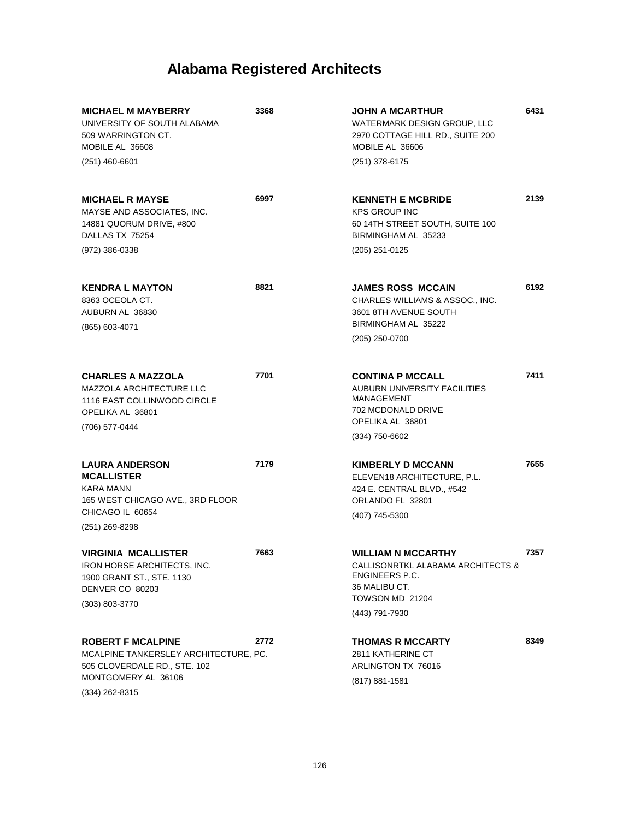| <b>MICHAEL M MAYBERRY</b><br>UNIVERSITY OF SOUTH ALABAMA<br>509 WARRINGTON CT.<br>MOBILE AL 36608                                            | 3368 | JOHN A MCARTHUR<br>WATERMARK DESIGN GROUP, LLC<br>2970 COTTAGE HILL RD., SUITE 200<br>MOBILE AL 36606                         | 6431 |
|----------------------------------------------------------------------------------------------------------------------------------------------|------|-------------------------------------------------------------------------------------------------------------------------------|------|
| $(251)$ 460-6601                                                                                                                             |      | (251) 378-6175                                                                                                                |      |
| <b>MICHAEL R MAYSE</b><br>MAYSE AND ASSOCIATES, INC.<br>14881 QUORUM DRIVE, #800<br>DALLAS TX 75254                                          | 6997 | <b>KENNETH E MCBRIDE</b><br><b>KPS GROUP INC</b><br>60 14TH STREET SOUTH, SUITE 100<br>BIRMINGHAM AL 35233                    | 2139 |
| (972) 386-0338                                                                                                                               |      | (205) 251-0125                                                                                                                |      |
| <b>KENDRA L MAYTON</b><br>8363 OCEOLA CT.<br>AUBURN AL 36830<br>(865) 603-4071                                                               | 8821 | <b>JAMES ROSS MCCAIN</b><br>CHARLES WILLIAMS & ASSOC., INC.<br>3601 8TH AVENUE SOUTH<br>BIRMINGHAM AL 35222<br>(205) 250-0700 | 6192 |
|                                                                                                                                              |      |                                                                                                                               |      |
| <b>CHARLES A MAZZOLA</b><br><b>MAZZOLA ARCHITECTURE LLC</b><br>1116 EAST COLLINWOOD CIRCLE<br>OPELIKA AL 36801                               | 7701 | <b>CONTINA P MCCALL</b><br>AUBURN UNIVERSITY FACILITIES<br><b>MANAGEMENT</b><br>702 MCDONALD DRIVE<br>OPELIKA AL 36801        | 7411 |
| (706) 577-0444                                                                                                                               |      | $(334)$ 750-6602                                                                                                              |      |
| <b>LAURA ANDERSON</b><br><b>MCALLISTER</b><br><b>KARA MANN</b><br>165 WEST CHICAGO AVE., 3RD FLOOR<br>CHICAGO IL 60654<br>$(251)$ 269-8298   | 7179 | <b>KIMBERLY D MCCANN</b><br>ELEVEN18 ARCHITECTURE, P.L.<br>424 E. CENTRAL BLVD., #542<br>ORLANDO FL 32801<br>(407) 745-5300   | 7655 |
|                                                                                                                                              |      |                                                                                                                               |      |
| <b>VIRGINIA MCALLISTER</b><br>IRON HORSE ARCHITECTS, INC.<br>1900 GRANT ST., STE. 1130<br>DENVER CO 80203                                    | 7663 | <b>WILLIAM N MCCARTHY</b><br>CALLISONRTKL ALABAMA ARCHITECTS &<br>ENGINEERS P.C.<br>36 MALIBU CT.<br>TOWSON MD 21204          | 7357 |
| (303) 803-3770                                                                                                                               |      | (443) 791-7930                                                                                                                |      |
| <b>ROBERT F MCALPINE</b><br>MCALPINE TANKERSLEY ARCHITECTURE, PC.<br>505 CLOVERDALE RD., STE. 102<br>MONTGOMERY AL 36106<br>$(334)$ 262-8315 | 2772 | <b>THOMAS R MCCARTY</b><br>2811 KATHERINE CT<br>ARLINGTON TX 76016<br>(817) 881-1581                                          | 8349 |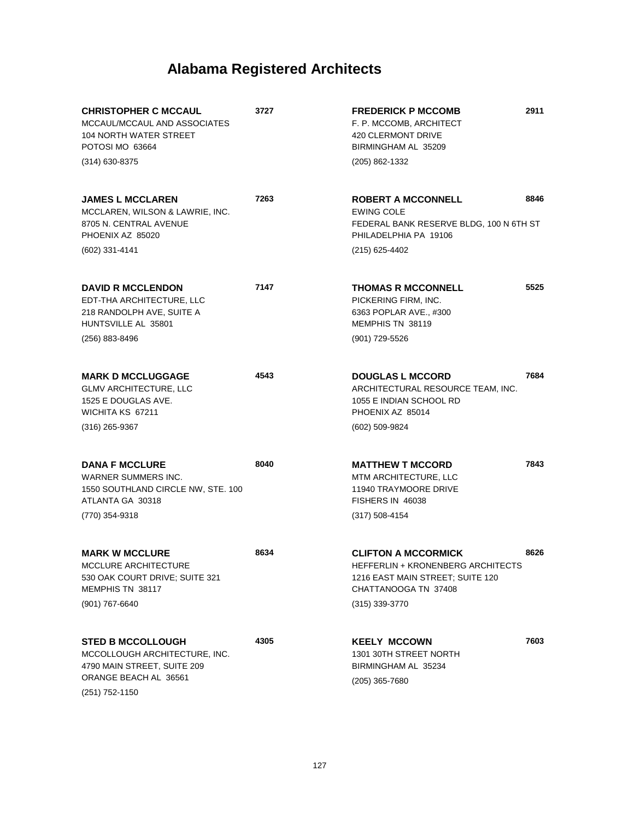| <b>CHRISTOPHER C MCCAUL</b><br>MCCAUL/MCCAUL AND ASSOCIATES<br><b>104 NORTH WATER STREET</b><br>POTOSI MO 63664                     | 3727 | <b>FREDERICK P MCCOMB</b><br>F. P. MCCOMB, ARCHITECT<br><b>420 CLERMONT DRIVE</b><br>BIRMINGHAM AL 35209                                        | 2911 |
|-------------------------------------------------------------------------------------------------------------------------------------|------|-------------------------------------------------------------------------------------------------------------------------------------------------|------|
| $(314)$ 630-8375                                                                                                                    |      | (205) 862-1332                                                                                                                                  |      |
| <b>JAMES L MCCLAREN</b><br>MCCLAREN, WILSON & LAWRIE, INC.<br>8705 N. CENTRAL AVENUE<br>PHOENIX AZ 85020                            | 7263 | <b>ROBERT A MCCONNELL</b><br><b>EWING COLE</b><br>FEDERAL BANK RESERVE BLDG, 100 N 6TH ST<br>PHILADELPHIA PA 19106                              | 8846 |
| (602) 331-4141                                                                                                                      |      | (215) 625-4402                                                                                                                                  |      |
| <b>DAVID R MCCLENDON</b><br>EDT-THA ARCHITECTURE, LLC<br>218 RANDOLPH AVE, SUITE A<br>HUNTSVILLE AL 35801                           | 7147 | <b>THOMAS R MCCONNELL</b><br>PICKERING FIRM, INC.<br>6363 POPLAR AVE., #300<br>MEMPHIS TN 38119                                                 | 5525 |
| (256) 883-8496                                                                                                                      |      | (901) 729-5526                                                                                                                                  |      |
| <b>MARK D MCCLUGGAGE</b><br><b>GLMV ARCHITECTURE, LLC</b><br>1525 E DOUGLAS AVE.<br>WICHITA KS 67211                                | 4543 | <b>DOUGLAS L MCCORD</b><br>ARCHITECTURAL RESOURCE TEAM, INC.<br>1055 E INDIAN SCHOOL RD<br>PHOENIX AZ 85014                                     | 7684 |
| $(316)$ 265-9367                                                                                                                    |      | (602) 509-9824                                                                                                                                  |      |
| <b>DANA F MCCLURE</b><br>WARNER SUMMERS INC.<br>1550 SOUTHLAND CIRCLE NW, STE. 100<br>ATLANTA GA 30318<br>(770) 354-9318            | 8040 | <b>MATTHEW T MCCORD</b><br>MTM ARCHITECTURE, LLC<br>11940 TRAYMOORE DRIVE<br>FISHERS IN 46038<br>$(317) 508 - 4154$                             | 7843 |
| <b>MARK W MCCLURE</b><br>MCCLURE ARCHITECTURE<br>530 OAK COURT DRIVE; SUITE 321<br>MEMPHIS TN 38117<br>$(901) 767 - 6640$           | 8634 | <b>CLIFTON A MCCORMICK</b><br>HEFFERLIN + KRONENBERG ARCHITECTS<br>1216 EAST MAIN STREET; SUITE 120<br>CHATTANOOGA TN 37408<br>$(315)$ 339-3770 | 8626 |
| <b>STED B MCCOLLOUGH</b><br>MCCOLLOUGH ARCHITECTURE, INC.<br>4790 MAIN STREET, SUITE 209<br>ORANGE BEACH AL 36561<br>(251) 752-1150 | 4305 | <b>KEELY MCCOWN</b><br>1301 30TH STREET NORTH<br>BIRMINGHAM AL 35234<br>(205) 365-7680                                                          | 7603 |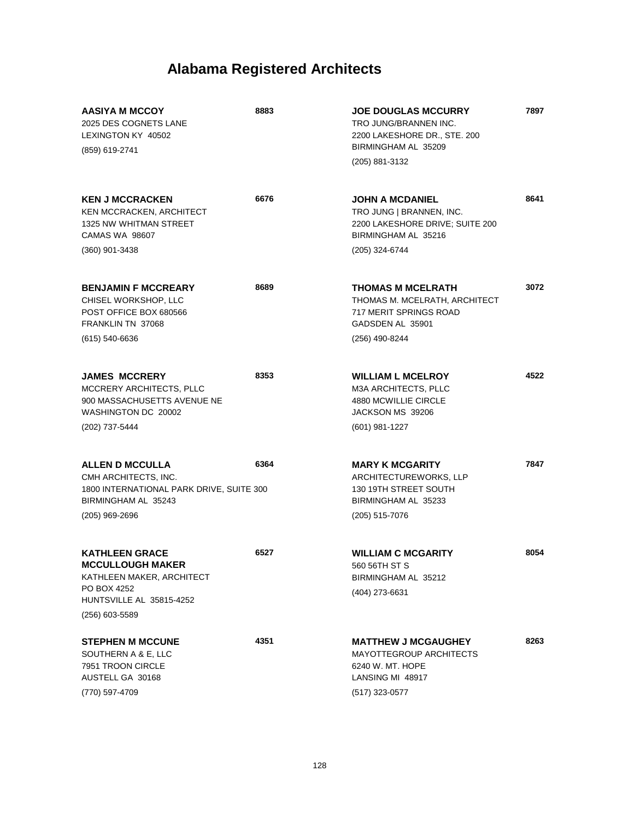| <b>AASIYA M MCCOY</b><br>2025 DES COGNETS LANE<br>LEXINGTON KY 40502<br>(859) 619-2741                                                     | 8883 | <b>JOE DOUGLAS MCCURRY</b><br>TRO JUNG/BRANNEN INC.<br>2200 LAKESHORE DR., STE. 200<br>BIRMINGHAM AL 35209<br>(205) 881-3132 | 7897 |
|--------------------------------------------------------------------------------------------------------------------------------------------|------|------------------------------------------------------------------------------------------------------------------------------|------|
| <b>KEN J MCCRACKEN</b><br>KEN MCCRACKEN, ARCHITECT<br>1325 NW WHITMAN STREET<br><b>CAMAS WA 98607</b>                                      | 6676 | <b>JOHN A MCDANIEL</b><br>TRO JUNG   BRANNEN, INC.<br>2200 LAKESHORE DRIVE; SUITE 200<br>BIRMINGHAM AL 35216                 | 8641 |
| $(360)$ 901-3438                                                                                                                           |      | (205) 324-6744                                                                                                               |      |
| <b>BENJAMIN F MCCREARY</b><br>CHISEL WORKSHOP, LLC<br>POST OFFICE BOX 680566<br>FRANKLIN TN 37068                                          | 8689 | <b>THOMAS M MCELRATH</b><br>THOMAS M. MCELRATH, ARCHITECT<br>717 MERIT SPRINGS ROAD<br>GADSDEN AL 35901                      | 3072 |
| $(615) 540 - 6636$                                                                                                                         |      | (256) 490-8244                                                                                                               |      |
| <b>JAMES MCCRERY</b><br><b>MCCRERY ARCHITECTS, PLLC</b><br>900 MASSACHUSETTS AVENUE NE<br>WASHINGTON DC 20002                              | 8353 | <b>WILLIAM L MCELROY</b><br><b>M3A ARCHITECTS, PLLC</b><br>4880 MCWILLIE CIRCLE<br>JACKSON MS 39206                          | 4522 |
| (202) 737-5444                                                                                                                             |      | (601) 981-1227                                                                                                               |      |
| <b>ALLEN D MCCULLA</b><br>CMH ARCHITECTS, INC.<br>1800 INTERNATIONAL PARK DRIVE, SUITE 300<br>BIRMINGHAM AL 35243<br>$(205)$ 969-2696      | 6364 | <b>MARY K MCGARITY</b><br>ARCHITECTUREWORKS, LLP<br>130 19TH STREET SOUTH<br>BIRMINGHAM AL 35233<br>(205) 515-7076           | 7847 |
| <b>KATHLEEN GRACE</b><br><b>MCCULLOUGH MAKER</b><br>KATHLEEN MAKER, ARCHITECT<br>PO BOX 4252<br>HUNTSVILLE AL 35815-4252<br>(256) 603-5589 | 6527 | <b>WILLIAM C MCGARITY</b><br>560 56TH ST S<br>BIRMINGHAM AL 35212<br>(404) 273-6631                                          | 8054 |
|                                                                                                                                            |      |                                                                                                                              |      |
| <b>STEPHEN M MCCUNE</b><br>SOUTHERN A & E, LLC<br>7951 TROON CIRCLE<br>AUSTELL GA 30168                                                    | 4351 | <b>MATTHEW J MCGAUGHEY</b><br><b>MAYOTTEGROUP ARCHITECTS</b><br>6240 W. MT. HOPE<br>LANSING MI 48917                         | 8263 |
| (770) 597-4709                                                                                                                             |      | (517) 323-0577                                                                                                               |      |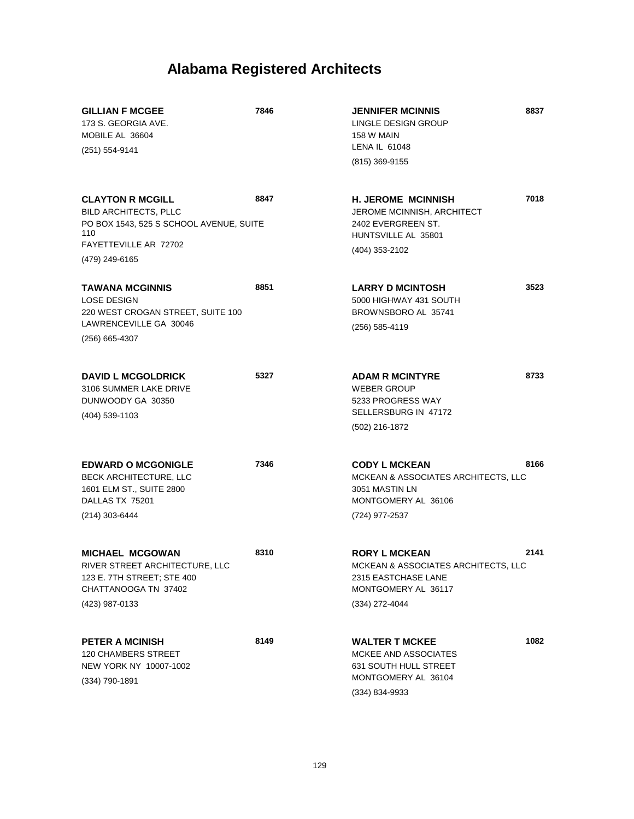| <b>GILLIAN F MCGEE</b><br>173 S. GEORGIA AVE.<br>MOBILE AL 36604<br>(251) 554-9141                                                                   | 7846 | <b>JENNIFER MCINNIS</b><br>LINGLE DESIGN GROUP<br>158 W MAIN<br>LENA IL 61048<br>(815) 369-9155                             | 8837 |
|------------------------------------------------------------------------------------------------------------------------------------------------------|------|-----------------------------------------------------------------------------------------------------------------------------|------|
| <b>CLAYTON R MCGILL</b><br><b>BILD ARCHITECTS, PLLC</b><br>PO BOX 1543, 525 S SCHOOL AVENUE, SUITE<br>110<br>FAYETTEVILLE AR 72702<br>(479) 249-6165 | 8847 | <b>H. JEROME MCINNISH</b><br>JEROME MCINNISH, ARCHITECT<br>2402 EVERGREEN ST.<br>HUNTSVILLE AL 35801<br>(404) 353-2102      | 7018 |
| <b>TAWANA MCGINNIS</b><br><b>LOSE DESIGN</b><br>220 WEST CROGAN STREET, SUITE 100<br>LAWRENCEVILLE GA 30046<br>$(256)$ 665-4307                      | 8851 | <b>LARRY D MCINTOSH</b><br>5000 HIGHWAY 431 SOUTH<br>BROWNSBORO AL 35741<br>(256) 585-4119                                  | 3523 |
| <b>DAVID L MCGOLDRICK</b><br>3106 SUMMER LAKE DRIVE<br>DUNWOODY GA 30350<br>(404) 539-1103                                                           | 5327 | <b>ADAM R MCINTYRE</b><br><b>WEBER GROUP</b><br>5233 PROGRESS WAY<br>SELLERSBURG IN 47172<br>(502) 216-1872                 | 8733 |
| <b>EDWARD O MCGONIGLE</b><br><b>BECK ARCHITECTURE, LLC</b><br>1601 ELM ST., SUITE 2800<br>DALLAS TX 75201<br>(214) 303-6444                          | 7346 | <b>CODY L MCKEAN</b><br>MCKEAN & ASSOCIATES ARCHITECTS, LLC<br>3051 MASTIN LN<br>MONTGOMERY AL 36106<br>(724) 977-2537      | 8166 |
| <b>MICHAEL MCGOWAN</b><br>RIVER STREET ARCHITECTURE, LLC<br>123 E. 7TH STREET; STE 400<br>CHATTANOOGA TN 37402<br>(423) 987-0133                     | 8310 | <b>RORY L MCKEAN</b><br>MCKEAN & ASSOCIATES ARCHITECTS, LLC<br>2315 EASTCHASE LANE<br>MONTGOMERY AL 36117<br>(334) 272-4044 | 2141 |
| <b>PETER A MCINISH</b><br><b>120 CHAMBERS STREET</b><br>NEW YORK NY 10007-1002<br>(334) 790-1891                                                     | 8149 | <b>WALTER T MCKEE</b><br>MCKEE AND ASSOCIATES<br><b>631 SOUTH HULL STREET</b><br>MONTGOMERY AL 36104<br>(334) 834-9933      | 1082 |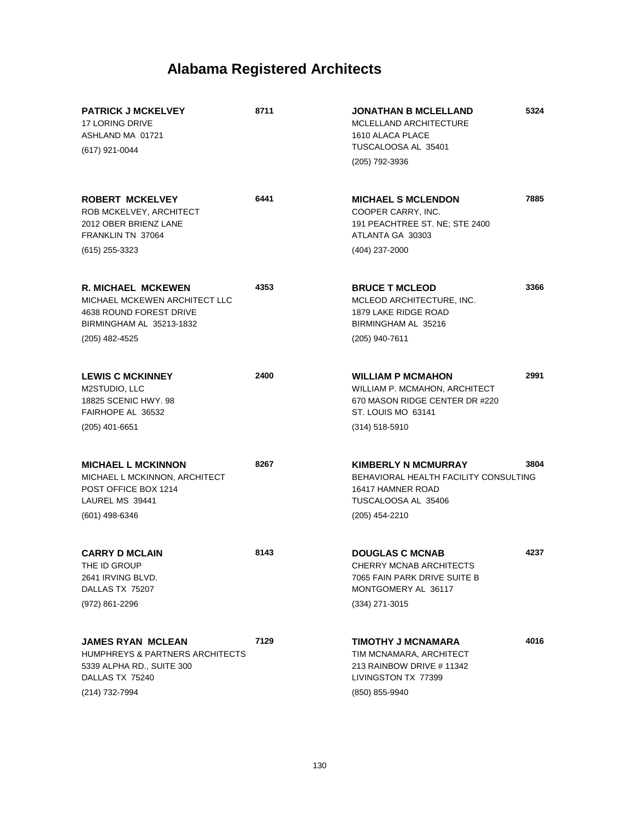|                                                                                                                                                                                                                                                                     | 7885 |
|---------------------------------------------------------------------------------------------------------------------------------------------------------------------------------------------------------------------------------------------------------------------|------|
| 6441<br><b>ROBERT MCKELVEY</b><br><b>MICHAEL S MCLENDON</b><br>COOPER CARRY, INC.<br>ROB MCKELVEY, ARCHITECT<br>2012 OBER BRIENZ LANE<br>191 PEACHTREE ST. NE; STE 2400<br>FRANKLIN TN 37064<br>ATLANTA GA 30303                                                    |      |
| (404) 237-2000<br>(615) 255-3323                                                                                                                                                                                                                                    |      |
| 4353<br><b>R. MICHAEL MCKEWEN</b><br><b>BRUCE T MCLEOD</b><br>MICHAEL MCKEWEN ARCHITECT LLC<br>MCLEOD ARCHITECTURE, INC.<br>4638 ROUND FOREST DRIVE<br>1879 LAKE RIDGE ROAD<br>BIRMINGHAM AL 35213-1832<br>BIRMINGHAM AL 35216                                      | 3366 |
| (205) 482-4525<br>(205) 940-7611                                                                                                                                                                                                                                    |      |
| 2400<br><b>LEWIS C MCKINNEY</b><br><b>WILLIAM P MCMAHON</b><br>M2STUDIO, LLC<br>WILLIAM P. MCMAHON, ARCHITECT<br>670 MASON RIDGE CENTER DR #220<br>18825 SCENIC HWY, 98<br>FAIRHOPE AL 36532<br>ST. LOUIS MO 63141                                                  | 2991 |
| $(205)$ 401-6651<br>$(314) 518 - 5910$                                                                                                                                                                                                                              |      |
| 8267<br><b>KIMBERLY N MCMURRAY</b><br><b>MICHAEL L MCKINNON</b><br>BEHAVIORAL HEALTH FACILITY CONSULTING<br>MICHAEL L MCKINNON, ARCHITECT<br>POST OFFICE BOX 1214<br>16417 HAMNER ROAD<br>LAUREL MS 39441<br>TUSCALOOSA AL 35406                                    | 3804 |
| (601) 498-6346<br>(205) 454-2210                                                                                                                                                                                                                                    |      |
| 8143<br><b>DOUGLAS C MCNAB</b><br><b>CARRY D MCLAIN</b><br>THE ID GROUP<br><b>CHERRY MCNAB ARCHITECTS</b><br>7065 FAIN PARK DRIVE SUITE B<br>2641 IRVING BLVD.<br>DALLAS TX 75207<br>MONTGOMERY AL 36117                                                            | 4237 |
| (972) 861-2296<br>$(334)$ 271-3015                                                                                                                                                                                                                                  |      |
| 7129<br><b>JAMES RYAN MCLEAN</b><br><b>TIMOTHY J MCNAMARA</b><br>HUMPHREYS & PARTNERS ARCHITECTS<br>TIM MCNAMARA, ARCHITECT<br>5339 ALPHA RD., SUITE 300<br>213 RAINBOW DRIVE # 11342<br>DALLAS TX 75240<br>LIVINGSTON TX 77399<br>(214) 732-7994<br>(850) 855-9940 | 4016 |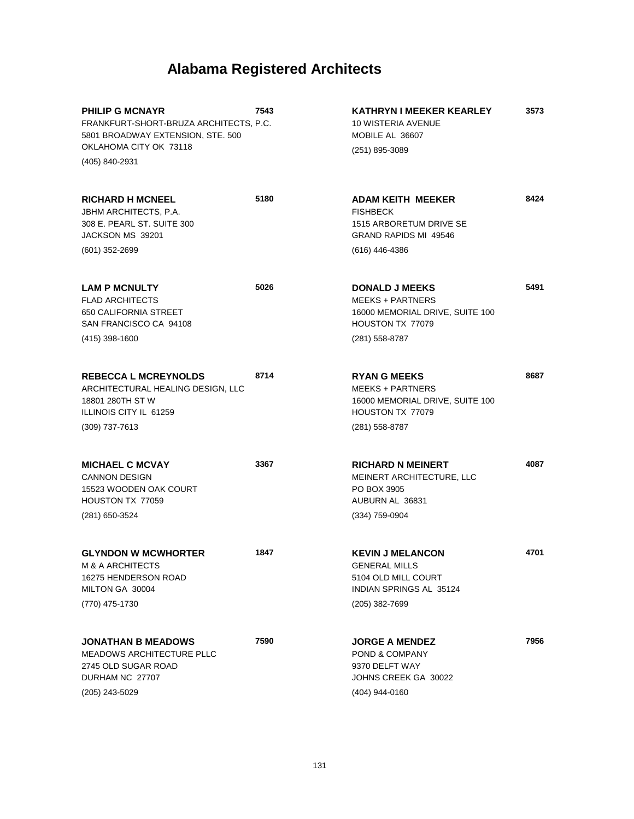| <b>PHILIP G MCNAYR</b><br>FRANKFURT-SHORT-BRUZA ARCHITECTS, P.C.<br>5801 BROADWAY EXTENSION, STE. 500                     | 7543 | <b>KATHRYN I MEEKER KEARLEY</b><br>10 WISTERIA AVENUE<br>MOBILE AL 36607                                 | 3573 |
|---------------------------------------------------------------------------------------------------------------------------|------|----------------------------------------------------------------------------------------------------------|------|
| OKLAHOMA CITY OK 73118                                                                                                    |      | (251) 895-3089                                                                                           |      |
| (405) 840-2931                                                                                                            |      |                                                                                                          |      |
| <b>RICHARD H MCNEEL</b><br>JBHM ARCHITECTS, P.A.<br>308 E. PEARL ST. SUITE 300<br>JACKSON MS 39201                        | 5180 | <b>ADAM KEITH MEEKER</b><br><b>FISHBECK</b><br>1515 ARBORETUM DRIVE SE<br>GRAND RAPIDS MI 49546          | 8424 |
| $(601)$ 352-2699                                                                                                          |      | (616) 446-4386                                                                                           |      |
| <b>LAM P MCNULTY</b><br><b>FLAD ARCHITECTS</b><br>650 CALIFORNIA STREET<br>SAN FRANCISCO CA 94108                         | 5026 | <b>DONALD J MEEKS</b><br>MEEKS + PARTNERS<br>16000 MEMORIAL DRIVE, SUITE 100<br>HOUSTON TX 77079         | 5491 |
| (415) 398-1600                                                                                                            |      | (281) 558-8787                                                                                           |      |
| <b>REBECCA L MCREYNOLDS</b><br>ARCHITECTURAL HEALING DESIGN, LLC<br>18801 280TH ST W<br>ILLINOIS CITY IL 61259            | 8714 | <b>RYAN G MEEKS</b><br><b>MEEKS + PARTNERS</b><br>16000 MEMORIAL DRIVE, SUITE 100<br>HOUSTON TX 77079    | 8687 |
| $(309)$ 737-7613                                                                                                          |      | (281) 558-8787                                                                                           |      |
| <b>MICHAEL C MCVAY</b><br><b>CANNON DESIGN</b><br>15523 WOODEN OAK COURT<br>HOUSTON TX 77059                              | 3367 | <b>RICHARD N MEINERT</b><br>MEINERT ARCHITECTURE, LLC<br>PO BOX 3905<br>AUBURN AL 36831                  | 4087 |
| (281) 650-3524                                                                                                            |      | $(334)$ 759-0904                                                                                         |      |
| <b>GLYNDON W MCWHORTER</b><br>M & A ARCHITECTS<br>16275 HENDERSON ROAD<br>MILTON GA 30004                                 | 1847 | <b>KEVIN J MELANCON</b><br><b>GENERAL MILLS</b><br>5104 OLD MILL COURT<br><b>INDIAN SPRINGS AL 35124</b> | 4701 |
| (770) 475-1730                                                                                                            |      | (205) 382-7699                                                                                           |      |
| <b>JONATHAN B MEADOWS</b><br><b>MEADOWS ARCHITECTURE PLLC</b><br>2745 OLD SUGAR ROAD<br>DURHAM NC 27707<br>(205) 243-5029 | 7590 | <b>JORGE A MENDEZ</b><br>POND & COMPANY<br>9370 DELFT WAY<br>JOHNS CREEK GA 30022<br>(404) 944-0160      | 7956 |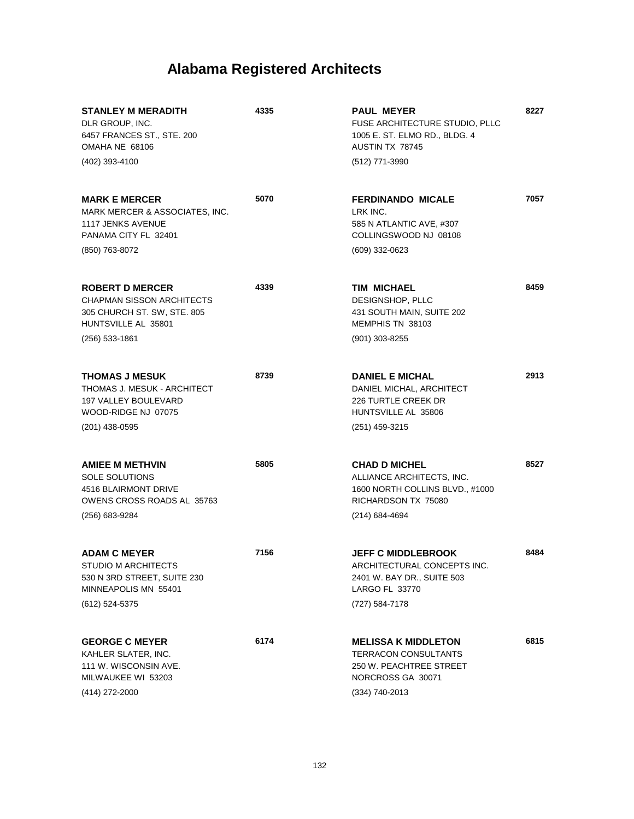| <b>STANLEY M MERADITH</b><br>DLR GROUP, INC.<br>6457 FRANCES ST., STE. 200<br>OMAHA NE 68106<br>(402) 393-4100                     | 4335 | <b>PAUL MEYER</b><br>FUSE ARCHITECTURE STUDIO, PLLC<br>1005 E. ST. ELMO RD., BLDG. 4<br>AUSTIN TX 78745<br>(512) 771-3990     | 8227 |
|------------------------------------------------------------------------------------------------------------------------------------|------|-------------------------------------------------------------------------------------------------------------------------------|------|
| <b>MARK E MERCER</b><br>MARK MERCER & ASSOCIATES, INC.<br>1117 JENKS AVENUE<br>PANAMA CITY FL 32401<br>(850) 763-8072              | 5070 | <b>FERDINANDO MICALE</b><br>LRK INC.<br>585 N ATLANTIC AVE, #307<br>COLLINGSWOOD NJ 08108<br>(609) 332-0623                   | 7057 |
| <b>ROBERT D MERCER</b><br><b>CHAPMAN SISSON ARCHITECTS</b><br>305 CHURCH ST. SW, STE. 805<br>HUNTSVILLE AL 35801<br>(256) 533-1861 | 4339 | TIM MICHAEL<br>DESIGNSHOP, PLLC<br>431 SOUTH MAIN, SUITE 202<br>MEMPHIS TN 38103<br>$(901)$ 303-8255                          | 8459 |
| <b>THOMAS J MESUK</b><br>THOMAS J. MESUK - ARCHITECT<br>197 VALLEY BOULEVARD<br>WOOD-RIDGE NJ 07075<br>$(201)$ 438-0595            | 8739 | <b>DANIEL E MICHAL</b><br>DANIEL MICHAL, ARCHITECT<br><b>226 TURTLE CREEK DR</b><br>HUNTSVILLE AL 35806<br>(251) 459-3215     | 2913 |
| <b>AMIEE M METHVIN</b><br>SOLE SOLUTIONS<br>4516 BLAIRMONT DRIVE<br>OWENS CROSS ROADS AL 35763<br>(256) 683-9284                   | 5805 | <b>CHAD D MICHEL</b><br>ALLIANCE ARCHITECTS, INC.<br>1600 NORTH COLLINS BLVD., #1000<br>RICHARDSON TX 75080<br>(214) 684-4694 | 8527 |
| <b>ADAM C MEYER</b><br>STUDIO M ARCHITECTS<br>530 N 3RD STREET, SUITE 230<br>MINNEAPOLIS MN 55401<br>(612) 524-5375                | 7156 | <b>JEFF C MIDDLEBROOK</b><br>ARCHITECTURAL CONCEPTS INC.<br>2401 W. BAY DR., SUITE 503<br>LARGO FL 33770<br>(727) 584-7178    | 8484 |
| <b>GEORGE C MEYER</b><br>KAHLER SLATER, INC.<br>111 W. WISCONSIN AVE.<br>MILWAUKEE WI 53203<br>(414) 272-2000                      | 6174 | <b>MELISSA K MIDDLETON</b><br><b>TERRACON CONSULTANTS</b><br>250 W. PEACHTREE STREET<br>NORCROSS GA 30071<br>(334) 740-2013   | 6815 |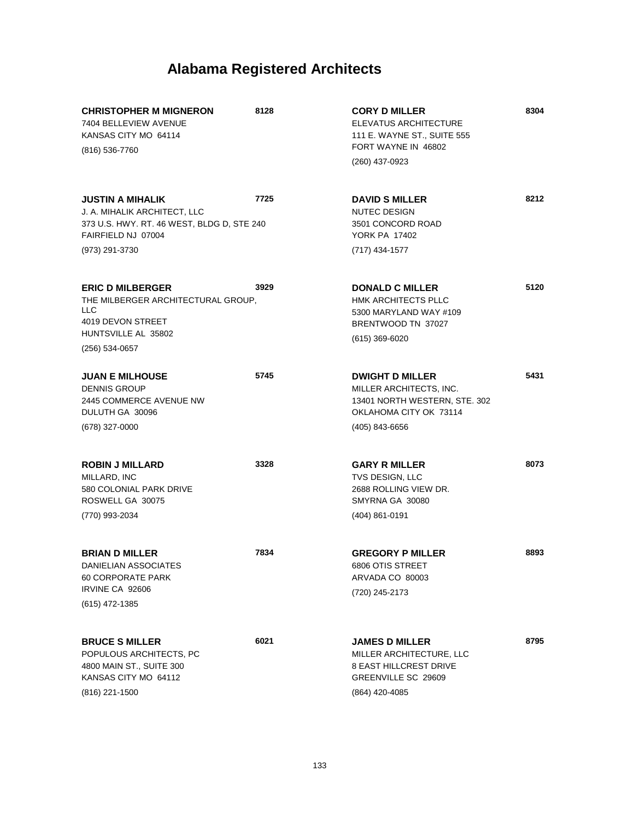| <b>CHRISTOPHER M MIGNERON</b><br>7404 BELLEVIEW AVENUE<br>KANSAS CITY MO 64114<br>(816) 536-7760                                              | 8128 | <b>CORY D MILLER</b><br>ELEVATUS ARCHITECTURE<br>111 E. WAYNE ST., SUITE 555<br>FORT WAYNE IN 46802<br>(260) 437-0923          | 8304 |
|-----------------------------------------------------------------------------------------------------------------------------------------------|------|--------------------------------------------------------------------------------------------------------------------------------|------|
| <b>JUSTIN A MIHALIK</b><br>J. A. MIHALIK ARCHITECT, LLC<br>373 U.S. HWY. RT. 46 WEST, BLDG D, STE 240<br>FAIRFIELD NJ 07004<br>(973) 291-3730 | 7725 | <b>DAVID S MILLER</b><br><b>NUTEC DESIGN</b><br>3501 CONCORD ROAD<br><b>YORK PA 17402</b><br>(717) 434-1577                    | 8212 |
| <b>ERIC D MILBERGER</b><br>THE MILBERGER ARCHITECTURAL GROUP,<br><b>LLC</b><br>4019 DEVON STREET<br>HUNTSVILLE AL 35802<br>(256) 534-0657     | 3929 | <b>DONALD C MILLER</b><br><b>HMK ARCHITECTS PLLC</b><br>5300 MARYLAND WAY #109<br>BRENTWOOD TN 37027<br>(615) 369-6020         | 5120 |
| <b>JUAN E MILHOUSE</b><br><b>DENNIS GROUP</b><br>2445 COMMERCE AVENUE NW<br>DULUTH GA 30096<br>$(678)$ 327-0000                               | 5745 | <b>DWIGHT D MILLER</b><br>MILLER ARCHITECTS, INC.<br>13401 NORTH WESTERN, STE. 302<br>OKLAHOMA CITY OK 73114<br>(405) 843-6656 | 5431 |
| <b>ROBIN J MILLARD</b><br>MILLARD, INC<br>580 COLONIAL PARK DRIVE<br>ROSWELL GA 30075<br>(770) 993-2034                                       | 3328 | <b>GARY R MILLER</b><br>TVS DESIGN, LLC<br>2688 ROLLING VIEW DR.<br>SMYRNA GA 30080<br>$(404)$ 861-0191                        | 8073 |
| <b>BRIAN D MILLER</b><br>DANIELIAN ASSOCIATES<br><b>60 CORPORATE PARK</b><br>IRVINE CA 92606<br>(615) 472-1385                                | 7834 | <b>GREGORY P MILLER</b><br>6806 OTIS STREET<br>ARVADA CO 80003<br>(720) 245-2173                                               | 8893 |
| <b>BRUCE S MILLER</b><br>POPULOUS ARCHITECTS, PC<br>4800 MAIN ST., SUITE 300<br>KANSAS CITY MO 64112<br>(816) 221-1500                        | 6021 | <b>JAMES D MILLER</b><br>MILLER ARCHITECTURE, LLC<br><b>8 EAST HILLCREST DRIVE</b><br>GREENVILLE SC 29609<br>(864) 420-4085    | 8795 |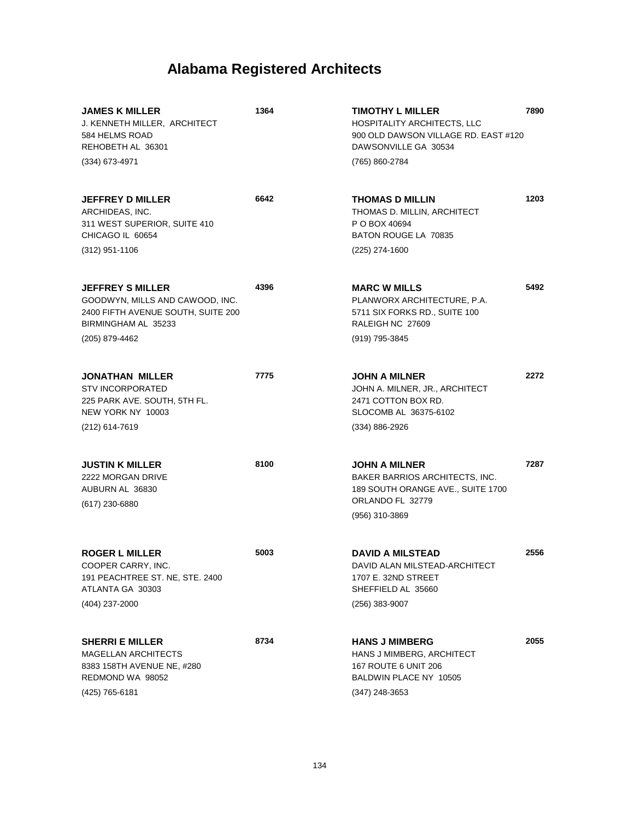| <b>JAMES K MILLER</b><br>J. KENNETH MILLER, ARCHITECT<br>584 HELMS ROAD<br>REHOBETH AL 36301<br>$(334)$ 673-4971                          | 1364 | <b>TIMOTHY L MILLER</b><br><b>HOSPITALITY ARCHITECTS, LLC</b><br>900 OLD DAWSON VILLAGE RD. EAST #120<br>DAWSONVILLE GA 30534<br>(765) 860-2784 | 7890 |
|-------------------------------------------------------------------------------------------------------------------------------------------|------|-------------------------------------------------------------------------------------------------------------------------------------------------|------|
| <b>JEFFREY D MILLER</b><br>ARCHIDEAS, INC.<br>311 WEST SUPERIOR, SUITE 410<br>CHICAGO IL 60654<br>$(312)$ 951-1106                        | 6642 | <b>THOMAS D MILLIN</b><br>THOMAS D. MILLIN, ARCHITECT<br>P O BOX 40694<br>BATON ROUGE LA 70835<br>(225) 274-1600                                | 1203 |
| <b>JEFFREY S MILLER</b><br>GOODWYN, MILLS AND CAWOOD, INC.<br>2400 FIFTH AVENUE SOUTH, SUITE 200<br>BIRMINGHAM AL 35233<br>(205) 879-4462 | 4396 | <b>MARC W MILLS</b><br>PLANWORX ARCHITECTURE, P.A.<br>5711 SIX FORKS RD., SUITE 100<br>RALEIGH NC 27609<br>(919) 795-3845                       | 5492 |
| <b>JONATHAN MILLER</b><br><b>STV INCORPORATED</b><br>225 PARK AVE. SOUTH, 5TH FL.<br>NEW YORK NY 10003<br>(212) 614-7619                  | 7775 | <b>JOHN A MILNER</b><br>JOHN A. MILNER, JR., ARCHITECT<br>2471 COTTON BOX RD.<br>SLOCOMB AL 36375-6102<br>(334) 886-2926                        | 2272 |
| <b>JUSTIN K MILLER</b><br>2222 MORGAN DRIVE<br>AUBURN AL 36830<br>(617) 230-6880                                                          | 8100 | <b>JOHN A MILNER</b><br>BAKER BARRIOS ARCHITECTS, INC.<br>189 SOUTH ORANGE AVE., SUITE 1700<br>ORLANDO FL 32779<br>(956) 310-3869               | 7287 |
| <b>ROGER L MILLER</b><br>COOPER CARRY, INC.<br>191 PEACHTREE ST. NE, STE. 2400<br>ATLANTA GA 30303<br>(404) 237-2000                      | 5003 | <b>DAVID A MILSTEAD</b><br>DAVID ALAN MILSTEAD-ARCHITECT<br>1707 E. 32ND STREET<br>SHEFFIELD AL 35660<br>(256) 383-9007                         | 2556 |
| <b>SHERRI E MILLER</b><br><b>MAGELLAN ARCHITECTS</b><br>8383 158TH AVENUE NE, #280<br>REDMOND WA 98052<br>(425) 765-6181                  | 8734 | <b>HANS J MIMBERG</b><br>HANS J MIMBERG, ARCHITECT<br>167 ROUTE 6 UNIT 206<br>BALDWIN PLACE NY 10505<br>$(347)$ 248-3653                        | 2055 |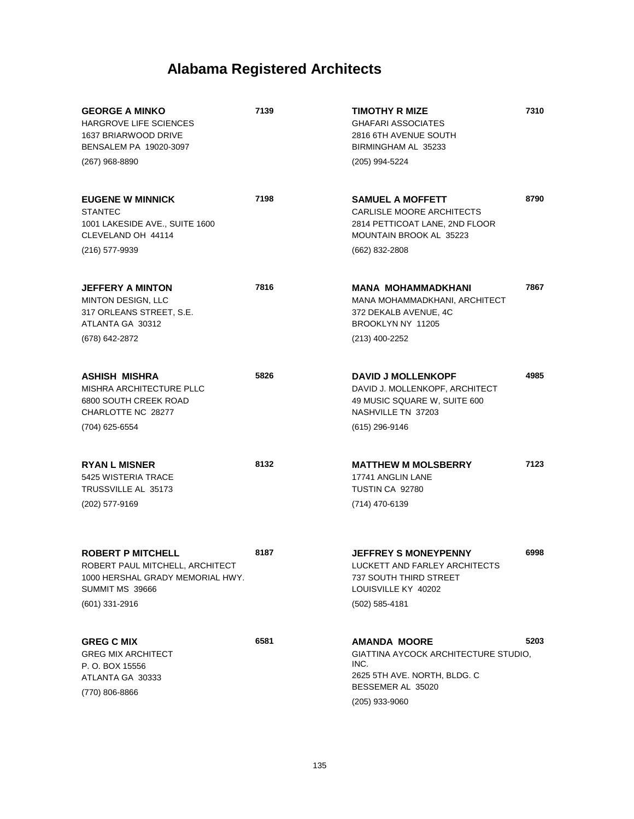| <b>GEORGE A MINKO</b><br><b>HARGROVE LIFE SCIENCES</b><br>1637 BRIARWOOD DRIVE<br>BENSALEM PA 19020-3097<br>$(267)$ 968-8890           | 7139 | <b>TIMOTHY R MIZE</b><br><b>GHAFARI ASSOCIATES</b><br>2816 6TH AVENUE SOUTH<br>BIRMINGHAM AL 35233<br>(205) 994-5224                       | 7310 |
|----------------------------------------------------------------------------------------------------------------------------------------|------|--------------------------------------------------------------------------------------------------------------------------------------------|------|
| <b>EUGENE W MINNICK</b><br><b>STANTEC</b><br>1001 LAKESIDE AVE., SUITE 1600<br>CLEVELAND OH 44114<br>(216) 577-9939                    | 7198 | <b>SAMUEL A MOFFETT</b><br>CARLISLE MOORE ARCHITECTS<br>2814 PETTICOAT LANE, 2ND FLOOR<br>MOUNTAIN BROOK AL 35223<br>(662) 832-2808        | 8790 |
| <b>JEFFERY A MINTON</b><br><b>MINTON DESIGN, LLC</b><br>317 ORLEANS STREET, S.E.<br>ATLANTA GA 30312<br>(678) 642-2872                 | 7816 | <b>MANA MOHAMMADKHANI</b><br>MANA MOHAMMADKHANI, ARCHITECT<br>372 DEKALB AVENUE, 4C<br>BROOKLYN NY 11205<br>(213) 400-2252                 | 7867 |
| ASHISH MISHRA<br>MISHRA ARCHITECTURE PLLC<br>6800 SOUTH CREEK ROAD<br>CHARLOTTE NC 28277<br>(704) 625-6554                             | 5826 | <b>DAVID J MOLLENKOPF</b><br>DAVID J. MOLLENKOPF, ARCHITECT<br>49 MUSIC SQUARE W, SUITE 600<br>NASHVILLE TN 37203<br>(615) 296-9146        | 4985 |
| <b>RYAN L MISNER</b><br>5425 WISTERIA TRACE<br>TRUSSVILLE AL 35173<br>(202) 577-9169                                                   | 8132 | <b>MATTHEW M MOLSBERRY</b><br>17741 ANGLIN LANE<br>TUSTIN CA 92780<br>(714) 470-6139                                                       | 7123 |
| <b>ROBERT P MITCHELL</b><br>ROBERT PAUL MITCHELL, ARCHITECT<br>1000 HERSHAL GRADY MEMORIAL HWY.<br>SUMMIT MS 39666<br>$(601)$ 331-2916 | 8187 | <b>JEFFREY S MONEYPENNY</b><br>LUCKETT AND FARLEY ARCHITECTS<br>737 SOUTH THIRD STREET<br>LOUISVILLE KY 40202<br>$(502)$ 585-4181          | 6998 |
| <b>GREG C MIX</b><br><b>GREG MIX ARCHITECT</b><br>P. O. BOX 15556<br>ATLANTA GA 30333<br>(770) 806-8866                                | 6581 | <b>AMANDA MOORE</b><br>GIATTINA AYCOCK ARCHITECTURE STUDIO,<br>INC.<br>2625 5TH AVE. NORTH, BLDG. C<br>BESSEMER AL 35020<br>(205) 933-9060 | 5203 |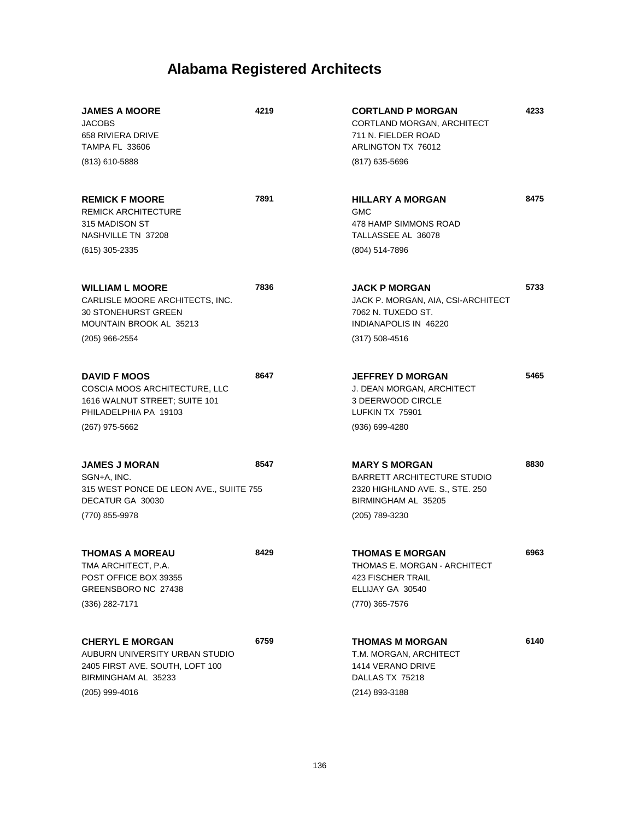| <b>JAMES A MOORE</b><br><b>JACOBS</b><br>658 RIVIERA DRIVE<br><b>TAMPA FL 33606</b>                                                  | 4219 | <b>CORTLAND P MORGAN</b><br>CORTLAND MORGAN, ARCHITECT<br>711 N. FIELDER ROAD<br>ARLINGTON TX 76012                                    | 4233 |
|--------------------------------------------------------------------------------------------------------------------------------------|------|----------------------------------------------------------------------------------------------------------------------------------------|------|
| (813) 610-5888                                                                                                                       |      | (817) 635-5696                                                                                                                         |      |
| <b>REMICK F MOORE</b><br><b>REMICK ARCHITECTURE</b><br>315 MADISON ST<br>NASHVILLE TN 37208                                          | 7891 | <b>HILLARY A MORGAN</b><br><b>GMC</b><br>478 HAMP SIMMONS ROAD<br>TALLASSEE AL 36078                                                   | 8475 |
| $(615)$ 305-2335                                                                                                                     |      | (804) 514-7896                                                                                                                         |      |
| <b>WILLIAM L MOORE</b><br>CARLISLE MOORE ARCHITECTS, INC.<br><b>30 STONEHURST GREEN</b><br>MOUNTAIN BROOK AL 35213                   | 7836 | <b>JACK P MORGAN</b><br>JACK P. MORGAN, AIA, CSI-ARCHITECT<br>7062 N. TUXEDO ST.<br>INDIANAPOLIS IN 46220                              | 5733 |
| (205) 966-2554                                                                                                                       |      | $(317) 508 - 4516$                                                                                                                     |      |
| <b>DAVID F MOOS</b><br>COSCIA MOOS ARCHITECTURE, LLC<br>1616 WALNUT STREET; SUITE 101<br>PHILADELPHIA PA 19103                       | 8647 | <b>JEFFREY D MORGAN</b><br>J. DEAN MORGAN, ARCHITECT<br>3 DEERWOOD CIRCLE<br>LUFKIN TX 75901                                           | 5465 |
| (267) 975-5662                                                                                                                       |      | $(936) 699 - 4280$                                                                                                                     |      |
| <b>JAMES J MORAN</b><br>SGN+A, INC.<br>315 WEST PONCE DE LEON AVE., SUIITE 755<br>DECATUR GA 30030<br>(770) 855-9978                 | 8547 | <b>MARY S MORGAN</b><br><b>BARRETT ARCHITECTURE STUDIO</b><br>2320 HIGHLAND AVE. S., STE. 250<br>BIRMINGHAM AL 35205<br>(205) 789-3230 | 8830 |
| <b>THOMAS A MOREAU</b><br>TMA ARCHITECT, P.A.<br>POST OFFICE BOX 39355<br>GREENSBORO NC 27438                                        | 8429 | <b>THOMAS E MORGAN</b><br>THOMAS E. MORGAN - ARCHITECT<br>423 FISCHER TRAIL<br>ELLIJAY GA 30540                                        | 6963 |
| (336) 282-7171                                                                                                                       |      | (770) 365-7576                                                                                                                         |      |
| <b>CHERYL E MORGAN</b><br>AUBURN UNIVERSITY URBAN STUDIO<br>2405 FIRST AVE. SOUTH, LOFT 100<br>BIRMINGHAM AL 35233<br>(205) 999-4016 | 6759 | <b>THOMAS M MORGAN</b><br>T.M. MORGAN, ARCHITECT<br>1414 VERANO DRIVE<br>DALLAS TX 75218<br>(214) 893-3188                             | 6140 |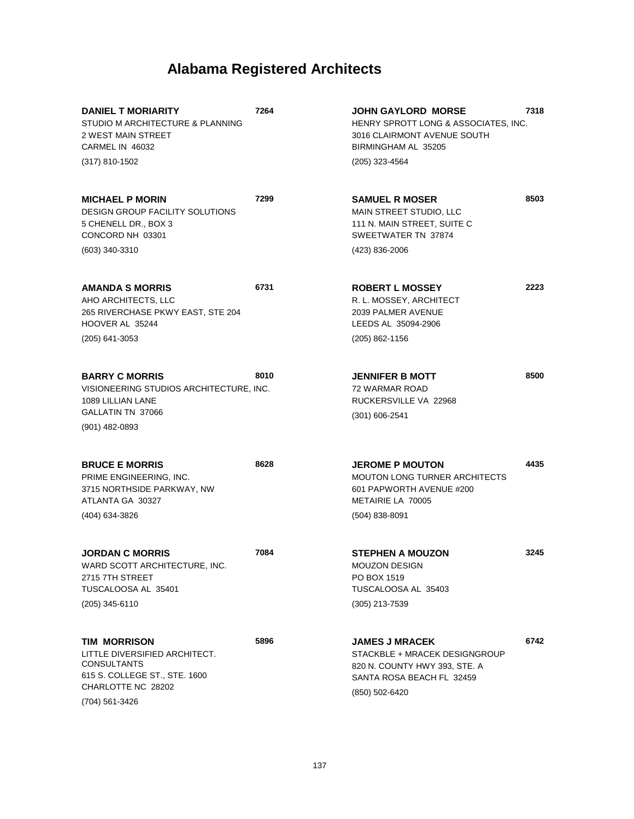| <b>DANIEL T MORIARITY</b><br>STUDIO M ARCHITECTURE & PLANNING<br>2 WEST MAIN STREET<br>CARMEL IN 46032                                       | 7264 | <b>JOHN GAYLORD MORSE</b><br>HENRY SPROTT LONG & ASSOCIATES, INC.<br>3016 CLAIRMONT AVENUE SOUTH<br>BIRMINGHAM AL 35205                | 7318 |
|----------------------------------------------------------------------------------------------------------------------------------------------|------|----------------------------------------------------------------------------------------------------------------------------------------|------|
| (317) 810-1502                                                                                                                               |      | $(205)$ 323-4564                                                                                                                       |      |
| <b>MICHAEL P MORIN</b><br><b>DESIGN GROUP FACILITY SOLUTIONS</b><br>5 CHENELL DR., BOX 3<br>CONCORD NH 03301                                 | 7299 | <b>SAMUEL R MOSER</b><br>MAIN STREET STUDIO, LLC<br>111 N. MAIN STREET, SUITE C<br>SWEETWATER TN 37874                                 | 8503 |
| (603) 340-3310                                                                                                                               |      | (423) 836-2006                                                                                                                         |      |
| <b>AMANDA S MORRIS</b><br>AHO ARCHITECTS, LLC<br>265 RIVERCHASE PKWY EAST, STE 204<br>HOOVER AL 35244                                        | 6731 | <b>ROBERT L MOSSEY</b><br>R. L. MOSSEY, ARCHITECT<br>2039 PALMER AVENUE<br>LEEDS AL 35094-2906                                         | 2223 |
| (205) 641-3053                                                                                                                               |      | $(205)$ 862-1156                                                                                                                       |      |
| <b>BARRY C MORRIS</b><br>VISIONEERING STUDIOS ARCHITECTURE, INC.<br>1089 LILLIAN LANE<br>GALLATIN TN 37066<br>(901) 482-0893                 | 8010 | <b>JENNIFER B MOTT</b><br><b>72 WARMAR ROAD</b><br>RUCKERSVILLE VA 22968<br>$(301) 606 - 2541$                                         | 8500 |
|                                                                                                                                              |      |                                                                                                                                        |      |
| <b>BRUCE E MORRIS</b><br>PRIME ENGINEERING, INC.<br>3715 NORTHSIDE PARKWAY, NW<br>ATLANTA GA 30327<br>(404) 634-3826                         | 8628 | <b>JEROME P MOUTON</b><br><b>MOUTON LONG TURNER ARCHITECTS</b><br>601 PAPWORTH AVENUE #200<br>METAIRIE LA 70005<br>$(504)$ 838-8091    | 4435 |
|                                                                                                                                              |      |                                                                                                                                        |      |
| <b>JORDAN C MORRIS</b><br>WARD SCOTT ARCHITECTURE, INC.<br>2715 7TH STREET<br>TUSCALOOSA AL 35401<br>(205) 345-6110                          | 7084 | <b>STEPHEN A MOUZON</b><br>MOUZON DESIGN<br>PO BOX 1519<br>TUSCALOOSA AL 35403<br>(305) 213-7539                                       | 3245 |
| TIM MORRISON<br>LITTLE DIVERSIFIED ARCHITECT.<br><b>CONSULTANTS</b><br>615 S. COLLEGE ST., STE. 1600<br>CHARLOTTE NC 28202<br>(704) 561-3426 | 5896 | <b>JAMES J MRACEK</b><br>STACKBLE + MRACEK DESIGNGROUP<br>820 N. COUNTY HWY 393, STE. A<br>SANTA ROSA BEACH FL 32459<br>(850) 502-6420 | 6742 |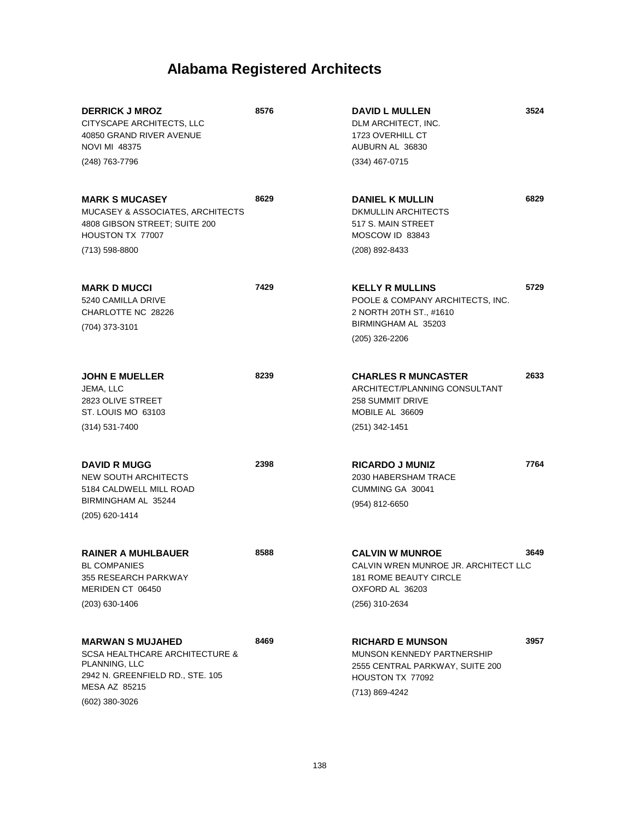| <b>DERRICK J MROZ</b><br>CITYSCAPE ARCHITECTS, LLC<br>40850 GRAND RIVER AVENUE<br><b>NOVI MI 48375</b>                    | 8576 | <b>DAVID L MULLEN</b><br>DLM ARCHITECT, INC.<br>1723 OVERHILL CT<br>AUBURN AL 36830                                                  | 3524 |
|---------------------------------------------------------------------------------------------------------------------------|------|--------------------------------------------------------------------------------------------------------------------------------------|------|
| (248) 763-7796                                                                                                            |      | $(334)$ 467-0715                                                                                                                     |      |
| <b>MARK S MUCASEY</b><br>MUCASEY & ASSOCIATES, ARCHITECTS<br>4808 GIBSON STREET; SUITE 200<br>HOUSTON TX 77007            | 8629 | <b>DANIEL K MULLIN</b><br>DKMULLIN ARCHITECTS<br>517 S. MAIN STREET<br>MOSCOW ID 83843                                               | 6829 |
| (713) 598-8800                                                                                                            |      | (208) 892-8433                                                                                                                       |      |
| <b>MARK D MUCCI</b><br>5240 CAMILLA DRIVE<br>CHARLOTTE NC 28226<br>(704) 373-3101                                         | 7429 | <b>KELLY R MULLINS</b><br>POOLE & COMPANY ARCHITECTS, INC.<br>2 NORTH 20TH ST., #1610<br>BIRMINGHAM AL 35203                         | 5729 |
|                                                                                                                           |      | (205) 326-2206                                                                                                                       |      |
| <b>JOHN E MUELLER</b><br>JEMA, LLC<br>2823 OLIVE STREET<br>ST. LOUIS MO 63103                                             | 8239 | <b>CHARLES R MUNCASTER</b><br>ARCHITECT/PLANNING CONSULTANT<br><b>258 SUMMIT DRIVE</b><br>MOBILE AL 36609                            | 2633 |
| $(314) 531 - 7400$                                                                                                        |      | $(251)$ 342-1451                                                                                                                     |      |
| <b>DAVID R MUGG</b><br><b>NEW SOUTH ARCHITECTS</b><br>5184 CALDWELL MILL ROAD<br>BIRMINGHAM AL 35244                      | 2398 | <b>RICARDO J MUNIZ</b><br>2030 HABERSHAM TRACE<br>CUMMING GA 30041                                                                   | 7764 |
| (205) 620-1414                                                                                                            |      | (954) 812-6650                                                                                                                       |      |
| <b>RAINER A MUHLBAUER</b><br><b>BL COMPANIES</b><br>355 RESEARCH PARKWAY<br>MERIDEN CT 06450<br>(203) 630-1406            | 8588 | <b>CALVIN W MUNROE</b><br>CALVIN WREN MUNROE JR. ARCHITECT LLC<br><b>181 ROME BEAUTY CIRCLE</b><br>OXFORD AL 36203<br>(256) 310-2634 | 3649 |
|                                                                                                                           |      |                                                                                                                                      |      |
| <b>MARWAN S MUJAHED</b><br><b>SCSA HEALTHCARE ARCHITECTURE &amp;</b><br>PLANNING, LLC<br>2942 N. GREENFIELD RD., STE. 105 | 8469 | <b>RICHARD E MUNSON</b><br>MUNSON KENNEDY PARTNERSHIP<br>2555 CENTRAL PARKWAY, SUITE 200<br>HOUSTON TX 77092                         | 3957 |
| <b>MESA AZ 85215</b><br>$(602)$ 380-3026                                                                                  |      | (713) 869-4242                                                                                                                       |      |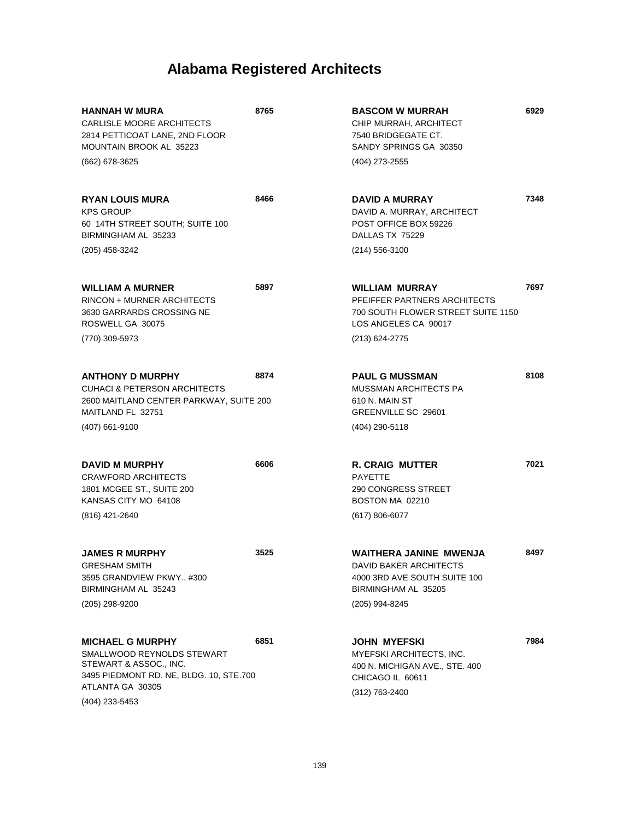| <b>HANNAH W MURA</b><br>CARLISLE MOORE ARCHITECTS<br>2814 PETTICOAT LANE, 2ND FLOOR<br>MOUNTAIN BROOK AL 35223<br>(662) 678-3625                                 | 8765 | <b>BASCOM W MURRAH</b><br>CHIP MURRAH, ARCHITECT<br>7540 BRIDGEGATE CT.<br>SANDY SPRINGS GA 30350<br>(404) 273-2555                   | 6929 |
|------------------------------------------------------------------------------------------------------------------------------------------------------------------|------|---------------------------------------------------------------------------------------------------------------------------------------|------|
| <b>RYAN LOUIS MURA</b><br><b>KPS GROUP</b><br>60 14TH STREET SOUTH; SUITE 100<br>BIRMINGHAM AL 35233<br>(205) 458-3242                                           | 8466 | <b>DAVID A MURRAY</b><br>DAVID A. MURRAY, ARCHITECT<br>POST OFFICE BOX 59226<br>DALLAS TX 75229<br>$(214)$ 556-3100                   | 7348 |
| <b>WILLIAM A MURNER</b><br>RINCON + MURNER ARCHITECTS<br>3630 GARRARDS CROSSING NE<br>ROSWELL GA 30075<br>(770) 309-5973                                         | 5897 | <b>WILLIAM MURRAY</b><br>PFEIFFER PARTNERS ARCHITECTS<br>700 SOUTH FLOWER STREET SUITE 1150<br>LOS ANGELES CA 90017<br>(213) 624-2775 | 7697 |
| <b>ANTHONY D MURPHY</b><br><b>CUHACI &amp; PETERSON ARCHITECTS</b><br>2600 MAITLAND CENTER PARKWAY, SUITE 200<br>MAITLAND FL 32751<br>(407) 661-9100             | 8874 | <b>PAUL G MUSSMAN</b><br><b>MUSSMAN ARCHITECTS PA</b><br>610 N. MAIN ST<br>GREENVILLE SC 29601<br>(404) 290-5118                      | 8108 |
| <b>DAVID M MURPHY</b><br><b>CRAWFORD ARCHITECTS</b><br>1801 MCGEE ST., SUITE 200<br>KANSAS CITY MO 64108<br>(816) 421-2640                                       | 6606 | <b>R. CRAIG MUTTER</b><br><b>PAYETTE</b><br>290 CONGRESS STREET<br>BOSTON MA 02210<br>$(617) 806 - 6077$                              | 7021 |
| <b>JAMES R MURPHY</b><br><b>GRESHAM SMITH</b><br>3595 GRANDVIEW PKWY., #300<br>BIRMINGHAM AL 35243<br>(205) 298-9200                                             | 3525 | <b>WAITHERA JANINE MWENJA</b><br>DAVID BAKER ARCHITECTS<br>4000 3RD AVE SOUTH SUITE 100<br>BIRMINGHAM AL 35205<br>(205) 994-8245      | 8497 |
| <b>MICHAEL G MURPHY</b><br>SMALLWOOD REYNOLDS STEWART<br>STEWART & ASSOC., INC.<br>3495 PIEDMONT RD. NE, BLDG. 10, STE.700<br>ATLANTA GA 30305<br>(404) 233-5453 | 6851 | JOHN MYEFSKI<br>MYEFSKI ARCHITECTS, INC.<br>400 N. MICHIGAN AVE., STE. 400<br>CHICAGO IL 60611<br>(312) 763-2400                      | 7984 |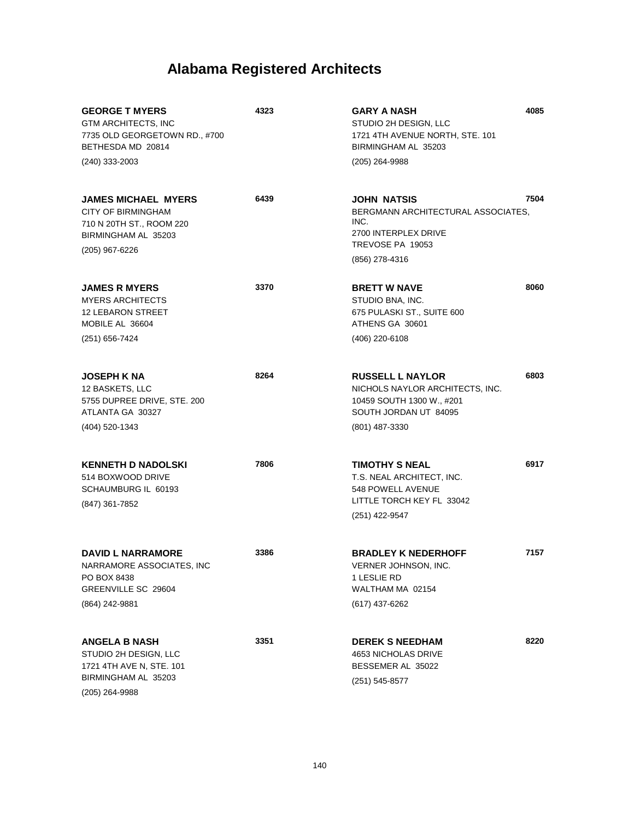| <b>GEORGE T MYERS</b><br>GTM ARCHITECTS, INC<br>7735 OLD GEORGETOWN RD., #700<br>BETHESDA MD 20814<br>(240) 333-2003 | 4323 | <b>GARY A NASH</b><br>STUDIO 2H DESIGN, LLC<br>1721 4TH AVENUE NORTH, STE. 101<br>BIRMINGHAM AL 35203<br>(205) 264-9988 | 4085 |
|----------------------------------------------------------------------------------------------------------------------|------|-------------------------------------------------------------------------------------------------------------------------|------|
|                                                                                                                      |      |                                                                                                                         |      |
| <b>JAMES MICHAEL MYERS</b><br><b>CITY OF BIRMINGHAM</b><br>710 N 20TH ST., ROOM 220<br>BIRMINGHAM AL 35203           | 6439 | JOHN NATSIS<br>BERGMANN ARCHITECTURAL ASSOCIATES,<br>INC.<br>2700 INTERPLEX DRIVE                                       | 7504 |
| (205) 967-6226                                                                                                       |      | TREVOSE PA 19053<br>(856) 278-4316                                                                                      |      |
| <b>JAMES R MYERS</b><br><b>MYERS ARCHITECTS</b><br><b>12 LEBARON STREET</b><br>MOBILE AL 36604                       | 3370 | <b>BRETT W NAVE</b><br>STUDIO BNA, INC.<br>675 PULASKI ST., SUITE 600<br>ATHENS GA 30601                                | 8060 |
| (251) 656-7424                                                                                                       |      | (406) 220-6108                                                                                                          |      |
| <b>JOSEPH K NA</b><br>12 BASKETS, LLC<br>5755 DUPREE DRIVE, STE. 200<br>ATLANTA GA 30327                             | 8264 | <b>RUSSELL L NAYLOR</b><br>NICHOLS NAYLOR ARCHITECTS, INC.<br>10459 SOUTH 1300 W., #201<br>SOUTH JORDAN UT 84095        | 6803 |
| (404) 520-1343                                                                                                       |      | (801) 487-3330                                                                                                          |      |
| <b>KENNETH D NADOLSKI</b><br>514 BOXWOOD DRIVE<br>SCHAUMBURG IL 60193<br>(847) 361-7852                              | 7806 | <b>TIMOTHY S NEAL</b><br>T.S. NEAL ARCHITECT, INC.<br>548 POWELL AVENUE<br>LITTLE TORCH KEY FL 33042<br>(251) 422-9547  | 6917 |
| <b>DAVID L NARRAMORE</b><br>NARRAMORE ASSOCIATES, INC<br>PO BOX 8438<br>GREENVILLE SC 29604<br>(864) 242-9881        | 3386 | <b>BRADLEY K NEDERHOFF</b><br>VERNER JOHNSON, INC.<br>1 LESLIE RD<br>WALTHAM MA 02154<br>(617) 437-6262                 | 7157 |
| <b>ANGELA B NASH</b><br>STUDIO 2H DESIGN, LLC<br>1721 4TH AVE N, STE. 101<br>BIRMINGHAM AL 35203<br>(205) 264-9988   | 3351 | <b>DEREK S NEEDHAM</b><br>4653 NICHOLAS DRIVE<br>BESSEMER AL 35022<br>$(251) 545 - 8577$                                | 8220 |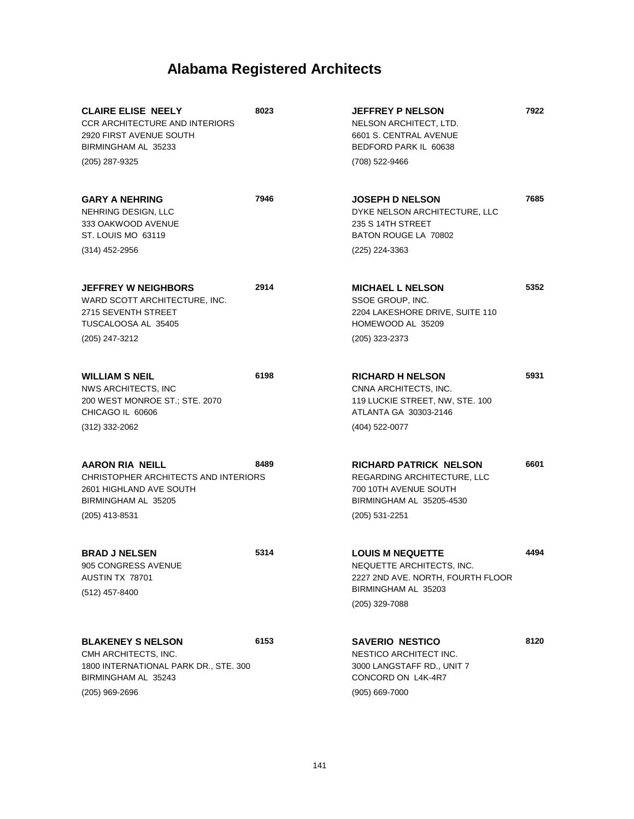| <b>CLAIRE ELISE NEELY</b><br><b>CCR ARCHITECTURE AND INTERIORS</b><br>2920 FIRST AVENUE SOUTH<br>BIRMINGHAM AL 35233                 | 8023 | <b>JEFFREY P NELSON</b><br>NELSON ARCHITECT, LTD.<br>6601 S. CENTRAL AVENUE<br>BEDFORD PARK IL 60638                                  | 7922 |
|--------------------------------------------------------------------------------------------------------------------------------------|------|---------------------------------------------------------------------------------------------------------------------------------------|------|
| (205) 287-9325                                                                                                                       |      | (708) 522-9466                                                                                                                        |      |
| <b>GARY A NEHRING</b><br>NEHRING DESIGN, LLC<br>333 OAKWOOD AVENUE<br>ST. LOUIS MO 63119                                             | 7946 | <b>JOSEPH D NELSON</b><br>DYKE NELSON ARCHITECTURE, LLC<br>235 S 14TH STREET<br>BATON ROUGE LA 70802                                  | 7685 |
| (314) 452-2956                                                                                                                       |      | (225) 224-3363                                                                                                                        |      |
| <b>JEFFREY W NEIGHBORS</b><br>WARD SCOTT ARCHITECTURE, INC.<br>2715 SEVENTH STREET<br>TUSCALOOSA AL 35405<br>(205) 247-3212          | 2914 | <b>MICHAEL L NELSON</b><br>SSOE GROUP, INC.<br>2204 LAKESHORE DRIVE, SUITE 110<br>HOMEWOOD AL 35209                                   | 5352 |
|                                                                                                                                      |      | (205) 323-2373                                                                                                                        |      |
| <b>WILLIAM S NEIL</b><br>NWS ARCHITECTS, INC<br>200 WEST MONROE ST.; STE. 2070<br>CHICAGO IL 60606                                   | 6198 | <b>RICHARD H NELSON</b><br>CNNA ARCHITECTS, INC.<br>119 LUCKIE STREET, NW, STE. 100<br>ATLANTA GA 30303-2146                          | 5931 |
| (312) 332-2062                                                                                                                       |      | (404) 522-0077                                                                                                                        |      |
| AARON RIA NEILL<br>CHRISTOPHER ARCHITECTS AND INTERIORS<br>2601 HIGHLAND AVE SOUTH<br>BIRMINGHAM AL 35205<br>(205) 413-8531          | 8489 | <b>RICHARD PATRICK NELSON</b><br>REGARDING ARCHITECTURE, LLC<br>700 10TH AVENUE SOUTH<br>BIRMINGHAM AL 35205-4530<br>$(205)$ 531-2251 | 6601 |
| <b>BRAD J NELSEN</b><br>905 CONGRESS AVENUE<br>AUSTIN TX 78701<br>(512) 457-8400                                                     | 5314 | <b>LOUIS M NEQUETTE</b><br>NEQUETTE ARCHITECTS, INC.<br>2227 2ND AVE. NORTH, FOURTH FLOOR<br>BIRMINGHAM AL 35203<br>(205) 329-7088    | 4494 |
| <b>BLAKENEY S NELSON</b><br>CMH ARCHITECTS, INC.<br>1800 INTERNATIONAL PARK DR., STE. 300<br>BIRMINGHAM AL 35243<br>$(205)$ 969-2696 | 6153 | <b>SAVERIO NESTICO</b><br>NESTICO ARCHITECT INC.<br>3000 LANGSTAFF RD., UNIT 7<br>CONCORD ON L4K-4R7<br>(905) 669-7000                | 8120 |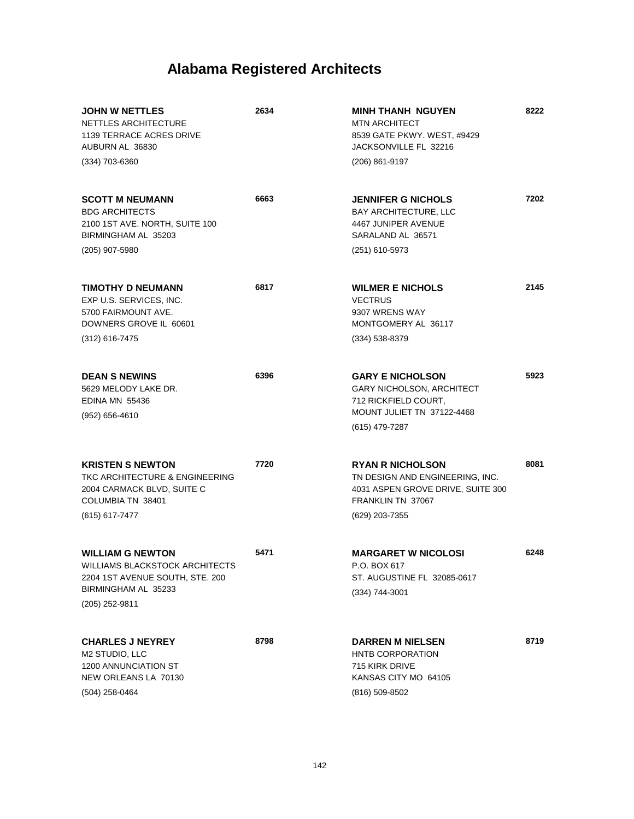| <b>JOHN W NETTLES</b><br>NETTLES ARCHITECTURE<br>1139 TERRACE ACRES DRIVE<br>AUBURN AL 36830<br>(334) 703-6360                        | 2634 | <b>MINH THANH NGUYEN</b><br><b>MTN ARCHITECT</b><br>8539 GATE PKWY. WEST, #9429<br>JACKSONVILLE FL 32216<br>(206) 861-9197             | 8222 |
|---------------------------------------------------------------------------------------------------------------------------------------|------|----------------------------------------------------------------------------------------------------------------------------------------|------|
| <b>SCOTT M NEUMANN</b><br><b>BDG ARCHITECTS</b><br>2100 1ST AVE. NORTH, SUITE 100<br>BIRMINGHAM AL 35203<br>(205) 907-5980            | 6663 | <b>JENNIFER G NICHOLS</b><br><b>BAY ARCHITECTURE, LLC</b><br>4467 JUNIPER AVENUE<br>SARALAND AL 36571<br>(251) 610-5973                | 7202 |
| <b>TIMOTHY D NEUMANN</b><br>EXP U.S. SERVICES, INC.<br>5700 FAIRMOUNT AVE.<br>DOWNERS GROVE IL 60601<br>$(312)$ 616-7475              | 6817 | <b>WILMER E NICHOLS</b><br><b>VECTRUS</b><br>9307 WRENS WAY<br>MONTGOMERY AL 36117<br>$(334) 538 - 8379$                               | 2145 |
| <b>DEAN S NEWINS</b><br>5629 MELODY LAKE DR.<br><b>EDINA MN 55436</b><br>$(952)$ 656-4610                                             | 6396 | <b>GARY E NICHOLSON</b><br><b>GARY NICHOLSON, ARCHITECT</b><br>712 RICKFIELD COURT,<br>MOUNT JULIET TN 37122-4468<br>(615) 479-7287    | 5923 |
| <b>KRISTEN S NEWTON</b><br>TKC ARCHITECTURE & ENGINEERING<br>2004 CARMACK BLVD, SUITE C<br>COLUMBIA TN 38401<br>(615) 617-7477        | 7720 | <b>RYAN R NICHOLSON</b><br>TN DESIGN AND ENGINEERING, INC.<br>4031 ASPEN GROVE DRIVE, SUITE 300<br>FRANKLIN TN 37067<br>(629) 203-7355 | 8081 |
| <b>WILLIAM G NEWTON</b><br>WILLIAMS BLACKSTOCK ARCHITECTS<br>2204 1ST AVENUE SOUTH, STE. 200<br>BIRMINGHAM AL 35233<br>(205) 252-9811 | 5471 | <b>MARGARET W NICOLOSI</b><br>P.O. BOX 617<br>ST. AUGUSTINE FL 32085-0617<br>(334) 744-3001                                            | 6248 |
| <b>CHARLES J NEYREY</b><br>M2 STUDIO, LLC<br><b>1200 ANNUNCIATION ST</b><br>NEW ORLEANS LA 70130<br>$(504)$ 258-0464                  | 8798 | <b>DARREN M NIELSEN</b><br><b>HNTB CORPORATION</b><br>715 KIRK DRIVE<br>KANSAS CITY MO 64105<br>(816) 509-8502                         | 8719 |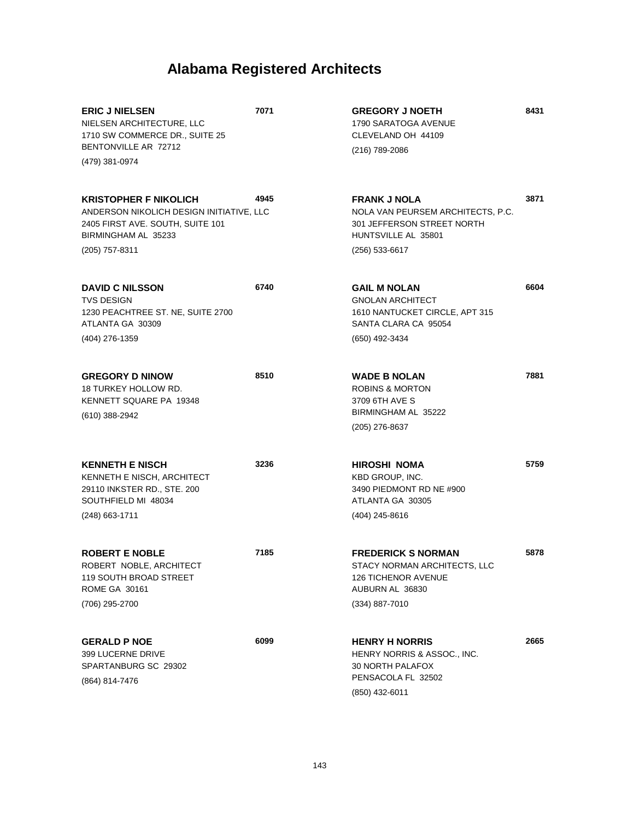| <b>ERIC J NIELSEN</b><br>NIELSEN ARCHITECTURE, LLC<br>1710 SW COMMERCE DR., SUITE 25<br>BENTONVILLE AR 72712                        | 7071 | <b>GREGORY J NOETH</b><br>1790 SARATOGA AVENUE<br>CLEVELAND OH 44109<br>(216) 789-2086                                       | 8431 |
|-------------------------------------------------------------------------------------------------------------------------------------|------|------------------------------------------------------------------------------------------------------------------------------|------|
| (479) 381-0974                                                                                                                      |      |                                                                                                                              |      |
| <b>KRISTOPHER F NIKOLICH</b><br>ANDERSON NIKOLICH DESIGN INITIATIVE, LLC<br>2405 FIRST AVE. SOUTH, SUITE 101<br>BIRMINGHAM AL 35233 | 4945 | <b>FRANK J NOLA</b><br>NOLA VAN PEURSEM ARCHITECTS, P.C.<br>301 JEFFERSON STREET NORTH<br>HUNTSVILLE AL 35801                | 3871 |
| (205) 757-8311                                                                                                                      |      | (256) 533-6617                                                                                                               |      |
| <b>DAVID C NILSSON</b><br><b>TVS DESIGN</b><br>1230 PEACHTREE ST. NE, SUITE 2700<br>ATLANTA GA 30309                                | 6740 | <b>GAIL M NOLAN</b><br><b>GNOLAN ARCHITECT</b><br>1610 NANTUCKET CIRCLE, APT 315<br>SANTA CLARA CA 95054                     | 6604 |
| (404) 276-1359                                                                                                                      |      | (650) 492-3434                                                                                                               |      |
| <b>GREGORY D NINOW</b><br>18 TURKEY HOLLOW RD.<br>KENNETT SQUARE PA 19348<br>(610) 388-2942                                         | 8510 | <b>WADE B NOLAN</b><br><b>ROBINS &amp; MORTON</b><br>3709 6TH AVE S<br>BIRMINGHAM AL 35222<br>(205) 276-8637                 | 7881 |
| <b>KENNETH E NISCH</b><br>KENNETH E NISCH, ARCHITECT<br>29110 INKSTER RD., STE. 200<br>SOUTHFIELD MI 48034<br>$(248)$ 663-1711      | 3236 | HIROSHI NOMA<br>KBD GROUP, INC.<br>3490 PIEDMONT RD NE #900<br>ATLANTA GA 30305<br>(404) 245-8616                            | 5759 |
| <b>ROBERT E NOBLE</b><br>ROBERT NOBLE, ARCHITECT<br>119 SOUTH BROAD STREET<br><b>ROME GA 30161</b><br>(706) 295-2700                | 7185 | <b>FREDERICK S NORMAN</b><br>STACY NORMAN ARCHITECTS, LLC<br><b>126 TICHENOR AVENUE</b><br>AUBURN AL 36830<br>(334) 887-7010 | 5878 |
| <b>GERALD P NOE</b><br>399 LUCERNE DRIVE<br>SPARTANBURG SC 29302<br>(864) 814-7476                                                  | 6099 | <b>HENRY H NORRIS</b><br>HENRY NORRIS & ASSOC., INC.<br>30 NORTH PALAFOX<br>PENSACOLA FL 32502<br>(850) 432-6011             | 2665 |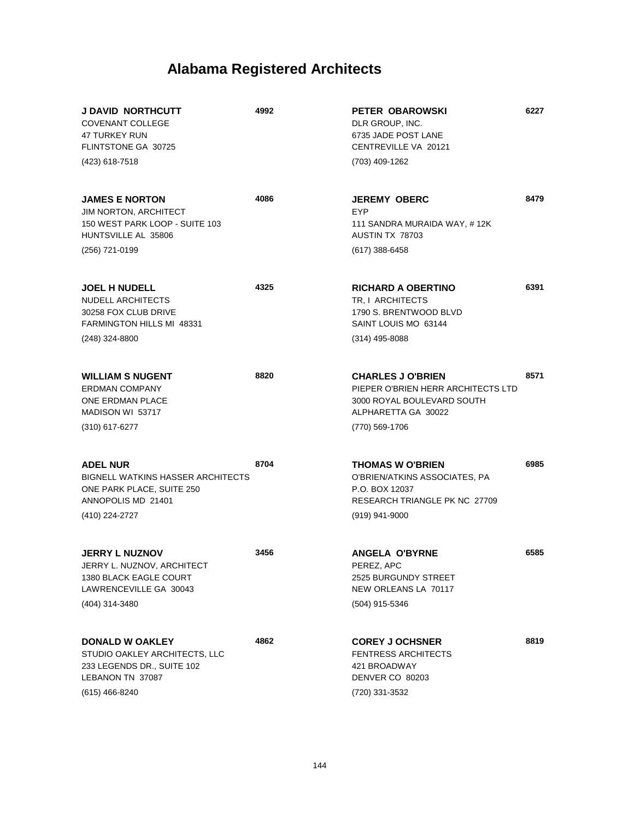| <b>J DAVID NORTHCUTT</b><br><b>COVENANT COLLEGE</b><br>47 TURKEY RUN<br>FLINTSTONE GA 30725<br>(423) 618-7518                    | 4992 | PETER OBAROWSKI<br>DLR GROUP, INC.<br>6735 JADE POST LANE<br>CENTREVILLE VA 20121<br>(703) 409-1262                                   | 6227 |
|----------------------------------------------------------------------------------------------------------------------------------|------|---------------------------------------------------------------------------------------------------------------------------------------|------|
| <b>JAMES E NORTON</b><br>JIM NORTON, ARCHITECT<br>150 WEST PARK LOOP - SUITE 103<br>HUNTSVILLE AL 35806<br>(256) 721-0199        | 4086 | <b>JEREMY OBERC</b><br><b>EYP</b><br>111 SANDRA MURAIDA WAY, #12K<br>AUSTIN TX 78703<br>$(617)$ 388-6458                              | 8479 |
| <b>JOEL H NUDELL</b><br>NUDELL ARCHITECTS<br>30258 FOX CLUB DRIVE<br>FARMINGTON HILLS MI 48331<br>(248) 324-8800                 | 4325 | <b>RICHARD A OBERTINO</b><br>TR. I ARCHITECTS<br>1790 S. BRENTWOOD BLVD<br>SAINT LOUIS MO 63144<br>(314) 495-8088                     | 6391 |
| <b>WILLIAM S NUGENT</b><br><b>ERDMAN COMPANY</b><br><b>ONE ERDMAN PLACE</b><br>MADISON WI 53717<br>$(310)$ 617-6277              | 8820 | <b>CHARLES J O'BRIEN</b><br>PIEPER O'BRIEN HERR ARCHITECTS LTD<br>3000 ROYAL BOULEVARD SOUTH<br>ALPHARETTA GA 30022<br>(770) 569-1706 | 8571 |
| <b>ADEL NUR</b><br><b>BIGNELL WATKINS HASSER ARCHITECTS</b><br>ONE PARK PLACE, SUITE 250<br>ANNOPOLIS MD 21401<br>(410) 224-2727 | 8704 | <b>THOMAS W O'BRIEN</b><br>O'BRIEN/ATKINS ASSOCIATES, PA<br>P.O. BOX 12037<br><b>RESEARCH TRIANGLE PK NC 27709</b><br>(919) 941-9000  | 6985 |
| <b>JERRY L NUZNOV</b><br>JERRY L. NUZNOV, ARCHITECT<br><b>1380 BLACK EAGLE COURT</b><br>LAWRENCEVILLE GA 30043<br>(404) 314-3480 | 3456 | <b>ANGELA O'BYRNE</b><br>PEREZ, APC<br>2525 BURGUNDY STREET<br>NEW ORLEANS LA 70117<br>(504) 915-5346                                 | 6585 |
| DONALD W OAKLEY<br>STUDIO OAKLEY ARCHITECTS, LLC<br>233 LEGENDS DR., SUITE 102<br>LEBANON TN 37087<br>(615) 466-8240             | 4862 | <b>COREY J OCHSNER</b><br><b>FENTRESS ARCHITECTS</b><br>421 BROADWAY<br>DENVER CO 80203<br>(720) 331-3532                             | 8819 |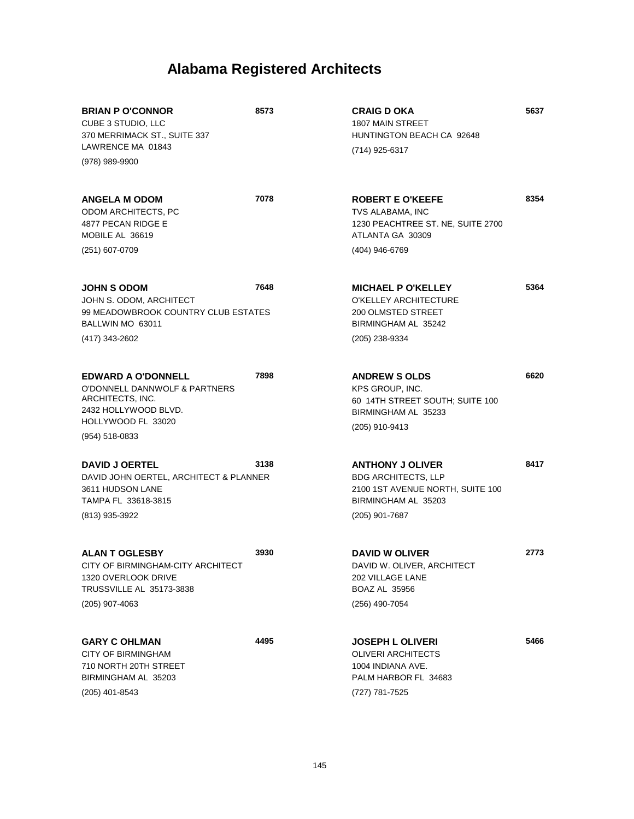| <b>BRIAN P O'CONNOR</b><br>CUBE 3 STUDIO, LLC<br>370 MERRIMACK ST., SUITE 337<br>LAWRENCE MA 01843                                             | 8573 | <b>CRAIG D OKA</b><br>1807 MAIN STREET<br>HUNTINGTON BEACH CA 92648<br>(714) 925-6317                                              | 5637 |
|------------------------------------------------------------------------------------------------------------------------------------------------|------|------------------------------------------------------------------------------------------------------------------------------------|------|
| (978) 989-9900                                                                                                                                 |      |                                                                                                                                    |      |
| <b>ANGELA M ODOM</b><br>ODOM ARCHITECTS, PC<br>4877 PECAN RIDGE E<br>MOBILE AL 36619                                                           | 7078 | <b>ROBERT E O'KEEFE</b><br>TVS ALABAMA, INC<br>1230 PEACHTREE ST. NE, SUITE 2700<br>ATLANTA GA 30309                               | 8354 |
| (251) 607-0709                                                                                                                                 |      | (404) 946-6769                                                                                                                     |      |
| <b>JOHN S ODOM</b><br>JOHN S. ODOM, ARCHITECT<br>99 MEADOWBROOK COUNTRY CLUB ESTATES<br>BALLWIN MO 63011<br>(417) 343-2602                     | 7648 | <b>MICHAEL P O'KELLEY</b><br>O'KELLEY ARCHITECTURE<br>200 OLMSTED STREET<br>BIRMINGHAM AL 35242<br>(205) 238-9334                  | 5364 |
| <b>EDWARD A O'DONNELL</b><br>O'DONNELL DANNWOLF & PARTNERS<br>ARCHITECTS, INC.<br>2432 HOLLYWOOD BLVD.<br>HOLLYWOOD FL 33020<br>(954) 518-0833 | 7898 | <b>ANDREW S OLDS</b><br>KPS GROUP, INC.<br>60 14TH STREET SOUTH; SUITE 100<br>BIRMINGHAM AL 35233<br>(205) 910-9413                | 6620 |
| <b>DAVID J OERTEL</b><br>DAVID JOHN OERTEL, ARCHITECT & PLANNER<br>3611 HUDSON LANE<br>TAMPA FL 33618-3815<br>(813) 935-3922                   | 3138 | <b>ANTHONY J OLIVER</b><br><b>BDG ARCHITECTS, LLP</b><br>2100 1ST AVENUE NORTH, SUITE 100<br>BIRMINGHAM AL 35203<br>(205) 901-7687 | 8417 |
| <b>ALAN T OGLESBY</b><br>CITY OF BIRMINGHAM-CITY ARCHITECT<br>1320 OVERLOOK DRIVE<br><b>TRUSSVILLE AL 35173-3838</b><br>(205) 907-4063         | 3930 | <b>DAVID W OLIVER</b><br>DAVID W. OLIVER, ARCHITECT<br>202 VILLAGE LANE<br><b>BOAZ AL 35956</b><br>(256) 490-7054                  | 2773 |
| <b>GARY C OHLMAN</b><br>CITY OF BIRMINGHAM<br>710 NORTH 20TH STREET<br>BIRMINGHAM AL 35203<br>(205) 401-8543                                   | 4495 | <b>JOSEPH L OLIVERI</b><br><b>OLIVERI ARCHITECTS</b><br>1004 INDIANA AVE.<br>PALM HARBOR FL 34683<br>(727) 781-7525                | 5466 |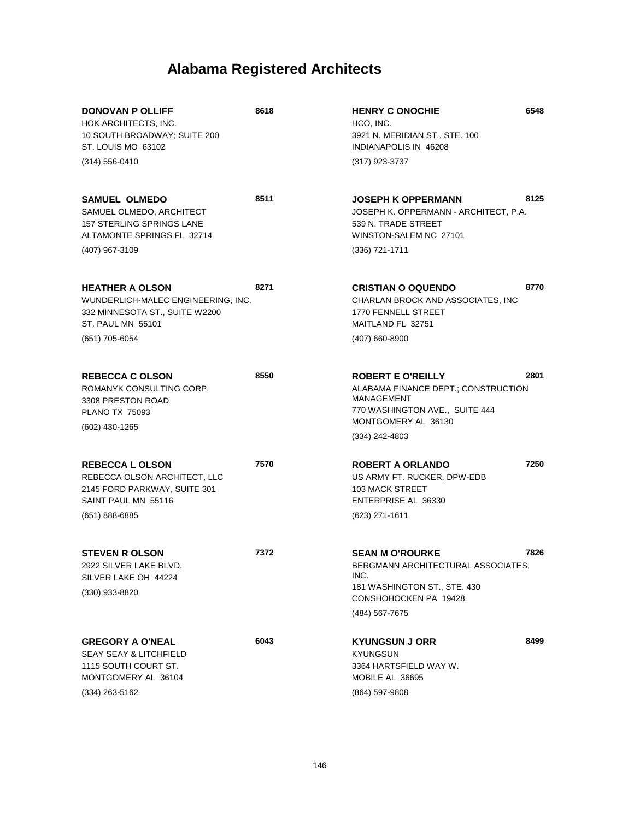| <b>DONOVAN P OLLIFF</b><br>HOK ARCHITECTS, INC.<br>10 SOUTH BROADWAY; SUITE 200<br>ST. LOUIS MO 63102                               | 8618 | <b>HENRY C ONOCHIE</b><br>HCO, INC.<br>3921 N. MERIDIAN ST., STE. 100<br>INDIANAPOLIS IN 46208                                                                    | 6548 |
|-------------------------------------------------------------------------------------------------------------------------------------|------|-------------------------------------------------------------------------------------------------------------------------------------------------------------------|------|
| $(314) 556 - 0410$                                                                                                                  |      | (317) 923-3737                                                                                                                                                    |      |
| <b>SAMUEL OLMEDO</b><br>SAMUEL OLMEDO, ARCHITECT<br><b>157 STERLING SPRINGS LANE</b><br>ALTAMONTE SPRINGS FL 32714                  | 8511 | JOSEPH K OPPERMANN<br>JOSEPH K. OPPERMANN - ARCHITECT, P.A.<br>539 N. TRADE STREET<br>WINSTON-SALEM NC 27101                                                      | 8125 |
| (407) 967-3109                                                                                                                      |      | (336) 721-1711                                                                                                                                                    |      |
| <b>HEATHER A OLSON</b><br>WUNDERLICH-MALEC ENGINEERING, INC.<br>332 MINNESOTA ST., SUITE W2200<br><b>ST. PAUL MN 55101</b>          | 8271 | <b>CRISTIAN O OQUENDO</b><br>CHARLAN BROCK AND ASSOCIATES, INC<br>1770 FENNELL STREET<br>MAITLAND FL 32751                                                        | 8770 |
| (651) 705-6054                                                                                                                      |      | (407) 660-8900                                                                                                                                                    |      |
| <b>REBECCA C OLSON</b><br>ROMANYK CONSULTING CORP.<br>3308 PRESTON ROAD<br><b>PLANO TX 75093</b><br>(602) 430-1265                  | 8550 | <b>ROBERT E O'REILLY</b><br>ALABAMA FINANCE DEPT.; CONSTRUCTION<br><b>MANAGEMENT</b><br>770 WASHINGTON AVE., SUITE 444<br>MONTGOMERY AL 36130<br>$(334)$ 242-4803 | 2801 |
| <b>REBECCA L OLSON</b><br>REBECCA OLSON ARCHITECT, LLC<br>2145 FORD PARKWAY, SUITE 301<br>SAINT PAUL MN 55116<br>$(651) 888 - 6885$ | 7570 | <b>ROBERT A ORLANDO</b><br>US ARMY FT. RUCKER, DPW-EDB<br><b>103 MACK STREET</b><br>ENTERPRISE AL 36330<br>(623) 271-1611                                         | 7250 |
| <b>STEVEN R OLSON</b><br>2922 SILVER LAKE BLVD.<br>SILVER LAKE OH 44224<br>$(330)$ 933-8820                                         | 7372 | <b>SEAN M O'ROURKE</b><br>BERGMANN ARCHITECTURAL ASSOCIATES,<br>INC.<br>181 WASHINGTON ST., STE. 430<br>CONSHOHOCKEN PA 19428<br>(484) 567-7675                   | 7826 |
| <b>GREGORY A O'NEAL</b><br><b>SEAY SEAY &amp; LITCHFIELD</b><br>1115 SOUTH COURT ST.<br>MONTGOMERY AL 36104<br>(334) 263-5162       | 6043 | <b>KYUNGSUN J ORR</b><br>KYUNGSUN<br>3364 HARTSFIELD WAY W.<br>MOBILE AL 36695<br>(864) 597-9808                                                                  | 8499 |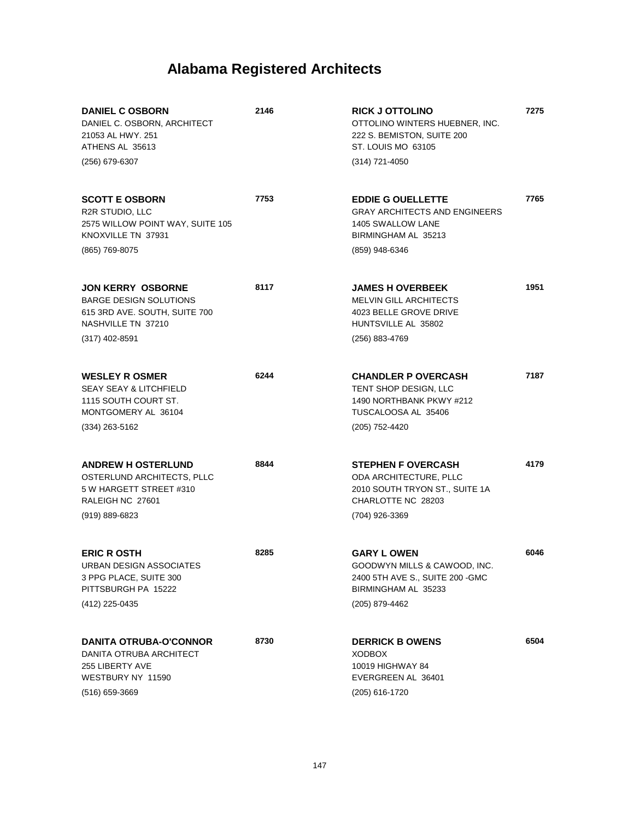| <b>DANIEL C OSBORN</b><br>DANIEL C. OSBORN, ARCHITECT<br>21053 AL HWY. 251<br>ATHENS AL 35613<br>(256) 679-6307      | 2146 | <b>RICK J OTTOLINO</b><br>OTTOLINO WINTERS HUEBNER, INC.<br>222 S. BEMISTON, SUITE 200<br>ST. LOUIS MO 63105<br>(314) 721-4050 | 7275 |
|----------------------------------------------------------------------------------------------------------------------|------|--------------------------------------------------------------------------------------------------------------------------------|------|
|                                                                                                                      |      |                                                                                                                                |      |
| <b>SCOTT E OSBORN</b><br>R2R STUDIO, LLC<br>2575 WILLOW POINT WAY, SUITE 105<br>KNOXVILLE TN 37931                   | 7753 | <b>EDDIE G OUELLETTE</b><br><b>GRAY ARCHITECTS AND ENGINEERS</b><br>1405 SWALLOW LANE<br>BIRMINGHAM AL 35213                   | 7765 |
| (865) 769-8075                                                                                                       |      | (859) 948-6346                                                                                                                 |      |
| <b>JON KERRY OSBORNE</b><br><b>BARGE DESIGN SOLUTIONS</b><br>615 3RD AVE. SOUTH, SUITE 700<br>NASHVILLE TN 37210     | 8117 | <b>JAMES H OVERBEEK</b><br><b>MELVIN GILL ARCHITECTS</b><br>4023 BELLE GROVE DRIVE<br>HUNTSVILLE AL 35802                      | 1951 |
| $(317)$ 402-8591                                                                                                     |      | (256) 883-4769                                                                                                                 |      |
| <b>WESLEY R OSMER</b><br><b>SEAY SEAY &amp; LITCHFIELD</b><br>1115 SOUTH COURT ST.<br>MONTGOMERY AL 36104            | 6244 | <b>CHANDLER P OVERCASH</b><br><b>TENT SHOP DESIGN, LLC</b><br>1490 NORTHBANK PKWY #212<br>TUSCALOOSA AL 35406                  | 7187 |
| (334) 263-5162                                                                                                       |      | (205) 752-4420                                                                                                                 |      |
| <b>ANDREW H OSTERLUND</b><br>OSTERLUND ARCHITECTS, PLLC<br>5 W HARGETT STREET #310<br>RALEIGH NC 27601               | 8844 | <b>STEPHEN F OVERCASH</b><br>ODA ARCHITECTURE, PLLC<br>2010 SOUTH TRYON ST., SUITE 1A<br>CHARLOTTE NC 28203                    | 4179 |
| $(919) 889 - 6823$                                                                                                   |      | (704) 926-3369                                                                                                                 |      |
| <b>ERIC R OSTH</b><br>URBAN DESIGN ASSOCIATES<br>3 PPG PLACE, SUITE 300<br>PITTSBURGH PA 15222                       | 8285 | <b>GARY L OWEN</b><br>GOODWYN MILLS & CAWOOD, INC.<br>2400 5TH AVE S., SUITE 200 - GMC<br>BIRMINGHAM AL 35233                  | 6046 |
| (412) 225-0435                                                                                                       |      | (205) 879-4462                                                                                                                 |      |
| <b>DANITA OTRUBA-O'CONNOR</b><br>DANITA OTRUBA ARCHITECT<br>255 LIBERTY AVE<br>WESTBURY NY 11590<br>$(516)$ 659-3669 | 8730 | <b>DERRICK B OWENS</b><br><b>XODBOX</b><br>10019 HIGHWAY 84<br>EVERGREEN AL 36401<br>(205) 616-1720                            | 6504 |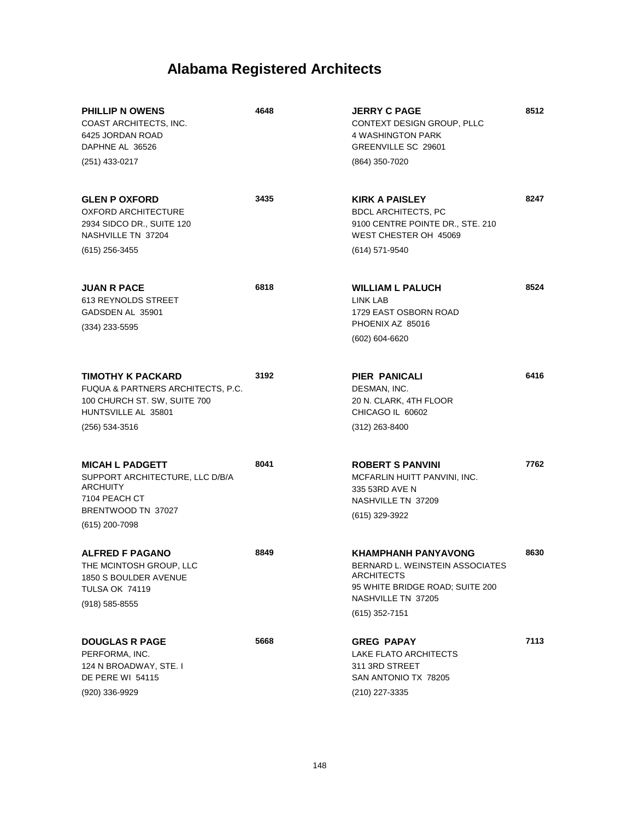| <b>PHILLIP N OWENS</b><br>COAST ARCHITECTS, INC.<br>6425 JORDAN ROAD<br>DAPHNE AL 36526                                                | 4648 | <b>JERRY C PAGE</b><br>CONTEXT DESIGN GROUP, PLLC<br>4 WASHINGTON PARK<br>GREENVILLE SC 29601                                                          | 8512 |
|----------------------------------------------------------------------------------------------------------------------------------------|------|--------------------------------------------------------------------------------------------------------------------------------------------------------|------|
| (251) 433-0217                                                                                                                         |      | (864) 350-7020                                                                                                                                         |      |
| <b>GLEN P OXFORD</b><br><b>OXFORD ARCHITECTURE</b><br>2934 SIDCO DR., SUITE 120<br>NASHVILLE TN 37204                                  | 3435 | <b>KIRK A PAISLEY</b><br><b>BDCL ARCHITECTS, PC</b><br>9100 CENTRE POINTE DR., STE. 210<br>WEST CHESTER OH 45069                                       | 8247 |
| $(615)$ 256-3455                                                                                                                       |      | (614) 571-9540                                                                                                                                         |      |
| <b>JUAN R PACE</b><br>613 REYNOLDS STREET<br>GADSDEN AL 35901<br>$(334)$ 233-5595                                                      | 6818 | <b>WILLIAM L PALUCH</b><br>LINK LAB<br>1729 EAST OSBORN ROAD<br>PHOENIX AZ 85016<br>(602) 604-6620                                                     | 8524 |
| <b>TIMOTHY K PACKARD</b><br>FUQUA & PARTNERS ARCHITECTS, P.C.<br>100 CHURCH ST. SW, SUITE 700<br>HUNTSVILLE AL 35801<br>(256) 534-3516 | 3192 | PIER PANICALI<br>DESMAN, INC.<br>20 N. CLARK, 4TH FLOOR<br>CHICAGO IL 60602<br>$(312)$ 263-8400                                                        | 6416 |
|                                                                                                                                        |      |                                                                                                                                                        |      |
| <b>MICAH L PADGETT</b><br>SUPPORT ARCHITECTURE, LLC D/B/A<br><b>ARCHUITY</b><br>7104 PEACH CT<br>BRENTWOOD TN 37027<br>(615) 200-7098  | 8041 | <b>ROBERT S PANVINI</b><br>MCFARLIN HUITT PANVINI, INC.<br>335 53RD AVE N<br>NASHVILLE TN 37209<br>(615) 329-3922                                      | 7762 |
| <b>ALFRED F PAGANO</b><br>THE MCINTOSH GROUP, LLC<br>1850 S BOULDER AVENUE<br><b>TULSA OK 74119</b><br>$(918) 585 - 8555$              | 8849 | <b>KHAMPHANH PANYAVONG</b><br>BERNARD L. WEINSTEIN ASSOCIATES<br>ARCHITECTS<br>95 WHITE BRIDGE ROAD; SUITE 200<br>NASHVILLE TN 37205<br>(615) 352-7151 | 8630 |
| <b>DOUGLAS R PAGE</b><br>PERFORMA, INC.<br>124 N BROADWAY, STE. I<br><b>DE PERE WI 54115</b><br>(920) 336-9929                         | 5668 | <b>GREG PAPAY</b><br>LAKE FLATO ARCHITECTS<br>311 3RD STREET<br>SAN ANTONIO TX 78205<br>(210) 227-3335                                                 | 7113 |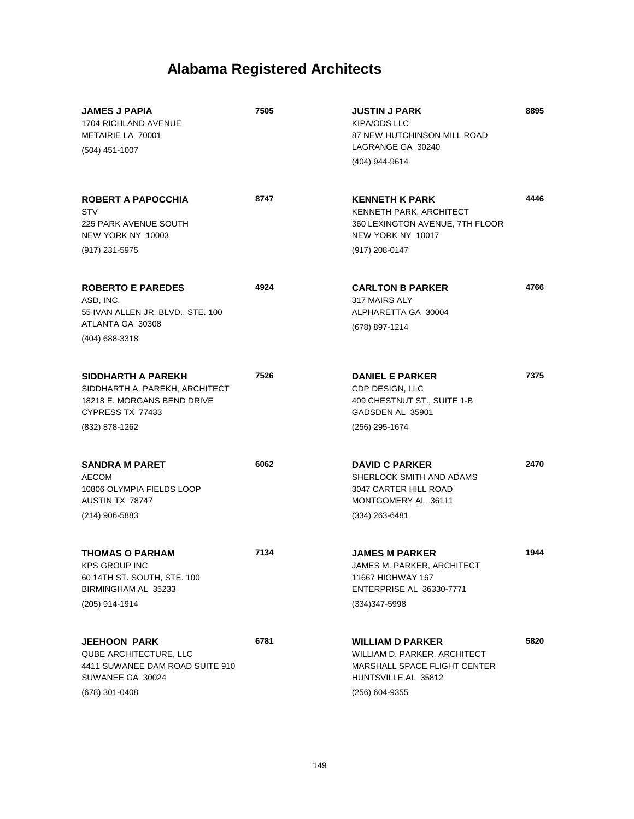| <b>JAMES J PAPIA</b><br>1704 RICHLAND AVENUE<br>METAIRIE LA 70001<br>(504) 451-1007                                       | 7505 | <b>JUSTIN J PARK</b><br><b>KIPA/ODS LLC</b><br>87 NEW HUTCHINSON MILL ROAD<br>LAGRANGE GA 30240<br>(404) 944-9614                | 8895 |
|---------------------------------------------------------------------------------------------------------------------------|------|----------------------------------------------------------------------------------------------------------------------------------|------|
| ROBERT A PAPOCCHIA<br><b>STV</b><br><b>225 PARK AVENUE SOUTH</b><br>NEW YORK NY 10003<br>(917) 231-5975                   | 8747 | <b>KENNETH K PARK</b><br>KENNETH PARK, ARCHITECT<br>360 LEXINGTON AVENUE, 7TH FLOOR<br>NEW YORK NY 10017<br>$(917)$ 208-0147     | 4446 |
| <b>ROBERTO E PAREDES</b><br>ASD, INC.<br>55 IVAN ALLEN JR. BLVD., STE. 100<br>ATLANTA GA 30308<br>(404) 688-3318          | 4924 | <b>CARLTON B PARKER</b><br>317 MAIRS ALY<br>ALPHARETTA GA 30004<br>(678) 897-1214                                                | 4766 |
| SIDDHARTH A PAREKH<br>SIDDHARTH A. PAREKH, ARCHITECT<br>18218 E. MORGANS BEND DRIVE<br>CYPRESS TX 77433<br>(832) 878-1262 | 7526 | <b>DANIEL E PARKER</b><br>CDP DESIGN, LLC<br>409 CHESTNUT ST., SUITE 1-B<br>GADSDEN AL 35901<br>(256) 295-1674                   | 7375 |
| <b>SANDRA M PARET</b><br><b>AECOM</b><br>10806 OLYMPIA FIELDS LOOP<br>AUSTIN TX 78747<br>$(214)$ 906-5883                 | 6062 | <b>DAVID C PARKER</b><br>SHERLOCK SMITH AND ADAMS<br>3047 CARTER HILL ROAD<br>MONTGOMERY AL 36111<br>$(334)$ 263-6481            | 2470 |
| <b>THOMAS O PARHAM</b><br><b>KPS GROUP INC</b><br>60 14TH ST. SOUTH, STE. 100<br>BIRMINGHAM AL 35233<br>(205) 914-1914    | 7134 | <b>JAMES M PARKER</b><br>JAMES M. PARKER, ARCHITECT<br>11667 HIGHWAY 167<br><b>ENTERPRISE AL 36330-7771</b><br>$(334)347 - 5998$ | 1944 |
| <b>JEEHOON PARK</b><br>QUBE ARCHITECTURE, LLC<br>4411 SUWANEE DAM ROAD SUITE 910<br>SUWANEE GA 30024<br>(678) 301-0408    | 6781 | <b>WILLIAM D PARKER</b><br>WILLIAM D. PARKER, ARCHITECT<br>MARSHALL SPACE FLIGHT CENTER<br>HUNTSVILLE AL 35812<br>(256) 604-9355 | 5820 |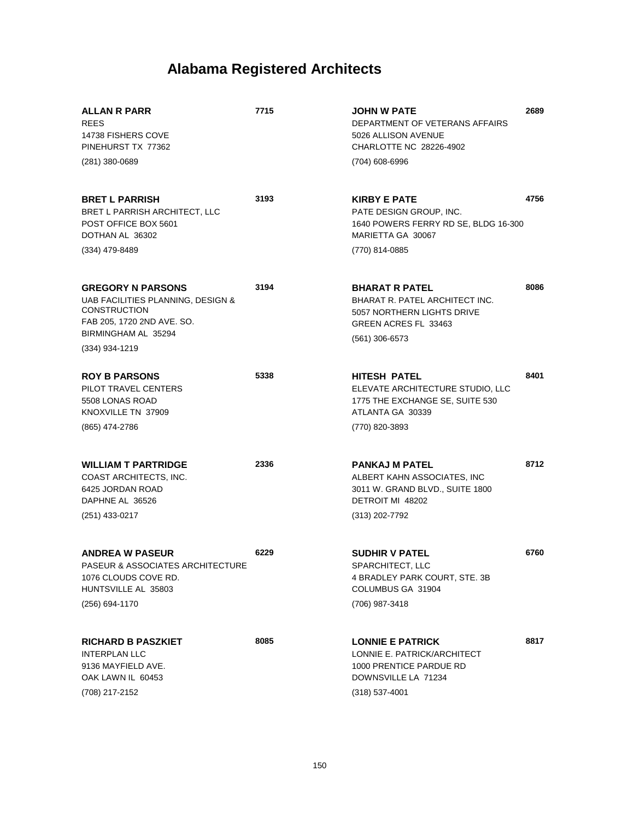| ALLAN R PARR<br><b>REES</b><br>14738 FISHERS COVE<br>PINEHURST TX 77362                                                                                     | 7715 | JOHN W PATE<br>DEPARTMENT OF VETERANS AFFAIRS<br>5026 ALLISON AVENUE<br>CHARLOTTE NC 28226-4902                                          | 2689 |
|-------------------------------------------------------------------------------------------------------------------------------------------------------------|------|------------------------------------------------------------------------------------------------------------------------------------------|------|
| $(281)$ 380-0689                                                                                                                                            |      | (704) 608-6996                                                                                                                           |      |
| <b>BRET L PARRISH</b><br>BRET L PARRISH ARCHITECT, LLC<br>POST OFFICE BOX 5601<br>DOTHAN AL 36302                                                           | 3193 | <b>KIRBY E PATE</b><br>PATE DESIGN GROUP, INC.<br>1640 POWERS FERRY RD SE, BLDG 16-300<br>MARIETTA GA 30067                              | 4756 |
| (334) 479-8489                                                                                                                                              |      | (770) 814-0885                                                                                                                           |      |
| <b>GREGORY N PARSONS</b><br>UAB FACILITIES PLANNING, DESIGN &<br><b>CONSTRUCTION</b><br>FAB 205, 1720 2ND AVE. SO.<br>BIRMINGHAM AL 35294<br>(334) 934-1219 | 3194 | <b>BHARAT R PATEL</b><br><b>BHARAT R. PATEL ARCHITECT INC.</b><br>5057 NORTHERN LIGHTS DRIVE<br>GREEN ACRES FL 33463<br>$(561)$ 306-6573 | 8086 |
|                                                                                                                                                             |      |                                                                                                                                          |      |
| <b>ROY B PARSONS</b><br>PILOT TRAVEL CENTERS<br>5508 LONAS ROAD<br>KNOXVILLE TN 37909                                                                       | 5338 | <b>HITESH PATEL</b><br>ELEVATE ARCHITECTURE STUDIO, LLC<br>1775 THE EXCHANGE SE, SUITE 530<br>ATLANTA GA 30339                           | 8401 |
| (865) 474-2786                                                                                                                                              |      | (770) 820-3893                                                                                                                           |      |
| <b>WILLIAM T PARTRIDGE</b><br>COAST ARCHITECTS, INC.<br>6425 JORDAN ROAD<br>DAPHNE AL 36526<br>(251) 433-0217                                               | 2336 | <b>PANKAJ M PATEL</b><br>ALBERT KAHN ASSOCIATES, INC<br>3011 W. GRAND BLVD., SUITE 1800<br>DETROIT MI 48202<br>(313) 202-7792            | 8712 |
|                                                                                                                                                             |      |                                                                                                                                          |      |
| <b>ANDREA W PASEUR</b><br>PASEUR & ASSOCIATES ARCHITECTURE<br>1076 CLOUDS COVE RD.<br>HUNTSVILLE AL 35803                                                   | 6229 | <b>SUDHIR V PATEL</b><br>SPARCHITECT, LLC<br>4 BRADLEY PARK COURT, STE. 3B<br>COLUMBUS GA 31904                                          | 6760 |
| (256) 694-1170                                                                                                                                              |      | (706) 987-3418                                                                                                                           |      |
| <b>RICHARD B PASZKIET</b><br><b>INTERPLAN LLC</b><br>9136 MAYFIELD AVE.<br>OAK LAWN IL 60453<br>(708) 217-2152                                              | 8085 | <b>LONNIE E PATRICK</b><br>LONNIE E. PATRICK/ARCHITECT<br>1000 PRENTICE PARDUE RD<br>DOWNSVILLE LA 71234<br>$(318)$ 537-4001             | 8817 |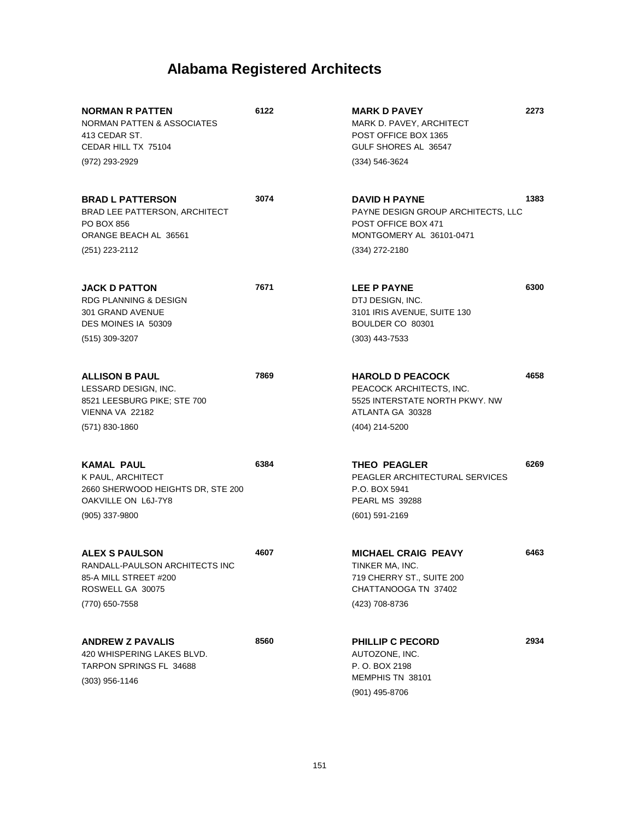| <b>NORMAN R PATTEN</b><br>NORMAN PATTEN & ASSOCIATES<br>413 CEDAR ST.<br>CEDAR HILL TX 75104<br>(972) 293-2929           | 6122 | <b>MARK D PAVEY</b><br>MARK D. PAVEY, ARCHITECT<br>POST OFFICE BOX 1365<br>GULF SHORES AL 36547<br>(334) 546-3624               | 2273 |
|--------------------------------------------------------------------------------------------------------------------------|------|---------------------------------------------------------------------------------------------------------------------------------|------|
| <b>BRAD L PATTERSON</b><br><b>BRAD LEE PATTERSON, ARCHITECT</b><br>PO BOX 856<br>ORANGE BEACH AL 36561<br>(251) 223-2112 | 3074 | <b>DAVID H PAYNE</b><br>PAYNE DESIGN GROUP ARCHITECTS, LLC<br>POST OFFICE BOX 471<br>MONTGOMERY AL 36101-0471<br>(334) 272-2180 | 1383 |
|                                                                                                                          |      |                                                                                                                                 |      |
| <b>JACK D PATTON</b><br><b>RDG PLANNING &amp; DESIGN</b><br>301 GRAND AVENUE<br>DES MOINES IA 50309                      | 7671 | LEE P PAYNE<br>DTJ DESIGN, INC.<br>3101 IRIS AVENUE, SUITE 130<br>BOULDER CO 80301                                              | 6300 |
| $(515)$ 309-3207                                                                                                         |      | $(303)$ 443-7533                                                                                                                |      |
| <b>ALLISON B PAUL</b><br>LESSARD DESIGN, INC.<br>8521 LEESBURG PIKE; STE 700<br>VIENNA VA 22182                          | 7869 | <b>HAROLD D PEACOCK</b><br>PEACOCK ARCHITECTS, INC.<br>5525 INTERSTATE NORTH PKWY. NW<br>ATLANTA GA 30328                       | 4658 |
| $(571) 830 - 1860$                                                                                                       |      | (404) 214-5200                                                                                                                  |      |
| <b>KAMAL PAUL</b><br>K PAUL, ARCHITECT<br>2660 SHERWOOD HEIGHTS DR, STE 200<br>OAKVILLE ON L6J-7Y8<br>(905) 337-9800     | 6384 | <b>THEO PEAGLER</b><br>PEAGLER ARCHITECTURAL SERVICES<br>P.O. BOX 5941<br><b>PEARL MS 39288</b><br>$(601)$ 591-2169             | 6269 |
| <b>ALEX S PAULSON</b><br>RANDALL-PAULSON ARCHITECTS INC<br>85-A MILL STREET #200<br>ROSWELL GA 30075                     | 4607 | <b>MICHAEL CRAIG PEAVY</b><br>TINKER MA, INC.<br>719 CHERRY ST., SUITE 200<br>CHATTANOOGA TN 37402                              | 6463 |
| (770) 650-7558                                                                                                           |      | (423) 708-8736                                                                                                                  |      |
| <b>ANDREW Z PAVALIS</b><br>420 WHISPERING LAKES BLVD.<br>TARPON SPRINGS FL 34688<br>$(303)$ 956-1146                     | 8560 | PHILLIP C PECORD<br>AUTOZONE, INC.<br>P. O. BOX 2198<br>MEMPHIS TN 38101<br>(901) 495-8706                                      | 2934 |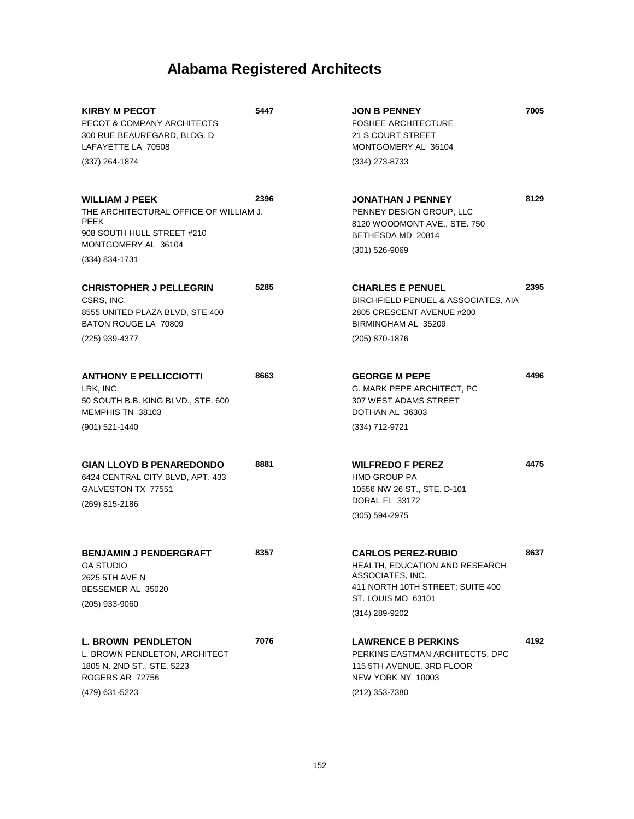| <b>KIRBY M PECOT</b><br>PECOT & COMPANY ARCHITECTS<br>300 RUE BEAUREGARD, BLDG. D<br>LAFAYETTE LA 70508                                               | 5447 | <b>JON B PENNEY</b><br><b>FOSHEE ARCHITECTURE</b><br><b>21 S COURT STREET</b><br>MONTGOMERY AL 36104                                                        | 7005 |
|-------------------------------------------------------------------------------------------------------------------------------------------------------|------|-------------------------------------------------------------------------------------------------------------------------------------------------------------|------|
| (337) 264-1874                                                                                                                                        |      | (334) 273-8733                                                                                                                                              |      |
| <b>WILLIAM J PEEK</b><br>THE ARCHITECTURAL OFFICE OF WILLIAM J.<br><b>PEEK</b><br>908 SOUTH HULL STREET #210<br>MONTGOMERY AL 36104<br>(334) 834-1731 | 2396 | <b>JONATHAN J PENNEY</b><br>PENNEY DESIGN GROUP, LLC<br>8120 WOODMONT AVE., STE. 750<br>BETHESDA MD 20814<br>$(301)$ 526-9069                               | 8129 |
| <b>CHRISTOPHER J PELLEGRIN</b><br>CSRS, INC.<br>8555 UNITED PLAZA BLVD, STE 400<br>BATON ROUGE LA 70809<br>(225) 939-4377                             | 5285 | <b>CHARLES E PENUEL</b><br>BIRCHFIELD PENUEL & ASSOCIATES, AIA<br>2805 CRESCENT AVENUE #200<br>BIRMINGHAM AL 35209<br>(205) 870-1876                        | 2395 |
| <b>ANTHONY E PELLICCIOTTI</b><br>LRK, INC.<br>50 SOUTH B.B. KING BLVD., STE. 600<br>MEMPHIS TN 38103<br>$(901)$ 521-1440                              | 8663 | <b>GEORGE M PEPE</b><br>G. MARK PEPE ARCHITECT, PC<br>307 WEST ADAMS STREET<br>DOTHAN AL 36303<br>(334) 712-9721                                            | 4496 |
| <b>GIAN LLOYD B PENAREDONDO</b><br>6424 CENTRAL CITY BLVD, APT. 433<br>GALVESTON TX 77551<br>(269) 815-2186                                           | 8881 | <b>WILFREDO F PEREZ</b><br><b>HMD GROUP PA</b><br>10556 NW 26 ST., STE. D-101<br>DORAL FL 33172<br>$(305)$ 594-2975                                         | 4475 |
| <b>BENJAMIN J PENDERGRAFT</b><br><b>GA STUDIO</b><br>2625 5TH AVE N<br>BESSEMER AL 35020<br>(205) 933-9060                                            | 8357 | <b>CARLOS PEREZ-RUBIO</b><br>HEALTH, EDUCATION AND RESEARCH<br>ASSOCIATES, INC.<br>411 NORTH 10TH STREET; SUITE 400<br>ST. LOUIS MO 63101<br>(314) 289-9202 | 8637 |
| <b>L. BROWN PENDLETON</b><br>L. BROWN PENDLETON, ARCHITECT<br>1805 N. 2ND ST., STE. 5223<br>ROGERS AR 72756<br>(479) 631-5223                         | 7076 | <b>LAWRENCE B PERKINS</b><br>PERKINS EASTMAN ARCHITECTS, DPC<br>115 5TH AVENUE, 3RD FLOOR<br>NEW YORK NY 10003<br>(212) 353-7380                            | 4192 |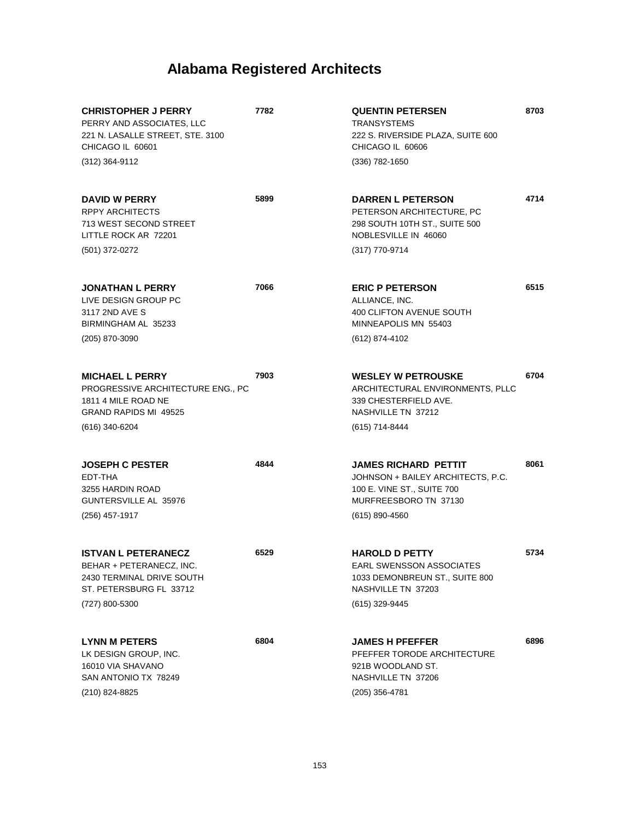| <b>CHRISTOPHER J PERRY</b><br>PERRY AND ASSOCIATES, LLC<br>221 N. LASALLE STREET, STE. 3100<br>CHICAGO IL 60601 | 7782 | <b>QUENTIN PETERSEN</b><br><b>TRANSYSTEMS</b><br>222 S. RIVERSIDE PLAZA, SUITE 600<br>CHICAGO IL 60606                  | 8703 |
|-----------------------------------------------------------------------------------------------------------------|------|-------------------------------------------------------------------------------------------------------------------------|------|
| (312) 364-9112                                                                                                  |      | (336) 782-1650                                                                                                          |      |
| <b>DAVID W PERRY</b><br><b>RPPY ARCHITECTS</b><br>713 WEST SECOND STREET<br>LITTLE ROCK AR 72201                | 5899 | <b>DARREN L PETERSON</b><br>PETERSON ARCHITECTURE, PC<br>298 SOUTH 10TH ST., SUITE 500<br>NOBLESVILLE IN 46060          | 4714 |
| (501) 372-0272                                                                                                  |      | (317) 770-9714                                                                                                          |      |
| <b>JONATHAN L PERRY</b><br>LIVE DESIGN GROUP PC<br>3117 2ND AVE S<br>BIRMINGHAM AL 35233                        | 7066 | <b>ERIC P PETERSON</b><br>ALLIANCE, INC.<br><b>400 CLIFTON AVENUE SOUTH</b><br>MINNEAPOLIS MN 55403                     | 6515 |
| (205) 870-3090                                                                                                  |      | (612) 874-4102                                                                                                          |      |
| <b>MICHAEL L PERRY</b><br>PROGRESSIVE ARCHITECTURE ENG., PC<br>1811 4 MILE ROAD NE<br>GRAND RAPIDS MI 49525     | 7903 | <b>WESLEY W PETROUSKE</b><br>ARCHITECTURAL ENVIRONMENTS, PLLC<br>339 CHESTERFIELD AVE.<br>NASHVILLE TN 37212            | 6704 |
| (616) 340-6204                                                                                                  |      | (615) 714-8444                                                                                                          |      |
| <b>JOSEPH C PESTER</b><br>EDT-THA<br>3255 HARDIN ROAD<br>GUNTERSVILLE AL 35976                                  | 4844 | <b>JAMES RICHARD PETTIT</b><br>JOHNSON + BAILEY ARCHITECTS, P.C.<br>100 E. VINE ST., SUITE 700<br>MURFREESBORO TN 37130 | 8061 |
| (256) 457-1917                                                                                                  |      | $(615) 890 - 4560$                                                                                                      |      |
| <b>ISTVAN L PETERANECZ</b><br>BEHAR + PETERANECZ, INC.<br>2430 TERMINAL DRIVE SOUTH<br>ST. PETERSBURG FL 33712  | 6529 | <b>HAROLD D PETTY</b><br>EARL SWENSSON ASSOCIATES<br>1033 DEMONBREUN ST., SUITE 800<br>NASHVILLE TN 37203               | 5734 |
| (727) 800-5300                                                                                                  |      | (615) 329-9445                                                                                                          |      |
| <b>LYNN M PETERS</b><br>LK DESIGN GROUP, INC.<br>16010 VIA SHAVANO<br>SAN ANTONIO TX 78249<br>(210) 824-8825    | 6804 | <b>JAMES H PFEFFER</b><br>PFEFFER TORODE ARCHITECTURE<br>921B WOODLAND ST.<br>NASHVILLE TN 37206<br>(205) 356-4781      | 6896 |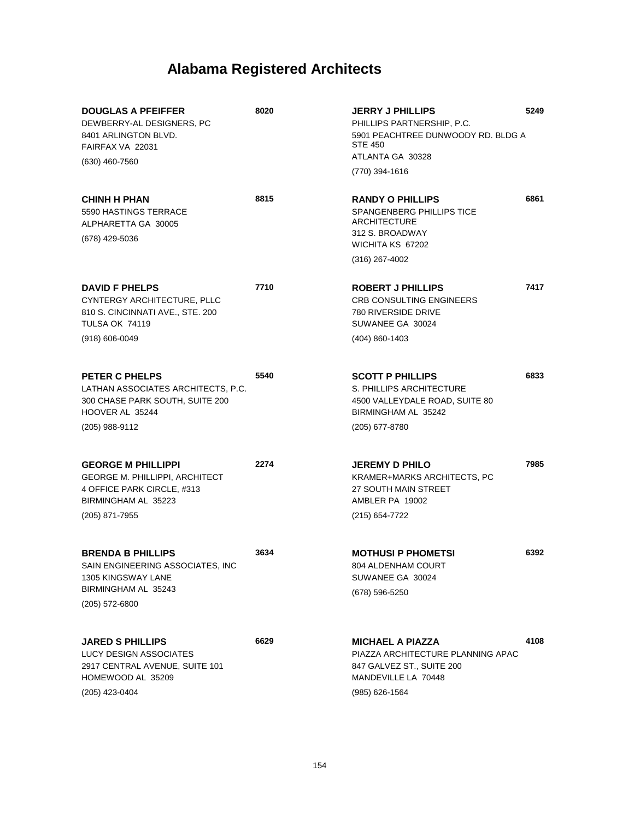| <b>DOUGLAS A PFEIFFER</b><br>DEWBERRY-AL DESIGNERS, PC<br>8401 ARLINGTON BLVD.<br>FAIRFAX VA 22031<br>$(630)$ 460-7560                    | 8020 | <b>JERRY J PHILLIPS</b><br>PHILLIPS PARTNERSHIP, P.C.<br>5901 PEACHTREE DUNWOODY RD. BLDG A<br><b>STE 450</b><br>ATLANTA GA 30328<br>(770) 394-1616 | 5249 |
|-------------------------------------------------------------------------------------------------------------------------------------------|------|-----------------------------------------------------------------------------------------------------------------------------------------------------|------|
| <b>CHINH H PHAN</b><br>5590 HASTINGS TERRACE<br>ALPHARETTA GA 30005<br>(678) 429-5036                                                     | 8815 | <b>RANDY O PHILLIPS</b><br>SPANGENBERG PHILLIPS TICE<br>ARCHITECTURE<br>312 S. BROADWAY<br>WICHITA KS 67202<br>$(316)$ 267-4002                     | 6861 |
| <b>DAVID F PHELPS</b><br>CYNTERGY ARCHITECTURE, PLLC<br>810 S. CINCINNATI AVE., STE. 200<br><b>TULSA OK 74119</b><br>$(918) 606 - 0049$   | 7710 | <b>ROBERT J PHILLIPS</b><br>CRB CONSULTING ENGINEERS<br><b>780 RIVERSIDE DRIVE</b><br>SUWANEE GA 30024<br>(404) 860-1403                            | 7417 |
| PETER C PHELPS<br>LATHAN ASSOCIATES ARCHITECTS, P.C.<br>300 CHASE PARK SOUTH, SUITE 200<br>HOOVER AL 35244<br>(205) 988-9112              | 5540 | <b>SCOTT P PHILLIPS</b><br>S. PHILLIPS ARCHITECTURE<br>4500 VALLEYDALE ROAD, SUITE 80<br>BIRMINGHAM AL 35242<br>(205) 677-8780                      | 6833 |
| <b>GEORGE M PHILLIPPI</b><br><b>GEORGE M. PHILLIPPI, ARCHITECT</b><br>4 OFFICE PARK CIRCLE, #313<br>BIRMINGHAM AL 35223<br>(205) 871-7955 | 2274 | <b>JEREMY D PHILO</b><br>KRAMER+MARKS ARCHITECTS, PC<br>27 SOUTH MAIN STREET<br>AMBLER PA 19002<br>(215) 654-7722                                   | 7985 |
| <b>BRENDA B PHILLIPS</b><br>SAIN ENGINEERING ASSOCIATES, INC<br>1305 KINGSWAY LANE<br>BIRMINGHAM AL 35243<br>$(205)$ 572-6800             | 3634 | <b>MOTHUSI P PHOMETSI</b><br>804 ALDENHAM COURT<br>SUWANEE GA 30024<br>(678) 596-5250                                                               | 6392 |
| <b>JARED S PHILLIPS</b><br>LUCY DESIGN ASSOCIATES<br>2917 CENTRAL AVENUE, SUITE 101<br>HOMEWOOD AL 35209<br>(205) 423-0404                | 6629 | <b>MICHAEL A PIAZZA</b><br>PIAZZA ARCHITECTURE PLANNING APAC<br>847 GALVEZ ST., SUITE 200<br>MANDEVILLE LA 70448<br>(985) 626-1564                  | 4108 |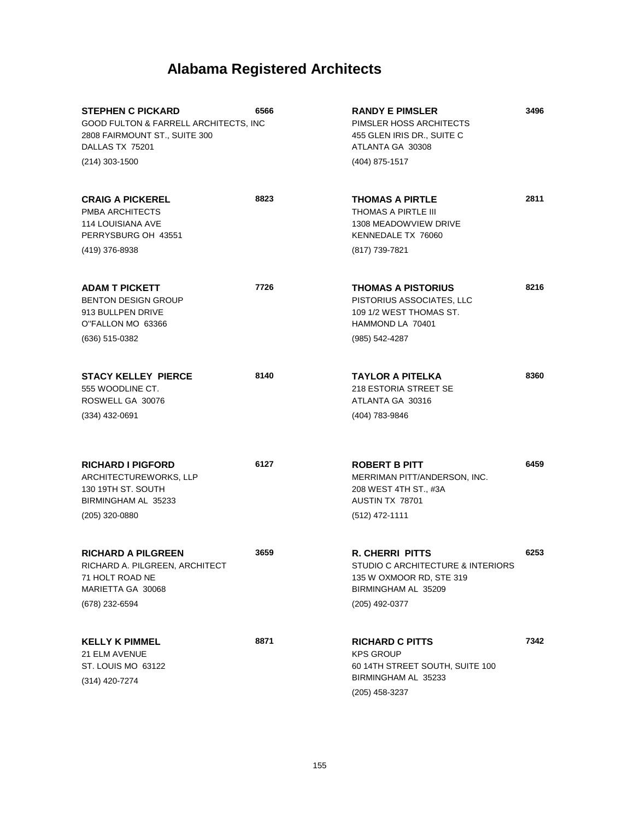| <b>STEPHEN C PICKARD</b><br>GOOD FULTON & FARRELL ARCHITECTS, INC<br>2808 FAIRMOUNT ST., SUITE 300<br>DALLAS TX 75201<br>(214) 303-1500 | 6566 | <b>RANDY E PIMSLER</b><br>PIMSLER HOSS ARCHITECTS<br>455 GLEN IRIS DR., SUITE C<br>ATLANTA GA 30308<br>(404) 875-1517  | 3496 |
|-----------------------------------------------------------------------------------------------------------------------------------------|------|------------------------------------------------------------------------------------------------------------------------|------|
| <b>CRAIG A PICKEREL</b><br>PMBA ARCHITECTS<br><b>114 LOUISIANA AVE</b><br>PERRYSBURG OH 43551<br>(419) 376-8938                         | 8823 | <b>THOMAS A PIRTLE</b><br><b>THOMAS A PIRTLE III</b><br>1308 MEADOWVIEW DRIVE<br>KENNEDALE TX 76060<br>(817) 739-7821  | 2811 |
|                                                                                                                                         |      |                                                                                                                        |      |
| <b>ADAM T PICKETT</b><br><b>BENTON DESIGN GROUP</b><br>913 BULLPEN DRIVE<br>O"FALLON MO 63366                                           | 7726 | <b>THOMAS A PISTORIUS</b><br>PISTORIUS ASSOCIATES, LLC<br>109 1/2 WEST THOMAS ST.<br>HAMMOND LA 70401                  | 8216 |
| (636) 515-0382                                                                                                                          |      | (985) 542-4287                                                                                                         |      |
| <b>STACY KELLEY PIERCE</b><br>555 WOODLINE CT.<br>ROSWELL GA 30076                                                                      | 8140 | TAYLOR A PITELKA<br>218 ESTORIA STREET SE<br>ATLANTA GA 30316                                                          | 8360 |
| (334) 432-0691                                                                                                                          |      | (404) 783-9846                                                                                                         |      |
| <b>RICHARD I PIGFORD</b><br>ARCHITECTUREWORKS, LLP<br>130 19TH ST. SOUTH<br>BIRMINGHAM AL 35233                                         | 6127 | <b>ROBERT B PITT</b><br>MERRIMAN PITT/ANDERSON, INC.<br>208 WEST 4TH ST., #3A<br>AUSTIN TX 78701                       | 6459 |
| (205) 320-0880                                                                                                                          |      | $(512)$ 472-1111                                                                                                       |      |
| <b>RICHARD A PILGREEN</b><br>RICHARD A. PILGREEN, ARCHITECT<br>71 HOLT ROAD NE<br>MARIETTA GA 30068                                     | 3659 | <b>R. CHERRI PITTS</b><br>STUDIO C ARCHITECTURE & INTERIORS<br>135 W OXMOOR RD, STE 319<br>BIRMINGHAM AL 35209         | 6253 |
| (678) 232-6594                                                                                                                          |      | (205) 492-0377                                                                                                         |      |
| <b>KELLY K PIMMEL</b><br>21 ELM AVENUE<br>ST. LOUIS MO 63122<br>(314) 420-7274                                                          | 8871 | <b>RICHARD C PITTS</b><br><b>KPS GROUP</b><br>60 14TH STREET SOUTH, SUITE 100<br>BIRMINGHAM AL 35233<br>(205) 458-3237 | 7342 |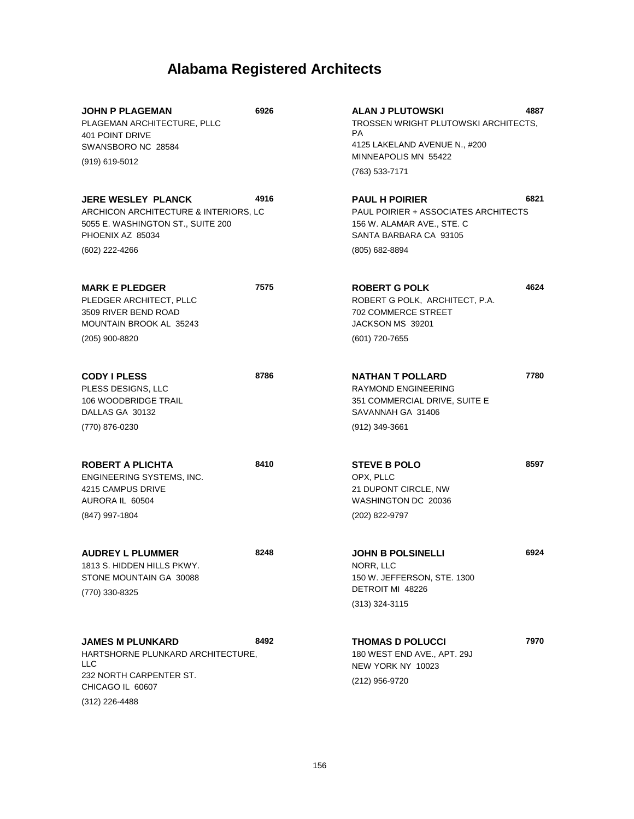| <b>JOHN P PLAGEMAN</b><br>PLAGEMAN ARCHITECTURE, PLLC<br><b>401 POINT DRIVE</b><br>SWANSBORO NC 28584<br>(919) 619-5012                       | 6926 | <b>ALAN J PLUTOWSKI</b><br>TROSSEN WRIGHT PLUTOWSKI ARCHITECTS,<br>PA.<br>4125 LAKELAND AVENUE N., #200<br>MINNEAPOLIS MN 55422<br>(763) 533-7171 | 4887 |
|-----------------------------------------------------------------------------------------------------------------------------------------------|------|---------------------------------------------------------------------------------------------------------------------------------------------------|------|
| JERE WESLEY PLANCK<br>ARCHICON ARCHITECTURE & INTERIORS, LC<br>5055 E. WASHINGTON ST., SUITE 200<br>PHOENIX AZ 85034<br>(602) 222-4266        | 4916 | <b>PAUL H POIRIER</b><br>PAUL POIRIER + ASSOCIATES ARCHITECTS<br>156 W. ALAMAR AVE., STE. C<br>SANTA BARBARA CA 93105<br>(805) 682-8894           | 6821 |
| <b>MARK E PLEDGER</b><br>PLEDGER ARCHITECT, PLLC<br>3509 RIVER BEND ROAD<br>MOUNTAIN BROOK AL 35243<br>(205) 900-8820                         | 7575 | <b>ROBERT G POLK</b><br>ROBERT G POLK, ARCHITECT, P.A.<br><b>702 COMMERCE STREET</b><br>JACKSON MS 39201<br>(601) 720-7655                        | 4624 |
| <b>CODY I PLESS</b><br>PLESS DESIGNS, LLC<br>106 WOODBRIDGE TRAIL<br>DALLAS GA 30132<br>(770) 876-0230                                        | 8786 | <b>NATHAN T POLLARD</b><br><b>RAYMOND ENGINEERING</b><br>351 COMMERCIAL DRIVE, SUITE E<br>SAVANNAH GA 31406<br>(912) 349-3661                     | 7780 |
| <b>ROBERT A PLICHTA</b><br>ENGINEERING SYSTEMS, INC.<br>4215 CAMPUS DRIVE<br>AURORA IL 60504<br>(847) 997-1804                                | 8410 | <b>STEVE B POLO</b><br>OPX, PLLC<br>21 DUPONT CIRCLE, NW<br>WASHINGTON DC 20036<br>(202) 822-9797                                                 | 8597 |
| <b>AUDREY L PLUMMER</b><br>1813 S. HIDDEN HILLS PKWY.<br>STONE MOUNTAIN GA 30088<br>(770) 330-8325                                            | 8248 | <b>JOHN B POLSINELLI</b><br>NORR, LLC<br>150 W. JEFFERSON, STE. 1300<br>DETROIT MI 48226<br>$(313)$ 324-3115                                      | 6924 |
| <b>JAMES M PLUNKARD</b><br>HARTSHORNE PLUNKARD ARCHITECTURE,<br><b>LLC</b><br>232 NORTH CARPENTER ST.<br>CHICAGO IL 60607<br>$(312)$ 226-4488 | 8492 | <b>THOMAS D POLUCCI</b><br>180 WEST END AVE., APT. 29J<br>NEW YORK NY 10023<br>(212) 956-9720                                                     | 7970 |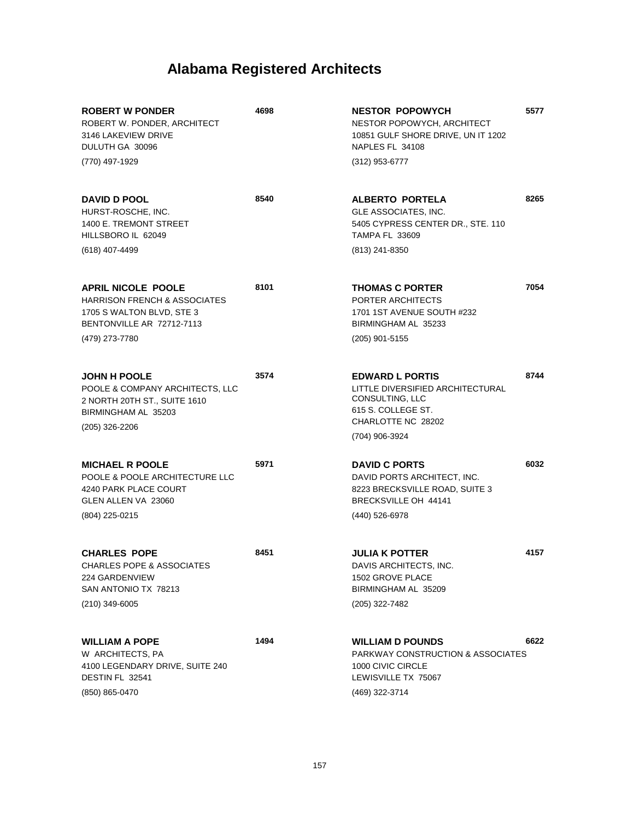| <b>ROBERT W PONDER</b><br>ROBERT W. PONDER, ARCHITECT<br>3146 LAKEVIEW DRIVE<br>DULUTH GA 30096                                                  | 4698 | <b>NESTOR POPOWYCH</b><br>NESTOR POPOWYCH, ARCHITECT<br>10851 GULF SHORE DRIVE, UN IT 1202<br>NAPLES FL 34108                                     | 5577 |
|--------------------------------------------------------------------------------------------------------------------------------------------------|------|---------------------------------------------------------------------------------------------------------------------------------------------------|------|
| (770) 497-1929                                                                                                                                   |      | $(312)$ 953-6777                                                                                                                                  |      |
| DAVID D POOL<br>HURST-ROSCHE, INC.<br>1400 E. TREMONT STREET<br>HILLSBORO IL 62049                                                               | 8540 | ALBERTO PORTELA<br>GLE ASSOCIATES, INC.<br>5405 CYPRESS CENTER DR., STE. 110<br><b>TAMPA FL 33609</b>                                             | 8265 |
| (618) 407-4499                                                                                                                                   |      | (813) 241-8350                                                                                                                                    |      |
| <b>APRIL NICOLE POOLE</b><br><b>HARRISON FRENCH &amp; ASSOCIATES</b><br>1705 S WALTON BLVD, STE 3<br>BENTONVILLE AR 72712-7113<br>(479) 273-7780 | 8101 | <b>THOMAS C PORTER</b><br>PORTER ARCHITECTS<br>1701 1ST AVENUE SOUTH #232<br>BIRMINGHAM AL 35233<br>(205) 901-5155                                | 7054 |
| <b>JOHN H POOLE</b><br>POOLE & COMPANY ARCHITECTS, LLC<br>2 NORTH 20TH ST., SUITE 1610<br>BIRMINGHAM AL 35203<br>(205) 326-2206                  | 3574 | <b>EDWARD L PORTIS</b><br>LITTLE DIVERSIFIED ARCHITECTURAL<br>CONSULTING, LLC<br>615 S. COLLEGE ST.<br>CHARLOTTE NC 28202                         | 8744 |
| <b>MICHAEL R POOLE</b><br>POOLE & POOLE ARCHITECTURE LLC<br>4240 PARK PLACE COURT<br>GLEN ALLEN VA 23060<br>(804) 225-0215                       | 5971 | (704) 906-3924<br><b>DAVID C PORTS</b><br>DAVID PORTS ARCHITECT, INC.<br>8223 BRECKSVILLE ROAD, SUITE 3<br>BRECKSVILLE OH 44141<br>(440) 526-6978 | 6032 |
| <b>CHARLES POPE</b><br><b>CHARLES POPE &amp; ASSOCIATES</b><br>224 GARDENVIEW<br>SAN ANTONIO TX 78213<br>(210) 349-6005                          | 8451 | <b>JULIA K POTTER</b><br>DAVIS ARCHITECTS, INC.<br>1502 GROVE PLACE<br>BIRMINGHAM AL 35209<br>(205) 322-7482                                      | 4157 |
| <b>WILLIAM A POPE</b><br>W ARCHITECTS, PA<br>4100 LEGENDARY DRIVE, SUITE 240<br>DESTIN FL 32541<br>(850) 865-0470                                | 1494 | <b>WILLIAM D POUNDS</b><br><b>PARKWAY CONSTRUCTION &amp; ASSOCIATES</b><br>1000 CIVIC CIRCLE<br>LEWISVILLE TX 75067<br>(469) 322-3714             | 6622 |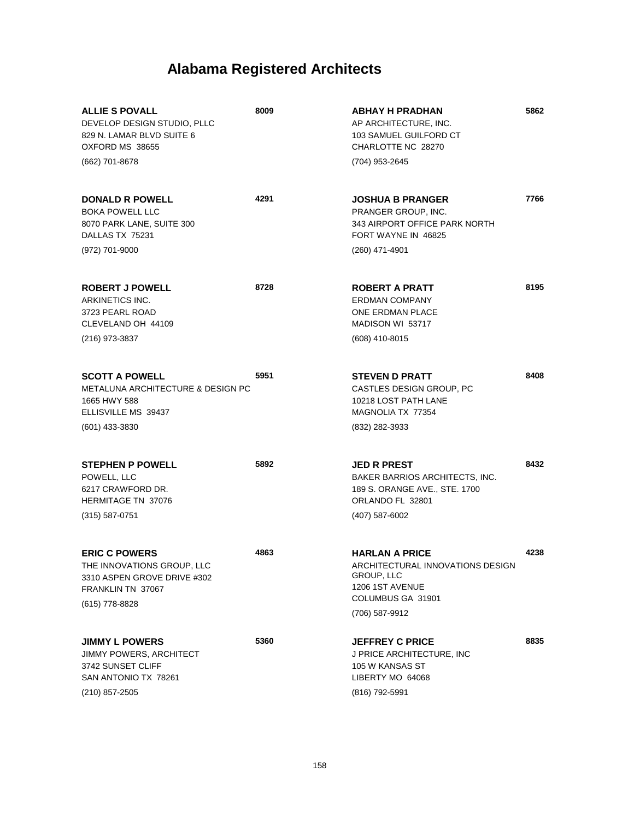| <b>ALLIE S POVALL</b><br>DEVELOP DESIGN STUDIO, PLLC<br>829 N. LAMAR BLVD SUITE 6<br>OXFORD MS 38655<br>(662) 701-8678           | 8009 | <b>ABHAY H PRADHAN</b><br>AP ARCHITECTURE, INC.<br>103 SAMUEL GUILFORD CT<br>CHARLOTTE NC 28270<br>(704) 953-2645                 | 5862 |
|----------------------------------------------------------------------------------------------------------------------------------|------|-----------------------------------------------------------------------------------------------------------------------------------|------|
| <b>DONALD R POWELL</b><br><b>BOKA POWELL LLC</b><br>8070 PARK LANE, SUITE 300<br>DALLAS TX 75231<br>(972) 701-9000               | 4291 | <b>JOSHUA B PRANGER</b><br>PRANGER GROUP, INC.<br>343 AIRPORT OFFICE PARK NORTH<br>FORT WAYNE IN 46825<br>(260) 471-4901          | 7766 |
| <b>ROBERT J POWELL</b><br>ARKINETICS INC.<br>3723 PEARL ROAD<br>CLEVELAND OH 44109<br>(216) 973-3837                             | 8728 | ROBERT A PRATT<br><b>ERDMAN COMPANY</b><br><b>ONE ERDMAN PLACE</b><br>MADISON WI 53717<br>(608) 410-8015                          | 8195 |
| <b>SCOTT A POWELL</b><br><b>METALUNA ARCHITECTURE &amp; DESIGN PC</b><br>1665 HWY 588<br>ELLISVILLE MS 39437<br>$(601)$ 433-3830 | 5951 | <b>STEVEN D PRATT</b><br>CASTLES DESIGN GROUP, PC<br>10218 LOST PATH LANE<br>MAGNOLIA TX 77354<br>(832) 282-3933                  | 8408 |
| <b>STEPHEN P POWELL</b><br>POWELL, LLC<br>6217 CRAWFORD DR.<br><b>HERMITAGE TN 37076</b><br>$(315) 587 - 0751$                   | 5892 | <b>JED R PREST</b><br>BAKER BARRIOS ARCHITECTS, INC.<br>189 S. ORANGE AVE., STE. 1700<br>ORLANDO FL 32801<br>$(407)$ 587-6002     | 8432 |
| <b>ERIC C POWERS</b><br>THE INNOVATIONS GROUP, LLC<br>3310 ASPEN GROVE DRIVE #302<br>FRANKLIN TN 37067<br>(615) 778-8828         | 4863 | <b>HARLAN A PRICE</b><br>ARCHITECTURAL INNOVATIONS DESIGN<br>GROUP, LLC<br>1206 1ST AVENUE<br>COLUMBUS GA 31901<br>(706) 587-9912 | 4238 |
| <b>JIMMY L POWERS</b><br>JIMMY POWERS, ARCHITECT<br>3742 SUNSET CLIFF<br>SAN ANTONIO TX 78261<br>(210) 857-2505                  | 5360 | <b>JEFFREY C PRICE</b><br>J PRICE ARCHITECTURE, INC<br>105 W KANSAS ST<br>LIBERTY MO 64068<br>(816) 792-5991                      | 8835 |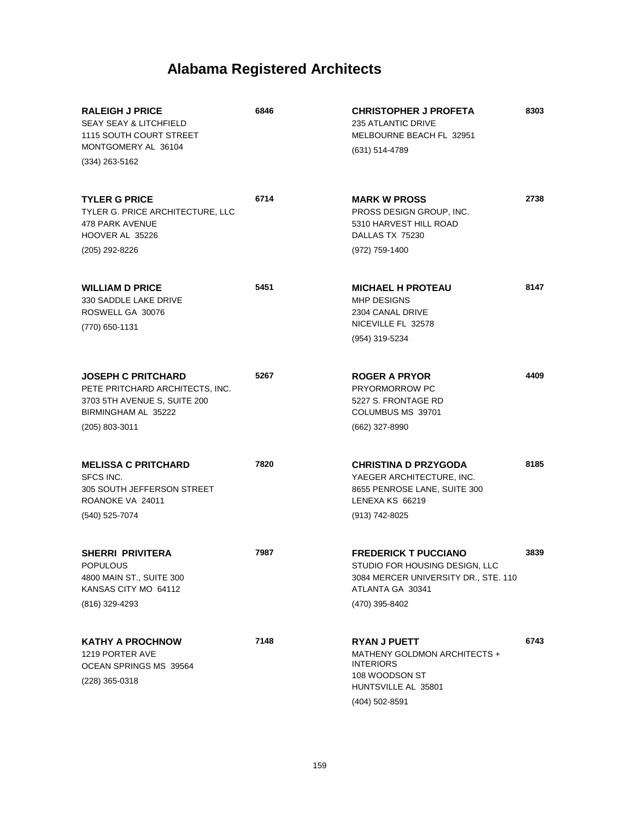| <b>RALEIGH J PRICE</b><br><b>SEAY SEAY &amp; LITCHFIELD</b><br>1115 SOUTH COURT STREET<br>MONTGOMERY AL 36104<br>$(334)$ 263-5162     | 6846 | <b>CHRISTOPHER J PROFETA</b><br>235 ATLANTIC DRIVE<br>MELBOURNE BEACH FL 32951<br>(631) 514-4789                                            | 8303 |
|---------------------------------------------------------------------------------------------------------------------------------------|------|---------------------------------------------------------------------------------------------------------------------------------------------|------|
| <b>TYLER G PRICE</b><br>TYLER G. PRICE ARCHITECTURE, LLC<br>478 PARK AVENUE<br>HOOVER AL 35226<br>(205) 292-8226                      | 6714 | <b>MARK W PROSS</b><br>PROSS DESIGN GROUP, INC.<br>5310 HARVEST HILL ROAD<br>DALLAS TX 75230<br>(972) 759-1400                              | 2738 |
| <b>WILLIAM D PRICE</b><br>330 SADDLE LAKE DRIVE<br>ROSWELL GA 30076<br>(770) 650-1131                                                 | 5451 | <b>MICHAEL H PROTEAU</b><br>MHP DESIGNS<br>2304 CANAL DRIVE<br>NICEVILLE FL 32578<br>(954) 319-5234                                         | 8147 |
| <b>JOSEPH C PRITCHARD</b><br>PETE PRITCHARD ARCHITECTS, INC.<br>3703 5TH AVENUE S, SUITE 200<br>BIRMINGHAM AL 35222<br>(205) 803-3011 | 5267 | <b>ROGER A PRYOR</b><br><b>PRYORMORROW PC</b><br>5227 S. FRONTAGE RD<br>COLUMBUS MS 39701<br>(662) 327-8990                                 | 4409 |
| <b>MELISSA C PRITCHARD</b><br>SFCS INC.<br>305 SOUTH JEFFERSON STREET<br>ROANOKE VA 24011<br>(540) 525-7074                           | 7820 | <b>CHRISTINA D PRZYGODA</b><br>YAEGER ARCHITECTURE, INC.<br>8655 PENROSE LANE, SUITE 300<br>LENEXA KS 66219<br>(913) 742-8025               | 8185 |
| SHERRI PRIVITERA<br><b>POPULOUS</b><br>4800 MAIN ST., SUITE 300<br>KANSAS CITY MO 64112<br>(816) 329-4293                             | 7987 | <b>FREDERICK T PUCCIANO</b><br>STUDIO FOR HOUSING DESIGN, LLC<br>3084 MERCER UNIVERSITY DR., STE. 110<br>ATLANTA GA 30341<br>(470) 395-8402 | 3839 |
| <b>KATHY A PROCHNOW</b><br>1219 PORTER AVE<br>OCEAN SPRINGS MS 39564<br>(228) 365-0318                                                | 7148 | <b>RYAN J PUETT</b><br>MATHENY GOLDMON ARCHITECTS +<br><b>INTERIORS</b><br>108 WOODSON ST<br>HUNTSVILLE AL 35801<br>$(404)$ 502-8591        | 6743 |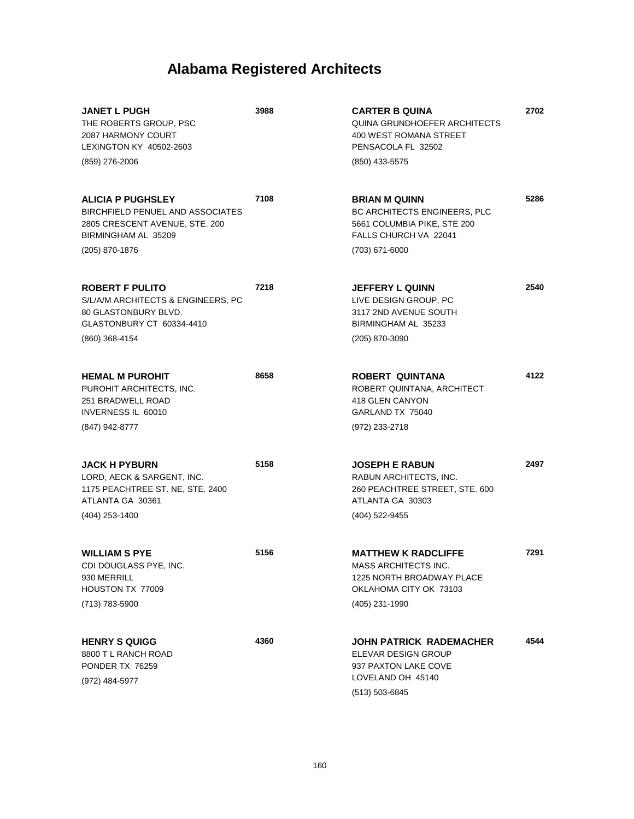| <b>JANET L PUGH</b><br>THE ROBERTS GROUP, PSC<br>2087 HARMONY COURT<br>LEXINGTON KY 40502-2603                                 | 3988 | <b>CARTER B QUINA</b><br>QUINA GRUNDHOEFER ARCHITECTS<br>400 WEST ROMANA STREET<br>PENSACOLA FL 32502                           | 2702 |
|--------------------------------------------------------------------------------------------------------------------------------|------|---------------------------------------------------------------------------------------------------------------------------------|------|
| (859) 276-2006                                                                                                                 |      | (850) 433-5575                                                                                                                  |      |
| <b>ALICIA P PUGHSLEY</b><br><b>BIRCHFIELD PENUEL AND ASSOCIATES</b><br>2805 CRESCENT AVENUE, STE. 200<br>BIRMINGHAM AL 35209   | 7108 | <b>BRIAN M QUINN</b><br>BC ARCHITECTS ENGINEERS, PLC<br>5661 COLUMBIA PIKE, STE 200<br>FALLS CHURCH VA 22041                    | 5286 |
| (205) 870-1876                                                                                                                 |      | (703) 671-6000                                                                                                                  |      |
| ROBERT F PULITO<br>S/L/A/M ARCHITECTS & ENGINEERS, PC<br>80 GLASTONBURY BLVD.<br>GLASTONBURY CT 60334-4410<br>(860) 368-4154   | 7218 | <b>JEFFERY L QUINN</b><br>LIVE DESIGN GROUP, PC<br>3117 2ND AVENUE SOUTH<br>BIRMINGHAM AL 35233<br>(205) 870-3090               | 2540 |
| <b>HEMAL M PUROHIT</b><br>PUROHIT ARCHITECTS, INC.<br>251 BRADWELL ROAD<br>INVERNESS IL 60010<br>(847) 942-8777                | 8658 | ROBERT QUINTANA<br>ROBERT QUINTANA, ARCHITECT<br>418 GLEN CANYON<br>GARLAND TX 75040<br>(972) 233-2718                          | 4122 |
|                                                                                                                                |      |                                                                                                                                 |      |
| <b>JACK H PYBURN</b><br>LORD, AECK & SARGENT, INC.<br>1175 PEACHTREE ST. NE, STE. 2400<br>ATLANTA GA 30361<br>$(404)$ 253-1400 | 5158 | <b>JOSEPH E RABUN</b><br>RABUN ARCHITECTS, INC.<br>260 PEACHTREE STREET, STE. 600<br>ATLANTA GA 30303<br>(404) 522-9455         | 2497 |
| <b>WILLIAM S PYE</b><br>CDI DOUGLASS PYE, INC.<br>930 MERRILL<br>HOUSTON TX 77009<br>(713) 783-5900                            | 5156 | <b>MATTHEW K RADCLIFFE</b><br>MASS ARCHITECTS INC.<br>1225 NORTH BROADWAY PLACE<br>OKLAHOMA CITY OK 73103<br>(405) 231-1990     | 7291 |
| <b>HENRY S QUIGG</b><br>8800 T L RANCH ROAD<br>PONDER TX 76259<br>(972) 484-5977                                               | 4360 | <b>JOHN PATRICK RADEMACHER</b><br><b>ELEVAR DESIGN GROUP</b><br>937 PAXTON LAKE COVE<br>LOVELAND OH 45140<br>$(513) 503 - 6845$ | 4544 |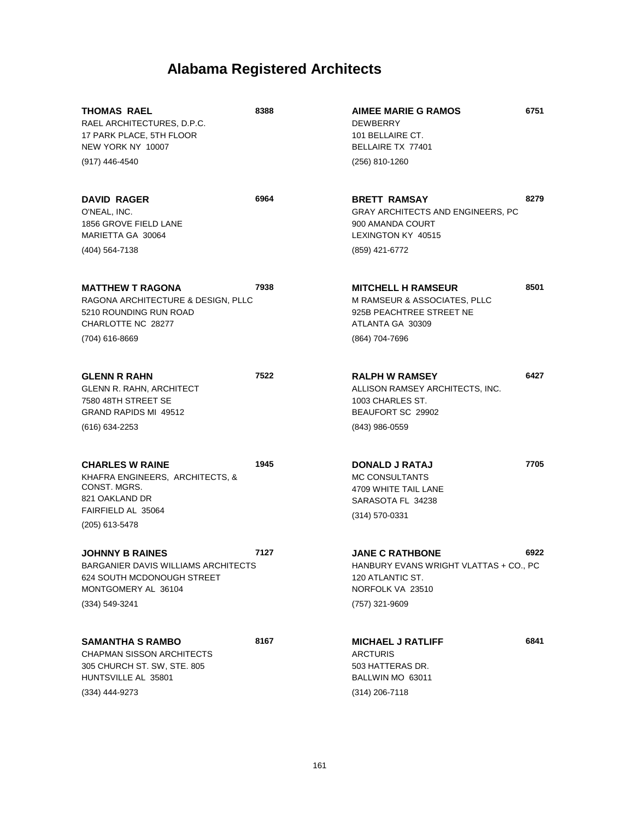| <b>THOMAS RAEL</b><br>RAEL ARCHITECTURES, D.P.C.<br>17 PARK PLACE, 5TH FLOOR<br>NEW YORK NY 10007                                   | 8388 | <b>AIMEE MARIE G RAMOS</b><br><b>DEWBERRY</b><br>101 BELLAIRE CT.<br>BELLAIRE TX 77401                                      | 6751 |
|-------------------------------------------------------------------------------------------------------------------------------------|------|-----------------------------------------------------------------------------------------------------------------------------|------|
| (917) 446-4540                                                                                                                      |      | (256) 810-1260                                                                                                              |      |
| <b>DAVID RAGER</b><br>O'NEAL, INC.<br>1856 GROVE FIELD LANE<br>MARIETTA GA 30064                                                    | 6964 | <b>BRETT RAMSAY</b><br>GRAY ARCHITECTS AND ENGINEERS, PC<br>900 AMANDA COURT<br>LEXINGTON KY 40515                          | 8279 |
| (404) 564-7138                                                                                                                      |      | (859) 421-6772                                                                                                              |      |
| <b>MATTHEW T RAGONA</b><br>RAGONA ARCHITECTURE & DESIGN, PLLC<br>5210 ROUNDING RUN ROAD<br>CHARLOTTE NC 28277<br>(704) 616-8669     | 7938 | <b>MITCHELL H RAMSEUR</b><br>M RAMSEUR & ASSOCIATES, PLLC<br>925B PEACHTREE STREET NE<br>ATLANTA GA 30309<br>(864) 704-7696 | 8501 |
|                                                                                                                                     |      |                                                                                                                             |      |
| <b>GLENN R RAHN</b><br><b>GLENN R. RAHN, ARCHITECT</b><br>7580 48TH STREET SE<br>GRAND RAPIDS MI 49512                              | 7522 | <b>RALPH W RAMSEY</b><br>ALLISON RAMSEY ARCHITECTS, INC.<br>1003 CHARLES ST.<br>BEAUFORT SC 29902                           | 6427 |
| (616) 634-2253                                                                                                                      |      | (843) 986-0559                                                                                                              |      |
| <b>CHARLES W RAINE</b><br>KHAFRA ENGINEERS, ARCHITECTS, &<br>CONST. MGRS.<br>821 OAKLAND DR<br>FAIRFIELD AL 35064<br>(205) 613-5478 | 1945 | <b>DONALD J RATAJ</b><br><b>MC CONSULTANTS</b><br>4709 WHITE TAIL LANE<br>SARASOTA FL 34238<br>$(314)$ 570-0331             | 7705 |
|                                                                                                                                     |      |                                                                                                                             |      |
| JOHNNY B RAINES<br>BARGANIER DAVIS WILLIAMS ARCHITECTS<br>624 SOUTH MCDONOUGH STREET<br>MONTGOMERY AL 36104                         | 7127 | <b>JANE C RATHBONE</b><br>HANBURY EVANS WRIGHT VLATTAS + CO., PC<br>120 ATLANTIC ST.<br>NORFOLK VA 23510                    | 6922 |
| (334) 549-3241                                                                                                                      |      | (757) 321-9609                                                                                                              |      |
| <b>SAMANTHA S RAMBO</b><br><b>CHAPMAN SISSON ARCHITECTS</b><br>305 CHURCH ST. SW, STE. 805<br>HUNTSVILLE AL 35801<br>(334) 444-9273 | 8167 | <b>MICHAEL J RATLIFF</b><br><b>ARCTURIS</b><br>503 HATTERAS DR.<br>BALLWIN MO 63011<br>(314) 206-7118                       | 6841 |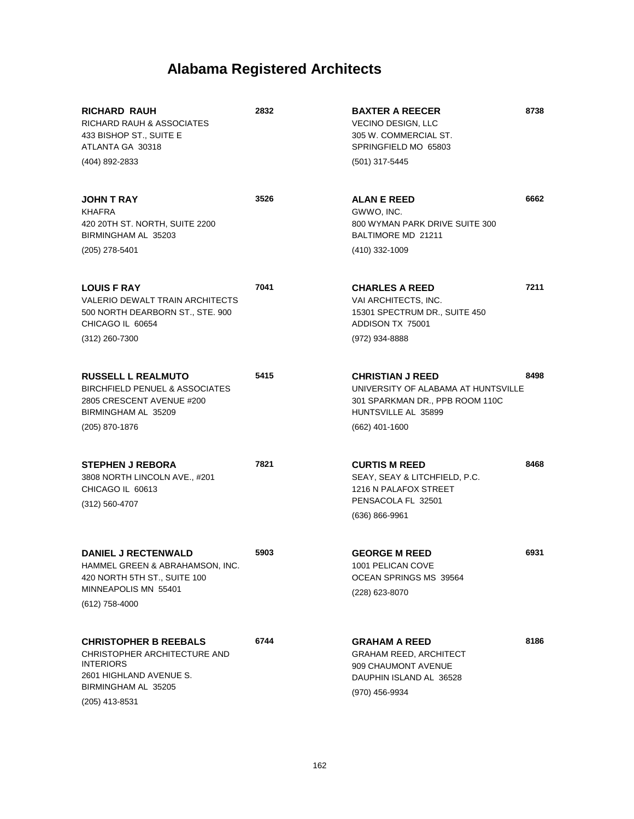| RICHARD RAUH<br>RICHARD RAUH & ASSOCIATES<br>433 BISHOP ST., SUITE E<br>ATLANTA GA 30318<br>(404) 892-2833                                             | 2832 | <b>BAXTER A REECER</b><br><b>VECINO DESIGN, LLC</b><br>305 W. COMMERCIAL ST.<br>SPRINGFIELD MO 65803<br>(501) 317-5445                       | 8738 |
|--------------------------------------------------------------------------------------------------------------------------------------------------------|------|----------------------------------------------------------------------------------------------------------------------------------------------|------|
| <b>JOHN T RAY</b><br><b>KHAFRA</b><br>420 20TH ST. NORTH, SUITE 2200<br>BIRMINGHAM AL 35203<br>$(205)$ 278-5401                                        | 3526 | <b>ALAN E REED</b><br>GWWO, INC.<br>800 WYMAN PARK DRIVE SUITE 300<br>BALTIMORE MD 21211<br>(410) 332-1009                                   | 6662 |
| <b>LOUIS F RAY</b><br>VALERIO DEWALT TRAIN ARCHITECTS<br>500 NORTH DEARBORN ST., STE. 900<br>CHICAGO IL 60654<br>$(312)$ 260-7300                      | 7041 | <b>CHARLES A REED</b><br>VAI ARCHITECTS, INC.<br>15301 SPECTRUM DR., SUITE 450<br>ADDISON TX 75001<br>(972) 934-8888                         | 7211 |
| <b>RUSSELL L REALMUTO</b><br><b>BIRCHFIELD PENUEL &amp; ASSOCIATES</b><br>2805 CRESCENT AVENUE #200<br>BIRMINGHAM AL 35209<br>(205) 870-1876           | 5415 | <b>CHRISTIAN J REED</b><br>UNIVERSITY OF ALABAMA AT HUNTSVILLE<br>301 SPARKMAN DR., PPB ROOM 110C<br>HUNTSVILLE AL 35899<br>$(662)$ 401-1600 | 8498 |
| <b>STEPHEN J REBORA</b><br>3808 NORTH LINCOLN AVE., #201<br>CHICAGO IL 60613<br>$(312) 560 - 4707$                                                     | 7821 | <b>CURTIS M REED</b><br>SEAY, SEAY & LITCHFIELD, P.C.<br>1216 N PALAFOX STREET<br>PENSACOLA FL 32501<br>$(636) 866 - 9961$                   | 8468 |
| <b>DANIEL J RECTENWALD</b><br>HAMMEL GREEN & ABRAHAMSON, INC.<br>420 NORTH 5TH ST., SUITE 100<br>MINNEAPOLIS MN 55401<br>$(612)$ 758-4000              | 5903 | <b>GEORGE M REED</b><br>1001 PELICAN COVE<br>OCEAN SPRINGS MS 39564<br>(228) 623-8070                                                        | 6931 |
| <b>CHRISTOPHER B REEBALS</b><br>CHRISTOPHER ARCHITECTURE AND<br><b>INTERIORS</b><br>2601 HIGHLAND AVENUE S.<br>BIRMINGHAM AL 35205<br>$(205)$ 413-8531 | 6744 | <b>GRAHAM A REED</b><br>GRAHAM REED, ARCHITECT<br>909 CHAUMONT AVENUE<br>DAUPHIN ISLAND AL 36528<br>(970) 456-9934                           | 8186 |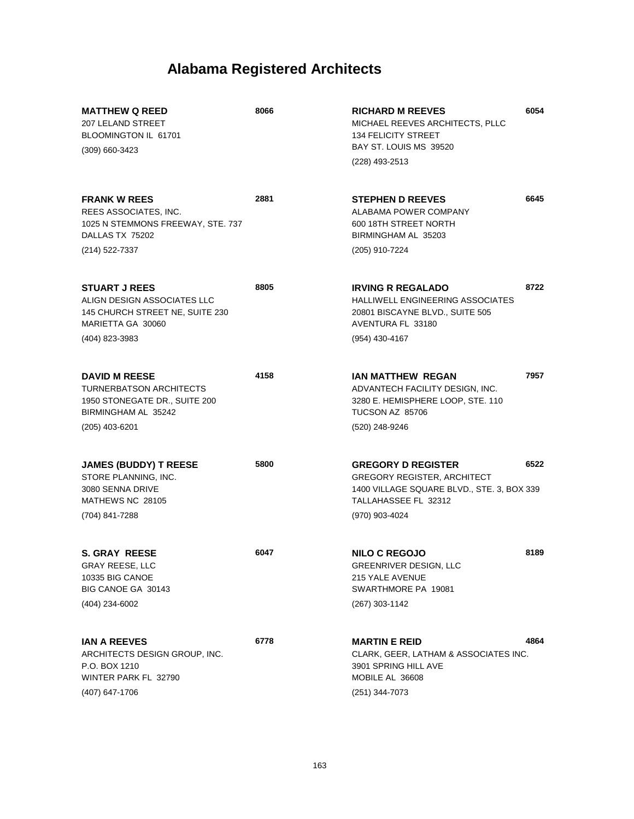| <b>MATTHEW Q REED</b><br>207 LELAND STREET<br>BLOOMINGTON IL 61701                                             | 8066 | <b>RICHARD M REEVES</b><br>MICHAEL REEVES ARCHITECTS, PLLC<br><b>134 FELICITY STREET</b><br>BAY ST. LOUIS MS 39520                    | 6054 |
|----------------------------------------------------------------------------------------------------------------|------|---------------------------------------------------------------------------------------------------------------------------------------|------|
| $(309)$ 660-3423                                                                                               |      | (228) 493-2513                                                                                                                        |      |
| <b>FRANK W REES</b><br>REES ASSOCIATES, INC.<br>1025 N STEMMONS FREEWAY, STE. 737<br>DALLAS TX 75202           | 2881 | <b>STEPHEN D REEVES</b><br>ALABAMA POWER COMPANY<br>600 18TH STREET NORTH<br>BIRMINGHAM AL 35203                                      | 6645 |
| (214) 522-7337                                                                                                 |      | (205) 910-7224                                                                                                                        |      |
| <b>STUART J REES</b><br>ALIGN DESIGN ASSOCIATES LLC<br>145 CHURCH STREET NE, SUITE 230<br>MARIETTA GA 30060    | 8805 | <b>IRVING R REGALADO</b><br>HALLIWELL ENGINEERING ASSOCIATES<br>20801 BISCAYNE BLVD., SUITE 505<br>AVENTURA FL 33180                  | 8722 |
| (404) 823-3983                                                                                                 |      | (954) 430-4167                                                                                                                        |      |
| <b>DAVID M REESE</b><br><b>TURNERBATSON ARCHITECTS</b><br>1950 STONEGATE DR., SUITE 200<br>BIRMINGHAM AL 35242 | 4158 | <b>IAN MATTHEW REGAN</b><br>ADVANTECH FACILITY DESIGN, INC.<br>3280 E. HEMISPHERE LOOP, STE. 110<br>TUCSON AZ 85706                   | 7957 |
| (205) 403-6201                                                                                                 |      | (520) 248-9246                                                                                                                        |      |
| <b>JAMES (BUDDY) T REESE</b><br>STORE PLANNING, INC.<br>3080 SENNA DRIVE<br>MATHEWS NC 28105                   | 5800 | <b>GREGORY D REGISTER</b><br><b>GREGORY REGISTER, ARCHITECT</b><br>1400 VILLAGE SQUARE BLVD., STE. 3, BOX 339<br>TALLAHASSEE FL 32312 | 6522 |
| (704) 841-7288                                                                                                 |      | (970) 903-4024                                                                                                                        |      |
| <b>S. GRAY REESE</b><br><b>GRAY REESE, LLC</b><br>10335 BIG CANOE<br>BIG CANOE GA 30143<br>(404) 234-6002      | 6047 | <b>NILO C REGOJO</b><br>GREENRIVER DESIGN, LLC<br>215 YALE AVENUE<br>SWARTHMORE PA 19081<br>(267) 303-1142                            | 8189 |
|                                                                                                                |      |                                                                                                                                       |      |
| <b>IAN A REEVES</b><br>ARCHITECTS DESIGN GROUP, INC.<br>P.O. BOX 1210<br>WINTER PARK FL 32790                  | 6778 | <b>MARTIN E REID</b><br>CLARK, GEER, LATHAM & ASSOCIATES INC.<br>3901 SPRING HILL AVE<br>MOBILE AL 36608                              | 4864 |
| (407) 647-1706                                                                                                 |      | (251) 344-7073                                                                                                                        |      |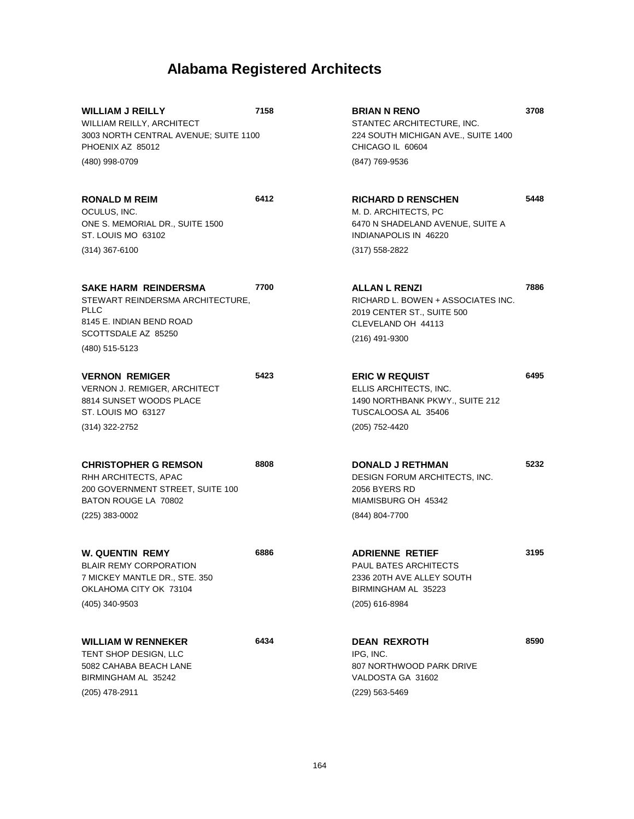**3708**

**5448**

**7886**

**6495**

**5232**

**3195**

**8590**

| <b>WILLIAM J REILLY</b><br>WILLIAM REILLY, ARCHITECT<br>3003 NORTH CENTRAL AVENUE; SUITE 1100<br>PHOENIX AZ 85012                   | 7158 | <b>BRIAN N RENO</b><br>STANTEC ARCHITECTURE, INC.<br>224 SOUTH MICHIGAN AVE., SUITE 1400<br>CHICAGO IL 60604                     |
|-------------------------------------------------------------------------------------------------------------------------------------|------|----------------------------------------------------------------------------------------------------------------------------------|
| (480) 998-0709                                                                                                                      |      | (847) 769-9536                                                                                                                   |
| <b>RONALD M REIM</b><br>OCULUS, INC.<br>ONE S. MEMORIAL DR., SUITE 1500<br>ST. LOUIS MO 63102                                       | 6412 | <b>RICHARD D RENSCHEN</b><br>M. D. ARCHITECTS, PC<br>6470 N SHADELAND AVENUE, SUITE A<br>INDIANAPOLIS IN 46220                   |
| $(314)$ 367-6100                                                                                                                    |      | $(317)$ 558-2822                                                                                                                 |
| <b>SAKE HARM REINDERSMA</b><br>STEWART REINDERSMA ARCHITECTURE,<br><b>PLLC</b><br>8145 E. INDIAN BEND ROAD<br>SCOTTSDALE AZ 85250   | 7700 | <b>ALLAN L RENZI</b><br>RICHARD L. BOWEN + ASSOCIATES INC.<br>2019 CENTER ST., SUITE 500<br>CLEVELAND OH 44113<br>(216) 491-9300 |
| (480) 515-5123                                                                                                                      |      |                                                                                                                                  |
| <b>VERNON REMIGER</b><br><b>VERNON J. REMIGER, ARCHITECT</b><br>8814 SUNSET WOODS PLACE<br>ST. LOUIS MO 63127                       | 5423 | <b>ERIC W REQUIST</b><br>ELLIS ARCHITECTS, INC.<br>1490 NORTHBANK PKWY., SUITE 212<br>TUSCALOOSA AL 35406                        |
| (314) 322-2752                                                                                                                      |      | (205) 752-4420                                                                                                                   |
| <b>CHRISTOPHER G REMSON</b><br>RHH ARCHITECTS, APAC<br>200 GOVERNMENT STREET, SUITE 100<br>BATON ROUGE LA 70802<br>$(225)$ 383-0002 | 8808 | <b>DONALD J RETHMAN</b><br>DESIGN FORUM ARCHITECTS, INC.<br>2056 BYERS RD<br>MIAMISBURG OH 45342<br>(844) 804-7700               |
|                                                                                                                                     |      |                                                                                                                                  |
| W. QUENTIN REMY<br><b>BLAIR REMY CORPORATION</b><br>7 MICKEY MANTLE DR., STE. 350<br>OKLAHOMA CITY OK 73104<br>(405) 340-9503       | 6886 | <b>ADRIENNE RETIEF</b><br>PAUL BATES ARCHITECTS<br>2336 20TH AVE ALLEY SOUTH<br>BIRMINGHAM AL 35223<br>(205) 616-8984            |
| <b>WILLIAM W RENNEKER</b><br>TENT SHOP DESIGN, LLC<br>5082 CAHABA BEACH LANE<br>BIRMINGHAM AL 35242<br>(205) 478-2911               | 6434 | <b>DEAN REXROTH</b><br>IPG, INC.<br>807 NORTHWOOD PARK DRIVE<br>VALDOSTA GA 31602<br>(229) 563-5469                              |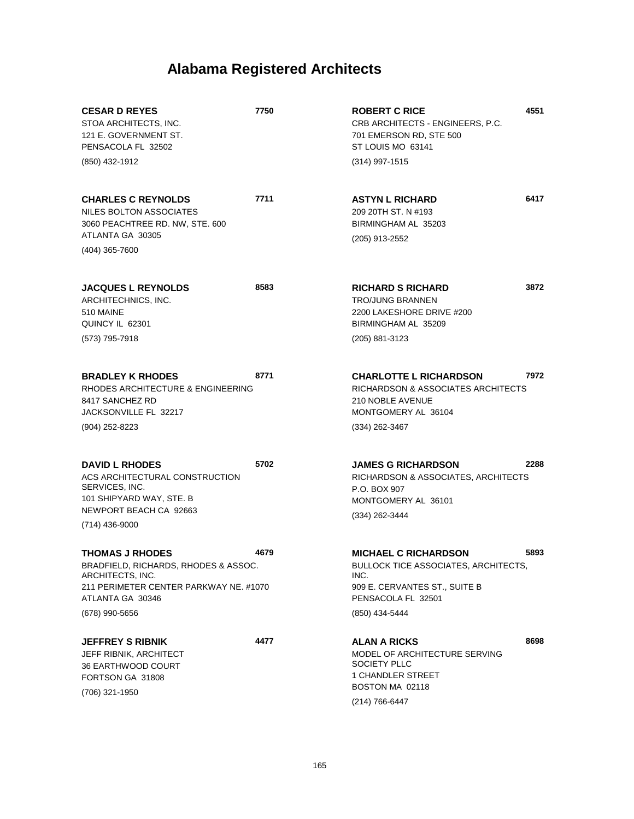| <b>CESAR D REYES</b><br>STOA ARCHITECTS, INC.<br>121 E. GOVERNMENT ST.<br>PENSACOLA FL 32502<br>(850) 432-1912                                                     | 7750 | <b>ROBERT C RICE</b><br>CRB ARCHITECTS - ENGINEERS, P.C.<br>701 EMERSON RD, STE 500<br>ST LOUIS MO 63141<br>(314) 997-1515                           | 4551 |
|--------------------------------------------------------------------------------------------------------------------------------------------------------------------|------|------------------------------------------------------------------------------------------------------------------------------------------------------|------|
| <b>CHARLES C REYNOLDS</b><br>NILES BOLTON ASSOCIATES<br>3060 PEACHTREE RD. NW, STE. 600<br>ATLANTA GA 30305<br>(404) 365-7600                                      | 7711 | <b>ASTYN L RICHARD</b><br>209 20TH ST. N #193<br>BIRMINGHAM AL 35203<br>(205) 913-2552                                                               | 6417 |
| <b>JACQUES L REYNOLDS</b><br>ARCHITECHNICS, INC.<br>510 MAINE<br>QUINCY IL 62301<br>(573) 795-7918                                                                 | 8583 | <b>RICHARD S RICHARD</b><br><b>TRO/JUNG BRANNEN</b><br>2200 LAKESHORE DRIVE #200<br>BIRMINGHAM AL 35209<br>(205) 881-3123                            | 3872 |
| <b>BRADLEY K RHODES</b><br>RHODES ARCHITECTURE & ENGINEERING<br>8417 SANCHEZ RD<br>JACKSONVILLE FL 32217<br>(904) 252-8223                                         | 8771 | <b>CHARLOTTE L RICHARDSON</b><br>RICHARDSON & ASSOCIATES ARCHITECTS<br>210 NOBLE AVENUE<br>MONTGOMERY AL 36104<br>(334) 262-3467                     | 7972 |
| <b>DAVID L RHODES</b><br>ACS ARCHITECTURAL CONSTRUCTION<br>SERVICES, INC.<br>101 SHIPYARD WAY, STE. B<br>NEWPORT BEACH CA 92663<br>(714) 436-9000                  | 5702 | <b>JAMES G RICHARDSON</b><br>RICHARDSON & ASSOCIATES, ARCHITECTS<br>P.O. BOX 907<br>MONTGOMERY AL 36101<br>(334) 262-3444                            | 2288 |
| <b>THOMAS J RHODES</b><br>BRADFIELD, RICHARDS, RHODES & ASSOC.<br>ARCHITECTS, INC.<br>211 PERIMETER CENTER PARKWAY NE, #1070<br>ATLANTA GA 30346<br>(678) 990-5656 | 4679 | <b>MICHAEL C RICHARDSON</b><br>BULLOCK TICE ASSOCIATES, ARCHITECTS,<br>INC.<br>909 E. CERVANTES ST., SUITE B<br>PENSACOLA FL 32501<br>(850) 434-5444 | 5893 |
| <b>JEFFREY S RIBNIK</b><br>JEFF RIBNIK, ARCHITECT<br>36 EARTHWOOD COURT<br>FORTSON GA 31808<br>(706) 321-1950                                                      | 4477 | <b>ALAN A RICKS</b><br>MODEL OF ARCHITECTURE SERVING<br>SOCIETY PLLC<br>1 CHANDLER STREET<br>BOSTON MA 02118<br>(214) 766-6447                       | 8698 |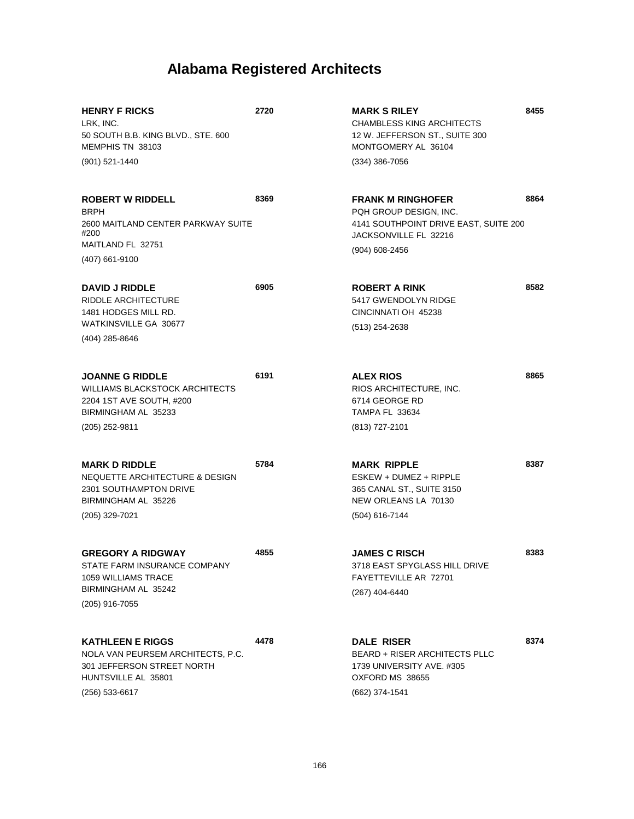| <b>HENRY F RICKS</b><br>LRK, INC.<br>50 SOUTH B.B. KING BLVD., STE. 600<br>MEMPHIS TN 38103                                          | 2720 | <b>MARK S RILEY</b><br><b>CHAMBLESS KING ARCHITECTS</b><br>12 W. JEFFERSON ST., SUITE 300<br>MONTGOMERY AL 36104            | 8455 |
|--------------------------------------------------------------------------------------------------------------------------------------|------|-----------------------------------------------------------------------------------------------------------------------------|------|
| (901) 521-1440                                                                                                                       |      | $(334)$ 386-7056                                                                                                            |      |
| <b>ROBERT W RIDDELL</b><br><b>BRPH</b><br>2600 MAITLAND CENTER PARKWAY SUITE<br>#200                                                 | 8369 | <b>FRANK M RINGHOFER</b><br>PQH GROUP DESIGN, INC.<br>4141 SOUTHPOINT DRIVE EAST, SUITE 200<br>JACKSONVILLE FL 32216        | 8864 |
| MAITLAND FL 32751<br>(407) 661-9100                                                                                                  |      | (904) 608-2456                                                                                                              |      |
| <b>DAVID J RIDDLE</b><br><b>RIDDLE ARCHITECTURE</b><br>1481 HODGES MILL RD.<br>WATKINSVILLE GA 30677<br>(404) 285-8646               | 6905 | <b>ROBERT A RINK</b><br>5417 GWENDOLYN RIDGE<br>CINCINNATI OH 45238<br>$(513)$ 254-2638                                     | 8582 |
| <b>JOANNE G RIDDLE</b><br><b>WILLIAMS BLACKSTOCK ARCHITECTS</b><br>2204 1ST AVE SOUTH, #200<br>BIRMINGHAM AL 35233                   | 6191 | <b>ALEX RIOS</b><br>RIOS ARCHITECTURE, INC.<br>6714 GEORGE RD<br><b>TAMPA FL 33634</b>                                      | 8865 |
| (205) 252-9811                                                                                                                       |      | (813) 727-2101                                                                                                              |      |
| <b>MARK D RIDDLE</b><br><b>NEQUETTE ARCHITECTURE &amp; DESIGN</b><br>2301 SOUTHAMPTON DRIVE<br>BIRMINGHAM AL 35226<br>(205) 329-7021 | 5784 | <b>MARK RIPPLE</b><br>$ESKEY + DUMEZ + RIPPLE$<br>365 CANAL ST., SUITE 3150<br>NEW ORLEANS LA 70130<br>(504) 616-7144       | 8387 |
| <b>GREGORY A RIDGWAY</b><br>STATE FARM INSURANCE COMPANY<br>1059 WILLIAMS TRACE<br>BIRMINGHAM AL 35242<br>(205) 916-7055             | 4855 | <b>JAMES C RISCH</b><br>3718 EAST SPYGLASS HILL DRIVE<br>FAYETTEVILLE AR 72701<br>(267) 404-6440                            | 8383 |
| <b>KATHLEEN E RIGGS</b><br>NOLA VAN PEURSEM ARCHITECTS, P.C.<br>301 JEFFERSON STREET NORTH<br>HUNTSVILLE AL 35801<br>(256) 533-6617  | 4478 | <b>DALE RISER</b><br><b>BEARD + RISER ARCHITECTS PLLC</b><br>1739 UNIVERSITY AVE. #305<br>OXFORD MS 38655<br>(662) 374-1541 | 8374 |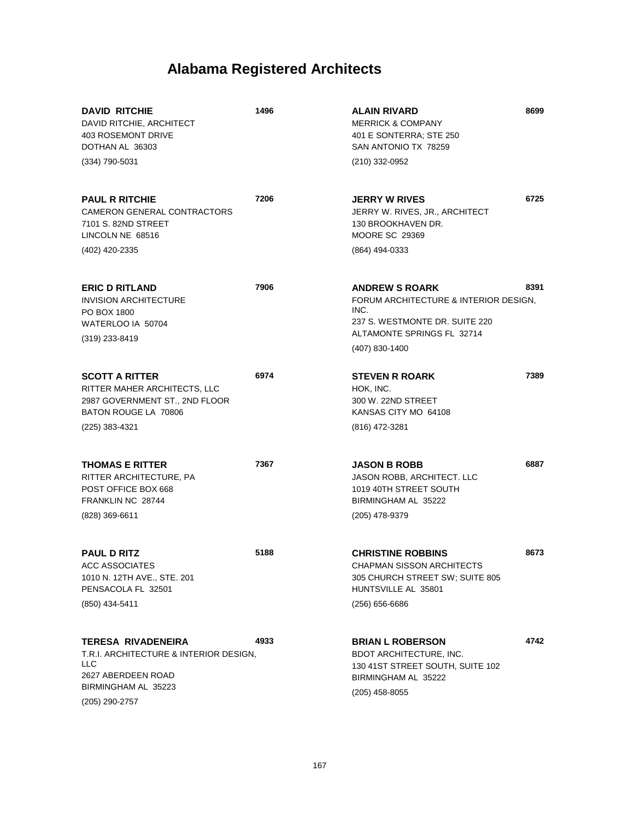| <b>DAVID RITCHIE</b><br>DAVID RITCHIE, ARCHITECT<br>403 ROSEMONT DRIVE<br>DOTHAN AL 36303                                                        | 1496 | <b>ALAIN RIVARD</b><br><b>MERRICK &amp; COMPANY</b><br>401 E SONTERRA; STE 250<br>SAN ANTONIO TX 78259                                                   | 8699 |
|--------------------------------------------------------------------------------------------------------------------------------------------------|------|----------------------------------------------------------------------------------------------------------------------------------------------------------|------|
| (334) 790-5031                                                                                                                                   |      | (210) 332-0952                                                                                                                                           |      |
| <b>PAUL R RITCHIE</b><br>CAMERON GENERAL CONTRACTORS<br>7101 S. 82ND STREET<br>LINCOLN NE 68516                                                  | 7206 | <b>JERRY W RIVES</b><br>JERRY W. RIVES, JR., ARCHITECT<br>130 BROOKHAVEN DR.<br><b>MOORE SC 29369</b>                                                    | 6725 |
| (402) 420-2335                                                                                                                                   |      | (864) 494-0333                                                                                                                                           |      |
| <b>ERIC D RITLAND</b><br><b>INVISION ARCHITECTURE</b><br>PO BOX 1800<br>WATERLOO IA 50704<br>(319) 233-8419                                      | 7906 | <b>ANDREW S ROARK</b><br>FORUM ARCHITECTURE & INTERIOR DESIGN,<br>INC.<br>237 S. WESTMONTE DR. SUITE 220<br>ALTAMONTE SPRINGS FL 32714<br>(407) 830-1400 | 8391 |
| <b>SCOTT A RITTER</b><br>RITTER MAHER ARCHITECTS, LLC<br>2987 GOVERNMENT ST., 2ND FLOOR<br>BATON ROUGE LA 70806<br>(225) 383-4321                | 6974 | <b>STEVEN R ROARK</b><br>HOK, INC.<br>300 W. 22ND STREET<br>KANSAS CITY MO 64108<br>(816) 472-3281                                                       | 7389 |
| <b>THOMAS E RITTER</b><br>RITTER ARCHITECTURE, PA<br>POST OFFICE BOX 668<br>FRANKLIN NC 28744<br>(828) 369-6611                                  | 7367 | <b>JASON B ROBB</b><br>JASON ROBB, ARCHITECT. LLC<br>1019 40TH STREET SOUTH<br>BIRMINGHAM AL 35222<br>(205) 478-9379                                     | 6887 |
| <b>PAUL D RITZ</b><br><b>ACC ASSOCIATES</b><br>1010 N. 12TH AVE., STE. 201<br>PENSACOLA FL 32501<br>(850) 434-5411                               | 5188 | <b>CHRISTINE ROBBINS</b><br>CHAPMAN SISSON ARCHITECTS<br>305 CHURCH STREET SW; SUITE 805<br>HUNTSVILLE AL 35801<br>(256) 656-6686                        | 8673 |
| <b>TERESA RIVADENEIRA</b><br>T.R.I. ARCHITECTURE & INTERIOR DESIGN,<br><b>LLC</b><br>2627 ABERDEEN ROAD<br>BIRMINGHAM AL 35223<br>(205) 290-2757 | 4933 | <b>BRIAN L ROBERSON</b><br><b>BDOT ARCHITECTURE, INC.</b><br>130 41ST STREET SOUTH, SUITE 102<br>BIRMINGHAM AL 35222<br>(205) 458-8055                   | 4742 |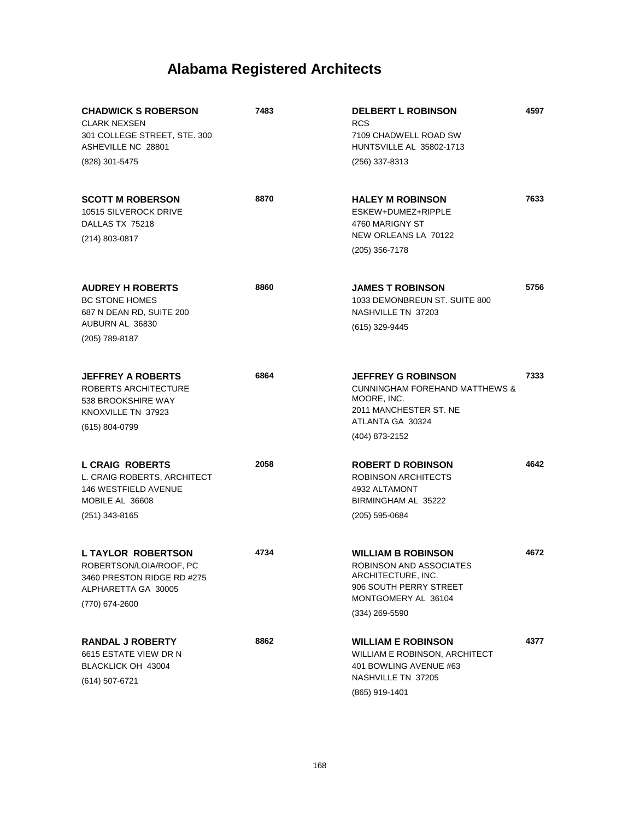| <b>CHADWICK S ROBERSON</b><br><b>CLARK NEXSEN</b><br>301 COLLEGE STREET, STE. 300<br>ASHEVILLE NC 28801<br>(828) 301-5475   | 7483 | <b>DELBERT L ROBINSON</b><br><b>RCS</b><br>7109 CHADWELL ROAD SW<br>HUNTSVILLE AL 35802-1713<br>(256) 337-8313                                        | 4597 |
|-----------------------------------------------------------------------------------------------------------------------------|------|-------------------------------------------------------------------------------------------------------------------------------------------------------|------|
| <b>SCOTT M ROBERSON</b><br>10515 SILVEROCK DRIVE<br>DALLAS TX 75218<br>(214) 803-0817                                       | 8870 | <b>HALEY M ROBINSON</b><br>ESKEW+DUMEZ+RIPPLE<br>4760 MARIGNY ST<br>NEW ORLEANS LA 70122<br>$(205)$ 356-7178                                          | 7633 |
| <b>AUDREY H ROBERTS</b><br><b>BC STONE HOMES</b><br>687 N DEAN RD, SUITE 200<br>AUBURN AL 36830<br>(205) 789-8187           | 8860 | <b>JAMES T ROBINSON</b><br>1033 DEMONBREUN ST. SUITE 800<br>NASHVILLE TN 37203<br>(615) 329-9445                                                      | 5756 |
| <b>JEFFREY A ROBERTS</b><br>ROBERTS ARCHITECTURE<br>538 BROOKSHIRE WAY<br>KNOXVILLE TN 37923<br>$(615) 804 - 0799$          | 6864 | <b>JEFFREY G ROBINSON</b><br><b>CUNNINGHAM FOREHAND MATTHEWS &amp;</b><br>MOORE, INC.<br>2011 MANCHESTER ST. NE<br>ATLANTA GA 30324<br>(404) 873-2152 | 7333 |
| <b>L CRAIG ROBERTS</b><br>L. CRAIG ROBERTS, ARCHITECT<br><b>146 WESTFIELD AVENUE</b><br>MOBILE AL 36608<br>(251) 343-8165   | 2058 | <b>ROBERT D ROBINSON</b><br><b>ROBINSON ARCHITECTS</b><br>4932 ALTAMONT<br>BIRMINGHAM AL 35222<br>$(205)$ 595-0684                                    | 4642 |
| <b>L TAYLOR ROBERTSON</b><br>ROBERTSON/LOIA/ROOF, PC<br>3460 PRESTON RIDGE RD #275<br>ALPHARETTA GA 30005<br>(770) 674-2600 | 4734 | <b>WILLIAM B ROBINSON</b><br>ROBINSON AND ASSOCIATES<br>ARCHITECTURE, INC.<br>906 SOUTH PERRY STREET<br>MONTGOMERY AL 36104<br>$(334)$ 269-5590       | 4672 |
| <b>RANDAL J ROBERTY</b><br>6615 ESTATE VIEW DR N<br>BLACKLICK OH 43004<br>(614) 507-6721                                    | 8862 | <b>WILLIAM E ROBINSON</b><br>WILLIAM E ROBINSON, ARCHITECT<br>401 BOWLING AVENUE #63<br>NASHVILLE TN 37205<br>(865) 919-1401                          | 4377 |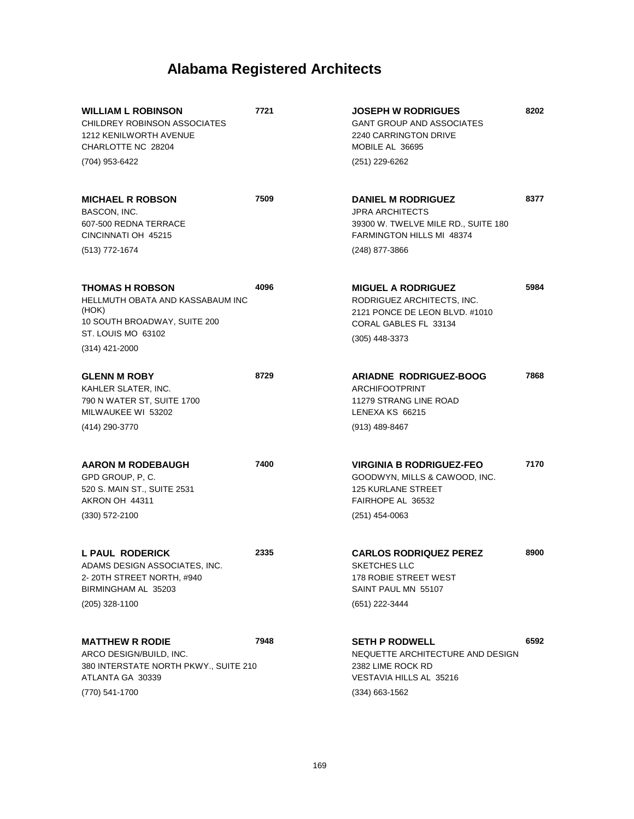| <b>WILLIAM L ROBINSON</b><br>CHILDREY ROBINSON ASSOCIATES<br><b>1212 KENILWORTH AVENUE</b><br>CHARLOTTE NC 28204                                     | 7721 | <b>JOSEPH W RODRIGUES</b><br><b>GANT GROUP AND ASSOCIATES</b><br>2240 CARRINGTON DRIVE<br>MOBILE AL 36695                              | 8202 |
|------------------------------------------------------------------------------------------------------------------------------------------------------|------|----------------------------------------------------------------------------------------------------------------------------------------|------|
| (704) 953-6422                                                                                                                                       |      | (251) 229-6262                                                                                                                         |      |
| <b>MICHAEL R ROBSON</b><br>BASCON, INC.<br>607-500 REDNA TERRACE<br>CINCINNATI OH 45215                                                              | 7509 | <b>DANIEL M RODRIGUEZ</b><br><b>JPRA ARCHITECTS</b><br>39300 W. TWELVE MILE RD., SUITE 180<br><b>FARMINGTON HILLS MI 48374</b>         | 8377 |
| (513) 772-1674                                                                                                                                       |      | (248) 877-3866                                                                                                                         |      |
| <b>THOMAS H ROBSON</b><br><b>HELLMUTH OBATA AND KASSABAUM INC</b><br>(HOK)<br>10 SOUTH BROADWAY, SUITE 200<br>ST. LOUIS MO 63102<br>$(314)$ 421-2000 | 4096 | <b>MIGUEL A RODRIGUEZ</b><br>RODRIGUEZ ARCHITECTS, INC.<br>2121 PONCE DE LEON BLVD. #1010<br>CORAL GABLES FL 33134<br>$(305)$ 448-3373 | 5984 |
| <b>GLENN M ROBY</b><br>KAHLER SLATER, INC.<br>790 N WATER ST, SUITE 1700<br>MILWAUKEE WI 53202                                                       | 8729 | <b>ARIADNE RODRIGUEZ-BOOG</b><br><b>ARCHIFOOTPRINT</b><br>11279 STRANG LINE ROAD<br>LENEXA KS 66215                                    | 7868 |
| (414) 290-3770                                                                                                                                       |      | (913) 489-8467                                                                                                                         |      |
| <b>AARON M RODEBAUGH</b><br>GPD GROUP, P, C.<br>520 S. MAIN ST., SUITE 2531<br>AKRON OH 44311                                                        | 7400 | <b>VIRGINIA B RODRIGUEZ-FEO</b><br>GOODWYN, MILLS & CAWOOD, INC.<br><b>125 KURLANE STREET</b><br>FAIRHOPE AL 36532                     | 7170 |
| $(330)$ 572-2100                                                                                                                                     |      | $(251)$ 454-0063                                                                                                                       |      |
| L PAUL RODERICK<br>ADAMS DESIGN ASSOCIATES, INC.<br>2-20TH STREET NORTH, #940<br>BIRMINGHAM AL 35203                                                 | 2335 | <b>CARLOS RODRIQUEZ PEREZ</b><br>SKETCHES LLC<br>178 ROBIE STREET WEST<br>SAINT PAUL MN 55107                                          | 8900 |
| (205) 328-1100                                                                                                                                       |      | (651) 222-3444                                                                                                                         |      |
| <b>MATTHEW R RODIE</b><br>ARCO DESIGN/BUILD, INC.<br>380 INTERSTATE NORTH PKWY., SUITE 210<br>ATLANTA GA 30339                                       | 7948 | <b>SETH P RODWELL</b><br>NEQUETTE ARCHITECTURE AND DESIGN<br>2382 LIME ROCK RD<br>VESTAVIA HILLS AL 35216                              | 6592 |
| (770) 541-1700                                                                                                                                       |      | $(334)$ 663-1562                                                                                                                       |      |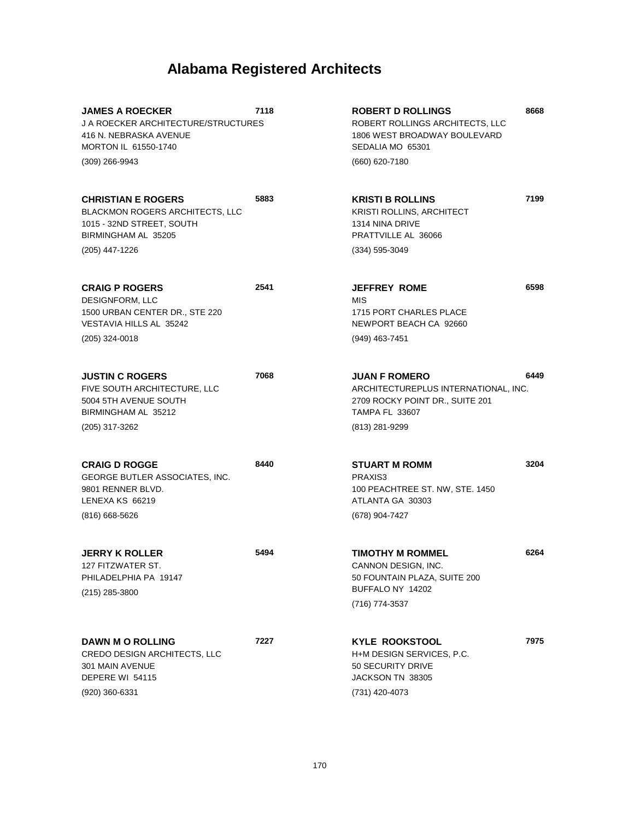| <b>JAMES A ROECKER</b><br><b>J A ROECKER ARCHITECTURE/STRUCTURES</b><br>416 N. NEBRASKA AVENUE<br>MORTON IL 61550-1740<br>(309) 266-9943  | 7118 | <b>ROBERT D ROLLINGS</b><br>ROBERT ROLLINGS ARCHITECTS, LLC<br>1806 WEST BROADWAY BOULEVARD<br>SEDALIA MO 65301<br>(660) 620-7180          | 8668 |
|-------------------------------------------------------------------------------------------------------------------------------------------|------|--------------------------------------------------------------------------------------------------------------------------------------------|------|
| <b>CHRISTIAN E ROGERS</b><br><b>BLACKMON ROGERS ARCHITECTS, LLC</b><br>1015 - 32ND STREET, SOUTH<br>BIRMINGHAM AL 35205<br>(205) 447-1226 | 5883 | <b>KRISTI B ROLLINS</b><br><b>KRISTI ROLLINS, ARCHITECT</b><br>1314 NINA DRIVE<br>PRATTVILLE AL 36066<br>$(334) 595 - 3049$                | 7199 |
| <b>CRAIG P ROGERS</b><br>DESIGNFORM, LLC<br>1500 URBAN CENTER DR., STE 220<br><b>VESTAVIA HILLS AL 35242</b><br>(205) 324-0018            | 2541 | <b>JEFFREY ROME</b><br><b>MIS</b><br>1715 PORT CHARLES PLACE<br>NEWPORT BEACH CA 92660<br>(949) 463-7451                                   | 6598 |
| <b>JUSTIN C ROGERS</b><br>FIVE SOUTH ARCHITECTURE, LLC<br>5004 5TH AVENUE SOUTH<br>BIRMINGHAM AL 35212<br>(205) 317-3262                  | 7068 | <b>JUAN F ROMERO</b><br>ARCHITECTUREPLUS INTERNATIONAL, INC.<br>2709 ROCKY POINT DR., SUITE 201<br><b>TAMPA FL 33607</b><br>(813) 281-9299 | 6449 |
| <b>CRAIG D ROGGE</b><br>GEORGE BUTLER ASSOCIATES, INC.<br>9801 RENNER BLVD.<br>LENEXA KS 66219<br>$(816)$ 668-5626                        | 8440 | <b>STUART M ROMM</b><br>PRAXIS3<br>100 PEACHTREE ST. NW, STE. 1450<br>ATLANTA GA 30303<br>(678) 904-7427                                   | 3204 |
| <b>JERRY K ROLLER</b><br>127 FITZWATER ST.<br>PHILADELPHIA PA 19147<br>(215) 285-3800                                                     | 5494 | <b>TIMOTHY M ROMMEL</b><br>CANNON DESIGN, INC.<br>50 FOUNTAIN PLAZA, SUITE 200<br>BUFFALO NY 14202<br>(716) 774-3537                       | 6264 |
| <b>DAWN M O ROLLING</b><br>CREDO DESIGN ARCHITECTS, LLC<br>301 MAIN AVENUE<br>DEPERE WI 54115<br>$(920)$ 360-6331                         | 7227 | <b>KYLE ROOKSTOOL</b><br>H+M DESIGN SERVICES, P.C.<br>50 SECURITY DRIVE<br>JACKSON TN 38305<br>(731) 420-4073                              | 7975 |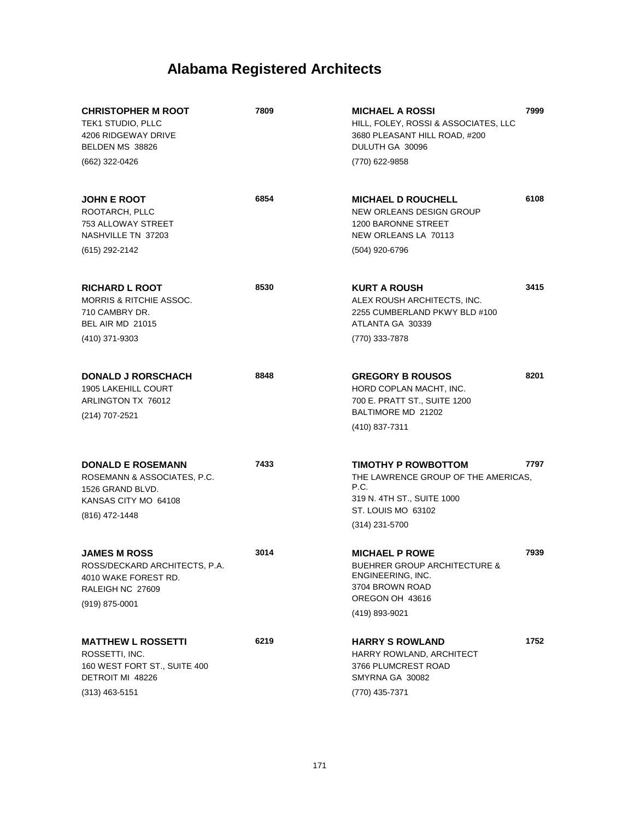| <b>CHRISTOPHER M ROOT</b><br>TEK1 STUDIO, PLLC<br>4206 RIDGEWAY DRIVE<br>BELDEN MS 38826<br>(662) 322-0426                 | 7809 | <b>MICHAEL A ROSSI</b><br>HILL, FOLEY, ROSSI & ASSOCIATES, LLC<br>3680 PLEASANT HILL ROAD, #200<br>DULUTH GA 30096<br>(770) 622-9858          | 7999 |
|----------------------------------------------------------------------------------------------------------------------------|------|-----------------------------------------------------------------------------------------------------------------------------------------------|------|
| <b>JOHN E ROOT</b><br>ROOTARCH, PLLC<br>753 ALLOWAY STREET<br>NASHVILLE TN 37203<br>(615) 292-2142                         | 6854 | <b>MICHAEL D ROUCHELL</b><br>NEW ORLEANS DESIGN GROUP<br>1200 BARONNE STREET<br>NEW ORLEANS LA 70113<br>(504) 920-6796                        | 6108 |
| <b>RICHARD L ROOT</b><br><b>MORRIS &amp; RITCHIE ASSOC.</b><br>710 CAMBRY DR.<br><b>BEL AIR MD 21015</b><br>(410) 371-9303 | 8530 | <b>KURT A ROUSH</b><br>ALEX ROUSH ARCHITECTS, INC.<br>2255 CUMBERLAND PKWY BLD #100<br>ATLANTA GA 30339<br>(770) 333-7878                     | 3415 |
| <b>DONALD J RORSCHACH</b><br><b>1905 LAKEHILL COURT</b><br>ARLINGTON TX 76012<br>(214) 707-2521                            | 8848 | <b>GREGORY B ROUSOS</b><br>HORD COPLAN MACHT. INC.<br>700 E. PRATT ST., SUITE 1200<br>BALTIMORE MD 21202<br>(410) 837-7311                    | 8201 |
| <b>DONALD E ROSEMANN</b><br>ROSEMANN & ASSOCIATES, P.C.<br>1526 GRAND BLVD.<br>KANSAS CITY MO 64108<br>(816) 472-1448      | 7433 | TIMOTHY P ROWBOTTOM<br>THE LAWRENCE GROUP OF THE AMERICAS.<br>P.C.<br>319 N. 4TH ST., SUITE 1000<br>ST. LOUIS MO 63102<br>(314) 231-5700      | 7797 |
| <b>JAMES M ROSS</b><br>ROSS/DECKARD ARCHITECTS. P.A<br>4010 WAKE FOREST RD.<br>RALEIGH NC 27609<br>$(919)$ 875-0001        | 3014 | <b>MICHAEL P ROWE</b><br><b>BUEHRER GROUP ARCHITECTURE &amp;</b><br>ENGINEERING, INC.<br>3704 BROWN ROAD<br>OREGON OH 43616<br>(419) 893-9021 | 7939 |
| <b>MATTHEW L ROSSETTI</b><br>ROSSETTI, INC.<br>160 WEST FORT ST., SUITE 400<br>DETROIT MI 48226<br>$(313)$ 463-5151        | 6219 | <b>HARRY S ROWLAND</b><br>HARRY ROWLAND, ARCHITECT<br>3766 PLUMCREST ROAD<br>SMYRNA GA 30082<br>(770) 435-7371                                | 1752 |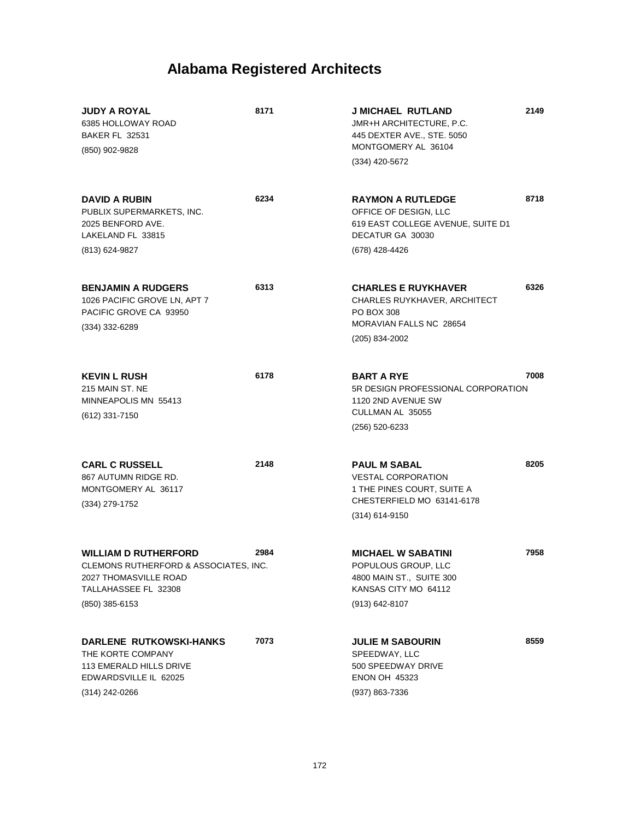| <b>JUDY A ROYAL</b><br>6385 HOLLOWAY ROAD<br><b>BAKER FL 32531</b><br>(850) 902-9828                                      | 8171 | <b>J MICHAEL RUTLAND</b><br><b>JMR+H ARCHITECTURE, P.C.</b><br>445 DEXTER AVE., STE. 5050<br>MONTGOMERY AL 36104<br>(334) 420-5672 | 2149 |
|---------------------------------------------------------------------------------------------------------------------------|------|------------------------------------------------------------------------------------------------------------------------------------|------|
| <b>DAVID A RUBIN</b><br>PUBLIX SUPERMARKETS, INC.<br>2025 BENFORD AVE.<br>LAKELAND FL 33815                               | 6234 | <b>RAYMON A RUTLEDGE</b><br>OFFICE OF DESIGN, LLC<br>619 EAST COLLEGE AVENUE, SUITE D1<br>DECATUR GA 30030                         | 8718 |
| (813) 624-9827                                                                                                            |      | (678) 428-4426                                                                                                                     |      |
| <b>BENJAMIN A RUDGERS</b><br>1026 PACIFIC GROVE LN, APT 7<br>PACIFIC GROVE CA 93950<br>(334) 332-6289                     | 6313 | <b>CHARLES E RUYKHAVER</b><br><b>CHARLES RUYKHAVER, ARCHITECT</b><br><b>PO BOX 308</b><br>MORAVIAN FALLS NC 28654                  | 6326 |
|                                                                                                                           |      | (205) 834-2002                                                                                                                     |      |
| <b>KEVIN L RUSH</b><br>215 MAIN ST. NE<br>MINNEAPOLIS MN 55413<br>(612) 331-7150                                          | 6178 | <b>BART A RYE</b><br>5R DESIGN PROFESSIONAL CORPORATION<br>1120 2ND AVENUE SW<br>CULLMAN AL 35055                                  | 7008 |
|                                                                                                                           |      | (256) 520-6233                                                                                                                     |      |
| <b>CARL C RUSSELL</b><br>867 AUTUMN RIDGE RD.<br>MONTGOMERY AL 36117<br>(334) 279-1752                                    | 2148 | <b>PAUL M SABAL</b><br><b>VESTAL CORPORATION</b><br>1 THE PINES COURT, SUITE A<br>CHESTERFIELD MO 63141-6178<br>(314) 614-9150     | 8205 |
|                                                                                                                           |      |                                                                                                                                    |      |
| <b>WILLIAM D RUTHERFORD</b><br>CLEMONS RUTHERFORD & ASSOCIATES, INC.<br>2027 THOMASVILLE ROAD<br>TALLAHASSEE FL 32308     | 2984 | <b>MICHAEL W SABATINI</b><br>POPULOUS GROUP, LLC<br>4800 MAIN ST., SUITE 300<br>KANSAS CITY MO 64112                               | 7958 |
| $(850)$ 385-6153                                                                                                          |      | $(913) 642 - 8107$                                                                                                                 |      |
| <b>DARLENE RUTKOWSKI-HANKS</b><br>THE KORTE COMPANY<br>113 EMERALD HILLS DRIVE<br>EDWARDSVILLE IL 62025<br>(314) 242-0266 | 7073 | <b>JULIE M SABOURIN</b><br>SPEEDWAY, LLC<br>500 SPEEDWAY DRIVE<br><b>ENON OH 45323</b><br>(937) 863-7336                           | 8559 |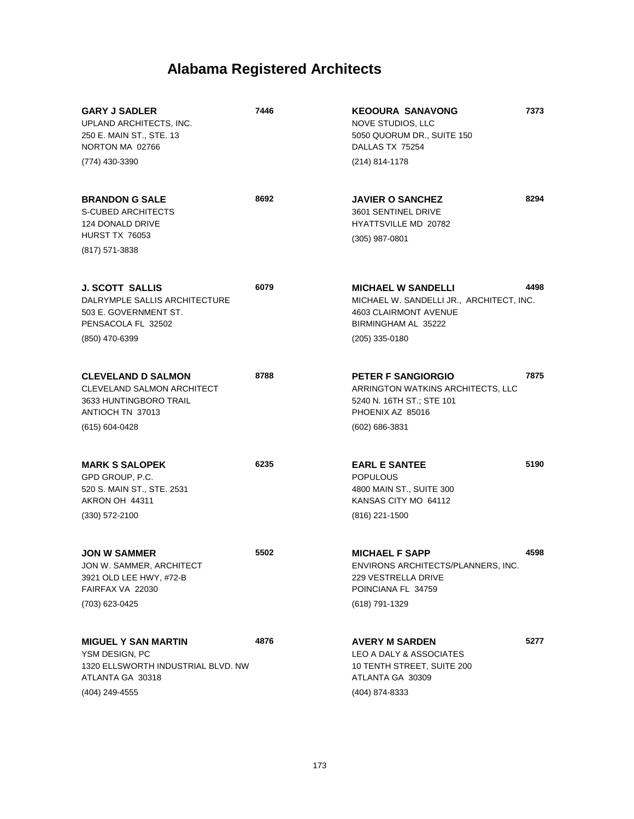| <b>GARY J SADLER</b><br>UPLAND ARCHITECTS, INC.<br>250 E. MAIN ST., STE. 13<br>NORTON MA 02766                           | 7446 | <b>KEOOURA SANAVONG</b><br>NOVE STUDIOS, LLC<br>5050 QUORUM DR., SUITE 150<br>DALLAS TX 75254                         | 7373 |
|--------------------------------------------------------------------------------------------------------------------------|------|-----------------------------------------------------------------------------------------------------------------------|------|
| (774) 430-3390                                                                                                           |      | (214) 814-1178                                                                                                        |      |
| <b>BRANDON G SALE</b><br><b>S-CUBED ARCHITECTS</b><br>124 DONALD DRIVE<br><b>HURST TX 76053</b>                          | 8692 | <b>JAVIER O SANCHEZ</b><br>3601 SENTINEL DRIVE<br><b>HYATTSVILLE MD 20782</b><br>$(305)$ 987-0801                     | 8294 |
| (817) 571-3838                                                                                                           |      |                                                                                                                       |      |
| <b>J. SCOTT SALLIS</b><br>DALRYMPLE SALLIS ARCHITECTURE<br>503 E. GOVERNMENT ST.<br>PENSACOLA FL 32502                   | 6079 | <b>MICHAEL W SANDELLI</b><br>MICHAEL W. SANDELLI JR., ARCHITECT, INC.<br>4603 CLAIRMONT AVENUE<br>BIRMINGHAM AL 35222 | 4498 |
| (850) 470-6399                                                                                                           |      | $(205)$ 335-0180                                                                                                      |      |
| <b>CLEVELAND D SALMON</b><br><b>CLEVELAND SALMON ARCHITECT</b><br>3633 HUNTINGBORO TRAIL<br>ANTIOCH TN 37013             | 8788 | <b>PETER F SANGIORGIO</b><br>ARRINGTON WATKINS ARCHITECTS, LLC<br>5240 N. 16TH ST.; STE 101<br>PHOENIX AZ 85016       | 7875 |
| $(615) 604 - 0428$                                                                                                       |      | $(602) 686 - 3831$                                                                                                    |      |
| <b>MARK S SALOPEK</b><br>GPD GROUP, P.C.<br>520 S. MAIN ST., STE. 2531<br>AKRON OH 44311                                 | 6235 | <b>EARL E SANTEE</b><br><b>POPULOUS</b><br>4800 MAIN ST., SUITE 300<br>KANSAS CITY MO 64112                           | 5190 |
| $(330) 572 - 2100$                                                                                                       |      | (816) 221-1500                                                                                                        |      |
| <b>JON W SAMMER</b><br>JON W. SAMMER, ARCHITECT<br>3921 OLD LEE HWY, #72-B<br>FAIRFAX VA 22030                           | 5502 | <b>MICHAEL F SAPP</b><br>ENVIRONS ARCHITECTS/PLANNERS, INC.<br>229 VESTRELLA DRIVE<br>POINCIANA FL 34759              | 4598 |
| (703) 623-0425                                                                                                           |      | (618) 791-1329                                                                                                        |      |
| <b>MIGUEL Y SAN MARTIN</b><br>YSM DESIGN, PC<br>1320 ELLSWORTH INDUSTRIAL BLVD. NW<br>ATLANTA GA 30318<br>(404) 249-4555 | 4876 | <b>AVERY M SARDEN</b><br>LEO A DALY & ASSOCIATES<br>10 TENTH STREET, SUITE 200<br>ATLANTA GA 30309<br>(404) 874-8333  | 5277 |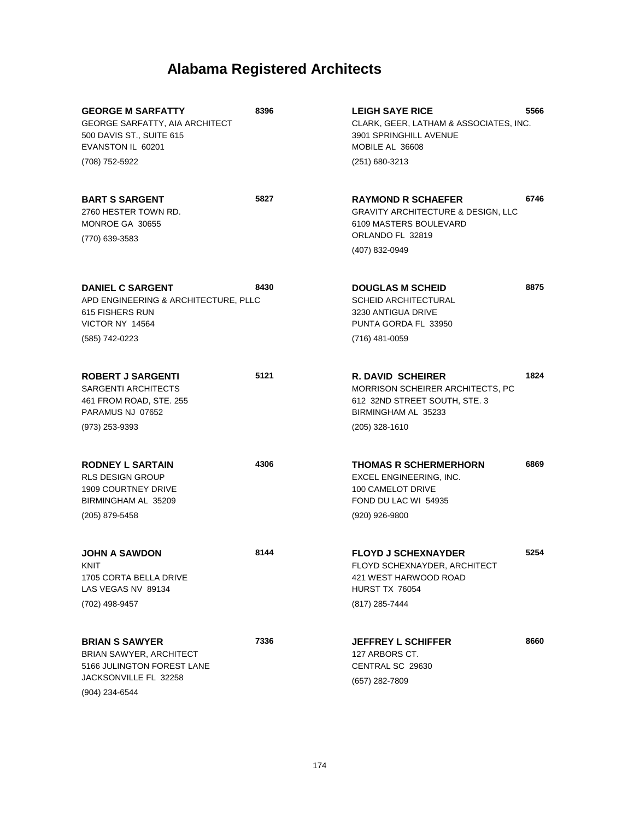| <b>GEORGE M SARFATTY</b><br><b>GEORGE SARFATTY, AIA ARCHITECT</b><br>500 DAVIS ST., SUITE 615<br>EVANSTON IL 60201<br>(708) 752-5922 | 8396 | <b>LEIGH SAYE RICE</b><br>CLARK, GEER, LATHAM & ASSOCIATES, INC.<br>3901 SPRINGHILL AVENUE<br>MOBILE AL 36608<br>(251) 680-3213            | 5566 |
|--------------------------------------------------------------------------------------------------------------------------------------|------|--------------------------------------------------------------------------------------------------------------------------------------------|------|
| <b>BART S SARGENT</b><br>2760 HESTER TOWN RD.<br>MONROE GA 30655<br>(770) 639-3583                                                   | 5827 | <b>RAYMOND R SCHAEFER</b><br><b>GRAVITY ARCHITECTURE &amp; DESIGN, LLC</b><br>6109 MASTERS BOULEVARD<br>ORLANDO FL 32819<br>(407) 832-0949 | 6746 |
| <b>DANIEL C SARGENT</b><br>APD ENGINEERING & ARCHITECTURE, PLLC<br>615 FISHERS RUN<br>VICTOR NY 14564<br>(585) 742-0223              | 8430 | <b>DOUGLAS M SCHEID</b><br><b>SCHEID ARCHITECTURAL</b><br>3230 ANTIGUA DRIVE<br>PUNTA GORDA FL 33950<br>(716) 481-0059                     | 8875 |
| <b>ROBERT J SARGENTI</b><br><b>SARGENTI ARCHITECTS</b><br>461 FROM ROAD, STE. 255<br>PARAMUS NJ 07652<br>(973) 253-9393              | 5121 | <b>R. DAVID SCHEIRER</b><br>MORRISON SCHEIRER ARCHITECTS, PC<br>612 32ND STREET SOUTH, STE. 3<br>BIRMINGHAM AL 35233<br>$(205)$ 328-1610   | 1824 |
| <b>RODNEY L SARTAIN</b><br>RLS DESIGN GROUP<br><b>1909 COURTNEY DRIVE</b><br>BIRMINGHAM AL 35209<br>(205) 879-5458                   | 4306 | <b>THOMAS R SCHERMERHORN</b><br>EXCEL ENGINEERING, INC.<br>100 CAMELOT DRIVE<br>FOND DU LAC WI 54935<br>(920) 926-9800                     | 6869 |
| <b>JOHN A SAWDON</b><br>KNIT<br>1705 CORTA BELLA DRIVE<br>LAS VEGAS NV 89134<br>(702) 498-9457                                       | 8144 | <b>FLOYD J SCHEXNAYDER</b><br>FLOYD SCHEXNAYDER, ARCHITECT<br>421 WEST HARWOOD ROAD<br>HURST TX 76054<br>(817) 285-7444                    | 5254 |
| <b>BRIAN S SAWYER</b><br><b>BRIAN SAWYER, ARCHITECT</b><br>5166 JULINGTON FOREST LANE<br>JACKSONVILLE FL 32258<br>(904) 234-6544     | 7336 | <b>JEFFREY L SCHIFFER</b><br>127 ARBORS CT.<br>CENTRAL SC 29630<br>(657) 282-7809                                                          | 8660 |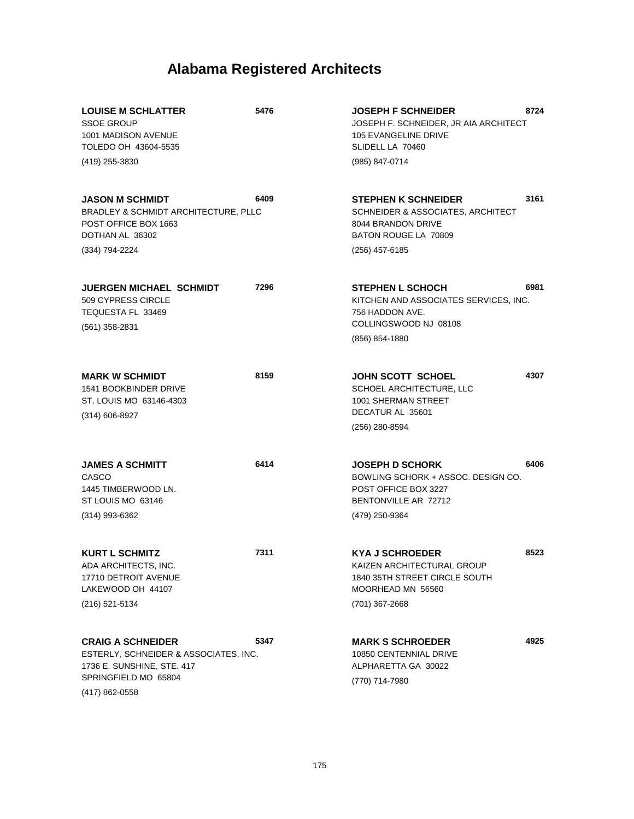| <b>LOUISE M SCHLATTER</b><br><b>SSOE GROUP</b><br>1001 MADISON AVENUE<br>TOLEDO OH 43604-5535                                             | 5476 | 8724<br><b>JOSEPH F SCHNEIDER</b><br>JOSEPH F. SCHNEIDER, JR AIA ARCHITECT<br>105 EVANGELINE DRIVE<br>SLIDELL LA 70460                 |  |
|-------------------------------------------------------------------------------------------------------------------------------------------|------|----------------------------------------------------------------------------------------------------------------------------------------|--|
| (419) 255-3830                                                                                                                            |      | (985) 847-0714                                                                                                                         |  |
| <b>JASON M SCHMIDT</b><br>BRADLEY & SCHMIDT ARCHITECTURE, PLLC<br>POST OFFICE BOX 1663<br>DOTHAN AL 36302                                 | 6409 | 3161<br><b>STEPHEN K SCHNEIDER</b><br>SCHNEIDER & ASSOCIATES, ARCHITECT<br>8044 BRANDON DRIVE<br>BATON ROUGE LA 70809                  |  |
| (334) 794-2224                                                                                                                            |      | $(256)$ 457-6185                                                                                                                       |  |
| <b>JUERGEN MICHAEL SCHMIDT</b><br>509 CYPRESS CIRCLE<br>TEQUESTA FL 33469<br>$(561)$ 358-2831                                             | 7296 | 6981<br><b>STEPHEN L SCHOCH</b><br>KITCHEN AND ASSOCIATES SERVICES, INC.<br>756 HADDON AVE.<br>COLLINGSWOOD NJ 08108                   |  |
|                                                                                                                                           |      | (856) 854-1880                                                                                                                         |  |
| <b>MARK W SCHMIDT</b><br>1541 BOOKBINDER DRIVE<br>ST. LOUIS MO 63146-4303<br>$(314) 606 - 8927$                                           | 8159 | 4307<br>JOHN SCOTT SCHOEL<br>SCHOEL ARCHITECTURE, LLC<br><b>1001 SHERMAN STREET</b><br>DECATUR AL 35601                                |  |
|                                                                                                                                           |      | (256) 280-8594                                                                                                                         |  |
| <b>JAMES A SCHMITT</b><br>CASCO<br>1445 TIMBERWOOD LN.<br>ST LOUIS MO 63146<br>(314) 993-6362                                             | 6414 | <b>JOSEPH D SCHORK</b><br>6406<br>BOWLING SCHORK + ASSOC. DESIGN CO.<br>POST OFFICE BOX 3227<br>BENTONVILLE AR 72712<br>(479) 250-9364 |  |
| <b>KURT L SCHMITZ</b><br>ADA ARCHITECTS, INC.<br>17710 DETROIT AVENUE<br>LAKEWOOD OH 44107<br>(216) 521-5134                              | 7311 | <b>KYA J SCHROEDER</b><br>8523<br>KAIZEN ARCHITECTURAL GROUP<br>1840 35TH STREET CIRCLE SOUTH<br>MOORHEAD MN 56560<br>(701) 367-2668   |  |
| <b>CRAIG A SCHNEIDER</b><br>ESTERLY, SCHNEIDER & ASSOCIATES, INC.<br>1736 E. SUNSHINE, STE. 417<br>SPRINGFIELD MO 65804<br>(417) 862-0558 | 5347 | 4925<br><b>MARK S SCHROEDER</b><br>10850 CENTENNIAL DRIVE<br>ALPHARETTA GA 30022<br>(770) 714-7980                                     |  |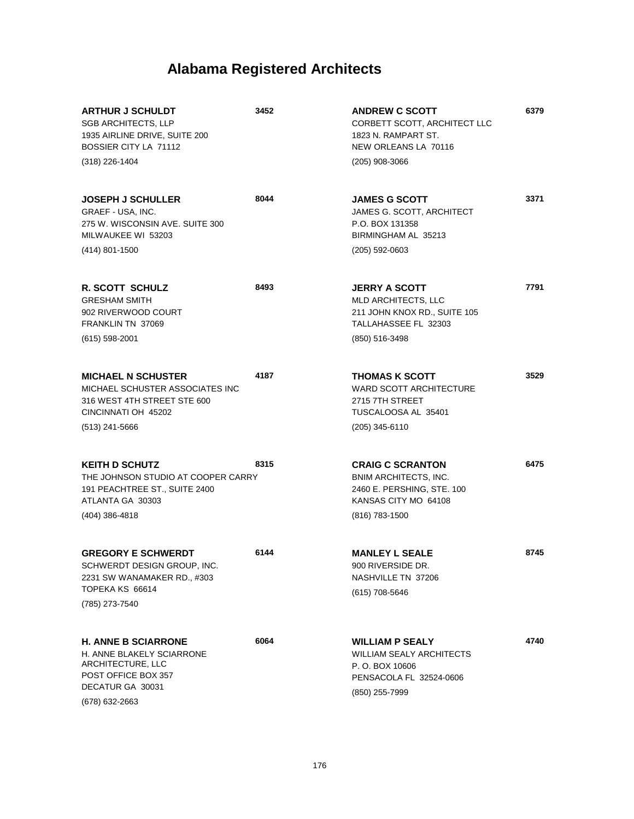| <b>ARTHUR J SCHULDT</b><br><b>SGB ARCHITECTS, LLP</b><br>1935 AIRLINE DRIVE, SUITE 200<br>BOSSIER CITY LA 71112<br>(318) 226-1404         | 3452 | <b>ANDREW C SCOTT</b><br>CORBETT SCOTT, ARCHITECT LLC<br>1823 N. RAMPART ST.<br>NEW ORLEANS LA 70116<br>$(205)$ 908-3066        | 6379 |
|-------------------------------------------------------------------------------------------------------------------------------------------|------|---------------------------------------------------------------------------------------------------------------------------------|------|
| <b>JOSEPH J SCHULLER</b><br>GRAEF - USA, INC.<br>275 W. WISCONSIN AVE, SUITE 300<br>MILWAUKEE WI 53203<br>(414) 801-1500                  | 8044 | <b>JAMES G SCOTT</b><br>JAMES G. SCOTT, ARCHITECT<br>P.O. BOX 131358<br>BIRMINGHAM AL 35213<br>$(205)$ 592-0603                 | 3371 |
| <b>R. SCOTT SCHULZ</b><br><b>GRESHAM SMITH</b><br>902 RIVERWOOD COURT<br>FRANKLIN TN 37069<br>(615) 598-2001                              | 8493 | <b>JERRY A SCOTT</b><br>MLD ARCHITECTS, LLC<br>211 JOHN KNOX RD., SUITE 105<br>TALLAHASSEE FL 32303<br>(850) 516-3498           | 7791 |
| <b>MICHAEL N SCHUSTER</b><br>MICHAEL SCHUSTER ASSOCIATES INC<br>316 WEST 4TH STREET STE 600<br>CINCINNATI OH 45202<br>$(513)$ 241-5666    | 4187 | <b>THOMAS K SCOTT</b><br><b>WARD SCOTT ARCHITECTURE</b><br>2715 7TH STREET<br>TUSCALOOSA AL 35401<br>$(205)$ 345-6110           | 3529 |
| <b>KEITH D SCHUTZ</b><br>THE JOHNSON STUDIO AT COOPER CARRY<br>191 PEACHTREE ST., SUITE 2400<br>ATLANTA GA 30303<br>(404) 386-4818        | 8315 | <b>CRAIG C SCRANTON</b><br><b>BNIM ARCHITECTS, INC.</b><br>2460 E. PERSHING, STE. 100<br>KANSAS CITY MO 64108<br>(816) 783-1500 | 6475 |
| <b>GREGORY E SCHWERDT</b><br>SCHWERDT DESIGN GROUP, INC.<br>2231 SW WANAMAKER RD., #303<br>TOPEKA KS 66614<br>(785) 273-7540              | 6144 | <b>MANLEY L SEALE</b><br>900 RIVERSIDE DR.<br>NASHVILLE TN 37206<br>(615) 708-5646                                              | 8745 |
| <b>H. ANNE B SCIARRONE</b><br>H. ANNE BLAKELY SCIARRONE<br>ARCHITECTURE, LLC<br>POST OFFICE BOX 357<br>DECATUR GA 30031<br>(678) 632-2663 | 6064 | <b>WILLIAM P SEALY</b><br><b>WILLIAM SEALY ARCHITECTS</b><br>P. O. BOX 10606<br>PENSACOLA FL 32524-0606<br>(850) 255-7999       | 4740 |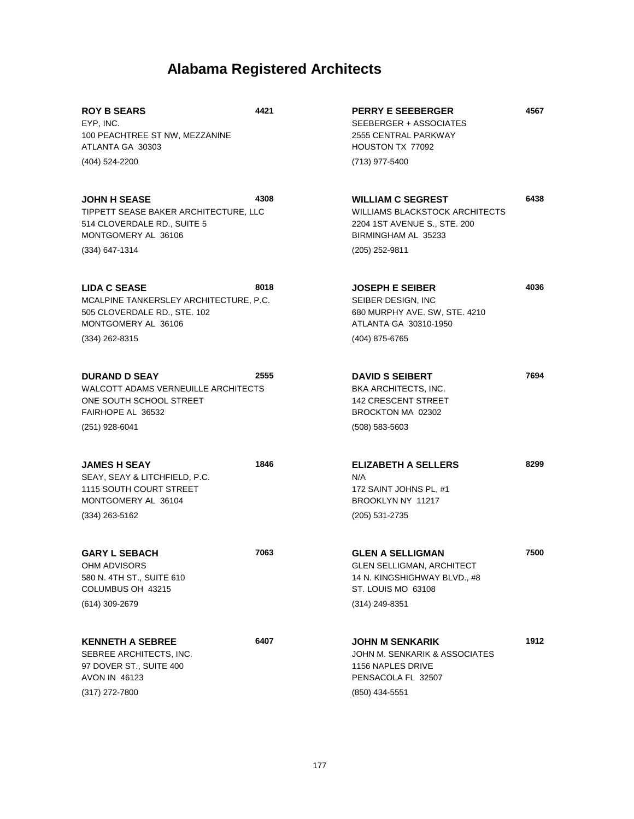**4567**

**6438**

**4036**

**7694**

**8299**

| <b>ROY B SEARS</b><br>EYP. INC.<br>100 PEACHTREE ST NW, MEZZANINE<br>ATLANTA GA 30303<br>(404) 524-2200                                  | 4421 | <b>PERRY E SEEBERGER</b><br>SEEBERGER + ASSOCIATES<br>2555 CENTRAL PARKWAY<br>HOUSTON TX 77092<br>(713) 977-5400                           |
|------------------------------------------------------------------------------------------------------------------------------------------|------|--------------------------------------------------------------------------------------------------------------------------------------------|
| <b>JOHN H SEASE</b><br>TIPPETT SEASE BAKER ARCHITECTURE, LLC<br>514 CLOVERDALE RD., SUITE 5<br>MONTGOMERY AL 36106<br>(334) 647-1314     | 4308 | <b>WILLIAM C SEGREST</b><br><b>WILLIAMS BLACKSTOCK ARCHITECTS</b><br>2204 1ST AVENUE S., STE. 200<br>BIRMINGHAM AL 35233<br>(205) 252-9811 |
| <b>LIDA C SEASE</b><br>MCALPINE TANKERSLEY ARCHITECTURE, P.C.<br>505 CLOVERDALE RD., STE. 102<br>MONTGOMERY AL 36106<br>$(334)$ 262-8315 | 8018 | <b>JOSEPH E SEIBER</b><br>SEIBER DESIGN, INC<br>680 MURPHY AVE. SW, STE. 4210<br>ATLANTA GA 30310-1950<br>(404) 875-6765                   |
| <b>DURAND D SEAY</b><br><b>WALCOTT ADAMS VERNEUILLE ARCHITECTS</b><br>ONE SOUTH SCHOOL STREET<br>FAIRHOPE AL 36532<br>(251) 928-6041     | 2555 | <b>DAVID S SEIBERT</b><br><b>BKA ARCHITECTS, INC.</b><br><b>142 CRESCENT STREET</b><br>BROCKTON MA 02302<br>$(508) 583 - 5603$             |
| <b>JAMES H SEAY</b><br>SEAY, SEAY & LITCHFIELD, P.C.                                                                                     | 1846 | <b>ELIZABETH A SELLERS</b><br>N/A                                                                                                          |

SEAY, SEAY & LITCHFIELD, P.C. 1115 SOUTH COURT STREET MONTGOMERY AL 36104 (334) 263-5162

AVON IN 46123

(317) 272-7800

**GARY L SEBACH** OHM ADVISORS 580 N. 4TH ST., SUITE 610 COLUMBUS OH 43215 **7063** (614) 309-2679 **KENNETH A SEBREE** SEBREE ARCHITECTS, INC. 97 DOVER ST., SUITE 400 **6407 GLEN A SELLIGMAN** GLEN SELLIGMAN, ARCHITECT 14 N. KINGSHIGHWAY BLVD., #8 ST. LOUIS MO 63108 **7500** (314) 249-8351 **JOHN M SENKARIK** JOHN M. SENKARIK & ASSOCIATES 1156 NAPLES DRIVE **1912**

172 SAINT JOHNS PL, #1 BROOKLYN NY 11217

PENSACOLA FL 32507

(850) 434-5551

(205) 531-2735

177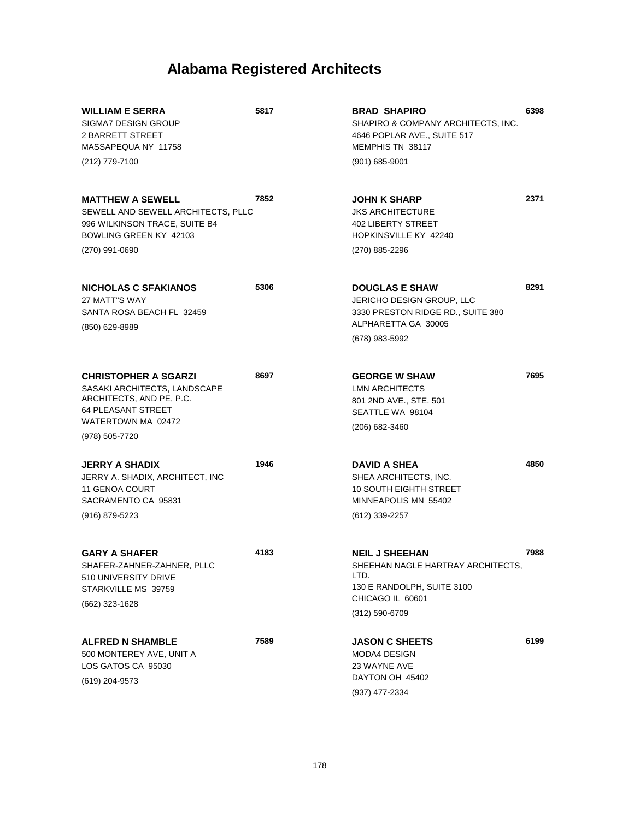| 5817                                       | <b>BRAD SHAPIRO</b><br>SHAPIRO & COMPANY ARCHITECTS, INC.<br>4646 POPLAR AVE., SUITE 517<br>MEMPHIS TN 38117            | 6398                                                |
|--------------------------------------------|-------------------------------------------------------------------------------------------------------------------------|-----------------------------------------------------|
|                                            | (901) 685-9001                                                                                                          |                                                     |
| 7852<br>SEWELL AND SEWELL ARCHITECTS, PLLC | <b>JOHN K SHARP</b><br><b>JKS ARCHITECTURE</b><br><b>402 LIBERTY STREET</b><br>HOPKINSVILLE KY 42240                    | 2371                                                |
|                                            | (270) 885-2296                                                                                                          |                                                     |
| 5306                                       | <b>DOUGLAS E SHAW</b><br>JERICHO DESIGN GROUP, LLC<br>3330 PRESTON RIDGE RD., SUITE 380<br>ALPHARETTA GA 30005          | 8291                                                |
|                                            | (678) 983-5992                                                                                                          |                                                     |
| 8697                                       | <b>GEORGE W SHAW</b><br><b>LMN ARCHITECTS</b><br>801 2ND AVE., STE. 501<br>SEATTLE WA 98104                             | 7695                                                |
|                                            | (206) 682-3460                                                                                                          |                                                     |
| 1946                                       | <b>DAVID A SHEA</b><br>SHEA ARCHITECTS, INC.<br><b>10 SOUTH EIGHTH STREET</b><br>MINNEAPOLIS MN 55402<br>(612) 339-2257 | 4850                                                |
| 4183                                       | <b>NEIL J SHEEHAN</b><br>LTD.<br>130 E RANDOLPH, SUITE 3100                                                             | 7988                                                |
|                                            | CHICAGO IL 60601<br>$(312) 590 - 6709$                                                                                  |                                                     |
| 7589                                       | <b>JASON C SHEETS</b><br><b>MODA4 DESIGN</b><br>23 WAYNE AVE<br>DAYTON OH 45402                                         | 6199                                                |
|                                            |                                                                                                                         | SHEEHAN NAGLE HARTRAY ARCHITECTS,<br>(937) 477-2334 |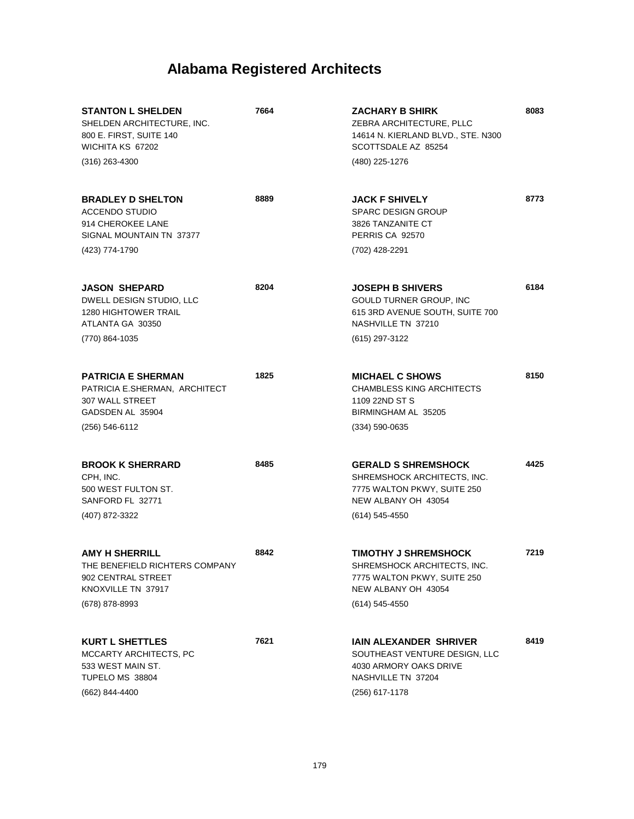| <b>STANTON L SHELDEN</b><br>SHELDEN ARCHITECTURE, INC.<br>800 E. FIRST, SUITE 140<br>WICHITA KS 67202<br>$(316)$ 263-4300 | 7664 | <b>ZACHARY B SHIRK</b><br>ZEBRA ARCHITECTURE, PLLC<br>14614 N. KIERLAND BLVD., STE. N300<br>SCOTTSDALE AZ 85254<br>(480) 225-1276   | 8083 |
|---------------------------------------------------------------------------------------------------------------------------|------|-------------------------------------------------------------------------------------------------------------------------------------|------|
| <b>BRADLEY D SHELTON</b><br><b>ACCENDO STUDIO</b><br>914 CHEROKEE LANE<br>SIGNAL MOUNTAIN TN 37377<br>(423) 774-1790      | 8889 | <b>JACK F SHIVELY</b><br><b>SPARC DESIGN GROUP</b><br>3826 TANZANITE CT<br>PERRIS CA 92570<br>(702) 428-2291                        | 8773 |
| <b>JASON SHEPARD</b><br>DWELL DESIGN STUDIO, LLC<br><b>1280 HIGHTOWER TRAIL</b><br>ATLANTA GA 30350<br>(770) 864-1035     | 8204 | <b>JOSEPH B SHIVERS</b><br>GOULD TURNER GROUP, INC<br>615 3RD AVENUE SOUTH, SUITE 700<br>NASHVILLE TN 37210<br>(615) 297-3122       | 6184 |
| <b>PATRICIA E SHERMAN</b><br>PATRICIA E.SHERMAN, ARCHITECT<br>307 WALL STREET<br>GADSDEN AL 35904<br>(256) 546-6112       | 1825 | <b>MICHAEL C SHOWS</b><br><b>CHAMBLESS KING ARCHITECTS</b><br>1109 22ND ST S<br>BIRMINGHAM AL 35205<br>$(334) 590 - 0635$           | 8150 |
| <b>BROOK K SHERRARD</b><br>CPH, INC.<br>500 WEST FULTON ST.<br>SANFORD FL 32771<br>(407) 872-3322                         | 8485 | <b>GERALD S SHREMSHOCK</b><br>SHREMSHOCK ARCHITECTS, INC.<br>7775 WALTON PKWY, SUITE 250<br>NEW ALBANY OH 43054<br>$(614)$ 545-4550 | 4425 |
| <b>AMY H SHERRILL</b><br>THE BENEFIELD RICHTERS COMPANY<br>902 CENTRAL STREET<br>KNOXVILLE TN 37917<br>(678) 878-8993     | 8842 | <b>TIMOTHY J SHREMSHOCK</b><br>SHREMSHOCK ARCHITECTS, INC.<br>7775 WALTON PKWY, SUITE 250<br>NEW ALBANY OH 43054<br>(614) 545-4550  | 7219 |
| <b>KURT L SHETTLES</b><br>MCCARTY ARCHITECTS, PC<br>533 WEST MAIN ST.<br>TUPELO MS 38804<br>(662) 844-4400                | 7621 | <b>IAIN ALEXANDER SHRIVER</b><br>SOUTHEAST VENTURE DESIGN, LLC<br>4030 ARMORY OAKS DRIVE<br>NASHVILLE TN 37204<br>(256) 617-1178    | 8419 |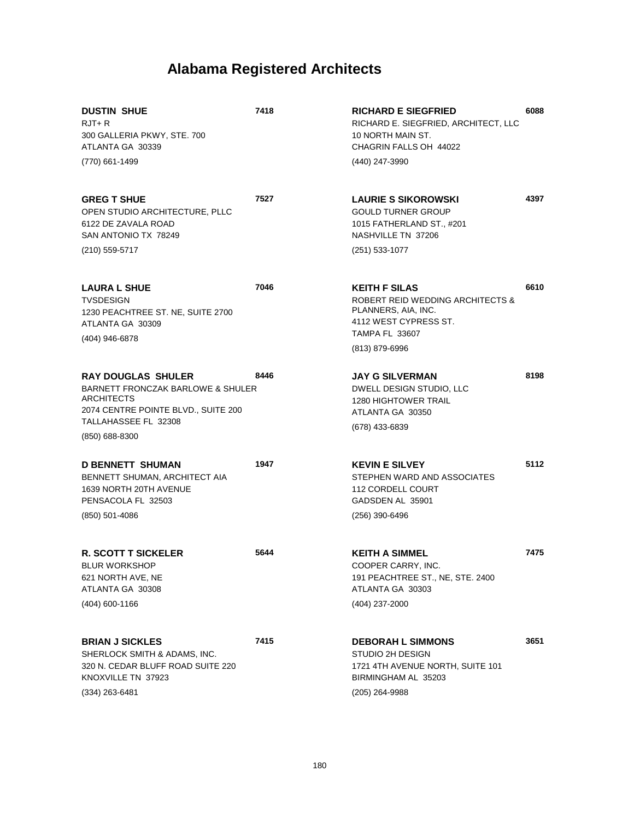| <b>DUSTIN SHUE</b><br>$RJT+R$<br>300 GALLERIA PKWY, STE. 700<br>ATLANTA GA 30339<br>(770) 661-1499                                                                              | 7418 | <b>RICHARD E SIEGFRIED</b><br>RICHARD E. SIEGFRIED, ARCHITECT, LLC<br>10 NORTH MAIN ST.<br>CHAGRIN FALLS OH 44022<br>(440) 247-3990                 | 6088 |
|---------------------------------------------------------------------------------------------------------------------------------------------------------------------------------|------|-----------------------------------------------------------------------------------------------------------------------------------------------------|------|
| <b>GREG T SHUE</b><br>OPEN STUDIO ARCHITECTURE, PLLC<br>6122 DE ZAVALA ROAD<br>SAN ANTONIO TX 78249<br>(210) 559-5717                                                           | 7527 | <b>LAURIE S SIKOROWSKI</b><br><b>GOULD TURNER GROUP</b><br>1015 FATHERLAND ST., #201<br>NASHVILLE TN 37206<br>$(251)$ 533-1077                      | 4397 |
| <b>LAURA L SHUE</b><br><b>TVSDESIGN</b><br>1230 PEACHTREE ST. NE, SUITE 2700<br>ATLANTA GA 30309<br>(404) 946-6878                                                              | 7046 | <b>KEITH F SILAS</b><br>ROBERT REID WEDDING ARCHITECTS &<br>PLANNERS, AIA, INC.<br>4112 WEST CYPRESS ST.<br><b>TAMPA FL 33607</b><br>(813) 879-6996 | 6610 |
| <b>RAY DOUGLAS SHULER</b><br><b>BARNETT FRONCZAK BARLOWE &amp; SHULER</b><br><b>ARCHITECTS</b><br>2074 CENTRE POINTE BLVD., SUITE 200<br>TALLAHASSEE FL 32308<br>(850) 688-8300 | 8446 | <b>JAY G SILVERMAN</b><br>DWELL DESIGN STUDIO, LLC<br><b>1280 HIGHTOWER TRAIL</b><br>ATLANTA GA 30350<br>(678) 433-6839                             | 8198 |
| <b>D BENNETT SHUMAN</b><br>BENNETT SHUMAN, ARCHITECT AIA<br>1639 NORTH 20TH AVENUE<br>PENSACOLA FL 32503<br>$(850)$ 501-4086                                                    | 1947 | <b>KEVIN E SILVEY</b><br>STEPHEN WARD AND ASSOCIATES<br>112 CORDELL COURT<br>GADSDEN AL 35901<br>$(256)$ 390-6496                                   | 5112 |
| <b>R. SCOTT T SICKELER</b><br><b>BLUR WORKSHOP</b><br>621 NORTH AVE, NE<br>ATLANTA GA 30308<br>(404) 600-1166                                                                   | 5644 | <b>KEITH A SIMMEL</b><br>COOPER CARRY, INC.<br>191 PEACHTREE ST., NE, STE. 2400<br>ATLANTA GA 30303<br>(404) 237-2000                               | 7475 |
| <b>BRIAN J SICKLES</b><br>SHERLOCK SMITH & ADAMS, INC.<br>320 N. CEDAR BLUFF ROAD SUITE 220<br>KNOXVILLE TN 37923<br>$(334)$ 263-6481                                           | 7415 | <b>DEBORAH L SIMMONS</b><br>STUDIO 2H DESIGN<br>1721 4TH AVENUE NORTH, SUITE 101<br>BIRMINGHAM AL 35203<br>(205) 264-9988                           | 3651 |

180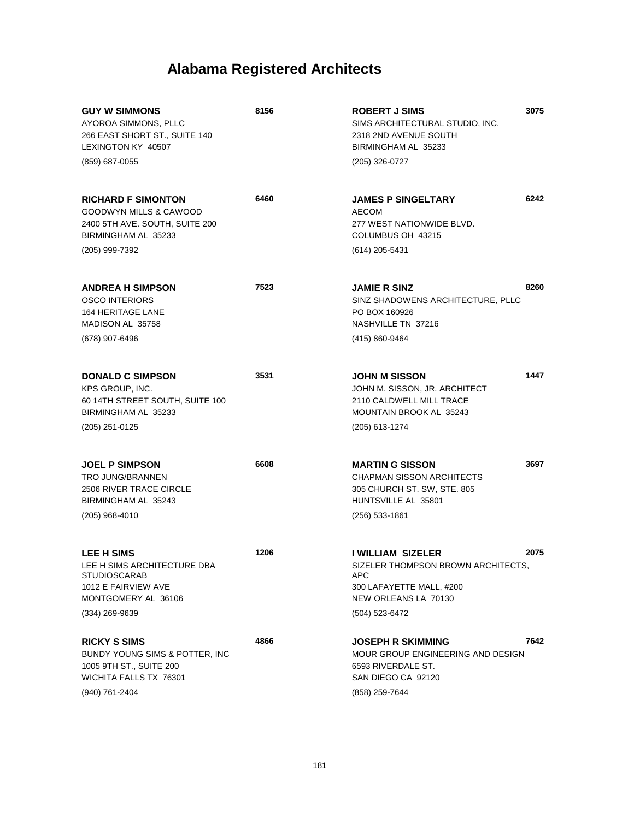| <b>GUY W SIMMONS</b><br>AYOROA SIMMONS, PLLC<br>266 EAST SHORT ST., SUITE 140<br>LEXINGTON KY 40507<br>(859) 687-0055                     | 8156 | <b>ROBERT J SIMS</b><br>SIMS ARCHITECTURAL STUDIO, INC.<br>2318 2ND AVENUE SOUTH<br>BIRMINGHAM AL 35233<br>(205) 326-0727                   | 3075 |
|-------------------------------------------------------------------------------------------------------------------------------------------|------|---------------------------------------------------------------------------------------------------------------------------------------------|------|
| <b>RICHARD F SIMONTON</b><br><b>GOODWYN MILLS &amp; CAWOOD</b><br>2400 5TH AVE. SOUTH, SUITE 200<br>BIRMINGHAM AL 35233<br>(205) 999-7392 | 6460 | <b>JAMES P SINGELTARY</b><br>AECOM<br>277 WEST NATIONWIDE BLVD.<br>COLUMBUS OH 43215<br>(614) 205-5431                                      | 6242 |
| <b>ANDREA H SIMPSON</b><br><b>OSCO INTERIORS</b><br><b>164 HERITAGE LANE</b><br>MADISON AL 35758<br>(678) 907-6496                        | 7523 | <b>JAMIE R SINZ</b><br>SINZ SHADOWENS ARCHITECTURE, PLLC<br>PO BOX 160926<br>NASHVILLE TN 37216<br>(415) 860-9464                           | 8260 |
| <b>DONALD C SIMPSON</b><br>KPS GROUP, INC.<br>60 14TH STREET SOUTH, SUITE 100<br>BIRMINGHAM AL 35233<br>(205) 251-0125                    | 3531 | <b>JOHN M SISSON</b><br>JOHN M. SISSON, JR. ARCHITECT<br>2110 CALDWELL MILL TRACE<br><b>MOUNTAIN BROOK AL 35243</b><br>(205) 613-1274       | 1447 |
| <b>JOEL P SIMPSON</b><br><b>TRO JUNG/BRANNEN</b><br>2506 RIVER TRACE CIRCLE<br>BIRMINGHAM AL 35243<br>$(205)$ 968-4010                    | 6608 | <b>MARTIN G SISSON</b><br><b>CHAPMAN SISSON ARCHITECTS</b><br>305 CHURCH ST. SW, STE. 805<br>HUNTSVILLE AL 35801<br>(256) 533-1861          | 3697 |
| <b>LEE H SIMS</b><br>LEE H SIMS ARCHITECTURE DBA<br><b>STUDIOSCARAB</b><br>1012 E FAIRVIEW AVE<br>MONTGOMERY AL 36106<br>(334) 269-9639   | 1206 | <b>I WILLIAM SIZELER</b><br>SIZELER THOMPSON BROWN ARCHITECTS.<br>APC<br>300 LAFAYETTE MALL, #200<br>NEW ORLEANS LA 70130<br>(504) 523-6472 | 2075 |
| <b>RICKY S SIMS</b><br>BUNDY YOUNG SIMS & POTTER, INC<br>1005 9TH ST., SUITE 200<br>WICHITA FALLS TX 76301<br>(940) 761-2404              | 4866 | JOSEPH R SKIMMING<br>MOUR GROUP ENGINEERING AND DESIGN<br>6593 RIVERDALE ST.<br>SAN DIEGO CA 92120<br>(858) 259-7644                        | 7642 |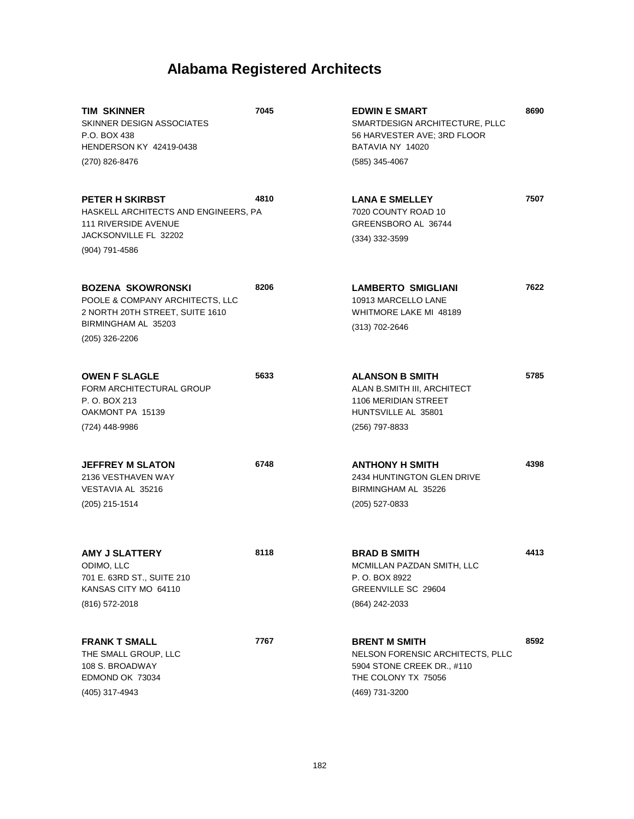| TIM SKINNER<br>SKINNER DESIGN ASSOCIATES<br>P.O. BOX 438<br>HENDERSON KY 42419-0438                                                      | 7045 | <b>EDWIN E SMART</b><br>SMARTDESIGN ARCHITECTURE, PLLC<br>56 HARVESTER AVE; 3RD FLOOR<br>BATAVIA NY 14020                       | 8690 |
|------------------------------------------------------------------------------------------------------------------------------------------|------|---------------------------------------------------------------------------------------------------------------------------------|------|
| (270) 826-8476                                                                                                                           |      | (585) 345-4067                                                                                                                  |      |
| <b>PETER H SKIRBST</b><br>HASKELL ARCHITECTS AND ENGINEERS, PA<br><b>111 RIVERSIDE AVENUE</b><br>JACKSONVILLE FL 32202<br>(904) 791-4586 | 4810 | <b>LANA E SMELLEY</b><br>7020 COUNTY ROAD 10<br>GREENSBORO AL 36744<br>$(334)$ 332-3599                                         | 7507 |
| <b>BOZENA SKOWRONSKI</b><br>POOLE & COMPANY ARCHITECTS, LLC<br>2 NORTH 20TH STREET, SUITE 1610<br>BIRMINGHAM AL 35203<br>(205) 326-2206  | 8206 | <b>LAMBERTO SMIGLIANI</b><br>10913 MARCELLO LANE<br>WHITMORE LAKE MI 48189<br>(313) 702-2646                                    | 7622 |
| <b>OWEN F SLAGLE</b><br>FORM ARCHITECTURAL GROUP<br>P. O. BOX 213<br>OAKMONT PA 15139<br>(724) 448-9986                                  | 5633 | <b>ALANSON B SMITH</b><br>ALAN B.SMITH III, ARCHITECT<br><b>1106 MERIDIAN STREET</b><br>HUNTSVILLE AL 35801<br>(256) 797-8833   | 5785 |
| <b>JEFFREY M SLATON</b><br>2136 VESTHAVEN WAY<br>VESTAVIA AL 35216<br>(205) 215-1514                                                     | 6748 | <b>ANTHONY H SMITH</b><br>2434 HUNTINGTON GLEN DRIVE<br>BIRMINGHAM AL 35226<br>(205) 527-0833                                   | 4398 |
| AMY J SLATTERY<br>ODIMO, LLC<br>701 E. 63RD ST., SUITE 210<br>KANSAS CITY MO 64110<br>(816) 572-2018                                     | 8118 | <b>BRAD B SMITH</b><br>MCMILLAN PAZDAN SMITH, LLC<br>P. O. BOX 8922<br>GREENVILLE SC 29604<br>(864) 242-2033                    | 4413 |
| <b>FRANK T SMALL</b><br>THE SMALL GROUP, LLC<br>108 S. BROADWAY<br>EDMOND OK 73034<br>(405) 317-4943                                     | 7767 | <b>BRENT M SMITH</b><br>NELSON FORENSIC ARCHITECTS, PLLC<br>5904 STONE CREEK DR., #110<br>THE COLONY TX 75056<br>(469) 731-3200 | 8592 |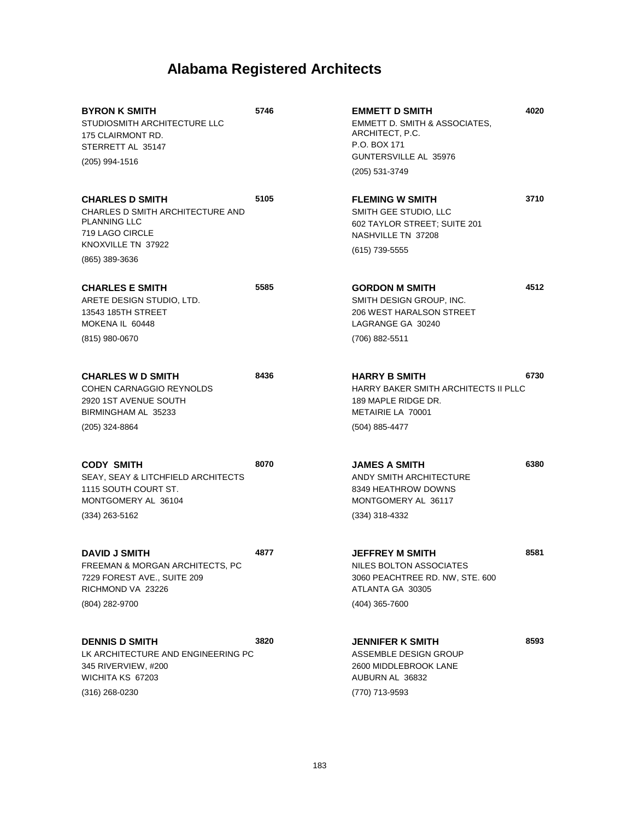**4020**

**3710**

**4512**

**6730**

**6380**

**8581**

**8593**

| <b>BYRON K SMITH</b><br>STUDIOSMITH ARCHITECTURE LLC<br>175 CLAIRMONT RD.<br>STERRETT AL 35147<br>(205) 994-1516                             | 5746 | <b>EMMETT D SMITH</b><br>EMMETT D. SMITH & ASSOCIATES,<br>ARCHITECT, P.C.<br>P.O. BOX 171<br>GUNTERSVILLE AL 35976<br>(205) 531-3749 |
|----------------------------------------------------------------------------------------------------------------------------------------------|------|--------------------------------------------------------------------------------------------------------------------------------------|
| <b>CHARLES D SMITH</b><br>CHARLES D SMITH ARCHITECTURE AND<br><b>PLANNING LLC</b><br>719 LAGO CIRCLE<br>KNOXVILLE TN 37922<br>(865) 389-3636 | 5105 | <b>FLEMING W SMITH</b><br>SMITH GEE STUDIO. LLC<br>602 TAYLOR STREET; SUITE 201<br>NASHVILLE TN 37208<br>(615) 739-5555              |
| <b>CHARLES E SMITH</b><br>ARETE DESIGN STUDIO, LTD.<br>13543 185TH STREET<br>MOKENA IL 60448<br>(815) 980-0670                               | 5585 | <b>GORDON M SMITH</b><br>SMITH DESIGN GROUP. INC.<br>206 WEST HARALSON STREET<br>LAGRANGE GA 30240<br>(706) 882-5511                 |
| <b>CHARLES W D SMITH</b><br>COHEN CARNAGGIO REYNOLDS<br>2920 1ST AVENUE SOUTH<br>BIRMINGHAM AL 35233<br>(205) 324-8864                       | 8436 | <b>HARRY B SMITH</b><br>HARRY BAKER SMITH ARCHITECTS II PLLC<br>189 MAPLE RIDGE DR.<br>METAIRIE LA 70001<br>(504) 885-4477           |
| CODY SMITH<br>SEAY, SEAY & LITCHFIELD ARCHITECTS<br>1115 SOUTH COURT ST.<br>MONTGOMERY AL 36104<br>(334) 263-5162                            | 8070 | <b>JAMES A SMITH</b><br>ANDY SMITH ARCHITECTURE<br>8349 HEATHROW DOWNS<br>MONTGOMERY AL 36117<br>(334) 318-4332                      |
| <b>DAVID J SMITH</b><br>FREEMAN & MORGAN ARCHITECTS, PC<br>7229 FOREST AVE., SUITE 209<br>RICHMOND VA 23226<br>(804) 282-9700                | 4877 | <b>JEFFREY M SMITH</b><br>NILES BOLTON ASSOCIATES<br>3060 PEACHTREE RD. NW, STE. 600<br>ATLANTA GA 30305<br>(404) 365-7600           |
| <b>DENNIS D SMITH</b><br>LK ARCHITECTURE AND ENGINEERING PC<br>345 RIVERVIEW, #200<br>WICHITA KS 67203<br>$(316)$ 268-0230                   | 3820 | <b>JENNIFER K SMITH</b><br>ASSEMBLE DESIGN GROUP<br>2600 MIDDLEBROOK LANE<br>AUBURN AL 36832<br>(770) 713-9593                       |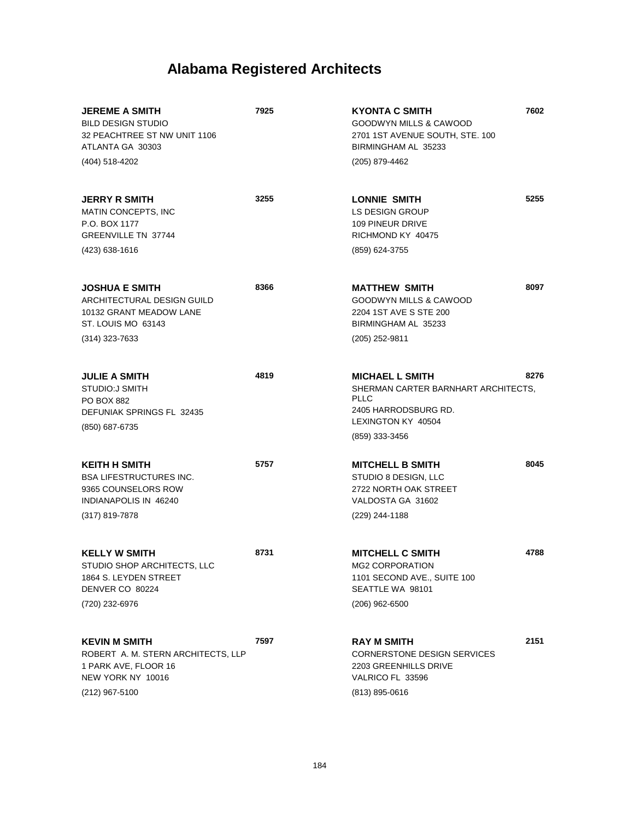| <b>JEREME A SMITH</b><br><b>BILD DESIGN STUDIO</b><br>32 PEACHTREE ST NW UNIT 1106<br>ATLANTA GA 30303                    | 7925 | 7602<br><b>KYONTA C SMITH</b><br>GOODWYN MILLS & CAWOOD<br>2701 1ST AVENUE SOUTH, STE. 100<br>BIRMINGHAM AL 35233                                    |
|---------------------------------------------------------------------------------------------------------------------------|------|------------------------------------------------------------------------------------------------------------------------------------------------------|
| (404) 518-4202                                                                                                            |      | (205) 879-4462                                                                                                                                       |
| <b>JERRY R SMITH</b><br><b>MATIN CONCEPTS. INC</b><br>P.O. BOX 1177<br>GREENVILLE TN 37744                                | 3255 | 5255<br>LONNIE SMITH<br><b>LS DESIGN GROUP</b><br>109 PINEUR DRIVE<br>RICHMOND KY 40475                                                              |
| (423) 638-1616                                                                                                            |      | (859) 624-3755                                                                                                                                       |
| <b>JOSHUA E SMITH</b><br>ARCHITECTURAL DESIGN GUILD<br>10132 GRANT MEADOW LANE<br>ST. LOUIS MO 63143<br>$(314)$ 323-7633  | 8366 | 8097<br><b>MATTHEW SMITH</b><br>GOODWYN MILLS & CAWOOD<br>2204 1ST AVE S STE 200<br>BIRMINGHAM AL 35233<br>(205) 252-9811                            |
| <b>JULIE A SMITH</b><br><b>STUDIO:J SMITH</b><br><b>PO BOX 882</b><br>DEFUNIAK SPRINGS FL 32435<br>(850) 687-6735         | 4819 | 8276<br><b>MICHAEL L SMITH</b><br>SHERMAN CARTER BARNHART ARCHITECTS,<br><b>PLLC</b><br>2405 HARRODSBURG RD.<br>LEXINGTON KY 40504<br>(859) 333-3456 |
| <b>KEITH H SMITH</b><br><b>BSA LIFESTRUCTURES INC.</b><br>9365 COUNSELORS ROW<br>INDIANAPOLIS IN 46240<br>(317) 819-7878  | 5757 | 8045<br><b>MITCHELL B SMITH</b><br>STUDIO 8 DESIGN, LLC<br>2722 NORTH OAK STREET<br>VALDOSTA GA 31602<br>(229) 244-1188                              |
| <b>KELLY W SMITH</b><br>STUDIO SHOP ARCHITECTS, LLC<br>1864 S. LEYDEN STREET<br>DENVER CO 80224<br>(720) 232-6976         | 8731 | <b>MITCHELL C SMITH</b><br>4788<br>MG2 CORPORATION<br>1101 SECOND AVE., SUITE 100<br>SEATTLE WA 98101<br>(206) 962-6500                              |
| <b>KEVIN M SMITH</b><br>ROBERT A. M. STERN ARCHITECTS, LLP<br>1 PARK AVE, FLOOR 16<br>NEW YORK NY 10016<br>(212) 967-5100 | 7597 | 2151<br><b>RAY M SMITH</b><br><b>CORNERSTONE DESIGN SERVICES</b><br>2203 GREENHILLS DRIVE<br>VALRICO FL 33596<br>(813) 895-0616                      |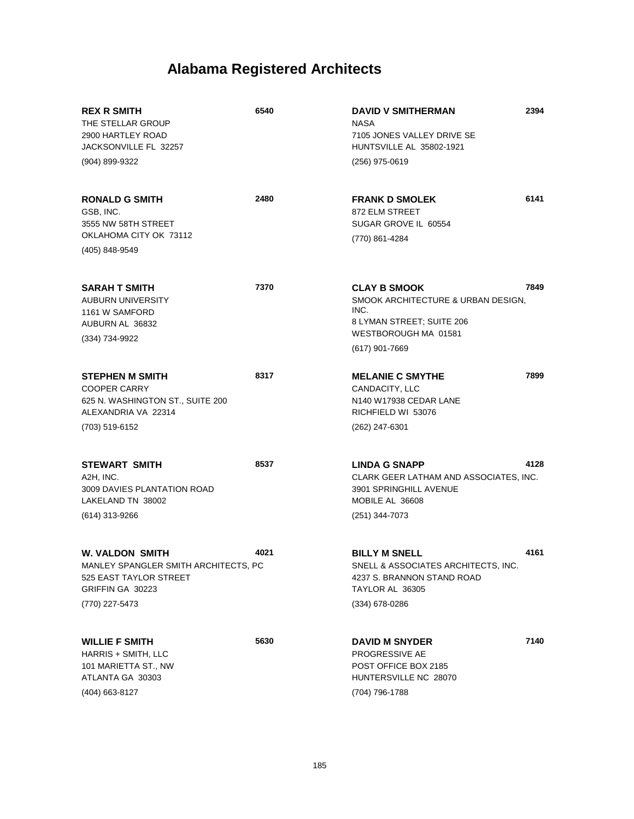| <b>REX R SMITH</b><br>THE STELLAR GROUP<br>2900 HARTLEY ROAD<br>JACKSONVILLE FL 32257                                   | 6540 | <b>DAVID V SMITHERMAN</b><br><b>NASA</b><br>7105 JONES VALLEY DRIVE SE<br>HUNTSVILLE AL 35802-1921                                         | 2394 |
|-------------------------------------------------------------------------------------------------------------------------|------|--------------------------------------------------------------------------------------------------------------------------------------------|------|
| (904) 899-9322                                                                                                          |      | (256) 975-0619                                                                                                                             |      |
| <b>RONALD G SMITH</b><br>GSB, INC.<br>3555 NW 58TH STREET<br>OKLAHOMA CITY OK 73112                                     | 2480 | <b>FRANK D SMOLEK</b><br>872 ELM STREET<br>SUGAR GROVE IL 60554<br>(770) 861-4284                                                          | 6141 |
| (405) 848-9549                                                                                                          |      |                                                                                                                                            |      |
| <b>SARAH T SMITH</b><br><b>AUBURN UNIVERSITY</b><br>1161 W SAMFORD<br>AUBURN AL 36832<br>(334) 734-9922                 | 7370 | <b>CLAY B SMOOK</b><br>SMOOK ARCHITECTURE & URBAN DESIGN,<br>INC.<br>8 LYMAN STREET; SUITE 206<br>WESTBOROUGH MA 01581<br>$(617)$ 901-7669 | 7849 |
| <b>STEPHEN M SMITH</b><br><b>COOPER CARRY</b><br>625 N. WASHINGTON ST., SUITE 200<br>ALEXANDRIA VA 22314                | 8317 | <b>MELANIE C SMYTHE</b><br>CANDACITY, LLC<br>N140 W17938 CEDAR LANE<br>RICHFIELD WI 53076                                                  | 7899 |
| (703) 519-6152                                                                                                          |      | (262) 247-6301                                                                                                                             |      |
| <b>STEWART SMITH</b><br>A2H, INC.<br>3009 DAVIES PLANTATION ROAD<br>LAKELAND TN 38002<br>(614) 313-9266                 | 8537 | <b>LINDA G SNAPP</b><br>CLARK GEER LATHAM AND ASSOCIATES, INC.<br>3901 SPRINGHILL AVENUE<br>MOBILE AL 36608<br>(251) 344-7073              | 4128 |
| W. VALDON SMITH<br>MANLEY SPANGLER SMITH ARCHITECTS, PC<br>525 EAST TAYLOR STREET<br>GRIFFIN GA 30223<br>(770) 227-5473 | 4021 | <b>BILLY M SNELL</b><br>SNELL & ASSOCIATES ARCHITECTS, INC.<br>4237 S. BRANNON STAND ROAD<br>TAYLOR AL 36305<br>(334) 678-0286             | 4161 |
| <b>WILLIE F SMITH</b><br>HARRIS + SMITH, LLC<br>101 MARIETTA ST., NW<br>ATLANTA GA 30303<br>(404) 663-8127              | 5630 | <b>DAVID M SNYDER</b><br>PROGRESSIVE AE<br>POST OFFICE BOX 2185<br>HUNTERSVILLE NC 28070<br>(704) 796-1788                                 | 7140 |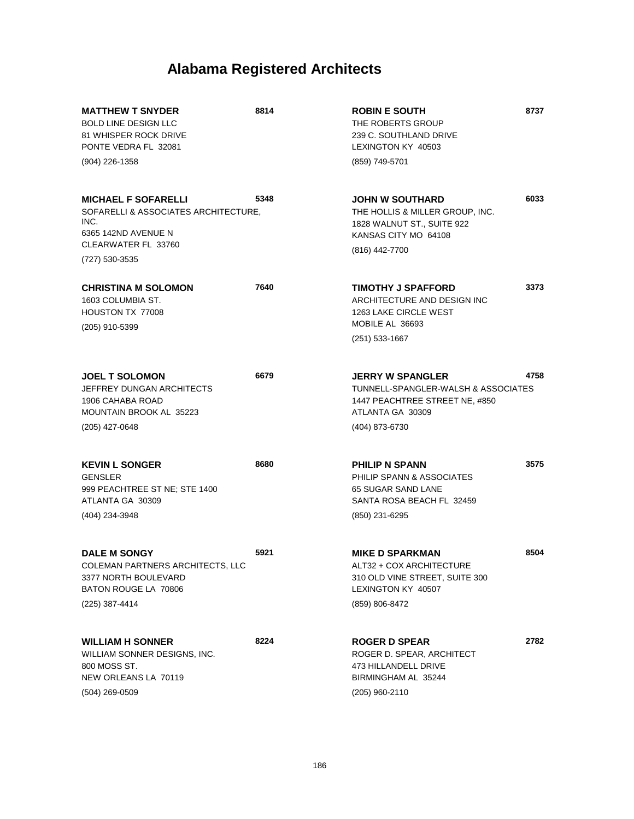| <b>MATTHEW T SNYDER</b><br><b>BOLD LINE DESIGN LLC</b><br>81 WHISPER ROCK DRIVE<br>PONTE VEDRA FL 32081                  | 8814 | <b>ROBIN E SOUTH</b><br>THE ROBERTS GROUP<br>239 C. SOUTHLAND DRIVE<br>LEXINGTON KY 40503                                         | 8737 |
|--------------------------------------------------------------------------------------------------------------------------|------|-----------------------------------------------------------------------------------------------------------------------------------|------|
| (904) 226-1358                                                                                                           |      | (859) 749-5701                                                                                                                    |      |
| <b>MICHAEL F SOFARELLI</b><br>SOFARELLI & ASSOCIATES ARCHITECTURE.<br>INC.<br>6365 142ND AVENUE N<br>CLEARWATER FL 33760 | 5348 | <b>JOHN W SOUTHARD</b><br>THE HOLLIS & MILLER GROUP. INC.<br>1828 WALNUT ST., SUITE 922<br>KANSAS CITY MO 64108<br>(816) 442-7700 | 6033 |
| (727) 530-3535                                                                                                           |      |                                                                                                                                   |      |
| <b>CHRISTINA M SOLOMON</b><br>1603 COLUMBIA ST.<br>HOUSTON TX 77008<br>(205) 910-5399                                    | 7640 | TIMOTHY J SPAFFORD<br>ARCHITECTURE AND DESIGN INC<br><b>1263 LAKE CIRCLE WEST</b><br>MOBILE AL 36693                              | 3373 |
|                                                                                                                          |      | $(251) 533 - 1667$                                                                                                                |      |
| <b>JOEL T SOLOMON</b><br>JEFFREY DUNGAN ARCHITECTS<br>1906 CAHABA ROAD<br><b>MOUNTAIN BROOK AL 35223</b>                 | 6679 | <b>JERRY W SPANGLER</b><br>TUNNELL-SPANGLER-WALSH & ASSOCIATES<br>1447 PEACHTREE STREET NE, #850<br>ATLANTA GA 30309              | 4758 |
| (205) 427-0648                                                                                                           |      | (404) 873-6730                                                                                                                    |      |
| <b>KEVIN L SONGER</b><br><b>GENSLER</b><br>999 PEACHTREE ST NE; STE 1400<br>ATLANTA GA 30309<br>(404) 234-3948           | 8680 | <b>PHILIP N SPANN</b><br>PHILIP SPANN & ASSOCIATES<br>65 SUGAR SAND LANE<br>SANTA ROSA BEACH FL 32459<br>(850) 231-6295           | 3575 |
|                                                                                                                          |      |                                                                                                                                   |      |
| <b>DALE M SONGY</b><br>COLEMAN PARTNERS ARCHITECTS, LLC<br>3377 NORTH BOULEVARD<br>BATON ROUGE LA 70806                  | 5921 | <b>MIKE D SPARKMAN</b><br>ALT32 + COX ARCHITECTURE<br>310 OLD VINE STREET, SUITE 300<br>LEXINGTON KY 40507                        | 8504 |
| (225) 387-4414                                                                                                           |      | (859) 806-8472                                                                                                                    |      |
| <b>WILLIAM H SONNER</b><br>WILLIAM SONNER DESIGNS, INC.<br>800 MOSS ST.<br>NEW ORLEANS LA 70119<br>$(504)$ 269-0509      | 8224 | <b>ROGER D SPEAR</b><br>ROGER D. SPEAR, ARCHITECT<br>473 HILLANDELL DRIVE<br>BIRMINGHAM AL 35244<br>(205) 960-2110                | 2782 |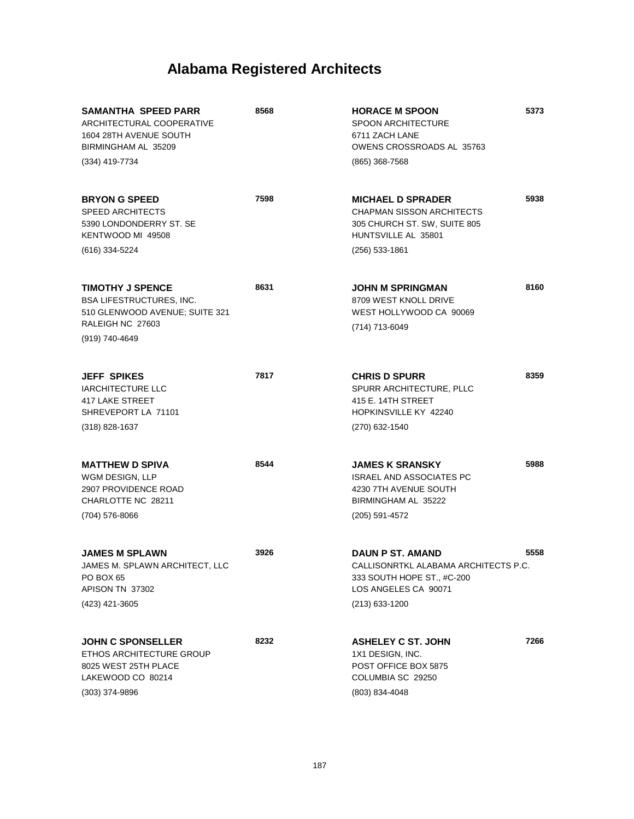| SAMANTHA SPEED PARR<br>ARCHITECTURAL COOPERATIVE<br>1604 28TH AVENUE SOUTH<br>BIRMINGHAM AL 35209<br>(334) 419-7734 | 8568 | <b>HORACE M SPOON</b><br><b>SPOON ARCHITECTURE</b><br>6711 ZACH LANE<br>OWENS CROSSROADS AL 35763<br>(865) 368-7568                     | 5373 |
|---------------------------------------------------------------------------------------------------------------------|------|-----------------------------------------------------------------------------------------------------------------------------------------|------|
| <b>BRYON G SPEED</b><br><b>SPEED ARCHITECTS</b><br>5390 LONDONDERRY ST. SE<br>KENTWOOD MI 49508<br>(616) 334-5224   | 7598 | <b>MICHAEL D SPRADER</b><br><b>CHAPMAN SISSON ARCHITECTS</b><br>305 CHURCH ST. SW, SUITE 805<br>HUNTSVILLE AL 35801<br>$(256)$ 533-1861 | 5938 |
|                                                                                                                     |      |                                                                                                                                         |      |
| <b>TIMOTHY J SPENCE</b><br><b>BSA LIFESTRUCTURES, INC.</b><br>510 GLENWOOD AVENUE; SUITE 321                        | 8631 | <b>JOHN M SPRINGMAN</b><br>8709 WEST KNOLL DRIVE<br>WEST HOLLYWOOD CA 90069                                                             | 8160 |
| RALEIGH NC 27603<br>(919) 740-4649                                                                                  |      | (714) 713-6049                                                                                                                          |      |
|                                                                                                                     |      |                                                                                                                                         |      |
| <b>JEFF SPIKES</b><br><b>IARCHITECTURE LLC</b><br><b>417 LAKE STREET</b><br>SHREVEPORT LA 71101                     | 7817 | <b>CHRIS D SPURR</b><br>SPURR ARCHITECTURE, PLLC<br>415 E. 14TH STREET<br>HOPKINSVILLE KY 42240                                         | 8359 |
| $(318) 828 - 1637$                                                                                                  |      | (270) 632-1540                                                                                                                          |      |
|                                                                                                                     |      |                                                                                                                                         |      |
| <b>MATTHEW D SPIVA</b><br>WGM DESIGN, LLP<br>2907 PROVIDENCE ROAD<br>CHARLOTTE NC 28211                             | 8544 | <b>JAMES K SRANSKY</b><br><b>ISRAEL AND ASSOCIATES PC</b><br>4230 7TH AVENUE SOUTH<br>BIRMINGHAM AL 35222                               | 5988 |
| (704) 576-8066                                                                                                      |      | (205) 591-4572                                                                                                                          |      |
|                                                                                                                     |      |                                                                                                                                         |      |
| <b>JAMES M SPLAWN</b><br>JAMES M. SPLAWN ARCHITECT, LLC<br>PO BOX 65<br>APISON TN 37302                             | 3926 | <b>DAUN P ST. AMAND</b><br>CALLISONRTKL ALABAMA ARCHITECTS P.C.<br>333 SOUTH HOPE ST., #C-200<br>LOS ANGELES CA 90071                   | 5558 |
| (423) 421-3605                                                                                                      |      | $(213)$ 633-1200                                                                                                                        |      |
|                                                                                                                     |      |                                                                                                                                         |      |
| <b>JOHN C SPONSELLER</b><br>ETHOS ARCHITECTURE GROUP<br>8025 WEST 25TH PLACE<br>LAKEWOOD CO 80214                   | 8232 | <b>ASHELEY C ST. JOHN</b><br>1X1 DESIGN, INC.<br>POST OFFICE BOX 5875<br>COLUMBIA SC 29250                                              | 7266 |
| $(303)$ 374-9896                                                                                                    |      | (803) 834-4048                                                                                                                          |      |
|                                                                                                                     |      |                                                                                                                                         |      |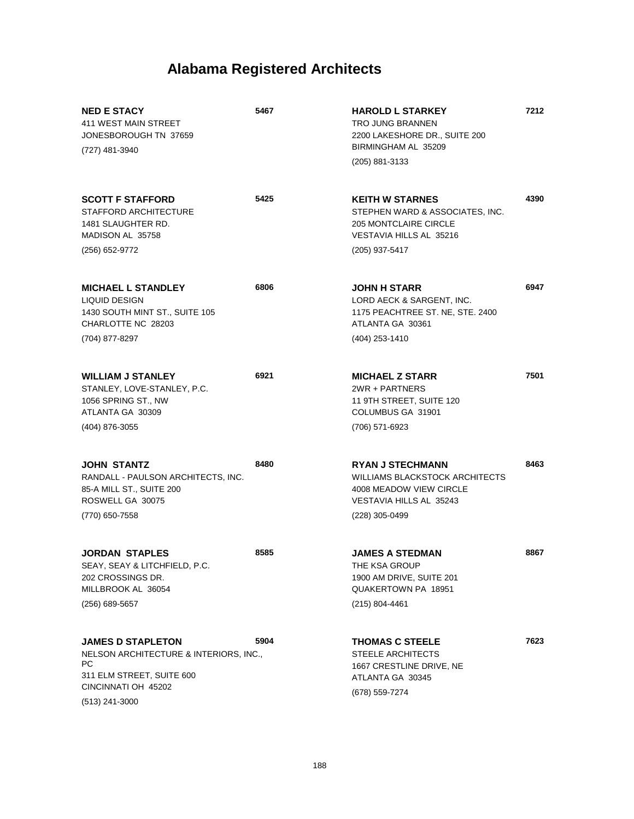| <b>NED E STACY</b><br>411 WEST MAIN STREET<br>JONESBOROUGH TN 37659<br>(727) 481-3940                                                          | 5467 | <b>HAROLD L STARKEY</b><br><b>TRO JUNG BRANNEN</b><br>2200 LAKESHORE DR., SUITE 200<br>BIRMINGHAM AL 35209<br>(205) 881-3133             | 7212 |
|------------------------------------------------------------------------------------------------------------------------------------------------|------|------------------------------------------------------------------------------------------------------------------------------------------|------|
| <b>SCOTT F STAFFORD</b><br>STAFFORD ARCHITECTURE<br>1481 SLAUGHTER RD.<br>MADISON AL 35758<br>(256) 652-9772                                   | 5425 | <b>KEITH W STARNES</b><br>STEPHEN WARD & ASSOCIATES, INC.<br>205 MONTCLAIRE CIRCLE<br>VESTAVIA HILLS AL 35216<br>(205) 937-5417          | 4390 |
| <b>MICHAEL L STANDLEY</b><br>LIQUID DESIGN<br>1430 SOUTH MINT ST., SUITE 105<br>CHARLOTTE NC 28203<br>(704) 877-8297                           | 6806 | <b>JOHN H STARR</b><br>LORD AECK & SARGENT, INC.<br>1175 PEACHTREE ST. NE, STE. 2400<br>ATLANTA GA 30361<br>(404) 253-1410               | 6947 |
| <b>WILLIAM J STANLEY</b><br>STANLEY, LOVE-STANLEY, P.C.<br>1056 SPRING ST., NW<br>ATLANTA GA 30309<br>(404) 876-3055                           | 6921 | <b>MICHAEL Z STARR</b><br>2WR + PARTNERS<br>11 9TH STREET, SUITE 120<br>COLUMBUS GA 31901<br>(706) 571-6923                              | 7501 |
| <b>JOHN STANTZ</b><br>RANDALL - PAULSON ARCHITECTS, INC.<br>85-A MILL ST., SUITE 200<br>ROSWELL GA 30075<br>(770) 650-7558                     | 8480 | <b>RYAN J STECHMANN</b><br><b>WILLIAMS BLACKSTOCK ARCHITECTS</b><br>4008 MEADOW VIEW CIRCLE<br>VESTAVIA HILLS AL 35243<br>(228) 305-0499 | 8463 |
| <b>JORDAN STAPLES</b><br>SEAY, SEAY & LITCHFIELD, P.C.<br>202 CROSSINGS DR.<br>MILLBROOK AL 36054<br>(256) 689-5657                            | 8585 | <b>JAMES A STEDMAN</b><br>THE KSA GROUP<br>1900 AM DRIVE, SUITE 201<br>QUAKERTOWN PA 18951<br>$(215) 804 - 4461$                         | 8867 |
| <b>JAMES D STAPLETON</b><br>NELSON ARCHITECTURE & INTERIORS, INC.,<br>PС<br>311 ELM STREET, SUITE 600<br>CINCINNATI OH 45202<br>(513) 241-3000 | 5904 | <b>THOMAS C STEELE</b><br><b>STEELE ARCHITECTS</b><br>1667 CRESTLINE DRIVE, NE<br>ATLANTA GA 30345<br>(678) 559-7274                     | 7623 |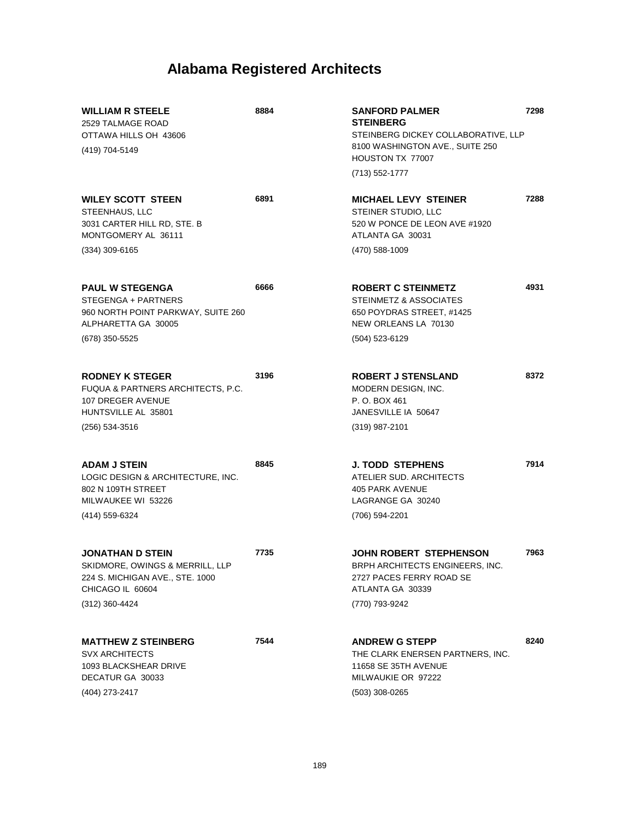| <b>WILLIAM R STEELE</b><br>2529 TALMAGE ROAD<br>OTTAWA HILLS OH 43606<br>(419) 704-5149                                      | 8884 | <b>SANFORD PALMER</b><br><b>STEINBERG</b><br>STEINBERG DICKEY COLLABORATIVE, LLP<br>8100 WASHINGTON AVE., SUITE 250<br>HOUSTON TX 77007 | 7298 |
|------------------------------------------------------------------------------------------------------------------------------|------|-----------------------------------------------------------------------------------------------------------------------------------------|------|
|                                                                                                                              |      | (713) 552-1777                                                                                                                          |      |
| <b>WILEY SCOTT STEEN</b><br>STEENHAUS, LLC<br>3031 CARTER HILL RD, STE. B<br>MONTGOMERY AL 36111                             | 6891 | <b>MICHAEL LEVY STEINER</b><br>STEINER STUDIO, LLC<br>520 W PONCE DE LEON AVE #1920<br>ATLANTA GA 30031                                 | 7288 |
| $(334)$ 309-6165                                                                                                             |      | (470) 588-1009                                                                                                                          |      |
| <b>PAUL W STEGENGA</b><br>STEGENGA + PARTNERS<br>960 NORTH POINT PARKWAY, SUITE 260<br>ALPHARETTA GA 30005<br>(678) 350-5525 | 6666 | <b>ROBERT C STEINMETZ</b><br>STEINMETZ & ASSOCIATES<br>650 POYDRAS STREET, #1425<br>NEW ORLEANS LA 70130<br>(504) 523-6129              | 4931 |
|                                                                                                                              |      |                                                                                                                                         |      |
| <b>RODNEY K STEGER</b><br><b>FUQUA &amp; PARTNERS ARCHITECTS, P.C.</b><br>107 DREGER AVENUE<br>HUNTSVILLE AL 35801           | 3196 | <b>ROBERT J STENSLAND</b><br>MODERN DESIGN, INC.<br>P. O. BOX 461<br>JANESVILLE IA 50647                                                | 8372 |
| (256) 534-3516                                                                                                               |      | (319) 987-2101                                                                                                                          |      |
| <b>ADAM J STEIN</b><br>LOGIC DESIGN & ARCHITECTURE, INC.<br>802 N 109TH STREET<br>MILWAUKEE WI 53226                         | 8845 | <b>J. TODD STEPHENS</b><br>ATELIER SUD, ARCHITECTS<br><b>405 PARK AVENUE</b><br>LAGRANGE GA 30240                                       | 7914 |
| (414) 559-6324                                                                                                               |      | (706) 594-2201                                                                                                                          |      |
| JONATHAN D STEIN<br>SKIDMORE, OWINGS & MERRILL, LLP<br>224 S. MICHIGAN AVE., STE. 1000<br>CHICAGO IL 60604                   | 7735 | <b>JOHN ROBERT STEPHENSON</b><br>BRPH ARCHITECTS ENGINEERS, INC.<br>2727 PACES FERRY ROAD SE<br>ATLANTA GA 30339                        | 7963 |
| (312) 360-4424                                                                                                               |      | (770) 793-9242                                                                                                                          |      |
| <b>MATTHEW Z STEINBERG</b><br><b>SVX ARCHITECTS</b><br>1093 BLACKSHEAR DRIVE<br>DECATUR GA 30033<br>(404) 273-2417           | 7544 | <b>ANDREW G STEPP</b><br>THE CLARK ENERSEN PARTNERS, INC.<br>11658 SE 35TH AVENUE<br>MILWAUKIE OR 97222<br>(503) 308-0265               | 8240 |
|                                                                                                                              |      |                                                                                                                                         |      |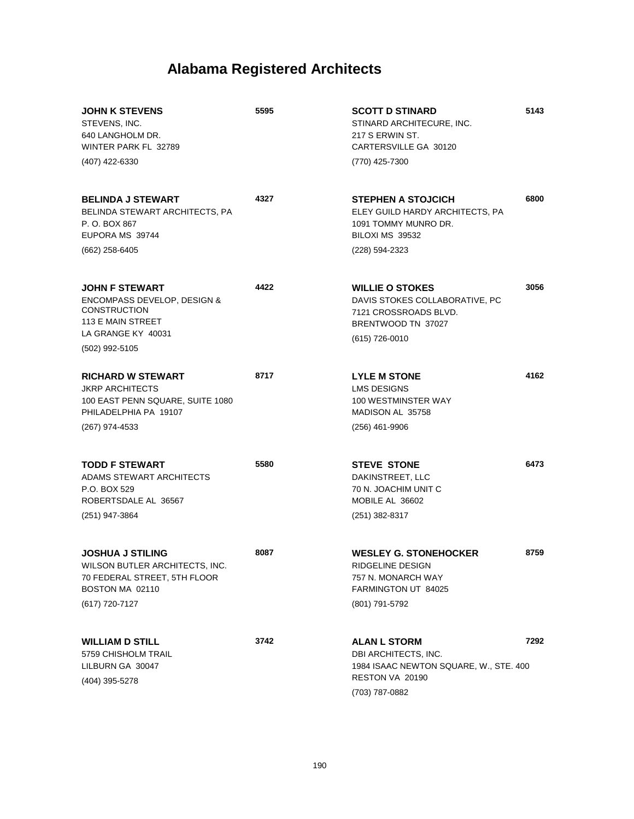| 5595 | <b>SCOTT D STINARD</b><br>STINARD ARCHITECURE, INC.<br>217 S ERWIN ST.<br>CARTERSVILLE GA 30120                           | 5143                                                     |
|------|---------------------------------------------------------------------------------------------------------------------------|----------------------------------------------------------|
|      | (770) 425-7300                                                                                                            |                                                          |
| 4327 | <b>STEPHEN A STOJCICH</b><br>ELEY GUILD HARDY ARCHITECTS, PA<br>1091 TOMMY MUNRO DR.<br>BILOXI MS 39532                   | 6800                                                     |
|      | (228) 594-2323                                                                                                            |                                                          |
| 4422 | <b>WILLIE O STOKES</b><br>DAVIS STOKES COLLABORATIVE, PC<br>7121 CROSSROADS BLVD.<br>BRENTWOOD TN 37027<br>(615) 726-0010 | 3056                                                     |
|      |                                                                                                                           |                                                          |
| 8717 | <b>LYLE M STONE</b><br><b>LMS DESIGNS</b><br>100 WESTMINSTER WAY<br>MADISON AL 35758                                      | 4162                                                     |
|      | (256) 461-9906                                                                                                            |                                                          |
| 5580 | <b>STEVE STONE</b><br>DAKINSTREET, LLC<br>70 N. JOACHIM UNIT C<br>MOBILE AL 36602<br>$(251)$ 382-8317                     | 6473                                                     |
| 8087 | <b>WESLEY G. STONEHOCKER</b>                                                                                              | 8759                                                     |
|      | RIDGELINE DESIGN<br>757 N. MONARCH WAY<br>FARMINGTON UT 84025                                                             |                                                          |
|      | (801) 791-5792                                                                                                            |                                                          |
| 3742 | <b>ALAN L STORM</b><br>DBI ARCHITECTS, INC.<br>RESTON VA 20190                                                            | 7292                                                     |
|      |                                                                                                                           | 1984 ISAAC NEWTON SQUARE, W., STE. 400<br>(703) 787-0882 |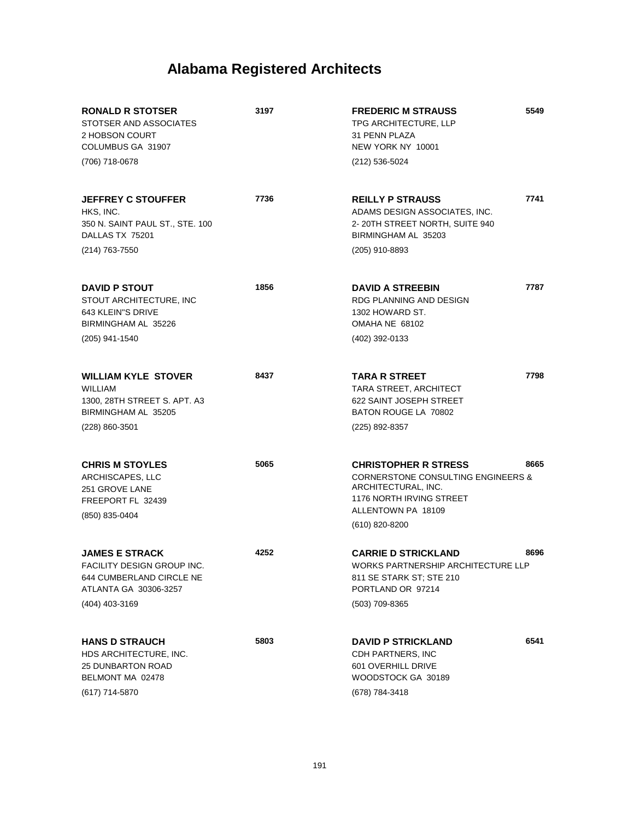| <b>RONALD R STOTSER</b><br>STOTSER AND ASSOCIATES<br>2 HOBSON COURT<br>COLUMBUS GA 31907<br>(706) 718-0678                 | 3197 | <b>FREDERIC M STRAUSS</b><br>TPG ARCHITECTURE, LLP<br>31 PENN PLAZA<br>NEW YORK NY 10001<br>(212) 536-5024                                            | 5549 |
|----------------------------------------------------------------------------------------------------------------------------|------|-------------------------------------------------------------------------------------------------------------------------------------------------------|------|
|                                                                                                                            |      |                                                                                                                                                       |      |
| <b>JEFFREY C STOUFFER</b><br>HKS, INC.<br>350 N. SAINT PAUL ST., STE. 100<br>DALLAS TX 75201                               | 7736 | <b>REILLY P STRAUSS</b><br>ADAMS DESIGN ASSOCIATES, INC.<br>2-20TH STREET NORTH, SUITE 940<br>BIRMINGHAM AL 35203                                     | 7741 |
| (214) 763-7550                                                                                                             |      | (205) 910-8893                                                                                                                                        |      |
| <b>DAVID P STOUT</b><br>STOUT ARCHITECTURE, INC<br>643 KLEIN"S DRIVE<br>BIRMINGHAM AL 35226                                | 1856 | <b>DAVID A STREEBIN</b><br>RDG PLANNING AND DESIGN<br>1302 HOWARD ST.<br>OMAHA NE 68102                                                               | 7787 |
| (205) 941-1540                                                                                                             |      | (402) 392-0133                                                                                                                                        |      |
| <b>WILLIAM KYLE STOVER</b><br><b>WILLIAM</b><br>1300, 28TH STREET S. APT. A3<br>BIRMINGHAM AL 35205                        | 8437 | <b>TARA R STREET</b><br>TARA STREET, ARCHITECT<br>622 SAINT JOSEPH STREET<br>BATON ROUGE LA 70802                                                     | 7798 |
| (228) 860-3501                                                                                                             |      | (225) 892-8357                                                                                                                                        |      |
| <b>CHRIS M STOYLES</b><br>ARCHISCAPES, LLC<br>251 GROVE LANE<br>FREEPORT FL 32439<br>(850) 835-0404                        | 5065 | <b>CHRISTOPHER R STRESS</b><br><b>CORNERSTONE CONSULTING ENGINEERS &amp;</b><br>ARCHITECTURAL, INC.<br>1176 NORTH IRVING STREET<br>ALLENTOWN PA 18109 | 8665 |
|                                                                                                                            |      | (610) 820-8200                                                                                                                                        |      |
| <b>JAMES E STRACK</b><br>FACILITY DESIGN GROUP INC.<br>644 CUMBERLAND CIRCLE NE<br>ATLANTA GA 30306-3257<br>(404) 403-3169 | 4252 | <b>CARRIE D STRICKLAND</b><br>WORKS PARTNERSHIP ARCHITECTURE LLP<br>811 SE STARK ST; STE 210<br>PORTLAND OR 97214<br>(503) 709-8365                   | 8696 |
|                                                                                                                            |      |                                                                                                                                                       |      |
| <b>HANS D STRAUCH</b><br>HDS ARCHITECTURE, INC.<br><b>25 DUNBARTON ROAD</b><br>BELMONT MA 02478<br>(617) 714-5870          | 5803 | <b>DAVID P STRICKLAND</b><br>CDH PARTNERS, INC<br>601 OVERHILL DRIVE<br>WOODSTOCK GA 30189<br>(678) 784-3418                                          | 6541 |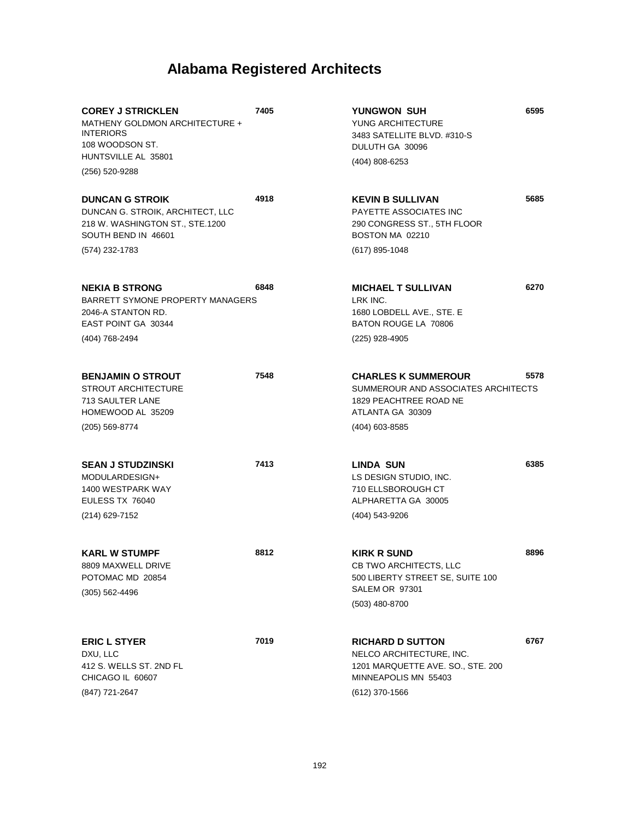| <b>COREY J STRICKLEN</b><br>MATHENY GOLDMON ARCHITECTURE +<br><b>INTERIORS</b><br>108 WOODSON ST.<br>HUNTSVILLE AL 35801 | 7405 | YUNGWON SUH<br>YUNG ARCHITECTURE<br>3483 SATELLITE BLVD. #310-S<br>DULUTH GA 30096                                                   | 6595 |
|--------------------------------------------------------------------------------------------------------------------------|------|--------------------------------------------------------------------------------------------------------------------------------------|------|
| (256) 520-9288                                                                                                           |      | (404) 808-6253                                                                                                                       |      |
| <b>DUNCAN G STROIK</b><br>DUNCAN G. STROIK, ARCHITECT, LLC<br>218 W. WASHINGTON ST., STE.1200<br>SOUTH BEND IN 46601     | 4918 | <b>KEVIN B SULLIVAN</b><br><b>PAYETTE ASSOCIATES INC</b><br>290 CONGRESS ST., 5TH FLOOR<br>BOSTON MA 02210                           | 5685 |
| (574) 232-1783                                                                                                           |      | $(617)$ 895-1048                                                                                                                     |      |
| <b>NEKIA B STRONG</b><br>BARRETT SYMONE PROPERTY MANAGERS<br>2046-A STANTON RD.<br>EAST POINT GA 30344<br>(404) 768-2494 | 6848 | <b>MICHAEL T SULLIVAN</b><br>LRK INC.<br>1680 LOBDELL AVE., STE. E<br>BATON ROUGE LA 70806<br>(225) 928-4905                         | 6270 |
|                                                                                                                          |      |                                                                                                                                      |      |
| <b>BENJAMIN O STROUT</b><br><b>STROUT ARCHITECTURE</b><br>713 SAULTER LANE<br>HOMEWOOD AL 35209                          | 7548 | <b>CHARLES K SUMMEROUR</b><br>SUMMEROUR AND ASSOCIATES ARCHITECTS<br>1829 PEACHTREE ROAD NE<br>ATLANTA GA 30309                      | 5578 |
| (205) 569-8774                                                                                                           |      | (404) 603-8585                                                                                                                       |      |
| <b>SEAN J STUDZINSKI</b><br>MODULARDESIGN+<br>1400 WESTPARK WAY<br>EULESS TX 76040<br>(214) 629-7152                     | 7413 | <b>LINDA SUN</b><br>LS DESIGN STUDIO, INC.<br>710 ELLSBOROUGH CT<br>ALPHARETTA GA 30005<br>(404) 543-9206                            | 6385 |
| <b>KARL W STUMPF</b>                                                                                                     | 8812 | KIRK R SUND                                                                                                                          | 8896 |
| 8809 MAXWELL DRIVE<br>POTOMAC MD 20854<br>$(305)$ 562-4496                                                               |      | CB TWO ARCHITECTS, LLC<br>500 LIBERTY STREET SE, SUITE 100<br>SALEM OR 97301                                                         |      |
|                                                                                                                          |      | (503) 480-8700                                                                                                                       |      |
| <b>ERIC L STYER</b><br>DXU, LLC<br>412 S. WELLS ST. 2ND FL<br>CHICAGO IL 60607<br>(847) 721-2647                         | 7019 | <b>RICHARD D SUTTON</b><br>NELCO ARCHITECTURE, INC.<br>1201 MARQUETTE AVE. SO., STE. 200<br>MINNEAPOLIS MN 55403<br>$(612)$ 370-1566 | 6767 |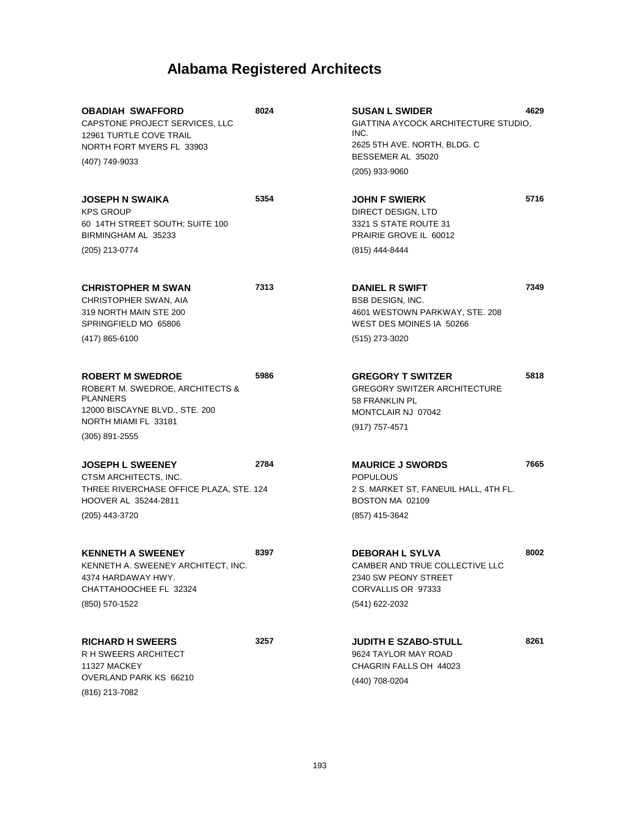| <b>OBADIAH SWAFFORD</b><br>CAPSTONE PROJECT SERVICES, LLC<br>12961 TURTLE COVE TRAIL<br>NORTH FORT MYERS FL 33903<br>(407) 749-9033                         | 8024 | <b>SUSAN L SWIDER</b><br>GIATTINA AYCOCK ARCHITECTURE STUDIO,<br>INC.<br>2625 5TH AVE. NORTH, BLDG. C<br>BESSEMER AL 35020<br>(205) 933-9060 | 4629 |
|-------------------------------------------------------------------------------------------------------------------------------------------------------------|------|----------------------------------------------------------------------------------------------------------------------------------------------|------|
| <b>JOSEPH N SWAIKA</b><br><b>KPS GROUP</b><br>60 14TH STREET SOUTH; SUITE 100<br>BIRMINGHAM AL 35233<br>(205) 213-0774                                      | 5354 | <b>JOHN F SWIERK</b><br>DIRECT DESIGN, LTD<br>3321 S STATE ROUTE 31<br>PRAIRIE GROVE IL 60012<br>(815) 444-8444                              | 5716 |
|                                                                                                                                                             |      |                                                                                                                                              |      |
| <b>CHRISTOPHER M SWAN</b><br>CHRISTOPHER SWAN, AIA<br>319 NORTH MAIN STE 200<br>SPRINGFIELD MO 65806                                                        | 7313 | <b>DANIEL R SWIFT</b><br><b>BSB DESIGN, INC.</b><br>4601 WESTOWN PARKWAY, STE. 208<br>WEST DES MOINES IA 50266                               | 7349 |
| $(417) 865 - 6100$                                                                                                                                          |      | (515) 273-3020                                                                                                                               |      |
| <b>ROBERT M SWEDROE</b><br>ROBERT M. SWEDROE, ARCHITECTS &<br><b>PLANNERS</b><br>12000 BISCAYNE BLVD., STE. 200<br>NORTH MIAMI FL 33181<br>$(305)$ 891-2555 | 5986 | <b>GREGORY T SWITZER</b><br><b>GREGORY SWITZER ARCHITECTURE</b><br>58 FRANKLIN PL<br>MONTCLAIR NJ 07042<br>(917) 757-4571                    | 5818 |
| <b>JOSEPH L SWEENEY</b><br>CTSM ARCHITECTS, INC.<br>THREE RIVERCHASE OFFICE PLAZA, STE. 124<br>HOOVER AL 35244-2811<br>(205) 443-3720                       | 2784 | <b>MAURICE J SWORDS</b><br><b>POPULOUS</b><br>2 S. MARKET ST, FANEUIL HALL, 4TH FL.<br>BOSTON MA 02109<br>(857) 415-3642                     | 7665 |
| <b>KENNETH A SWEENEY</b><br>KENNETH A. SWEENEY ARCHITECT, INC.<br>4374 HARDAWAY HWY.<br>CHATTAHOOCHEE FL 32324<br>(850) 570-1522                            | 8397 | <b>DEBORAH L SYLVA</b><br>CAMBER AND TRUE COLLECTIVE LLC<br>2340 SW PEONY STREET<br>CORVALLIS OR 97333<br>(541) 622-2032                     | 8002 |
| <b>RICHARD H SWEERS</b><br>R H SWEERS ARCHITECT<br>11327 MACKEY<br>OVERLAND PARK KS 66210<br>(816) 213-7082                                                 | 3257 | <b>JUDITH E SZABO-STULL</b><br>9624 TAYLOR MAY ROAD<br>CHAGRIN FALLS OH 44023<br>(440) 708-0204                                              | 8261 |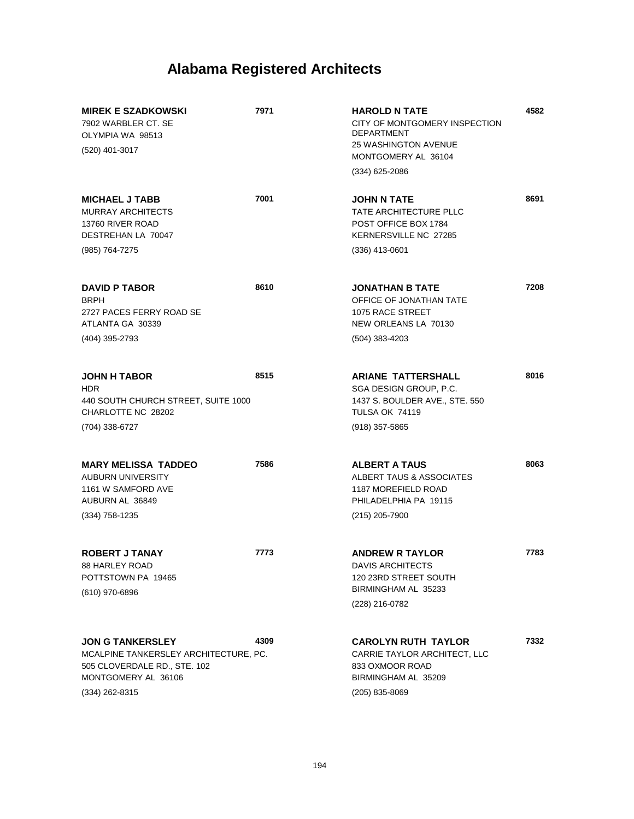| <b>MIREK E SZADKOWSKI</b><br>7902 WARBLER CT. SE<br>OLYMPIA WA 98513<br>(520) 401-3017                                                    | 7971 | <b>HAROLD N TATE</b><br>CITY OF MONTGOMERY INSPECTION<br><b>DEPARTMENT</b><br><b>25 WASHINGTON AVENUE</b><br>MONTGOMERY AL 36104<br>$(334)$ 625-2086 | 4582 |
|-------------------------------------------------------------------------------------------------------------------------------------------|------|------------------------------------------------------------------------------------------------------------------------------------------------------|------|
| <b>MICHAEL J TABB</b><br><b>MURRAY ARCHITECTS</b><br>13760 RIVER ROAD<br>DESTREHAN LA 70047                                               | 7001 | <b>JOHN N TATE</b><br>TATE ARCHITECTURE PLLC<br>POST OFFICE BOX 1784<br>KERNERSVILLE NC 27285                                                        | 8691 |
| (985) 764-7275                                                                                                                            |      | $(336)$ 413-0601                                                                                                                                     |      |
| <b>DAVID P TABOR</b><br><b>BRPH</b><br>2727 PACES FERRY ROAD SE<br>ATLANTA GA 30339                                                       | 8610 | JONATHAN B TATE<br>OFFICE OF JONATHAN TATE<br>1075 RACE STREET<br>NEW ORLEANS LA 70130                                                               | 7208 |
| (404) 395-2793                                                                                                                            |      | $(504)$ 383-4203                                                                                                                                     |      |
| <b>JOHN H TABOR</b><br><b>HDR</b><br>440 SOUTH CHURCH STREET, SUITE 1000<br>CHARLOTTE NC 28202                                            | 8515 | <b>ARIANE TATTERSHALL</b><br>SGA DESIGN GROUP, P.C.<br>1437 S. BOULDER AVE., STE. 550<br>TULSA OK 74119                                              | 8016 |
| (704) 338-6727                                                                                                                            |      | $(918)$ 357-5865                                                                                                                                     |      |
| <b>MARY MELISSA TADDEO</b><br><b>AUBURN UNIVERSITY</b><br>1161 W SAMFORD AVE<br>AUBURN AL 36849<br>$(334)$ 758-1235                       | 7586 | <b>ALBERT A TAUS</b><br><b>ALBERT TAUS &amp; ASSOCIATES</b><br>1187 MOREFIELD ROAD<br>PHILADELPHIA PA 19115<br>(215) 205-7900                        | 8063 |
|                                                                                                                                           |      |                                                                                                                                                      |      |
| <b>ROBERT J TANAY</b><br>88 HARLEY ROAD<br>POTTSTOWN PA 19465<br>$(610)$ 970-6896                                                         | 7773 | <b>ANDREW R TAYLOR</b><br><b>DAVIS ARCHITECTS</b><br>120 23RD STREET SOUTH<br>BIRMINGHAM AL 35233                                                    | 7783 |
|                                                                                                                                           |      | (228) 216-0782                                                                                                                                       |      |
| <b>JON G TANKERSLEY</b><br>MCALPINE TANKERSLEY ARCHITECTURE, PC.<br>505 CLOVERDALE RD., STE. 102<br>MONTGOMERY AL 36106<br>(334) 262-8315 | 4309 | <b>CAROLYN RUTH TAYLOR</b><br>CARRIE TAYLOR ARCHITECT, LLC<br>833 OXMOOR ROAD<br>BIRMINGHAM AL 35209<br>$(205)$ 835-8069                             | 7332 |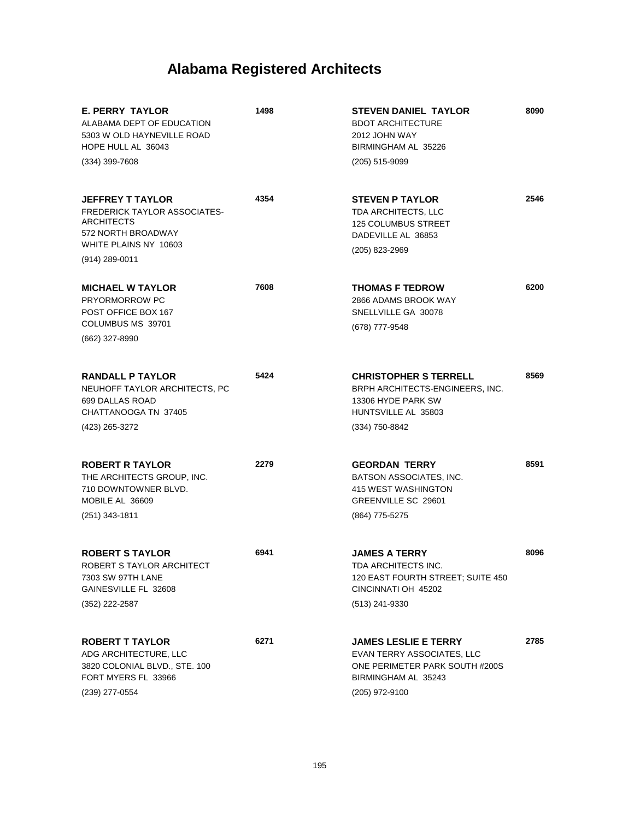| <b>E. PERRY TAYLOR</b><br>ALABAMA DEPT OF EDUCATION<br>5303 W OLD HAYNEVILLE ROAD<br>HOPE HULL AL 36043<br>$(334)$ 399-7608                            | 1498 | <b>STEVEN DANIEL TAYLOR</b><br><b>BDOT ARCHITECTURE</b><br>2012 JOHN WAY<br>BIRMINGHAM AL 35226<br>(205) 515-9099                    | 8090 |
|--------------------------------------------------------------------------------------------------------------------------------------------------------|------|--------------------------------------------------------------------------------------------------------------------------------------|------|
| <b>JEFFREY T TAYLOR</b><br><b>FREDERICK TAYLOR ASSOCIATES-</b><br><b>ARCHITECTS</b><br>572 NORTH BROADWAY<br>WHITE PLAINS NY 10603<br>$(914)$ 289-0011 | 4354 | <b>STEVEN P TAYLOR</b><br><b>TDA ARCHITECTS, LLC</b><br><b>125 COLUMBUS STREET</b><br>DADEVILLE AL 36853<br>(205) 823-2969           | 2546 |
| <b>MICHAEL W TAYLOR</b><br><b>PRYORMORROW PC</b><br>POST OFFICE BOX 167<br>COLUMBUS MS 39701<br>(662) 327-8990                                         | 7608 | <b>THOMAS F TEDROW</b><br>2866 ADAMS BROOK WAY<br>SNELLVILLE GA 30078<br>(678) 777-9548                                              | 6200 |
| <b>RANDALL P TAYLOR</b><br>NEUHOFF TAYLOR ARCHITECTS, PC<br>699 DALLAS ROAD<br>CHATTANOOGA TN 37405<br>(423) 265-3272                                  | 5424 | <b>CHRISTOPHER S TERRELL</b><br>BRPH ARCHITECTS-ENGINEERS, INC.<br>13306 HYDE PARK SW<br>HUNTSVILLE AL 35803<br>(334) 750-8842       | 8569 |
| <b>ROBERT R TAYLOR</b><br>THE ARCHITECTS GROUP, INC.<br>710 DOWNTOWNER BLVD.<br>MOBILE AL 36609<br>$(251)$ 343-1811                                    | 2279 | <b>GEORDAN TERRY</b><br>BATSON ASSOCIATES, INC.<br>415 WEST WASHINGTON<br>GREENVILLE SC 29601<br>(864) 775-5275                      | 8591 |
| <b>ROBERT S TAYLOR</b><br>ROBERT S TAYLOR ARCHITECT<br>7303 SW 97TH LANE<br>GAINESVILLE FL 32608<br>(352) 222-2587                                     | 6941 | JAMES A TERRY<br>TDA ARCHITECTS INC.<br>120 EAST FOURTH STREET; SUITE 450<br>CINCINNATI OH 45202<br>(513) 241-9330                   | 8096 |
| <b>ROBERT T TAYLOR</b><br>ADG ARCHITECTURE, LLC<br>3820 COLONIAL BLVD., STE. 100<br>FORT MYERS FL 33966<br>(239) 277-0554                              | 6271 | <b>JAMES LESLIE E TERRY</b><br>EVAN TERRY ASSOCIATES, LLC<br>ONE PERIMETER PARK SOUTH #200S<br>BIRMINGHAM AL 35243<br>(205) 972-9100 | 2785 |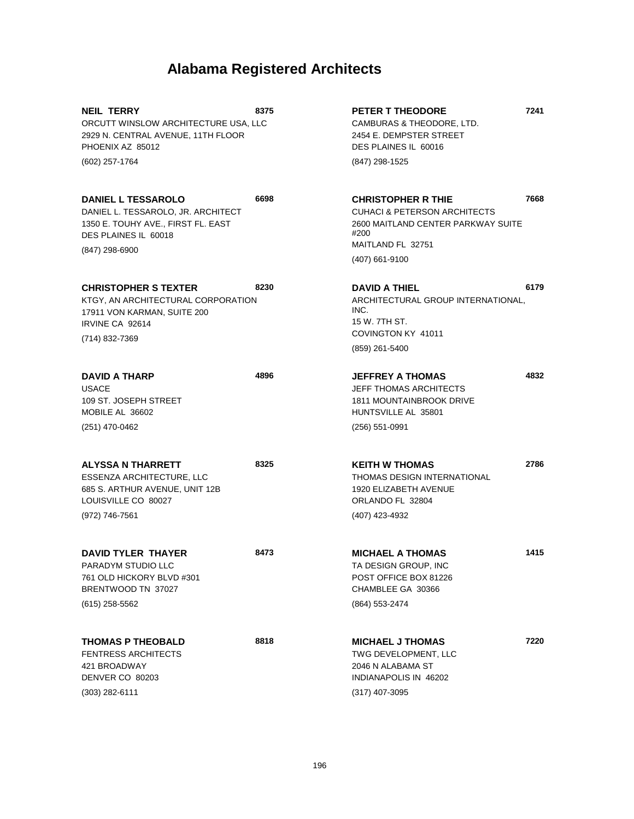| <b>NEIL TERRY</b><br>ORCUTT WINSLOW ARCHITECTURE USA, LLC<br>2929 N. CENTRAL AVENUE, 11TH FLOOR<br>PHOENIX AZ 85012<br>(602) 257-1764           | 8375 | <b>PETER T THEODORE</b><br>CAMBURAS & THEODORE, LTD.<br>2454 E. DEMPSTER STREET<br>DES PLAINES IL 60016<br>(847) 298-1525                                   | 7241 |
|-------------------------------------------------------------------------------------------------------------------------------------------------|------|-------------------------------------------------------------------------------------------------------------------------------------------------------------|------|
| <b>DANIEL L TESSAROLO</b><br>DANIEL L. TESSAROLO, JR. ARCHITECT<br>1350 E. TOUHY AVE., FIRST FL. EAST<br>DES PLAINES IL 60018<br>(847) 298-6900 | 6698 | <b>CHRISTOPHER R THIE</b><br><b>CUHACI &amp; PETERSON ARCHITECTS</b><br>2600 MAITLAND CENTER PARKWAY SUITE<br>#200<br>MAITLAND FL 32751<br>$(407)$ 661-9100 | 7668 |
| <b>CHRISTOPHER S TEXTER</b><br>KTGY, AN ARCHITECTURAL CORPORATION<br>17911 VON KARMAN, SUITE 200<br>IRVINE CA 92614<br>(714) 832-7369           | 8230 | <b>DAVID A THIEL</b><br>ARCHITECTURAL GROUP INTERNATIONAL,<br>INC.<br>15 W. 7TH ST.<br>COVINGTON KY 41011<br>(859) 261-5400                                 | 6179 |
| <b>DAVID A THARP</b><br><b>USACE</b><br>109 ST. JOSEPH STREET<br>MOBILE AL 36602<br>(251) 470-0462                                              | 4896 | <b>JEFFREY A THOMAS</b><br><b>JEFF THOMAS ARCHITECTS</b><br>1811 MOUNTAINBROOK DRIVE<br>HUNTSVILLE AL 35801<br>$(256) 551 - 0991$                           | 4832 |
| <b>ALYSSA N THARRETT</b><br>ESSENZA ARCHITECTURE, LLC<br>685 S. ARTHUR AVENUE, UNIT 12B<br>LOUISVILLE CO 80027<br>(972) 746-7561                | 8325 | <b>KEITH W THOMAS</b><br><b>THOMAS DESIGN INTERNATIONAL</b><br>1920 ELIZABETH AVENUE<br>ORLANDO FL 32804<br>(407) 423-4932                                  | 2786 |
| <b>DAVID TYLER THAYER</b><br>PARADYM STUDIO LLC<br>761 OLD HICKORY BLVD #301<br>BRENTWOOD TN 37027<br>$(615)$ 258-5562                          | 8473 | <b>MICHAEL A THOMAS</b><br>TA DESIGN GROUP, INC<br>POST OFFICE BOX 81226<br>CHAMBLEE GA 30366<br>(864) 553-2474                                             | 1415 |
| <b>THOMAS P THEOBALD</b><br><b>FENTRESS ARCHITECTS</b><br>421 BROADWAY<br>DENVER CO 80203<br>(303) 282-6111                                     | 8818 | <b>MICHAEL J THOMAS</b><br>TWG DEVELOPMENT, LLC<br>2046 N ALABAMA ST<br>INDIANAPOLIS IN 46202<br>$(317)$ 407-3095                                           | 7220 |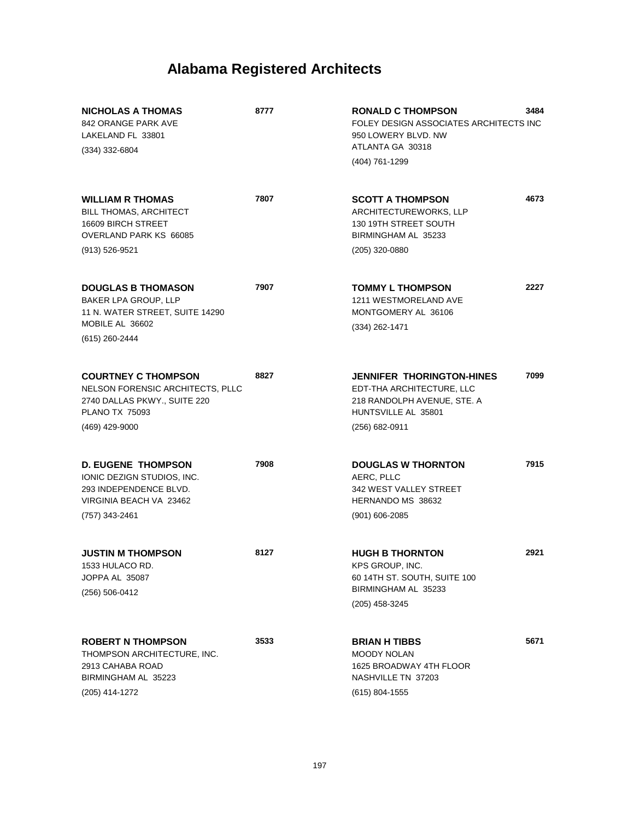| <b>NICHOLAS A THOMAS</b><br>842 ORANGE PARK AVE<br>LAKELAND FL 33801<br>$(334)$ 332-6804                                                  | 8777 | 3484<br><b>RONALD C THOMPSON</b><br>FOLEY DESIGN ASSOCIATES ARCHITECTS INC<br>950 LOWERY BLVD. NW<br>ATLANTA GA 30318<br>(404) 761-1299       |
|-------------------------------------------------------------------------------------------------------------------------------------------|------|-----------------------------------------------------------------------------------------------------------------------------------------------|
| <b>WILLIAM R THOMAS</b><br><b>BILL THOMAS, ARCHITECT</b><br>16609 BIRCH STREET<br>OVERLAND PARK KS 66085<br>(913) 526-9521                | 7807 | 4673<br><b>SCOTT A THOMPSON</b><br>ARCHITECTUREWORKS, LLP<br>130 19TH STREET SOUTH<br>BIRMINGHAM AL 35233<br>(205) 320-0880                   |
| <b>DOUGLAS B THOMASON</b><br><b>BAKER LPA GROUP, LLP</b><br>11 N. WATER STREET, SUITE 14290<br>MOBILE AL 36602<br>(615) 260-2444          | 7907 | 2227<br><b>TOMMY L THOMPSON</b><br>1211 WESTMORELAND AVE<br>MONTGOMERY AL 36106<br>(334) 262-1471                                             |
| <b>COURTNEY C THOMPSON</b><br>NELSON FORENSIC ARCHITECTS, PLLC<br>2740 DALLAS PKWY., SUITE 220<br><b>PLANO TX 75093</b><br>(469) 429-9000 | 8827 | 7099<br><b>JENNIFER THORINGTON-HINES</b><br>EDT-THA ARCHITECTURE, LLC<br>218 RANDOLPH AVENUE, STE. A<br>HUNTSVILLE AL 35801<br>(256) 682-0911 |
| <b>D. EUGENE THOMPSON</b><br>IONIC DEZIGN STUDIOS, INC.<br>293 INDEPENDENCE BLVD.<br>VIRGINIA BEACH VA 23462<br>(757) 343-2461            | 7908 | 7915<br><b>DOUGLAS W THORNTON</b><br>AERC, PLLC<br>342 WEST VALLEY STREET<br>HERNANDO MS 38632<br>$(901) 606 - 2085$                          |
| <b>JUSTIN M THOMPSON</b><br>1533 HULACO RD.<br>JOPPA AL 35087<br>$(256) 506 - 0412$                                                       | 8127 | <b>HUGH B THORNTON</b><br>2921<br>KPS GROUP, INC.<br>60 14TH ST. SOUTH, SUITE 100<br>BIRMINGHAM AL 35233<br>(205) 458-3245                    |
| <b>ROBERT N THOMPSON</b><br>THOMPSON ARCHITECTURE, INC.<br>2913 CAHABA ROAD<br>BIRMINGHAM AL 35223<br>(205) 414-1272                      | 3533 | 5671<br><b>BRIAN H TIBBS</b><br><b>MOODY NOLAN</b><br>1625 BROADWAY 4TH FLOOR<br>NASHVILLE TN 37203<br>$(615)$ 804-1555                       |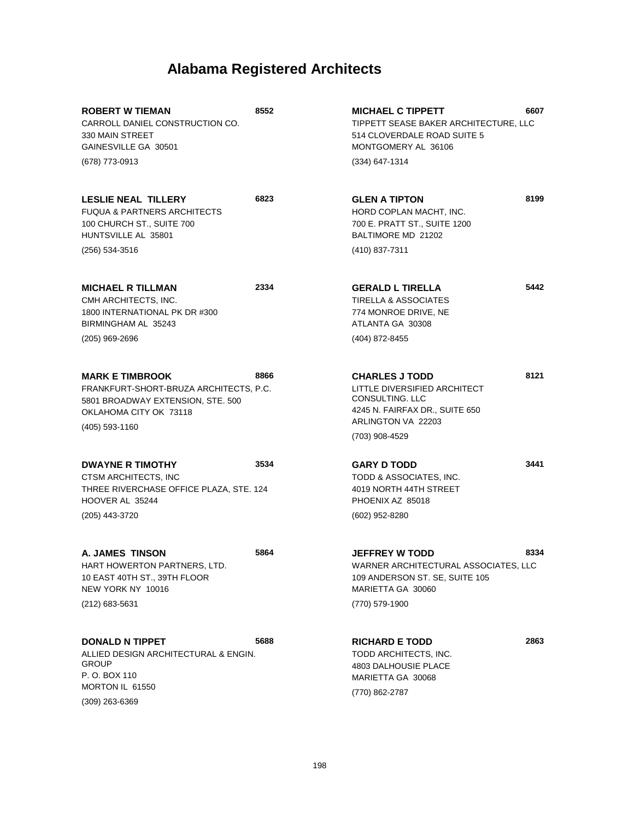| <b>ROBERT W TIEMAN</b><br>CARROLL DANIEL CONSTRUCTION CO.<br>330 MAIN STREET<br>GAINESVILLE GA 30501                                              | 8552 | <b>MICHAEL C TIPPETT</b><br>TIPPETT SEASE BAKER ARCHITECTURE, LLC<br>514 CLOVERDALE ROAD SUITE 5<br>MONTGOMERY AL 36106                            | 6607 |
|---------------------------------------------------------------------------------------------------------------------------------------------------|------|----------------------------------------------------------------------------------------------------------------------------------------------------|------|
| (678) 773-0913                                                                                                                                    |      | (334) 647-1314                                                                                                                                     |      |
| <b>LESLIE NEAL TILLERY</b><br><b>FUQUA &amp; PARTNERS ARCHITECTS</b><br>100 CHURCH ST., SUITE 700<br>HUNTSVILLE AL 35801                          | 6823 | <b>GLEN A TIPTON</b><br>HORD COPLAN MACHT, INC.<br>700 E. PRATT ST., SUITE 1200<br>BALTIMORE MD 21202                                              | 8199 |
| (256) 534-3516                                                                                                                                    |      | (410) 837-7311                                                                                                                                     |      |
| <b>MICHAEL R TILLMAN</b><br>CMH ARCHITECTS, INC.<br>1800 INTERNATIONAL PK DR #300<br>BIRMINGHAM AL 35243                                          | 2334 | <b>GERALD L TIRELLA</b><br><b>TIRELLA &amp; ASSOCIATES</b><br>774 MONROE DRIVE, NE<br>ATLANTA GA 30308                                             | 5442 |
| $(205)$ 969-2696                                                                                                                                  |      | (404) 872-8455                                                                                                                                     |      |
| <b>MARK E TIMBROOK</b><br>FRANKFURT-SHORT-BRUZA ARCHITECTS, P.C.<br>5801 BROADWAY EXTENSION, STE. 500<br>OKLAHOMA CITY OK 73118<br>(405) 593-1160 | 8866 | <b>CHARLES J TODD</b><br>LITTLE DIVERSIFIED ARCHITECT<br>CONSULTING. LLC<br>4245 N. FAIRFAX DR., SUITE 650<br>ARLINGTON VA 22203<br>(703) 908-4529 | 8121 |
| <b>DWAYNE R TIMOTHY</b><br>CTSM ARCHITECTS, INC<br>THREE RIVERCHASE OFFICE PLAZA, STE. 124<br>HOOVER AL 35244<br>(205) 443-3720                   | 3534 | <b>GARY D TODD</b><br>TODD & ASSOCIATES, INC.<br>4019 NORTH 44TH STREET<br>PHOENIX AZ 85018<br>(602) 952-8280                                      | 3441 |
| A. JAMES TINSON<br>HART HOWERTON PARTNERS, LTD.<br>10 EAST 40TH ST., 39TH FLOOR<br>NEW YORK NY 10016<br>(212) 683-5631                            | 5864 | <b>JEFFREY W TODD</b><br>WARNER ARCHITECTURAL ASSOCIATES, LLC<br>109 ANDERSON ST. SE, SUITE 105<br>MARIETTA GA 30060<br>(770) 579-1900             | 8334 |
| <b>DONALD N TIPPET</b><br>ALLIED DESIGN ARCHITECTURAL & ENGIN.<br><b>GROUP</b><br>P. O. BOX 110<br>MORTON IL 61550                                | 5688 | <b>RICHARD E TODD</b><br>TODD ARCHITECTS, INC.<br>4803 DALHOUSIE PLACE<br>MARIETTA GA 30068<br>(770) 862-2787                                      | 2863 |

(309) 263-6369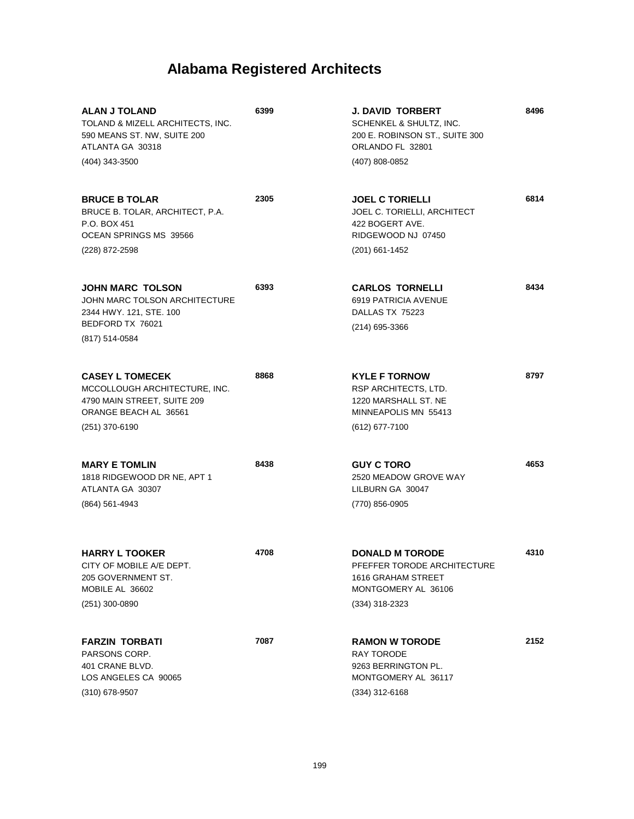| <b>ALAN J TOLAND</b><br>TOLAND & MIZELL ARCHITECTS, INC.<br>590 MEANS ST. NW, SUITE 200<br>ATLANTA GA 30318               | 6399 | <b>J. DAVID TORBERT</b><br>SCHENKEL & SHULTZ, INC.<br>200 E. ROBINSON ST., SUITE 300<br>ORLANDO FL 32801               | 8496 |
|---------------------------------------------------------------------------------------------------------------------------|------|------------------------------------------------------------------------------------------------------------------------|------|
| (404) 343-3500                                                                                                            |      | (407) 808-0852                                                                                                         |      |
| <b>BRUCE B TOLAR</b><br>BRUCE B. TOLAR, ARCHITECT, P.A.<br>P.O. BOX 451<br>OCEAN SPRINGS MS 39566                         | 2305 | <b>JOEL C TORIELLI</b><br>JOEL C. TORIELLI, ARCHITECT<br>422 BOGERT AVE.<br>RIDGEWOOD NJ 07450                         | 6814 |
| (228) 872-2598                                                                                                            |      | $(201)$ 661-1452                                                                                                       |      |
| <b>JOHN MARC TOLSON</b><br>JOHN MARC TOLSON ARCHITECTURE<br>2344 HWY. 121, STE. 100<br>BEDFORD TX 76021<br>(817) 514-0584 | 6393 | <b>CARLOS TORNELLI</b><br>6919 PATRICIA AVENUE<br>DALLAS TX 75223<br>$(214)$ 695-3366                                  | 8434 |
|                                                                                                                           |      |                                                                                                                        |      |
| <b>CASEY L TOMECEK</b><br>MCCOLLOUGH ARCHITECTURE, INC.<br>4790 MAIN STREET, SUITE 209<br>ORANGE BEACH AL 36561           | 8868 | <b>KYLE F TORNOW</b><br>RSP ARCHITECTS, LTD.<br>1220 MARSHALL ST. NE<br>MINNEAPOLIS MN 55413                           | 8797 |
| (251) 370-6190                                                                                                            |      | (612) 677-7100                                                                                                         |      |
| <b>MARY E TOMLIN</b><br>1818 RIDGEWOOD DR NE, APT 1<br>ATLANTA GA 30307<br>(864) 561-4943                                 | 8438 | <b>GUY C TORO</b><br>2520 MEADOW GROVE WAY<br>LILBURN GA 30047<br>(770) 856-0905                                       | 4653 |
| <b>HARRY L TOOKER</b><br>CITY OF MOBILE A/E DEPT.<br>205 GOVERNMENT ST.<br>MOBILE AL 36602<br>$(251)$ 300-0890            | 4708 | <b>DONALD M TORODE</b><br>PFEFFER TORODE ARCHITECTURE<br>1616 GRAHAM STREET<br>MONTGOMERY AL 36106<br>$(334)$ 318-2323 | 4310 |
| <b>FARZIN TORBATI</b><br>PARSONS CORP.<br>401 CRANE BLVD.<br>LOS ANGELES CA 90065<br>(310) 678-9507                       | 7087 | <b>RAMON W TORODE</b><br><b>RAY TORODE</b><br>9263 BERRINGTON PL.<br>MONTGOMERY AL 36117<br>$(334)$ 312-6168           | 2152 |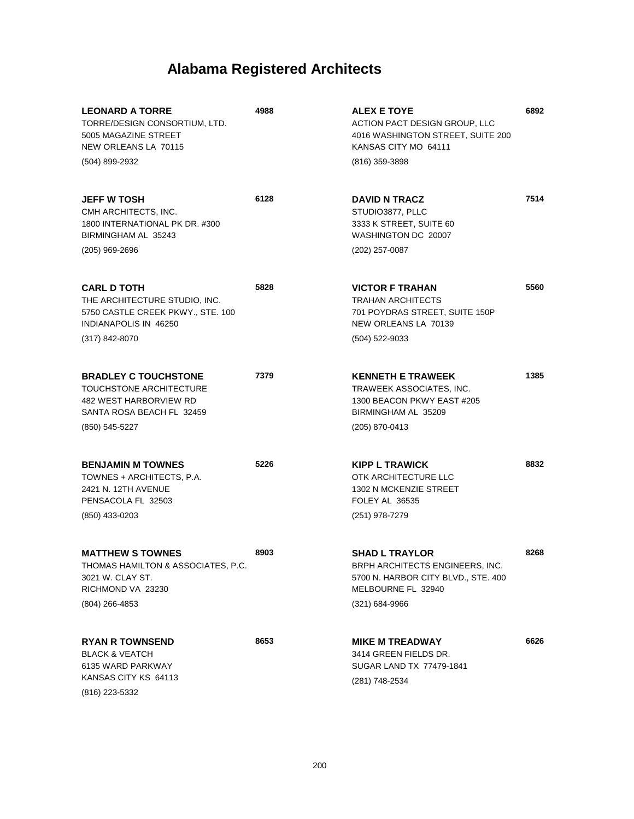| <b>LEONARD A TORRE</b><br>TORRE/DESIGN CONSORTIUM, LTD.<br>5005 MAGAZINE STREET<br>NEW ORLEANS LA 70115                             | 4988 | <b>ALEX E TOYE</b><br>ACTION PACT DESIGN GROUP, LLC<br>4016 WASHINGTON STREET, SUITE 200<br>KANSAS CITY MO 64111                          | 6892 |
|-------------------------------------------------------------------------------------------------------------------------------------|------|-------------------------------------------------------------------------------------------------------------------------------------------|------|
| (504) 899-2932                                                                                                                      |      | (816) 359-3898                                                                                                                            |      |
| <b>JEFF W TOSH</b><br>CMH ARCHITECTS, INC.<br>1800 INTERNATIONAL PK DR. #300<br>BIRMINGHAM AL 35243                                 | 6128 | <b>DAVID N TRACZ</b><br>STUDIO3877, PLLC<br>3333 K STREET, SUITE 60<br>WASHINGTON DC 20007                                                | 7514 |
| $(205)$ 969-2696                                                                                                                    |      | (202) 257-0087                                                                                                                            |      |
| <b>CARL D TOTH</b><br>THE ARCHITECTURE STUDIO, INC.<br>5750 CASTLE CREEK PKWY., STE. 100<br>INDIANAPOLIS IN 46250<br>(317) 842-8070 | 5828 | <b>VICTOR F TRAHAN</b><br><b>TRAHAN ARCHITECTS</b><br>701 POYDRAS STREET, SUITE 150P<br>NEW ORLEANS LA 70139<br>(504) 522-9033            | 5560 |
| <b>BRADLEY C TOUCHSTONE</b><br>TOUCHSTONE ARCHITECTURE<br>482 WEST HARBORVIEW RD<br>SANTA ROSA BEACH FL 32459                       | 7379 | <b>KENNETH E TRAWEEK</b><br>TRAWEEK ASSOCIATES, INC.<br>1300 BEACON PKWY EAST #205<br>BIRMINGHAM AL 35209                                 | 1385 |
| (850) 545-5227                                                                                                                      |      | (205) 870-0413                                                                                                                            |      |
| <b>BENJAMIN M TOWNES</b><br>TOWNES + ARCHITECTS, P.A.<br>2421 N. 12TH AVENUE<br>PENSACOLA FL 32503<br>(850) 433-0203                | 5226 | <b>KIPP L TRAWICK</b><br>OTK ARCHITECTURE LLC<br>1302 N MCKENZIE STREET<br><b>FOLEY AL 36535</b><br>(251) 978-7279                        | 8832 |
| <b>MATTHEW S TOWNES</b><br>THOMAS HAMILTON & ASSOCIATES, P.C.<br>3021 W. CLAY ST.<br>RICHMOND VA 23230<br>$(804)$ 266-4853          | 8903 | <b>SHAD L TRAYLOR</b><br>BRPH ARCHITECTS ENGINEERS, INC.<br>5700 N. HARBOR CITY BLVD., STE. 400<br>MELBOURNE FL 32940<br>$(321)$ 684-9966 | 8268 |
| <b>RYAN R TOWNSEND</b><br><b>BLACK &amp; VEATCH</b><br>6135 WARD PARKWAY<br>KANSAS CITY KS 64113<br>(816) 223-5332                  | 8653 | <b>MIKE M TREADWAY</b><br>3414 GREEN FIELDS DR.<br>SUGAR LAND TX 77479-1841<br>(281) 748-2534                                             | 6626 |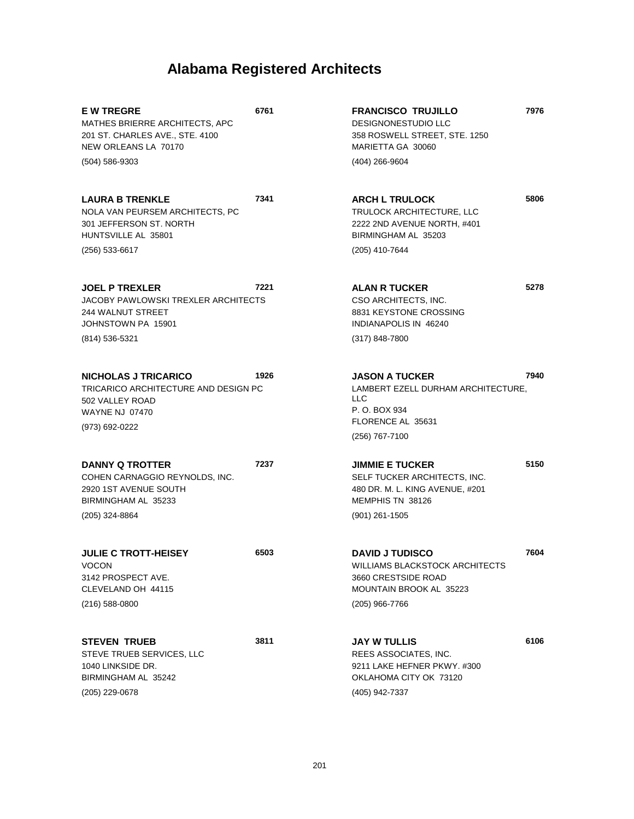**6761**

**6503**

**3811**

**E W TREGRE** MATHES BRIERRE ARCHITECTS, APC 201 ST. CHARLES AVE., STE. 4100 NEW ORLEANS LA 70170 (504) 586-9303

**LAURA B TRENKLE** NOLA VAN PEURSEM ARCHITECTS, PC 301 JEFFERSON ST. NORTH HUNTSVILLE AL 35801 **7341** (256) 533-6617

**JOEL P TREXLER** JACOBY PAWLOWSKI TREXLER ARCHITECTS 244 WALNUT STREET JOHNSTOWN PA 15901 **7221** (814) 536-5321

**NICHOLAS J TRICARICO** TRICARICO ARCHITECTURE AND DESIGN PC 502 VALLEY ROAD WAYNE NJ 07470 **1926** (973) 692-0222

**DANNY Q TROTTER** COHEN CARNAGGIO REYNOLDS, INC. 2920 1ST AVENUE SOUTH BIRMINGHAM AL 35233 **7237**

**JULIE C TROTT-HEISEY** VOCON 3142 PROSPECT AVE. CLEVELAND OH 44115 (216) 588-0800

(205) 324-8864

**STEVEN TRUEB** STEVE TRUEB SERVICES, LLC 1040 LINKSIDE DR. BIRMINGHAM AL 35242 (205) 229-0678

**FRANCISCO TRUJILLO** DESIGNONESTUDIO LLC 358 ROSWELL STREET, STE. 1250 MARIETTA GA 30060 (404) 266-9604

**ARCH L TRULOCK** TRULOCK ARCHITECTURE, LLC 2222 2ND AVENUE NORTH, #401 BIRMINGHAM AL 35203 (205) 410-7644

**ALAN R TUCKER** CSO ARCHITECTS, INC. 8831 KEYSTONE CROSSING INDIANAPOLIS IN 46240 (317) 848-7800

**JASON A TUCKER** LAMBERT EZELL DURHAM ARCHITECTURE, LLC P. O. BOX 934 FLORENCE AL 35631 **7940** (256) 767-7100

**JIMMIE E TUCKER** SELF TUCKER ARCHITECTS, INC. 480 DR. M. L. KING AVENUE, #201 MEMPHIS TN 38126 **5150** (901) 261-1505

**DAVID J TUDISCO** WILLIAMS BLACKSTOCK ARCHITECTS 3660 CRESTSIDE ROAD MOUNTAIN BROOK AL 35223 (205) 966-7766

**JAY W TULLIS** REES ASSOCIATES, INC. 9211 LAKE HEFNER PKWY. #300 OKLAHOMA CITY OK 73120 (405) 942-7337

**6106**

**7604**

**7976**

**5806**

**5278**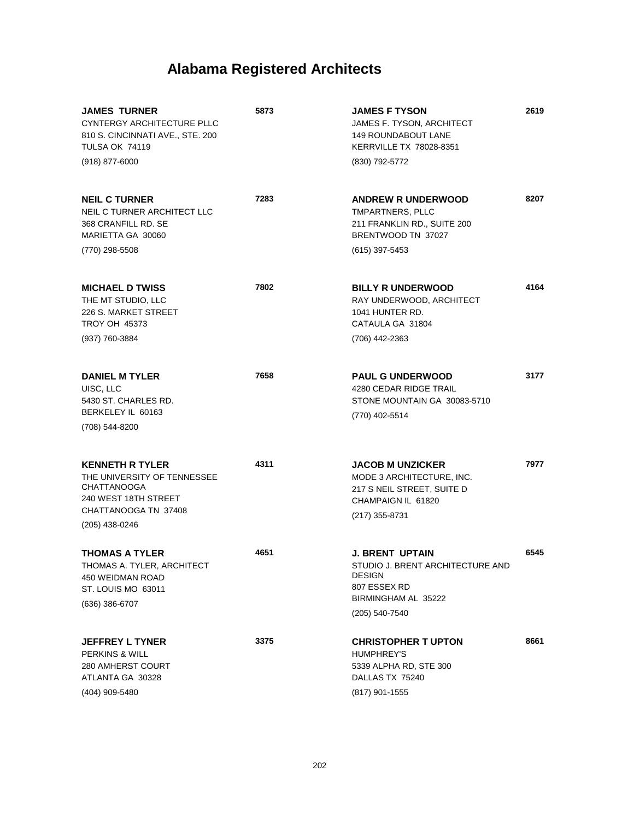| <b>JAMES TURNER</b><br>CYNTERGY ARCHITECTURE PLLC<br>810 S. CINCINNATI AVE., STE. 200<br><b>TULSA OK 74119</b><br>$(918)$ 877-6000            | 5873 | <b>JAMES F TYSON</b><br>JAMES F. TYSON, ARCHITECT<br><b>149 ROUNDABOUT LANE</b><br>KERRVILLE TX 78028-8351<br>(830) 792-5772         | 2619 |
|-----------------------------------------------------------------------------------------------------------------------------------------------|------|--------------------------------------------------------------------------------------------------------------------------------------|------|
| <b>NEIL C TURNER</b><br>NEIL C TURNER ARCHITECT LLC<br>368 CRANFILL RD. SE<br>MARIETTA GA 30060<br>(770) 298-5508                             | 7283 | <b>ANDREW R UNDERWOOD</b><br>TMPARTNERS, PLLC<br>211 FRANKLIN RD., SUITE 200<br>BRENTWOOD TN 37027<br>$(615)$ 397-5453               | 8207 |
| <b>MICHAEL D TWISS</b><br>THE MT STUDIO, LLC<br>226 S. MARKET STREET<br><b>TROY OH 45373</b><br>(937) 760-3884                                | 7802 | <b>BILLY R UNDERWOOD</b><br>RAY UNDERWOOD, ARCHITECT<br>1041 HUNTER RD.<br>CATAULA GA 31804<br>(706) 442-2363                        | 4164 |
| <b>DANIEL M TYLER</b><br>UISC. LLC<br>5430 ST. CHARLES RD.<br>BERKELEY IL 60163<br>(708) 544-8200                                             | 7658 | <b>PAUL G UNDERWOOD</b><br>4280 CEDAR RIDGE TRAIL<br>STONE MOUNTAIN GA 30083-5710<br>(770) 402-5514                                  | 3177 |
| <b>KENNETH R TYLER</b><br>THE UNIVERSITY OF TENNESSEE<br><b>CHATTANOOGA</b><br>240 WEST 18TH STREET<br>CHATTANOOGA TN 37408<br>(205) 438-0246 | 4311 | <b>JACOB M UNZICKER</b><br>MODE 3 ARCHITECTURE, INC.<br>217 S NEIL STREET, SUITE D<br>CHAMPAIGN IL 61820<br>(217) 355-8731           | 7977 |
| THOMAS A TYLER<br>THOMAS A. TYLER, ARCHITECT<br>450 WEIDMAN ROAD<br>ST. LOUIS MO 63011<br>$(636)$ 386-6707                                    | 4651 | <b>J. BRENT UPTAIN</b><br>STUDIO J. BRENT ARCHITECTURE AND<br><b>DESIGN</b><br>807 ESSEX RD<br>BIRMINGHAM AL 35222<br>(205) 540-7540 | 6545 |
| <b>JEFFREY L TYNER</b><br><b>PERKINS &amp; WILL</b><br>280 AMHERST COURT<br>ATLANTA GA 30328<br>(404) 909-5480                                | 3375 | <b>CHRISTOPHER T UPTON</b><br><b>HUMPHREY'S</b><br>5339 ALPHA RD, STE 300<br>DALLAS TX 75240<br>(817) 901-1555                       | 8661 |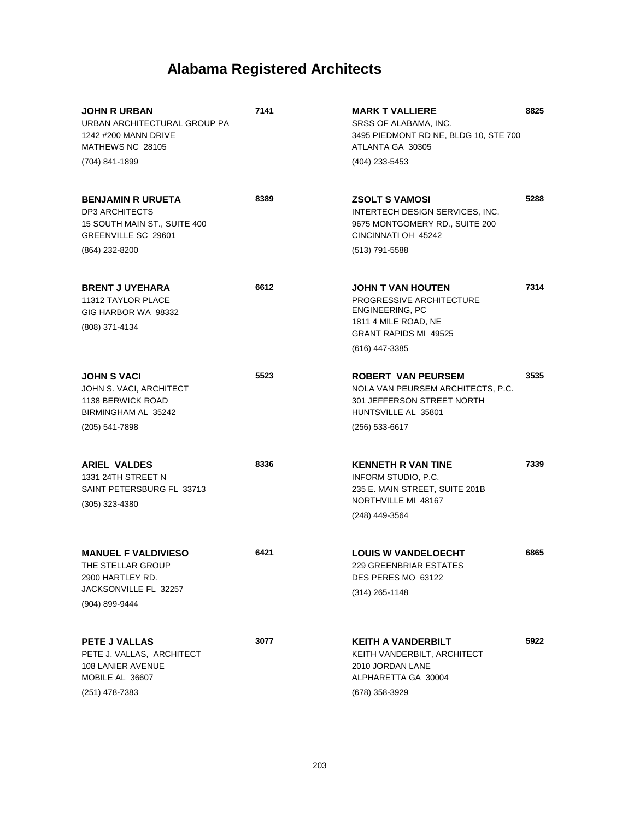| <b>JOHN R URBAN</b><br>URBAN ARCHITECTURAL GROUP PA<br>1242 #200 MANN DRIVE<br>MATHEWS NC 28105<br>(704) 841-1899 | 7141 | <b>MARK T VALLIERE</b><br>SRSS OF ALABAMA, INC.<br>3495 PIEDMONT RD NE, BLDG 10, STE 700<br>ATLANTA GA 30305<br>(404) 233-5453 | 8825 |
|-------------------------------------------------------------------------------------------------------------------|------|--------------------------------------------------------------------------------------------------------------------------------|------|
|                                                                                                                   |      |                                                                                                                                |      |
| <b>BENJAMIN R URUETA</b><br><b>DP3 ARCHITECTS</b><br>15 SOUTH MAIN ST., SUITE 400<br>GREENVILLE SC 29601          | 8389 | <b>ZSOLT S VAMOSI</b><br>INTERTECH DESIGN SERVICES, INC.<br>9675 MONTGOMERY RD., SUITE 200<br>CINCINNATI OH 45242              | 5288 |
| (864) 232-8200                                                                                                    |      | (513) 791-5588                                                                                                                 |      |
| <b>BRENT J UYEHARA</b><br>11312 TAYLOR PLACE<br>GIG HARBOR WA 98332<br>(808) 371-4134                             | 6612 | JOHN T VAN HOUTEN<br>PROGRESSIVE ARCHITECTURE<br>ENGINEERING, PC<br>1811 4 MILE ROAD, NE<br><b>GRANT RAPIDS MI 49525</b>       | 7314 |
|                                                                                                                   |      | (616) 447-3385                                                                                                                 |      |
| <b>JOHN S VACI</b><br>JOHN S. VACI, ARCHITECT<br>1138 BERWICK ROAD<br>BIRMINGHAM AL 35242                         | 5523 | <b>ROBERT VAN PEURSEM</b><br>NOLA VAN PEURSEM ARCHITECTS, P.C.<br>301 JEFFERSON STREET NORTH<br>HUNTSVILLE AL 35801            | 3535 |
| (205) 541-7898                                                                                                    |      | $(256)$ 533-6617                                                                                                               |      |
| <b>ARIEL VALDES</b><br>1331 24TH STREET N<br>SAINT PETERSBURG FL 33713<br>$(305)$ 323-4380                        | 8336 | <b>KENNETH R VAN TINE</b><br>INFORM STUDIO, P.C.<br>235 E. MAIN STREET, SUITE 201B<br>NORTHVILLE MI 48167<br>(248) 449-3564    | 7339 |
| <b>MANUEL F VALDIVIESO</b><br>THE STELLAR GROUP<br>2900 HARTLEY RD.<br>JACKSONVILLE FL 32257<br>(904) 899-9444    | 6421 | <b>LOUIS W VANDELOECHT</b><br><b>229 GREENBRIAR ESTATES</b><br>DES PERES MO 63122<br>$(314)$ 265-1148                          | 6865 |
| PETE J VALLAS<br>PETE J. VALLAS, ARCHITECT<br>108 LANIER AVENUE<br>MOBILE AL 36607<br>(251) 478-7383              | 3077 | <b>KEITH A VANDERBILT</b><br>KEITH VANDERBILT, ARCHITECT<br>2010 JORDAN LANE<br>ALPHARETTA GA 30004<br>(678) 358-3929          | 5922 |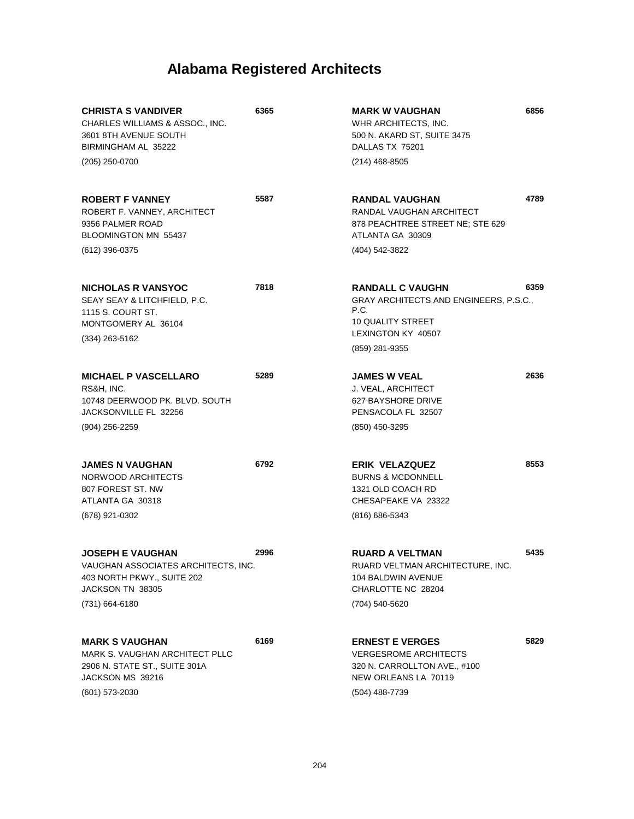| <b>CHRISTA S VANDIVER</b><br>CHARLES WILLIAMS & ASSOC., INC.<br>3601 8TH AVENUE SOUTH<br>BIRMINGHAM AL 35222<br>(205) 250-0700     | 6365 | 6856<br><b>MARK W VAUGHAN</b><br>WHR ARCHITECTS, INC.<br>500 N. AKARD ST, SUITE 3475<br>DALLAS TX 75201<br>$(214)$ 468-8505                           |  |
|------------------------------------------------------------------------------------------------------------------------------------|------|-------------------------------------------------------------------------------------------------------------------------------------------------------|--|
| <b>ROBERT F VANNEY</b><br>ROBERT F. VANNEY, ARCHITECT<br>9356 PALMER ROAD<br>BLOOMINGTON MN 55437                                  | 5587 | 4789<br><b>RANDAL VAUGHAN</b><br>RANDAL VAUGHAN ARCHITECT<br>878 PEACHTREE STREET NE; STE 629<br>ATLANTA GA 30309                                     |  |
| (612) 396-0375                                                                                                                     |      | (404) 542-3822                                                                                                                                        |  |
| <b>NICHOLAS R VANSYOC</b><br>SEAY SEAY & LITCHFIELD, P.C.<br>1115 S. COURT ST.<br>MONTGOMERY AL 36104<br>$(334)$ 263-5162          | 7818 | 6359<br><b>RANDALL C VAUGHN</b><br>GRAY ARCHITECTS AND ENGINEERS, P.S.C.,<br>P.C.<br><b>10 QUALITY STREET</b><br>LEXINGTON KY 40507<br>(859) 281-9355 |  |
| <b>MICHAEL P VASCELLARO</b><br>RS&H, INC.<br>10748 DEERWOOD PK. BLVD. SOUTH<br>JACKSONVILLE FL 32256<br>(904) 256-2259             | 5289 | 2636<br><b>JAMES W VEAL</b><br>J. VEAL, ARCHITECT<br>627 BAYSHORE DRIVE<br>PENSACOLA FL 32507<br>(850) 450-3295                                       |  |
| <b>JAMES N VAUGHAN</b><br>NORWOOD ARCHITECTS<br>807 FOREST ST. NW<br>ATLANTA GA 30318<br>(678) 921-0302                            | 6792 | 8553<br><b>ERIK VELAZQUEZ</b><br><b>BURNS &amp; MCDONNELL</b><br>1321 OLD COACH RD<br>CHESAPEAKE VA 23322<br>(816) 686-5343                           |  |
| <b>JOSEPH E VAUGHAN</b><br>VAUGHAN ASSOCIATES ARCHITECTS, INC.<br>403 NORTH PKWY., SUITE 202<br>JACKSON TN 38305<br>(731) 664-6180 | 2996 | 5435<br><b>RUARD A VELTMAN</b><br>RUARD VELTMAN ARCHITECTURE, INC.<br>104 BALDWIN AVENUE<br>CHARLOTTE NC 28204<br>(704) 540-5620                      |  |
| <b>MARK S VAUGHAN</b><br>MARK S. VAUGHAN ARCHITECT PLLC<br>2906 N. STATE ST., SUITE 301A<br>JACKSON MS 39216<br>(601) 573-2030     | 6169 | 5829<br><b>ERNEST E VERGES</b><br><b>VERGESROME ARCHITECTS</b><br>320 N. CARROLLTON AVE., #100<br>NEW ORLEANS LA 70119<br>(504) 488-7739              |  |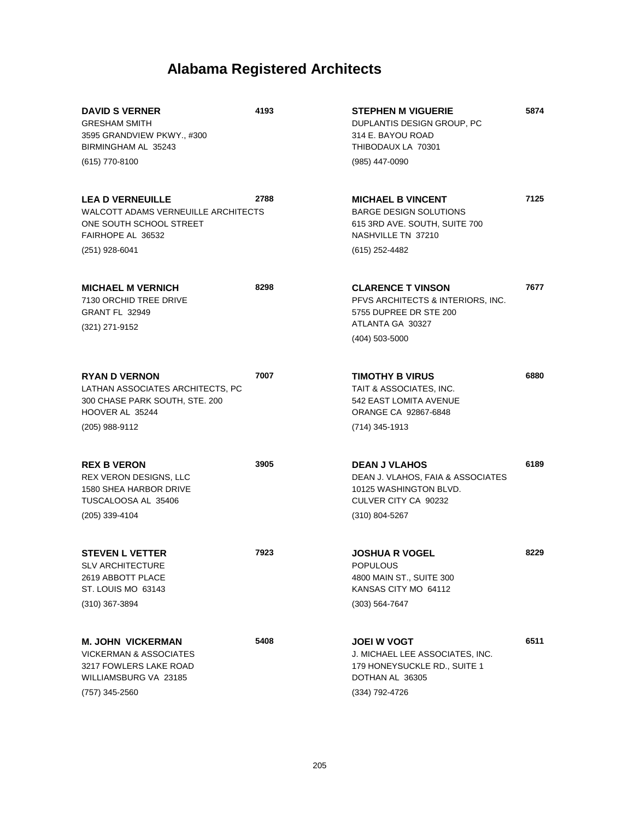| <b>DAVID S VERNER</b><br><b>GRESHAM SMITH</b><br>3595 GRANDVIEW PKWY., #300<br>BIRMINGHAM AL 35243<br>(615) 770-8100               | 4193 | <b>STEPHEN M VIGUERIE</b><br>DUPLANTIS DESIGN GROUP, PC<br>314 E. BAYOU ROAD<br>THIBODAUX LA 70301<br>(985) 447-0090               | 5874 |
|------------------------------------------------------------------------------------------------------------------------------------|------|------------------------------------------------------------------------------------------------------------------------------------|------|
| <b>LEA D VERNEUILLE</b><br>WALCOTT ADAMS VERNEUILLE ARCHITECTS<br>ONE SOUTH SCHOOL STREET<br>FAIRHOPE AL 36532<br>(251) 928-6041   | 2788 | <b>MICHAEL B VINCENT</b><br><b>BARGE DESIGN SOLUTIONS</b><br>615 3RD AVE. SOUTH, SUITE 700<br>NASHVILLE TN 37210<br>(615) 252-4482 | 7125 |
| <b>MICHAEL M VERNICH</b><br>7130 ORCHID TREE DRIVE<br><b>GRANT FL 32949</b><br>(321) 271-9152                                      | 8298 | <b>CLARENCE T VINSON</b><br>PFVS ARCHITECTS & INTERIORS, INC.<br>5755 DUPREE DR STE 200<br>ATLANTA GA 30327<br>(404) 503-5000      | 7677 |
| <b>RYAN D VERNON</b><br>LATHAN ASSOCIATES ARCHITECTS, PC<br>300 CHASE PARK SOUTH, STE. 200<br>HOOVER AL 35244<br>(205) 988-9112    | 7007 | TIMOTHY B VIRUS<br>TAIT & ASSOCIATES, INC.<br>542 EAST LOMITA AVENUE<br>ORANGE CA 92867-6848<br>(714) 345-1913                     | 6880 |
| <b>REX B VERON</b><br><b>REX VERON DESIGNS, LLC</b><br>1580 SHEA HARBOR DRIVE<br>TUSCALOOSA AL 35406<br>(205) 339-4104             | 3905 | <b>DEAN J VLAHOS</b><br>DEAN J. VLAHOS, FAIA & ASSOCIATES<br>10125 WASHINGTON BLVD.<br>CULVER CITY CA 90232<br>$(310)$ 804-5267    | 6189 |
| <b>STEVEN L VETTER</b><br><b>SLV ARCHITECTURE</b><br>2619 ABBOTT PLACE<br>ST. LOUIS MO 63143<br>(310) 367-3894                     | 7923 | <b>JOSHUA R VOGEL</b><br><b>POPULOUS</b><br>4800 MAIN ST., SUITE 300<br>KANSAS CITY MO 64112<br>(303) 564-7647                     | 8229 |
| <b>M. JOHN VICKERMAN</b><br><b>VICKERMAN &amp; ASSOCIATES</b><br>3217 FOWLERS LAKE ROAD<br>WILLIAMSBURG VA 23185<br>(757) 345-2560 | 5408 | <b>JOEI W VOGT</b><br>J. MICHAEL LEE ASSOCIATES, INC.<br>179 HONEYSUCKLE RD., SUITE 1<br>DOTHAN AL 36305<br>(334) 792-4726         | 6511 |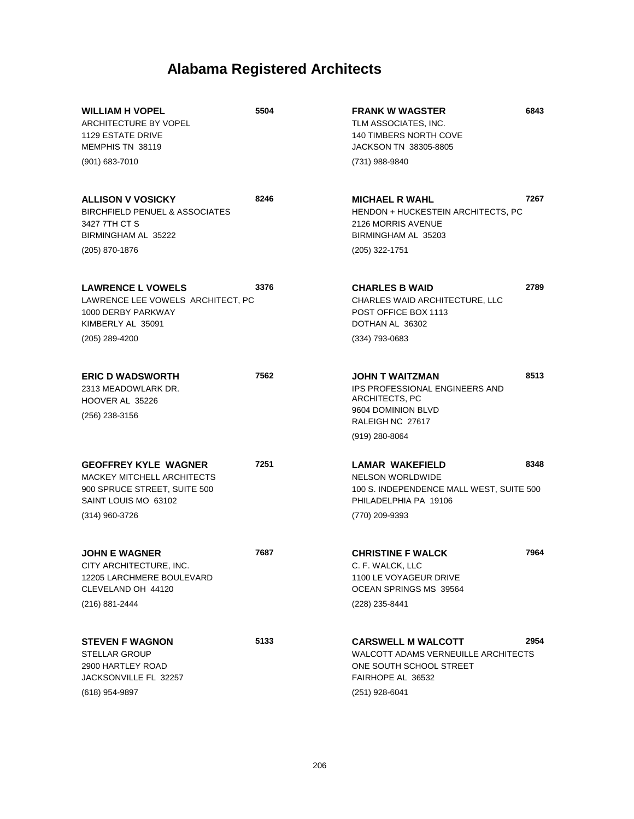| <b>WILLIAM H VOPEL</b><br>ARCHITECTURE BY VOPEL<br><b>1129 ESTATE DRIVE</b><br>MEMPHIS TN 38119                                            | 5504 | <b>FRANK W WAGSTER</b><br>TLM ASSOCIATES, INC.<br><b>140 TIMBERS NORTH COVE</b><br>JACKSON TN 38305-8805                               | 6843 |
|--------------------------------------------------------------------------------------------------------------------------------------------|------|----------------------------------------------------------------------------------------------------------------------------------------|------|
| (901) 683-7010                                                                                                                             |      | (731) 988-9840                                                                                                                         |      |
| <b>ALLISON V VOSICKY</b><br><b>BIRCHFIELD PENUEL &amp; ASSOCIATES</b><br>3427 7TH CT S<br>BIRMINGHAM AL 35222                              | 8246 | <b>MICHAEL R WAHL</b><br>HENDON + HUCKESTEIN ARCHITECTS, PC<br>2126 MORRIS AVENUE<br>BIRMINGHAM AL 35203                               | 7267 |
| (205) 870-1876                                                                                                                             |      | (205) 322-1751                                                                                                                         |      |
| <b>LAWRENCE L VOWELS</b><br>LAWRENCE LEE VOWELS ARCHITECT, PC<br>1000 DERBY PARKWAY<br>KIMBERLY AL 35091                                   | 3376 | <b>CHARLES B WAID</b><br>CHARLES WAID ARCHITECTURE, LLC<br>POST OFFICE BOX 1113<br>DOTHAN AL 36302                                     | 2789 |
| (205) 289-4200                                                                                                                             |      | (334) 793-0683                                                                                                                         |      |
| <b>ERIC D WADSWORTH</b><br>2313 MEADOWLARK DR.<br>HOOVER AL 35226<br>(256) 238-3156                                                        | 7562 | JOHN T WAITZMAN<br><b>IPS PROFESSIONAL ENGINEERS AND</b><br>ARCHITECTS, PC<br>9604 DOMINION BLVD<br>RALEIGH NC 27617<br>(919) 280-8064 | 8513 |
| <b>GEOFFREY KYLE WAGNER</b><br><b>MACKEY MITCHELL ARCHITECTS</b><br>900 SPRUCE STREET, SUITE 500<br>SAINT LOUIS MO 63102<br>(314) 960-3726 | 7251 | LAMAR WAKEFIELD<br><b>NELSON WORLDWIDE</b><br>100 S. INDEPENDENCE MALL WEST, SUITE 500<br>PHILADELPHIA PA 19106<br>(770) 209-9393      | 8348 |
| <b>JOHN E WAGNER</b><br>CITY ARCHITECTURE, INC.<br>12205 LARCHMERE BOULEVARD<br>CLEVELAND OH 44120<br>(216) 881-2444                       | 7687 | <b>CHRISTINE F WALCK</b><br>C. F. WALCK, LLC<br>1100 LE VOYAGEUR DRIVE<br>OCEAN SPRINGS MS 39564<br>(228) 235-8441                     | 7964 |
| <b>STEVEN F WAGNON</b><br><b>STELLAR GROUP</b><br>2900 HARTLEY ROAD<br>JACKSONVILLE FL 32257<br>(618) 954-9897                             | 5133 | <b>CARSWELL M WALCOTT</b><br>WALCOTT ADAMS VERNEUILLE ARCHITECTS<br>ONE SOUTH SCHOOL STREET<br>FAIRHOPE AL 36532<br>(251) 928-6041     | 2954 |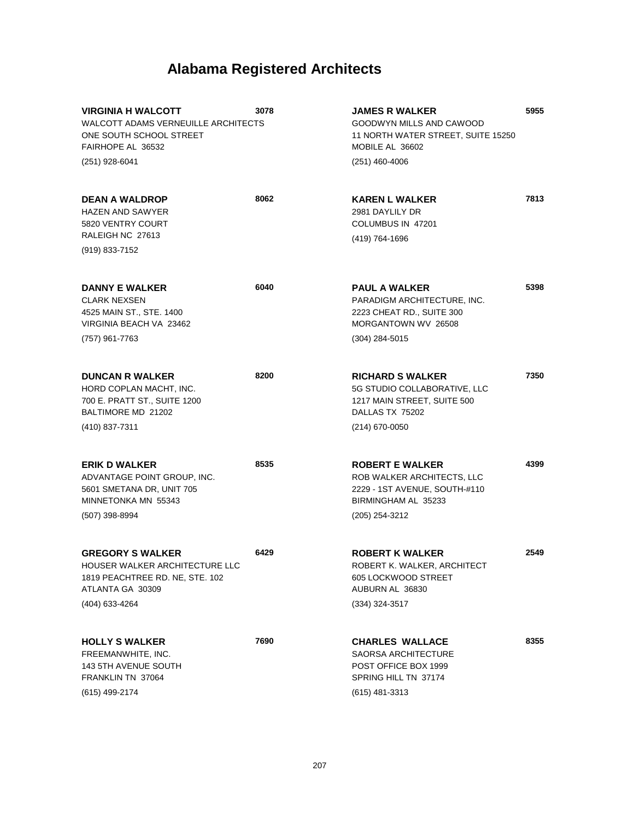| <b>VIRGINIA H WALCOTT</b><br><b>WALCOTT ADAMS VERNEUILLE ARCHITECTS</b><br>ONE SOUTH SCHOOL STREET<br>FAIRHOPE AL 36532   | 3078 | <b>JAMES R WALKER</b><br>GOODWYN MILLS AND CAWOOD<br>11 NORTH WATER STREET, SUITE 15250<br>MOBILE AL 36602                     | 5955 |
|---------------------------------------------------------------------------------------------------------------------------|------|--------------------------------------------------------------------------------------------------------------------------------|------|
| (251) 928-6041                                                                                                            |      | $(251)$ 460-4006                                                                                                               |      |
| <b>DEAN A WALDROP</b><br><b>HAZEN AND SAWYER</b><br>5820 VENTRY COURT<br>RALEIGH NC 27613                                 | 8062 | <b>KAREN L WALKER</b><br>2981 DAYLILY DR<br>COLUMBUS IN 47201<br>(419) 764-1696                                                | 7813 |
| (919) 833-7152                                                                                                            |      |                                                                                                                                |      |
| <b>DANNY E WALKER</b><br><b>CLARK NEXSEN</b><br>4525 MAIN ST., STE. 1400<br>VIRGINIA BEACH VA 23462                       | 6040 | <b>PAUL A WALKER</b><br>PARADIGM ARCHITECTURE, INC.<br>2223 CHEAT RD., SUITE 300<br>MORGANTOWN WV 26508                        | 5398 |
| (757) 961-7763                                                                                                            |      | $(304)$ 284-5015                                                                                                               |      |
| <b>DUNCAN R WALKER</b><br>HORD COPLAN MACHT. INC.<br>700 E. PRATT ST., SUITE 1200<br>BALTIMORE MD 21202                   | 8200 | <b>RICHARD S WALKER</b><br>5G STUDIO COLLABORATIVE, LLC<br>1217 MAIN STREET, SUITE 500<br>DALLAS TX 75202                      | 7350 |
| (410) 837-7311                                                                                                            |      | (214) 670-0050                                                                                                                 |      |
| <b>ERIK D WALKER</b><br>ADVANTAGE POINT GROUP, INC.<br>5601 SMETANA DR, UNIT 705<br>MINNETONKA MN 55343<br>(507) 398-8994 | 8535 | <b>ROBERT E WALKER</b><br>ROB WALKER ARCHITECTS, LLC<br>2229 - 1ST AVENUE, SOUTH-#110<br>BIRMINGHAM AL 35233<br>(205) 254-3212 | 4399 |
| <b>GREGORY S WALKER</b><br>HOUSER WALKER ARCHITECTURE LLC<br>1819 PEACHTREE RD. NE, STE. 102<br>ATLANTA GA 30309          | 6429 | <b>ROBERT K WALKER</b><br>ROBERT K. WALKER, ARCHITECT<br>605 LOCKWOOD STREET<br>AUBURN AL 36830                                | 2549 |
| (404) 633-4264                                                                                                            |      | $(334)$ 324-3517                                                                                                               |      |
| <b>HOLLY S WALKER</b><br>FREEMANWHITE, INC.<br>143 5TH AVENUE SOUTH<br>FRANKLIN TN 37064                                  | 7690 | <b>CHARLES WALLACE</b><br><b>SAORSA ARCHITECTURE</b><br>POST OFFICE BOX 1999<br>SPRING HILL TN 37174                           | 8355 |
| (615) 499-2174                                                                                                            |      | $(615)$ 481-3313                                                                                                               |      |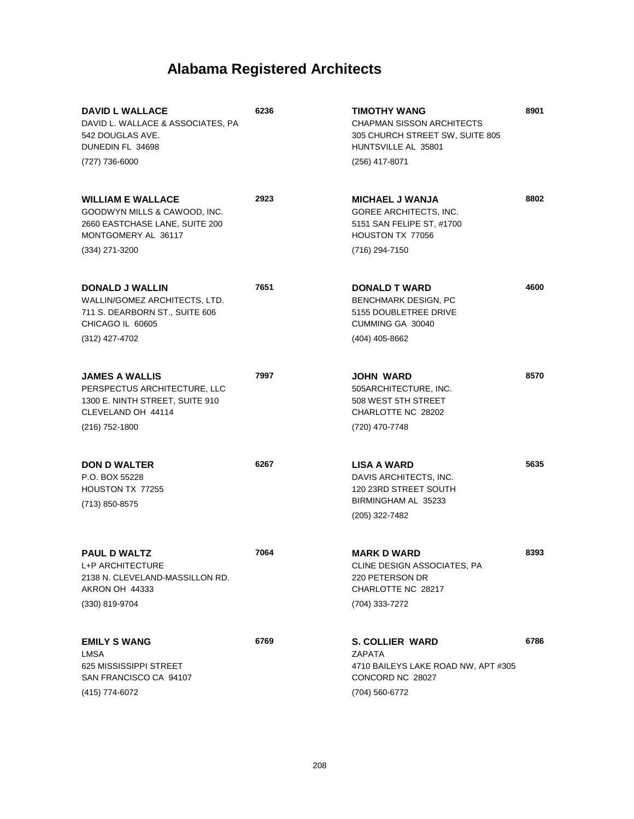| <b>DAVID L WALLACE</b><br>DAVID L. WALLACE & ASSOCIATES, PA<br>542 DOUGLAS AVE.<br>DUNEDIN FL 34698<br>(727) 736-6000 | 6236 | <b>TIMOTHY WANG</b><br><b>CHAPMAN SISSON ARCHITECTS</b><br>305 CHURCH STREET SW, SUITE 805<br>HUNTSVILLE AL 35801<br>(256) 417-8071 | 8901 |
|-----------------------------------------------------------------------------------------------------------------------|------|-------------------------------------------------------------------------------------------------------------------------------------|------|
| <b>WILLIAM E WALLACE</b><br>GOODWYN MILLS & CAWOOD, INC.<br>2660 EASTCHASE LANE, SUITE 200<br>MONTGOMERY AL 36117     | 2923 | <b>MICHAEL J WANJA</b><br><b>GOREE ARCHITECTS, INC.</b><br>5151 SAN FELIPE ST, #1700<br>HOUSTON TX 77056                            | 8802 |
| (334) 271-3200                                                                                                        |      | (716) 294-7150                                                                                                                      |      |
| <b>DONALD J WALLIN</b><br>WALLIN/GOMEZ ARCHITECTS, LTD.<br>711 S. DEARBORN ST., SUITE 606<br>CHICAGO IL 60605         | 7651 | <b>DONALD T WARD</b><br><b>BENCHMARK DESIGN, PC</b><br>5155 DOUBLETREE DRIVE<br>CUMMING GA 30040                                    | 4600 |
| (312) 427-4702                                                                                                        |      | (404) 405-8662                                                                                                                      |      |
| <b>JAMES A WALLIS</b><br>PERSPECTUS ARCHITECTURE, LLC<br>1300 E. NINTH STREET, SUITE 910<br>CLEVELAND OH 44114        | 7997 | <b>JOHN WARD</b><br>505ARCHITECTURE, INC.<br>508 WEST 5TH STREET<br>CHARLOTTE NC 28202                                              | 8570 |
| (216) 752-1800                                                                                                        |      | (720) 470-7748                                                                                                                      |      |
| <b>DON D WALTER</b><br>P.O. BOX 55228<br>HOUSTON TX 77255<br>(713) 850-8575                                           | 6267 | <b>LISA A WARD</b><br>DAVIS ARCHITECTS, INC.<br>120 23RD STREET SOUTH<br>BIRMINGHAM AL 35233<br>(205) 322-7482                      | 5635 |
|                                                                                                                       |      |                                                                                                                                     |      |
| <b>PAUL D WALTZ</b><br>L+P ARCHITECTURE<br>2138 N. CLEVELAND-MASSILLON RD.<br>AKRON OH 44333<br>(330) 819-9704        | 7064 | <b>MARK D WARD</b><br>CLINE DESIGN ASSOCIATES, PA<br>220 PETERSON DR<br>CHARLOTTE NC 28217<br>(704) 333-7272                        | 8393 |
| <b>EMILY S WANG</b><br><b>LMSA</b><br>625 MISSISSIPPI STREET<br>SAN FRANCISCO CA 94107<br>(415) 774-6072              | 6769 | <b>S. COLLIER WARD</b><br>ZAPATA<br>4710 BAILEYS LAKE ROAD NW, APT #305<br>CONCORD NC 28027<br>(704) 560-6772                       | 6786 |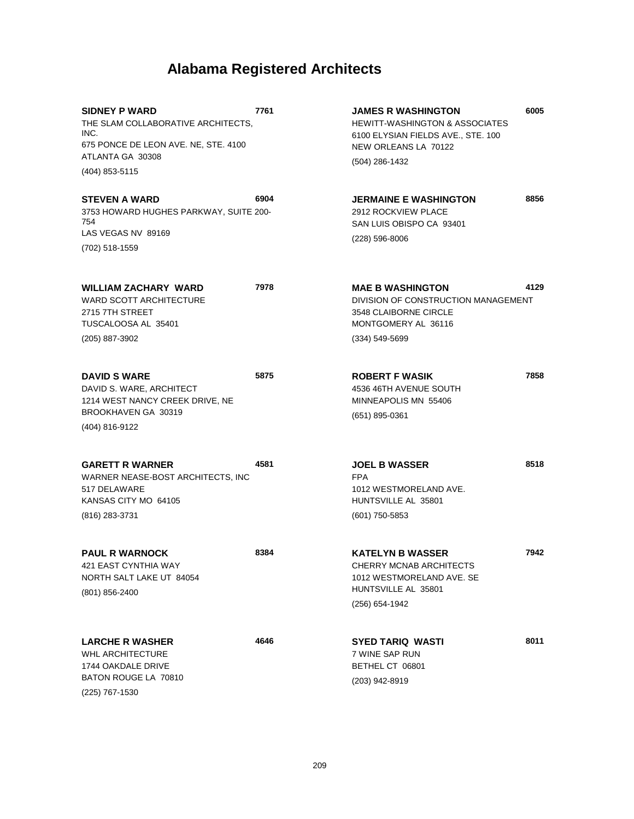**5875**

**8384**

**4646**

**SIDNEY P WARD** THE SLAM COLLABORATIVE ARCHITECTS. INC. 675 PONCE DE LEON AVE. NE, STE. 4100 ATLANTA GA 30308 **7761** (404) 853-5115 **STEVEN A WARD 6904**

3753 HOWARD HUGHES PARKWAY, SUITE 200- 754 LAS VEGAS NV 89169 (702) 518-1559

**WILLIAM ZACHARY WARD** WARD SCOTT ARCHITECTURE 2715 7TH STREET TUSCALOOSA AL 35401 **7978** (205) 887-3902

**DAVID S WARE** DAVID S. WARE, ARCHITECT 1214 WEST NANCY CREEK DRIVE, NE BROOKHAVEN GA 30319 (404) 816-9122

#### **GARETT R WARNER 4581**

WARNER NEASE-BOST ARCHITECTS, INC 517 DELAWARE KANSAS CITY MO 64105 (816) 283-3731

**PAUL R WARNOCK** 421 EAST CYNTHIA WAY NORTH SALT LAKE UT 84054 (801) 856-2400

**LARCHE R WASHER** WHL ARCHITECTURE 1744 OAKDALE DRIVE BATON ROUGE LA 70810 (225) 767-1530

**JAMES R WASHINGTON** HEWITT-WASHINGTON & ASSOCIATES 6100 ELYSIAN FIELDS AVE., STE. 100 NEW ORLEANS LA 70122 **6005** (504) 286-1432

**JERMAINE E WASHINGTON** 2912 ROCKVIEW PLACE SAN LUIS OBISPO CA 93401 **8856** (228) 596-8006

**MAE B WASHINGTON** DIVISION OF CONSTRUCTION MANAGEMENT 3548 CLAIBORNE CIRCLE MONTGOMERY AL 36116 **4129** (334) 549-5699

**ROBERT F WASIK** 4536 46TH AVENUE SOUTH MINNEAPOLIS MN 55406 (651) 895-0361

**JOEL B WASSER** FPA 1012 WESTMORELAND AVE. HUNTSVILLE AL 35801 (601) 750-5853

**KATELYN B WASSER** CHERRY MCNAB ARCHITECTS 1012 WESTMORELAND AVE. SE HUNTSVILLE AL 35801 (256) 654-1942

**SYED TARIQ WASTI** 7 WINE SAP RUN BETHEL CT 06801 (203) 942-8919

**8011**

**7858**

**8518**

**7942**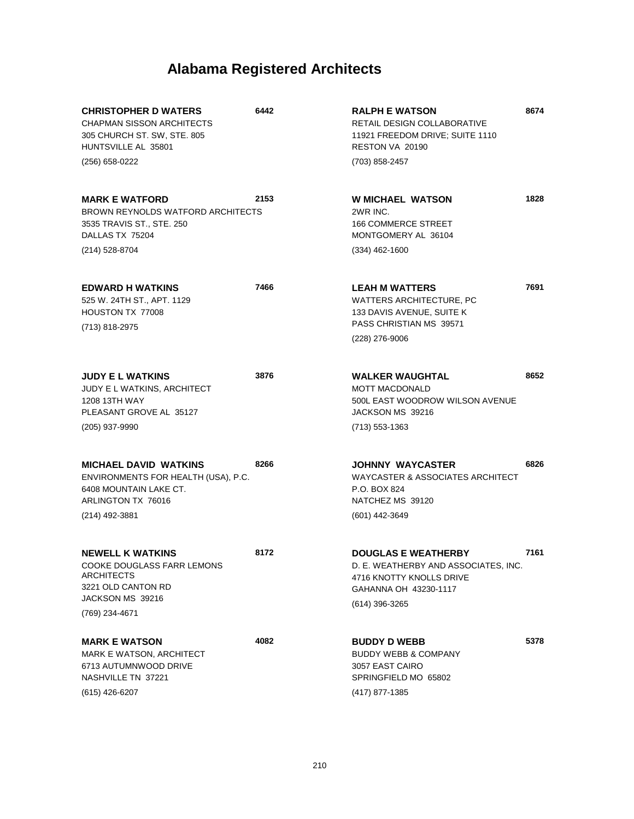| <b>CHRISTOPHER D WATERS</b><br><b>CHAPMAN SISSON ARCHITECTS</b><br>305 CHURCH ST. SW, STE. 805<br>HUNTSVILLE AL 35801<br>(256) 658-0222 | 6442 | <b>RALPH E WATSON</b><br>RETAIL DESIGN COLLABORATIVE<br>11921 FREEDOM DRIVE; SUITE 1110<br>RESTON VA 20190<br>(703) 858-2457              | 8674 |
|-----------------------------------------------------------------------------------------------------------------------------------------|------|-------------------------------------------------------------------------------------------------------------------------------------------|------|
| <b>MARK E WATFORD</b><br>BROWN REYNOLDS WATFORD ARCHITECTS<br>3535 TRAVIS ST., STE. 250<br>DALLAS TX 75204<br>(214) 528-8704            | 2153 | <b>W MICHAEL WATSON</b><br>2WR INC.<br><b>166 COMMERCE STREET</b><br>MONTGOMERY AL 36104<br>$(334)$ 462-1600                              | 1828 |
| <b>EDWARD H WATKINS</b><br>525 W. 24TH ST., APT. 1129<br>HOUSTON TX 77008<br>(713) 818-2975                                             | 7466 | <b>LEAH M WATTERS</b><br>WATTERS ARCHITECTURE, PC<br>133 DAVIS AVENUE, SUITE K<br>PASS CHRISTIAN MS 39571<br>(228) 276-9006               | 7691 |
| <b>JUDY E L WATKINS</b><br><b>JUDY E L WATKINS, ARCHITECT</b><br>1208 13TH WAY<br>PLEASANT GROVE AL 35127<br>(205) 937-9990             | 3876 | <b>WALKER WAUGHTAL</b><br><b>MOTT MACDONALD</b><br>500L EAST WOODROW WILSON AVENUE<br>JACKSON MS 39216<br>$(713) 553 - 1363$              | 8652 |
| <b>MICHAEL DAVID WATKINS</b><br>ENVIRONMENTS FOR HEALTH (USA), P.C.<br>6408 MOUNTAIN LAKE CT.<br>ARLINGTON TX 76016<br>(214) 492-3881   | 8266 | <b>JOHNNY WAYCASTER</b><br>WAYCASTER & ASSOCIATES ARCHITECT<br>P.O. BOX 824<br>NATCHEZ MS 39120<br>(601) 442-3649                         | 6826 |
| <b>NEWELL K WATKINS</b><br>COOKE DOUGLASS FARR LEMONS<br><b>ARCHITECTS</b><br>3221 OLD CANTON RD<br>JACKSON MS 39216<br>(769) 234-4671  | 8172 | <b>DOUGLAS E WEATHERBY</b><br>D. E. WEATHERBY AND ASSOCIATES, INC.<br>4716 KNOTTY KNOLLS DRIVE<br>GAHANNA OH 43230-1117<br>(614) 396-3265 | 7161 |
| <b>MARK E WATSON</b><br>MARK E WATSON, ARCHITECT<br>6713 AUTUMNWOOD DRIVE<br>NASHVILLE TN 37221<br>(615) 426-6207                       | 4082 | <b>BUDDY D WEBB</b><br><b>BUDDY WEBB &amp; COMPANY</b><br>3057 EAST CAIRO<br>SPRINGFIELD MO 65802<br>(417) 877-1385                       | 5378 |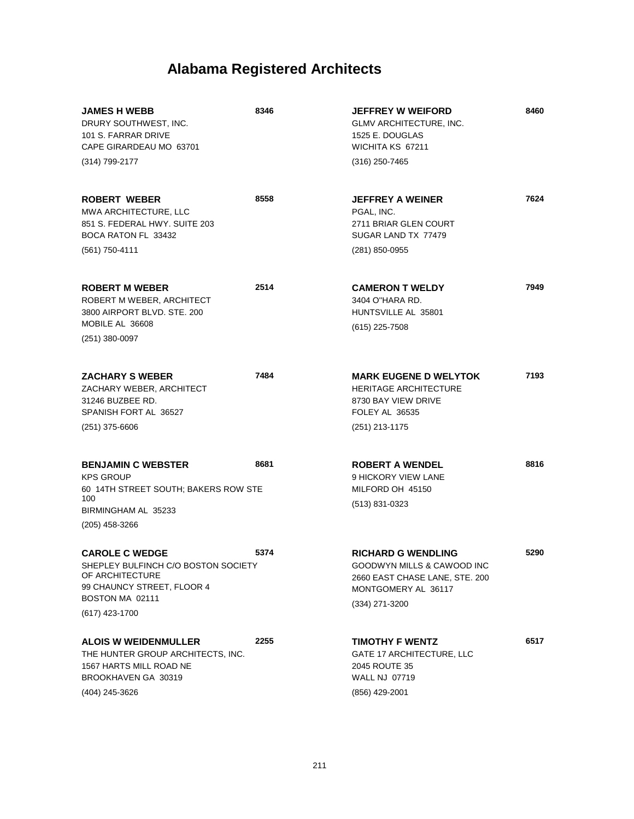| <b>JAMES H WEBB</b><br>DRURY SOUTHWEST, INC.<br>101 S. FARRAR DRIVE<br>CAPE GIRARDEAU MO 63701<br>(314) 799-2177                                   | 8346 | <b>JEFFREY W WEIFORD</b><br>GLMV ARCHITECTURE, INC.<br>1525 E. DOUGLAS<br>WICHITA KS 67211<br>(316) 250-7465                       | 8460 |
|----------------------------------------------------------------------------------------------------------------------------------------------------|------|------------------------------------------------------------------------------------------------------------------------------------|------|
| <b>ROBERT WEBER</b><br><b>MWA ARCHITECTURE, LLC</b><br>851 S. FEDERAL HWY. SUITE 203<br>BOCA RATON FL 33432<br>(561) 750-4111                      | 8558 | <b>JEFFREY A WEINER</b><br>PGAL. INC.<br>2711 BRIAR GLEN COURT<br>SUGAR LAND TX 77479<br>(281) 850-0955                            | 7624 |
| <b>ROBERT M WEBER</b><br>ROBERT M WEBER, ARCHITECT<br>3800 AIRPORT BLVD, STE, 200<br>MOBILE AL 36608<br>$(251)$ 380-0097                           | 2514 | <b>CAMERON T WELDY</b><br>3404 O"HARA RD.<br>HUNTSVILLE AL 35801<br>$(615)$ 225-7508                                               | 7949 |
| <b>ZACHARY S WEBER</b><br>ZACHARY WEBER, ARCHITECT<br>31246 BUZBEE RD.<br>SPANISH FORT AL 36527<br>$(251)$ 375-6606                                | 7484 | <b>MARK EUGENE D WELYTOK</b><br><b>HERITAGE ARCHITECTURE</b><br>8730 BAY VIEW DRIVE<br>FOLEY AL 36535<br>(251) 213-1175            | 7193 |
| <b>BENJAMIN C WEBSTER</b><br><b>KPS GROUP</b><br>60 14TH STREET SOUTH; BAKERS ROW STE<br>100<br>BIRMINGHAM AL 35233<br>(205) 458-3266              | 8681 | <b>ROBERT A WENDEL</b><br>9 HICKORY VIEW LANE<br>MILFORD OH 45150<br>(513) 831-0323                                                | 8816 |
| <b>CAROLE C WEDGE</b><br>SHEPLEY BULFINCH C/O BOSTON SOCIETY<br>OF ARCHITECTURE<br>99 CHAUNCY STREET, FLOOR 4<br>BOSTON MA 02111<br>(617) 423-1700 | 5374 | <b>RICHARD G WENDLING</b><br>GOODWYN MILLS & CAWOOD INC<br>2660 EAST CHASE LANE, STE. 200<br>MONTGOMERY AL 36117<br>(334) 271-3200 | 5290 |
| <b>ALOIS W WEIDENMULLER</b><br>THE HUNTER GROUP ARCHITECTS, INC.<br>1567 HARTS MILL ROAD NE<br>BROOKHAVEN GA 30319<br>(404) 245-3626               | 2255 | <b>TIMOTHY F WENTZ</b><br><b>GATE 17 ARCHITECTURE, LLC</b><br>2045 ROUTE 35<br><b>WALL NJ 07719</b><br>(856) 429-2001              | 6517 |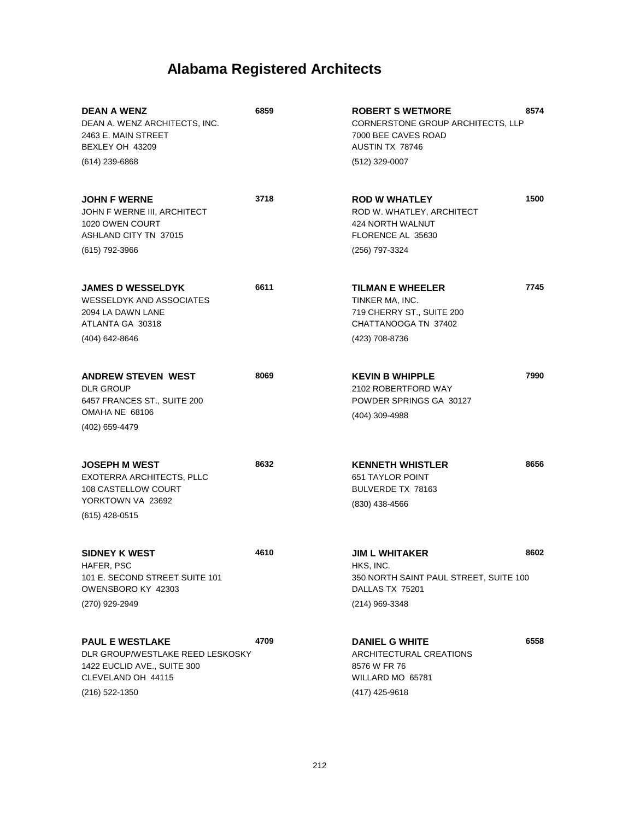| <b>DEAN A WENZ</b><br>DEAN A. WENZ ARCHITECTS, INC.<br>2463 E. MAIN STREET<br>BEXLEY OH 43209<br>$(614)$ 239-6868                 | 6859 | <b>ROBERT S WETMORE</b><br>CORNERSTONE GROUP ARCHITECTS, LLP<br>7000 BEE CAVES ROAD<br>AUSTIN TX 78746<br>(512) 329-0007 | 8574 |
|-----------------------------------------------------------------------------------------------------------------------------------|------|--------------------------------------------------------------------------------------------------------------------------|------|
| <b>JOHN F WERNE</b><br>JOHN F WERNE III, ARCHITECT<br>1020 OWEN COURT<br><b>ASHLAND CITY TN 37015</b><br>(615) 792-3966           | 3718 | <b>ROD W WHATLEY</b><br>ROD W. WHATLEY, ARCHITECT<br>424 NORTH WALNUT<br>FLORENCE AL 35630<br>(256) 797-3324             | 1500 |
| <b>JAMES D WESSELDYK</b><br><b>WESSELDYK AND ASSOCIATES</b><br>2094 LA DAWN LANE<br>ATLANTA GA 30318<br>(404) 642-8646            | 6611 | <b>TILMAN E WHEELER</b><br>TINKER MA, INC.<br>719 CHERRY ST., SUITE 200<br>CHATTANOOGA TN 37402<br>(423) 708-8736        | 7745 |
| <b>ANDREW STEVEN WEST</b><br><b>DLR GROUP</b><br>6457 FRANCES ST., SUITE 200<br>OMAHA NE 68106<br>(402) 659-4479                  | 8069 | <b>KEVIN B WHIPPLE</b><br>2102 ROBERTFORD WAY<br>POWDER SPRINGS GA 30127<br>(404) 309-4988                               | 7990 |
| <b>JOSEPH M WEST</b><br>EXOTERRA ARCHITECTS, PLLC<br>108 CASTELLOW COURT<br>YORKTOWN VA 23692<br>(615) 428-0515                   | 8632 | <b>KENNETH WHISTLER</b><br><b>651 TAYLOR POINT</b><br>BULVERDE TX 78163<br>(830) 438-4566                                | 8656 |
| <b>SIDNEY K WEST</b><br>HAFER, PSC<br>101 E. SECOND STREET SUITE 101<br>OWENSBORO KY 42303<br>(270) 929-2949                      | 4610 | <b>JIM L WHITAKER</b><br>HKS, INC.<br>350 NORTH SAINT PAUL STREET, SUITE 100<br>DALLAS TX 75201<br>(214) 969-3348        | 8602 |
| <b>PAUL E WESTLAKE</b><br>DLR GROUP/WESTLAKE REED LESKOSKY<br>1422 EUCLID AVE., SUITE 300<br>CLEVELAND OH 44115<br>(216) 522-1350 | 4709 | <b>DANIEL G WHITE</b><br><b>ARCHITECTURAL CREATIONS</b><br>8576 W FR 76<br>WILLARD MO 65781<br>(417) 425-9618            | 6558 |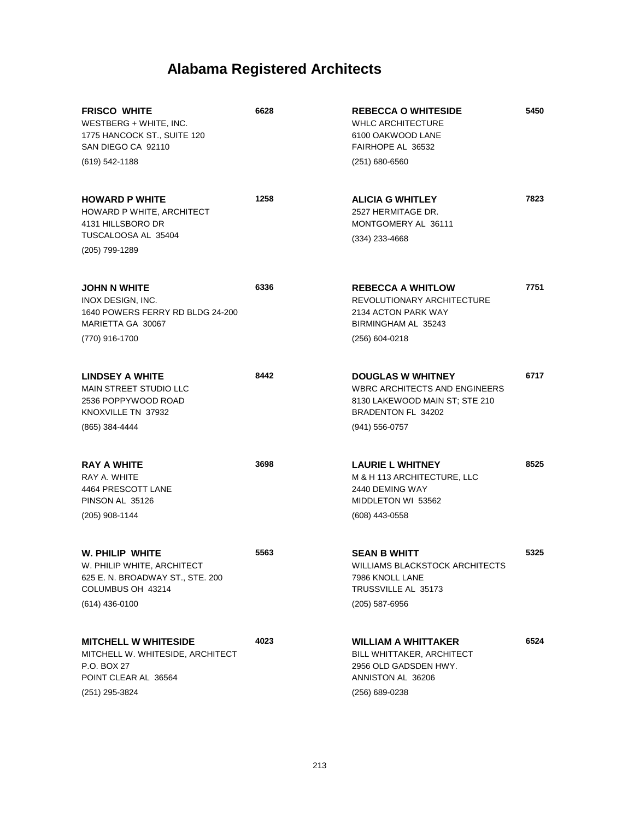| <b>FRISCO WHITE</b><br>WESTBERG + WHITE, INC.<br>1775 HANCOCK ST., SUITE 120<br>SAN DIEGO CA 92110<br>$(619) 542 - 1188$   | 6628 | <b>REBECCA O WHITESIDE</b><br><b>WHLC ARCHITECTURE</b><br>6100 OAKWOOD LANE<br>FAIRHOPE AL 36532<br>$(251)$ 680-6560                           | 5450 |
|----------------------------------------------------------------------------------------------------------------------------|------|------------------------------------------------------------------------------------------------------------------------------------------------|------|
| <b>HOWARD P WHITE</b><br>HOWARD P WHITE, ARCHITECT<br>4131 HILLSBORO DR<br>TUSCALOOSA AL 35404<br>(205) 799-1289           | 1258 | <b>ALICIA G WHITLEY</b><br>2527 HERMITAGE DR.<br>MONTGOMERY AL 36111<br>(334) 233-4668                                                         | 7823 |
| JOHN N WHITE<br>INOX DESIGN, INC.<br>1640 POWERS FERRY RD BLDG 24-200<br>MARIETTA GA 30067<br>(770) 916-1700               | 6336 | <b>REBECCA A WHITLOW</b><br>REVOLUTIONARY ARCHITECTURE<br>2134 ACTON PARK WAY<br>BIRMINGHAM AL 35243<br>$(256)$ 604-0218                       | 7751 |
| LINDSEY A WHITE<br><b>MAIN STREET STUDIO LLC</b><br>2536 POPPYWOOD ROAD<br>KNOXVILLE TN 37932<br>(865) 384-4444            | 8442 | <b>DOUGLAS W WHITNEY</b><br><b>WBRC ARCHITECTS AND ENGINEERS</b><br>8130 LAKEWOOD MAIN ST; STE 210<br>BRADENTON FL 34202<br>$(941) 556 - 0757$ | 6717 |
| <b>RAY A WHITE</b><br>RAY A. WHITE<br>4464 PRESCOTT LANE<br>PINSON AL 35126<br>$(205)$ 908-1144                            | 3698 | <b>LAURIE L WHITNEY</b><br>M & H 113 ARCHITECTURE, LLC<br>2440 DEMING WAY<br>MIDDLETON WI 53562<br>(608) 443-0558                              | 8525 |
| W. PHILIP WHITE<br>W. PHILIP WHITE, ARCHITECT<br>625 E. N. BROADWAY ST., STE. 200<br>COLUMBUS OH 43214<br>$(614)$ 436-0100 | 5563 | <b>SEAN B WHITT</b><br>WILLIAMS BLACKSTOCK ARCHITECTS<br>7986 KNOLL LANE<br>TRUSSVILLE AL 35173<br>$(205)$ 587-6956                            | 5325 |
| <b>MITCHELL W WHITESIDE</b><br>MITCHELL W. WHITESIDE, ARCHITECT<br>P.O. BOX 27<br>POINT CLEAR AL 36564<br>(251) 295-3824   | 4023 | <b>WILLIAM A WHITTAKER</b><br><b>BILL WHITTAKER, ARCHITECT</b><br>2956 OLD GADSDEN HWY.<br>ANNISTON AL 36206<br>(256) 689-0238                 | 6524 |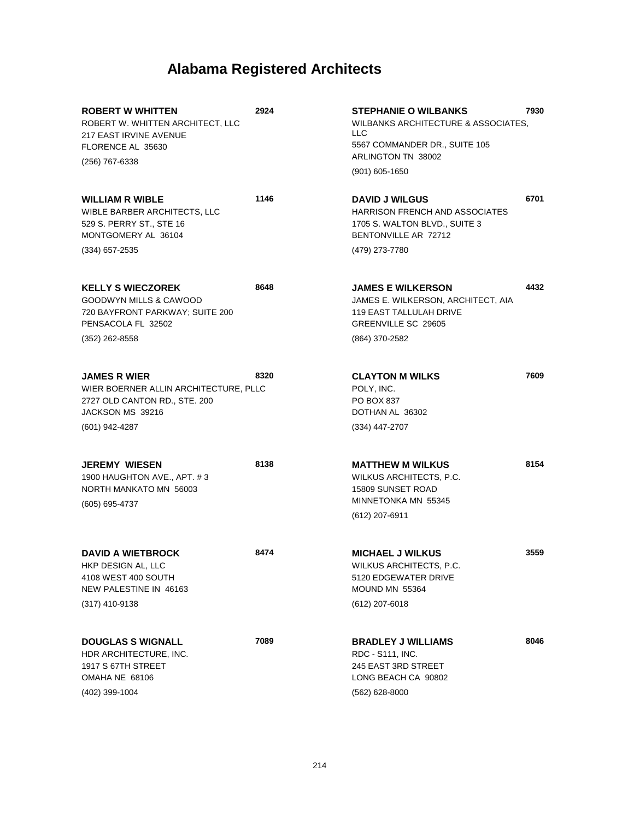| <b>ROBERT W WHITTEN</b><br>ROBERT W. WHITTEN ARCHITECT, LLC<br>217 EAST IRVINE AVENUE<br>FLORENCE AL 35630<br>(256) 767-6338               | 2924 | <b>STEPHANIE O WILBANKS</b><br><b>WILBANKS ARCHITECTURE &amp; ASSOCIATES.</b><br>LLC.<br>5567 COMMANDER DR., SUITE 105<br>ARLINGTON TN 38002<br>$(901)$ 605-1650 | 7930 |
|--------------------------------------------------------------------------------------------------------------------------------------------|------|------------------------------------------------------------------------------------------------------------------------------------------------------------------|------|
| <b>WILLIAM R WIBLE</b><br>WIBLE BARBER ARCHITECTS, LLC<br>529 S. PERRY ST., STE 16<br>MONTGOMERY AL 36104<br>$(334)$ 657-2535              | 1146 | <b>DAVID J WILGUS</b><br><b>HARRISON FRENCH AND ASSOCIATES</b><br>1705 S. WALTON BLVD., SUITE 3<br>BENTONVILLE AR 72712<br>(479) 273-7780                        | 6701 |
| <b>KELLY S WIECZOREK</b><br><b>GOODWYN MILLS &amp; CAWOOD</b><br>720 BAYFRONT PARKWAY; SUITE 200<br>PENSACOLA FL 32502<br>$(352)$ 262-8558 | 8648 | <b>JAMES E WILKERSON</b><br>JAMES E. WILKERSON, ARCHITECT, AIA<br><b>119 EAST TALLULAH DRIVE</b><br>GREENVILLE SC 29605<br>(864) 370-2582                        | 4432 |
| <b>JAMES R WIER</b><br>WIER BOERNER ALLIN ARCHITECTURE, PLLC<br>2727 OLD CANTON RD., STE. 200<br>JACKSON MS 39216<br>(601) 942-4287        | 8320 | <b>CLAYTON M WILKS</b><br>POLY, INC.<br><b>PO BOX 837</b><br>DOTHAN AL 36302<br>$(334)$ 447-2707                                                                 | 7609 |
| <b>JEREMY WIESEN</b><br>1900 HAUGHTON AVE., APT. #3<br>NORTH MANKATO MN 56003<br>(605) 695-4737                                            | 8138 | <b>MATTHEW M WILKUS</b><br>WILKUS ARCHITECTS, P.C.<br>15809 SUNSET ROAD<br>MINNETONKA MN 55345<br>(612) 207-6911                                                 | 8154 |
| <b>DAVID A WIETBROCK</b><br>HKP DESIGN AL, LLC<br>4108 WEST 400 SOUTH<br>NEW PALESTINE IN 46163<br>$(317)$ 410-9138                        | 8474 | <b>MICHAEL J WILKUS</b><br>WILKUS ARCHITECTS, P.C.<br>5120 EDGEWATER DRIVE<br>MOUND MN 55364<br>(612) 207-6018                                                   | 3559 |
| <b>DOUGLAS S WIGNALL</b><br>HDR ARCHITECTURE, INC.<br>1917 S 67TH STREET<br>OMAHA NE 68106<br>(402) 399-1004                               | 7089 | <b>BRADLEY J WILLIAMS</b><br>RDC - S111, INC.<br>245 EAST 3RD STREET<br>LONG BEACH CA 90802<br>$(562)$ 628-8000                                                  | 8046 |
|                                                                                                                                            |      |                                                                                                                                                                  |      |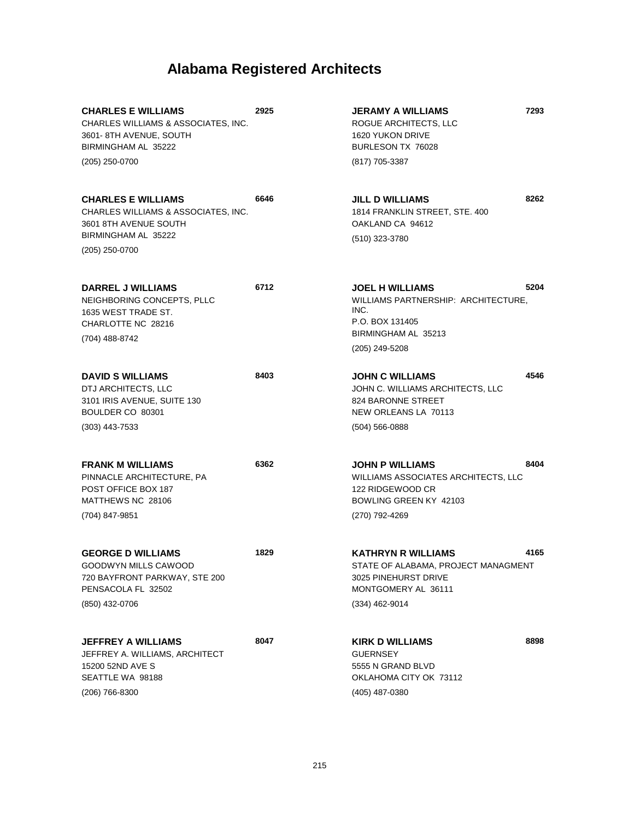| <b>CHARLES E WILLIAMS</b><br>CHARLES WILLIAMS & ASSOCIATES, INC.<br>3601-8TH AVENUE, SOUTH<br>BIRMINGHAM AL 35222                  | 2925 | <b>JERAMY A WILLIAMS</b><br>ROGUE ARCHITECTS, LLC<br>1620 YUKON DRIVE<br>BURLESON TX 76028                                    | 7293 |
|------------------------------------------------------------------------------------------------------------------------------------|------|-------------------------------------------------------------------------------------------------------------------------------|------|
| (205) 250-0700                                                                                                                     |      | (817) 705-3387                                                                                                                |      |
| <b>CHARLES E WILLIAMS</b><br>CHARLES WILLIAMS & ASSOCIATES, INC.<br>3601 8TH AVENUE SOUTH<br>BIRMINGHAM AL 35222<br>(205) 250-0700 | 6646 | <b>JILL D WILLIAMS</b><br>1814 FRANKLIN STREET, STE. 400<br>OAKLAND CA 94612<br>(510) 323-3780                                | 8262 |
|                                                                                                                                    |      |                                                                                                                               |      |
| <b>DARREL J WILLIAMS</b><br>NEIGHBORING CONCEPTS, PLLC<br>1635 WEST TRADE ST.<br>CHARLOTTE NC 28216<br>(704) 488-8742              | 6712 | <b>JOEL H WILLIAMS</b><br>WILLIAMS PARTNERSHIP: ARCHITECTURE,<br>INC.<br>P.O. BOX 131405<br>BIRMINGHAM AL 35213               | 5204 |
|                                                                                                                                    |      | (205) 249-5208                                                                                                                |      |
| <b>DAVID S WILLIAMS</b><br>DTJ ARCHITECTS, LLC<br>3101 IRIS AVENUE, SUITE 130<br>BOULDER CO 80301                                  | 8403 | <b>JOHN C WILLIAMS</b><br>JOHN C. WILLIAMS ARCHITECTS, LLC<br>824 BARONNE STREET<br>NEW ORLEANS LA 70113                      | 4546 |
| $(303)$ 443-7533                                                                                                                   |      | $(504) 566 - 0888$                                                                                                            |      |
| <b>FRANK M WILLIAMS</b><br>PINNACLE ARCHITECTURE, PA<br>POST OFFICE BOX 187<br>MATTHEWS NC 28106<br>(704) 847-9851                 | 6362 | <b>JOHN P WILLIAMS</b><br>WILLIAMS ASSOCIATES ARCHITECTS, LLC<br>122 RIDGEWOOD CR<br>BOWLING GREEN KY 42103<br>(270) 792-4269 | 8404 |
|                                                                                                                                    |      |                                                                                                                               |      |
| <b>GEORGE D WILLIAMS</b><br>GOODWYN MILLS CAWOOD<br>720 BAYFRONT PARKWAY, STE 200<br>PENSACOLA FL 32502                            | 1829 | KATHRYN R WILLIAMS<br>STATE OF ALABAMA, PROJECT MANAGMENT<br>3025 PINEHURST DRIVE<br>MONTGOMERY AL 36111                      | 4165 |
| (850) 432-0706                                                                                                                     |      | (334) 462-9014                                                                                                                |      |
| <b>JEFFREY A WILLIAMS</b><br>JEFFREY A. WILLIAMS, ARCHITECT<br>15200 52ND AVE S<br>SEATTLE WA 98188<br>$(206)$ 766-8300            | 8047 | KIRK D WILLIAMS<br><b>GUERNSEY</b><br>5555 N GRAND BLVD<br>OKLAHOMA CITY OK 73112<br>(405) 487-0380                           | 8898 |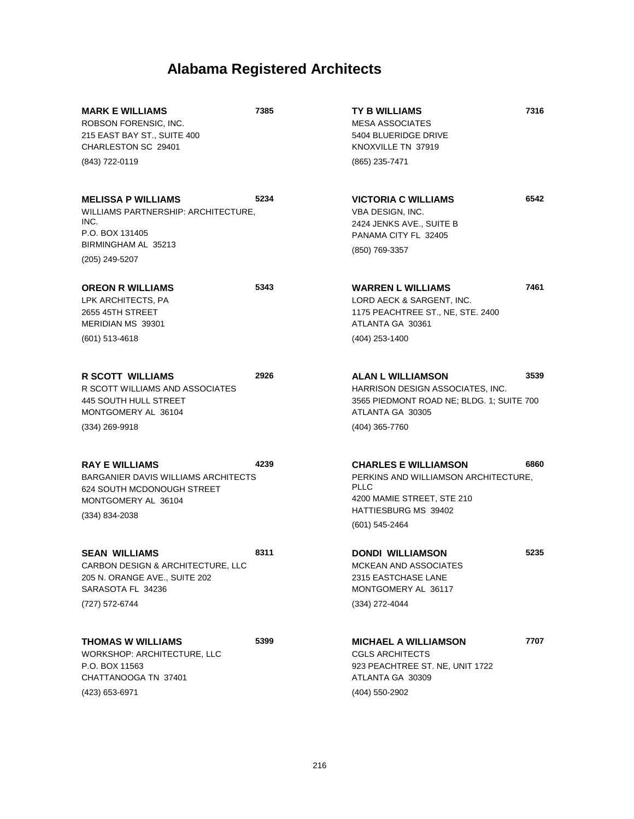| <b>MARK E WILLIAMS</b><br>ROBSON FORENSIC, INC.<br>215 EAST BAY ST., SUITE 400<br>CHARLESTON SC 29401<br>(843) 722-0119                        | 7385 | <b>TY B WILLIAMS</b><br><b>MESA ASSOCIATES</b><br>5404 BLUERIDGE DRIVE<br>KNOXVILLE TN 37919<br>(865) 235-7471                                             | 7316 |
|------------------------------------------------------------------------------------------------------------------------------------------------|------|------------------------------------------------------------------------------------------------------------------------------------------------------------|------|
| <b>MELISSA P WILLIAMS</b><br>WILLIAMS PARTNERSHIP: ARCHITECTURE,<br>INC.<br>P.O. BOX 131405<br>BIRMINGHAM AL 35213<br>(205) 249-5207           | 5234 | <b>VICTORIA C WILLIAMS</b><br>VBA DESIGN, INC.<br>2424 JENKS AVE., SUITE B<br>PANAMA CITY FL 32405<br>(850) 769-3357                                       | 6542 |
| <b>OREON R WILLIAMS</b><br>LPK ARCHITECTS, PA<br>2655 45TH STREET<br>MERIDIAN MS 39301<br>$(601)$ 513-4618                                     | 5343 | <b>WARREN L WILLIAMS</b><br>LORD AECK & SARGENT, INC.<br>1175 PEACHTREE ST., NE, STE. 2400<br>ATLANTA GA 30361<br>(404) 253-1400                           | 7461 |
| <b>R SCOTT WILLIAMS</b><br>R SCOTT WILLIAMS AND ASSOCIATES<br>445 SOUTH HULL STREET<br>MONTGOMERY AL 36104<br>$(334)$ 269-9918                 | 2926 | <b>ALAN L WILLIAMSON</b><br>HARRISON DESIGN ASSOCIATES, INC.<br>3565 PIEDMONT ROAD NE; BLDG. 1; SUITE 700<br>ATLANTA GA 30305<br>(404) 365-7760            | 3539 |
| <b>RAY E WILLIAMS</b><br><b>BARGANIER DAVIS WILLIAMS ARCHITECTS</b><br>624 SOUTH MCDONOUGH STREET<br>MONTGOMERY AL 36104<br>$(334) 834 - 2038$ | 4239 | <b>CHARLES E WILLIAMSON</b><br>PERKINS AND WILLIAMSON ARCHITECTURE,<br><b>PLLC</b><br>4200 MAMIE STREET, STE 210<br>HATTIESBURG MS 39402<br>(601) 545-2464 | 6860 |
| <b>SEAN WILLIAMS</b><br>CARBON DESIGN & ARCHITECTURE, LLC<br>205 N. ORANGE AVE., SUITE 202<br>SARASOTA FL 34236<br>(727) 572-6744              | 8311 | <b>DONDI WILLIAMSON</b><br>MCKEAN AND ASSOCIATES<br>2315 EASTCHASE LANE<br>MONTGOMERY AL 36117<br>(334) 272-4044                                           | 5235 |
| <b>THOMAS W WILLIAMS</b><br>WORKSHOP: ARCHITECTURE, LLC<br>P.O. BOX 11563<br>CHATTANOOGA TN 37401<br>(423) 653-6971                            | 5399 | <b>MICHAEL A WILLIAMSON</b><br><b>CGLS ARCHITECTS</b><br>923 PEACHTREE ST. NE, UNIT 1722<br>ATLANTA GA 30309<br>(404) 550-2902                             | 7707 |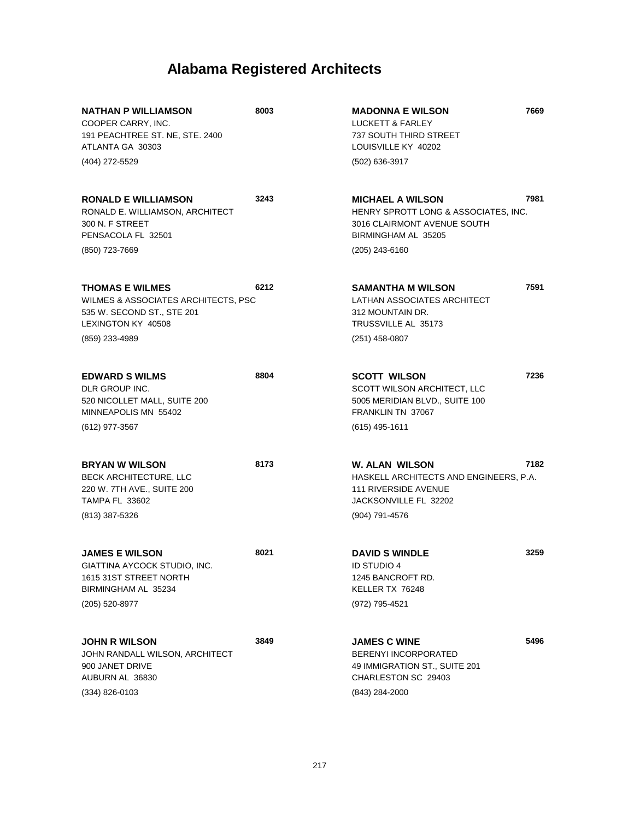| <b>NATHAN P WILLIAMSON</b><br>COOPER CARRY, INC.<br>191 PEACHTREE ST. NE, STE. 2400<br>ATLANTA GA 30303<br>(404) 272-5529           | 8003 | <b>MADONNA E WILSON</b><br><b>LUCKETT &amp; FARLEY</b><br>737 SOUTH THIRD STREET<br>LOUISVILLE KY 40202<br>(502) 636-3917               | 7669 |
|-------------------------------------------------------------------------------------------------------------------------------------|------|-----------------------------------------------------------------------------------------------------------------------------------------|------|
| <b>RONALD E WILLIAMSON</b><br>RONALD E. WILLIAMSON, ARCHITECT<br>300 N. F STREET<br>PENSACOLA FL 32501<br>(850) 723-7669            | 3243 | <b>MICHAEL A WILSON</b><br>HENRY SPROTT LONG & ASSOCIATES, INC.<br>3016 CLAIRMONT AVENUE SOUTH<br>BIRMINGHAM AL 35205<br>(205) 243-6160 | 7981 |
| <b>THOMAS E WILMES</b><br>WILMES & ASSOCIATES ARCHITECTS, PSC<br>535 W. SECOND ST., STE 201<br>LEXINGTON KY 40508<br>(859) 233-4989 | 6212 | SAMANTHA M WILSON<br>LATHAN ASSOCIATES ARCHITECT<br>312 MOUNTAIN DR.<br>TRUSSVILLE AL 35173<br>(251) 458-0807                           | 7591 |
| <b>EDWARD S WILMS</b><br>DLR GROUP INC.<br>520 NICOLLET MALL, SUITE 200<br>MINNEAPOLIS MN 55402<br>(612) 977-3567                   | 8804 | <b>SCOTT WILSON</b><br>SCOTT WILSON ARCHITECT, LLC<br>5005 MERIDIAN BLVD., SUITE 100<br>FRANKLIN TN 37067<br>$(615)$ 495-1611           | 7236 |
| <b>BRYAN W WILSON</b><br>BECK ARCHITECTURE, LLC<br>220 W. 7TH AVE., SUITE 200<br><b>TAMPA FL 33602</b><br>(813) 387-5326            | 8173 | W. ALAN WILSON<br>HASKELL ARCHITECTS AND ENGINEERS, P.A.<br><b>111 RIVERSIDE AVENUE</b><br>JACKSONVILLE FL 32202<br>(904) 791-4576      | 7182 |
| <b>JAMES E WILSON</b><br>GIATTINA AYCOCK STUDIO, INC.<br>1615 31ST STREET NORTH<br>BIRMINGHAM AL 35234<br>(205) 520-8977            | 8021 | <b>DAVID S WINDLE</b><br><b>ID STUDIO 4</b><br>1245 BANCROFT RD.<br>KELLER TX 76248<br>(972) 795-4521                                   | 3259 |
| <b>JOHN R WILSON</b><br>JOHN RANDALL WILSON, ARCHITECT<br>900 JANET DRIVE<br>AUBURN AL 36830<br>(334) 826-0103                      | 3849 | <b>JAMES C WINE</b><br><b>BERENYI INCORPORATED</b><br>49 IMMIGRATION ST., SUITE 201<br>CHARLESTON SC 29403<br>(843) 284-2000            | 5496 |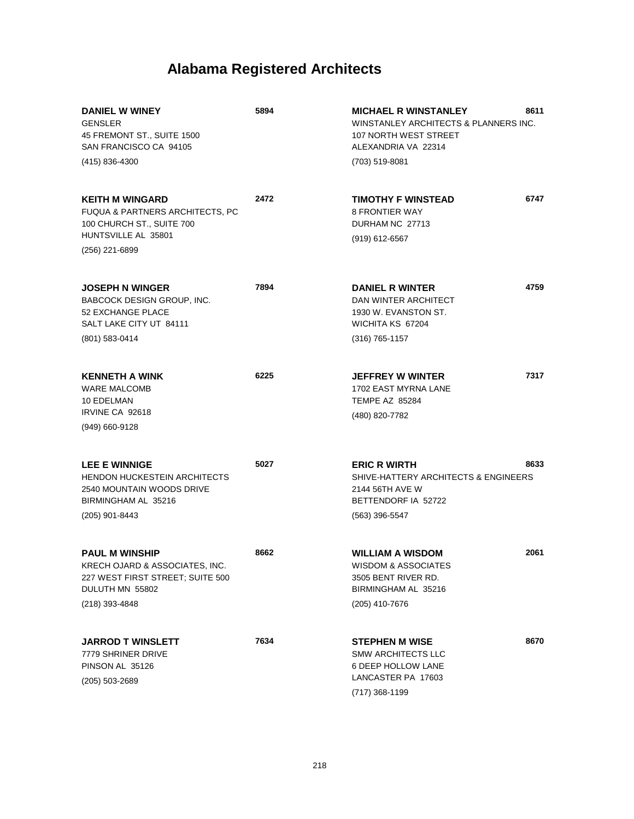| <b>DANIEL W WINEY</b><br><b>GENSLER</b><br>45 FREMONT ST., SUITE 1500<br>SAN FRANCISCO CA 94105<br>(415) 836-4300                          | 5894 | 8611<br><b>MICHAEL R WINSTANLEY</b><br>WINSTANLEY ARCHITECTS & PLANNERS INC.<br>107 NORTH WEST STREET<br>ALEXANDRIA VA 22314<br>(703) 519-8081 |
|--------------------------------------------------------------------------------------------------------------------------------------------|------|------------------------------------------------------------------------------------------------------------------------------------------------|
| <b>KEITH M WINGARD</b><br><b>FUQUA &amp; PARTNERS ARCHITECTS, PC</b><br>100 CHURCH ST., SUITE 700<br>HUNTSVILLE AL 35801<br>(256) 221-6899 | 2472 | 6747<br><b>TIMOTHY F WINSTEAD</b><br><b>8 FRONTIER WAY</b><br>DURHAM NC 27713<br>$(919)$ 612-6567                                              |
| <b>JOSEPH N WINGER</b><br>BABCOCK DESIGN GROUP, INC.<br>52 EXCHANGE PLACE<br>SALT LAKE CITY UT 84111<br>(801) 583-0414                     | 7894 | 4759<br><b>DANIEL R WINTER</b><br>DAN WINTER ARCHITECT<br>1930 W. EVANSTON ST.<br>WICHITA KS 67204<br>(316) 765-1157                           |
| <b>KENNETH A WINK</b><br><b>WARE MALCOMB</b><br>10 EDELMAN<br>IRVINE CA 92618<br>(949) 660-9128                                            | 6225 | 7317<br><b>JEFFREY W WINTER</b><br>1702 EAST MYRNA LANE<br><b>TEMPE AZ 85284</b><br>(480) 820-7782                                             |
| <b>LEE E WINNIGE</b><br><b>HENDON HUCKESTEIN ARCHITECTS</b><br>2540 MOUNTAIN WOODS DRIVE<br>BIRMINGHAM AL 35216<br>(205) 901-8443          | 5027 | <b>ERIC R WIRTH</b><br>8633<br>SHIVE-HATTERY ARCHITECTS & ENGINEERS<br>2144 56TH AVE W<br>BETTENDORF IA 52722<br>(563) 396-5547                |
| <b>PAUL M WINSHIP</b><br>KRECH OJARD & ASSOCIATES, INC.<br>227 WEST FIRST STREET; SUITE 500<br>DULUTH MN 55802<br>(218) 393-4848           | 8662 | 2061<br><b>WILLIAM A WISDOM</b><br><b>WISDOM &amp; ASSOCIATES</b><br>3505 BENT RIVER RD.<br>BIRMINGHAM AL 35216<br>(205) 410-7676              |
| <b>JARROD T WINSLETT</b><br>7779 SHRINER DRIVE<br>PINSON AL 35126<br>$(205)$ 503-2689                                                      | 7634 | 8670<br><b>STEPHEN M WISE</b><br><b>SMW ARCHITECTS LLC</b><br>6 DEEP HOLLOW LANE<br>LANCASTER PA 17603<br>(717) 368-1199                       |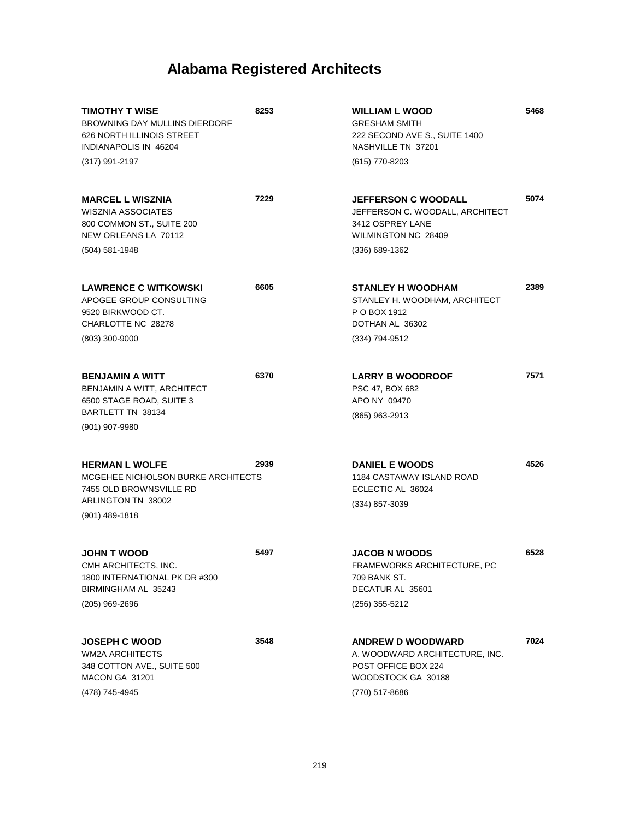| TIMOTHY T WISE<br><b>BROWNING DAY MULLINS DIERDORF</b><br>626 NORTH ILLINOIS STREET<br>INDIANAPOLIS IN 46204<br>(317) 991-2197   | 8253 | <b>WILLIAM L WOOD</b><br><b>GRESHAM SMITH</b><br>222 SECOND AVE S., SUITE 1400<br>NASHVILLE TN 37201<br>(615) 770-8203       | 5468 |
|----------------------------------------------------------------------------------------------------------------------------------|------|------------------------------------------------------------------------------------------------------------------------------|------|
| <b>MARCEL L WISZNIA</b><br><b>WISZNIA ASSOCIATES</b><br>800 COMMON ST., SUITE 200<br>NEW ORLEANS LA 70112<br>(504) 581-1948      | 7229 | <b>JEFFERSON C WOODALL</b><br>JEFFERSON C. WOODALL, ARCHITECT<br>3412 OSPREY LANE<br>WILMINGTON NC 28409<br>$(336)$ 689-1362 | 5074 |
|                                                                                                                                  |      |                                                                                                                              |      |
| <b>LAWRENCE C WITKOWSKI</b><br>APOGEE GROUP CONSULTING<br>9520 BIRKWOOD CT.<br>CHARLOTTE NC 28278                                | 6605 | <b>STANLEY H WOODHAM</b><br>STANLEY H. WOODHAM, ARCHITECT<br>P O BOX 1912<br>DOTHAN AL 36302                                 | 2389 |
| $(803)$ 300-9000                                                                                                                 |      | (334) 794-9512                                                                                                               |      |
| <b>BENJAMIN A WITT</b><br>BENJAMIN A WITT, ARCHITECT<br>6500 STAGE ROAD, SUITE 3<br>BARTLETT TN 38134<br>$(901)$ 907-9980        | 6370 | <b>LARRY B WOODROOF</b><br>PSC 47, BOX 682<br>APO NY 09470<br>(865) 963-2913                                                 | 7571 |
| <b>HERMAN L WOLFE</b><br>MCGEHEE NICHOLSON BURKE ARCHITECTS<br>7455 OLD BROWNSVILLE RD<br>ARLINGTON TN 38002<br>$(901)$ 489-1818 | 2939 | <b>DANIEL E WOODS</b><br><b>1184 CASTAWAY ISLAND ROAD</b><br>ECLECTIC AL 36024<br>(334) 857-3039                             | 4526 |
| <b>JOHN T WOOD</b><br>CMH ARCHITECTS, INC.<br>1800 INTERNATIONAL PK DR #300<br>BIRMINGHAM AL 35243<br>$(205)$ 969-2696           | 5497 | <b>JACOB N WOODS</b><br>FRAMEWORKS ARCHITECTURE, PC<br>709 BANK ST.<br>DECATUR AL 35601<br>(256) 355-5212                    | 6528 |
| <b>JOSEPH C WOOD</b><br><b>WM2A ARCHITECTS</b><br>348 COTTON AVE., SUITE 500<br>MACON GA 31201<br>(478) 745-4945                 | 3548 | <b>ANDREW D WOODWARD</b><br>A. WOODWARD ARCHITECTURE, INC.<br>POST OFFICE BOX 224<br>WOODSTOCK GA 30188<br>(770) 517-8686    | 7024 |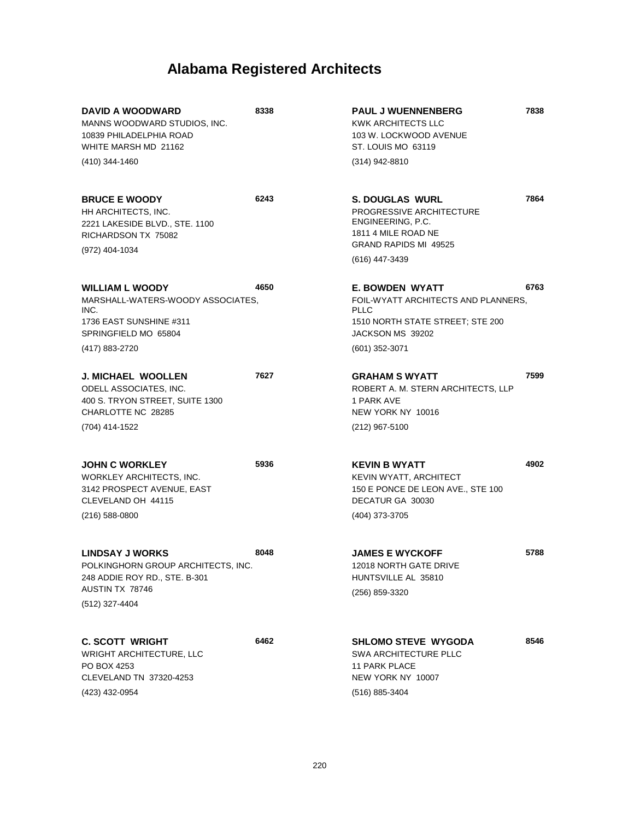| DAVID A WOODWARD<br>MANNS WOODWARD STUDIOS, INC.<br>10839 PHILADELPHIA ROAD<br>WHITE MARSH MD 21162                                   | 8338 | <b>PAUL J WUENNENBERG</b><br>KWK ARCHITECTS LLC<br>103 W. LOCKWOOD AVENUE<br>ST. LOUIS MO 63119                                      | 7838 |
|---------------------------------------------------------------------------------------------------------------------------------------|------|--------------------------------------------------------------------------------------------------------------------------------------|------|
| (410) 344-1460                                                                                                                        |      | (314) 942-8810                                                                                                                       |      |
| <b>BRUCE E WOODY</b><br>HH ARCHITECTS, INC.<br>2221 LAKESIDE BLVD., STE. 1100<br>RICHARDSON TX 75082                                  | 6243 | <b>S. DOUGLAS WURL</b><br>PROGRESSIVE ARCHITECTURE<br>ENGINEERING, P.C.<br>1811 4 MILE ROAD NE<br><b>GRAND RAPIDS MI 49525</b>       | 7864 |
| (972) 404-1034                                                                                                                        |      | (616) 447-3439                                                                                                                       |      |
| <b>WILLIAM L WOODY</b><br>MARSHALL-WATERS-WOODY ASSOCIATES,<br>INC.<br>1736 EAST SUNSHINE #311<br>SPRINGFIELD MO 65804                | 4650 | <b>E. BOWDEN WYATT</b><br>FOIL-WYATT ARCHITECTS AND PLANNERS,<br><b>PLLC</b><br>1510 NORTH STATE STREET; STE 200<br>JACKSON MS 39202 | 6763 |
| (417) 883-2720                                                                                                                        |      | $(601)$ 352-3071                                                                                                                     |      |
| <b>J. MICHAEL WOOLLEN</b><br><b>ODELL ASSOCIATES, INC.</b><br>400 S. TRYON STREET, SUITE 1300<br>CHARLOTTE NC 28285<br>(704) 414-1522 | 7627 | <b>GRAHAM S WYATT</b><br>ROBERT A. M. STERN ARCHITECTS. LLP<br>1 PARK AVE<br>NEW YORK NY 10016<br>(212) 967-5100                     | 7599 |
|                                                                                                                                       |      |                                                                                                                                      |      |
| <b>JOHN C WORKLEY</b><br>WORKLEY ARCHITECTS, INC.<br>3142 PROSPECT AVENUE, EAST<br>CLEVELAND OH 44115<br>$(216)$ 588-0800             | 5936 | <b>KEVIN B WYATT</b><br>KEVIN WYATT, ARCHITECT<br>150 E PONCE DE LEON AVE., STE 100<br>DECATUR GA 30030<br>(404) 373-3705            | 4902 |
| <b>LINDSAY J WORKS</b><br>POLKINGHORN GROUP ARCHITECTS, INC.<br>248 ADDIE ROY RD., STE. B-301<br>AUSTIN TX 78746<br>(512) 327-4404    | 8048 | <b>JAMES E WYCKOFF</b><br>12018 NORTH GATE DRIVE<br>HUNTSVILLE AL 35810<br>(256) 859-3320                                            | 5788 |
| <b>C. SCOTT WRIGHT</b><br><b>WRIGHT ARCHITECTURE, LLC</b><br>PO BOX 4253<br>CLEVELAND TN 37320-4253<br>(423) 432-0954                 | 6462 | <b>SHLOMO STEVE WYGODA</b><br><b>SWA ARCHITECTURE PLLC</b><br>11 PARK PLACE<br>NEW YORK NY 10007<br>(516) 885-3404                   | 8546 |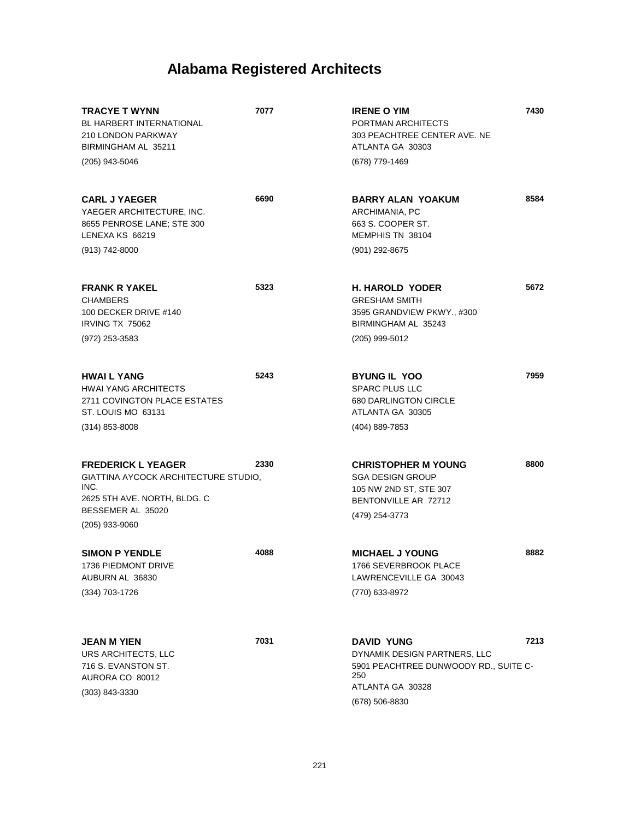| <b>TRACYE T WYNN</b><br>BL HARBERT INTERNATIONAL<br><b>210 LONDON PARKWAY</b><br>BIRMINGHAM AL 35211<br>(205) 943-5046                             | 7077 | <b>IRENE O YIM</b><br>PORTMAN ARCHITECTS<br>303 PEACHTREE CENTER AVE. NE<br>ATLANTA GA 30303<br>(678) 779-1469                          | 7430 |
|----------------------------------------------------------------------------------------------------------------------------------------------------|------|-----------------------------------------------------------------------------------------------------------------------------------------|------|
| <b>CARL J YAEGER</b><br>YAEGER ARCHITECTURE, INC.<br>8655 PENROSE LANE; STE 300<br>LENEXA KS 66219<br>$(913) 742 - 8000$                           | 6690 | <b>BARRY ALAN YOAKUM</b><br>ARCHIMANIA, PC<br>663 S. COOPER ST.<br>MEMPHIS TN 38104<br>(901) 292-8675                                   | 8584 |
| <b>FRANK R YAKEL</b><br><b>CHAMBERS</b><br>100 DECKER DRIVE #140<br>IRVING TX 75062<br>(972) 253-3583                                              | 5323 | <b>H. HAROLD YODER</b><br><b>GRESHAM SMITH</b><br>3595 GRANDVIEW PKWY., #300<br>BIRMINGHAM AL 35243<br>(205) 999-5012                   | 5672 |
| <b>HWAI L YANG</b><br><b>HWAI YANG ARCHITECTS</b><br>2711 COVINGTON PLACE ESTATES<br>ST. LOUIS MO 63131<br>$(314)$ 853-8008                        | 5243 | <b>BYUNG IL YOO</b><br><b>SPARC PLUS LLC</b><br>680 DARLINGTON CIRCLE<br>ATLANTA GA 30305<br>(404) 889-7853                             | 7959 |
| <b>FREDERICK L YEAGER</b><br>GIATTINA AYCOCK ARCHITECTURE STUDIO,<br>INC.<br>2625 5TH AVE. NORTH, BLDG. C<br>BESSEMER AL 35020<br>$(205)$ 933-9060 | 2330 | <b>CHRISTOPHER M YOUNG</b><br><b>SGA DESIGN GROUP</b><br>105 NW 2ND ST, STE 307<br>BENTONVILLE AR 72712<br>(479) 254-3773               | 8800 |
| <b>SIMON P YENDLE</b><br>1736 PIEDMONT DRIVE<br>AUBURN AL 36830<br>(334) 703-1726                                                                  | 4088 | <b>MICHAEL J YOUNG</b><br>1766 SEVERBROOK PLACE<br>LAWRENCEVILLE GA 30043<br>(770) 633-8972                                             | 8882 |
| <b>JEAN M YIEN</b><br>URS ARCHITECTS, LLC<br>716 S. EVANSTON ST.<br>AURORA CO 80012<br>(303) 843-3330                                              | 7031 | <b>DAVID YUNG</b><br>DYNAMIK DESIGN PARTNERS, LLC<br>5901 PEACHTREE DUNWOODY RD., SUITE C-<br>250<br>ATLANTA GA 30328<br>(678) 506-8830 | 7213 |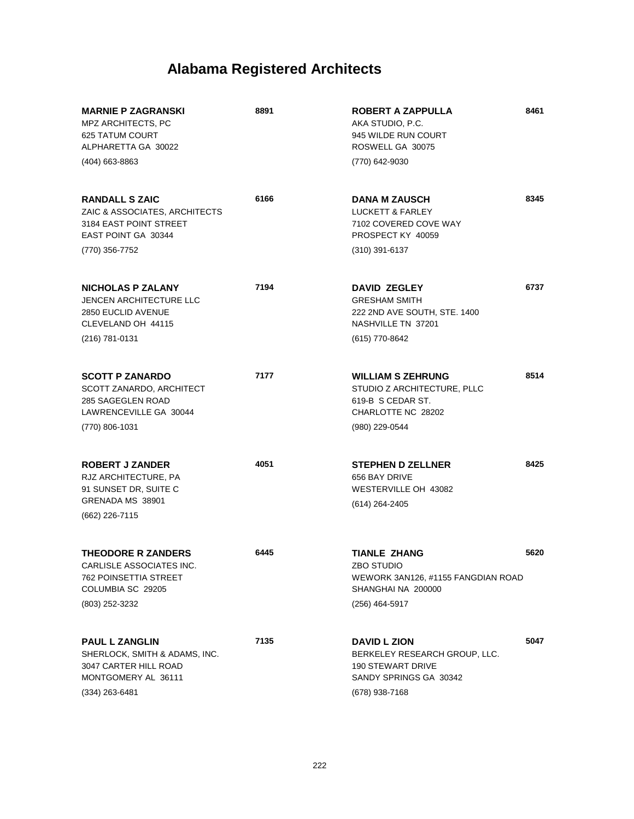| <b>MARNIE P ZAGRANSKI</b><br>MPZ ARCHITECTS, PC<br><b>625 TATUM COURT</b><br>ALPHARETTA GA 30022<br>(404) 663-8863         | 8891 | <b>ROBERT A ZAPPULLA</b><br>AKA STUDIO, P.C.<br>945 WILDE RUN COURT<br>ROSWELL GA 30075<br>(770) 642-9030                    | 8461 |
|----------------------------------------------------------------------------------------------------------------------------|------|------------------------------------------------------------------------------------------------------------------------------|------|
| <b>RANDALL S ZAIC</b><br>ZAIC & ASSOCIATES, ARCHITECTS<br>3184 EAST POINT STREET<br>EAST POINT GA 30344<br>(770) 356-7752  | 6166 | <b>DANA M ZAUSCH</b><br><b>LUCKETT &amp; FARLEY</b><br>7102 COVERED COVE WAY<br>PROSPECT KY 40059<br>$(310)$ 391-6137        | 8345 |
| <b>NICHOLAS P ZALANY</b><br><b>JENCEN ARCHITECTURE LLC</b><br>2850 EUCLID AVENUE<br>CLEVELAND OH 44115<br>(216) 781-0131   | 7194 | <b>DAVID ZEGLEY</b><br><b>GRESHAM SMITH</b><br>222 2ND AVE SOUTH, STE. 1400<br>NASHVILLE TN 37201<br>(615) 770-8642          | 6737 |
| <b>SCOTT P ZANARDO</b><br>SCOTT ZANARDO, ARCHITECT<br>285 SAGEGLEN ROAD<br>LAWRENCEVILLE GA 30044<br>(770) 806-1031        | 7177 | <b>WILLIAM S ZEHRUNG</b><br>STUDIO Z ARCHITECTURE, PLLC<br>619-B S CEDAR ST.<br>CHARLOTTE NC 28202<br>(980) 229-0544         | 8514 |
| <b>ROBERT J ZANDER</b><br>RJZ ARCHITECTURE, PA<br>91 SUNSET DR, SUITE C<br>GRENADA MS 38901<br>(662) 226-7115              | 4051 | <b>STEPHEN D ZELLNER</b><br>656 BAY DRIVE<br>WESTERVILLE OH 43082<br>(614) 264-2405                                          | 8425 |
| <b>THEODORE R ZANDERS</b><br>CARLISLE ASSOCIATES INC.<br>762 POINSETTIA STREET<br>COLUMBIA SC 29205<br>(803) 252-3232      | 6445 | <b>TIANLE ZHANG</b><br>ZBO STUDIO<br>WEWORK 3AN126, #1155 FANGDIAN ROAD<br>SHANGHAI NA 200000<br>$(256)$ 464-5917            | 5620 |
| <b>PAUL L ZANGLIN</b><br>SHERLOCK, SMITH & ADAMS, INC.<br>3047 CARTER HILL ROAD<br>MONTGOMERY AL 36111<br>$(334)$ 263-6481 | 7135 | <b>DAVID L ZION</b><br>BERKELEY RESEARCH GROUP, LLC.<br><b>190 STEWART DRIVE</b><br>SANDY SPRINGS GA 30342<br>(678) 938-7168 | 5047 |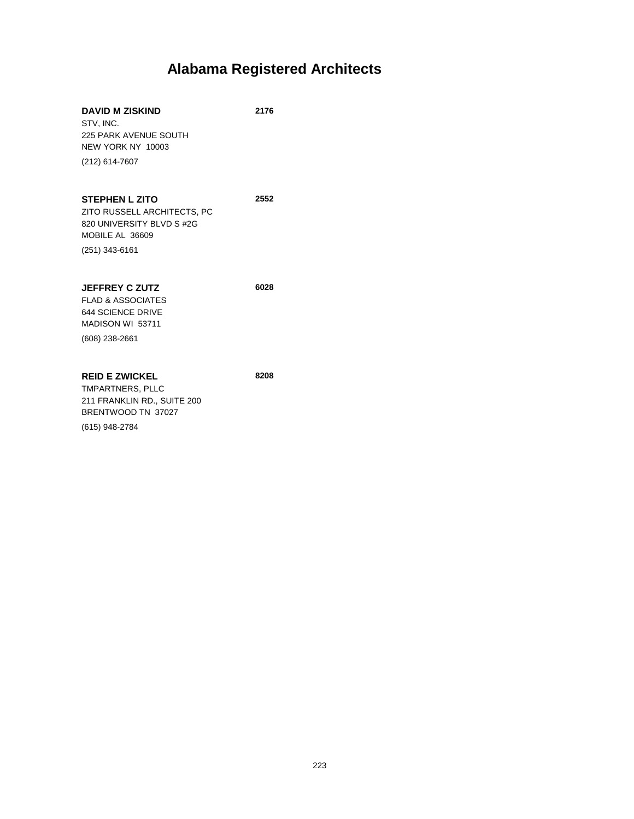| <b>DAVID M ZISKIND</b><br>STV. INC.<br><b>225 PARK AVENUE SOUTH</b><br>NEW YORK NY 10003<br>(212) 614-7607               | 2176 |
|--------------------------------------------------------------------------------------------------------------------------|------|
| <b>STEPHEN L ZITO</b><br>ZITO RUSSELL ARCHITECTS, PC<br>820 UNIVERSITY BLVD S #2G<br>MOBILE AL 36609<br>$(251)$ 343-6161 | 2552 |
| <b>JEFFREY C ZUTZ</b><br><b>FLAD &amp; ASSOCIATES</b><br>644 SCIENCE DRIVE<br>MADISON WI 53711<br>(608) 238-2661         | 6028 |
| <b>REID E ZWICKEL</b><br>TMPARTNERS, PLLC<br>211 FRANKLIN RD., SUITE 200<br>BRENTWOOD TN 37027<br>(615) 948-2784         | 8208 |

223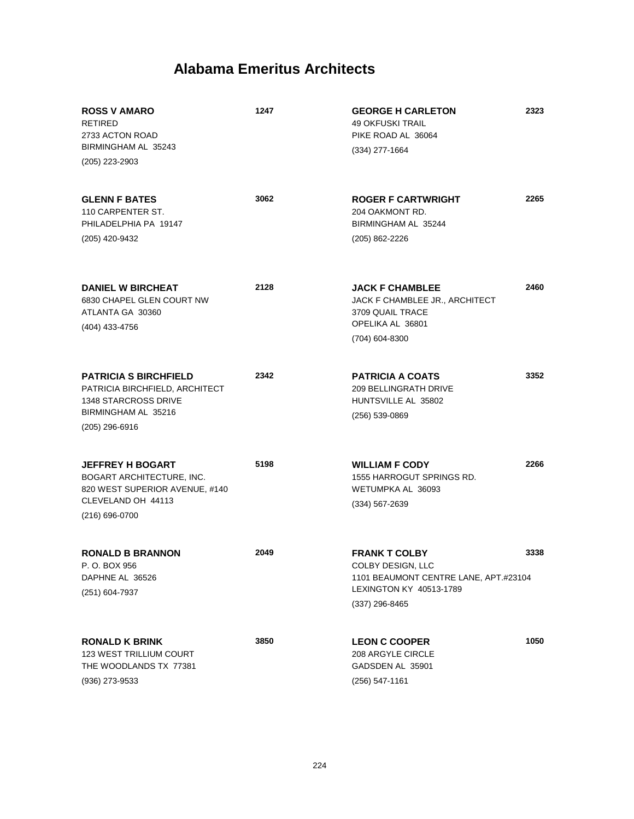| <b>ROSS V AMARO</b><br><b>RETIRED</b><br>2733 ACTON ROAD<br>BIRMINGHAM AL 35243<br>(205) 223-2903                                        | 1247 | <b>GEORGE H CARLETON</b><br><b>49 OKFUSKI TRAIL</b><br>PIKE ROAD AL 36064<br>$(334)$ 277-1664                                   | 2323 |
|------------------------------------------------------------------------------------------------------------------------------------------|------|---------------------------------------------------------------------------------------------------------------------------------|------|
| <b>GLENN F BATES</b><br>110 CARPENTER ST.<br>PHILADELPHIA PA 19147<br>(205) 420-9432                                                     | 3062 | <b>ROGER F CARTWRIGHT</b><br>204 OAKMONT RD.<br>BIRMINGHAM AL 35244<br>(205) 862-2226                                           | 2265 |
| <b>DANIEL W BIRCHEAT</b><br>6830 CHAPEL GLEN COURT NW<br>ATLANTA GA 30360<br>(404) 433-4756                                              | 2128 | <b>JACK F CHAMBLEE</b><br>JACK F CHAMBLEE JR., ARCHITECT<br>3709 QUAIL TRACE<br>OPELIKA AL 36801<br>(704) 604-8300              | 2460 |
| <b>PATRICIA S BIRCHFIELD</b><br>PATRICIA BIRCHFIELD, ARCHITECT<br><b>1348 STARCROSS DRIVE</b><br>BIRMINGHAM AL 35216<br>$(205)$ 296-6916 | 2342 | <b>PATRICIA A COATS</b><br><b>209 BELLINGRATH DRIVE</b><br>HUNTSVILLE AL 35802<br>$(256) 539 - 0869$                            | 3352 |
| <b>JEFFREY H BOGART</b><br>BOGART ARCHITECTURE, INC.<br>820 WEST SUPERIOR AVENUE, #140<br>CLEVELAND OH 44113<br>$(216) 696 - 0700$       | 5198 | <b>WILLIAM F CODY</b><br>1555 HARROGUT SPRINGS RD.<br>WETUMPKA AL 36093<br>$(334) 567 - 2639$                                   | 2266 |
| <b>RONALD B BRANNON</b><br>P.O. BOX 956<br>DAPHNE AL 36526<br>(251) 604-7937                                                             | 2049 | <b>FRANK T COLBY</b><br>COLBY DESIGN, LLC<br>1101 BEAUMONT CENTRE LANE, APT.#23104<br>LEXINGTON KY 40513-1789<br>(337) 296-8465 | 3338 |
| <b>RONALD K BRINK</b><br><b>123 WEST TRILLIUM COURT</b><br>THE WOODLANDS TX 77381<br>(936) 273-9533                                      | 3850 | <b>LEON C COOPER</b><br>208 ARGYLE CIRCLE<br>GADSDEN AL 35901<br>$(256) 547 - 1161$                                             | 1050 |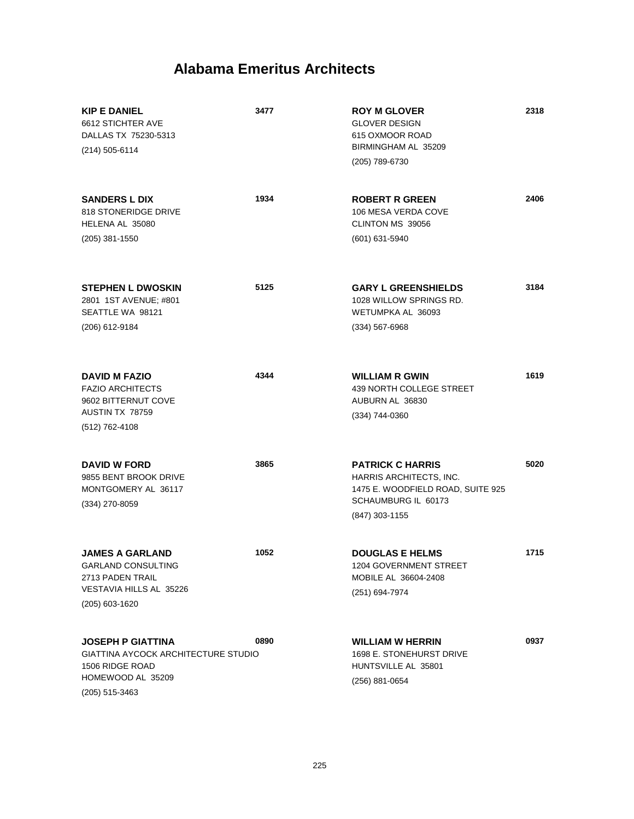| <b>KIP E DANIEL</b><br>6612 STICHTER AVE<br>DALLAS TX 75230-5313<br>$(214)$ 505-6114                                      | 3477 | <b>ROY M GLOVER</b><br><b>GLOVER DESIGN</b><br>615 OXMOOR ROAD<br>BIRMINGHAM AL 35209<br>(205) 789-6730                          | 2318 |
|---------------------------------------------------------------------------------------------------------------------------|------|----------------------------------------------------------------------------------------------------------------------------------|------|
| <b>SANDERS L DIX</b><br>818 STONERIDGE DRIVE<br>HELENA AL 35080<br>$(205)$ 381-1550                                       | 1934 | <b>ROBERT R GREEN</b><br>106 MESA VERDA COVE<br>CLINTON MS 39056<br>(601) 631-5940                                               | 2406 |
|                                                                                                                           |      |                                                                                                                                  |      |
| <b>STEPHEN L DWOSKIN</b><br>2801 1ST AVENUE; #801<br>SEATTLE WA 98121                                                     | 5125 | <b>GARY L GREENSHIELDS</b><br>1028 WILLOW SPRINGS RD.<br>WETUMPKA AL 36093                                                       | 3184 |
| (206) 612-9184                                                                                                            |      | $(334) 567 - 6968$                                                                                                               |      |
| <b>DAVID M FAZIO</b><br><b>FAZIO ARCHITECTS</b><br>9602 BITTERNUT COVE<br>AUSTIN TX 78759<br>(512) 762-4108               | 4344 | <b>WILLIAM R GWIN</b><br>439 NORTH COLLEGE STREET<br>AUBURN AL 36830<br>(334) 744-0360                                           | 1619 |
| <b>DAVID W FORD</b><br>9855 BENT BROOK DRIVE<br>MONTGOMERY AL 36117<br>(334) 270-8059                                     | 3865 | <b>PATRICK C HARRIS</b><br>HARRIS ARCHITECTS, INC.<br>1475 E. WOODFIELD ROAD, SUITE 925<br>SCHAUMBURG IL 60173<br>(847) 303-1155 | 5020 |
| <b>JAMES A GARLAND</b><br><b>GARLAND CONSULTING</b><br>2713 PADEN TRAIL<br>VESTAVIA HILLS AL 35226<br>(205) 603-1620      | 1052 | <b>DOUGLAS E HELMS</b><br>1204 GOVERNMENT STREET<br>MOBILE AL 36604-2408<br>(251) 694-7974                                       | 1715 |
| <b>JOSEPH P GIATTINA</b><br>GIATTINA AYCOCK ARCHITECTURE STUDIO<br>1506 RIDGE ROAD<br>HOMEWOOD AL 35209<br>(205) 515-3463 | 0890 | <b>WILLIAM W HERRIN</b><br>1698 E. STONEHURST DRIVE<br>HUNTSVILLE AL 35801<br>(256) 881-0654                                     | 0937 |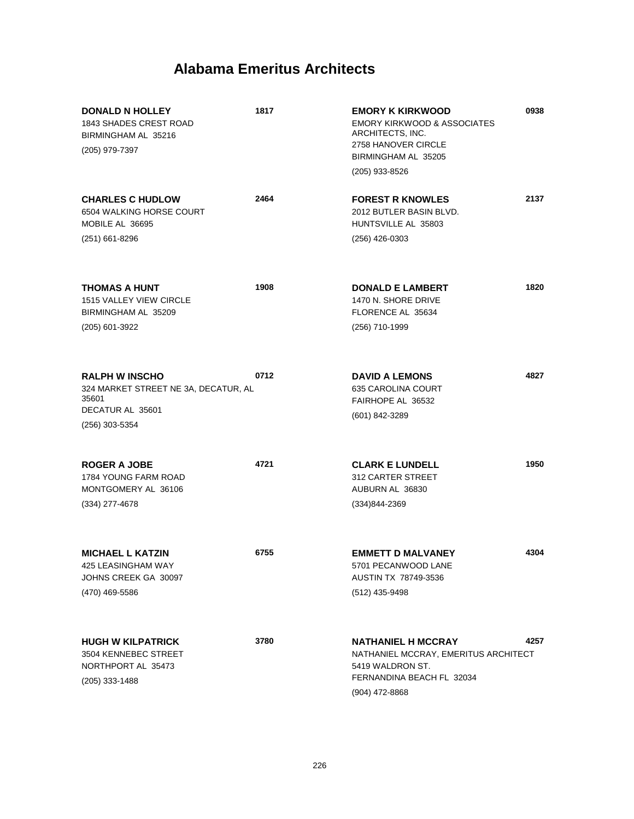| <b>DONALD N HOLLEY</b><br>1843 SHADES CREST ROAD<br>BIRMINGHAM AL 35216<br>(205) 979-7397                      | 1817 | <b>EMORY K KIRKWOOD</b><br><b>EMORY KIRKWOOD &amp; ASSOCIATES</b><br>ARCHITECTS, INC.<br>2758 HANOVER CIRCLE<br>BIRMINGHAM AL 35205<br>(205) 933-8526 | 0938 |
|----------------------------------------------------------------------------------------------------------------|------|-------------------------------------------------------------------------------------------------------------------------------------------------------|------|
| <b>CHARLES C HUDLOW</b><br>6504 WALKING HORSE COURT<br>MOBILE AL 36695<br>$(251)$ 661-8296                     | 2464 | <b>FOREST R KNOWLES</b><br>2012 BUTLER BASIN BLVD.<br>HUNTSVILLE AL 35803<br>(256) 426-0303                                                           | 2137 |
| THOMAS A HUNT<br><b>1515 VALLEY VIEW CIRCLE</b><br>BIRMINGHAM AL 35209<br>(205) 601-3922                       | 1908 | <b>DONALD E LAMBERT</b><br>1470 N. SHORE DRIVE<br>FLORENCE AL 35634<br>(256) 710-1999                                                                 | 1820 |
| <b>RALPH W INSCHO</b><br>324 MARKET STREET NE 3A, DECATUR, AL<br>35601<br>DECATUR AL 35601<br>$(256)$ 303-5354 | 0712 | <b>DAVID A LEMONS</b><br>635 CAROLINA COURT<br>FAIRHOPE AL 36532<br>(601) 842-3289                                                                    | 4827 |
| <b>ROGER A JOBE</b><br><b>1784 YOUNG FARM ROAD</b><br>MONTGOMERY AL 36106<br>$(334)$ 277-4678                  | 4721 | <b>CLARK E LUNDELL</b><br>312 CARTER STREET<br>AUBURN AL 36830<br>(334)844-2369                                                                       | 1950 |
| <b>MICHAEL L KATZIN</b><br>425 LEASINGHAM WAY<br>JOHNS CREEK GA 30097<br>(470) 469-5586                        | 6755 | <b>EMMETT D MALVANEY</b><br>5701 PECANWOOD LANE<br>AUSTIN TX 78749-3536<br>(512) 435-9498                                                             | 4304 |
| <b>HUGH W KILPATRICK</b><br>3504 KENNEBEC STREET<br>NORTHPORT AL 35473<br>$(205)$ 333-1488                     | 3780 | <b>NATHANIEL H MCCRAY</b><br>NATHANIEL MCCRAY, EMERITUS ARCHITECT<br>5419 WALDRON ST.<br>FERNANDINA BEACH FL 32034<br>(904) 472-8868                  | 4257 |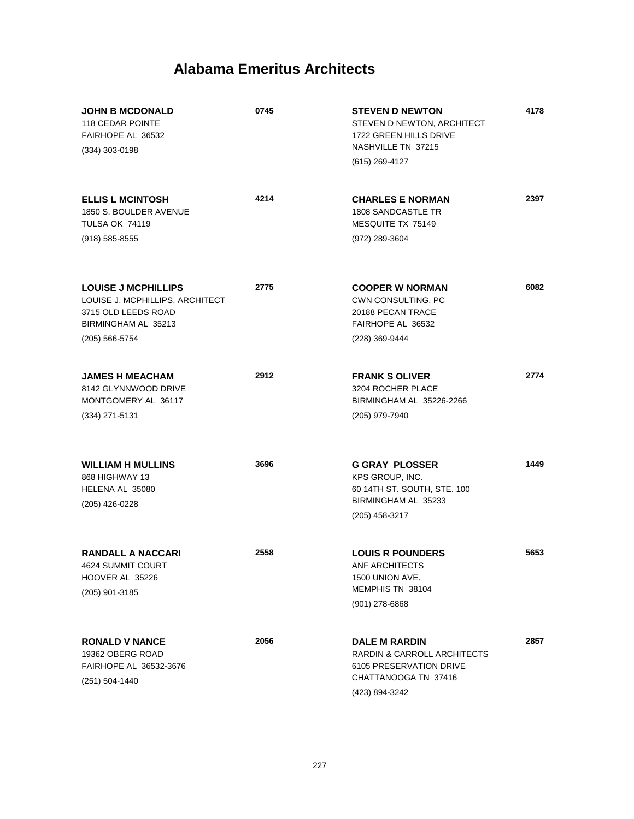| <b>JOHN B MCDONALD</b><br>118 CEDAR POINTE<br>FAIRHOPE AL 36532<br>$(334)$ 303-0198                                             | 0745 | <b>STEVEN D NEWTON</b><br>STEVEN D NEWTON, ARCHITECT<br>1722 GREEN HILLS DRIVE<br>NASHVILLE TN 37215<br>(615) 269-4127   | 4178 |
|---------------------------------------------------------------------------------------------------------------------------------|------|--------------------------------------------------------------------------------------------------------------------------|------|
| <b>ELLIS L MCINTOSH</b><br>1850 S. BOULDER AVENUE<br><b>TULSA OK 74119</b><br>$(918) 585 - 8555$                                | 4214 | <b>CHARLES E NORMAN</b><br><b>1808 SANDCASTLE TR</b><br>MESQUITE TX 75149<br>(972) 289-3604                              | 2397 |
| <b>LOUISE J MCPHILLIPS</b><br>LOUISE J. MCPHILLIPS, ARCHITECT<br>3715 OLD LEEDS ROAD<br>BIRMINGHAM AL 35213<br>$(205)$ 566-5754 | 2775 | <b>COOPER W NORMAN</b><br>CWN CONSULTING, PC<br>20188 PECAN TRACE<br>FAIRHOPE AL 36532<br>(228) 369-9444                 | 6082 |
| <b>JAMES H MEACHAM</b><br>8142 GLYNNWOOD DRIVE<br>MONTGOMERY AL 36117<br>(334) 271-5131                                         | 2912 | <b>FRANK S OLIVER</b><br>3204 ROCHER PLACE<br>BIRMINGHAM AL 35226-2266<br>(205) 979-7940                                 | 2774 |
| <b>WILLIAM H MULLINS</b><br>868 HIGHWAY 13<br>HELENA AL 35080<br>(205) 426-0228                                                 | 3696 | <b>G GRAY PLOSSER</b><br>KPS GROUP, INC.<br>60 14TH ST. SOUTH, STE. 100<br>BIRMINGHAM AL 35233<br>(205) 458-3217         | 1449 |
| <b>RANDALL A NACCARI</b><br>4624 SUMMIT COURT<br>HOOVER AL 35226<br>(205) 901-3185                                              | 2558 | <b>LOUIS R POUNDERS</b><br>ANF ARCHITECTS<br>1500 UNION AVE.<br>MEMPHIS TN 38104<br>$(901)$ 278-6868                     | 5653 |
| <b>RONALD V NANCE</b><br>19362 OBERG ROAD<br>FAIRHOPE AL 36532-3676<br>(251) 504-1440                                           | 2056 | <b>DALE M RARDIN</b><br>RARDIN & CARROLL ARCHITECTS<br>6105 PRESERVATION DRIVE<br>CHATTANOOGA TN 37416<br>(423) 894-3242 | 2857 |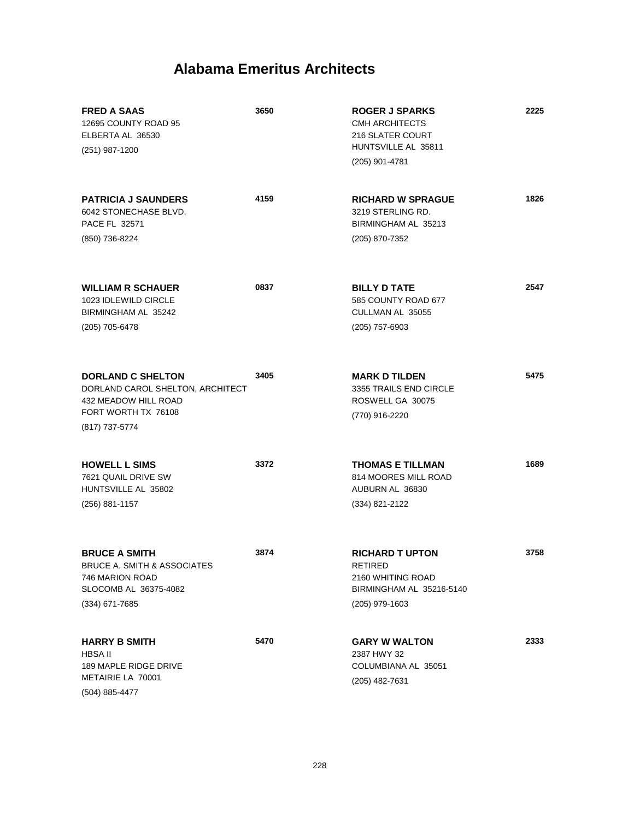| <b>FRED A SAAS</b><br>12695 COUNTY ROAD 95<br>ELBERTA AL 36530<br>(251) 987-1200                                              | 3650 | <b>ROGER J SPARKS</b><br><b>CMH ARCHITECTS</b><br><b>216 SLATER COURT</b><br>HUNTSVILLE AL 35811<br>(205) 901-4781 | 2225 |
|-------------------------------------------------------------------------------------------------------------------------------|------|--------------------------------------------------------------------------------------------------------------------|------|
| <b>PATRICIA J SAUNDERS</b><br>6042 STONECHASE BLVD.<br><b>PACE FL 32571</b><br>(850) 736-8224                                 | 4159 | <b>RICHARD W SPRAGUE</b><br>3219 STERLING RD.<br>BIRMINGHAM AL 35213<br>(205) 870-7352                             | 1826 |
| <b>WILLIAM R SCHAUER</b><br>1023 IDLEWILD CIRCLE<br>BIRMINGHAM AL 35242<br>(205) 705-6478                                     | 0837 | <b>BILLY D TATE</b><br>585 COUNTY ROAD 677<br>CULLMAN AL 35055<br>$(205)$ 757-6903                                 | 2547 |
| <b>DORLAND C SHELTON</b><br>DORLAND CAROL SHELTON, ARCHITECT<br>432 MEADOW HILL ROAD<br>FORT WORTH TX 76108<br>(817) 737-5774 | 3405 | <b>MARK D TILDEN</b><br>3355 TRAILS END CIRCLE<br>ROSWELL GA 30075<br>(770) 916-2220                               | 5475 |
| <b>HOWELL L SIMS</b><br>7621 QUAIL DRIVE SW<br>HUNTSVILLE AL 35802<br>$(256)$ 881-1157                                        | 3372 | <b>THOMAS E TILLMAN</b><br>814 MOORES MILL ROAD<br>AUBURN AL 36830<br>(334) 821-2122                               | 1689 |
| <b>BRUCE A SMITH</b><br><b>BRUCE A. SMITH &amp; ASSOCIATES</b><br>746 MARION ROAD<br>SLOCOMB AL 36375-4082<br>(334) 671-7685  | 3874 | <b>RICHARD T UPTON</b><br><b>RETIRED</b><br>2160 WHITING ROAD<br>BIRMINGHAM AL 35216-5140<br>(205) 979-1603        | 3758 |
| <b>HARRY B SMITH</b><br><b>HBSA II</b><br>189 MAPLE RIDGE DRIVE<br>METAIRIE LA 70001<br>(504) 885-4477                        | 5470 | <b>GARY W WALTON</b><br>2387 HWY 32<br>COLUMBIANA AL 35051<br>(205) 482-7631                                       | 2333 |